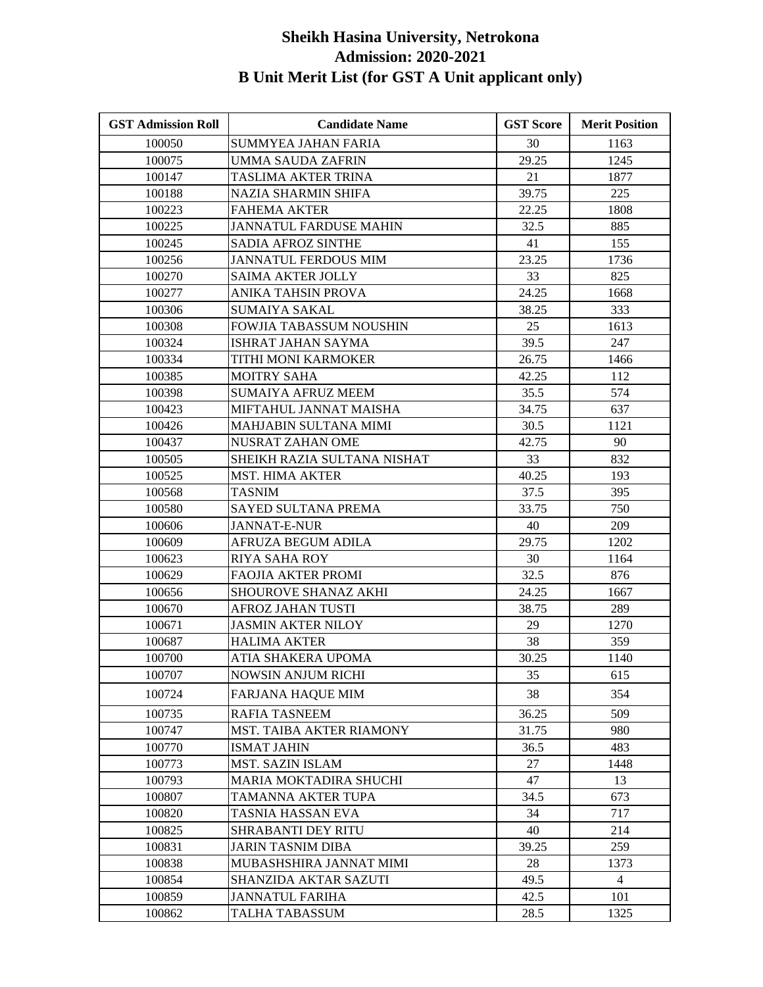| <b>GST Admission Roll</b> | <b>Candidate Name</b>         | <b>GST Score</b> | <b>Merit Position</b> |
|---------------------------|-------------------------------|------------------|-----------------------|
| 100050                    | <b>SUMMYEA JAHAN FARIA</b>    | 30               | 1163                  |
| 100075                    | <b>UMMA SAUDA ZAFRIN</b>      | 29.25            | 1245                  |
| 100147                    | TASLIMA AKTER TRINA           | 21               | 1877                  |
| 100188                    | NAZIA SHARMIN SHIFA           | 39.75            | 225                   |
| 100223                    | FAHEMA AKTER                  | 22.25            | 1808                  |
| 100225                    | <b>JANNATUL FARDUSE MAHIN</b> | 32.5             | 885                   |
| 100245                    | <b>SADIA AFROZ SINTHE</b>     | 41               | 155                   |
| 100256                    | <b>JANNATUL FERDOUS MIM</b>   | 23.25            | 1736                  |
| 100270                    | <b>SAIMA AKTER JOLLY</b>      | 33               | 825                   |
| 100277                    | ANIKA TAHSIN PROVA            | 24.25            | 1668                  |
| 100306                    | <b>SUMAIYA SAKAL</b>          | 38.25            | 333                   |
| 100308                    | FOWJIA TABASSUM NOUSHIN       | 25               | 1613                  |
| 100324                    | ISHRAT JAHAN SAYMA            | 39.5             | 247                   |
| 100334                    | TITHI MONI KARMOKER           | 26.75            | 1466                  |
| 100385                    | <b>MOITRY SAHA</b>            | 42.25            | 112                   |
| 100398                    | <b>SUMAIYA AFRUZ MEEM</b>     | 35.5             | 574                   |
| 100423                    | MIFTAHUL JANNAT MAISHA        | 34.75            | 637                   |
| 100426                    | MAHJABIN SULTANA MIMI         | 30.5             | 1121                  |
| 100437                    | NUSRAT ZAHAN OME              | 42.75            | 90                    |
| 100505                    | SHEIKH RAZIA SULTANA NISHAT   | 33               | 832                   |
| 100525                    | <b>MST. HIMA AKTER</b>        | 40.25            | 193                   |
| 100568                    | TASNIM                        | 37.5             | 395                   |
| 100580                    | SAYED SULTANA PREMA           | 33.75            | 750                   |
| 100606                    | <b>JANNAT-E-NUR</b>           | 40               | 209                   |
| 100609                    | AFRUZA BEGUM ADILA            | 29.75            | 1202                  |
| 100623                    | RIYA SAHA ROY                 | 30               | 1164                  |
| 100629                    | <b>FAOJIA AKTER PROMI</b>     | 32.5             | 876                   |
| 100656                    | <b>SHOUROVE SHANAZ AKHI</b>   | 24.25            | 1667                  |
| 100670                    | <b>AFROZ JAHAN TUSTI</b>      | 38.75            | 289                   |
| 100671                    | <b>JASMIN AKTER NILOY</b>     | 29               | 1270                  |
| 100687                    | <b>HALIMA AKTER</b>           | 38               | 359                   |
| 100700                    | ATIA SHAKERA UPOMA            | 30.25            | 1140                  |
| 100707                    | <b>NOWSIN ANJUM RICHI</b>     | 35               | 615                   |
| 100724                    | FARJANA HAQUE MIM             | 38               | 354                   |
| 100735                    | <b>RAFIA TASNEEM</b>          | 36.25            | 509                   |
| 100747                    | MST. TAIBA AKTER RIAMONY      | 31.75            | 980                   |
| 100770                    | <b>ISMAT JAHIN</b>            | 36.5             | 483                   |
| 100773                    | MST. SAZIN ISLAM              | 27               | 1448                  |
| 100793                    | MARIA MOKTADIRA SHUCHI        | 47               | 13                    |
| 100807                    | TAMANNA AKTER TUPA            | 34.5             | 673                   |
| 100820                    | TASNIA HASSAN EVA             | 34               | 717                   |
| 100825                    | <b>SHRABANTI DEY RITU</b>     | 40               | 214                   |
| 100831                    | <b>JARIN TASNIM DIBA</b>      | 39.25            | 259                   |
| 100838                    | MUBASHSHIRA JANNAT MIMI       | 28               | 1373                  |
| 100854                    | SHANZIDA AKTAR SAZUTI         | 49.5             | $\overline{4}$        |
| 100859                    | <b>JANNATUL FARIHA</b>        | 42.5             | 101                   |
| 100862                    | TALHA TABASSUM                | 28.5             | 1325                  |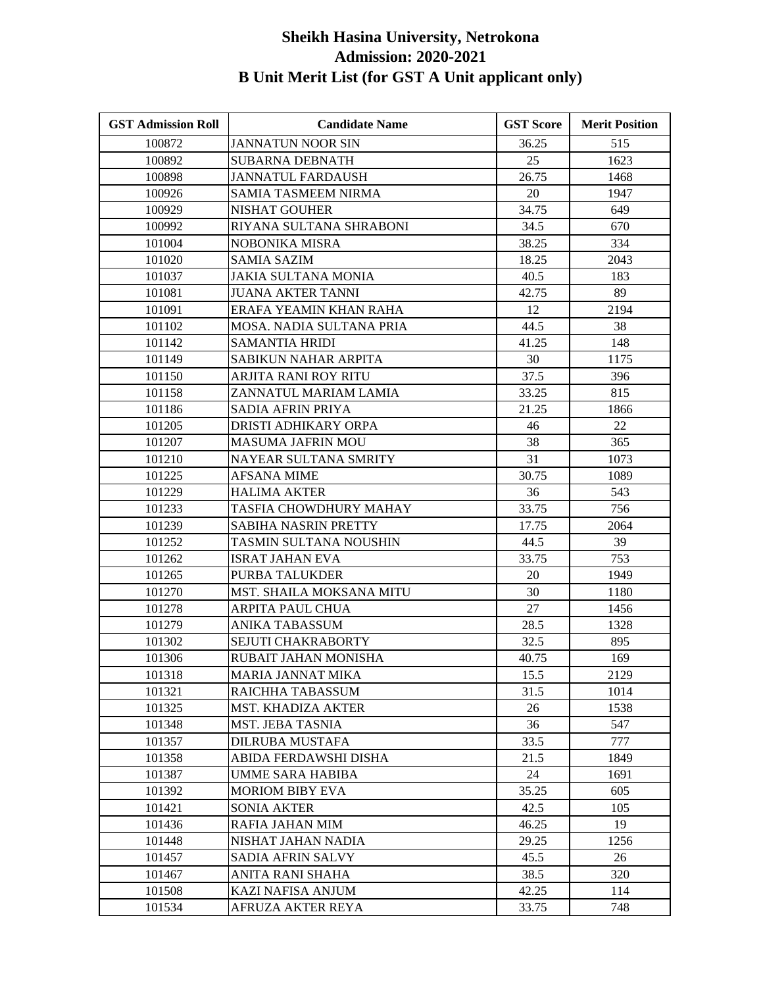| <b>GST Admission Roll</b> | <b>Candidate Name</b>           | <b>GST Score</b> | <b>Merit Position</b> |
|---------------------------|---------------------------------|------------------|-----------------------|
| 100872                    | <b>JANNATUN NOOR SIN</b>        | 36.25            | 515                   |
| 100892                    | <b>SUBARNA DEBNATH</b>          | 25               | 1623                  |
| 100898                    | <b>JANNATUL FARDAUSH</b>        | 26.75            | 1468                  |
| 100926                    | <b>SAMIA TASMEEM NIRMA</b>      | 20               | 1947                  |
| 100929                    | <b>NISHAT GOUHER</b>            | 34.75            | 649                   |
| 100992                    | RIYANA SULTANA SHRABONI         | 34.5             | 670                   |
| 101004                    | NOBONIKA MISRA                  | 38.25            | 334                   |
| 101020                    | <b>SAMIA SAZIM</b>              | 18.25            | 2043                  |
| 101037                    | JAKIA SULTANA MONIA             | 40.5             | 183                   |
| 101081                    | <b>JUANA AKTER TANNI</b>        | 42.75            | 89                    |
| 101091                    | ERAFA YEAMIN KHAN RAHA          | 12               | 2194                  |
| 101102                    | MOSA. NADIA SULTANA PRIA        | 44.5             | 38                    |
| 101142                    | <b>SAMANTIA HRIDI</b>           | 41.25            | 148                   |
| 101149                    | SABIKUN NAHAR ARPITA            | 30               | 1175                  |
| 101150                    | ARJITA RANI ROY RITU            | 37.5             | 396                   |
| 101158                    | ZANNATUL MARIAM LAMIA           | 33.25            | 815                   |
| 101186                    | SADIA AFRIN PRIYA               | 21.25            | 1866                  |
| 101205                    | DRISTI ADHIKARY ORPA            | 46               | 22                    |
| 101207                    | <b>MASUMA JAFRIN MOU</b>        | 38               | 365                   |
| 101210                    | NAYEAR SULTANA SMRITY           | 31               | 1073                  |
| 101225                    | <b>AFSANA MIME</b>              | 30.75            | 1089                  |
| 101229                    | <b>HALIMA AKTER</b>             | 36               | 543                   |
| 101233                    | TASFIA CHOWDHURY MAHAY          | 33.75            | 756                   |
| 101239                    | SABIHA NASRIN PRETTY            | 17.75            | 2064                  |
| 101252                    | TASMIN SULTANA NOUSHIN          | 44.5             | 39                    |
| 101262                    | ISRAT JAHAN EVA                 | 33.75            | 753                   |
| 101265                    | PURBA TALUKDER                  | 20               | 1949                  |
| 101270                    | <b>MST. SHAILA MOKSANA MITU</b> | 30               | 1180                  |
| 101278                    | <b>ARPITA PAUL CHUA</b>         | 27               | 1456                  |
| 101279                    | <b>ANIKA TABASSUM</b>           | 28.5             | 1328                  |
| 101302                    | <b>SEJUTI CHAKRABORTY</b>       | 32.5             | 895                   |
| 101306                    | RUBAIT JAHAN MONISHA            | 40.75            | 169                   |
| 101318                    | MARIA JANNAT MIKA               | 15.5             | 2129                  |
| 101321                    | RAICHHA TABASSUM                | 31.5             | 1014                  |
| 101325                    | <b>MST. KHADIZA AKTER</b>       | 26               | 1538                  |
| 101348                    | <b>MST. JEBA TASNIA</b>         | 36               | 547                   |
| 101357                    | DILRUBA MUSTAFA                 | 33.5             | 777                   |
| 101358                    | ABIDA FERDAWSHI DISHA           | 21.5             | 1849                  |
| 101387                    | UMME SARA HABIBA                | 24               | 1691                  |
| 101392                    | <b>MORIOM BIBY EVA</b>          | 35.25            | 605                   |
| 101421                    | <b>SONIA AKTER</b>              | 42.5             | 105                   |
| 101436                    | RAFIA JAHAN MIM                 | 46.25            | 19                    |
| 101448                    | NISHAT JAHAN NADIA              | 29.25            | 1256                  |
| 101457                    | SADIA AFRIN SALVY               | 45.5             | 26                    |
| 101467                    | ANITA RANI SHAHA                | 38.5             | 320                   |
| 101508                    | KAZI NAFISA ANJUM               | 42.25            | 114                   |
| 101534                    | AFRUZA AKTER REYA               | 33.75            | 748                   |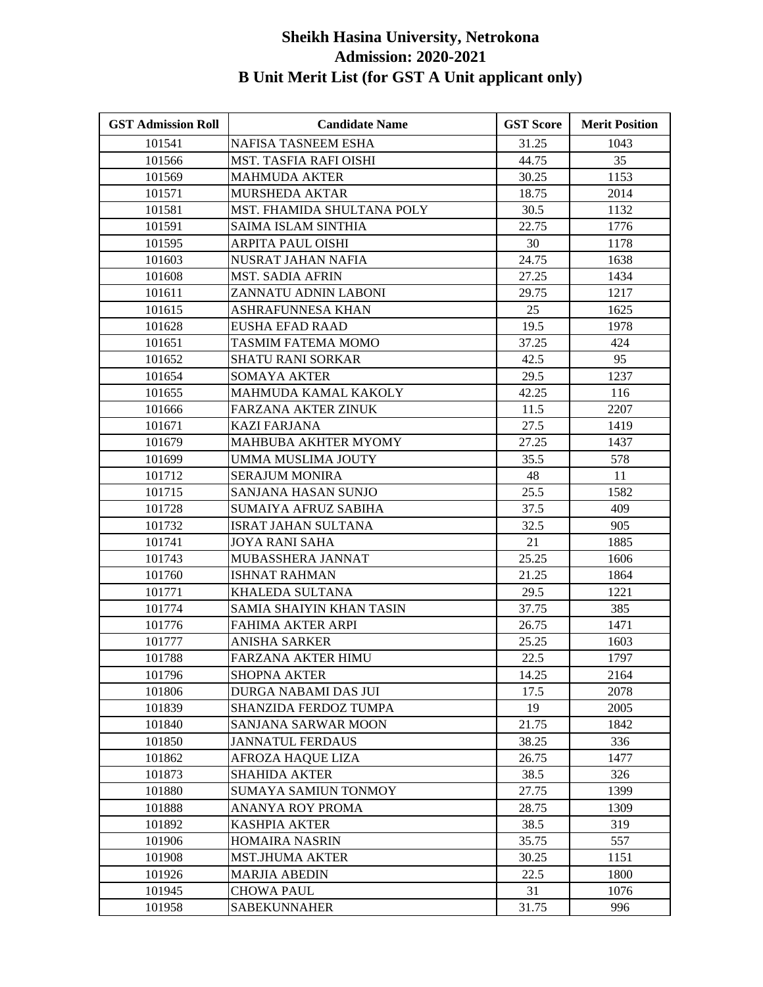| <b>GST Admission Roll</b> | <b>Candidate Name</b>         | <b>GST Score</b> | <b>Merit Position</b> |
|---------------------------|-------------------------------|------------------|-----------------------|
| 101541                    | NAFISA TASNEEM ESHA           | 31.25            | 1043                  |
| 101566                    | <b>MST. TASFIA RAFI OISHI</b> | 44.75            | 35                    |
| 101569                    | <b>MAHMUDA AKTER</b>          | 30.25            | 1153                  |
| 101571                    | <b>MURSHEDA AKTAR</b>         | 18.75            | 2014                  |
| 101581                    | MST. FHAMIDA SHULTANA POLY    | 30.5             | 1132                  |
| 101591                    | <b>SAIMA ISLAM SINTHIA</b>    | 22.75            | 1776                  |
| 101595                    | <b>ARPITA PAUL OISHI</b>      | 30               | 1178                  |
| 101603                    | NUSRAT JAHAN NAFIA            | 24.75            | 1638                  |
| 101608                    | <b>MST. SADIA AFRIN</b>       | 27.25            | 1434                  |
| 101611                    | ZANNATU ADNIN LABONI          | 29.75            | 1217                  |
| 101615                    | ASHRAFUNNESA KHAN             | 25               | 1625                  |
| 101628                    | EUSHA EFAD RAAD               | 19.5             | 1978                  |
| 101651                    | TASMIM FATEMA MOMO            | 37.25            | 424                   |
| 101652                    | SHATU RANI SORKAR             | 42.5             | 95                    |
| 101654                    | SOMAYA AKTER                  | 29.5             | 1237                  |
| 101655                    | MAHMUDA KAMAL KAKOLY          | 42.25            | 116                   |
| 101666                    | <b>FARZANA AKTER ZINUK</b>    | 11.5             | 2207                  |
| 101671                    | <b>KAZI FARJANA</b>           | 27.5             | 1419                  |
| 101679                    | <b>MAHBUBA AKHTER MYOMY</b>   | 27.25            | 1437                  |
| 101699                    | UMMA MUSLIMA JOUTY            | 35.5             | 578                   |
| 101712                    | <b>SERAJUM MONIRA</b>         | 48               | 11                    |
| 101715                    | SANJANA HASAN SUNJO           | 25.5             | 1582                  |
| 101728                    | SUMAIYA AFRUZ SABIHA          | 37.5             | 409                   |
| 101732                    | ISRAT JAHAN SULTANA           | 32.5             | 905                   |
| 101741                    | <b>JOYA RANI SAHA</b>         | 21               | 1885                  |
| 101743                    | MUBASSHERA JANNAT             | 25.25            | 1606                  |
| 101760                    | <b>ISHNAT RAHMAN</b>          | 21.25            | 1864                  |
| 101771                    | KHALEDA SULTANA               | 29.5             | 1221                  |
| 101774                    | SAMIA SHAIYIN KHAN TASIN      | 37.75            | 385                   |
| 101776                    | <b>FAHIMA AKTER ARPI</b>      | 26.75            | 1471                  |
| 101777                    | <b>ANISHA SARKER</b>          | 25.25            | 1603                  |
| 101788                    | FARZANA AKTER HIMU            | 22.5             | 1797                  |
| 101796                    | <b>SHOPNA AKTER</b>           | 14.25            | 2164                  |
| 101806                    | DURGA NABAMI DAS JUI          | 17.5             | 2078                  |
| 101839                    | SHANZIDA FERDOZ TUMPA         | 19               | 2005                  |
| 101840                    | SANJANA SARWAR MOON           | 21.75            | 1842                  |
| 101850                    | <b>JANNATUL FERDAUS</b>       | 38.25            | 336                   |
| 101862                    | AFROZA HAQUE LIZA             | 26.75            | 1477                  |
| 101873                    | <b>SHAHIDA AKTER</b>          | 38.5             | 326                   |
| 101880                    | <b>SUMAYA SAMIUN TONMOY</b>   | 27.75            | 1399                  |
| 101888                    | ANANYA ROY PROMA              | 28.75            | 1309                  |
| 101892                    | <b>KASHPIA AKTER</b>          | 38.5             | 319                   |
| 101906                    | <b>HOMAIRA NASRIN</b>         | 35.75            | 557                   |
| 101908                    | <b>MST.JHUMA AKTER</b>        | 30.25            | 1151                  |
| 101926                    | <b>MARJIA ABEDIN</b>          | 22.5             | 1800                  |
| 101945                    | CHOWA PAUL                    | 31               | 1076                  |
| 101958                    | <b>SABEKUNNAHER</b>           | 31.75            | 996                   |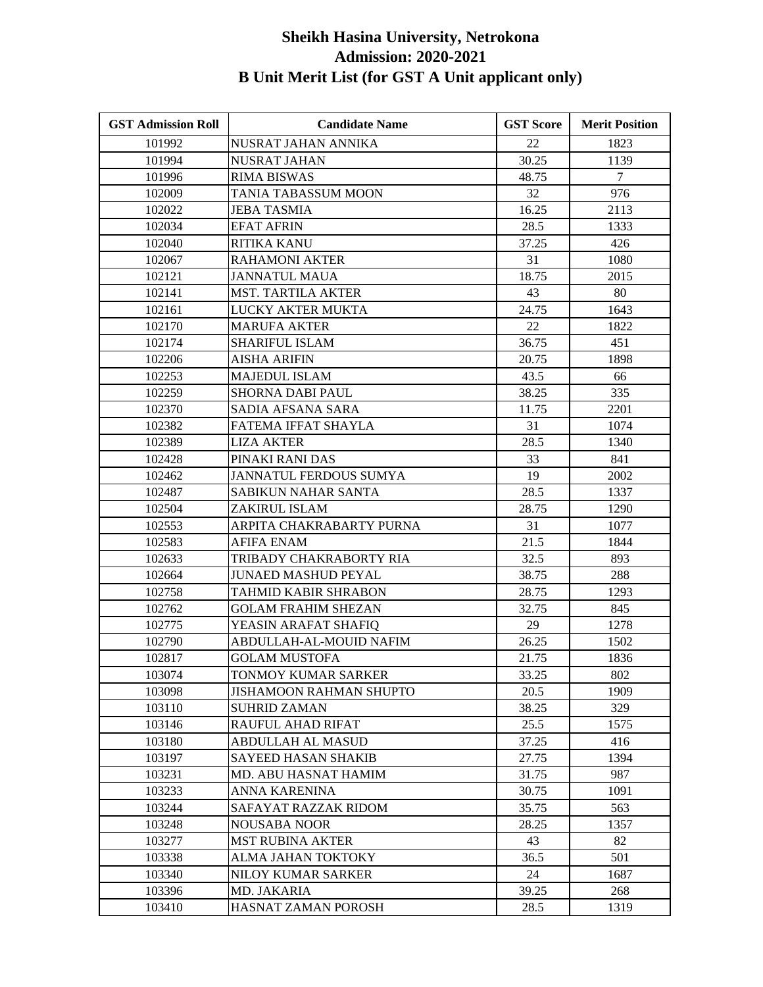| <b>GST Admission Roll</b> | <b>Candidate Name</b>          | <b>GST Score</b> | <b>Merit Position</b> |
|---------------------------|--------------------------------|------------------|-----------------------|
| 101992                    | NUSRAT JAHAN ANNIKA            | 22               | 1823                  |
| 101994                    | <b>NUSRAT JAHAN</b>            | 30.25            | 1139                  |
| 101996                    | <b>RIMA BISWAS</b>             | 48.75            | $\overline{7}$        |
| 102009                    | TANIA TABASSUM MOON            | 32               | 976                   |
| 102022                    | JEBA TASMIA                    | 16.25            | 2113                  |
| 102034                    | <b>EFAT AFRIN</b>              | 28.5             | 1333                  |
| 102040                    | <b>RITIKA KANU</b>             | 37.25            | 426                   |
| 102067                    | <b>RAHAMONI AKTER</b>          | 31               | 1080                  |
| 102121                    | <b>JANNATUL MAUA</b>           | 18.75            | 2015                  |
| 102141                    | <b>MST. TARTILA AKTER</b>      | 43               | 80                    |
| 102161                    | LUCKY AKTER MUKTA              | 24.75            | 1643                  |
| 102170                    | <b>MARUFA AKTER</b>            | 22               | 1822                  |
| 102174                    | SHARIFUL ISLAM                 | 36.75            | 451                   |
| 102206                    | <b>AISHA ARIFIN</b>            | 20.75            | 1898                  |
| 102253                    | <b>MAJEDUL ISLAM</b>           | 43.5             | 66                    |
| 102259                    | <b>SHORNA DABI PAUL</b>        | 38.25            | 335                   |
| 102370                    | SADIA AFSANA SARA              | 11.75            | 2201                  |
| 102382                    | FATEMA IFFAT SHAYLA            | 31               | 1074                  |
| 102389                    | <b>LIZA AKTER</b>              | 28.5             | 1340                  |
| 102428                    | PINAKI RANI DAS                | 33               | 841                   |
| 102462                    | JANNATUL FERDOUS SUMYA         | 19               | 2002                  |
| 102487                    | SABIKUN NAHAR SANTA            | 28.5             | 1337                  |
| 102504                    | ZAKIRUL ISLAM                  | 28.75            | 1290                  |
| 102553                    | ARPITA CHAKRABARTY PURNA       | 31               | 1077                  |
| 102583                    | <b>AFIFA ENAM</b>              | 21.5             | 1844                  |
| 102633                    | TRIBADY CHAKRABORTY RIA        | 32.5             | 893                   |
| 102664                    | <b>JUNAED MASHUD PEYAL</b>     | 38.75            | 288                   |
| 102758                    | TAHMID KABIR SHRABON           | 28.75            | 1293                  |
| 102762                    | <b>GOLAM FRAHIM SHEZAN</b>     | 32.75            | 845                   |
| 102775                    | YEASIN ARAFAT SHAFIQ           | 29               | 1278                  |
| 102790                    | ABDULLAH-AL-MOUID NAFIM        | 26.25            | 1502                  |
| 102817                    | <b>GOLAM MUSTOFA</b>           | 21.75            | 1836                  |
| 103074                    | TONMOY KUMAR SARKER            | 33.25            | 802                   |
| 103098                    | <b>JISHAMOON RAHMAN SHUPTO</b> | 20.5             | 1909                  |
| 103110                    | <b>SUHRID ZAMAN</b>            | 38.25            | 329                   |
| 103146                    | RAUFUL AHAD RIFAT              | 25.5             | 1575                  |
| 103180                    | ABDULLAH AL MASUD              | 37.25            | 416                   |
| 103197                    | <b>SAYEED HASAN SHAKIB</b>     | 27.75            | 1394                  |
| 103231                    | MD. ABU HASNAT HAMIM           | 31.75            | 987                   |
| 103233                    | ANNA KARENINA                  | 30.75            | 1091                  |
| 103244                    | SAFAYAT RAZZAK RIDOM           | 35.75            | 563                   |
| 103248                    | <b>NOUSABA NOOR</b>            | 28.25            | 1357                  |
| 103277                    | <b>MST RUBINA AKTER</b>        | 43               | 82                    |
| 103338                    | ALMA JAHAN TOKTOKY             | 36.5             | 501                   |
| 103340                    | NILOY KUMAR SARKER             | 24               | 1687                  |
| 103396                    | MD. JAKARIA                    | 39.25            | 268                   |
| 103410                    | HASNAT ZAMAN POROSH            | 28.5             | 1319                  |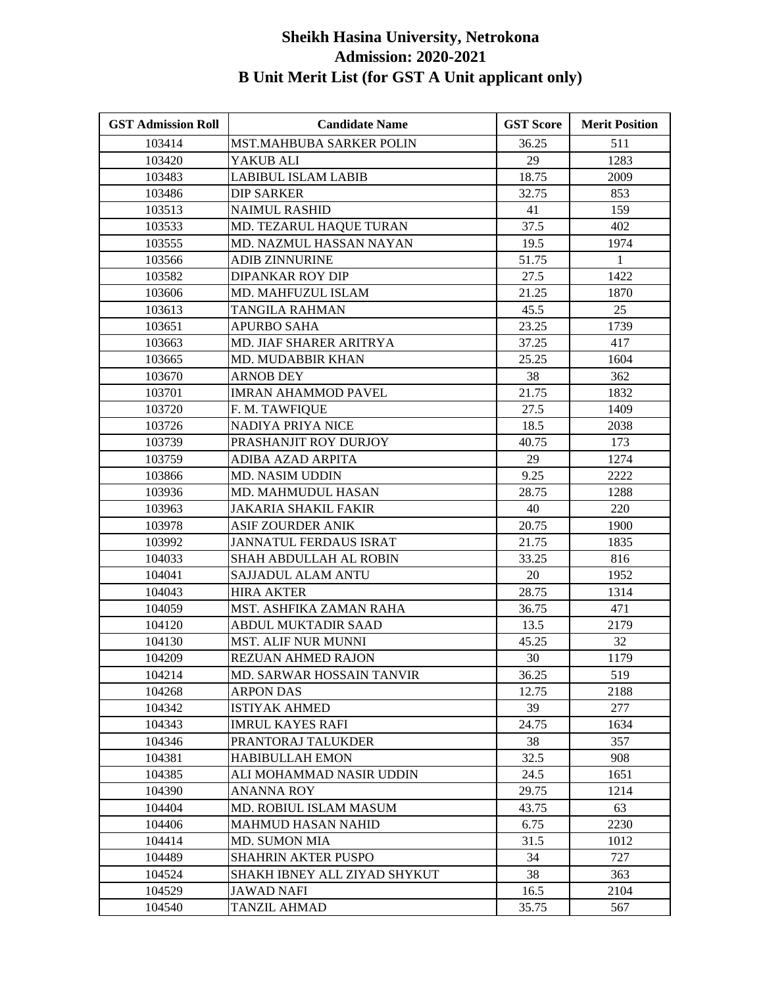| <b>GST Admission Roll</b> | <b>Candidate Name</b>           | <b>GST Score</b> | <b>Merit Position</b> |
|---------------------------|---------------------------------|------------------|-----------------------|
| 103414                    | <b>MST.MAHBUBA SARKER POLIN</b> | 36.25            | 511                   |
| 103420                    | YAKUB ALI                       | 29               | 1283                  |
| 103483                    | <b>LABIBUL ISLAM LABIB</b>      | 18.75            | 2009                  |
| 103486                    | <b>DIP SARKER</b>               | 32.75            | 853                   |
| 103513                    | <b>NAIMUL RASHID</b>            | 41               | 159                   |
| 103533                    | MD. TEZARUL HAQUE TURAN         | 37.5             | 402                   |
| 103555                    | MD. NAZMUL HASSAN NAYAN         | 19.5             | 1974                  |
| 103566                    | <b>ADIB ZINNURINE</b>           | 51.75            | $\mathbf{1}$          |
| 103582                    | <b>DIPANKAR ROY DIP</b>         | 27.5             | 1422                  |
| 103606                    | MD. MAHFUZUL ISLAM              | 21.25            | 1870                  |
| 103613                    | <b>TANGILA RAHMAN</b>           | 45.5             | 25                    |
| 103651                    | <b>APURBO SAHA</b>              | 23.25            | 1739                  |
| 103663                    | MD. JIAF SHARER ARITRYA         | 37.25            | 417                   |
| 103665                    | MD. MUDABBIR KHAN               | 25.25            | 1604                  |
| 103670                    | <b>ARNOB DEY</b>                | 38               | 362                   |
| 103701                    | <b>IMRAN AHAMMOD PAVEL</b>      | 21.75            | 1832                  |
| 103720                    | F. M. TAWFIQUE                  | 27.5             | 1409                  |
| 103726                    | NADIYA PRIYA NICE               | 18.5             | 2038                  |
| 103739                    | PRASHANJIT ROY DURJOY           | 40.75            | 173                   |
| 103759                    | <b>ADIBA AZAD ARPITA</b>        | 29               | 1274                  |
| 103866                    | <b>MD. NASIM UDDIN</b>          | 9.25             | 2222                  |
| 103936                    | MD. MAHMUDUL HASAN              | 28.75            | 1288                  |
| 103963                    | JAKARIA SHAKIL FAKIR            | 40               | 220                   |
| 103978                    | <b>ASIF ZOURDER ANIK</b>        | 20.75            | 1900                  |
| 103992                    | JANNATUL FERDAUS ISRAT          | 21.75            | 1835                  |
| 104033                    | SHAH ABDULLAH AL ROBIN          | 33.25            | 816                   |
| 104041                    | SAJJADUL ALAM ANTU              | 20               | 1952                  |
| 104043                    | <b>HIRA AKTER</b>               | 28.75            | 1314                  |
| 104059                    | MST. ASHFIKA ZAMAN RAHA         | 36.75            | 471                   |
| 104120                    | <b>ABDUL MUKTADIR SAAD</b>      | 13.5             | 2179                  |
| 104130                    | <b>MST. ALIF NUR MUNNI</b>      | 45.25            | 32                    |
| 104209                    | <b>REZUAN AHMED RAJON</b>       | 30               | 1179                  |
| 104214                    | MD. SARWAR HOSSAIN TANVIR       | 36.25            | 519                   |
| 104268                    | <b>ARPON DAS</b>                | 12.75            | 2188                  |
| 104342                    | <b>ISTIYAK AHMED</b>            | 39               | 277                   |
| 104343                    | <b>IMRUL KAYES RAFI</b>         | 24.75            | 1634                  |
| 104346                    | PRANTORAJ TALUKDER              | 38               | 357                   |
| 104381                    | <b>HABIBULLAH EMON</b>          | 32.5             | 908                   |
| 104385                    | ALI MOHAMMAD NASIR UDDIN        | 24.5             | 1651                  |
| 104390                    | ANANNA ROY                      | 29.75            | 1214                  |
| 104404                    | MD. ROBIUL ISLAM MASUM          | 43.75            | 63                    |
| 104406                    | <b>MAHMUD HASAN NAHID</b>       | 6.75             | 2230                  |
| 104414                    | <b>MD. SUMON MIA</b>            | 31.5             | 1012                  |
| 104489                    | <b>SHAHRIN AKTER PUSPO</b>      | 34               | 727                   |
| 104524                    | SHAKH IBNEY ALL ZIYAD SHYKUT    | 38               | 363                   |
| 104529                    | JAWAD NAFI                      | 16.5             | 2104                  |
| 104540                    | <b>TANZIL AHMAD</b>             | 35.75            | 567                   |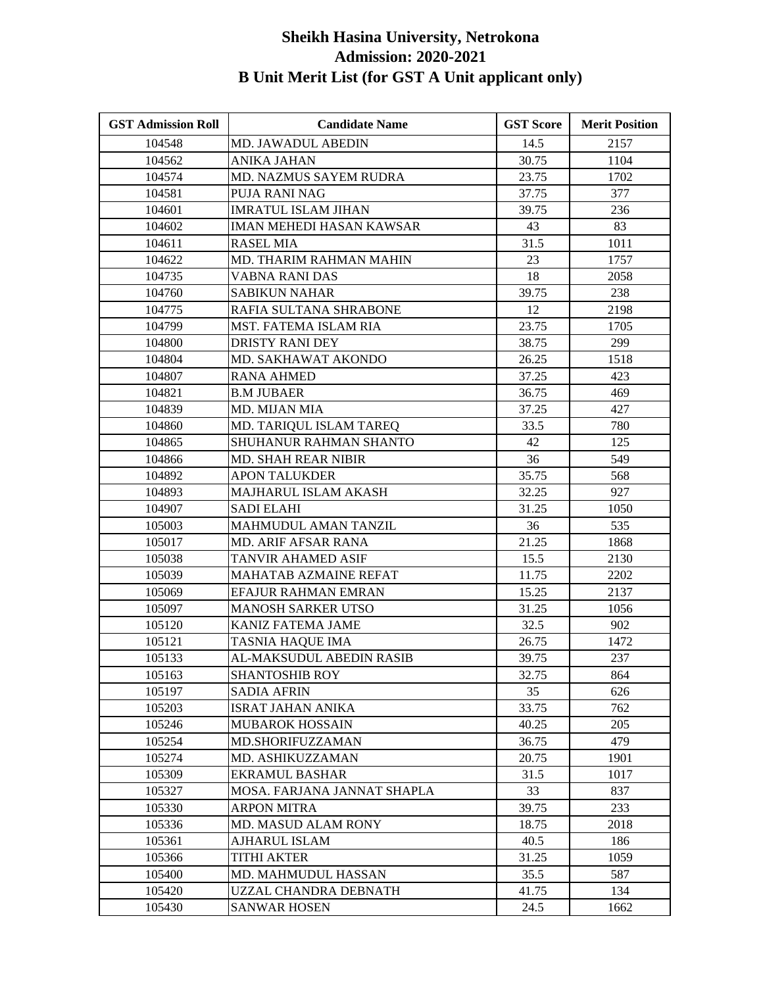| <b>GST Admission Roll</b> | <b>Candidate Name</b>           | <b>GST Score</b> | <b>Merit Position</b> |
|---------------------------|---------------------------------|------------------|-----------------------|
| 104548                    | MD. JAWADUL ABEDIN              | 14.5             | 2157                  |
| 104562                    | <b>ANIKA JAHAN</b>              | 30.75            | 1104                  |
| 104574                    | MD. NAZMUS SAYEM RUDRA          | 23.75            | 1702                  |
| 104581                    | PUJA RANI NAG                   | 37.75            | 377                   |
| 104601                    | <b>IMRATUL ISLAM JIHAN</b>      | 39.75            | 236                   |
| 104602                    | <b>IMAN MEHEDI HASAN KAWSAR</b> | 43               | 83                    |
| 104611                    | <b>RASEL MIA</b>                | 31.5             | 1011                  |
| 104622                    | MD. THARIM RAHMAN MAHIN         | 23               | 1757                  |
| 104735                    | VABNA RANI DAS                  | 18               | 2058                  |
| 104760                    | <b>SABIKUN NAHAR</b>            | 39.75            | 238                   |
| 104775                    | RAFIA SULTANA SHRABONE          | 12               | 2198                  |
| 104799                    | MST. FATEMA ISLAM RIA           | 23.75            | 1705                  |
| 104800                    | DRISTY RANI DEY                 | 38.75            | 299                   |
| 104804                    | MD. SAKHAWAT AKONDO             | 26.25            | 1518                  |
| 104807                    | <b>RANA AHMED</b>               | 37.25            | 423                   |
| 104821                    | <b>B.M JUBAER</b>               | 36.75            | 469                   |
| 104839                    | MD. MIJAN MIA                   | 37.25            | 427                   |
| 104860                    | MD. TARIQUL ISLAM TAREQ         | 33.5             | 780                   |
| 104865                    | SHUHANUR RAHMAN SHANTO          | 42               | 125                   |
| 104866                    | <b>MD. SHAH REAR NIBIR</b>      | 36               | 549                   |
| 104892                    | <b>APON TALUKDER</b>            | 35.75            | 568                   |
| 104893                    | MAJHARUL ISLAM AKASH            | 32.25            | 927                   |
| 104907                    | SADI ELAHI                      | 31.25            | 1050                  |
| 105003                    | MAHMUDUL AMAN TANZIL            | 36               | 535                   |
| 105017                    | MD. ARIF AFSAR RANA             | 21.25            | 1868                  |
| 105038                    | TANVIR AHAMED ASIF              | 15.5             | 2130                  |
| 105039                    | MAHATAB AZMAINE REFAT           | 11.75            | 2202                  |
| 105069                    | EFAJUR RAHMAN EMRAN             | 15.25            | 2137                  |
| 105097                    | <b>MANOSH SARKER UTSO</b>       | 31.25            | 1056                  |
| 105120                    | <b>KANIZ FATEMA JAME</b>        | 32.5             | 902                   |
| 105121                    | TASNIA HAQUE IMA                | 26.75            | 1472                  |
| 105133                    | AL-MAKSUDUL ABEDIN RASIB        | 39.75            | 237                   |
| 105163                    | <b>SHANTOSHIB ROY</b>           | 32.75            | 864                   |
| 105197                    | <b>SADIA AFRIN</b>              | 35               | 626                   |
| 105203                    | <b>ISRAT JAHAN ANIKA</b>        | 33.75            | 762                   |
| 105246                    | <b>MUBAROK HOSSAIN</b>          | 40.25            | 205                   |
| 105254                    | MD.SHORIFUZZAMAN                | 36.75            | 479                   |
| 105274                    | MD. ASHIKUZZAMAN                | 20.75            | 1901                  |
| 105309                    | <b>EKRAMUL BASHAR</b>           | 31.5             | 1017                  |
| 105327                    | MOSA. FARJANA JANNAT SHAPLA     | 33               | 837                   |
| 105330                    | <b>ARPON MITRA</b>              | 39.75            | 233                   |
| 105336                    | <b>MD. MASUD ALAM RONY</b>      | 18.75            | 2018                  |
| 105361                    | <b>AJHARUL ISLAM</b>            | 40.5             | 186                   |
| 105366                    | <b>TITHI AKTER</b>              | 31.25            | 1059                  |
| 105400                    | MD. MAHMUDUL HASSAN             | 35.5             | 587                   |
| 105420                    | UZZAL CHANDRA DEBNATH           | 41.75            | 134                   |
| 105430                    | <b>SANWAR HOSEN</b>             | 24.5             | 1662                  |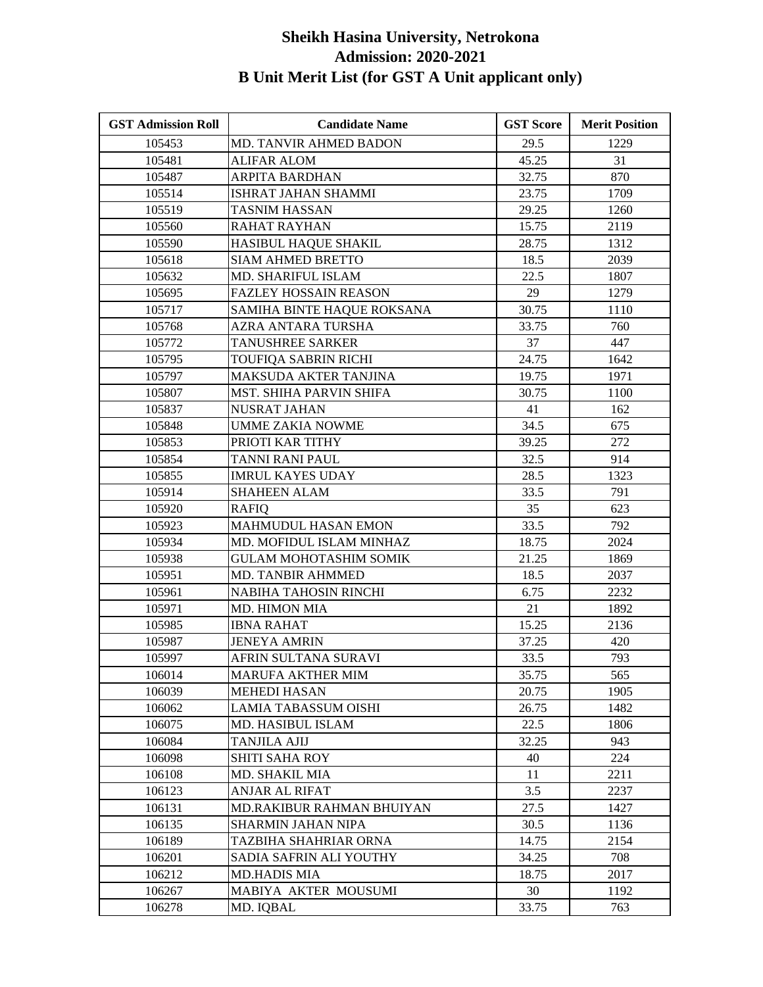| <b>GST Admission Roll</b> | <b>Candidate Name</b>         | <b>GST Score</b> | <b>Merit Position</b> |
|---------------------------|-------------------------------|------------------|-----------------------|
| 105453                    | MD. TANVIR AHMED BADON        | 29.5             | 1229                  |
| 105481                    | <b>ALIFAR ALOM</b>            | 45.25            | 31                    |
| 105487                    | <b>ARPITA BARDHAN</b>         | 32.75            | 870                   |
| 105514                    | <b>ISHRAT JAHAN SHAMMI</b>    | 23.75            | 1709                  |
| 105519                    | TASNIM HASSAN                 | 29.25            | 1260                  |
| 105560                    | RAHAT RAYHAN                  | 15.75            | 2119                  |
| 105590                    | HASIBUL HAQUE SHAKIL          | 28.75            | 1312                  |
| 105618                    | <b>SIAM AHMED BRETTO</b>      | 18.5             | 2039                  |
| 105632                    | MD. SHARIFUL ISLAM            | 22.5             | 1807                  |
| 105695                    | <b>FAZLEY HOSSAIN REASON</b>  | 29               | 1279                  |
| 105717                    | SAMIHA BINTE HAQUE ROKSANA    | 30.75            | 1110                  |
| 105768                    | AZRA ANTARA TURSHA            | 33.75            | 760                   |
| 105772                    | <b>TANUSHREE SARKER</b>       | 37               | 447                   |
| 105795                    | TOUFIQA SABRIN RICHI          | 24.75            | 1642                  |
| 105797                    | MAKSUDA AKTER TANJINA         | 19.75            | 1971                  |
| 105807                    | MST. SHIHA PARVIN SHIFA       | 30.75            | 1100                  |
| 105837                    | <b>NUSRAT JAHAN</b>           | 41               | 162                   |
| 105848                    | UMME ZAKIA NOWME              | 34.5             | 675                   |
| 105853                    | PRIOTI KAR TITHY              | 39.25            | 272                   |
| 105854                    | TANNI RANI PAUL               | 32.5             | 914                   |
| 105855                    | <b>IMRUL KAYES UDAY</b>       | 28.5             | 1323                  |
| 105914                    | <b>SHAHEEN ALAM</b>           | 33.5             | 791                   |
| 105920                    | RAFIO                         | 35               | 623                   |
| 105923                    | <b>MAHMUDUL HASAN EMON</b>    | 33.5             | 792                   |
| 105934                    | MD. MOFIDUL ISLAM MINHAZ      | 18.75            | 2024                  |
| 105938                    | <b>GULAM MOHOTASHIM SOMIK</b> | 21.25            | 1869                  |
| 105951                    | MD. TANBIR AHMMED             | 18.5             | 2037                  |
| 105961                    | NABIHA TAHOSIN RINCHI         | 6.75             | 2232                  |
| 105971                    | MD. HIMON MIA                 | 21               | 1892                  |
| 105985                    | <b>IBNA RAHAT</b>             | 15.25            | 2136                  |
| 105987                    | <b>JENEYA AMRIN</b>           | 37.25            | 420                   |
| 105997                    | AFRIN SULTANA SURAVI          | 33.5             | 793                   |
| 106014                    | MARUFA AKTHER MIM             | 35.75            | 565                   |
| 106039                    | <b>MEHEDI HASAN</b>           | 20.75            | 1905                  |
| 106062                    | LAMIA TABASSUM OISHI          | 26.75            | 1482                  |
| 106075                    | MD. HASIBUL ISLAM             | 22.5             | 1806                  |
| 106084                    | TANJILA AJIJ                  | 32.25            | 943                   |
| 106098                    | SHITI SAHA ROY                | 40               | 224                   |
| 106108                    | MD. SHAKIL MIA                | 11               | 2211                  |
| 106123                    | <b>ANJAR AL RIFAT</b>         | 3.5              | 2237                  |
| 106131                    | MD.RAKIBUR RAHMAN BHUIYAN     | 27.5             | 1427                  |
| 106135                    | <b>SHARMIN JAHAN NIPA</b>     | 30.5             | 1136                  |
| 106189                    | TAZBIHA SHAHRIAR ORNA         | 14.75            | 2154                  |
| 106201                    | SADIA SAFRIN ALI YOUTHY       | 34.25            | 708                   |
| 106212                    | <b>MD.HADIS MIA</b>           | 18.75            | 2017                  |
| 106267                    | MABIYA AKTER MOUSUMI          | 30               | 1192                  |
| 106278                    | MD. IQBAL                     | 33.75            | 763                   |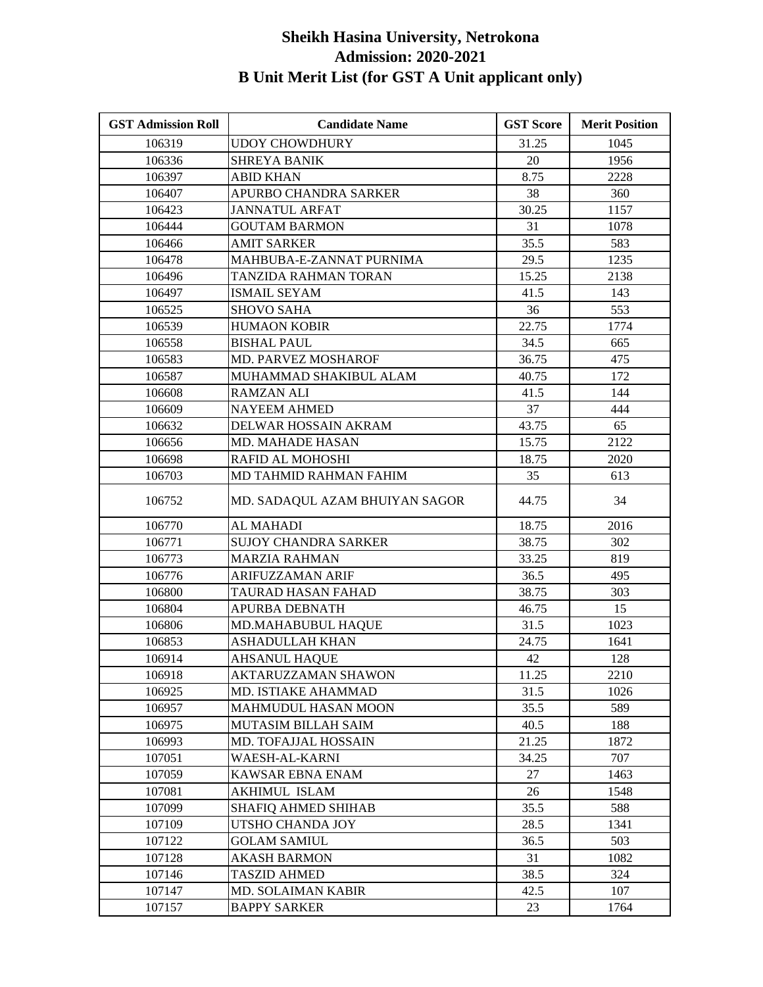| <b>GST Admission Roll</b> | <b>Candidate Name</b>          | <b>GST Score</b> | <b>Merit Position</b> |
|---------------------------|--------------------------------|------------------|-----------------------|
| 106319                    | <b>UDOY CHOWDHURY</b>          | 31.25            | 1045                  |
| 106336                    | <b>SHREYA BANIK</b>            | 20               | 1956                  |
| 106397                    | <b>ABID KHAN</b>               | 8.75             | 2228                  |
| 106407                    | APURBO CHANDRA SARKER          | 38               | 360                   |
| 106423                    | JANNATUL ARFAT                 | 30.25            | 1157                  |
| 106444                    | <b>GOUTAM BARMON</b>           | 31               | 1078                  |
| 106466                    | <b>AMIT SARKER</b>             | 35.5             | 583                   |
| 106478                    | MAHBUBA-E-ZANNAT PURNIMA       | 29.5             | 1235                  |
| 106496                    | TANZIDA RAHMAN TORAN           | 15.25            | 2138                  |
| 106497                    | <b>ISMAIL SEYAM</b>            | 41.5             | 143                   |
| 106525                    | <b>SHOVO SAHA</b>              | 36               | 553                   |
| 106539                    | <b>HUMAON KOBIR</b>            | 22.75            | 1774                  |
| 106558                    | <b>BISHAL PAUL</b>             | 34.5             | 665                   |
| 106583                    | MD. PARVEZ MOSHAROF            | 36.75            | 475                   |
| 106587                    | MUHAMMAD SHAKIBUL ALAM         | 40.75            | 172                   |
| 106608                    | <b>RAMZAN ALI</b>              | 41.5             | 144                   |
| 106609                    | <b>NAYEEM AHMED</b>            | 37               | 444                   |
| 106632                    | DELWAR HOSSAIN AKRAM           | 43.75            | 65                    |
| 106656                    | <b>MD. MAHADE HASAN</b>        | 15.75            | 2122                  |
| 106698                    | RAFID AL MOHOSHI               | 18.75            | 2020                  |
| 106703                    | MD TAHMID RAHMAN FAHIM         | 35               | 613                   |
| 106752                    | MD. SADAQUL AZAM BHUIYAN SAGOR | 44.75            | 34                    |
| 106770                    | <b>AL MAHADI</b>               | 18.75            | 2016                  |
| 106771                    | SUJOY CHANDRA SARKER           | 38.75            | 302                   |
| 106773                    | <b>MARZIA RAHMAN</b>           | 33.25            | 819                   |
| 106776                    | ARIFUZZAMAN ARIF               | 36.5             | 495                   |
| 106800                    | TAURAD HASAN FAHAD             | 38.75            | 303                   |
| 106804                    | <b>APURBA DEBNATH</b>          | 46.75            | 15                    |
| 106806                    | MD.MAHABUBUL HAQUE             | 31.5             | 1023                  |
| 106853                    | <b>ASHADULLAH KHAN</b>         | 24.75            | 1641                  |
| 106914                    | AHSANUL HAQUE                  | 42               | 128                   |
| 106918                    | AKTARUZZAMAN SHAWON            | 11.25            | 2210                  |
| 106925                    | MD. ISTIAKE AHAMMAD            | 31.5             | 1026                  |
| 106957                    | <b>MAHMUDUL HASAN MOON</b>     | 35.5             | 589                   |
| 106975                    | MUTASIM BILLAH SAIM            | 40.5             | 188                   |
| 106993                    | <b>MD. TOFAJJAL HOSSAIN</b>    | 21.25            | 1872                  |
| 107051                    | WAESH-AL-KARNI                 | 34.25            | 707                   |
| 107059                    | KAWSAR EBNA ENAM               | 27               | 1463                  |
| 107081                    | <b>AKHIMUL ISLAM</b>           | 26               | 1548                  |
| 107099                    | SHAFIQ AHMED SHIHAB            | 35.5             | 588                   |
| 107109                    | UTSHO CHANDA JOY               | 28.5             | 1341                  |
| 107122                    | <b>GOLAM SAMIUL</b>            | 36.5             | 503                   |
| 107128                    | <b>AKASH BARMON</b>            | 31               | 1082                  |
| 107146                    | <b>TASZID AHMED</b>            | 38.5             | 324                   |
| 107147                    | MD. SOLAIMAN KABIR             | 42.5             | 107                   |
| 107157                    | <b>BAPPY SARKER</b>            | 23               | 1764                  |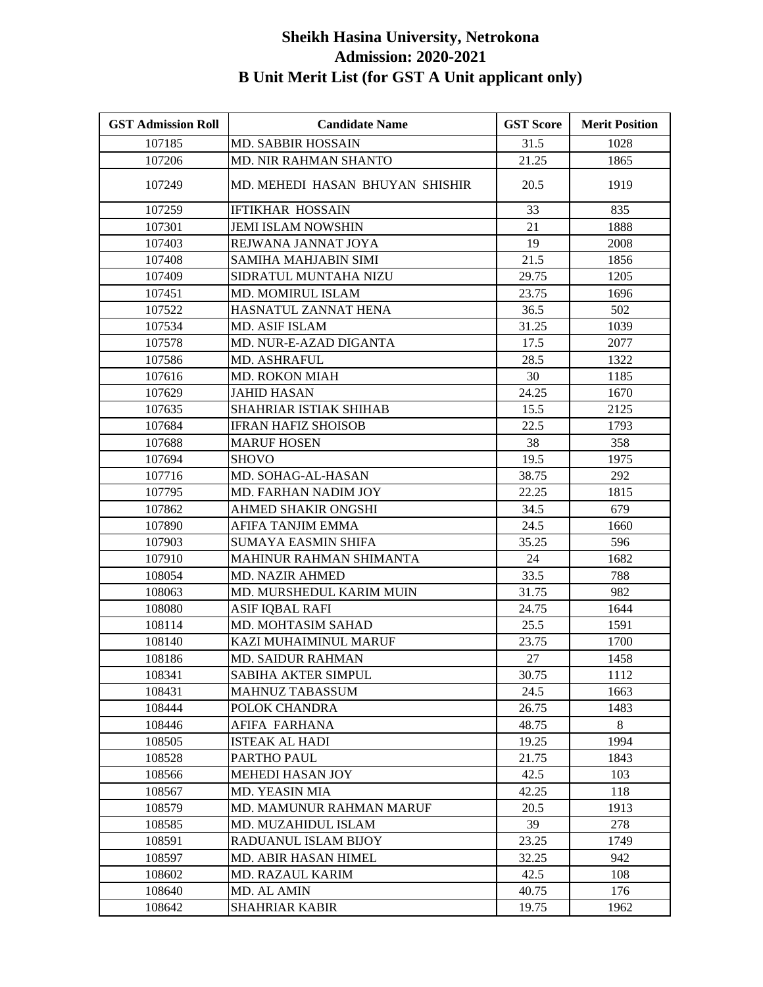| <b>GST Admission Roll</b> | <b>Candidate Name</b>           | <b>GST Score</b> | <b>Merit Position</b> |
|---------------------------|---------------------------------|------------------|-----------------------|
| 107185                    | <b>MD. SABBIR HOSSAIN</b>       | 31.5             | 1028                  |
| 107206                    | <b>MD. NIR RAHMAN SHANTO</b>    | 21.25            | 1865                  |
| 107249                    | MD. MEHEDI HASAN BHUYAN SHISHIR | 20.5             | 1919                  |
| 107259                    | <b>IFTIKHAR HOSSAIN</b>         | 33               | 835                   |
| 107301                    | <b>JEMI ISLAM NOWSHIN</b>       | 21               | 1888                  |
| 107403                    | REJWANA JANNAT JOYA             | 19               | 2008                  |
| 107408                    | SAMIHA MAHJABIN SIMI            | 21.5             | 1856                  |
| 107409                    | SIDRATUL MUNTAHA NIZU           | 29.75            | 1205                  |
| 107451                    | MD. MOMIRUL ISLAM               | 23.75            | 1696                  |
| 107522                    | HASNATUL ZANNAT HENA            | 36.5             | 502                   |
| 107534                    | <b>MD. ASIF ISLAM</b>           | 31.25            | 1039                  |
| 107578                    | MD. NUR-E-AZAD DIGANTA          | 17.5             | 2077                  |
| 107586                    | MD. ASHRAFUL                    | 28.5             | 1322                  |
| 107616                    | <b>MD. ROKON MIAH</b>           | 30               | 1185                  |
| 107629                    | <b>JAHID HASAN</b>              | 24.25            | 1670                  |
| 107635                    | SHAHRIAR ISTIAK SHIHAB          | 15.5             | 2125                  |
| 107684                    | <b>IFRAN HAFIZ SHOISOB</b>      | 22.5             | 1793                  |
| 107688                    | <b>MARUF HOSEN</b>              | 38               | 358                   |
| 107694                    | <b>SHOVO</b>                    | 19.5             | 1975                  |
| 107716                    | MD. SOHAG-AL-HASAN              | 38.75            | 292                   |
| 107795                    | MD. FARHAN NADIM JOY            | 22.25            | 1815                  |
| 107862                    | AHMED SHAKIR ONGSHI             | 34.5             | 679                   |
| 107890                    | AFIFA TANJIM EMMA               | 24.5             | 1660                  |
| 107903                    | <b>SUMAYA EASMIN SHIFA</b>      | 35.25            | 596                   |
| 107910                    | MAHINUR RAHMAN SHIMANTA         | 24               | 1682                  |
| 108054                    | <b>MD. NAZIR AHMED</b>          | 33.5             | 788                   |
| 108063                    | MD. MURSHEDUL KARIM MUIN        | 31.75            | 982                   |
| 108080                    | <b>ASIF IQBAL RAFI</b>          | 24.75            | 1644                  |
| 108114                    | MD. MOHTASIM SAHAD              | 25.5             | 1591                  |
| 108140                    | KAZI MUHAIMINUL MARUF           | 23.75            | 1700                  |
| 108186                    | MD. SAIDUR RAHMAN               | 27               | 1458                  |
| 108341                    | SABIHA AKTER SIMPUL             | 30.75            | 1112                  |
| 108431                    | <b>MAHNUZ TABASSUM</b>          | 24.5             | 1663                  |
| 108444                    | POLOK CHANDRA                   | 26.75            | 1483                  |
| 108446                    | AFIFA FARHANA                   | 48.75            | 8                     |
| 108505                    | ISTEAK AL HADI                  | 19.25            | 1994                  |
| 108528                    | PARTHO PAUL                     | 21.75            | 1843                  |
| 108566                    | <b>MEHEDI HASAN JOY</b>         | 42.5             | 103                   |
| 108567                    | <b>MD. YEASIN MIA</b>           | 42.25            | 118                   |
| 108579                    | MD. MAMUNUR RAHMAN MARUF        | 20.5             | 1913                  |
| 108585                    | MD. MUZAHIDUL ISLAM             | 39               | 278                   |
| 108591                    | RADUANUL ISLAM BIJOY            | 23.25            | 1749                  |
| 108597                    | MD. ABIR HASAN HIMEL            | 32.25            | 942                   |
| 108602                    | MD. RAZAUL KARIM                | 42.5             | 108                   |
| 108640                    | MD. AL AMIN                     | 40.75            | 176                   |
| 108642                    | <b>SHAHRIAR KABIR</b>           | 19.75            | 1962                  |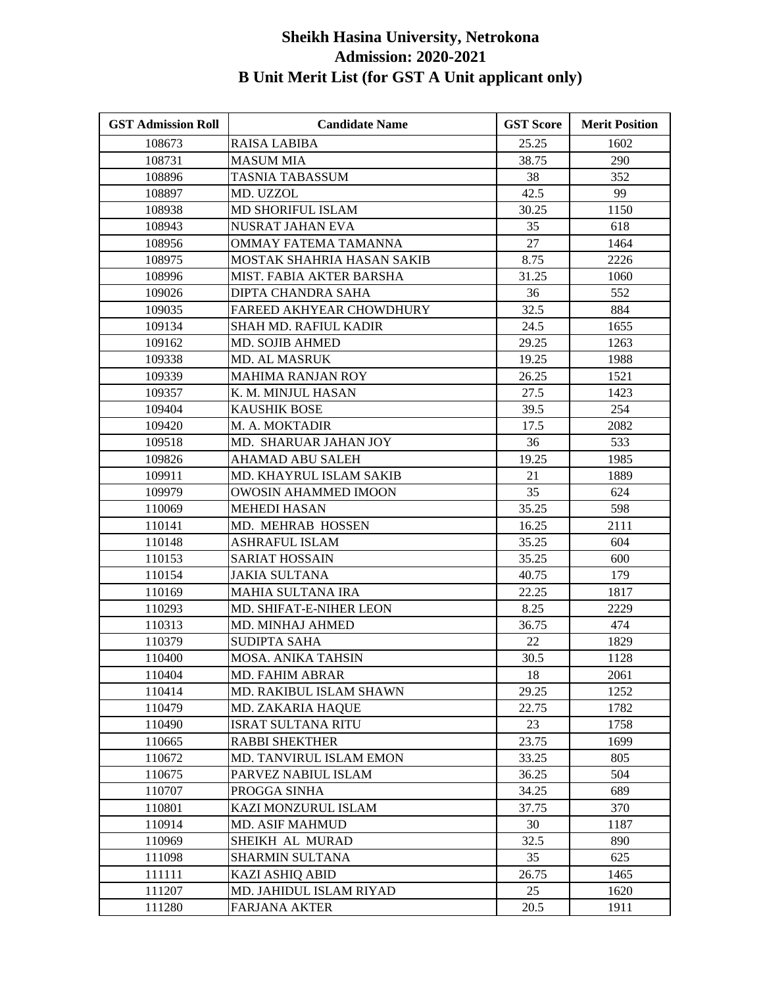| <b>GST Admission Roll</b> | <b>Candidate Name</b>        | <b>GST Score</b> | <b>Merit Position</b> |
|---------------------------|------------------------------|------------------|-----------------------|
| 108673                    | <b>RAISA LABIBA</b>          | 25.25            | 1602                  |
| 108731                    | <b>MASUM MIA</b>             | 38.75            | 290                   |
| 108896                    | TASNIA TABASSUM              | 38               | 352                   |
| 108897                    | MD. UZZOL                    | 42.5             | 99                    |
| 108938                    | <b>MD SHORIFUL ISLAM</b>     | 30.25            | 1150                  |
| 108943                    | NUSRAT JAHAN EVA             | 35               | 618                   |
| 108956                    | OMMAY FATEMA TAMANNA         | 27               | 1464                  |
| 108975                    | MOSTAK SHAHRIA HASAN SAKIB   | 8.75             | 2226                  |
| 108996                    | MIST. FABIA AKTER BARSHA     | 31.25            | 1060                  |
| 109026                    | DIPTA CHANDRA SAHA           | 36               | 552                   |
| 109035                    | FAREED AKHYEAR CHOWDHURY     | 32.5             | 884                   |
| 109134                    | <b>SHAH MD. RAFIUL KADIR</b> | 24.5             | 1655                  |
| 109162                    | <b>MD. SOJIB AHMED</b>       | 29.25            | 1263                  |
| 109338                    | MD. AL MASRUK                | 19.25            | 1988                  |
| 109339                    | <b>MAHIMA RANJAN ROY</b>     | 26.25            | 1521                  |
| 109357                    | K. M. MINJUL HASAN           | 27.5             | 1423                  |
| 109404                    | <b>KAUSHIK BOSE</b>          | 39.5             | 254                   |
| 109420                    | M. A. MOKTADIR               | 17.5             | 2082                  |
| 109518                    | MD. SHARUAR JAHAN JOY        | 36               | 533                   |
| 109826                    | <b>AHAMAD ABU SALEH</b>      | 19.25            | 1985                  |
| 109911                    | MD. KHAYRUL ISLAM SAKIB      | 21               | 1889                  |
| 109979                    | <b>OWOSIN AHAMMED IMOON</b>  | 35               | 624                   |
| 110069                    | MEHEDI HASAN                 | 35.25            | 598                   |
| 110141                    | MD. MEHRAB HOSSEN            | 16.25            | 2111                  |
| 110148                    | <b>ASHRAFUL ISLAM</b>        | 35.25            | 604                   |
| 110153                    | <b>SARIAT HOSSAIN</b>        | 35.25            | 600                   |
| 110154                    | <b>JAKIA SULTANA</b>         | 40.75            | 179                   |
| 110169                    | <b>MAHIA SULTANA IRA</b>     | 22.25            | 1817                  |
| 110293                    | MD. SHIFAT-E-NIHER LEON      | 8.25             | 2229                  |
| 110313                    | MD. MINHAJ AHMED             | 36.75            | 474                   |
| 110379                    | <b>SUDIPTA SAHA</b>          | 22               | 1829                  |
| 110400                    | MOSA. ANIKA TAHSIN           | 30.5             | 1128                  |
| 110404                    | MD. FAHIM ABRAR              | 18               | 2061                  |
| 110414                    | MD. RAKIBUL ISLAM SHAWN      | 29.25            | 1252                  |
| 110479                    | MD. ZAKARIA HAQUE            | 22.75            | 1782                  |
| 110490                    | ISRAT SULTANA RITU           | 23               | 1758                  |
| 110665                    | <b>RABBI SHEKTHER</b>        | 23.75            | 1699                  |
| 110672                    | MD. TANVIRUL ISLAM EMON      | 33.25            | 805                   |
| 110675                    | PARVEZ NABIUL ISLAM          | 36.25            | 504                   |
| 110707                    | PROGGA SINHA                 | 34.25            | 689                   |
| 110801                    | KAZI MONZURUL ISLAM          | 37.75            | 370                   |
| 110914                    | <b>MD. ASIF MAHMUD</b>       | 30               | 1187                  |
| 110969                    | SHEIKH AL MURAD              | 32.5             | 890                   |
| 111098                    | SHARMIN SULTANA              | 35               | 625                   |
| 111111                    | KAZI ASHIQ ABID              | 26.75            | 1465                  |
| 111207                    | MD. JAHIDUL ISLAM RIYAD      | 25               | 1620                  |
| 111280                    | <b>FARJANA AKTER</b>         | 20.5             | 1911                  |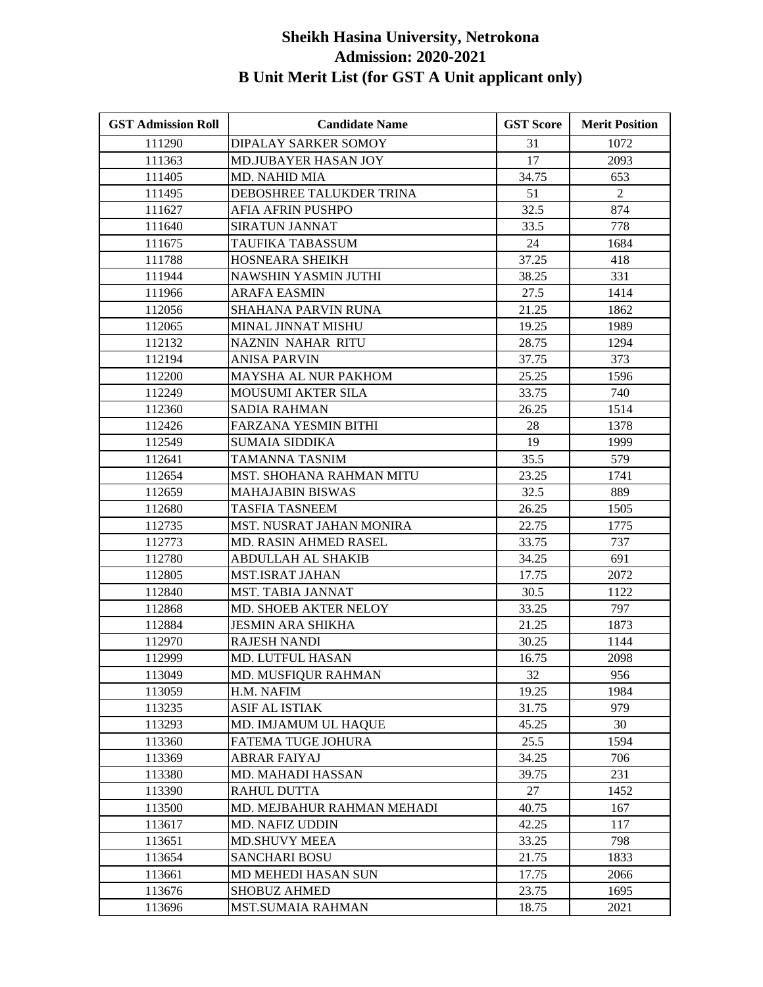| <b>GST Admission Roll</b> | <b>Candidate Name</b>        | <b>GST Score</b> | <b>Merit Position</b> |
|---------------------------|------------------------------|------------------|-----------------------|
| 111290                    | DIPALAY SARKER SOMOY         | 31               | 1072                  |
| 111363                    | MD.JUBAYER HASAN JOY         | 17               | 2093                  |
| 111405                    | <b>MD. NAHID MIA</b>         | 34.75            | 653                   |
| 111495                    | DEBOSHREE TALUKDER TRINA     | 51               | $\overline{2}$        |
| 111627                    | AFIA AFRIN PUSHPO            | 32.5             | 874                   |
| 111640                    | <b>SIRATUN JANNAT</b>        | 33.5             | 778                   |
| 111675                    | TAUFIKA TABASSUM             | 24               | 1684                  |
| 111788                    | HOSNEARA SHEIKH              | 37.25            | 418                   |
| 111944                    | NAWSHIN YASMIN JUTHI         | 38.25            | 331                   |
| 111966                    | ARAFA EASMIN                 | 27.5             | 1414                  |
| 112056                    | <b>SHAHANA PARVIN RUNA</b>   | 21.25            | 1862                  |
| 112065                    | MINAL JINNAT MISHU           | 19.25            | 1989                  |
| 112132                    | <b>NAZNIN NAHAR RITU</b>     | 28.75            | 1294                  |
| 112194                    | ANISA PARVIN                 | 37.75            | 373                   |
| 112200                    | <b>MAYSHA AL NUR PAKHOM</b>  | 25.25            | 1596                  |
| 112249                    | MOUSUMI AKTER SILA           | 33.75            | 740                   |
| 112360                    | SADIA RAHMAN                 | 26.25            | 1514                  |
| 112426                    | FARZANA YESMIN BITHI         | 28               | 1378                  |
| 112549                    | <b>SUMAIA SIDDIKA</b>        | 19               | 1999                  |
| 112641                    | TAMANNA TASNIM               | 35.5             | 579                   |
| 112654                    | MST. SHOHANA RAHMAN MITU     | 23.25            | 1741                  |
| 112659                    | MAHAJABIN BISWAS             | 32.5             | 889                   |
| 112680                    | TASFIA TASNEEM               | 26.25            | 1505                  |
| 112735                    | MST. NUSRAT JAHAN MONIRA     | 22.75            | 1775                  |
| 112773                    | MD. RASIN AHMED RASEL        | 33.75            | 737                   |
| 112780                    | ABDULLAH AL SHAKIB           | 34.25            | 691                   |
| 112805                    | <b>MST.ISRAT JAHAN</b>       | 17.75            | 2072                  |
| 112840                    | MST. TABIA JANNAT            | 30.5             | 1122                  |
| 112868                    | <b>MD. SHOEB AKTER NELOY</b> | 33.25            | 797                   |
| 112884                    | <b>JESMIN ARA SHIKHA</b>     | 21.25            | 1873                  |
| 112970                    | <b>RAJESH NANDI</b>          | 30.25            | 1144                  |
| 112999                    | MD. LUTFUL HASAN             | 16.75            | 2098                  |
| 113049                    | <b>MD. MUSFIQUR RAHMAN</b>   | 32               | 956                   |
| 113059                    | H.M. NAFIM                   | 19.25            | 1984                  |
| 113235                    | ASIF AL ISTIAK               | 31.75            | 979                   |
| 113293                    | MD. IMJAMUM UL HAQUE         | 45.25            | 30                    |
| 113360                    | FATEMA TUGE JOHURA           | 25.5             | 1594                  |
| 113369                    | <b>ABRAR FAIYAJ</b>          | 34.25            | 706                   |
| 113380                    | MD. MAHADI HASSAN            | 39.75            | 231                   |
| 113390                    | <b>RAHUL DUTTA</b>           | 27               | 1452                  |
| 113500                    | MD. MEJBAHUR RAHMAN MEHADI   | 40.75            | 167                   |
| 113617                    | MD. NAFIZ UDDIN              | 42.25            | 117                   |
| 113651                    | <b>MD.SHUVY MEEA</b>         | 33.25            | 798                   |
| 113654                    | <b>SANCHARI BOSU</b>         | 21.75            | 1833                  |
| 113661                    | MD MEHEDI HASAN SUN          | 17.75            | 2066                  |
| 113676                    | <b>SHOBUZ AHMED</b>          | 23.75            | 1695                  |
| 113696                    | <b>MST.SUMAIA RAHMAN</b>     | 18.75            | 2021                  |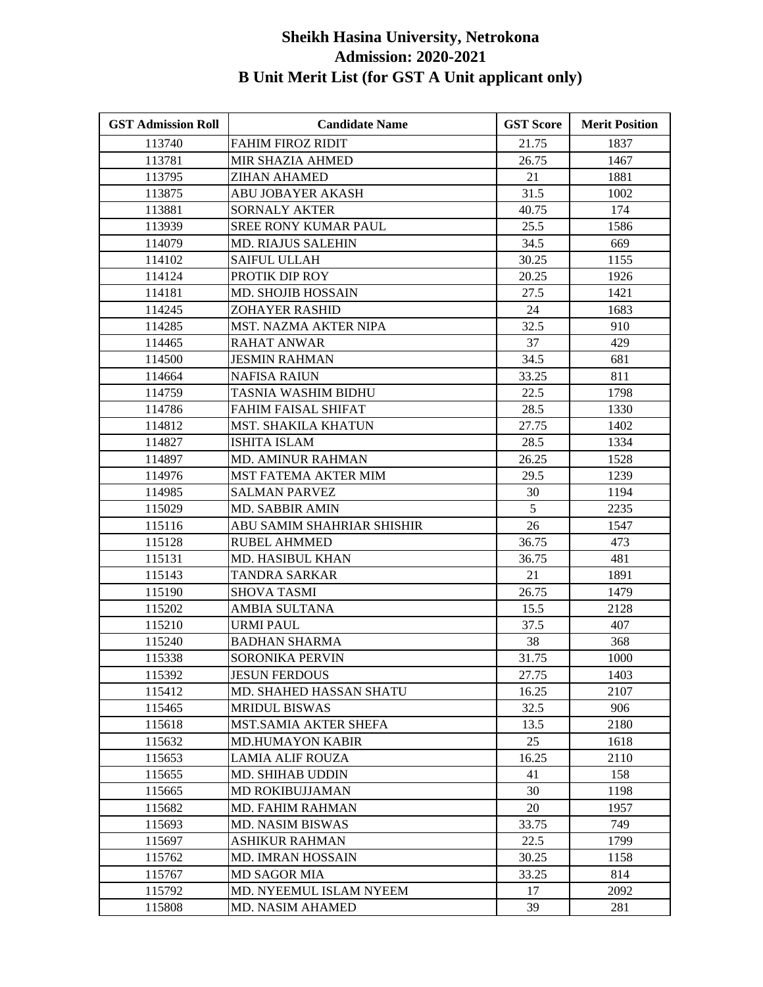| <b>GST Admission Roll</b> | <b>Candidate Name</b>        | <b>GST Score</b> | <b>Merit Position</b> |
|---------------------------|------------------------------|------------------|-----------------------|
| 113740                    | <b>FAHIM FIROZ RIDIT</b>     | 21.75            | 1837                  |
| 113781                    | MIR SHAZIA AHMED             | 26.75            | 1467                  |
| 113795                    | <b>ZIHAN AHAMED</b>          | 21               | 1881                  |
| 113875                    | ABU JOBAYER AKASH            | 31.5             | 1002                  |
| 113881                    | <b>SORNALY AKTER</b>         | 40.75            | 174                   |
| 113939                    | SREE RONY KUMAR PAUL         | 25.5             | 1586                  |
| 114079                    | <b>MD. RIAJUS SALEHIN</b>    | 34.5             | 669                   |
| 114102                    | <b>SAIFUL ULLAH</b>          | 30.25            | 1155                  |
| 114124                    | PROTIK DIP ROY               | 20.25            | 1926                  |
| 114181                    | <b>MD. SHOJIB HOSSAIN</b>    | 27.5             | 1421                  |
| 114245                    | <b>ZOHAYER RASHID</b>        | 24               | 1683                  |
| 114285                    | <b>MST. NAZMA AKTER NIPA</b> | 32.5             | 910                   |
| 114465                    | <b>RAHAT ANWAR</b>           | 37               | 429                   |
| 114500                    | JESMIN RAHMAN                | 34.5             | 681                   |
| 114664                    | <b>NAFISA RAIUN</b>          | 33.25            | 811                   |
| 114759                    | TASNIA WASHIM BIDHU          | 22.5             | 1798                  |
| 114786                    | FAHIM FAISAL SHIFAT          | 28.5             | 1330                  |
| 114812                    | <b>MST. SHAKILA KHATUN</b>   | 27.75            | 1402                  |
| 114827                    | <b>ISHITA ISLAM</b>          | 28.5             | 1334                  |
| 114897                    | MD. AMINUR RAHMAN            | 26.25            | 1528                  |
| 114976                    | <b>MST FATEMA AKTER MIM</b>  | 29.5             | 1239                  |
| 114985                    | SALMAN PARVEZ                | 30               | 1194                  |
| 115029                    | MD. SABBIR AMIN              | 5                | 2235                  |
| 115116                    | ABU SAMIM SHAHRIAR SHISHIR   | 26               | 1547                  |
| 115128                    | <b>RUBEL AHMMED</b>          | 36.75            | 473                   |
| 115131                    | <b>MD. HASIBUL KHAN</b>      | 36.75            | 481                   |
| 115143                    | <b>TANDRA SARKAR</b>         | 21               | 1891                  |
| 115190                    | <b>SHOVA TASMI</b>           | 26.75            | 1479                  |
| 115202                    | <b>AMBIA SULTANA</b>         | 15.5             | 2128                  |
| 115210                    | <b>URMI PAUL</b>             | 37.5             | 407                   |
| 115240                    | <b>BADHAN SHARMA</b>         | 38               | 368                   |
| 115338                    | SORONIKA PERVIN              | 31.75            | 1000                  |
| 115392                    | <b>JESUN FERDOUS</b>         | 27.75            | 1403                  |
| 115412                    | MD. SHAHED HASSAN SHATU      | 16.25            | 2107                  |
| 115465                    | <b>MRIDUL BISWAS</b>         | 32.5             | 906                   |
| 115618                    | MST.SAMIA AKTER SHEFA        | 13.5             | 2180                  |
| 115632                    | <b>MD.HUMAYON KABIR</b>      | 25               | 1618                  |
| 115653                    | LAMIA ALIF ROUZA             | 16.25            | 2110                  |
| 115655                    | MD. SHIHAB UDDIN             | 41               | 158                   |
| 115665                    | <b>MD ROKIBUJJAMAN</b>       | 30               | 1198                  |
| 115682                    | MD. FAHIM RAHMAN             | 20               | 1957                  |
| 115693                    | <b>MD. NASIM BISWAS</b>      | 33.75            | 749                   |
| 115697                    | <b>ASHIKUR RAHMAN</b>        | 22.5             | 1799                  |
| 115762                    | <b>MD. IMRAN HOSSAIN</b>     | 30.25            | 1158                  |
| 115767                    | <b>MD SAGOR MIA</b>          | 33.25            | 814                   |
| 115792                    | MD. NYEEMUL ISLAM NYEEM      | 17               | 2092                  |
| 115808                    | <b>MD. NASIM AHAMED</b>      | 39               | 281                   |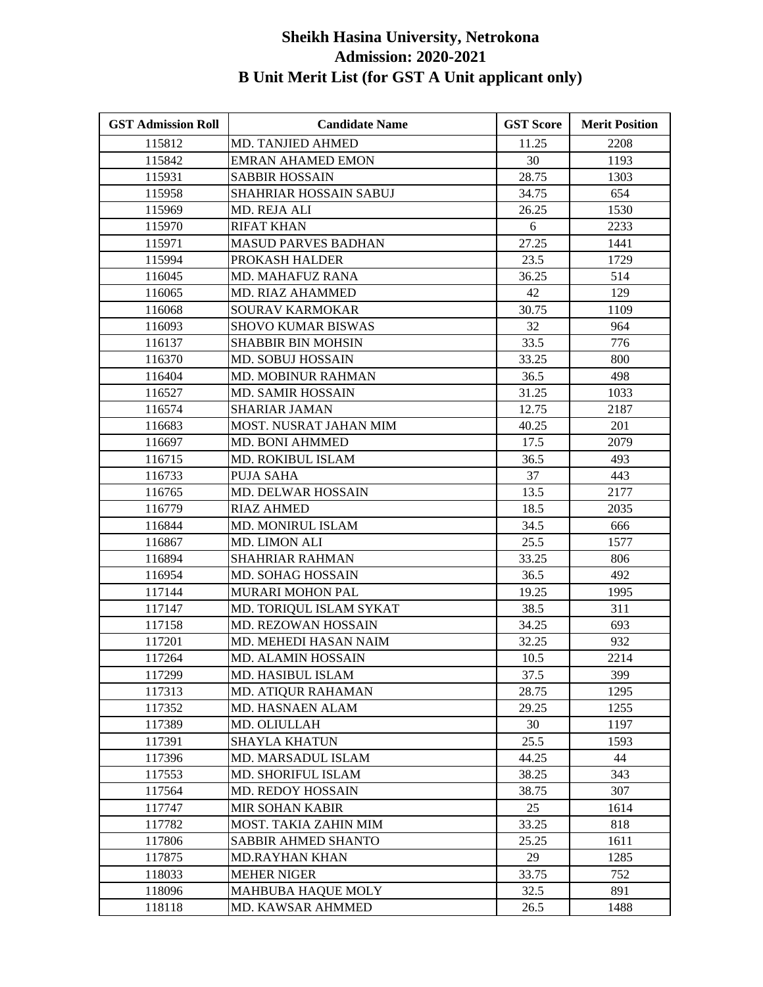| <b>GST Admission Roll</b> | <b>Candidate Name</b>      | <b>GST Score</b> | <b>Merit Position</b> |
|---------------------------|----------------------------|------------------|-----------------------|
| 115812                    | MD. TANJIED AHMED          | 11.25            | 2208                  |
| 115842                    | <b>EMRAN AHAMED EMON</b>   | 30               | 1193                  |
| 115931                    | <b>SABBIR HOSSAIN</b>      | 28.75            | 1303                  |
| 115958                    | SHAHRIAR HOSSAIN SABUJ     | 34.75            | 654                   |
| 115969                    | MD. REJA ALI               | 26.25            | 1530                  |
| 115970                    | <b>RIFAT KHAN</b>          | 6                | 2233                  |
| 115971                    | <b>MASUD PARVES BADHAN</b> | 27.25            | 1441                  |
| 115994                    | PROKASH HALDER             | 23.5             | 1729                  |
| 116045                    | <b>MD. MAHAFUZ RANA</b>    | 36.25            | 514                   |
| 116065                    | MD. RIAZ AHAMMED           | 42               | 129                   |
| 116068                    | SOURAV KARMOKAR            | 30.75            | 1109                  |
| 116093                    | <b>SHOVO KUMAR BISWAS</b>  | 32               | 964                   |
| 116137                    | <b>SHABBIR BIN MOHSIN</b>  | 33.5             | 776                   |
| 116370                    | <b>MD. SOBUJ HOSSAIN</b>   | 33.25            | 800                   |
| 116404                    | MD. MOBINUR RAHMAN         | 36.5             | 498                   |
| 116527                    | <b>MD. SAMIR HOSSAIN</b>   | 31.25            | 1033                  |
| 116574                    | <b>SHARIAR JAMAN</b>       | 12.75            | 2187                  |
| 116683                    | MOST. NUSRAT JAHAN MIM     | 40.25            | 201                   |
| 116697                    | <b>MD. BONI AHMMED</b>     | 17.5             | 2079                  |
| 116715                    | MD. ROKIBUL ISLAM          | 36.5             | 493                   |
| 116733                    | PUJA SAHA                  | 37               | 443                   |
| 116765                    | <b>MD. DELWAR HOSSAIN</b>  | 13.5             | 2177                  |
| 116779                    | <b>RIAZ AHMED</b>          | 18.5             | 2035                  |
| 116844                    | MD. MONIRUL ISLAM          | 34.5             | 666                   |
| 116867                    | MD. LIMON ALI              | 25.5             | 1577                  |
| 116894                    | <b>SHAHRIAR RAHMAN</b>     | 33.25            | 806                   |
| 116954                    | MD. SOHAG HOSSAIN          | 36.5             | 492                   |
| 117144                    | MURARI MOHON PAL           | 19.25            | 1995                  |
| 117147                    | MD. TORIQUL ISLAM SYKAT    | 38.5             | 311                   |
| 117158                    | MD. REZOWAN HOSSAIN        | 34.25            | 693                   |
| 117201                    | MD. MEHEDI HASAN NAIM      | 32.25            | 932                   |
| 117264                    | <b>MD. ALAMIN HOSSAIN</b>  | 10.5             | 2214                  |
| 117299                    | MD. HASIBUL ISLAM          | 37.5             | 399                   |
| 117313                    | MD. ATIQUR RAHAMAN         | 28.75            | 1295                  |
| 117352                    | MD. HASNAEN ALAM           | 29.25            | 1255                  |
| 117389                    | MD. OLIULLAH               | 30               | 1197                  |
| 117391                    | <b>SHAYLA KHATUN</b>       | 25.5             | 1593                  |
| 117396                    | MD. MARSADUL ISLAM         | 44.25            | 44                    |
| 117553                    | MD. SHORIFUL ISLAM         | 38.25            | 343                   |
| 117564                    | MD. REDOY HOSSAIN          | 38.75            | 307                   |
| 117747                    | <b>MIR SOHAN KABIR</b>     | 25               | 1614                  |
| 117782                    | MOST. TAKIA ZAHIN MIM      | 33.25            | 818                   |
| 117806                    | SABBIR AHMED SHANTO        | 25.25            | 1611                  |
| 117875                    | <b>MD.RAYHAN KHAN</b>      | 29               | 1285                  |
| 118033                    | <b>MEHER NIGER</b>         | 33.75            | 752                   |
| 118096                    | MAHBUBA HAQUE MOLY         | 32.5             | 891                   |
| 118118                    | MD. KAWSAR AHMMED          | 26.5             | 1488                  |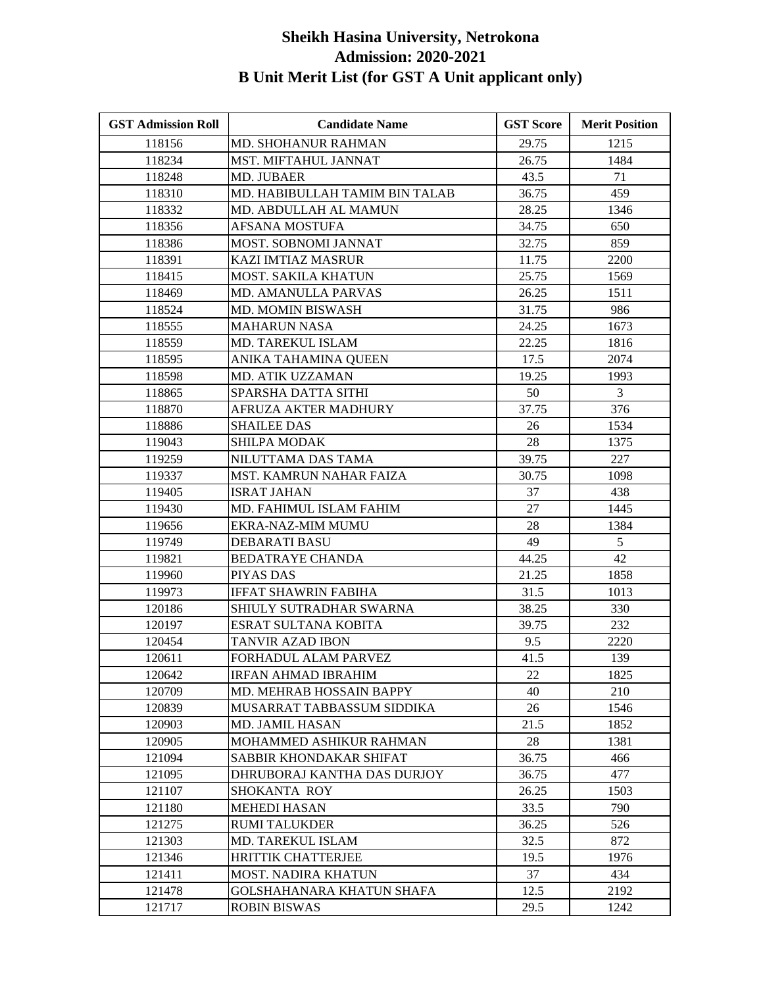| <b>GST Admission Roll</b> | <b>Candidate Name</b>          | <b>GST Score</b> | <b>Merit Position</b> |
|---------------------------|--------------------------------|------------------|-----------------------|
| 118156                    | <b>MD. SHOHANUR RAHMAN</b>     | 29.75            | 1215                  |
| 118234                    | MST. MIFTAHUL JANNAT           | 26.75            | 1484                  |
| 118248                    | MD. JUBAER                     | 43.5             | 71                    |
| 118310                    | MD. HABIBULLAH TAMIM BIN TALAB | 36.75            | 459                   |
| 118332                    | MD. ABDULLAH AL MAMUN          | 28.25            | 1346                  |
| 118356                    | AFSANA MOSTUFA                 | 34.75            | 650                   |
| 118386                    | MOST. SOBNOMI JANNAT           | 32.75            | 859                   |
| 118391                    | <b>KAZI IMTIAZ MASRUR</b>      | 11.75            | 2200                  |
| 118415                    | MOST. SAKILA KHATUN            | 25.75            | 1569                  |
| 118469                    | <b>MD. AMANULLA PARVAS</b>     | 26.25            | 1511                  |
| 118524                    | MD. MOMIN BISWASH              | 31.75            | 986                   |
| 118555                    | <b>MAHARUN NASA</b>            | 24.25            | 1673                  |
| 118559                    | MD. TAREKUL ISLAM              | 22.25            | 1816                  |
| 118595                    | ANIKA TAHAMINA QUEEN           | 17.5             | 2074                  |
| 118598                    | MD. ATIK UZZAMAN               | 19.25            | 1993                  |
| 118865                    | SPARSHA DATTA SITHI            | 50               | $\mathfrak{Z}$        |
| 118870                    | AFRUZA AKTER MADHURY           | 37.75            | 376                   |
| 118886                    | <b>SHAILEE DAS</b>             | 26               | 1534                  |
| 119043                    | <b>SHILPA MODAK</b>            | 28               | 1375                  |
| 119259                    | NILUTTAMA DAS TAMA             | 39.75            | 227                   |
| 119337                    | MST. KAMRUN NAHAR FAIZA        | 30.75            | 1098                  |
| 119405                    | <b>ISRAT JAHAN</b>             | 37               | 438                   |
| 119430                    | MD. FAHIMUL ISLAM FAHIM        | 27               | 1445                  |
| 119656                    | EKRA-NAZ-MIM MUMU              | 28               | 1384                  |
| 119749                    | <b>DEBARATI BASU</b>           | 49               | 5                     |
| 119821                    | <b>BEDATRAYE CHANDA</b>        | 44.25            | 42                    |
| 119960                    | PIYAS DAS                      | 21.25            | 1858                  |
| 119973                    | <b>IFFAT SHAWRIN FABIHA</b>    | 31.5             | 1013                  |
| 120186                    | SHIULY SUTRADHAR SWARNA        | 38.25            | 330                   |
| 120197                    | ESRAT SULTANA KOBITA           | 39.75            | 232                   |
| 120454                    | TANVIR AZAD IBON               | 9.5              | 2220                  |
| 120611                    | FORHADUL ALAM PARVEZ           | 41.5             | 139                   |
| 120642                    | <b>IRFAN AHMAD IBRAHIM</b>     | 22               | 1825                  |
| 120709                    | MD. MEHRAB HOSSAIN BAPPY       | 40               | 210                   |
| 120839                    | MUSARRAT TABBASSUM SIDDIKA     | 26               | 1546                  |
| 120903                    | MD. JAMIL HASAN                | 21.5             | 1852                  |
| 120905                    | MOHAMMED ASHIKUR RAHMAN        | 28               | 1381                  |
| 121094                    | SABBIR KHONDAKAR SHIFAT        | 36.75            | 466                   |
| 121095                    | DHRUBORAJ KANTHA DAS DURJOY    | 36.75            | 477                   |
| 121107                    | SHOKANTA ROY                   | 26.25            | 1503                  |
| 121180                    | <b>MEHEDI HASAN</b>            | 33.5             | 790                   |
| 121275                    | <b>RUMI TALUKDER</b>           | 36.25            | 526                   |
| 121303                    | MD. TAREKUL ISLAM              | 32.5             | 872                   |
| 121346                    | <b>HRITTIK CHATTERJEE</b>      | 19.5             | 1976                  |
| 121411                    | <b>MOST. NADIRA KHATUN</b>     | 37               | 434                   |
| 121478                    | GOLSHAHANARA KHATUN SHAFA      | 12.5             | 2192                  |
| 121717                    | <b>ROBIN BISWAS</b>            | 29.5             | 1242                  |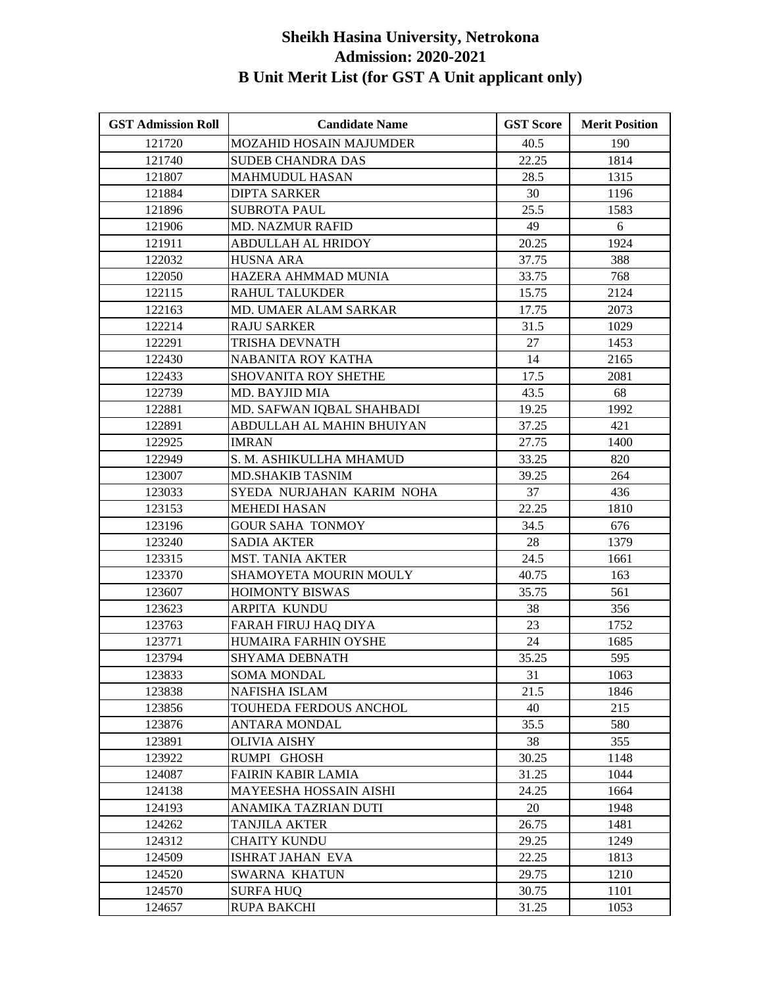| <b>GST Admission Roll</b> | <b>Candidate Name</b>          | <b>GST Score</b> | <b>Merit Position</b> |
|---------------------------|--------------------------------|------------------|-----------------------|
| 121720                    | <b>MOZAHID HOSAIN MAJUMDER</b> | 40.5             | 190                   |
| 121740                    | <b>SUDEB CHANDRA DAS</b>       | 22.25            | 1814                  |
| 121807                    | <b>MAHMUDUL HASAN</b>          | 28.5             | 1315                  |
| 121884                    | <b>DIPTA SARKER</b>            | 30               | 1196                  |
| 121896                    | SUBROTA PAUL                   | 25.5             | 1583                  |
| 121906                    | <b>MD. NAZMUR RAFID</b>        | 49               | 6                     |
| 121911                    | <b>ABDULLAH AL HRIDOY</b>      | 20.25            | 1924                  |
| 122032                    | <b>HUSNA ARA</b>               | 37.75            | 388                   |
| 122050                    | HAZERA AHMMAD MUNIA            | 33.75            | 768                   |
| 122115                    | RAHUL TALUKDER                 | 15.75            | 2124                  |
| 122163                    | MD. UMAER ALAM SARKAR          | 17.75            | 2073                  |
| 122214                    | <b>RAJU SARKER</b>             | 31.5             | 1029                  |
| 122291                    | TRISHA DEVNATH                 | 27               | 1453                  |
| 122430                    | NABANITA ROY KATHA             | 14               | 2165                  |
| 122433                    | <b>SHOVANITA ROY SHETHE</b>    | 17.5             | 2081                  |
| 122739                    | MD. BAYJID MIA                 | 43.5             | 68                    |
| 122881                    | MD. SAFWAN IQBAL SHAHBADI      | 19.25            | 1992                  |
| 122891                    | ABDULLAH AL MAHIN BHUIYAN      | 37.25            | 421                   |
| 122925                    | <b>IMRAN</b>                   | 27.75            | 1400                  |
| 122949                    | S. M. ASHIKULLHA MHAMUD        | 33.25            | 820                   |
| 123007                    | <b>MD.SHAKIB TASNIM</b>        | 39.25            | 264                   |
| 123033                    | SYEDA NURJAHAN KARIM NOHA      | 37               | 436                   |
| 123153                    | <b>MEHEDI HASAN</b>            | 22.25            | 1810                  |
| 123196                    | <b>GOUR SAHA TONMOY</b>        | 34.5             | 676                   |
| 123240                    | <b>SADIA AKTER</b>             | 28               | 1379                  |
| 123315                    | <b>MST. TANIA AKTER</b>        | 24.5             | 1661                  |
| 123370                    | SHAMOYETA MOURIN MOULY         | 40.75            | 163                   |
| 123607                    | <b>HOIMONTY BISWAS</b>         | 35.75            | 561                   |
| 123623                    | ARPITA KUNDU                   | 38               | 356                   |
| 123763                    | FARAH FIRUJ HAQ DIYA           | 23               | 1752                  |
| 123771                    | HUMAIRA FARHIN OYSHE           | 24               | 1685                  |
| 123794                    | SHYAMA DEBNATH                 | 35.25            | 595                   |
| 123833                    | <b>SOMA MONDAL</b>             | 31               | 1063                  |
| 123838                    | NAFISHA ISLAM                  | 21.5             | 1846                  |
| 123856                    | TOUHEDA FERDOUS ANCHOL         | 40               | 215                   |
| 123876                    | <b>ANTARA MONDAL</b>           | 35.5             | 580                   |
| 123891                    | OLIVIA AISHY                   | 38               | 355                   |
| 123922                    | RUMPI GHOSH                    | 30.25            | 1148                  |
| 124087                    | <b>FAIRIN KABIR LAMIA</b>      | 31.25            | 1044                  |
| 124138                    | MAYEESHA HOSSAIN AISHI         | 24.25            | 1664                  |
| 124193                    | ANAMIKA TAZRIAN DUTI           | 20               | 1948                  |
| 124262                    | TANJILA AKTER                  | 26.75            | 1481                  |
| 124312                    | <b>CHAITY KUNDU</b>            | 29.25            | 1249                  |
| 124509                    | ISHRAT JAHAN EVA               | 22.25            | 1813                  |
| 124520                    | SWARNA KHATUN                  | 29.75            | 1210                  |
| 124570                    | <b>SURFA HUQ</b>               | 30.75            | 1101                  |
| 124657                    | <b>RUPA BAKCHI</b>             | 31.25            | 1053                  |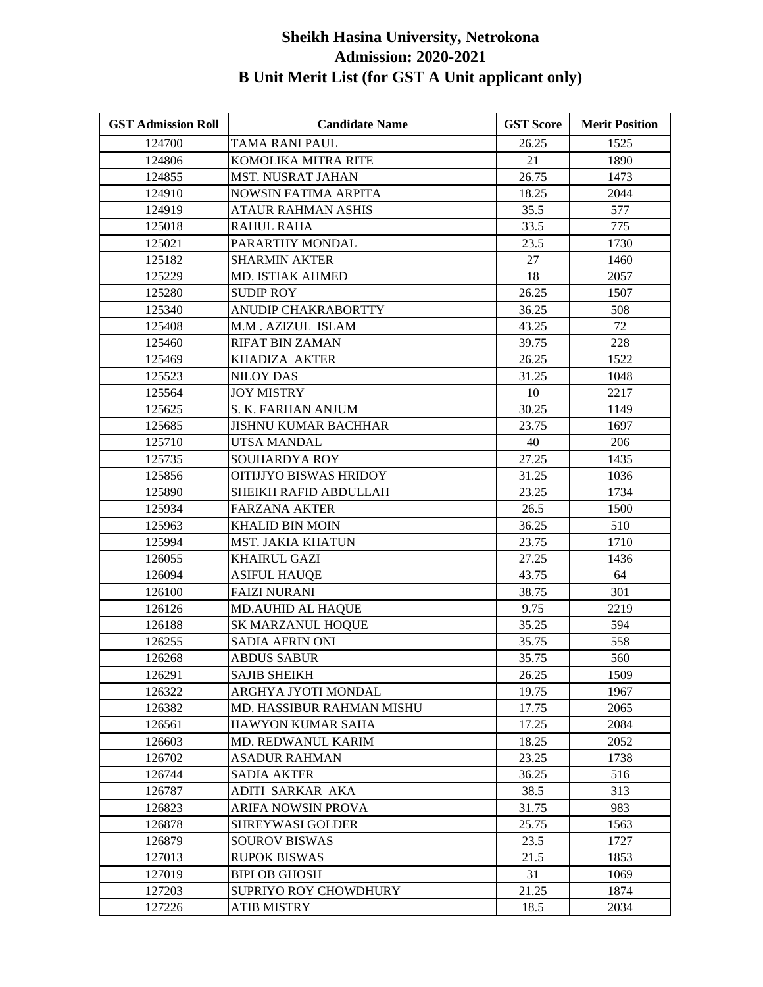| <b>GST Admission Roll</b> | <b>Candidate Name</b>       | <b>GST Score</b> | <b>Merit Position</b> |
|---------------------------|-----------------------------|------------------|-----------------------|
| 124700                    | TAMA RANI PAUL              | 26.25            | 1525                  |
| 124806                    | KOMOLIKA MITRA RITE         | 21               | 1890                  |
| 124855                    | <b>MST. NUSRAT JAHAN</b>    | 26.75            | 1473                  |
| 124910                    | <b>NOWSIN FATIMA ARPITA</b> | 18.25            | 2044                  |
| 124919                    | ATAUR RAHMAN ASHIS          | 35.5             | 577                   |
| 125018                    | RAHUL RAHA                  | 33.5             | 775                   |
| 125021                    | PARARTHY MONDAL             | 23.5             | 1730                  |
| 125182                    | <b>SHARMIN AKTER</b>        | 27               | 1460                  |
| 125229                    | MD. ISTIAK AHMED            | 18               | 2057                  |
| 125280                    | <b>SUDIP ROY</b>            | 26.25            | 1507                  |
| 125340                    | ANUDIP CHAKRABORTTY         | 36.25            | 508                   |
| 125408                    | M.M. AZIZUL ISLAM           | 43.25            | 72                    |
| 125460                    | RIFAT BIN ZAMAN             | 39.75            | 228                   |
| 125469                    | KHADIZA AKTER               | 26.25            | 1522                  |
| 125523                    | <b>NILOY DAS</b>            | 31.25            | 1048                  |
| 125564                    | <b>JOY MISTRY</b>           | 10               | 2217                  |
| 125625                    | S. K. FARHAN ANJUM          | 30.25            | 1149                  |
| 125685                    | <b>JISHNU KUMAR BACHHAR</b> | 23.75            | 1697                  |
| 125710                    | UTSA MANDAL                 | 40               | 206                   |
| 125735                    | SOUHARDYA ROY               | 27.25            | 1435                  |
| 125856                    | OITIJJYO BISWAS HRIDOY      | 31.25            | 1036                  |
| 125890                    | SHEIKH RAFID ABDULLAH       | 23.25            | 1734                  |
| 125934                    | FARZANA AKTER               | 26.5             | 1500                  |
| 125963                    | <b>KHALID BIN MOIN</b>      | 36.25            | 510                   |
| 125994                    | <b>MST. JAKIA KHATUN</b>    | 23.75            | 1710                  |
| 126055                    | <b>KHAIRUL GAZI</b>         | 27.25            | 1436                  |
| 126094                    | <b>ASIFUL HAUQE</b>         | 43.75            | 64                    |
| 126100                    | <b>FAIZI NURANI</b>         | 38.75            | 301                   |
| 126126                    | <b>MD.AUHID AL HAQUE</b>    | 9.75             | 2219                  |
| 126188                    | <b>SK MARZANUL HOQUE</b>    | 35.25            | 594                   |
| 126255                    | SADIA AFRIN ONI             | 35.75            | 558                   |
| 126268                    | <b>ABDUS SABUR</b>          | 35.75            | 560                   |
| 126291                    | <b>SAJIB SHEIKH</b>         | 26.25            | 1509                  |
| 126322                    | ARGHYA JYOTI MONDAL         | 19.75            | 1967                  |
| 126382                    | MD. HASSIBUR RAHMAN MISHU   | 17.75            | 2065                  |
| 126561                    | HAWYON KUMAR SAHA           | 17.25            | 2084                  |
| 126603                    | MD. REDWANUL KARIM          | 18.25            | 2052                  |
| 126702                    | <b>ASADUR RAHMAN</b>        | 23.25            | 1738                  |
| 126744                    | <b>SADIA AKTER</b>          | 36.25            | 516                   |
| 126787                    | ADITI SARKAR AKA            | 38.5             | 313                   |
| 126823                    | <b>ARIFA NOWSIN PROVA</b>   | 31.75            | 983                   |
| 126878                    | <b>SHREYWASI GOLDER</b>     | 25.75            | 1563                  |
| 126879                    | <b>SOUROV BISWAS</b>        | 23.5             | 1727                  |
| 127013                    | <b>RUPOK BISWAS</b>         | 21.5             | 1853                  |
| 127019                    | <b>BIPLOB GHOSH</b>         | 31               | 1069                  |
| 127203                    | SUPRIYO ROY CHOWDHURY       | 21.25            | 1874                  |
| 127226                    | <b>ATIB MISTRY</b>          | 18.5             | 2034                  |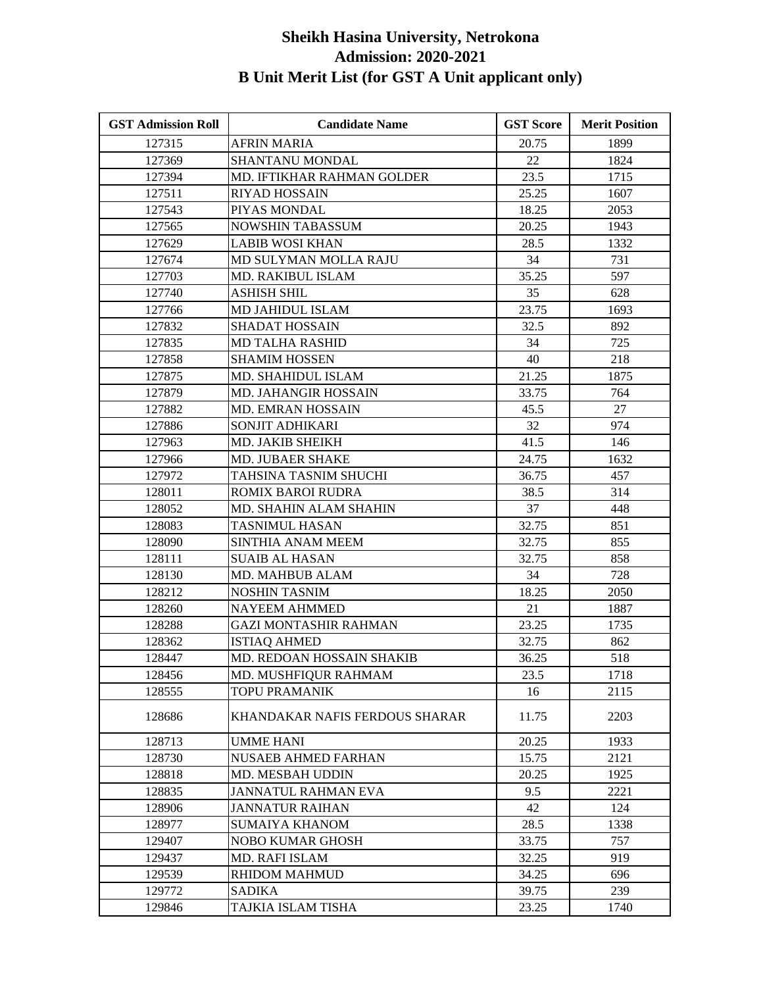| <b>GST Admission Roll</b> | <b>Candidate Name</b>             | <b>GST Score</b> | <b>Merit Position</b> |
|---------------------------|-----------------------------------|------------------|-----------------------|
| 127315                    | <b>AFRIN MARIA</b>                | 20.75            | 1899                  |
| 127369                    | SHANTANU MONDAL                   | 22               | 1824                  |
| 127394                    | <b>MD. IFTIKHAR RAHMAN GOLDER</b> | 23.5             | 1715                  |
| 127511                    | RIYAD HOSSAIN                     | 25.25            | 1607                  |
| 127543                    | PIYAS MONDAL                      | 18.25            | 2053                  |
| 127565                    | <b>NOWSHIN TABASSUM</b>           | 20.25            | 1943                  |
| 127629                    | <b>LABIB WOSI KHAN</b>            | 28.5             | 1332                  |
| 127674                    | MD SULYMAN MOLLA RAJU             | 34               | 731                   |
| 127703                    | MD. RAKIBUL ISLAM                 | 35.25            | 597                   |
| 127740                    | ASHISH SHIL                       | 35               | 628                   |
| 127766                    | MD JAHIDUL ISLAM                  | 23.75            | 1693                  |
| 127832                    | <b>SHADAT HOSSAIN</b>             | 32.5             | 892                   |
| 127835                    | <b>MD TALHA RASHID</b>            | 34               | 725                   |
| 127858                    | <b>SHAMIM HOSSEN</b>              | 40               | 218                   |
| 127875                    | MD. SHAHIDUL ISLAM                | 21.25            | 1875                  |
| 127879                    | MD. JAHANGIR HOSSAIN              | 33.75            | 764                   |
| 127882                    | <b>MD. EMRAN HOSSAIN</b>          | 45.5             | 27                    |
| 127886                    | SONJIT ADHIKARI                   | 32               | 974                   |
| 127963                    | MD. JAKIB SHEIKH                  | 41.5             | 146                   |
| 127966                    | MD. JUBAER SHAKE                  | 24.75            | 1632                  |
| 127972                    | TAHSINA TASNIM SHUCHI             | 36.75            | 457                   |
| 128011                    | ROMIX BAROI RUDRA                 | 38.5             | 314                   |
| 128052                    | MD. SHAHIN ALAM SHAHIN            | 37               | 448                   |
| 128083                    | <b>TASNIMUL HASAN</b>             | 32.75            | 851                   |
| 128090                    | SINTHIA ANAM MEEM                 | 32.75            | 855                   |
| 128111                    | <b>SUAIB AL HASAN</b>             | 32.75            | 858                   |
| 128130                    | MD. MAHBUB ALAM                   | 34               | 728                   |
| 128212                    | <b>NOSHIN TASNIM</b>              | 18.25            | 2050                  |
| 128260                    | <b>NAYEEM AHMMED</b>              | 21               | 1887                  |
| 128288                    | <b>GAZI MONTASHIR RAHMAN</b>      | 23.25            | 1735                  |
| 128362                    | <b>ISTIAQ AHMED</b>               | 32.75            | 862                   |
| 128447                    | MD. REDOAN HOSSAIN SHAKIB         | 36.25            | 518                   |
| 128456                    | MD. MUSHFIQUR RAHMAM              | 23.5             | 1718                  |
| 128555                    | <b>TOPU PRAMANIK</b>              | 16               | 2115                  |
| 128686                    | KHANDAKAR NAFIS FERDOUS SHARAR    | 11.75            | 2203                  |
| 128713                    | <b>UMME HANI</b>                  | 20.25            | 1933                  |
| 128730                    | <b>NUSAEB AHMED FARHAN</b>        | 15.75            | 2121                  |
| 128818                    | <b>MD. MESBAH UDDIN</b>           | 20.25            | 1925                  |
| 128835                    | <b>JANNATUL RAHMAN EVA</b>        | 9.5              | 2221                  |
| 128906                    | JANNATUR RAIHAN                   | 42               | 124                   |
| 128977                    | <b>SUMAIYA KHANOM</b>             | 28.5             | 1338                  |
| 129407                    | NOBO KUMAR GHOSH                  | 33.75            | 757                   |
| 129437                    | MD. RAFI ISLAM                    | 32.25            | 919                   |
| 129539                    | RHIDOM MAHMUD                     | 34.25            | 696                   |
| 129772                    | SADIKA                            | 39.75            | 239                   |
| 129846                    | TAJKIA ISLAM TISHA                | 23.25            | 1740                  |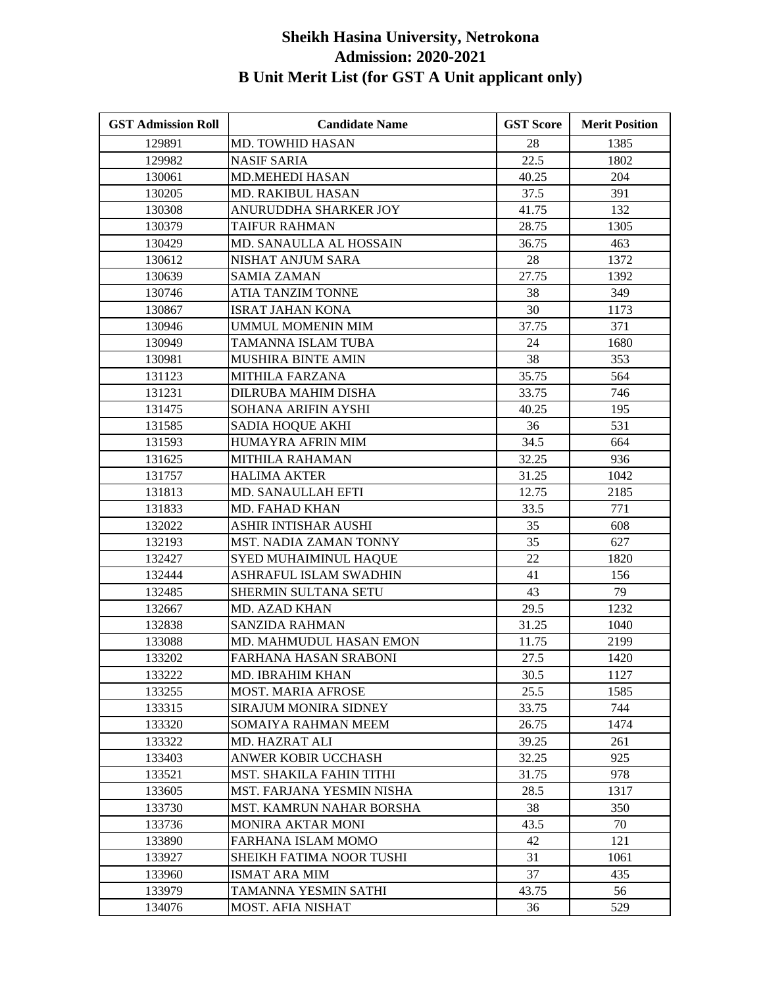| <b>GST Admission Roll</b> | <b>Candidate Name</b>        | <b>GST Score</b> | <b>Merit Position</b> |
|---------------------------|------------------------------|------------------|-----------------------|
| 129891                    | MD. TOWHID HASAN             | 28               | 1385                  |
| 129982                    | <b>NASIF SARIA</b>           | 22.5             | 1802                  |
| 130061                    | <b>MD.MEHEDI HASAN</b>       | 40.25            | 204                   |
| 130205                    | MD. RAKIBUL HASAN            | 37.5             | 391                   |
| 130308                    | ANURUDDHA SHARKER JOY        | 41.75            | 132                   |
| 130379                    | <b>TAIFUR RAHMAN</b>         | 28.75            | 1305                  |
| 130429                    | MD. SANAULLA AL HOSSAIN      | 36.75            | 463                   |
| 130612                    | NISHAT ANJUM SARA            | 28               | 1372                  |
| 130639                    | <b>SAMIA ZAMAN</b>           | 27.75            | 1392                  |
| 130746                    | ATIA TANZIM TONNE            | 38               | 349                   |
| 130867                    | <b>ISRAT JAHAN KONA</b>      | 30               | 1173                  |
| 130946                    | UMMUL MOMENIN MIM            | 37.75            | 371                   |
| 130949                    | TAMANNA ISLAM TUBA           | 24               | 1680                  |
| 130981                    | <b>MUSHIRA BINTE AMIN</b>    | 38               | 353                   |
| 131123                    | MITHILA FARZANA              | 35.75            | 564                   |
| 131231                    | <b>DILRUBA MAHIM DISHA</b>   | 33.75            | 746                   |
| 131475                    | SOHANA ARIFIN AYSHI          | 40.25            | 195                   |
| 131585                    | SADIA HOQUE AKHI             | 36               | 531                   |
| 131593                    | HUMAYRA AFRIN MIM            | 34.5             | 664                   |
| 131625                    | MITHILA RAHAMAN              | 32.25            | 936                   |
| 131757                    | <b>HALIMA AKTER</b>          | 31.25            | 1042                  |
| 131813                    | <b>MD. SANAULLAH EFTI</b>    | 12.75            | 2185                  |
| 131833                    | MD. FAHAD KHAN               | 33.5             | 771                   |
| 132022                    | ASHIR INTISHAR AUSHI         | 35               | 608                   |
| 132193                    | MST. NADIA ZAMAN TONNY       | 35               | 627                   |
| 132427                    | SYED MUHAIMINUL HAQUE        | 22               | 1820                  |
| 132444                    | ASHRAFUL ISLAM SWADHIN       | 41               | 156                   |
| 132485                    | SHERMIN SULTANA SETU         | 43               | 79                    |
| 132667                    | MD. AZAD KHAN                | 29.5             | 1232                  |
| 132838                    | <b>SANZIDA RAHMAN</b>        | 31.25            | 1040                  |
| 133088                    | MD. MAHMUDUL HASAN EMON      | 11.75            | 2199                  |
| 133202                    | FARHANA HASAN SRABONI        | 27.5             | 1420                  |
| 133222                    | MD. IBRAHIM KHAN             | 30.5             | 1127                  |
| 133255                    | <b>MOST. MARIA AFROSE</b>    | 25.5             | 1585                  |
| 133315                    | <b>SIRAJUM MONIRA SIDNEY</b> | 33.75            | 744                   |
| 133320                    | SOMAIYA RAHMAN MEEM          | 26.75            | 1474                  |
| 133322                    | MD. HAZRAT ALI               | 39.25            | 261                   |
| 133403                    | ANWER KOBIR UCCHASH          | 32.25            | 925                   |
| 133521                    | MST. SHAKILA FAHIN TITHI     | 31.75            | 978                   |
| 133605                    | MST. FARJANA YESMIN NISHA    | 28.5             | 1317                  |
| 133730                    | MST. KAMRUN NAHAR BORSHA     | 38               | 350                   |
| 133736                    | <b>MONIRA AKTAR MONI</b>     | 43.5             | 70                    |
| 133890                    | FARHANA ISLAM MOMO           | 42               | 121                   |
| 133927                    | SHEIKH FATIMA NOOR TUSHI     | 31               | 1061                  |
| 133960                    | <b>ISMAT ARA MIM</b>         | 37               | 435                   |
| 133979                    | TAMANNA YESMIN SATHI         | 43.75            | 56                    |
| 134076                    | <b>MOST. AFIA NISHAT</b>     | 36               | 529                   |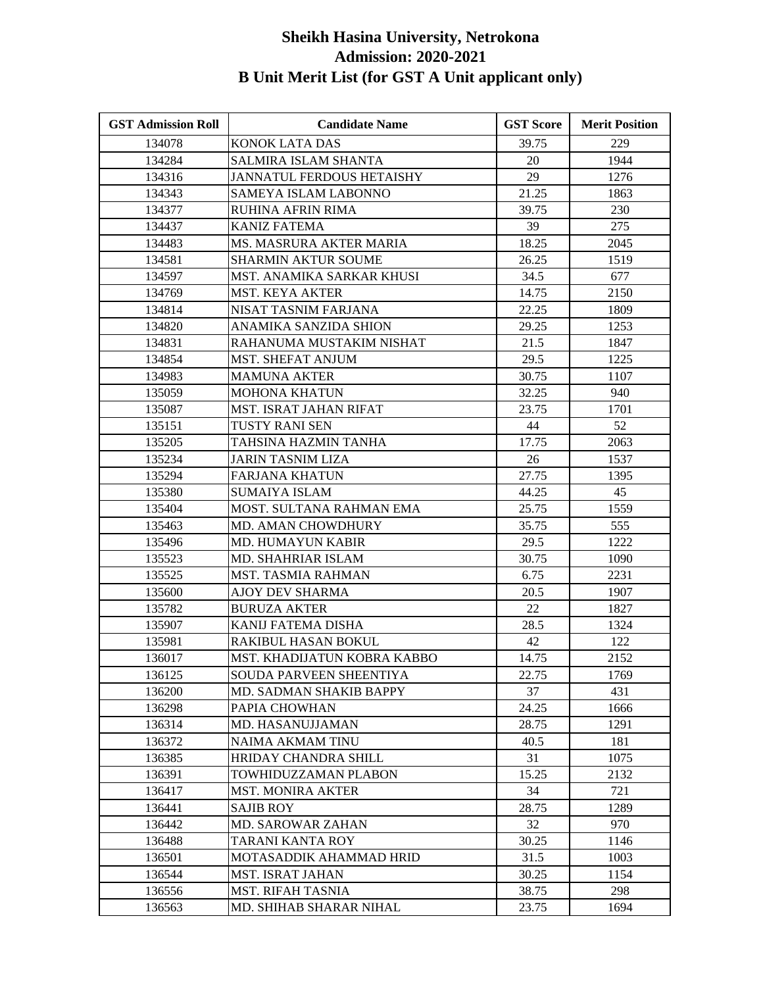| <b>GST Admission Roll</b> | <b>Candidate Name</b>            | <b>GST Score</b> | <b>Merit Position</b> |
|---------------------------|----------------------------------|------------------|-----------------------|
| 134078                    | <b>KONOK LATA DAS</b>            | 39.75            | 229                   |
| 134284                    | SALMIRA ISLAM SHANTA             | 20               | 1944                  |
| 134316                    | <b>JANNATUL FERDOUS HETAISHY</b> | 29               | 1276                  |
| 134343                    | SAMEYA ISLAM LABONNO             | 21.25            | 1863                  |
| 134377                    | RUHINA AFRIN RIMA                | 39.75            | 230                   |
| 134437                    | <b>KANIZ FATEMA</b>              | 39               | 275                   |
| 134483                    | MS. MASRURA AKTER MARIA          | 18.25            | 2045                  |
| 134581                    | <b>SHARMIN AKTUR SOUME</b>       | 26.25            | 1519                  |
| 134597                    | MST. ANAMIKA SARKAR KHUSI        | 34.5             | 677                   |
| 134769                    | <b>MST. KEYA AKTER</b>           | 14.75            | 2150                  |
| 134814                    | NISAT TASNIM FARJANA             | 22.25            | 1809                  |
| 134820                    | ANAMIKA SANZIDA SHION            | 29.25            | 1253                  |
| 134831                    | RAHANUMA MUSTAKIM NISHAT         | 21.5             | 1847                  |
| 134854                    | <b>MST. SHEFAT ANJUM</b>         | 29.5             | 1225                  |
| 134983                    | <b>MAMUNA AKTER</b>              | 30.75            | 1107                  |
| 135059                    | <b>MOHONA KHATUN</b>             | 32.25            | 940                   |
| 135087                    | MST. ISRAT JAHAN RIFAT           | 23.75            | 1701                  |
| 135151                    | <b>TUSTY RANI SEN</b>            | 44               | 52                    |
| 135205                    | TAHSINA HAZMIN TANHA             | 17.75            | 2063                  |
| 135234                    | <b>JARIN TASNIM LIZA</b>         | 26               | 1537                  |
| 135294                    | <b>FARJANA KHATUN</b>            | 27.75            | 1395                  |
| 135380                    | <b>SUMAIYA ISLAM</b>             | 44.25            | 45                    |
| 135404                    | MOST. SULTANA RAHMAN EMA         | 25.75            | 1559                  |
| 135463                    | <b>MD. AMAN CHOWDHURY</b>        | 35.75            | 555                   |
| 135496                    | MD. HUMAYUN KABIR                | 29.5             | 1222                  |
| 135523                    | MD. SHAHRIAR ISLAM               | 30.75            | 1090                  |
| 135525                    | MST. TASMIA RAHMAN               | 6.75             | 2231                  |
| 135600                    | AJOY DEV SHARMA                  | 20.5             | 1907                  |
| 135782                    | <b>BURUZA AKTER</b>              | 22               | 1827                  |
| 135907                    | KANIJ FATEMA DISHA               | 28.5             | 1324                  |
| 135981                    | RAKIBUL HASAN BOKUL              | 42               | 122                   |
| 136017                    | MST. KHADIJATUN KOBRA KABBO      | 14.75            | 2152                  |
| 136125                    | SOUDA PARVEEN SHEENTIYA          | 22.75            | 1769                  |
| 136200                    | MD. SADMAN SHAKIB BAPPY          | 37               | 431                   |
| 136298                    | PAPIA CHOWHAN                    | 24.25            | 1666                  |
| 136314                    | MD. HASANUJJAMAN                 | 28.75            | 1291                  |
| 136372                    | NAIMA AKMAM TINU                 | 40.5             | 181                   |
| 136385                    | HRIDAY CHANDRA SHILL             | 31               | 1075                  |
| 136391                    | TOWHIDUZZAMAN PLABON             | 15.25            | 2132                  |
| 136417                    | <b>MST. MONIRA AKTER</b>         | 34               | 721                   |
| 136441                    | <b>SAJIB ROY</b>                 | 28.75            | 1289                  |
| 136442                    | <b>MD. SAROWAR ZAHAN</b>         | 32               | 970                   |
| 136488                    | <b>TARANI KANTA ROY</b>          | 30.25            | 1146                  |
| 136501                    | MOTASADDIK AHAMMAD HRID          | 31.5             | 1003                  |
| 136544                    | <b>MST. ISRAT JAHAN</b>          | 30.25            | 1154                  |
| 136556                    | <b>MST. RIFAH TASNIA</b>         | 38.75            | 298                   |
| 136563                    | MD. SHIHAB SHARAR NIHAL          | 23.75            | 1694                  |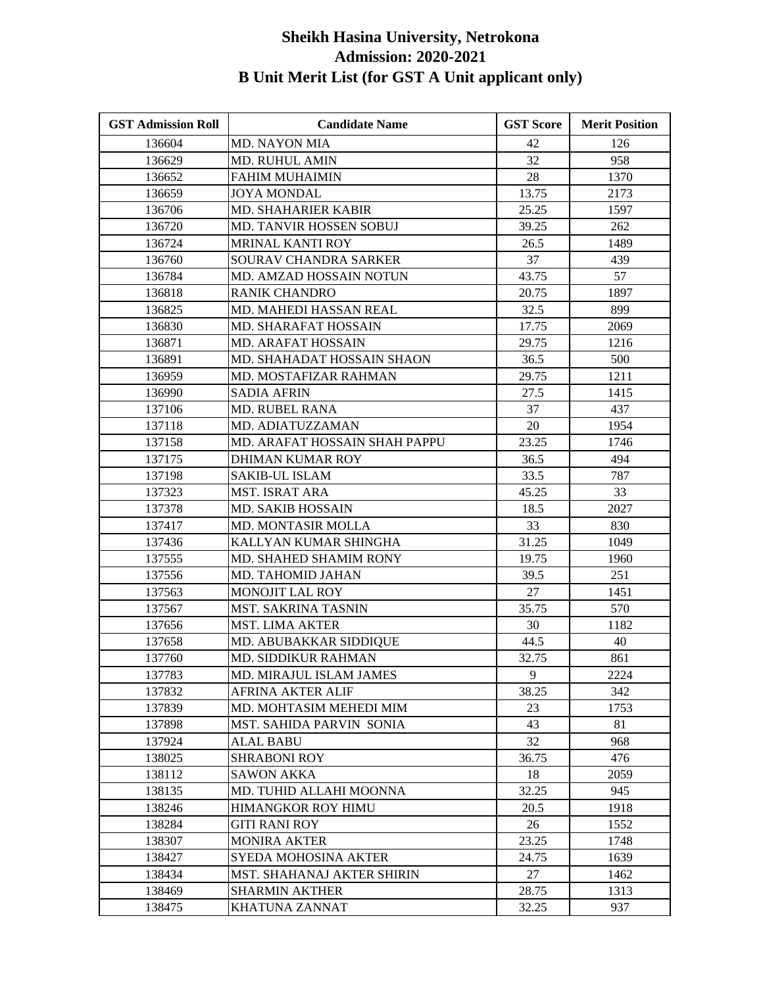| <b>GST Admission Roll</b> | <b>Candidate Name</b>         | <b>GST Score</b> | <b>Merit Position</b> |
|---------------------------|-------------------------------|------------------|-----------------------|
| 136604                    | <b>MD. NAYON MIA</b>          | 42               | 126                   |
| 136629                    | MD. RUHUL AMIN                | 32               | 958                   |
| 136652                    | <b>FAHIM MUHAIMIN</b>         | 28               | 1370                  |
| 136659                    | <b>JOYA MONDAL</b>            | 13.75            | 2173                  |
| 136706                    | MD. SHAHARIER KABIR           | 25.25            | 1597                  |
| 136720                    | MD. TANVIR HOSSEN SOBUJ       | 39.25            | 262                   |
| 136724                    | MRINAL KANTI ROY              | 26.5             | 1489                  |
| 136760                    | SOURAV CHANDRA SARKER         | 37               | 439                   |
| 136784                    | MD. AMZAD HOSSAIN NOTUN       | 43.75            | 57                    |
| 136818                    | <b>RANIK CHANDRO</b>          | 20.75            | 1897                  |
| 136825                    | MD. MAHEDI HASSAN REAL        | 32.5             | 899                   |
| 136830                    | <b>MD. SHARAFAT HOSSAIN</b>   | 17.75            | 2069                  |
| 136871                    | <b>MD. ARAFAT HOSSAIN</b>     | 29.75            | 1216                  |
| 136891                    | MD. SHAHADAT HOSSAIN SHAON    | 36.5             | 500                   |
| 136959                    | MD. MOSTAFIZAR RAHMAN         | 29.75            | 1211                  |
| 136990                    | <b>SADIA AFRIN</b>            | 27.5             | 1415                  |
| 137106                    | <b>MD. RUBEL RANA</b>         | 37               | 437                   |
| 137118                    | MD. ADIATUZZAMAN              | 20               | 1954                  |
| 137158                    | MD. ARAFAT HOSSAIN SHAH PAPPU | 23.25            | 1746                  |
| 137175                    | <b>DHIMAN KUMAR ROY</b>       | 36.5             | 494                   |
| 137198                    | <b>SAKIB-UL ISLAM</b>         | 33.5             | 787                   |
| 137323                    | <b>MST. ISRAT ARA</b>         | 45.25            | 33                    |
| 137378                    | <b>MD. SAKIB HOSSAIN</b>      | 18.5             | 2027                  |
| 137417                    | MD. MONTASIR MOLLA            | 33               | 830                   |
| 137436                    | KALLYAN KUMAR SHINGHA         | 31.25            | 1049                  |
| 137555                    | MD. SHAHED SHAMIM RONY        | 19.75            | 1960                  |
| 137556                    | MD. TAHOMID JAHAN             | 39.5             | 251                   |
| 137563                    | MONOJIT LAL ROY               | 27               | 1451                  |
| 137567                    | <b>MST. SAKRINA TASNIN</b>    | 35.75            | 570                   |
| 137656                    | <b>MST. LIMA AKTER</b>        | 30               | 1182                  |
| 137658                    | MD. ABUBAKKAR SIDDIQUE        | 44.5             | 40                    |
| 137760                    | MD. SIDDIKUR RAHMAN           | 32.75            | 861                   |
| 137783                    | MD. MIRAJUL ISLAM JAMES       | 9                | 2224                  |
| 137832                    | <b>AFRINA AKTER ALIF</b>      | 38.25            | 342                   |
| 137839                    | MD. MOHTASIM MEHEDI MIM       | 23               | 1753                  |
| 137898                    | MST. SAHIDA PARVIN SONIA      | 43               | 81                    |
| 137924                    | ALAL BABU                     | 32               | 968                   |
| 138025                    | <b>SHRABONI ROY</b>           | 36.75            | 476                   |
| 138112                    | <b>SAWON AKKA</b>             | 18               | 2059                  |
| 138135                    | MD. TUHID ALLAHI MOONNA       | 32.25            | 945                   |
| 138246                    | HIMANGKOR ROY HIMU            | 20.5             | 1918                  |
| 138284                    | GITI RANI ROY                 | 26               | 1552                  |
| 138307                    | <b>MONIRA AKTER</b>           | 23.25            | 1748                  |
| 138427                    | SYEDA MOHOSINA AKTER          | 24.75            | 1639                  |
| 138434                    | MST. SHAHANAJ AKTER SHIRIN    | 27               | 1462                  |
| 138469                    | <b>SHARMIN AKTHER</b>         | 28.75            | 1313                  |
| 138475                    | KHATUNA ZANNAT                | 32.25            | 937                   |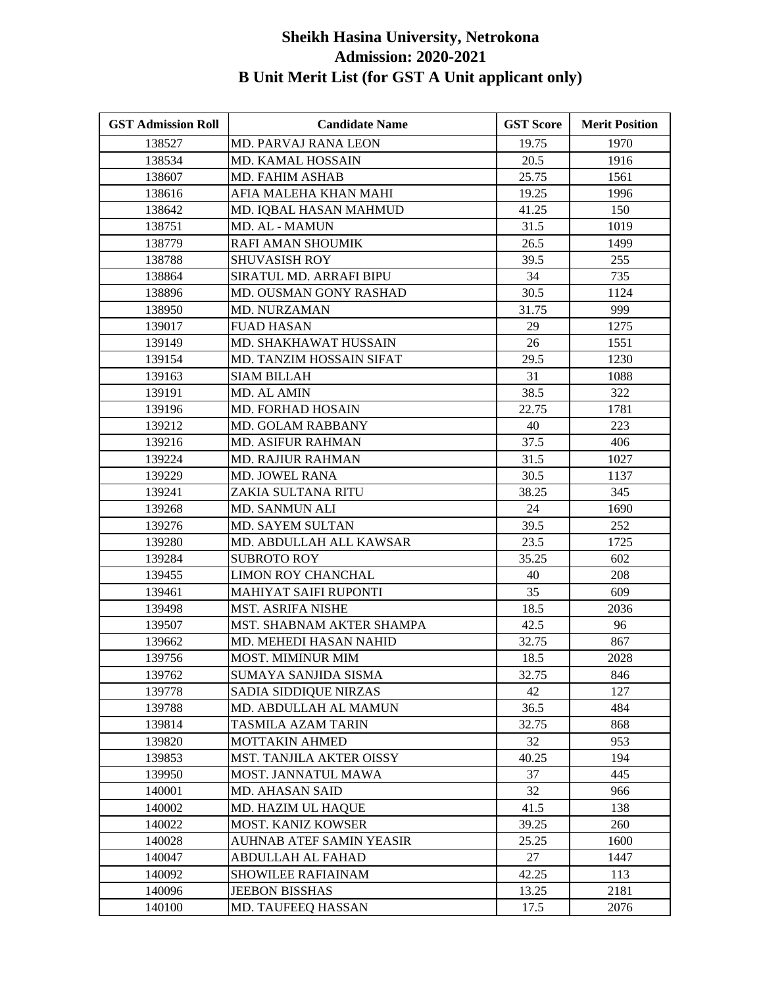| <b>GST Admission Roll</b> | <b>Candidate Name</b>       | <b>GST Score</b> | <b>Merit Position</b> |
|---------------------------|-----------------------------|------------------|-----------------------|
| 138527                    | <b>MD. PARVAJ RANA LEON</b> | 19.75            | 1970                  |
| 138534                    | MD. KAMAL HOSSAIN           | 20.5             | 1916                  |
| 138607                    | <b>MD. FAHIM ASHAB</b>      | 25.75            | 1561                  |
| 138616                    | AFIA MALEHA KHAN MAHI       | 19.25            | 1996                  |
| 138642                    | MD. IQBAL HASAN MAHMUD      | 41.25            | 150                   |
| 138751                    | <b>MD. AL - MAMUN</b>       | 31.5             | 1019                  |
| 138779                    | RAFI AMAN SHOUMIK           | 26.5             | 1499                  |
| 138788                    | <b>SHUVASISH ROY</b>        | 39.5             | 255                   |
| 138864                    | SIRATUL MD. ARRAFI BIPU     | 34               | 735                   |
| 138896                    | MD. OUSMAN GONY RASHAD      | 30.5             | 1124                  |
| 138950                    | MD. NURZAMAN                | 31.75            | 999                   |
| 139017                    | <b>FUAD HASAN</b>           | 29               | 1275                  |
| 139149                    | MD. SHAKHAWAT HUSSAIN       | 26               | 1551                  |
| 139154                    | MD. TANZIM HOSSAIN SIFAT    | 29.5             | 1230                  |
| 139163                    | <b>SIAM BILLAH</b>          | 31               | 1088                  |
| 139191                    | MD. AL AMIN                 | 38.5             | 322                   |
| 139196                    | <b>MD. FORHAD HOSAIN</b>    | 22.75            | 1781                  |
| 139212                    | MD. GOLAM RABBANY           | 40               | 223                   |
| 139216                    | <b>MD. ASIFUR RAHMAN</b>    | 37.5             | 406                   |
| 139224                    | <b>MD. RAJIUR RAHMAN</b>    | 31.5             | 1027                  |
| 139229                    | <b>MD. JOWEL RANA</b>       | 30.5             | 1137                  |
| 139241                    | ZAKIA SULTANA RITU          | 38.25            | 345                   |
| 139268                    | MD. SANMUN ALI              | 24               | 1690                  |
| 139276                    | MD. SAYEM SULTAN            | 39.5             | 252                   |
| 139280                    | MD. ABDULLAH ALL KAWSAR     | 23.5             | 1725                  |
| 139284                    | <b>SUBROTO ROY</b>          | 35.25            | 602                   |
| 139455                    | LIMON ROY CHANCHAL          | 40               | 208                   |
| 139461                    | MAHIYAT SAIFI RUPONTI       | 35               | 609                   |
| 139498                    | <b>MST. ASRIFA NISHE</b>    | 18.5             | 2036                  |
| 139507                    | MST. SHABNAM AKTER SHAMPA   | 42.5             | 96                    |
| 139662                    | MD. MEHEDI HASAN NAHID      | 32.75            | 867                   |
| 139756                    | MOST. MIMINUR MIM           | 18.5             | 2028                  |
| 139762                    | SUMAYA SANJIDA SISMA        | 32.75            | 846                   |
| 139778                    | SADIA SIDDIQUE NIRZAS       | 42               | 127                   |
| 139788                    | MD. ABDULLAH AL MAMUN       | 36.5             | 484                   |
| 139814                    | TASMILA AZAM TARIN          | 32.75            | 868                   |
| 139820                    | MOTTAKIN AHMED              | 32               | 953                   |
| 139853                    | MST. TANJILA AKTER OISSY    | 40.25            | 194                   |
| 139950                    | MOST. JANNATUL MAWA         | 37               | 445                   |
| 140001                    | <b>MD. AHASAN SAID</b>      | 32               | 966                   |
| 140002                    | MD. HAZIM UL HAQUE          | 41.5             | 138                   |
| 140022                    | MOST. KANIZ KOWSER          | 39.25            | 260                   |
| 140028                    | AUHNAB ATEF SAMIN YEASIR    | 25.25            | 1600                  |
| 140047                    | ABDULLAH AL FAHAD           | 27               | 1447                  |
| 140092                    | <b>SHOWILEE RAFIAINAM</b>   | 42.25            | 113                   |
| 140096                    | <b>JEEBON BISSHAS</b>       | 13.25            | 2181                  |
| 140100                    | MD. TAUFEEQ HASSAN          | 17.5             | 2076                  |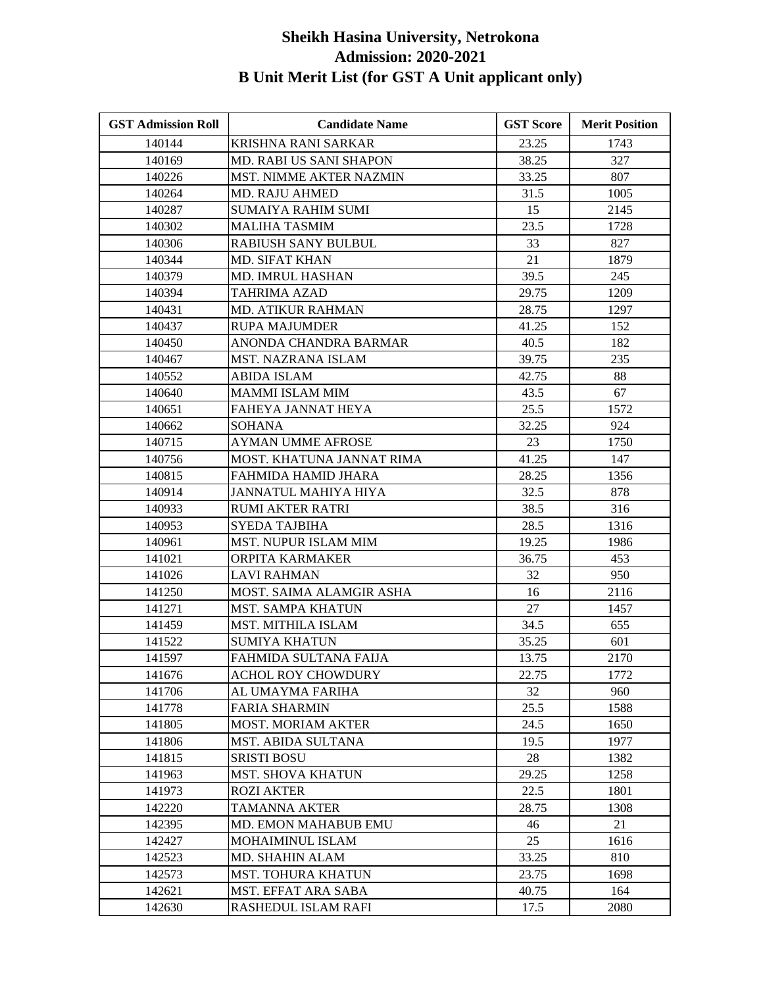| <b>GST Admission Roll</b> | <b>Candidate Name</b>          | <b>GST Score</b> | <b>Merit Position</b> |
|---------------------------|--------------------------------|------------------|-----------------------|
| 140144                    | <b>KRISHNA RANI SARKAR</b>     | 23.25            | 1743                  |
| 140169                    | MD. RABI US SANI SHAPON        | 38.25            | 327                   |
| 140226                    | <b>MST. NIMME AKTER NAZMIN</b> | 33.25            | 807                   |
| 140264                    | <b>MD. RAJU AHMED</b>          | 31.5             | 1005                  |
| 140287                    | SUMAIYA RAHIM SUMI             | 15               | 2145                  |
| 140302                    | <b>MALIHA TASMIM</b>           | 23.5             | 1728                  |
| 140306                    | RABIUSH SANY BULBUL            | 33               | 827                   |
| 140344                    | <b>MD. SIFAT KHAN</b>          | 21               | 1879                  |
| 140379                    | <b>MD. IMRUL HASHAN</b>        | 39.5             | 245                   |
| 140394                    | TAHRIMA AZAD                   | 29.75            | 1209                  |
| 140431                    | <b>MD. ATIKUR RAHMAN</b>       | 28.75            | 1297                  |
| 140437                    | <b>RUPA MAJUMDER</b>           | 41.25            | 152                   |
| 140450                    | ANONDA CHANDRA BARMAR          | 40.5             | 182                   |
| 140467                    | MST. NAZRANA ISLAM             | 39.75            | 235                   |
| 140552                    | <b>ABIDA ISLAM</b>             | 42.75            | 88                    |
| 140640                    | <b>MAMMI ISLAM MIM</b>         | 43.5             | 67                    |
| 140651                    | FAHEYA JANNAT HEYA             | 25.5             | 1572                  |
| 140662                    | SOHANA                         | 32.25            | 924                   |
| 140715                    | AYMAN UMME AFROSE              | 23               | 1750                  |
| 140756                    | MOST. KHATUNA JANNAT RIMA      | 41.25            | 147                   |
| 140815                    | FAHMIDA HAMID JHARA            | 28.25            | 1356                  |
| 140914                    | JANNATUL MAHIYA HIYA           | 32.5             | 878                   |
| 140933                    | RUMI AKTER RATRI               | 38.5             | 316                   |
| 140953                    | SYEDA TAJBIHA                  | 28.5             | 1316                  |
| 140961                    | <b>MST. NUPUR ISLAM MIM</b>    | 19.25            | 1986                  |
| 141021                    | ORPITA KARMAKER                | 36.75            | 453                   |
| 141026                    | LAVI RAHMAN                    | 32               | 950                   |
| 141250                    | MOST. SAIMA ALAMGIR ASHA       | 16               | 2116                  |
| 141271                    | <b>MST. SAMPA KHATUN</b>       | 27               | 1457                  |
| 141459                    | MST. MITHILA ISLAM             | 34.5             | 655                   |
| 141522                    | <b>SUMIYA KHATUN</b>           | 35.25            | 601                   |
| 141597                    | FAHMIDA SULTANA FAIJA          | 13.75            | 2170                  |
| 141676                    | <b>ACHOL ROY CHOWDURY</b>      | 22.75            | 1772                  |
| 141706                    | AL UMAYMA FARIHA               | 32               | 960                   |
| 141778                    | <b>FARIA SHARMIN</b>           | 25.5             | 1588                  |
| 141805                    | <b>MOST. MORIAM AKTER</b>      | 24.5             | 1650                  |
| 141806                    | MST. ABIDA SULTANA             | 19.5             | 1977                  |
| 141815                    | <b>SRISTI BOSU</b>             | 28               | 1382                  |
| 141963                    | <b>MST. SHOVA KHATUN</b>       | 29.25            | 1258                  |
| 141973                    | <b>ROZI AKTER</b>              | 22.5             | 1801                  |
| 142220                    | TAMANNA AKTER                  | 28.75            | 1308                  |
| 142395                    | MD. EMON MAHABUB EMU           | 46               | 21                    |
| 142427                    | MOHAIMINUL ISLAM               | 25               | 1616                  |
| 142523                    | MD. SHAHIN ALAM                | 33.25            | 810                   |
| 142573                    | <b>MST. TOHURA KHATUN</b>      | 23.75            | 1698                  |
| 142621                    | MST. EFFAT ARA SABA            | 40.75            | 164                   |
| 142630                    | RASHEDUL ISLAM RAFI            | 17.5             | 2080                  |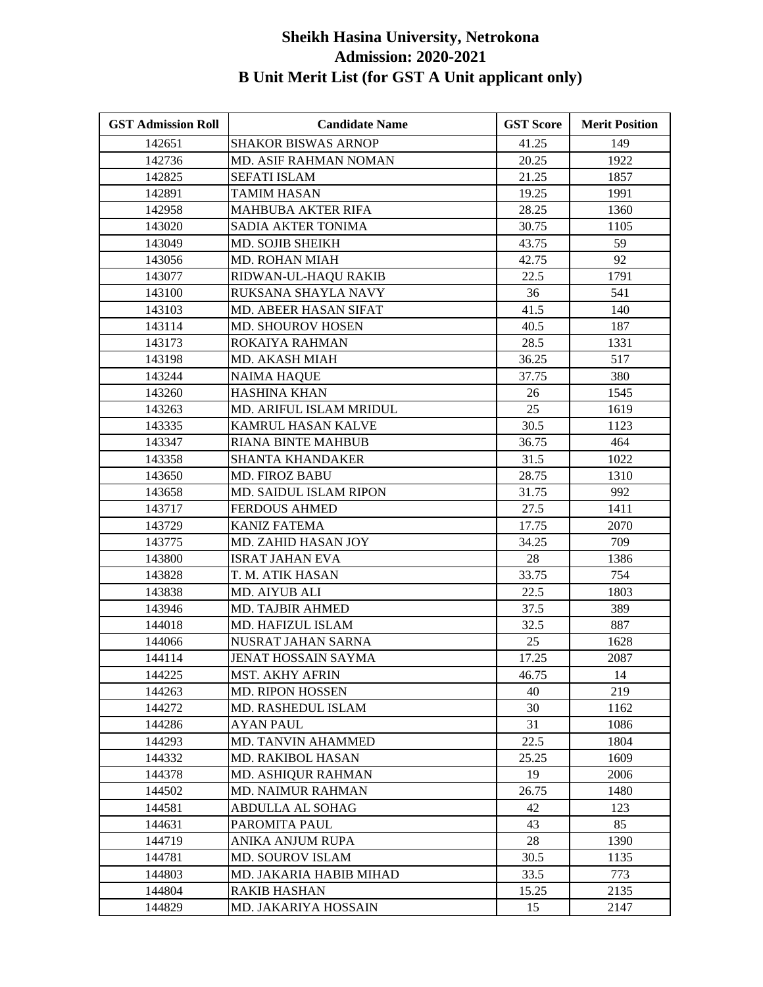| <b>GST Admission Roll</b> | <b>Candidate Name</b>         | <b>GST Score</b> | <b>Merit Position</b> |
|---------------------------|-------------------------------|------------------|-----------------------|
| 142651                    | <b>SHAKOR BISWAS ARNOP</b>    | 41.25            | 149                   |
| 142736                    | MD. ASIF RAHMAN NOMAN         | 20.25            | 1922                  |
| 142825                    | <b>SEFATI ISLAM</b>           | 21.25            | 1857                  |
| 142891                    | <b>TAMIM HASAN</b>            | 19.25            | 1991                  |
| 142958                    | MAHBUBA AKTER RIFA            | 28.25            | 1360                  |
| 143020                    | SADIA AKTER TONIMA            | 30.75            | 1105                  |
| 143049                    | MD. SOJIB SHEIKH              | 43.75            | 59                    |
| 143056                    | MD. ROHAN MIAH                | 42.75            | 92                    |
| 143077                    | RIDWAN-UL-HAQU RAKIB          | 22.5             | 1791                  |
| 143100                    | RUKSANA SHAYLA NAVY           | 36               | 541                   |
| 143103                    | MD. ABEER HASAN SIFAT         | 41.5             | 140                   |
| 143114                    | MD. SHOUROV HOSEN             | 40.5             | 187                   |
| 143173                    | ROKAIYA RAHMAN                | 28.5             | 1331                  |
| 143198                    | MD. AKASH MIAH                | 36.25            | 517                   |
| 143244                    | <b>NAIMA HAQUE</b>            | 37.75            | 380                   |
| 143260                    | <b>HASHINA KHAN</b>           | 26               | 1545                  |
| 143263                    | MD. ARIFUL ISLAM MRIDUL       | 25               | 1619                  |
| 143335                    | KAMRUL HASAN KALVE            | 30.5             | 1123                  |
| 143347                    | <b>RIANA BINTE MAHBUB</b>     | 36.75            | 464                   |
| 143358                    | <b>SHANTA KHANDAKER</b>       | 31.5             | 1022                  |
| 143650                    | <b>MD. FIROZ BABU</b>         | 28.75            | 1310                  |
| 143658                    | <b>MD. SAIDUL ISLAM RIPON</b> | 31.75            | 992                   |
| 143717                    | <b>FERDOUS AHMED</b>          | 27.5             | 1411                  |
| 143729                    | <b>KANIZ FATEMA</b>           | 17.75            | 2070                  |
| 143775                    | MD. ZAHID HASAN JOY           | 34.25            | 709                   |
| 143800                    | <b>ISRAT JAHAN EVA</b>        | 28               | 1386                  |
| 143828                    | T. M. ATIK HASAN              | 33.75            | 754                   |
| 143838                    | <b>MD. AIYUB ALI</b>          | 22.5             | 1803                  |
| 143946                    | MD. TAJBIR AHMED              | 37.5             | 389                   |
| 144018                    | MD. HAFIZUL ISLAM             | 32.5             | 887                   |
| 144066                    | NUSRAT JAHAN SARNA            | 25               | 1628                  |
| 144114                    | JENAT HOSSAIN SAYMA           | 17.25            | 2087                  |
| 144225                    | <b>MST. AKHY AFRIN</b>        | 46.75            | 14                    |
| 144263                    | <b>MD. RIPON HOSSEN</b>       | 40               | 219                   |
| 144272                    | MD. RASHEDUL ISLAM            | 30               | 1162                  |
| 144286                    | <b>AYAN PAUL</b>              | 31               | 1086                  |
| 144293                    | MD. TANVIN AHAMMED            | 22.5             | 1804                  |
| 144332                    | MD. RAKIBOL HASAN             | 25.25            | 1609                  |
| 144378                    | MD. ASHIQUR RAHMAN            | 19               | 2006                  |
| 144502                    | <b>MD. NAIMUR RAHMAN</b>      | 26.75            | 1480                  |
| 144581                    | <b>ABDULLA AL SOHAG</b>       | 42               | 123                   |
| 144631                    | PAROMITA PAUL                 | 43               | 85                    |
| 144719                    | ANIKA ANJUM RUPA              | 28               | 1390                  |
| 144781                    | <b>MD. SOUROV ISLAM</b>       | 30.5             | 1135                  |
| 144803                    | MD. JAKARIA HABIB MIHAD       | 33.5             | 773                   |
| 144804                    | RAKIB HASHAN                  | 15.25            | 2135                  |
| 144829                    | MD. JAKARIYA HOSSAIN          | 15               | 2147                  |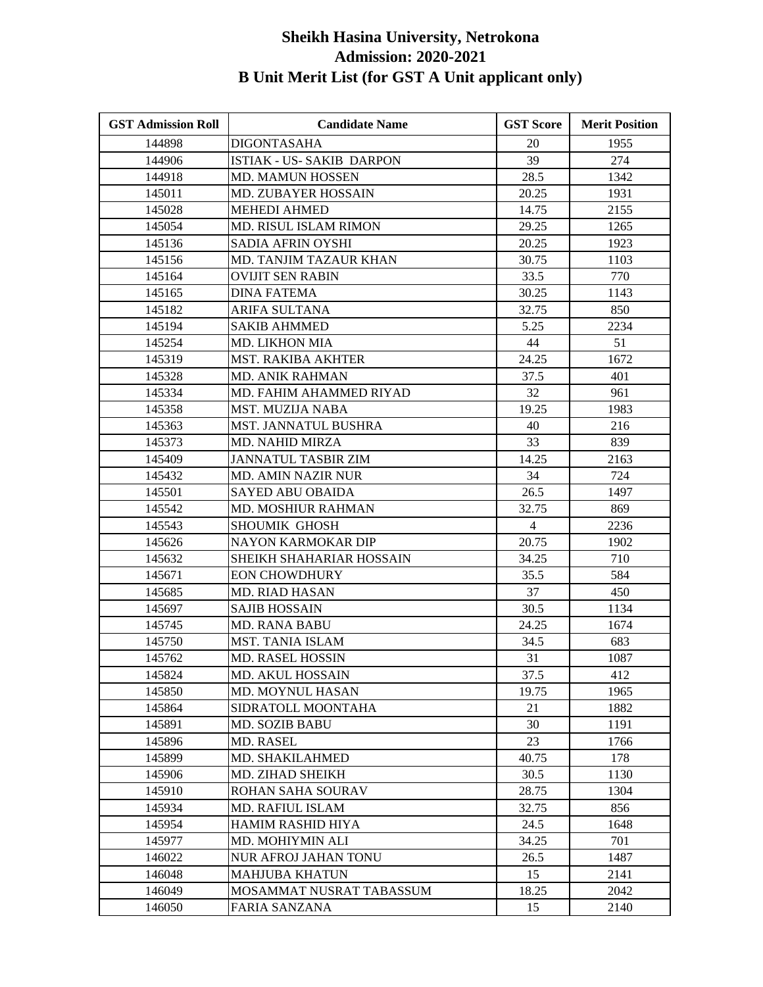| <b>GST Admission Roll</b> | <b>Candidate Name</b>            | <b>GST Score</b> | <b>Merit Position</b> |
|---------------------------|----------------------------------|------------------|-----------------------|
| 144898                    | <b>DIGONTASAHA</b>               | 20               | 1955                  |
| 144906                    | <b>ISTIAK - US- SAKIB DARPON</b> | 39               | 274                   |
| 144918                    | <b>MD. MAMUN HOSSEN</b>          | 28.5             | 1342                  |
| 145011                    | <b>MD. ZUBAYER HOSSAIN</b>       | 20.25            | 1931                  |
| 145028                    | <b>MEHEDI AHMED</b>              | 14.75            | 2155                  |
| 145054                    | MD. RISUL ISLAM RIMON            | 29.25            | 1265                  |
| 145136                    | SADIA AFRIN OYSHI                | 20.25            | 1923                  |
| 145156                    | MD. TANJIM TAZAUR KHAN           | 30.75            | 1103                  |
| 145164                    | <b>OVIJIT SEN RABIN</b>          | 33.5             | 770                   |
| 145165                    | <b>DINA FATEMA</b>               | 30.25            | 1143                  |
| 145182                    | ARIFA SULTANA                    | 32.75            | 850                   |
| 145194                    | SAKIB AHMMED                     | 5.25             | 2234                  |
| 145254                    | <b>MD. LIKHON MIA</b>            | 44               | 51                    |
| 145319                    | MST. RAKIBA AKHTER               | 24.25            | 1672                  |
| 145328                    | <b>MD. ANIK RAHMAN</b>           | 37.5             | 401                   |
| 145334                    | MD. FAHIM AHAMMED RIYAD          | 32               | 961                   |
| 145358                    | MST. MUZIJA NABA                 | 19.25            | 1983                  |
| 145363                    | MST. JANNATUL BUSHRA             | 40               | 216                   |
| 145373                    | <b>MD. NAHID MIRZA</b>           | 33               | 839                   |
| 145409                    | <b>JANNATUL TASBIR ZIM</b>       | 14.25            | 2163                  |
| 145432                    | <b>MD. AMIN NAZIR NUR</b>        | 34               | 724                   |
| 145501                    | SAYED ABU OBAIDA                 | 26.5             | 1497                  |
| 145542                    | <b>MD. MOSHIUR RAHMAN</b>        | 32.75            | 869                   |
| 145543                    | SHOUMIK GHOSH                    | $\overline{4}$   | 2236                  |
| 145626                    | NAYON KARMOKAR DIP               | 20.75            | 1902                  |
| 145632                    | SHEIKH SHAHARIAR HOSSAIN         | 34.25            | 710                   |
| 145671                    | <b>EON CHOWDHURY</b>             | 35.5             | 584                   |
| 145685                    | <b>MD. RIAD HASAN</b>            | 37               | 450                   |
| 145697                    | <b>SAJIB HOSSAIN</b>             | 30.5             | 1134                  |
| 145745                    | <b>MD. RANA BABU</b>             | 24.25            | 1674                  |
| 145750                    | MST. TANIA ISLAM                 | 34.5             | 683                   |
| 145762                    | <b>MD. RASEL HOSSIN</b>          | 31               | 1087                  |
| 145824                    | MD. AKUL HOSSAIN                 | 37.5             | 412                   |
| 145850                    | MD. MOYNUL HASAN                 | 19.75            | 1965                  |
| 145864                    | SIDRATOLL MOONTAHA               | 21               | 1882                  |
| 145891                    | <b>MD. SOZIB BABU</b>            | 30               | 1191                  |
| 145896                    | <b>MD. RASEL</b>                 | 23               | 1766                  |
| 145899                    | MD. SHAKILAHMED                  | 40.75            | 178                   |
| 145906                    | MD. ZIHAD SHEIKH                 | 30.5             | 1130                  |
| 145910                    | ROHAN SAHA SOURAV                | 28.75            | 1304                  |
| 145934                    | <b>MD. RAFIUL ISLAM</b>          | 32.75            | 856                   |
| 145954                    | HAMIM RASHID HIYA                | 24.5             | 1648                  |
| 145977                    | MD. MOHIYMIN ALI                 | 34.25            | 701                   |
| 146022                    | NUR AFROJ JAHAN TONU             | 26.5             | 1487                  |
| 146048                    | <b>MAHJUBA KHATUN</b>            | 15               | 2141                  |
| 146049                    | MOSAMMAT NUSRAT TABASSUM         | 18.25            | 2042                  |
| 146050                    | FARIA SANZANA                    | 15               | 2140                  |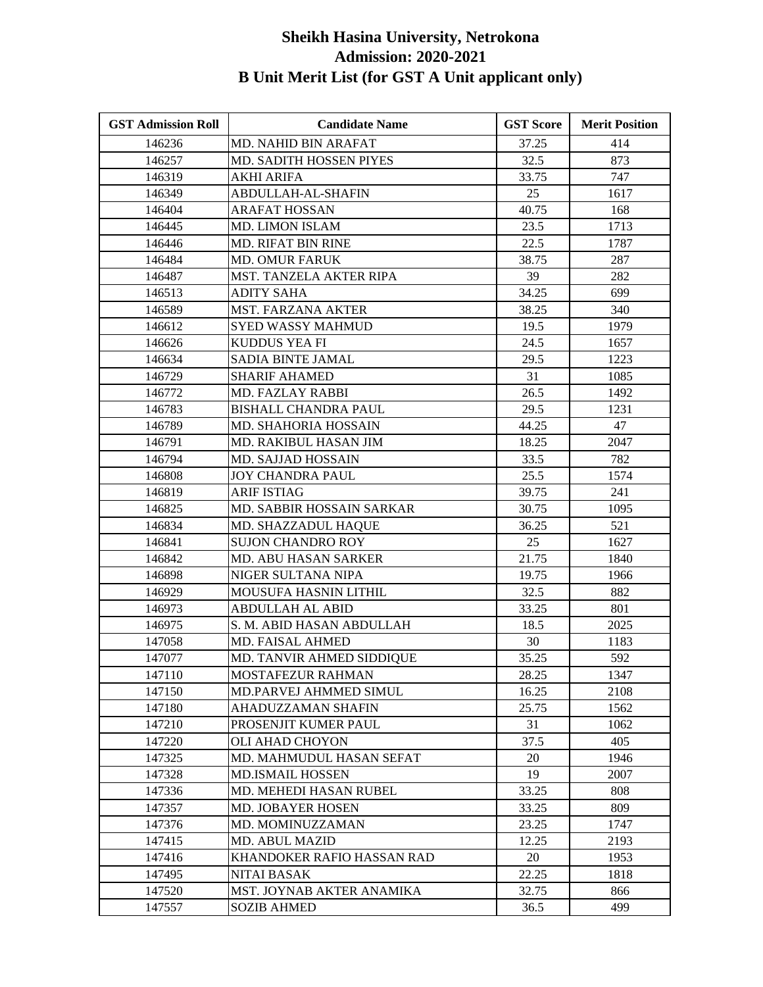| <b>GST Admission Roll</b> | <b>Candidate Name</b>         | <b>GST Score</b> | <b>Merit Position</b> |
|---------------------------|-------------------------------|------------------|-----------------------|
| 146236                    | MD. NAHID BIN ARAFAT          | 37.25            | 414                   |
| 146257                    | MD. SADITH HOSSEN PIYES       | 32.5             | 873                   |
| 146319                    | AKHI ARIFA                    | 33.75            | 747                   |
| 146349                    | ABDULLAH-AL-SHAFIN            | 25               | 1617                  |
| 146404                    | ARAFAT HOSSAN                 | 40.75            | 168                   |
| 146445                    | <b>MD. LIMON ISLAM</b>        | 23.5             | 1713                  |
| 146446                    | MD. RIFAT BIN RINE            | 22.5             | 1787                  |
| 146484                    | <b>MD. OMUR FARUK</b>         | 38.75            | 287                   |
| 146487                    | MST. TANZELA AKTER RIPA       | 39               | 282                   |
| 146513                    | <b>ADITY SAHA</b>             | 34.25            | 699                   |
| 146589                    | <b>MST. FARZANA AKTER</b>     | 38.25            | 340                   |
| 146612                    | <b>SYED WASSY MAHMUD</b>      | 19.5             | 1979                  |
| 146626                    | KUDDUS YEA FI                 | 24.5             | 1657                  |
| 146634                    | SADIA BINTE JAMAL             | 29.5             | 1223                  |
| 146729                    | <b>SHARIF AHAMED</b>          | 31               | 1085                  |
| 146772                    | <b>MD. FAZLAY RABBI</b>       | 26.5             | 1492                  |
| 146783                    | <b>BISHALL CHANDRA PAUL</b>   | 29.5             | 1231                  |
| 146789                    | MD. SHAHORIA HOSSAIN          | 44.25            | 47                    |
| 146791                    | MD. RAKIBUL HASAN JIM         | 18.25            | 2047                  |
| 146794                    | MD. SAJJAD HOSSAIN            | 33.5             | 782                   |
| 146808                    | <b>JOY CHANDRA PAUL</b>       | 25.5             | 1574                  |
| 146819                    | <b>ARIF ISTIAG</b>            | 39.75            | 241                   |
| 146825                    | MD. SABBIR HOSSAIN SARKAR     | 30.75            | 1095                  |
| 146834                    | MD. SHAZZADUL HAQUE           | 36.25            | 521                   |
| 146841                    | <b>SUJON CHANDRO ROY</b>      | 25               | 1627                  |
| 146842                    | MD. ABU HASAN SARKER          | 21.75            | 1840                  |
| 146898                    | NIGER SULTANA NIPA            | 19.75            | 1966                  |
| 146929                    | MOUSUFA HASNIN LITHIL         | 32.5             | 882                   |
| 146973                    | <b>ABDULLAH AL ABID</b>       | 33.25            | 801                   |
| 146975                    | S. M. ABID HASAN ABDULLAH     | 18.5             | 2025                  |
| 147058                    | <b>MD. FAISAL AHMED</b>       | 30               | 1183                  |
| 147077                    | MD. TANVIR AHMED SIDDIQUE     | 35.25            | 592                   |
| 147110                    | MOSTAFEZUR RAHMAN             | 28.25            | 1347                  |
| 147150                    | <b>MD.PARVEJ AHMMED SIMUL</b> | 16.25            | 2108                  |
| 147180                    | AHADUZZAMAN SHAFIN            | 25.75            | 1562                  |
| 147210                    | PROSENJIT KUMER PAUL          | 31               | 1062                  |
| 147220                    | OLI AHAD CHOYON               | 37.5             | 405                   |
| 147325                    | MD. MAHMUDUL HASAN SEFAT      | 20               | 1946                  |
| 147328                    | <b>MD.ISMAIL HOSSEN</b>       | 19               | 2007                  |
| 147336                    | MD. MEHEDI HASAN RUBEL        | 33.25            | 808                   |
| 147357                    | <b>MD. JOBAYER HOSEN</b>      | 33.25            | 809                   |
| 147376                    | MD. MOMINUZZAMAN              | 23.25            | 1747                  |
| 147415                    | <b>MD. ABUL MAZID</b>         | 12.25            | 2193                  |
| 147416                    | KHANDOKER RAFIO HASSAN RAD    | 20               | 1953                  |
| 147495                    | <b>NITAI BASAK</b>            | 22.25            | 1818                  |
| 147520                    | MST. JOYNAB AKTER ANAMIKA     | 32.75            | 866                   |
| 147557                    | <b>SOZIB AHMED</b>            | 36.5             | 499                   |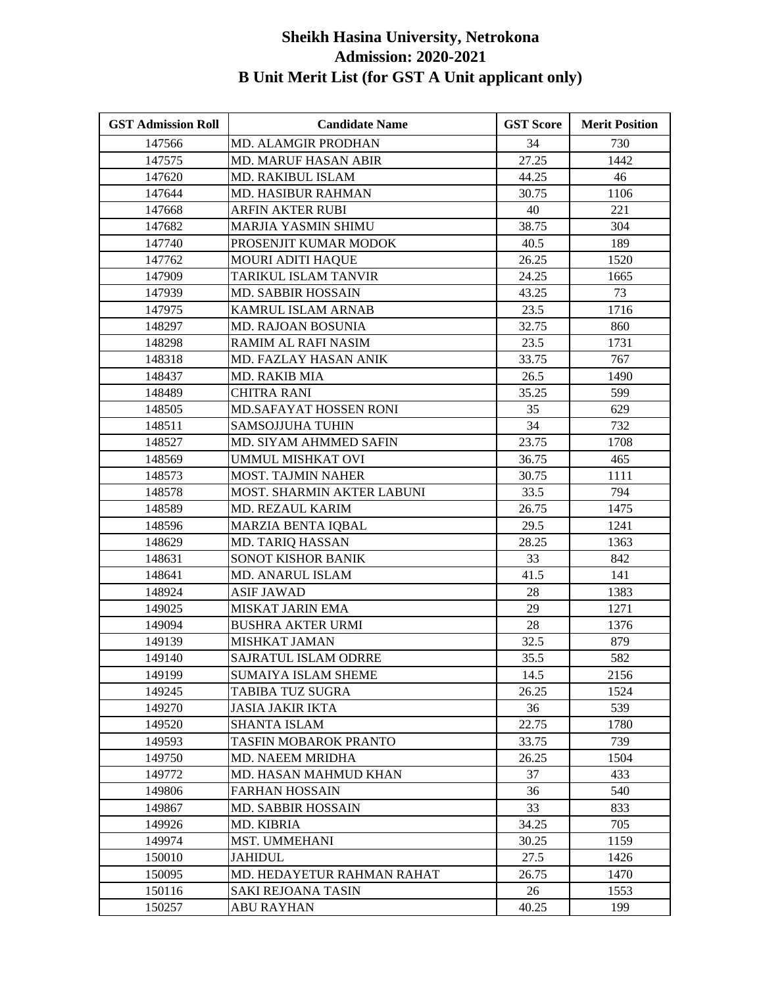| <b>GST Admission Roll</b> | <b>Candidate Name</b>       | <b>GST Score</b> | <b>Merit Position</b> |
|---------------------------|-----------------------------|------------------|-----------------------|
| 147566                    | MD. ALAMGIR PRODHAN         | 34               | 730                   |
| 147575                    | <b>MD. MARUF HASAN ABIR</b> | 27.25            | 1442                  |
| 147620                    | <b>MD. RAKIBUL ISLAM</b>    | 44.25            | 46                    |
| 147644                    | MD. HASIBUR RAHMAN          | 30.75            | 1106                  |
| 147668                    | ARFIN AKTER RUBI            | 40               | 221                   |
| 147682                    | MARJIA YASMIN SHIMU         | 38.75            | 304                   |
| 147740                    | PROSENJIT KUMAR MODOK       | 40.5             | 189                   |
| 147762                    | <b>MOURI ADITI HAQUE</b>    | 26.25            | 1520                  |
| 147909                    | TARIKUL ISLAM TANVIR        | 24.25            | 1665                  |
| 147939                    | <b>MD. SABBIR HOSSAIN</b>   | 43.25            | 73                    |
| 147975                    | KAMRUL ISLAM ARNAB          | 23.5             | 1716                  |
| 148297                    | <b>MD. RAJOAN BOSUNIA</b>   | 32.75            | 860                   |
| 148298                    | RAMIM AL RAFI NASIM         | 23.5             | 1731                  |
| 148318                    | MD. FAZLAY HASAN ANIK       | 33.75            | 767                   |
| 148437                    | MD. RAKIB MIA               | 26.5             | 1490                  |
| 148489                    | <b>CHITRA RANI</b>          | 35.25            | 599                   |
| 148505                    | MD.SAFAYAT HOSSEN RONI      | 35               | 629                   |
| 148511                    | <b>SAMSOJJUHA TUHIN</b>     | 34               | 732                   |
| 148527                    | MD. SIYAM AHMMED SAFIN      | 23.75            | 1708                  |
| 148569                    | <b>UMMUL MISHKAT OVI</b>    | 36.75            | 465                   |
| 148573                    | <b>MOST. TAJMIN NAHER</b>   | 30.75            | 1111                  |
| 148578                    | MOST. SHARMIN AKTER LABUNI  | 33.5             | 794                   |
| 148589                    | MD. REZAUL KARIM            | 26.75            | 1475                  |
| 148596                    | MARZIA BENTA IQBAL          | 29.5             | 1241                  |
| 148629                    | MD. TARIQ HASSAN            | 28.25            | 1363                  |
| 148631                    | SONOT KISHOR BANIK          | 33               | 842                   |
| 148641                    | MD. ANARUL ISLAM            | 41.5             | 141                   |
| 148924                    | <b>ASIF JAWAD</b>           | 28               | 1383                  |
| 149025                    | MISKAT JARIN EMA            | 29               | 1271                  |
| 149094                    | <b>BUSHRA AKTER URMI</b>    | 28               | 1376                  |
| 149139                    | <b>MISHKAT JAMAN</b>        | 32.5             | 879                   |
| 149140                    | SAJRATUL ISLAM ODRRE        | 35.5             | 582                   |
| 149199                    | SUMAIYA ISLAM SHEME         | 14.5             | 2156                  |
| 149245                    | <b>TABIBA TUZ SUGRA</b>     | 26.25            | 1524                  |
| 149270                    | JASIA JAKIR IKTA            | 36               | 539                   |
| 149520                    | <b>SHANTA ISLAM</b>         | 22.75            | 1780                  |
| 149593                    | TASFIN MOBAROK PRANTO       | 33.75            | 739                   |
| 149750                    | <b>MD. NAEEM MRIDHA</b>     | 26.25            | 1504                  |
| 149772                    | MD. HASAN MAHMUD KHAN       | 37               | 433                   |
| 149806                    | <b>FARHAN HOSSAIN</b>       | 36               | 540                   |
| 149867                    | <b>MD. SABBIR HOSSAIN</b>   | 33               | 833                   |
| 149926                    | MD. KIBRIA                  | 34.25            | 705                   |
| 149974                    | MST. UMMEHANI               | 30.25            | 1159                  |
| 150010                    | <b>JAHIDUL</b>              | 27.5             | 1426                  |
| 150095                    | MD. HEDAYETUR RAHMAN RAHAT  | 26.75            | 1470                  |
| 150116                    | <b>SAKI REJOANA TASIN</b>   | 26               | 1553                  |
| 150257                    | <b>ABU RAYHAN</b>           | 40.25            | 199                   |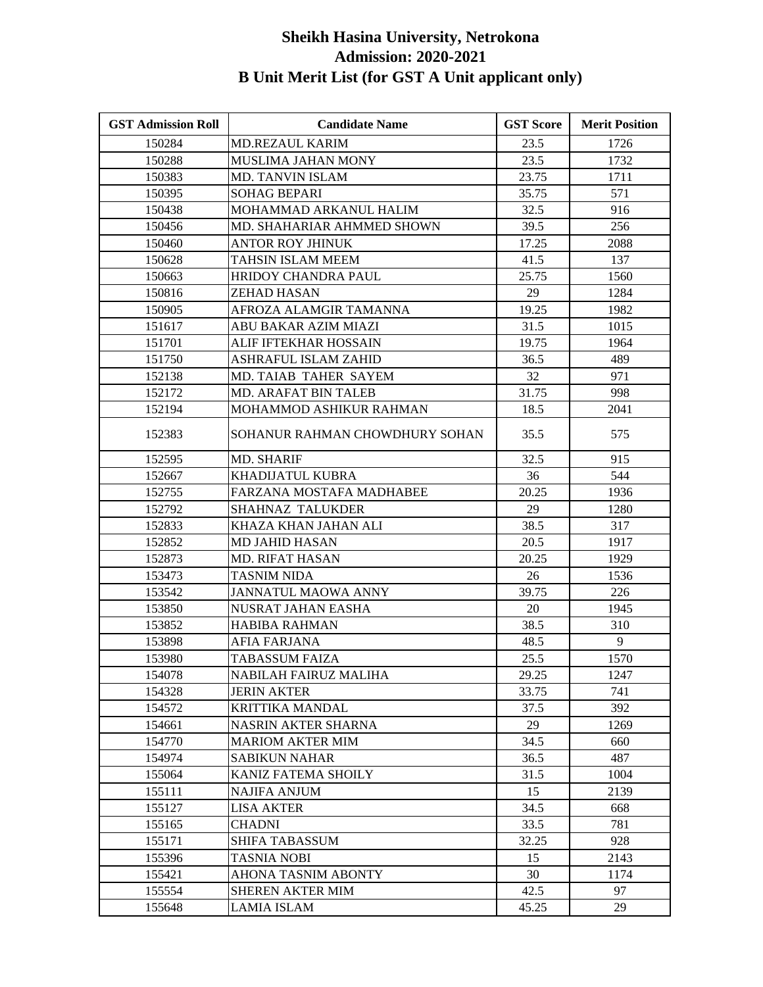| <b>GST Admission Roll</b> | <b>Candidate Name</b>          | <b>GST Score</b> | <b>Merit Position</b> |
|---------------------------|--------------------------------|------------------|-----------------------|
| 150284                    | <b>MD.REZAUL KARIM</b>         | 23.5             | 1726                  |
| 150288                    | <b>MUSLIMA JAHAN MONY</b>      | 23.5             | 1732                  |
| 150383                    | <b>MD. TANVIN ISLAM</b>        | 23.75            | 1711                  |
| 150395                    | <b>SOHAG BEPARI</b>            | 35.75            | 571                   |
| 150438                    | MOHAMMAD ARKANUL HALIM         | 32.5             | 916                   |
| 150456                    | MD. SHAHARIAR AHMMED SHOWN     | 39.5             | 256                   |
| 150460                    | <b>ANTOR ROY JHINUK</b>        | 17.25            | 2088                  |
| 150628                    | <b>TAHSIN ISLAM MEEM</b>       | 41.5             | 137                   |
| 150663                    | <b>HRIDOY CHANDRA PAUL</b>     | 25.75            | 1560                  |
| 150816                    | ZEHAD HASAN                    | 29               | 1284                  |
| 150905                    | AFROZA ALAMGIR TAMANNA         | 19.25            | 1982                  |
| 151617                    | ABU BAKAR AZIM MIAZI           | 31.5             | 1015                  |
| 151701                    | ALIF IFTEKHAR HOSSAIN          | 19.75            | 1964                  |
| 151750                    | ASHRAFUL ISLAM ZAHID           | 36.5             | 489                   |
| 152138                    | MD. TAIAB TAHER SAYEM          | 32               | 971                   |
| 152172                    | MD. ARAFAT BIN TALEB           | 31.75            | 998                   |
| 152194                    | MOHAMMOD ASHIKUR RAHMAN        | 18.5             | 2041                  |
| 152383                    | SOHANUR RAHMAN CHOWDHURY SOHAN | 35.5             | 575                   |
| 152595                    | <b>MD. SHARIF</b>              | 32.5             | 915                   |
| 152667                    | <b>KHADIJATUL KUBRA</b>        | 36               | 544                   |
| 152755                    | FARZANA MOSTAFA MADHABEE       | 20.25            | 1936                  |
| 152792                    | <b>SHAHNAZ TALUKDER</b>        | 29               | 1280                  |
| 152833                    | KHAZA KHAN JAHAN ALI           | 38.5             | 317                   |
| 152852                    | <b>MD JAHID HASAN</b>          | 20.5             | 1917                  |
| 152873                    | MD. RIFAT HASAN                | 20.25            | 1929                  |
| 153473                    | <b>TASNIM NIDA</b>             | 26               | 1536                  |
| 153542                    | JANNATUL MAOWA ANNY            | 39.75            | 226                   |
| 153850                    | <b>NUSRAT JAHAN EASHA</b>      | 20               | 1945                  |
| 153852                    | <b>HABIBA RAHMAN</b>           | 38.5             | 310                   |
| 153898                    | AFIA FARJANA                   | 48.5             | 9                     |
| 153980                    | TABASSUM FAIZA                 | 25.5             | 1570                  |
| 154078                    | NABILAH FAIRUZ MALIHA          | 29.25            | 1247                  |
| 154328                    | <b>JERIN AKTER</b>             | 33.75            | 741                   |
| 154572                    | KRITTIKA MANDAL                | 37.5             | 392                   |
| 154661                    | <b>NASRIN AKTER SHARNA</b>     | 29               | 1269                  |
| 154770                    | <b>MARIOM AKTER MIM</b>        | 34.5             | 660                   |
| 154974                    | <b>SABIKUN NAHAR</b>           | 36.5             | 487                   |
| 155064                    | KANIZ FATEMA SHOILY            | 31.5             | 1004                  |
| 155111                    | <b>NAJIFA ANJUM</b>            | 15               | 2139                  |
| 155127                    | LISA AKTER                     | 34.5             | 668                   |
| 155165                    | <b>CHADNI</b>                  | 33.5             | 781                   |
| 155171                    | SHIFA TABASSUM                 | 32.25            | 928                   |
| 155396                    | TASNIA NOBI                    | 15               | 2143                  |
| 155421                    | <b>AHONA TASNIM ABONTY</b>     | 30               | 1174                  |
| 155554                    | <b>SHEREN AKTER MIM</b>        | 42.5             | 97                    |
| 155648                    | LAMIA ISLAM                    | 45.25            | 29                    |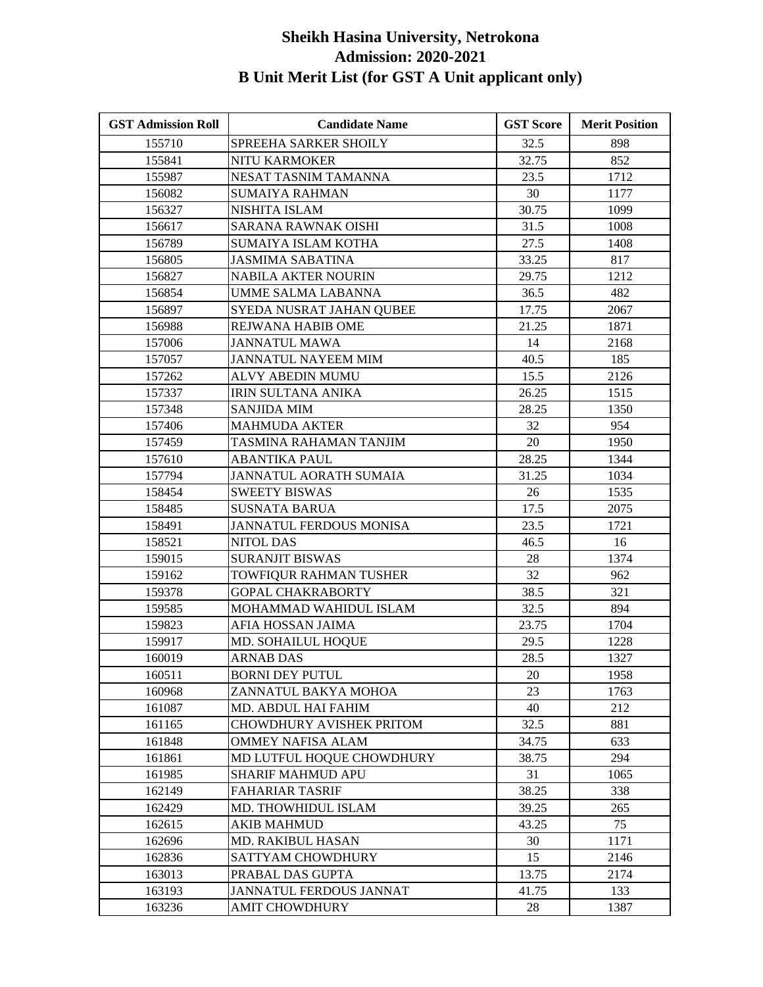| <b>GST Admission Roll</b> | <b>Candidate Name</b>         | <b>GST Score</b> | <b>Merit Position</b> |
|---------------------------|-------------------------------|------------------|-----------------------|
| 155710                    | SPREEHA SARKER SHOILY         | 32.5             | 898                   |
| 155841                    | <b>NITU KARMOKER</b>          | 32.75            | 852                   |
| 155987                    | NESAT TASNIM TAMANNA          | 23.5             | 1712                  |
| 156082                    | <b>SUMAIYA RAHMAN</b>         | 30               | 1177                  |
| 156327                    | NISHITA ISLAM                 | 30.75            | 1099                  |
| 156617                    | SARANA RAWNAK OISHI           | 31.5             | 1008                  |
| 156789                    | SUMAIYA ISLAM KOTHA           | 27.5             | 1408                  |
| 156805                    | <b>JASMIMA SABATINA</b>       | 33.25            | 817                   |
| 156827                    | <b>NABILA AKTER NOURIN</b>    | 29.75            | 1212                  |
| 156854                    | UMME SALMA LABANNA            | 36.5             | 482                   |
| 156897                    | SYEDA NUSRAT JAHAN QUBEE      | 17.75            | 2067                  |
| 156988                    | REJWANA HABIB OME             | 21.25            | 1871                  |
| 157006                    | <b>JANNATUL MAWA</b>          | 14               | 2168                  |
| 157057                    | JANNATUL NAYEEM MIM           | 40.5             | 185                   |
| 157262                    | <b>ALVY ABEDIN MUMU</b>       | 15.5             | 2126                  |
| 157337                    | <b>IRIN SULTANA ANIKA</b>     | 26.25            | 1515                  |
| 157348                    | <b>SANJIDA MIM</b>            | 28.25            | 1350                  |
| 157406                    | <b>MAHMUDA AKTER</b>          | 32               | 954                   |
| 157459                    | TASMINA RAHAMAN TANJIM        | 20               | 1950                  |
| 157610                    | <b>ABANTIKA PAUL</b>          | 28.25            | 1344                  |
| 157794                    | <b>JANNATUL AORATH SUMAIA</b> | 31.25            | 1034                  |
| 158454                    | <b>SWEETY BISWAS</b>          | 26               | 1535                  |
| 158485                    | SUSNATA BARUA                 | 17.5             | 2075                  |
| 158491                    | JANNATUL FERDOUS MONISA       | 23.5             | 1721                  |
| 158521                    | <b>NITOL DAS</b>              | 46.5             | 16                    |
| 159015                    | <b>SURANJIT BISWAS</b>        | 28               | 1374                  |
| 159162                    | TOWFIQUR RAHMAN TUSHER        | 32               | 962                   |
| 159378                    | <b>GOPAL CHAKRABORTY</b>      | 38.5             | 321                   |
| 159585                    | MOHAMMAD WAHIDUL ISLAM        | 32.5             | 894                   |
| 159823                    | AFIA HOSSAN JAIMA             | 23.75            | 1704                  |
| 159917                    | MD. SOHAILUL HOQUE            | 29.5             | 1228                  |
| 160019                    | <b>ARNAB DAS</b>              | 28.5             | 1327                  |
| 160511                    | <b>BORNI DEY PUTUL</b>        | 20               | 1958                  |
| 160968                    | ZANNATUL BAKYA MOHOA          | 23               | 1763                  |
| 161087                    | MD. ABDUL HAI FAHIM           | 40               | 212                   |
| 161165                    | CHOWDHURY AVISHEK PRITOM      | 32.5             | 881                   |
| 161848                    | OMMEY NAFISA ALAM             | 34.75            | 633                   |
| 161861                    | MD LUTFUL HOQUE CHOWDHURY     | 38.75            | 294                   |
| 161985                    | <b>SHARIF MAHMUD APU</b>      | 31               | 1065                  |
| 162149                    | <b>FAHARIAR TASRIF</b>        | 38.25            | 338                   |
| 162429                    | <b>MD. THOWHIDUL ISLAM</b>    | 39.25            | 265                   |
| 162615                    | <b>AKIB MAHMUD</b>            | 43.25            | 75                    |
| 162696                    | MD. RAKIBUL HASAN             | 30               | 1171                  |
| 162836                    | <b>SATTYAM CHOWDHURY</b>      | 15               | 2146                  |
| 163013                    | PRABAL DAS GUPTA              | 13.75            | 2174                  |
| 163193                    | JANNATUL FERDOUS JANNAT       | 41.75            | 133                   |
| 163236                    | <b>AMIT CHOWDHURY</b>         | 28               | 1387                  |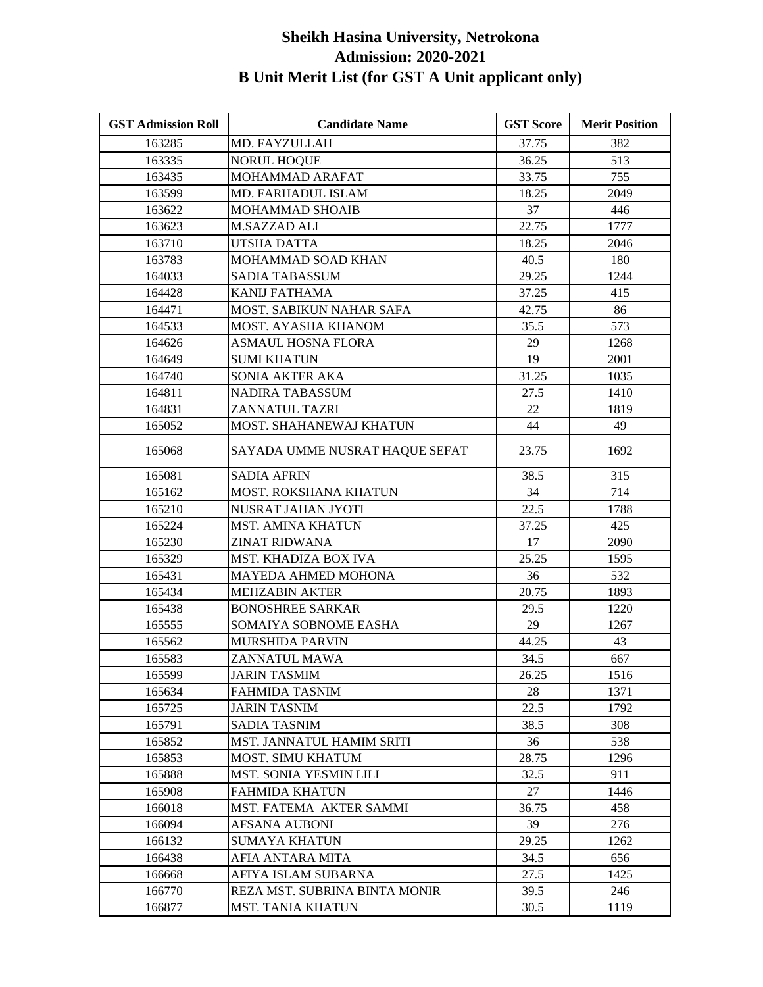| <b>GST Admission Roll</b> | <b>Candidate Name</b>          | <b>GST Score</b> | <b>Merit Position</b> |
|---------------------------|--------------------------------|------------------|-----------------------|
| 163285                    | MD. FAYZULLAH                  | 37.75            | 382                   |
| 163335                    | <b>NORUL HOQUE</b>             | 36.25            | 513                   |
| 163435                    | MOHAMMAD ARAFAT                | 33.75            | 755                   |
| 163599                    | MD. FARHADUL ISLAM             | 18.25            | 2049                  |
| 163622                    | MOHAMMAD SHOAIB                | 37               | 446                   |
| 163623                    | <b>M.SAZZAD ALI</b>            | 22.75            | 1777                  |
| 163710                    | UTSHA DATTA                    | 18.25            | 2046                  |
| 163783                    | MOHAMMAD SOAD KHAN             | 40.5             | 180                   |
| 164033                    | <b>SADIA TABASSUM</b>          | 29.25            | 1244                  |
| 164428                    | <b>KANIJ FATHAMA</b>           | 37.25            | 415                   |
| 164471                    | MOST. SABIKUN NAHAR SAFA       | 42.75            | 86                    |
| 164533                    | MOST. AYASHA KHANOM            | 35.5             | 573                   |
| 164626                    | <b>ASMAUL HOSNA FLORA</b>      | 29               | 1268                  |
| 164649                    | <b>SUMI KHATUN</b>             | 19               | 2001                  |
| 164740                    | SONIA AKTER AKA                | 31.25            | 1035                  |
| 164811                    | <b>NADIRA TABASSUM</b>         | 27.5             | 1410                  |
| 164831                    | ZANNATUL TAZRI                 | 22               | 1819                  |
| 165052                    | MOST. SHAHANEWAJ KHATUN        | 44               | 49                    |
| 165068                    | SAYADA UMME NUSRAT HAQUE SEFAT | 23.75            | 1692                  |
| 165081                    | <b>SADIA AFRIN</b>             | 38.5             | 315                   |
| 165162                    | MOST. ROKSHANA KHATUN          | 34               | 714                   |
| 165210                    | NUSRAT JAHAN JYOTI             | 22.5             | 1788                  |
| 165224                    | <b>MST. AMINA KHATUN</b>       | 37.25            | 425                   |
| 165230                    | <b>ZINAT RIDWANA</b>           | 17               | 2090                  |
| 165329                    | MST. KHADIZA BOX IVA           | 25.25            | 1595                  |
| 165431                    | MAYEDA AHMED MOHONA            | 36               | 532                   |
| 165434                    | <b>MEHZABIN AKTER</b>          | 20.75            | 1893                  |
| 165438                    | <b>BONOSHREE SARKAR</b>        | 29.5             | 1220                  |
| 165555                    | SOMAIYA SOBNOME EASHA          | 29               | 1267                  |
| 165562                    | MURSHIDA PARVIN                | 44.25            | 43                    |
| 165583                    | ZANNATUL MAWA                  | 34.5             | 667                   |
| 165599                    | <b>JARIN TASMIM</b>            | 26.25            | 1516                  |
| 165634                    | FAHMIDA TASNIM                 | 28               | 1371                  |
| 165725                    | <b>JARIN TASNIM</b>            | 22.5             | 1792                  |
| 165791                    | <b>SADIA TASNIM</b>            | 38.5             | 308                   |
| 165852                    | MST. JANNATUL HAMIM SRITI      | 36               | 538                   |
| 165853                    | <b>MOST. SIMU KHATUM</b>       | 28.75            | 1296                  |
| 165888                    | <b>MST. SONIA YESMIN LILI</b>  | 32.5             | 911                   |
| 165908                    | <b>FAHMIDA KHATUN</b>          | 27               | 1446                  |
| 166018                    | MST. FATEMA AKTER SAMMI        | 36.75            | 458                   |
| 166094                    | <b>AFSANA AUBONI</b>           | 39               | 276                   |
| 166132                    | <b>SUMAYA KHATUN</b>           | 29.25            | 1262                  |
| 166438                    | AFIA ANTARA MITA               | 34.5             | 656                   |
| 166668                    | AFIYA ISLAM SUBARNA            | 27.5             | 1425                  |
| 166770                    | REZA MST. SUBRINA BINTA MONIR  | 39.5             | 246                   |
| 166877                    | <b>MST. TANIA KHATUN</b>       | 30.5             | 1119                  |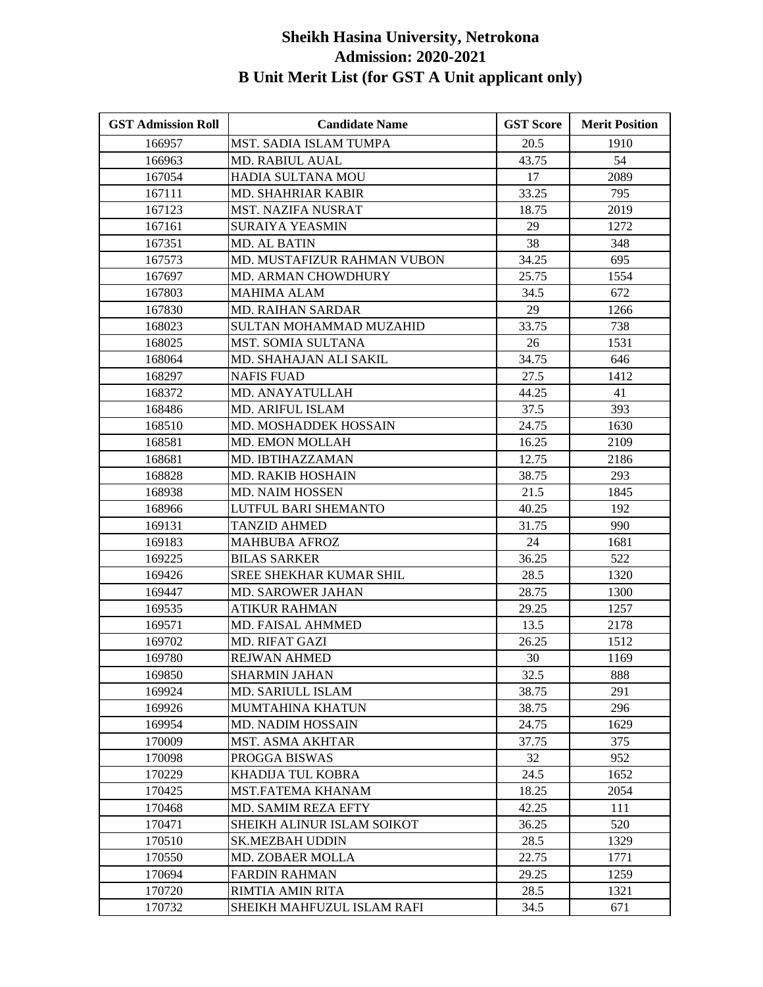| <b>GST Admission Roll</b> | <b>Candidate Name</b>         | <b>GST Score</b> | <b>Merit Position</b> |
|---------------------------|-------------------------------|------------------|-----------------------|
| 166957                    | <b>MST. SADIA ISLAM TUMPA</b> | 20.5             | 1910                  |
| 166963                    | <b>MD. RABIUL AUAL</b>        | 43.75            | 54                    |
| 167054                    | HADIA SULTANA MOU             | 17               | 2089                  |
| 167111                    | <b>MD. SHAHRIAR KABIR</b>     | 33.25            | 795                   |
| 167123                    | MST. NAZIFA NUSRAT            | 18.75            | 2019                  |
| 167161                    | SURAIYA YEASMIN               | 29               | 1272                  |
| 167351                    | MD. AL BATIN                  | 38               | 348                   |
| 167573                    | MD. MUSTAFIZUR RAHMAN VUBON   | 34.25            | 695                   |
| 167697                    | MD. ARMAN CHOWDHURY           | 25.75            | 1554                  |
| 167803                    | <b>MAHIMA ALAM</b>            | 34.5             | 672                   |
| 167830                    | <b>MD. RAIHAN SARDAR</b>      | 29               | 1266                  |
| 168023                    | SULTAN MOHAMMAD MUZAHID       | 33.75            | 738                   |
| 168025                    | MST. SOMIA SULTANA            | 26               | 1531                  |
| 168064                    | MD. SHAHAJAN ALI SAKIL        | 34.75            | 646                   |
| 168297                    | <b>NAFIS FUAD</b>             | 27.5             | 1412                  |
| 168372                    | MD. ANAYATULLAH               | 44.25            | 41                    |
| 168486                    | MD. ARIFUL ISLAM              | 37.5             | 393                   |
| 168510                    | MD. MOSHADDEK HOSSAIN         | 24.75            | 1630                  |
| 168581                    | <b>MD. EMON MOLLAH</b>        | 16.25            | 2109                  |
| 168681                    | MD. IBTIHAZZAMAN              | 12.75            | 2186                  |
| 168828                    | MD. RAKIB HOSHAIN             | 38.75            | 293                   |
| 168938                    | <b>MD. NAIM HOSSEN</b>        | 21.5             | 1845                  |
| 168966                    | LUTFUL BARI SHEMANTO          | 40.25            | 192                   |
| 169131                    | TANZID AHMED                  | 31.75            | 990                   |
| 169183                    | <b>MAHBUBA AFROZ</b>          | 24               | 1681                  |
| 169225                    | <b>BILAS SARKER</b>           | 36.25            | 522                   |
| 169426                    | SREE SHEKHAR KUMAR SHIL       | 28.5             | 1320                  |
| 169447                    | <b>MD. SAROWER JAHAN</b>      | 28.75            | 1300                  |
| 169535                    | <b>ATIKUR RAHMAN</b>          | 29.25            | 1257                  |
| 169571                    | MD. FAISAL AHMMED             | 13.5             | 2178                  |
| 169702                    | <b>MD. RIFAT GAZI</b>         | 26.25            | 1512                  |
| 169780                    | REJWAN AHMED                  | 30               | 1169                  |
| 169850                    | <b>SHARMIN JAHAN</b>          | 32.5             | 888                   |
| 169924                    | MD. SARIULL ISLAM             | 38.75            | 291                   |
| 169926                    | <b>MUMTAHINA KHATUN</b>       | 38.75            | 296                   |
| 169954                    | <b>MD. NADIM HOSSAIN</b>      | 24.75            | 1629                  |
| 170009                    | MST. ASMA AKHTAR              | 37.75            | 375                   |
| 170098                    | PROGGA BISWAS                 | 32               | 952                   |
| 170229                    | KHADIJA TUL KOBRA             | 24.5             | 1652                  |
| 170425                    | <b>MST.FATEMA KHANAM</b>      | 18.25            | 2054                  |
| 170468                    | <b>MD. SAMIM REZA EFTY</b>    | 42.25            | 111                   |
| 170471                    | SHEIKH ALINUR ISLAM SOIKOT    | 36.25            | 520                   |
| 170510                    | <b>SK.MEZBAH UDDIN</b>        | 28.5             | 1329                  |
| 170550                    | <b>MD. ZOBAER MOLLA</b>       | 22.75            | 1771                  |
| 170694                    | <b>FARDIN RAHMAN</b>          | 29.25            | 1259                  |
| 170720                    | RIMTIA AMIN RITA              | 28.5             | 1321                  |
| 170732                    | SHEIKH MAHFUZUL ISLAM RAFI    | 34.5             | 671                   |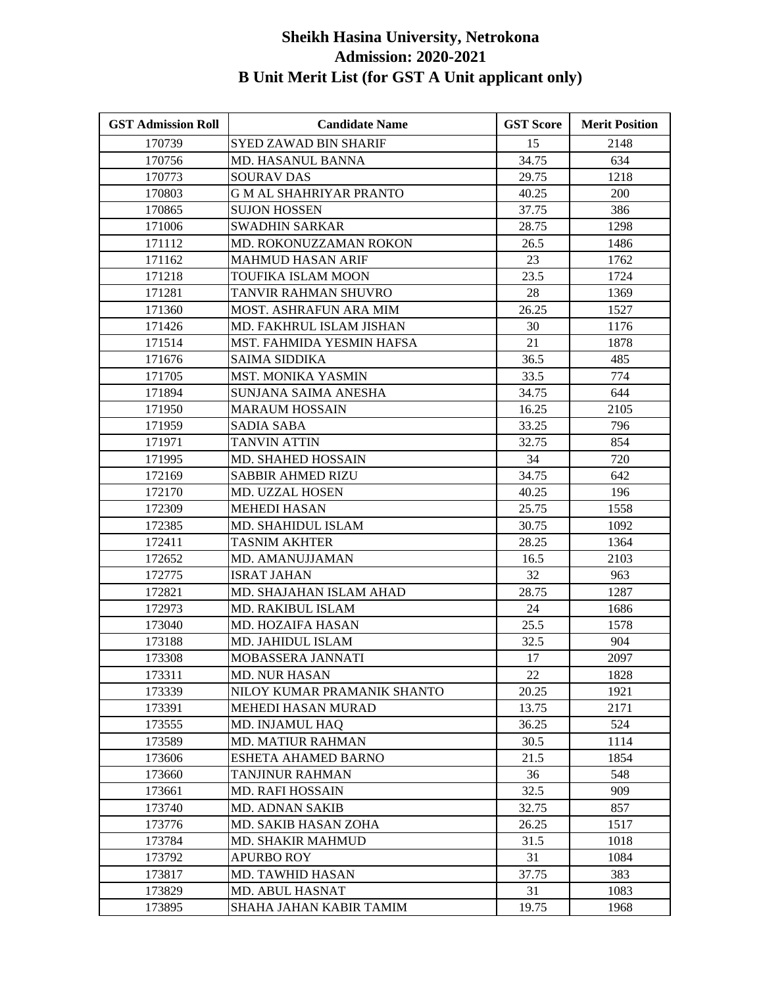| <b>GST Admission Roll</b> | <b>Candidate Name</b>         | <b>GST Score</b> | <b>Merit Position</b> |
|---------------------------|-------------------------------|------------------|-----------------------|
| 170739                    | <b>SYED ZAWAD BIN SHARIF</b>  | 15               | 2148                  |
| 170756                    | <b>MD. HASANUL BANNA</b>      | 34.75            | 634                   |
| 170773                    | <b>SOURAV DAS</b>             | 29.75            | 1218                  |
| 170803                    | <b>GM AL SHAHRIYAR PRANTO</b> | 40.25            | <b>200</b>            |
| 170865                    | <b>SUJON HOSSEN</b>           | 37.75            | 386                   |
| 171006                    | <b>SWADHIN SARKAR</b>         | 28.75            | 1298                  |
| 171112                    | MD. ROKONUZZAMAN ROKON        | 26.5             | 1486                  |
| 171162                    | <b>MAHMUD HASAN ARIF</b>      | 23               | 1762                  |
| 171218                    | TOUFIKA ISLAM MOON            | 23.5             | 1724                  |
| 171281                    | TANVIR RAHMAN SHUVRO          | 28               | 1369                  |
| 171360                    | <b>MOST. ASHRAFUN ARA MIM</b> | 26.25            | 1527                  |
| 171426                    | MD. FAKHRUL ISLAM JISHAN      | 30               | 1176                  |
| 171514                    | MST. FAHMIDA YESMIN HAFSA     | 21               | 1878                  |
| 171676                    | SAIMA SIDDIKA                 | 36.5             | 485                   |
| 171705                    | MST. MONIKA YASMIN            | 33.5             | 774                   |
| 171894                    | SUNJANA SAIMA ANESHA          | 34.75            | 644                   |
| 171950                    | <b>MARAUM HOSSAIN</b>         | 16.25            | 2105                  |
| 171959                    | <b>SADIA SABA</b>             | 33.25            | 796                   |
| 171971                    | <b>TANVIN ATTIN</b>           | 32.75            | 854                   |
| 171995                    | MD. SHAHED HOSSAIN            | 34               | 720                   |
| 172169                    | <b>SABBIR AHMED RIZU</b>      | 34.75            | 642                   |
| 172170                    | <b>MD. UZZAL HOSEN</b>        | 40.25            | 196                   |
| 172309                    | <b>MEHEDI HASAN</b>           | 25.75            | 1558                  |
| 172385                    | MD. SHAHIDUL ISLAM            | 30.75            | 1092                  |
| 172411                    | <b>TASNIM AKHTER</b>          | 28.25            | 1364                  |
| 172652                    | MD. AMANUJJAMAN               | 16.5             | 2103                  |
| 172775                    | <b>ISRAT JAHAN</b>            | 32               | 963                   |
| 172821                    | MD. SHAJAHAN ISLAM AHAD       | 28.75            | 1287                  |
| 172973                    | MD. RAKIBUL ISLAM             | 24               | 1686                  |
| 173040                    | MD. HOZAIFA HASAN             | 25.5             | 1578                  |
| 173188                    | MD. JAHIDUL ISLAM             | 32.5             | 904                   |
| 173308                    | MOBASSERA JANNATI             | 17               | 2097                  |
| 173311                    | MD. NUR HASAN                 | 22               | 1828                  |
| 173339                    | NILOY KUMAR PRAMANIK SHANTO   | 20.25            | 1921                  |
| 173391                    | MEHEDI HASAN MURAD            | 13.75            | 2171                  |
| 173555                    | MD. INJAMUL HAQ               | 36.25            | 524                   |
| 173589                    | MD. MATIUR RAHMAN             | 30.5             | 1114                  |
| 173606                    | ESHETA AHAMED BARNO           | 21.5             | 1854                  |
| 173660                    | TANJINUR RAHMAN               | 36               | 548                   |
| 173661                    | <b>MD. RAFI HOSSAIN</b>       | 32.5             | 909                   |
| 173740                    | MD. ADNAN SAKIB               | 32.75            | 857                   |
| 173776                    | MD. SAKIB HASAN ZOHA          | 26.25            | 1517                  |
| 173784                    | MD. SHAKIR MAHMUD             | 31.5             | 1018                  |
| 173792                    | <b>APURBO ROY</b>             | 31               | 1084                  |
| 173817                    | MD. TAWHID HASAN              | 37.75            | 383                   |
| 173829                    | MD. ABUL HASNAT               | 31               | 1083                  |
| 173895                    | SHAHA JAHAN KABIR TAMIM       | 19.75            | 1968                  |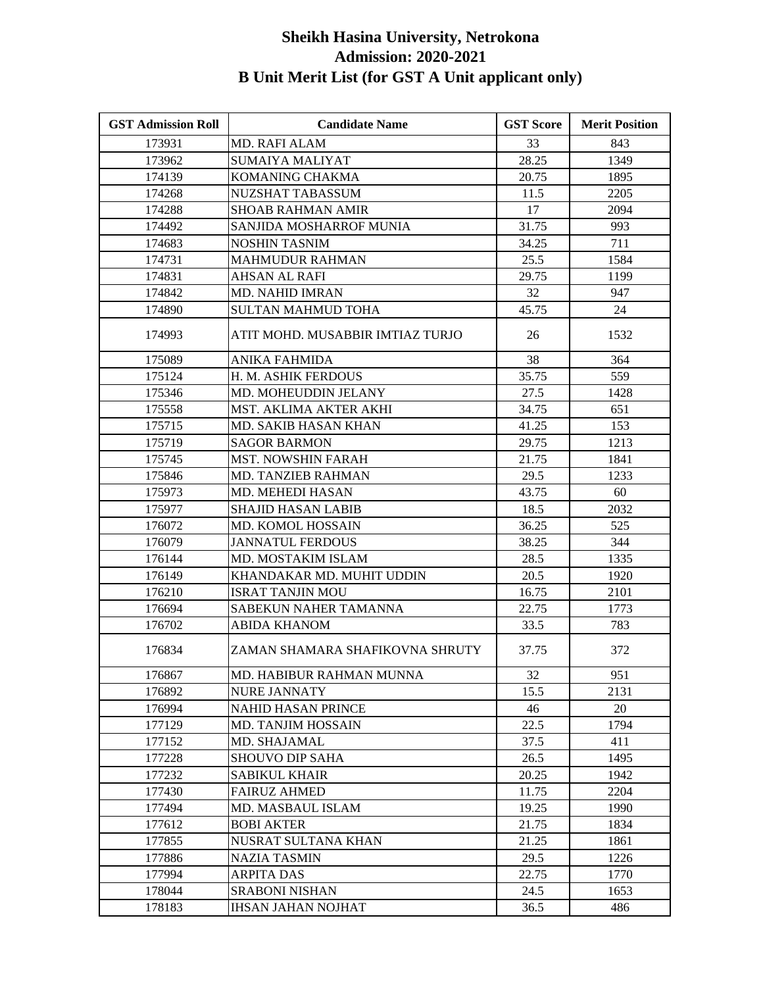| <b>GST Admission Roll</b> | <b>Candidate Name</b>            | <b>GST Score</b> | <b>Merit Position</b> |
|---------------------------|----------------------------------|------------------|-----------------------|
| 173931                    | <b>MD. RAFI ALAM</b>             | 33               | 843                   |
| 173962                    | <b>SUMAIYA MALIYAT</b>           | 28.25            | 1349                  |
| 174139                    | KOMANING CHAKMA                  | 20.75            | 1895                  |
| 174268                    | NUZSHAT TABASSUM                 | 11.5             | 2205                  |
| 174288                    | <b>SHOAB RAHMAN AMIR</b>         | 17               | 2094                  |
| 174492                    | SANJIDA MOSHARROF MUNIA          | 31.75            | 993                   |
| 174683                    | NOSHIN TASNIM                    | 34.25            | 711                   |
| 174731                    | <b>MAHMUDUR RAHMAN</b>           | 25.5             | 1584                  |
| 174831                    | AHSAN AL RAFI                    | 29.75            | 1199                  |
| 174842                    | <b>MD. NAHID IMRAN</b>           | 32               | 947                   |
| 174890                    | <b>SULTAN MAHMUD TOHA</b>        | 45.75            | 24                    |
| 174993                    | ATIT MOHD. MUSABBIR IMTIAZ TURJO | 26               | 1532                  |
| 175089                    | <b>ANIKA FAHMIDA</b>             | 38               | 364                   |
| 175124                    | H. M. ASHIK FERDOUS              | 35.75            | 559                   |
| 175346                    | MD. MOHEUDDIN JELANY             | 27.5             | 1428                  |
| 175558                    | MST. AKLIMA AKTER AKHI           | 34.75            | 651                   |
| 175715                    | MD. SAKIB HASAN KHAN             | 41.25            | 153                   |
| 175719                    | <b>SAGOR BARMON</b>              | 29.75            | 1213                  |
| 175745                    | <b>MST. NOWSHIN FARAH</b>        | 21.75            | 1841                  |
| 175846                    | MD. TANZIEB RAHMAN               | 29.5             | 1233                  |
| 175973                    | <b>MD. MEHEDI HASAN</b>          | 43.75            | 60                    |
| 175977                    | SHAJID HASAN LABIB               | 18.5             | 2032                  |
| 176072                    | <b>MD. KOMOL HOSSAIN</b>         | 36.25            | 525                   |
| 176079                    | <b>JANNATUL FERDOUS</b>          | 38.25            | 344                   |
| 176144                    | MD. MOSTAKIM ISLAM               | 28.5             | 1335                  |
| 176149                    | KHANDAKAR MD. MUHIT UDDIN        | 20.5             | 1920                  |
| 176210                    | <b>ISRAT TANJIN MOU</b>          | 16.75            | 2101                  |
| 176694                    | SABEKUN NAHER TAMANNA            | 22.75            | 1773                  |
| 176702                    | <b>ABIDA KHANOM</b>              | 33.5             | 783                   |
| 176834                    | ZAMAN SHAMARA SHAFIKOVNA SHRUTY  | 37.75            | 372                   |
| 176867                    | MD. HABIBUR RAHMAN MUNNA         | 32               | 951                   |
| 176892                    | <b>NURE JANNATY</b>              | 15.5             | 2131                  |
| 176994                    | <b>NAHID HASAN PRINCE</b>        | 46               | 20                    |
| 177129                    | <b>MD. TANJIM HOSSAIN</b>        | 22.5             | 1794                  |
| 177152                    | MD. SHAJAMAL                     | 37.5             | 411                   |
| 177228                    | <b>SHOUVO DIP SAHA</b>           | 26.5             | 1495                  |
| 177232                    | <b>SABIKUL KHAIR</b>             | 20.25            | 1942                  |
| 177430                    | <b>FAIRUZ AHMED</b>              | 11.75            | 2204                  |
| 177494                    | MD. MASBAUL ISLAM                | 19.25            | 1990                  |
| 177612                    | <b>BOBI AKTER</b>                | 21.75            | 1834                  |
| 177855                    | NUSRAT SULTANA KHAN              | 21.25            | 1861                  |
| 177886                    | <b>NAZIA TASMIN</b>              | 29.5             | 1226                  |
| 177994                    | <b>ARPITA DAS</b>                | 22.75            | 1770                  |
| 178044                    | <b>SRABONI NISHAN</b>            | 24.5             | 1653                  |
| 178183                    | <b>IHSAN JAHAN NOJHAT</b>        | 36.5             | 486                   |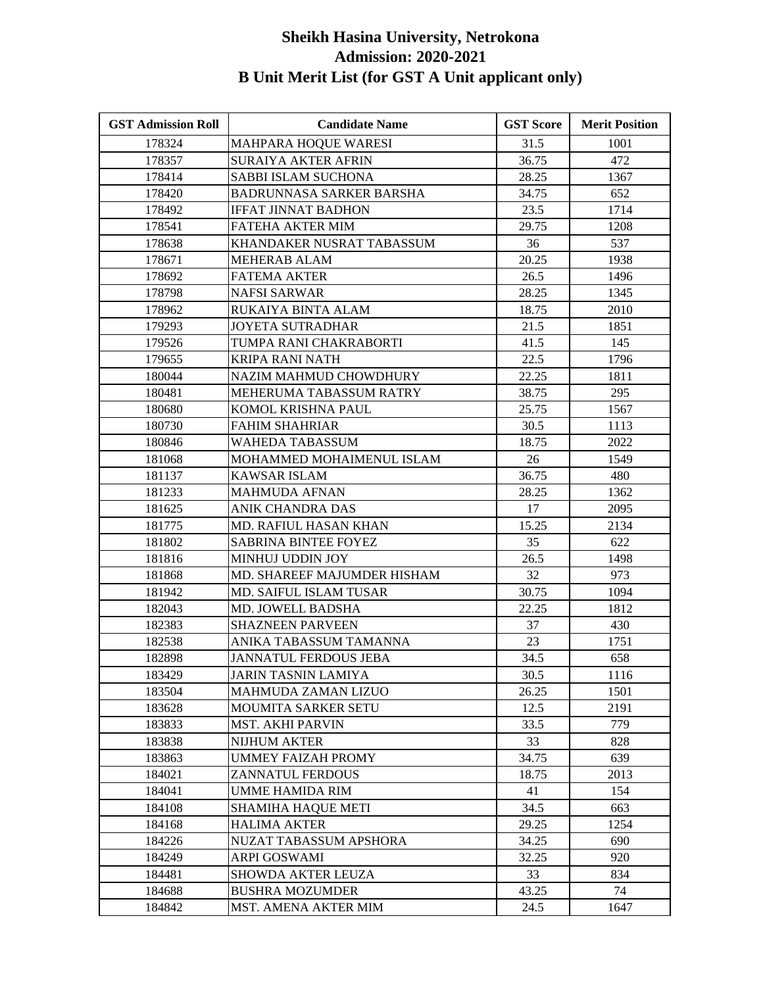| <b>GST Admission Roll</b> | <b>Candidate Name</b>       | <b>GST Score</b> | <b>Merit Position</b> |
|---------------------------|-----------------------------|------------------|-----------------------|
| 178324                    | MAHPARA HOQUE WARESI        | 31.5             | 1001                  |
| 178357                    | <b>SURAIYA AKTER AFRIN</b>  | 36.75            | 472                   |
| 178414                    | <b>SABBI ISLAM SUCHONA</b>  | 28.25            | 1367                  |
| 178420                    | BADRUNNASA SARKER BARSHA    | 34.75            | 652                   |
| 178492                    | <b>IFFAT JINNAT BADHON</b>  | 23.5             | 1714                  |
| 178541                    | FATEHA AKTER MIM            | 29.75            | 1208                  |
| 178638                    | KHANDAKER NUSRAT TABASSUM   | 36               | 537                   |
| 178671                    | <b>MEHERAB ALAM</b>         | 20.25            | 1938                  |
| 178692                    | <b>FATEMA AKTER</b>         | 26.5             | 1496                  |
| 178798                    | <b>NAFSI SARWAR</b>         | 28.25            | 1345                  |
| 178962                    | RUKAIYA BINTA ALAM          | 18.75            | 2010                  |
| 179293                    | <b>JOYETA SUTRADHAR</b>     | 21.5             | 1851                  |
| 179526                    | TUMPA RANI CHAKRABORTI      | 41.5             | 145                   |
| 179655                    | KRIPA RANI NATH             | 22.5             | 1796                  |
| 180044                    | NAZIM MAHMUD CHOWDHURY      | 22.25            | 1811                  |
| 180481                    | MEHERUMA TABASSUM RATRY     | 38.75            | 295                   |
| 180680                    | KOMOL KRISHNA PAUL          | 25.75            | 1567                  |
| 180730                    | <b>FAHIM SHAHRIAR</b>       | 30.5             | 1113                  |
| 180846                    | WAHEDA TABASSUM             | 18.75            | 2022                  |
| 181068                    | MOHAMMED MOHAIMENUL ISLAM   | 26               | 1549                  |
| 181137                    | <b>KAWSAR ISLAM</b>         | 36.75            | 480                   |
| 181233                    | <b>MAHMUDA AFNAN</b>        | 28.25            | 1362                  |
| 181625                    | ANIK CHANDRA DAS            | 17               | 2095                  |
| 181775                    | MD. RAFIUL HASAN KHAN       | 15.25            | 2134                  |
| 181802                    | SABRINA BINTEE FOYEZ        | 35               | 622                   |
| 181816                    | MINHUJ UDDIN JOY            | 26.5             | 1498                  |
| 181868                    | MD. SHAREEF MAJUMDER HISHAM | 32               | 973                   |
| 181942                    | MD. SAIFUL ISLAM TUSAR      | 30.75            | 1094                  |
| 182043                    | MD. JOWELL BADSHA           | 22.25            | 1812                  |
| 182383                    | <b>SHAZNEEN PARVEEN</b>     | 37               | 430                   |
| 182538                    | ANIKA TABASSUM TAMANNA      | 23               | 1751                  |
| 182898                    | JANNATUL FERDOUS JEBA       | 34.5             | 658                   |
| 183429                    | JARIN TASNIN LAMIYA         | 30.5             | 1116                  |
| 183504                    | <b>MAHMUDA ZAMAN LIZUO</b>  | 26.25            | 1501                  |
| 183628                    | <b>MOUMITA SARKER SETU</b>  | 12.5             | 2191                  |
| 183833                    | <b>MST. AKHI PARVIN</b>     | 33.5             | 779                   |
| 183838                    | <b>NIJHUM AKTER</b>         | 33               | 828                   |
| 183863                    | <b>UMMEY FAIZAH PROMY</b>   | 34.75            | 639                   |
| 184021                    | ZANNATUL FERDOUS            | 18.75            | 2013                  |
| 184041                    | UMME HAMIDA RIM             | 41               | 154                   |
| 184108                    | <b>SHAMIHA HAQUE METI</b>   | 34.5             | 663                   |
| 184168                    | <b>HALIMA AKTER</b>         | 29.25            | 1254                  |
| 184226                    | NUZAT TABASSUM APSHORA      | 34.25            | 690                   |
| 184249                    | <b>ARPI GOSWAMI</b>         | 32.25            | 920                   |
| 184481                    | SHOWDA AKTER LEUZA          | 33               | 834                   |
| 184688                    | <b>BUSHRA MOZUMDER</b>      | 43.25            | 74                    |
| 184842                    | <b>MST. AMENA AKTER MIM</b> | 24.5             | 1647                  |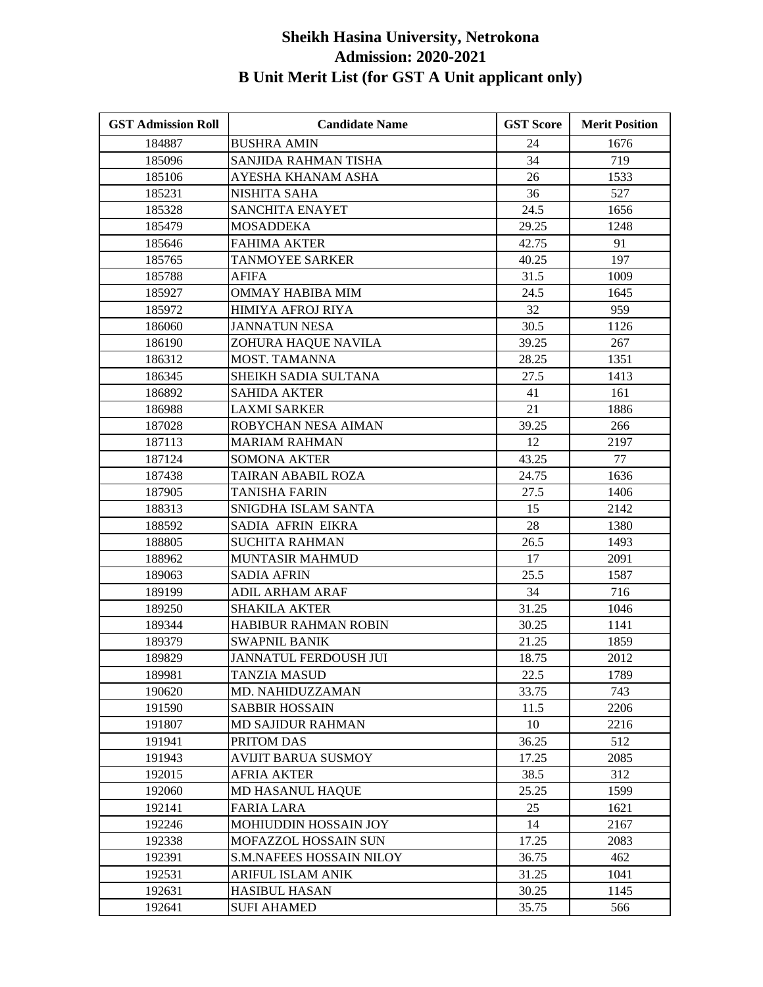| <b>GST Admission Roll</b> | <b>Candidate Name</b>           | <b>GST Score</b> | <b>Merit Position</b> |
|---------------------------|---------------------------------|------------------|-----------------------|
| 184887                    | <b>BUSHRA AMIN</b>              | 24               | 1676                  |
| 185096                    | SANJIDA RAHMAN TISHA            | 34               | 719                   |
| 185106                    | AYESHA KHANAM ASHA              | 26               | 1533                  |
| 185231                    | NISHITA SAHA                    | 36               | 527                   |
| 185328                    | <b>SANCHITA ENAYET</b>          | 24.5             | 1656                  |
| 185479                    | <b>MOSADDEKA</b>                | 29.25            | 1248                  |
| 185646                    | <b>FAHIMA AKTER</b>             | 42.75            | 91                    |
| 185765                    | TANMOYEE SARKER                 | 40.25            | 197                   |
| 185788                    | AFIFA                           | 31.5             | 1009                  |
| 185927                    | <b>OMMAY HABIBA MIM</b>         | 24.5             | 1645                  |
| 185972                    | HIMIYA AFROJ RIYA               | 32               | 959                   |
| 186060                    | <b>JANNATUN NESA</b>            | 30.5             | 1126                  |
| 186190                    | ZOHURA HAQUE NAVILA             | 39.25            | 267                   |
| 186312                    | MOST. TAMANNA                   | 28.25            | 1351                  |
| 186345                    | SHEIKH SADIA SULTANA            | 27.5             | 1413                  |
| 186892                    | <b>SAHIDA AKTER</b>             | 41               | 161                   |
| 186988                    | <b>LAXMI SARKER</b>             | 21               | 1886                  |
| 187028                    | ROBYCHAN NESA AIMAN             | 39.25            | 266                   |
| 187113                    | <b>MARIAM RAHMAN</b>            | 12               | 2197                  |
| 187124                    | <b>SOMONA AKTER</b>             | 43.25            | 77                    |
| 187438                    | TAIRAN ABABIL ROZA              | 24.75            | 1636                  |
| 187905                    | <b>TANISHA FARIN</b>            | 27.5             | 1406                  |
| 188313                    | SNIGDHA ISLAM SANTA             | 15               | 2142                  |
| 188592                    | SADIA AFRIN EIKRA               | 28               | 1380                  |
| 188805                    | <b>SUCHITA RAHMAN</b>           | 26.5             | 1493                  |
| 188962                    | MUNTASIR MAHMUD                 | 17               | 2091                  |
| 189063                    | <b>SADIA AFRIN</b>              | 25.5             | 1587                  |
| 189199                    | <b>ADIL ARHAM ARAF</b>          | 34               | 716                   |
| 189250                    | <b>SHAKILA AKTER</b>            | 31.25            | 1046                  |
| 189344                    | <b>HABIBUR RAHMAN ROBIN</b>     | 30.25            | 1141                  |
| 189379                    | <b>SWAPNIL BANIK</b>            | 21.25            | 1859                  |
| 189829                    | JANNATUL FERDOUSH JUI           | 18.75            | 2012                  |
| 189981                    | <b>TANZIA MASUD</b>             | 22.5             | 1789                  |
| 190620                    | MD. NAHIDUZZAMAN                | 33.75            | 743                   |
| 191590                    | <b>SABBIR HOSSAIN</b>           | 11.5             | 2206                  |
| 191807                    | <b>MD SAJIDUR RAHMAN</b>        | 10               | 2216                  |
| 191941                    | PRITOM DAS                      | 36.25            | 512                   |
| 191943                    | <b>AVIJIT BARUA SUSMOY</b>      | 17.25            | 2085                  |
| 192015                    | <b>AFRIA AKTER</b>              | 38.5             | 312                   |
| 192060                    | <b>MD HASANUL HAOUE</b>         | 25.25            | 1599                  |
| 192141                    | <b>FARIA LARA</b>               | 25               | 1621                  |
| 192246                    | MOHIUDDIN HOSSAIN JOY           | 14               | 2167                  |
| 192338                    | MOFAZZOL HOSSAIN SUN            | 17.25            | 2083                  |
| 192391                    | <b>S.M.NAFEES HOSSAIN NILOY</b> | 36.75            | 462                   |
| 192531                    | ARIFUL ISLAM ANIK               | 31.25            | 1041                  |
| 192631                    | <b>HASIBUL HASAN</b>            | 30.25            | 1145                  |
| 192641                    | <b>SUFI AHAMED</b>              | 35.75            | 566                   |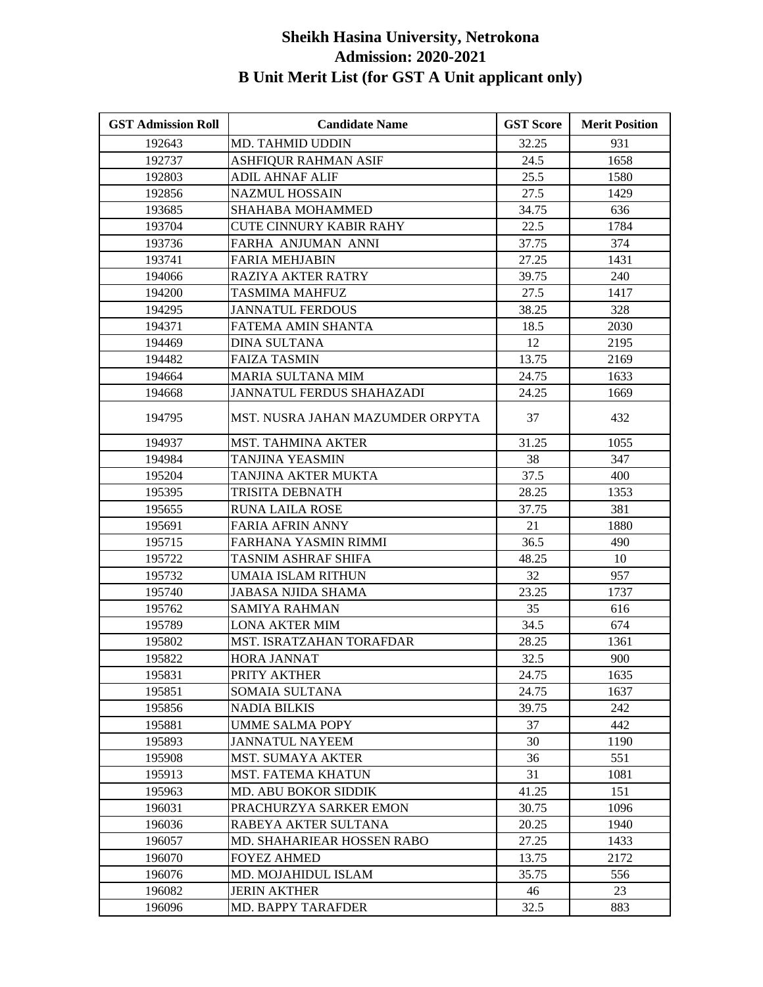| <b>GST Admission Roll</b> | <b>Candidate Name</b>            | <b>GST Score</b> | <b>Merit Position</b> |
|---------------------------|----------------------------------|------------------|-----------------------|
| 192643                    | <b>MD. TAHMID UDDIN</b>          | 32.25            | 931                   |
| 192737                    | ASHFIQUR RAHMAN ASIF             | 24.5             | 1658                  |
| 192803                    | <b>ADIL AHNAF ALIF</b>           | 25.5             | 1580                  |
| 192856                    | <b>NAZMUL HOSSAIN</b>            | 27.5             | 1429                  |
| 193685                    | SHAHABA MOHAMMED                 | 34.75            | 636                   |
| 193704                    | <b>CUTE CINNURY KABIR RAHY</b>   | 22.5             | 1784                  |
| 193736                    | FARHA ANJUMAN ANNI               | 37.75            | 374                   |
| 193741                    | <b>FARIA MEHJABIN</b>            | 27.25            | 1431                  |
| 194066                    | RAZIYA AKTER RATRY               | 39.75            | 240                   |
| 194200                    | TASMIMA MAHFUZ                   | 27.5             | 1417                  |
| 194295                    | <b>JANNATUL FERDOUS</b>          | 38.25            | 328                   |
| 194371                    | FATEMA AMIN SHANTA               | 18.5             | 2030                  |
| 194469                    | <b>DINA SULTANA</b>              | 12               | 2195                  |
| 194482                    | FAIZA TASMIN                     | 13.75            | 2169                  |
| 194664                    | MARIA SULTANA MIM                | 24.75            | 1633                  |
| 194668                    | <b>JANNATUL FERDUS SHAHAZADI</b> | 24.25            | 1669                  |
| 194795                    | MST. NUSRA JAHAN MAZUMDER ORPYTA | 37               | 432                   |
| 194937                    | <b>MST. TAHMINA AKTER</b>        | 31.25            | 1055                  |
| 194984                    | TANJINA YEASMIN                  | 38               | 347                   |
| 195204                    | TANJINA AKTER MUKTA              | 37.5             | 400                   |
| 195395                    | TRISITA DEBNATH                  | 28.25            | 1353                  |
| 195655                    | RUNA LAILA ROSE                  | 37.75            | 381                   |
| 195691                    | FARIA AFRIN ANNY                 | 21               | 1880                  |
| 195715                    | FARHANA YASMIN RIMMI             | 36.5             | 490                   |
| 195722                    | TASNIM ASHRAF SHIFA              | 48.25            | 10                    |
| 195732                    | UMAIA ISLAM RITHUN               | 32               | 957                   |
| 195740                    | JABASA NJIDA SHAMA               | 23.25            | 1737                  |
| 195762                    | <b>SAMIYA RAHMAN</b>             | 35               | 616                   |
| 195789                    | <b>LONA AKTER MIM</b>            | 34.5             | 674                   |
| 195802                    | <b>MST. ISRATZAHAN TORAFDAR</b>  | 28.25            | 1361                  |
| 195822                    | HORA JANNAT                      | 32.5             | 900                   |
| 195831                    | PRITY AKTHER                     | 24.75            | 1635                  |
| 195851                    | SOMAIA SULTANA                   | 24.75            | 1637                  |
| 195856                    | <b>NADIA BILKIS</b>              | 39.75            | 242                   |
| 195881                    | <b>UMME SALMA POPY</b>           | 37               | 442                   |
| 195893                    | <b>JANNATUL NAYEEM</b>           | 30               | 1190                  |
| 195908                    | <b>MST. SUMAYA AKTER</b>         | 36               | 551                   |
| 195913                    | <b>MST. FATEMA KHATUN</b>        | 31               | 1081                  |
| 195963                    | <b>MD. ABU BOKOR SIDDIK</b>      | 41.25            | 151                   |
| 196031                    | PRACHURZYA SARKER EMON           | 30.75            | 1096                  |
| 196036                    | RABEYA AKTER SULTANA             | 20.25            | 1940                  |
| 196057                    | MD. SHAHARIEAR HOSSEN RABO       | 27.25            | 1433                  |
| 196070                    | <b>FOYEZ AHMED</b>               | 13.75            | 2172                  |
| 196076                    | MD. MOJAHIDUL ISLAM              | 35.75            | 556                   |
| 196082                    | <b>JERIN AKTHER</b>              | 46               | 23                    |
| 196096                    | <b>MD. BAPPY TARAFDER</b>        | 32.5             | 883                   |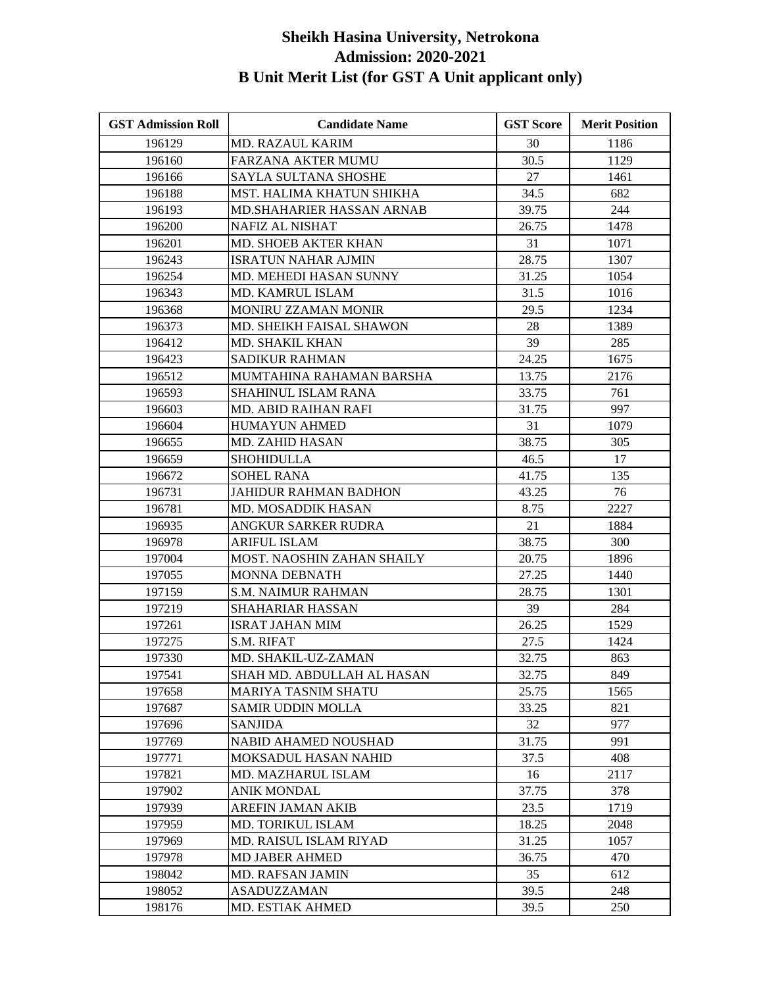| <b>GST Admission Roll</b> | <b>Candidate Name</b>       | <b>GST Score</b> | <b>Merit Position</b> |
|---------------------------|-----------------------------|------------------|-----------------------|
| 196129                    | <b>MD. RAZAUL KARIM</b>     | 30               | 1186                  |
| 196160                    | <b>FARZANA AKTER MUMU</b>   | 30.5             | 1129                  |
| 196166                    | SAYLA SULTANA SHOSHE        | 27               | 1461                  |
| 196188                    | MST. HALIMA KHATUN SHIKHA   | 34.5             | 682                   |
| 196193                    | MD.SHAHARIER HASSAN ARNAB   | 39.75            | 244                   |
| 196200                    | <b>NAFIZ AL NISHAT</b>      | 26.75            | 1478                  |
| 196201                    | MD. SHOEB AKTER KHAN        | 31               | 1071                  |
| 196243                    | <b>ISRATUN NAHAR AJMIN</b>  | 28.75            | 1307                  |
| 196254                    | MD. MEHEDI HASAN SUNNY      | 31.25            | 1054                  |
| 196343                    | <b>MD. KAMRUL ISLAM</b>     | 31.5             | 1016                  |
| 196368                    | MONIRU ZZAMAN MONIR         | 29.5             | 1234                  |
| 196373                    | MD. SHEIKH FAISAL SHAWON    | 28               | 1389                  |
| 196412                    | MD. SHAKIL KHAN             | 39               | 285                   |
| 196423                    | SADIKUR RAHMAN              | 24.25            | 1675                  |
| 196512                    | MUMTAHINA RAHAMAN BARSHA    | 13.75            | 2176                  |
| 196593                    | SHAHINUL ISLAM RANA         | 33.75            | 761                   |
| 196603                    | MD. ABID RAIHAN RAFI        | 31.75            | 997                   |
| 196604                    | <b>HUMAYUN AHMED</b>        | 31               | 1079                  |
| 196655                    | <b>MD. ZAHID HASAN</b>      | 38.75            | 305                   |
| 196659                    | <b>SHOHIDULLA</b>           | 46.5             | 17                    |
| 196672                    | <b>SOHEL RANA</b>           | 41.75            | 135                   |
| 196731                    | JAHIDUR RAHMAN BADHON       | 43.25            | 76                    |
| 196781                    | MD. MOSADDIK HASAN          | 8.75             | 2227                  |
| 196935                    | ANGKUR SARKER RUDRA         | 21               | 1884                  |
| 196978                    | <b>ARIFUL ISLAM</b>         | 38.75            | 300                   |
| 197004                    | MOST. NAOSHIN ZAHAN SHAILY  | 20.75            | 1896                  |
| 197055                    | <b>MONNA DEBNATH</b>        | 27.25            | 1440                  |
| 197159                    | <b>S.M. NAIMUR RAHMAN</b>   | 28.75            | 1301                  |
| 197219                    | <b>SHAHARIAR HASSAN</b>     | 39               | 284                   |
| 197261                    | <b>ISRAT JAHAN MIM</b>      | 26.25            | 1529                  |
| 197275                    | S.M. RIFAT                  | 27.5             | 1424                  |
| 197330                    | MD. SHAKIL-UZ-ZAMAN         | 32.75            | 863                   |
| 197541                    | SHAH MD. ABDULLAH AL HASAN  | 32.75            | 849                   |
| 197658                    | MARIYA TASNIM SHATU         | 25.75            | 1565                  |
| 197687                    | <b>SAMIR UDDIN MOLLA</b>    | 33.25            | 821                   |
| 197696                    | <b>SANJIDA</b>              | 32               | 977                   |
| 197769                    | <b>NABID AHAMED NOUSHAD</b> | 31.75            | 991                   |
| 197771                    | MOKSADUL HASAN NAHID        | 37.5             | 408                   |
| 197821                    | MD. MAZHARUL ISLAM          | 16               | 2117                  |
| 197902                    | <b>ANIK MONDAL</b>          | 37.75            | 378                   |
| 197939                    | AREFIN JAMAN AKIB           | 23.5             | 1719                  |
| 197959                    | <b>MD. TORIKUL ISLAM</b>    | 18.25            | 2048                  |
| 197969                    | MD. RAISUL ISLAM RIYAD      | 31.25            | 1057                  |
| 197978                    | <b>MD JABER AHMED</b>       | 36.75            | 470                   |
| 198042                    | MD. RAFSAN JAMIN            | 35               | 612                   |
| 198052                    | <b>ASADUZZAMAN</b>          | 39.5             | 248                   |
| 198176                    | MD. ESTIAK AHMED            | 39.5             | 250                   |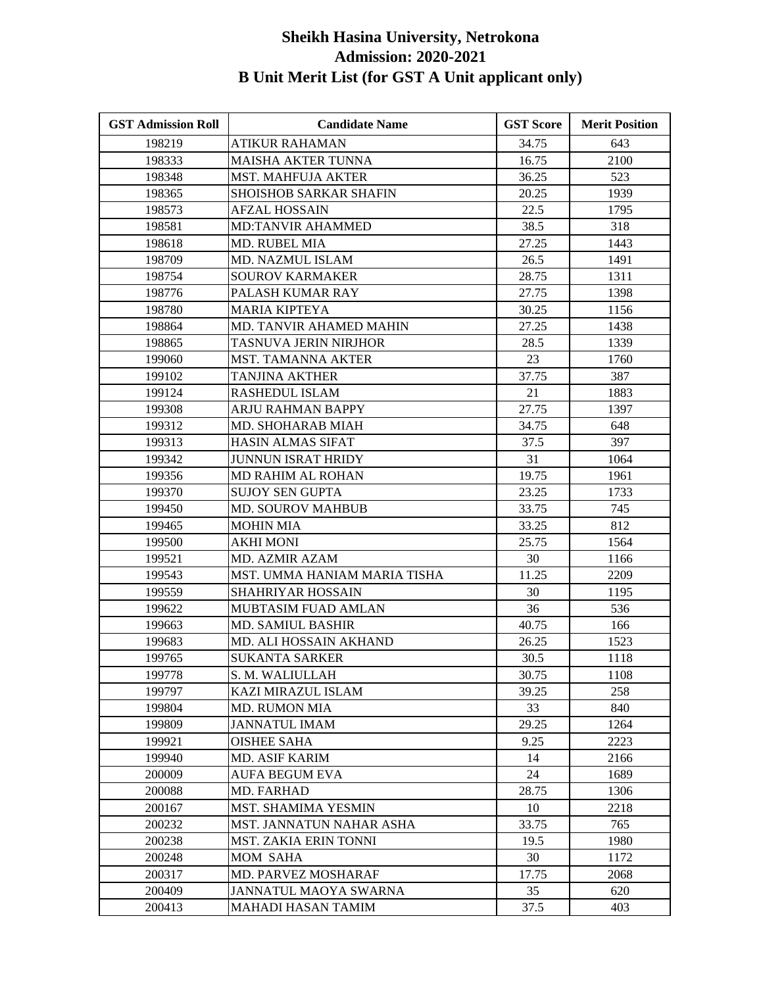| <b>GST Admission Roll</b> | <b>Candidate Name</b>         | <b>GST Score</b> | <b>Merit Position</b> |
|---------------------------|-------------------------------|------------------|-----------------------|
| 198219                    | ATIKUR RAHAMAN                | 34.75            | 643                   |
| 198333                    | <b>MAISHA AKTER TUNNA</b>     | 16.75            | 2100                  |
| 198348                    | <b>MST. MAHFUJA AKTER</b>     | 36.25            | 523                   |
| 198365                    | <b>SHOISHOB SARKAR SHAFIN</b> | 20.25            | 1939                  |
| 198573                    | AFZAL HOSSAIN                 | 22.5             | 1795                  |
| 198581                    | <b>MD:TANVIR AHAMMED</b>      | 38.5             | 318                   |
| 198618                    | MD. RUBEL MIA                 | 27.25            | 1443                  |
| 198709                    | MD. NAZMUL ISLAM              | 26.5             | 1491                  |
| 198754                    | <b>SOUROV KARMAKER</b>        | 28.75            | 1311                  |
| 198776                    | PALASH KUMAR RAY              | 27.75            | 1398                  |
| 198780                    | <b>MARIA KIPTEYA</b>          | 30.25            | 1156                  |
| 198864                    | MD. TANVIR AHAMED MAHIN       | 27.25            | 1438                  |
| 198865                    | TASNUVA JERIN NIRJHOR         | 28.5             | 1339                  |
| 199060                    | MST. TAMANNA AKTER            | 23               | 1760                  |
| 199102                    | <b>TANJINA AKTHER</b>         | 37.75            | 387                   |
| 199124                    | RASHEDUL ISLAM                | 21               | 1883                  |
| 199308                    | ARJU RAHMAN BAPPY             | 27.75            | 1397                  |
| 199312                    | MD. SHOHARAB MIAH             | 34.75            | 648                   |
| 199313                    | <b>HASIN ALMAS SIFAT</b>      | 37.5             | 397                   |
| 199342                    | <b>JUNNUN ISRAT HRIDY</b>     | 31               | 1064                  |
| 199356                    | <b>MD RAHIM AL ROHAN</b>      | 19.75            | 1961                  |
| 199370                    | <b>SUJOY SEN GUPTA</b>        | 23.25            | 1733                  |
| 199450                    | MD. SOUROV MAHBUB             | 33.75            | 745                   |
| 199465                    | <b>MOHIN MIA</b>              | 33.25            | 812                   |
| 199500                    | <b>AKHI MONI</b>              | 25.75            | 1564                  |
| 199521                    | MD. AZMIR AZAM                | 30               | 1166                  |
| 199543                    | MST. UMMA HANIAM MARIA TISHA  | 11.25            | 2209                  |
| 199559                    | <b>SHAHRIYAR HOSSAIN</b>      | 30               | 1195                  |
| 199622                    | MUBTASIM FUAD AMLAN           | 36               | 536                   |
| 199663                    | <b>MD. SAMIUL BASHIR</b>      | 40.75            | 166                   |
| 199683                    | MD. ALI HOSSAIN AKHAND        | 26.25            | 1523                  |
| 199765                    | SUKANTA SARKER                | 30.5             | 1118                  |
| 199778                    | S. M. WALIULLAH               | 30.75            | 1108                  |
| 199797                    | KAZI MIRAZUL ISLAM            | 39.25            | 258                   |
| 199804                    | <b>MD. RUMON MIA</b>          | 33               | 840                   |
| 199809                    | <b>JANNATUL IMAM</b>          | 29.25            | 1264                  |
| 199921                    | <b>OISHEE SAHA</b>            | 9.25             | 2223                  |
| 199940                    | <b>MD. ASIF KARIM</b>         | 14               | 2166                  |
| 200009                    | AUFA BEGUM EVA                | 24               | 1689                  |
| 200088                    | MD. FARHAD                    | 28.75            | 1306                  |
| 200167                    | MST. SHAMIMA YESMIN           | 10               | 2218                  |
| 200232                    | MST. JANNATUN NAHAR ASHA      | 33.75            | 765                   |
| 200238                    | <b>MST. ZAKIA ERIN TONNI</b>  | 19.5             | 1980                  |
| 200248                    | MOM SAHA                      | 30               | 1172                  |
| 200317                    | MD. PARVEZ MOSHARAF           | 17.75            | 2068                  |
| 200409                    | JANNATUL MAOYA SWARNA         | 35               | 620                   |
| 200413                    | MAHADI HASAN TAMIM            | 37.5             | 403                   |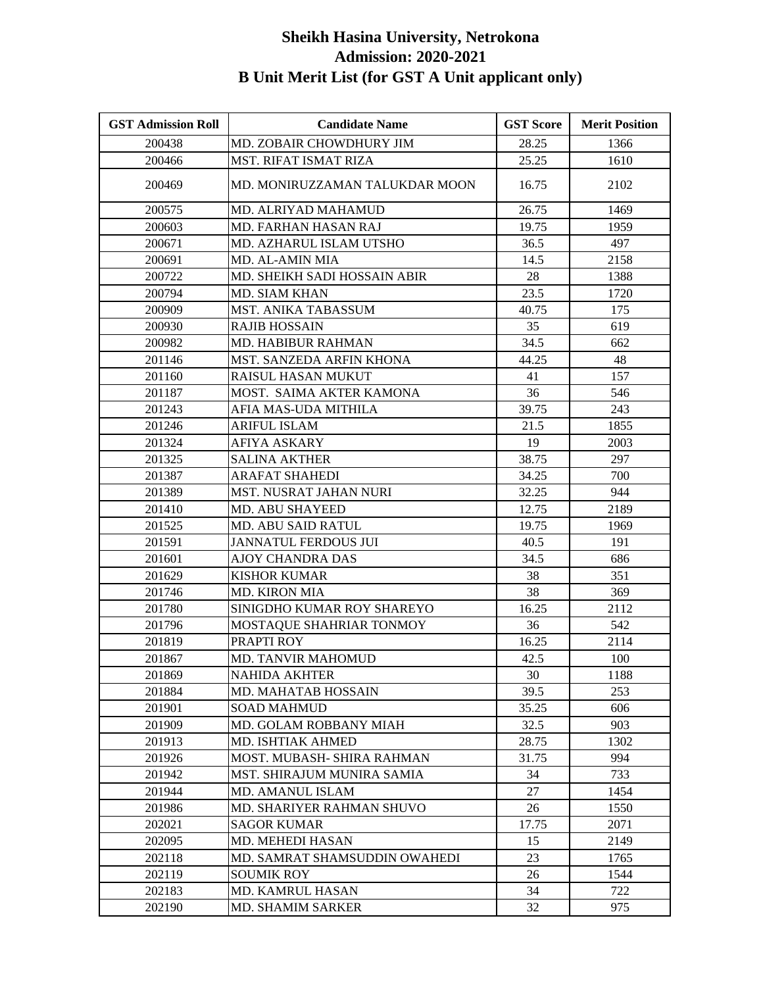| <b>GST Admission Roll</b> | <b>Candidate Name</b>          | <b>GST Score</b> | <b>Merit Position</b> |
|---------------------------|--------------------------------|------------------|-----------------------|
| 200438                    | MD. ZOBAIR CHOWDHURY JIM       | 28.25            | 1366                  |
| 200466                    | <b>MST. RIFAT ISMAT RIZA</b>   | 25.25            | 1610                  |
| 200469                    | MD. MONIRUZZAMAN TALUKDAR MOON | 16.75            | 2102                  |
| 200575                    | MD. ALRIYAD MAHAMUD            | 26.75            | 1469                  |
| 200603                    | MD. FARHAN HASAN RAJ           | 19.75            | 1959                  |
| 200671                    | MD. AZHARUL ISLAM UTSHO        | 36.5             | 497                   |
| 200691                    | MD. AL-AMIN MIA                | 14.5             | 2158                  |
| 200722                    | MD. SHEIKH SADI HOSSAIN ABIR   | 28               | 1388                  |
| 200794                    | MD. SIAM KHAN                  | 23.5             | 1720                  |
| 200909                    | MST. ANIKA TABASSUM            | 40.75            | 175                   |
| 200930                    | <b>RAJIB HOSSAIN</b>           | 35               | 619                   |
| 200982                    | <b>MD. HABIBUR RAHMAN</b>      | 34.5             | 662                   |
| 201146                    | MST. SANZEDA ARFIN KHONA       | 44.25            | 48                    |
| 201160                    | RAISUL HASAN MUKUT             | 41               | 157                   |
| 201187                    | MOST. SAIMA AKTER KAMONA       | 36               | 546                   |
| 201243                    | AFIA MAS-UDA MITHILA           | 39.75            | 243                   |
| 201246                    | <b>ARIFUL ISLAM</b>            | 21.5             | 1855                  |
| 201324                    | AFIYA ASKARY                   | 19               | 2003                  |
| 201325                    | <b>SALINA AKTHER</b>           | 38.75            | 297                   |
| 201387                    | <b>ARAFAT SHAHEDI</b>          | 34.25            | 700                   |
| 201389                    | MST. NUSRAT JAHAN NURI         | 32.25            | 944                   |
| 201410                    | <b>MD. ABU SHAYEED</b>         | 12.75            | 2189                  |
| 201525                    | MD. ABU SAID RATUL             | 19.75            | 1969                  |
| 201591                    | <b>JANNATUL FERDOUS JUI</b>    | 40.5             | 191                   |
| 201601                    | <b>AJOY CHANDRA DAS</b>        | 34.5             | 686                   |
| 201629                    | <b>KISHOR KUMAR</b>            | 38               | 351                   |
| 201746                    | <b>MD. KIRON MIA</b>           | 38               | 369                   |
| 201780                    | SINIGDHO KUMAR ROY SHAREYO     | 16.25            | 2112                  |
| 201796                    | MOSTAQUE SHAHRIAR TONMOY       | 36               | 542                   |
| 201819                    | PRAPTI ROY                     | 16.25            | 2114                  |
| 201867                    | <b>MD. TANVIR MAHOMUD</b>      | 42.5             | 100                   |
| 201869                    | <b>NAHIDA AKHTER</b>           | 30               | 1188                  |
| 201884                    | MD. MAHATAB HOSSAIN            | 39.5             | 253                   |
| 201901                    | <b>SOAD MAHMUD</b>             | 35.25            | 606                   |
| 201909                    | MD. GOLAM ROBBANY MIAH         | 32.5             | 903                   |
| 201913                    | <b>MD. ISHTIAK AHMED</b>       | 28.75            | 1302                  |
| 201926                    | MOST. MUBASH- SHIRA RAHMAN     | 31.75            | 994                   |
| 201942                    | MST. SHIRAJUM MUNIRA SAMIA     | 34               | 733                   |
| 201944                    | <b>MD. AMANUL ISLAM</b>        | 27               | 1454                  |
| 201986                    | MD. SHARIYER RAHMAN SHUVO      | 26               | 1550                  |
| 202021                    | <b>SAGOR KUMAR</b>             | 17.75            | 2071                  |
| 202095                    | MD. MEHEDI HASAN               | 15               | 2149                  |
| 202118                    | MD. SAMRAT SHAMSUDDIN OWAHEDI  | 23               | 1765                  |
| 202119                    | <b>SOUMIK ROY</b>              | 26               | 1544                  |
| 202183                    | <b>MD. KAMRUL HASAN</b>        | 34               | 722                   |
| 202190                    | <b>MD. SHAMIM SARKER</b>       | 32               | 975                   |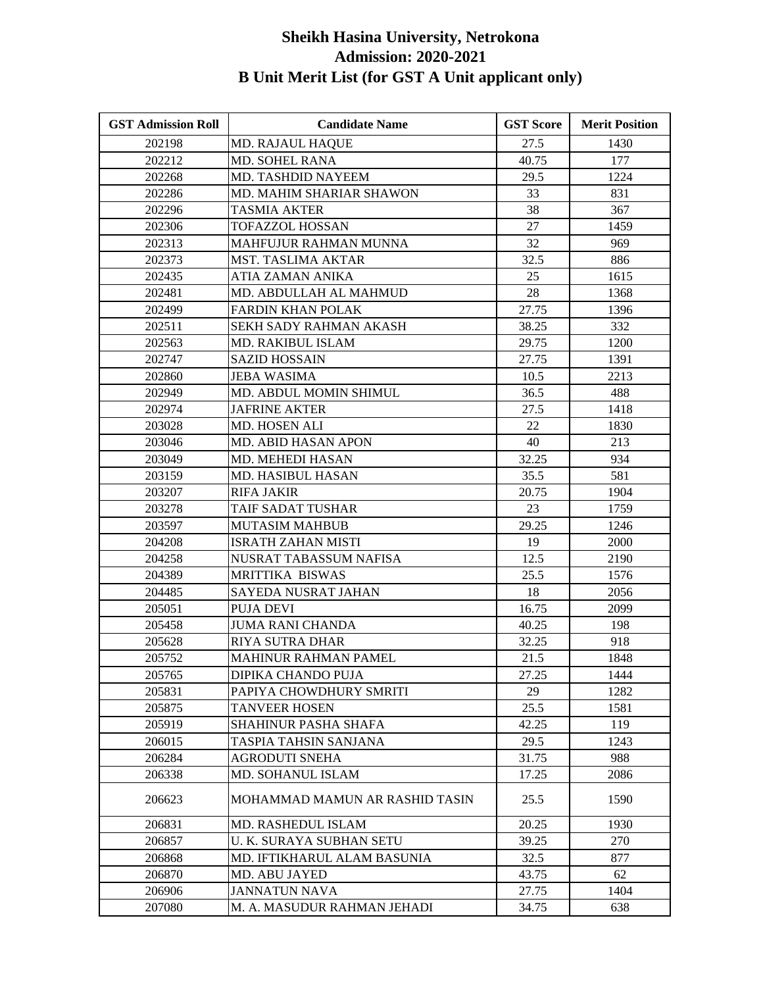| <b>GST Admission Roll</b> | <b>Candidate Name</b>          | <b>GST Score</b> | <b>Merit Position</b> |
|---------------------------|--------------------------------|------------------|-----------------------|
| 202198                    | MD. RAJAUL HAQUE               | 27.5             | 1430                  |
| 202212                    | <b>MD. SOHEL RANA</b>          | 40.75            | 177                   |
| 202268                    | MD. TASHDID NAYEEM             | 29.5             | 1224                  |
| 202286                    | MD. MAHIM SHARIAR SHAWON       | 33               | 831                   |
| 202296                    | TASMIA AKTER                   | 38               | 367                   |
| 202306                    | TOFAZZOL HOSSAN                | 27               | 1459                  |
| 202313                    | MAHFUJUR RAHMAN MUNNA          | 32               | 969                   |
| 202373                    | <b>MST. TASLIMA AKTAR</b>      | 32.5             | 886                   |
| 202435                    | ATIA ZAMAN ANIKA               | 25               | 1615                  |
| 202481                    | MD. ABDULLAH AL MAHMUD         | 28               | 1368                  |
| 202499                    | <b>FARDIN KHAN POLAK</b>       | 27.75            | 1396                  |
| 202511                    | SEKH SADY RAHMAN AKASH         | 38.25            | 332                   |
| 202563                    | MD. RAKIBUL ISLAM              | 29.75            | 1200                  |
| 202747                    | <b>SAZID HOSSAIN</b>           | 27.75            | 1391                  |
| 202860                    | <b>JEBA WASIMA</b>             | 10.5             | 2213                  |
| 202949                    | MD. ABDUL MOMIN SHIMUL         | 36.5             | 488                   |
| 202974                    | <b>JAFRINE AKTER</b>           | 27.5             | 1418                  |
| 203028                    | MD. HOSEN ALI                  | 22               | 1830                  |
| 203046                    | <b>MD. ABID HASAN APON</b>     | 40               | 213                   |
| 203049                    | MD. MEHEDI HASAN               | 32.25            | 934                   |
| 203159                    | MD. HASIBUL HASAN              | 35.5             | 581                   |
| 203207                    | <b>RIFA JAKIR</b>              | 20.75            | 1904                  |
| 203278                    | TAIF SADAT TUSHAR              | 23               | 1759                  |
| 203597                    | <b>MUTASIM MAHBUB</b>          | 29.25            | 1246                  |
| 204208                    | <b>ISRATH ZAHAN MISTI</b>      | 19               | 2000                  |
| 204258                    | NUSRAT TABASSUM NAFISA         | 12.5             | 2190                  |
| 204389                    | MRITTIKA BISWAS                | 25.5             | 1576                  |
| 204485                    | SAYEDA NUSRAT JAHAN            | 18               | 2056                  |
| 205051                    | <b>PUJA DEVI</b>               | 16.75            | 2099                  |
| 205458                    | <b>JUMA RANI CHANDA</b>        | 40.25            | 198                   |
| 205628                    | RIYA SUTRA DHAR                | 32.25            | 918                   |
| 205752                    | MAHINUR RAHMAN PAMEL           | 21.5             | 1848                  |
| 205765                    | DIPIKA CHANDO PUJA             | 27.25            | 1444                  |
| 205831                    | PAPIYA CHOWDHURY SMRITI        | 29               | 1282                  |
| 205875                    | <b>TANVEER HOSEN</b>           | 25.5             | 1581                  |
| 205919                    | SHAHINUR PASHA SHAFA           | 42.25            | 119                   |
| 206015                    | TASPIA TAHSIN SANJANA          | 29.5             | 1243                  |
| 206284                    | <b>AGRODUTI SNEHA</b>          | 31.75            | 988                   |
| 206338                    | <b>MD. SOHANUL ISLAM</b>       | 17.25            | 2086                  |
| 206623                    | MOHAMMAD MAMUN AR RASHID TASIN | 25.5             | 1590                  |
| 206831                    | MD. RASHEDUL ISLAM             | 20.25            | 1930                  |
| 206857                    | U. K. SURAYA SUBHAN SETU       | 39.25            | 270                   |
| 206868                    | MD. IFTIKHARUL ALAM BASUNIA    | 32.5             | 877                   |
| 206870                    | MD. ABU JAYED                  | 43.75            | 62                    |
| 206906                    | JANNATUN NAVA                  | 27.75            | 1404                  |
| 207080                    | M. A. MASUDUR RAHMAN JEHADI    | 34.75            | 638                   |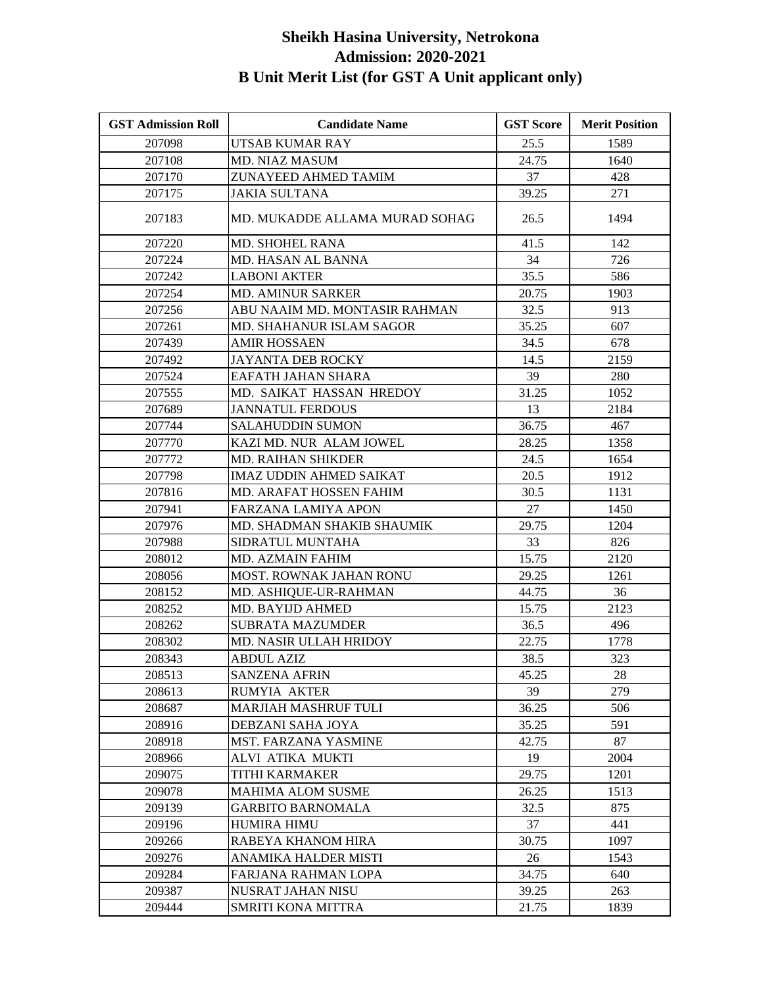| <b>GST Admission Roll</b> | <b>Candidate Name</b>          | <b>GST Score</b> | <b>Merit Position</b> |
|---------------------------|--------------------------------|------------------|-----------------------|
| 207098                    | UTSAB KUMAR RAY                | 25.5             | 1589                  |
| 207108                    | MD. NIAZ MASUM                 | 24.75            | 1640                  |
| 207170                    | ZUNAYEED AHMED TAMIM           | 37               | 428                   |
| 207175                    | <b>JAKIA SULTANA</b>           | 39.25            | 271                   |
| 207183                    | MD. MUKADDE ALLAMA MURAD SOHAG | 26.5             | 1494                  |
| 207220                    | <b>MD. SHOHEL RANA</b>         | 41.5             | 142                   |
| 207224                    | MD. HASAN AL BANNA             | 34               | 726                   |
| 207242                    | <b>LABONI AKTER</b>            | 35.5             | 586                   |
| 207254                    | <b>MD. AMINUR SARKER</b>       | 20.75            | 1903                  |
| 207256                    | ABU NAAIM MD. MONTASIR RAHMAN  | 32.5             | 913                   |
| 207261                    | MD. SHAHANUR ISLAM SAGOR       | 35.25            | 607                   |
| 207439                    | <b>AMIR HOSSAEN</b>            | 34.5             | 678                   |
| 207492                    | <b>JAYANTA DEB ROCKY</b>       | 14.5             | 2159                  |
| 207524                    | EAFATH JAHAN SHARA             | 39               | 280                   |
| 207555                    | MD. SAIKAT HASSAN HREDOY       | 31.25            | 1052                  |
| 207689                    | <b>JANNATUL FERDOUS</b>        | 13               | 2184                  |
| 207744                    | <b>SALAHUDDIN SUMON</b>        | 36.75            | 467                   |
| 207770                    | KAZI MD. NUR ALAM JOWEL        | 28.25            | 1358                  |
| 207772                    | <b>MD. RAIHAN SHIKDER</b>      | 24.5             | 1654                  |
| 207798                    | <b>IMAZ UDDIN AHMED SAIKAT</b> | 20.5             | 1912                  |
| 207816                    | <b>MD. ARAFAT HOSSEN FAHIM</b> | 30.5             | 1131                  |
| 207941                    | FARZANA LAMIYA APON            | 27               | 1450                  |
| 207976                    | MD. SHADMAN SHAKIB SHAUMIK     | 29.75            | 1204                  |
| 207988                    | SIDRATUL MUNTAHA               | 33               | 826                   |
| 208012                    | <b>MD. AZMAIN FAHIM</b>        | 15.75            | 2120                  |
| 208056                    | MOST. ROWNAK JAHAN RONU        | 29.25            | 1261                  |
| 208152                    | MD. ASHIQUE-UR-RAHMAN          | 44.75            | 36                    |
| 208252                    | MD. BAYIJD AHMED               | 15.75            | 2123                  |
| 208262                    | <b>SUBRATA MAZUMDER</b>        | 36.5             | 496                   |
| 208302                    | <b>MD. NASIR ULLAH HRIDOY</b>  | 22.75            | 1778                  |
| 208343                    | <b>ABDUL AZIZ</b>              | 38.5             | 323                   |
| 208513                    | <b>SANZENA AFRIN</b>           | 45.25            | 28                    |
| 208613                    | RUMYIA AKTER                   | 39               | 279                   |
| 208687                    | <b>MARJIAH MASHRUF TULI</b>    | 36.25            | 506                   |
| 208916                    | DEBZANI SAHA JOYA              | 35.25            | 591                   |
| 208918                    | <b>MST. FARZANA YASMINE</b>    | 42.75            | 87                    |
| 208966                    | ALVI ATIKA MUKTI               | 19               | 2004                  |
| 209075                    | <b>TITHI KARMAKER</b>          | 29.75            | 1201                  |
| 209078                    | <b>MAHIMA ALOM SUSME</b>       | 26.25            | 1513                  |
| 209139                    | <b>GARBITO BARNOMALA</b>       | 32.5             | 875                   |
| 209196                    | HUMIRA HIMU                    | 37               | 441                   |
| 209266                    | RABEYA KHANOM HIRA             | 30.75            | 1097                  |
| 209276                    | ANAMIKA HALDER MISTI           | 26               | 1543                  |
| 209284                    | FARJANA RAHMAN LOPA            | 34.75            | 640                   |
| 209387                    | NUSRAT JAHAN NISU              | 39.25            | 263                   |
| 209444                    | <b>SMRITI KONA MITTRA</b>      | 21.75            | 1839                  |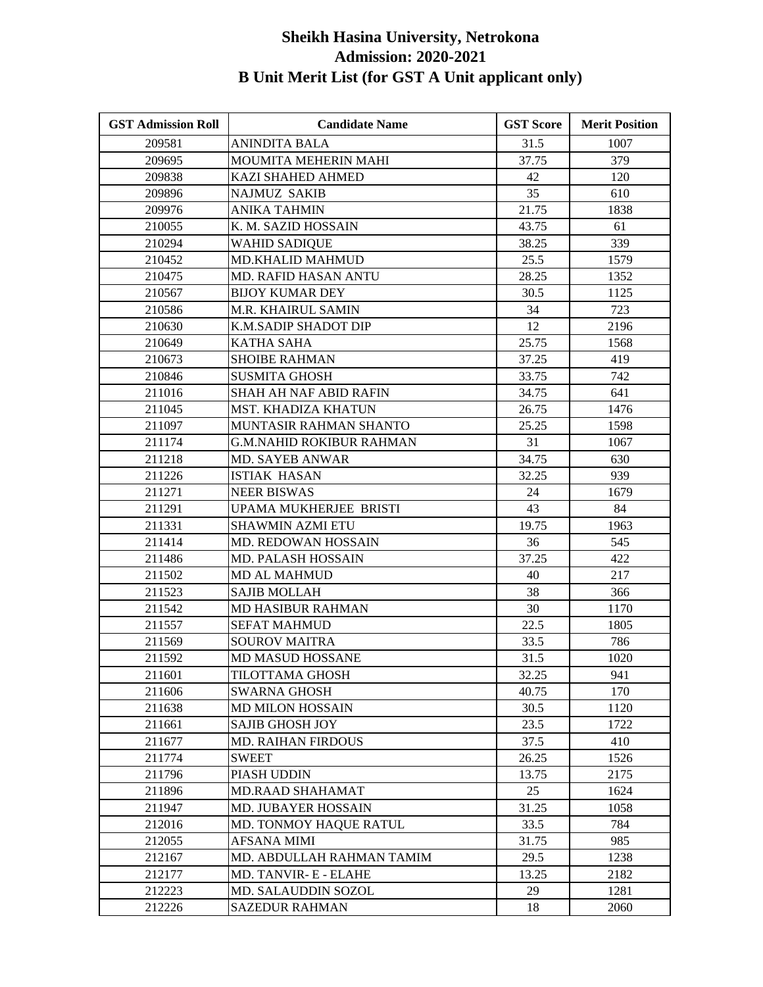| <b>GST Admission Roll</b> | <b>Candidate Name</b>         | <b>GST Score</b> | <b>Merit Position</b> |
|---------------------------|-------------------------------|------------------|-----------------------|
| 209581                    | <b>ANINDITA BALA</b>          | 31.5             | 1007                  |
| 209695                    | MOUMITA MEHERIN MAHI          | 37.75            | 379                   |
| 209838                    | KAZI SHAHED AHMED             | 42               | 120                   |
| 209896                    | <b>NAJMUZ SAKIB</b>           | 35               | 610                   |
| 209976                    | ANIKA TAHMIN                  | 21.75            | 1838                  |
| 210055                    | K. M. SAZID HOSSAIN           | 43.75            | 61                    |
| 210294                    | <b>WAHID SADIQUE</b>          | 38.25            | 339                   |
| 210452                    | <b>MD.KHALID MAHMUD</b>       | 25.5             | 1579                  |
| 210475                    | <b>MD. RAFID HASAN ANTU</b>   | 28.25            | 1352                  |
| 210567                    | <b>BIJOY KUMAR DEY</b>        | 30.5             | 1125                  |
| 210586                    | M.R. KHAIRUL SAMIN            | 34               | 723                   |
| 210630                    | K.M.SADIP SHADOT DIP          | 12               | 2196                  |
| 210649                    | KATHA SAHA                    | 25.75            | 1568                  |
| 210673                    | <b>SHOIBE RAHMAN</b>          | 37.25            | 419                   |
| 210846                    | <b>SUSMITA GHOSH</b>          | 33.75            | 742                   |
| 211016                    | <b>SHAH AH NAF ABID RAFIN</b> | 34.75            | 641                   |
| 211045                    | MST. KHADIZA KHATUN           | 26.75            | 1476                  |
| 211097                    | MUNTASIR RAHMAN SHANTO        | 25.25            | 1598                  |
| 211174                    | G.M.NAHID ROKIBUR RAHMAN      | 31               | 1067                  |
| 211218                    | <b>MD. SAYEB ANWAR</b>        | 34.75            | 630                   |
| 211226                    | <b>ISTIAK HASAN</b>           | 32.25            | 939                   |
| 211271                    | <b>NEER BISWAS</b>            | 24               | 1679                  |
| 211291                    | UPAMA MUKHERJEE BRISTI        | 43               | 84                    |
| 211331                    | <b>SHAWMIN AZMI ETU</b>       | 19.75            | 1963                  |
| 211414                    | MD. REDOWAN HOSSAIN           | 36               | 545                   |
| 211486                    | MD. PALASH HOSSAIN            | 37.25            | 422                   |
| 211502                    | MD AL MAHMUD                  | 40               | 217                   |
| 211523                    | <b>SAJIB MOLLAH</b>           | 38               | 366                   |
| 211542                    | <b>MD HASIBUR RAHMAN</b>      | 30               | 1170                  |
| 211557                    | <b>SEFAT MAHMUD</b>           | 22.5             | 1805                  |
| 211569                    | <b>SOUROV MAITRA</b>          | 33.5             | 786                   |
| 211592                    | MD MASUD HOSSANE              | 31.5             | 1020                  |
| 211601                    | TILOTTAMA GHOSH               | 32.25            | 941                   |
| 211606                    | <b>SWARNA GHOSH</b>           | 40.75            | 170                   |
| 211638                    | <b>MD MILON HOSSAIN</b>       | 30.5             | 1120                  |
| 211661                    | <b>SAJIB GHOSH JOY</b>        | 23.5             | 1722                  |
| 211677                    | <b>MD. RAIHAN FIRDOUS</b>     | 37.5             | 410                   |
| 211774                    | <b>SWEET</b>                  | 26.25            | 1526                  |
| 211796                    | PIASH UDDIN                   | 13.75            | 2175                  |
| 211896                    | <b>MD.RAAD SHAHAMAT</b>       | 25               | 1624                  |
| 211947                    | MD. JUBAYER HOSSAIN           | 31.25            | 1058                  |
| 212016                    | MD. TONMOY HAQUE RATUL        | 33.5             | 784                   |
| 212055                    | <b>AFSANA MIMI</b>            | 31.75            | 985                   |
| 212167                    | MD. ABDULLAH RAHMAN TAMIM     | 29.5             | 1238                  |
| 212177                    | MD. TANVIR- E - ELAHE         | 13.25            | 2182                  |
| 212223                    | MD. SALAUDDIN SOZOL           | 29               | 1281                  |
| 212226                    | <b>SAZEDUR RAHMAN</b>         | 18               | 2060                  |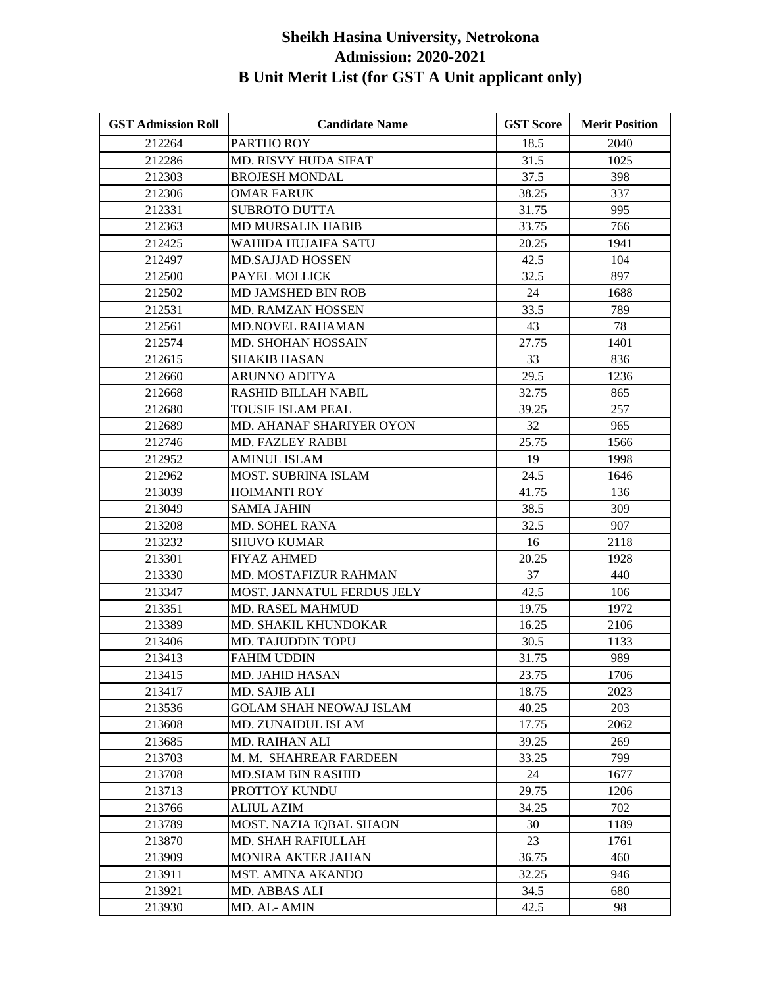| <b>GST Admission Roll</b> | <b>Candidate Name</b>          | <b>GST Score</b> | <b>Merit Position</b> |
|---------------------------|--------------------------------|------------------|-----------------------|
| 212264                    | PARTHO ROY                     | 18.5             | 2040                  |
| 212286                    | <b>MD. RISVY HUDA SIFAT</b>    | 31.5             | 1025                  |
| 212303                    | <b>BROJESH MONDAL</b>          | 37.5             | 398                   |
| 212306                    | <b>OMAR FARUK</b>              | 38.25            | 337                   |
| 212331                    | SUBROTO DUTTA                  | 31.75            | 995                   |
| 212363                    | <b>MD MURSALIN HABIB</b>       | 33.75            | 766                   |
| 212425                    | <b>WAHIDA HUJAIFA SATU</b>     | 20.25            | 1941                  |
| 212497                    | <b>MD.SAJJAD HOSSEN</b>        | 42.5             | 104                   |
| 212500                    | PAYEL MOLLICK                  | 32.5             | 897                   |
| 212502                    | MD JAMSHED BIN ROB             | 24               | 1688                  |
| 212531                    | MD. RAMZAN HOSSEN              | 33.5             | 789                   |
| 212561                    | MD.NOVEL RAHAMAN               | 43               | 78                    |
| 212574                    | <b>MD. SHOHAN HOSSAIN</b>      | 27.75            | 1401                  |
| 212615                    | <b>SHAKIB HASAN</b>            | 33               | 836                   |
| 212660                    | <b>ARUNNO ADITYA</b>           | 29.5             | 1236                  |
| 212668                    | <b>RASHID BILLAH NABIL</b>     | 32.75            | 865                   |
| 212680                    | <b>TOUSIF ISLAM PEAL</b>       | 39.25            | 257                   |
| 212689                    | MD. AHANAF SHARIYER OYON       | 32               | 965                   |
| 212746                    | MD. FAZLEY RABBI               | 25.75            | 1566                  |
| 212952                    | <b>AMINUL ISLAM</b>            | 19               | 1998                  |
| 212962                    | MOST. SUBRINA ISLAM            | 24.5             | 1646                  |
| 213039                    | <b>HOIMANTI ROY</b>            | 41.75            | 136                   |
| 213049                    | <b>SAMIA JAHIN</b>             | 38.5             | 309                   |
| 213208                    | <b>MD. SOHEL RANA</b>          | 32.5             | 907                   |
| 213232                    | <b>SHUVO KUMAR</b>             | 16               | 2118                  |
| 213301                    | <b>FIYAZ AHMED</b>             | 20.25            | 1928                  |
| 213330                    | MD. MOSTAFIZUR RAHMAN          | 37               | 440                   |
| 213347                    | MOST. JANNATUL FERDUS JELY     | 42.5             | 106                   |
| 213351                    | MD. RASEL MAHMUD               | 19.75            | 1972                  |
| 213389                    | MD. SHAKIL KHUNDOKAR           | 16.25            | 2106                  |
| 213406                    | MD. TAJUDDIN TOPU              | 30.5             | 1133                  |
| 213413                    | FAHIM UDDIN                    | 31.75            | 989                   |
| 213415                    | MD. JAHID HASAN                | 23.75            | 1706                  |
| 213417                    | MD. SAJIB ALI                  | 18.75            | 2023                  |
| 213536                    | <b>GOLAM SHAH NEOWAJ ISLAM</b> | 40.25            | 203                   |
| 213608                    | MD. ZUNAIDUL ISLAM             | 17.75            | 2062                  |
| 213685                    | <b>MD. RAIHAN ALI</b>          | 39.25            | 269                   |
| 213703                    | M. M. SHAHREAR FARDEEN         | 33.25            | 799                   |
| 213708                    | <b>MD.SIAM BIN RASHID</b>      | 24               | 1677                  |
| 213713                    | PROTTOY KUNDU                  | 29.75            | 1206                  |
| 213766                    | <b>ALIUL AZIM</b>              | 34.25            | 702                   |
| 213789                    | MOST. NAZIA IQBAL SHAON        | 30               | 1189                  |
| 213870                    | MD. SHAH RAFIULLAH             | 23               | 1761                  |
| 213909                    | <b>MONIRA AKTER JAHAN</b>      | 36.75            | 460                   |
| 213911                    | MST. AMINA AKANDO              | 32.25            | 946                   |
| 213921                    | MD. ABBAS ALI                  | 34.5             | 680                   |
| 213930                    | MD. AL-AMIN                    | 42.5             | 98                    |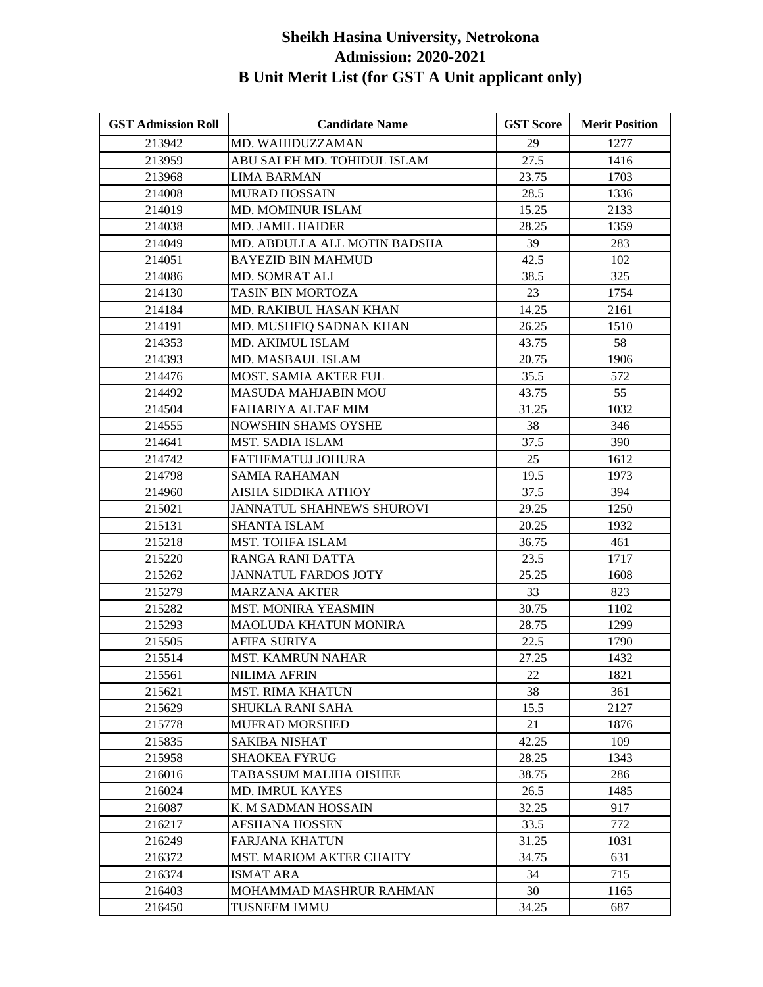| <b>GST Admission Roll</b> | <b>Candidate Name</b>            | <b>GST Score</b> | <b>Merit Position</b> |
|---------------------------|----------------------------------|------------------|-----------------------|
| 213942                    | MD. WAHIDUZZAMAN                 | 29               | 1277                  |
| 213959                    | ABU SALEH MD. TOHIDUL ISLAM      | 27.5             | 1416                  |
| 213968                    | <b>LIMA BARMAN</b>               | 23.75            | 1703                  |
| 214008                    | <b>MURAD HOSSAIN</b>             | 28.5             | 1336                  |
| 214019                    | <b>MD. MOMINUR ISLAM</b>         | 15.25            | 2133                  |
| 214038                    | <b>MD. JAMIL HAIDER</b>          | 28.25            | 1359                  |
| 214049                    | MD. ABDULLA ALL MOTIN BADSHA     | 39               | 283                   |
| 214051                    | <b>BAYEZID BIN MAHMUD</b>        | 42.5             | 102                   |
| 214086                    | MD. SOMRAT ALI                   | 38.5             | 325                   |
| 214130                    | TASIN BIN MORTOZA                | 23               | 1754                  |
| 214184                    | MD. RAKIBUL HASAN KHAN           | 14.25            | 2161                  |
| 214191                    | MD. MUSHFIQ SADNAN KHAN          | 26.25            | 1510                  |
| 214353                    | MD. AKIMUL ISLAM                 | 43.75            | 58                    |
| 214393                    | MD. MASBAUL ISLAM                | 20.75            | 1906                  |
| 214476                    | MOST. SAMIA AKTER FUL            | 35.5             | 572                   |
| 214492                    | MASUDA MAHJABIN MOU              | 43.75            | 55                    |
| 214504                    | FAHARIYA ALTAF MIM               | 31.25            | 1032                  |
| 214555                    | <b>NOWSHIN SHAMS OYSHE</b>       | 38               | 346                   |
| 214641                    | <b>MST. SADIA ISLAM</b>          | 37.5             | 390                   |
| 214742                    | FATHEMATUJ JOHURA                | 25               | 1612                  |
| 214798                    | <b>SAMIA RAHAMAN</b>             | 19.5             | 1973                  |
| 214960                    | AISHA SIDDIKA ATHOY              | 37.5             | 394                   |
| 215021                    | <b>JANNATUL SHAHNEWS SHUROVI</b> | 29.25            | 1250                  |
| 215131                    | <b>SHANTA ISLAM</b>              | 20.25            | 1932                  |
| 215218                    | MST. TOHFA ISLAM                 | 36.75            | 461                   |
| 215220                    | RANGA RANI DATTA                 | 23.5             | 1717                  |
| 215262                    | <b>JANNATUL FARDOS JOTY</b>      | 25.25            | 1608                  |
| 215279                    | <b>MARZANA AKTER</b>             | 33               | 823                   |
| 215282                    | <b>MST. MONIRA YEASMIN</b>       | 30.75            | 1102                  |
| 215293                    | <b>MAOLUDA KHATUN MONIRA</b>     | 28.75            | 1299                  |
| 215505                    | AFIFA SURIYA                     | 22.5             | 1790                  |
| 215514                    | <b>MST. KAMRUN NAHAR</b>         | 27.25            | 1432                  |
| 215561                    | <b>NILIMA AFRIN</b>              | 22               | 1821                  |
| 215621                    | <b>MST. RIMA KHATUN</b>          | 38               | 361                   |
| 215629                    | <b>SHUKLA RANI SAHA</b>          | 15.5             | 2127                  |
| 215778                    | <b>MUFRAD MORSHED</b>            | 21               | 1876                  |
| 215835                    | SAKIBA NISHAT                    | 42.25            | 109                   |
| 215958                    | <b>SHAOKEA FYRUG</b>             | 28.25            | 1343                  |
| 216016                    | TABASSUM MALIHA OISHEE           | 38.75            | 286                   |
| 216024                    | <b>MD. IMRUL KAYES</b>           | 26.5             | 1485                  |
| 216087                    | K. M SADMAN HOSSAIN              | 32.25            | 917                   |
| 216217                    | <b>AFSHANA HOSSEN</b>            | 33.5             | 772                   |
| 216249                    | <b>FARJANA KHATUN</b>            | 31.25            | 1031                  |
| 216372                    | MST. MARIOM AKTER CHAITY         | 34.75            | 631                   |
| 216374                    | <b>ISMAT ARA</b>                 | 34               | 715                   |
| 216403                    | MOHAMMAD MASHRUR RAHMAN          | 30               | 1165                  |
| 216450                    | <b>TUSNEEM IMMU</b>              | 34.25            | 687                   |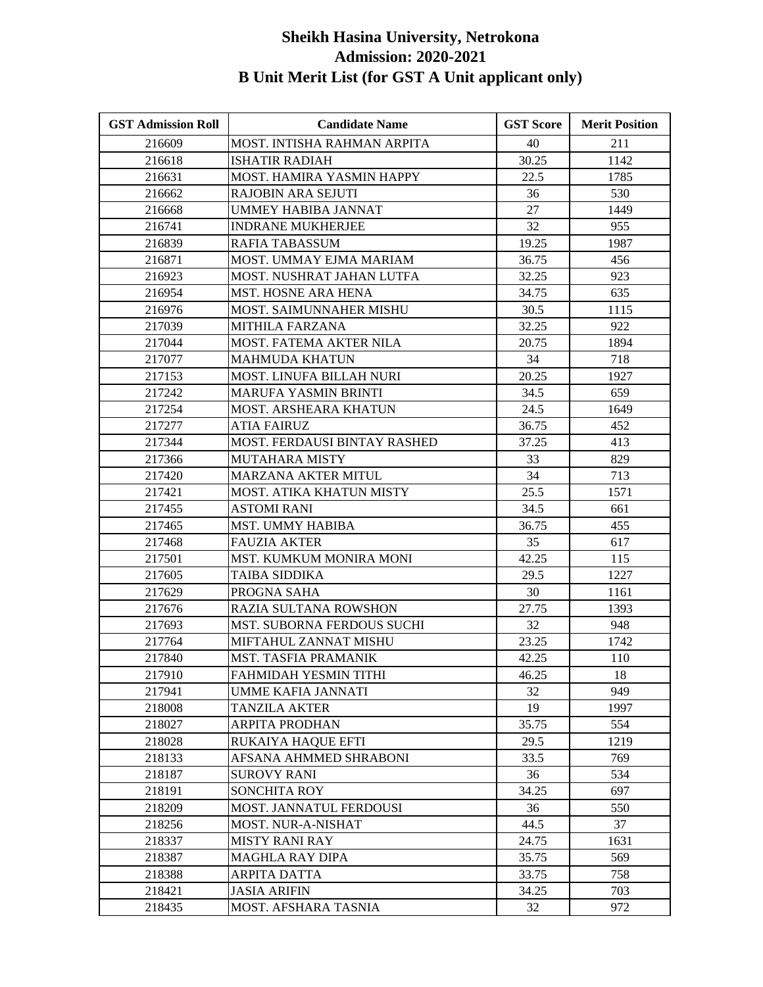| <b>GST Admission Roll</b> | <b>Candidate Name</b>        | <b>GST Score</b> | <b>Merit Position</b> |
|---------------------------|------------------------------|------------------|-----------------------|
| 216609                    | MOST. INTISHA RAHMAN ARPITA  | 40               | 211                   |
| 216618                    | <b>ISHATIR RADIAH</b>        | 30.25            | 1142                  |
| 216631                    | MOST. HAMIRA YASMIN HAPPY    | 22.5             | 1785                  |
| 216662                    | RAJOBIN ARA SEJUTI           | 36               | 530                   |
| 216668                    | UMMEY HABIBA JANNAT          | 27               | 1449                  |
| 216741                    | <b>INDRANE MUKHERJEE</b>     | 32               | 955                   |
| 216839                    | RAFIA TABASSUM               | 19.25            | 1987                  |
| 216871                    | MOST. UMMAY EJMA MARIAM      | 36.75            | 456                   |
| 216923                    | MOST. NUSHRAT JAHAN LUTFA    | 32.25            | 923                   |
| 216954                    | MST. HOSNE ARA HENA          | 34.75            | 635                   |
| 216976                    | MOST. SAIMUNNAHER MISHU      | 30.5             | 1115                  |
| 217039                    | <b>MITHILA FARZANA</b>       | 32.25            | 922                   |
| 217044                    | MOST. FATEMA AKTER NILA      | 20.75            | 1894                  |
| 217077                    | <b>MAHMUDA KHATUN</b>        | 34               | 718                   |
| 217153                    | MOST. LINUFA BILLAH NURI     | 20.25            | 1927                  |
| 217242                    | MARUFA YASMIN BRINTI         | 34.5             | 659                   |
| 217254                    | <b>MOST. ARSHEARA KHATUN</b> | 24.5             | 1649                  |
| 217277                    | ATIA FAIRUZ                  | 36.75            | 452                   |
| 217344                    | MOST. FERDAUSI BINTAY RASHED | 37.25            | 413                   |
| 217366                    | MUTAHARA MISTY               | 33               | 829                   |
| 217420                    | <b>MARZANA AKTER MITUL</b>   | 34               | 713                   |
| 217421                    | MOST. ATIKA KHATUN MISTY     | 25.5             | 1571                  |
| 217455                    | ASTOMI RANI                  | 34.5             | 661                   |
| 217465                    | MST. UMMY HABIBA             | 36.75            | 455                   |
| 217468                    | <b>FAUZIA AKTER</b>          | 35               | 617                   |
| 217501                    | MST. KUMKUM MONIRA MONI      | 42.25            | 115                   |
| 217605                    | TAIBA SIDDIKA                | 29.5             | 1227                  |
| 217629                    | PROGNA SAHA                  | 30               | 1161                  |
| 217676                    | RAZIA SULTANA ROWSHON        | 27.75            | 1393                  |
| 217693                    | MST. SUBORNA FERDOUS SUCHI   | 32               | 948                   |
| 217764                    | MIFTAHUL ZANNAT MISHU        | 23.25            | 1742                  |
| 217840                    | MST. TASFIA PRAMANIK         | 42.25            | 110                   |
| 217910                    | FAHMIDAH YESMIN TITHI        | 46.25            | 18                    |
| 217941                    | UMME KAFIA JANNATI           | 32               | 949                   |
| 218008                    | <b>TANZILA AKTER</b>         | 19               | 1997                  |
| 218027                    | <b>ARPITA PRODHAN</b>        | 35.75            | 554                   |
| 218028                    | RUKAIYA HAQUE EFTI           | 29.5             | 1219                  |
| 218133                    | AFSANA AHMMED SHRABONI       | 33.5             | 769                   |
| 218187                    | <b>SUROVY RANI</b>           | 36               | 534                   |
| 218191                    | <b>SONCHITA ROY</b>          | 34.25            | 697                   |
| 218209                    | MOST. JANNATUL FERDOUSI      | 36               | 550                   |
| 218256                    | <b>MOST. NUR-A-NISHAT</b>    | 44.5             | 37                    |
| 218337                    | <b>MISTY RANI RAY</b>        | 24.75            | 1631                  |
| 218387                    | <b>MAGHLA RAY DIPA</b>       | 35.75            | 569                   |
| 218388                    | <b>ARPITA DATTA</b>          | 33.75            | 758                   |
| 218421                    | <b>JASIA ARIFIN</b>          | 34.25            | 703                   |
| 218435                    | MOST. AFSHARA TASNIA         | 32               | 972                   |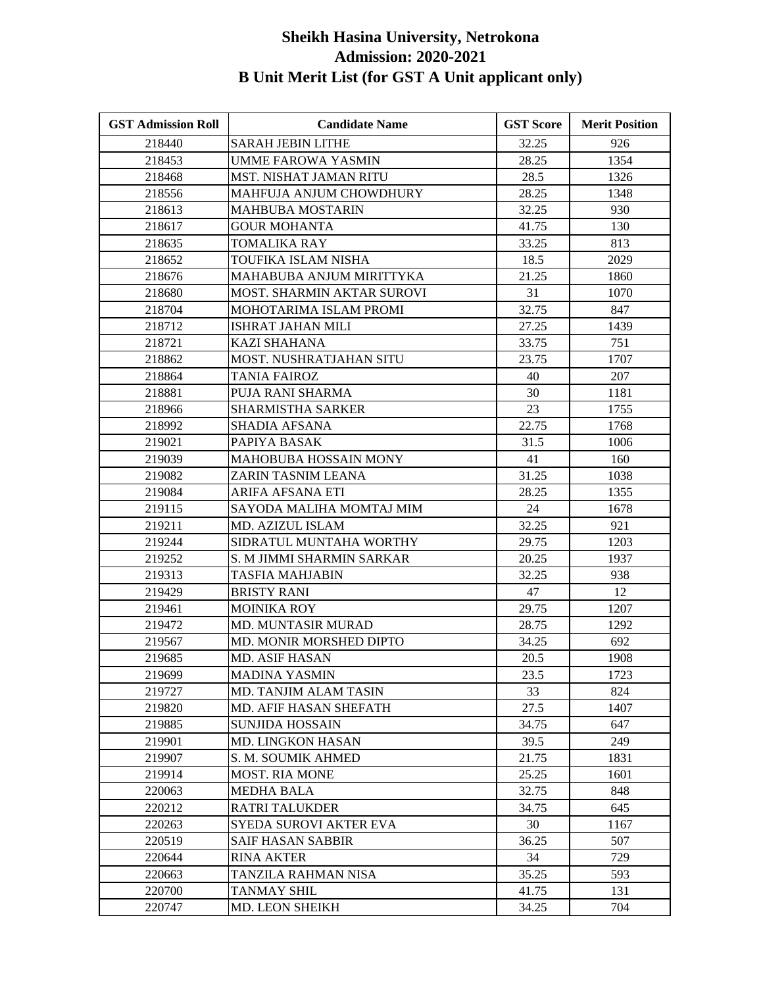| <b>GST Admission Roll</b> | <b>Candidate Name</b>             | <b>GST Score</b> | <b>Merit Position</b> |
|---------------------------|-----------------------------------|------------------|-----------------------|
| 218440                    | <b>SARAH JEBIN LITHE</b>          | 32.25            | 926                   |
| 218453                    | <b>UMME FAROWA YASMIN</b>         | 28.25            | 1354                  |
| 218468                    | <b>MST. NISHAT JAMAN RITU</b>     | 28.5             | 1326                  |
| 218556                    | MAHFUJA ANJUM CHOWDHURY           | 28.25            | 1348                  |
| 218613                    | MAHBUBA MOSTARIN                  | 32.25            | 930                   |
| 218617                    | <b>GOUR MOHANTA</b>               | 41.75            | 130                   |
| 218635                    | TOMALIKA RAY                      | 33.25            | 813                   |
| 218652                    | TOUFIKA ISLAM NISHA               | 18.5             | 2029                  |
| 218676                    | MAHABUBA ANJUM MIRITTYKA          | 21.25            | 1860                  |
| 218680                    | <b>MOST. SHARMIN AKTAR SUROVI</b> | 31               | 1070                  |
| 218704                    | MOHOTARIMA ISLAM PROMI            | 32.75            | 847                   |
| 218712                    | ISHRAT JAHAN MILI                 | 27.25            | 1439                  |
| 218721                    | KAZI SHAHANA                      | 33.75            | 751                   |
| 218862                    | MOST. NUSHRATJAHAN SITU           | 23.75            | 1707                  |
| 218864                    | TANIA FAIROZ                      | 40               | 207                   |
| 218881                    | PUJA RANI SHARMA                  | 30               | 1181                  |
| 218966                    | <b>SHARMISTHA SARKER</b>          | 23               | 1755                  |
| 218992                    | SHADIA AFSANA                     | 22.75            | 1768                  |
| 219021                    | PAPIYA BASAK                      | 31.5             | 1006                  |
| 219039                    | MAHOBUBA HOSSAIN MONY             | 41               | 160                   |
| 219082                    | ZARIN TASNIM LEANA                | 31.25            | 1038                  |
| 219084                    | ARIFA AFSANA ETI                  | 28.25            | 1355                  |
| 219115                    | SAYODA MALIHA MOMTAJ MIM          | 24               | 1678                  |
| 219211                    | MD. AZIZUL ISLAM                  | 32.25            | 921                   |
| 219244                    | SIDRATUL MUNTAHA WORTHY           | 29.75            | 1203                  |
| 219252                    | S. M JIMMI SHARMIN SARKAR         | 20.25            | 1937                  |
| 219313                    | TASFIA MAHJABIN                   | 32.25            | 938                   |
| 219429                    | <b>BRISTY RANI</b>                | 47               | 12                    |
| 219461                    | <b>MOINIKA ROY</b>                | 29.75            | 1207                  |
| 219472                    | MD. MUNTASIR MURAD                | 28.75            | 1292                  |
| 219567                    | <b>MD. MONIR MORSHED DIPTO</b>    | 34.25            | 692                   |
| 219685                    | <b>MD. ASIF HASAN</b>             | 20.5             | 1908                  |
| 219699                    | <b>MADINA YASMIN</b>              | 23.5             | 1723                  |
| 219727                    | MD. TANJIM ALAM TASIN             | 33               | 824                   |
| 219820                    | MD. AFIF HASAN SHEFATH            | 27.5             | 1407                  |
| 219885                    | <b>SUNJIDA HOSSAIN</b>            | 34.75            | 647                   |
| 219901                    | <b>MD. LINGKON HASAN</b>          | 39.5             | 249                   |
| 219907                    | S. M. SOUMIK AHMED                | 21.75            | 1831                  |
| 219914                    | <b>MOST. RIA MONE</b>             | 25.25            | 1601                  |
| 220063                    | <b>MEDHA BALA</b>                 | 32.75            | 848                   |
| 220212                    | <b>RATRI TALUKDER</b>             | 34.75            | 645                   |
| 220263                    | SYEDA SUROVI AKTER EVA            | 30               | 1167                  |
| 220519                    | <b>SAIF HASAN SABBIR</b>          | 36.25            | 507                   |
| 220644                    | <b>RINA AKTER</b>                 | 34               | 729                   |
| 220663                    | TANZILA RAHMAN NISA               | 35.25            | 593                   |
| 220700                    | <b>TANMAY SHIL</b>                | 41.75            | 131                   |
| 220747                    | <b>MD. LEON SHEIKH</b>            | 34.25            | 704                   |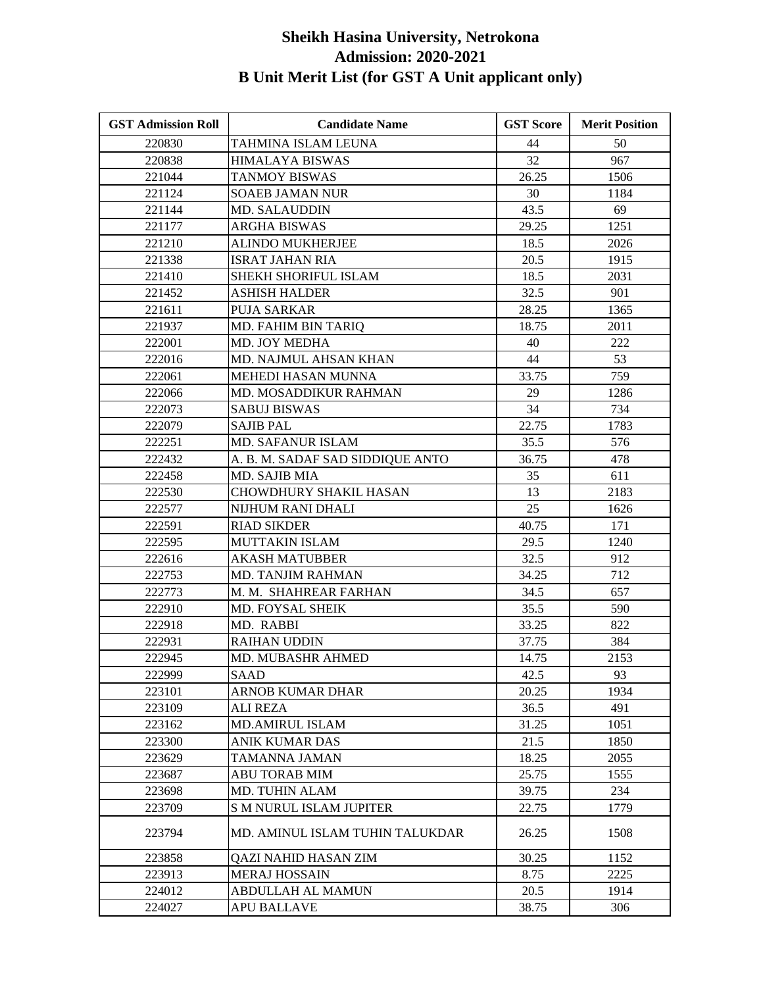| <b>GST Admission Roll</b> | <b>Candidate Name</b>            | <b>GST Score</b> | <b>Merit Position</b> |
|---------------------------|----------------------------------|------------------|-----------------------|
| 220830                    | TAHMINA ISLAM LEUNA              | 44               | 50                    |
| 220838                    | <b>HIMALAYA BISWAS</b>           | 32               | 967                   |
| 221044                    | <b>TANMOY BISWAS</b>             | 26.25            | 1506                  |
| 221124                    | <b>SOAEB JAMAN NUR</b>           | 30               | 1184                  |
| 221144                    | MD. SALAUDDIN                    | 43.5             | 69                    |
| 221177                    | <b>ARGHA BISWAS</b>              | 29.25            | 1251                  |
| 221210                    | <b>ALINDO MUKHERJEE</b>          | 18.5             | 2026                  |
| 221338                    | <b>ISRAT JAHAN RIA</b>           | 20.5             | 1915                  |
| 221410                    | SHEKH SHORIFUL ISLAM             | 18.5             | 2031                  |
| 221452                    | <b>ASHISH HALDER</b>             | 32.5             | 901                   |
| 221611                    | <b>PUJA SARKAR</b>               | 28.25            | 1365                  |
| 221937                    | MD. FAHIM BIN TARIQ              | 18.75            | 2011                  |
| 222001                    | MD. JOY MEDHA                    | 40               | 222                   |
| 222016                    | MD. NAJMUL AHSAN KHAN            | 44               | 53                    |
| 222061                    | MEHEDI HASAN MUNNA               | 33.75            | 759                   |
| 222066                    | MD. MOSADDIKUR RAHMAN            | 29               | 1286                  |
| 222073                    | SABUJ BISWAS                     | 34               | 734                   |
| 222079                    | <b>SAJIB PAL</b>                 | 22.75            | 1783                  |
| 222251                    | <b>MD. SAFANUR ISLAM</b>         | 35.5             | 576                   |
| 222432                    | A. B. M. SADAF SAD SIDDIQUE ANTO | 36.75            | 478                   |
| 222458                    | MD. SAJIB MIA                    | 35               | 611                   |
| 222530                    | <b>CHOWDHURY SHAKIL HASAN</b>    | 13               | 2183                  |
| 222577                    | NIJHUM RANI DHALI                | 25               | 1626                  |
| 222591                    | <b>RIAD SIKDER</b>               | 40.75            | 171                   |
| 222595                    | MUTTAKIN ISLAM                   | 29.5             | 1240                  |
| 222616                    | <b>AKASH MATUBBER</b>            | 32.5             | 912                   |
| 222753                    | MD. TANJIM RAHMAN                | 34.25            | 712                   |
| 222773                    | M. M. SHAHREAR FARHAN            | 34.5             | 657                   |
| 222910                    | MD. FOYSAL SHEIK                 | 35.5             | 590                   |
| 222918                    | MD. RABBI                        | 33.25            | 822                   |
| 222931                    | <b>RAIHAN UDDIN</b>              | 37.75            | 384                   |
| 222945                    | <b>MD. MUBASHR AHMED</b>         | 14.75            | 2153                  |
| 222999                    | SAAD                             | 42.5             | 93                    |
| 223101                    | <b>ARNOB KUMAR DHAR</b>          | 20.25            | 1934                  |
| 223109                    | <b>ALI REZA</b>                  | 36.5             | 491                   |
| 223162                    | <b>MD.AMIRUL ISLAM</b>           | 31.25            | 1051                  |
| 223300                    | <b>ANIK KUMAR DAS</b>            | 21.5             | 1850                  |
| 223629                    | TAMANNA JAMAN                    | 18.25            | 2055                  |
| 223687                    | <b>ABU TORAB MIM</b>             | 25.75            | 1555                  |
| 223698                    | MD. TUHIN ALAM                   | 39.75            | 234                   |
| 223709                    | <b>S M NURUL ISLAM JUPITER</b>   | 22.75            | 1779                  |
| 223794                    | MD. AMINUL ISLAM TUHIN TALUKDAR  | 26.25            | 1508                  |
| 223858                    | QAZI NAHID HASAN ZIM             | 30.25            | 1152                  |
| 223913                    | <b>MERAJ HOSSAIN</b>             | 8.75             | 2225                  |
| 224012                    | ABDULLAH AL MAMUN                | 20.5             | 1914                  |
| 224027                    | <b>APU BALLAVE</b>               | 38.75            | 306                   |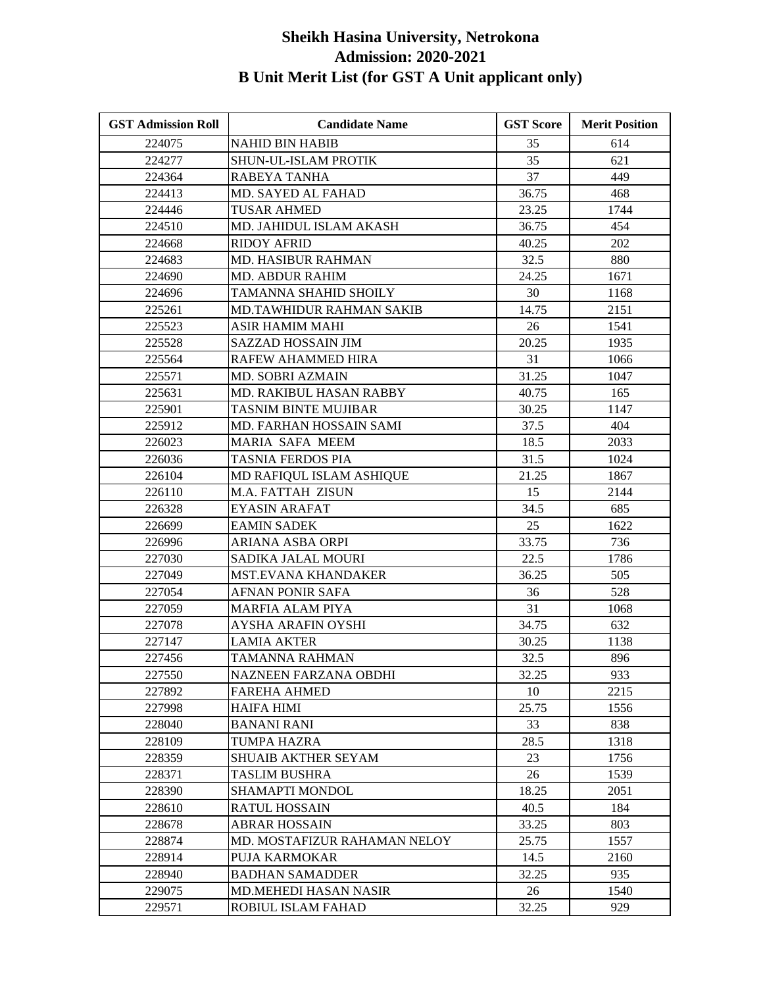| <b>GST Admission Roll</b> | <b>Candidate Name</b>        | <b>GST Score</b> | <b>Merit Position</b> |
|---------------------------|------------------------------|------------------|-----------------------|
| 224075                    | <b>NAHID BIN HABIB</b>       | 35               | 614                   |
| 224277                    | <b>SHUN-UL-ISLAM PROTIK</b>  | 35               | 621                   |
| 224364                    | RABEYA TANHA                 | 37               | 449                   |
| 224413                    | MD. SAYED AL FAHAD           | 36.75            | 468                   |
| 224446                    | TUSAR AHMED                  | 23.25            | 1744                  |
| 224510                    | MD. JAHIDUL ISLAM AKASH      | 36.75            | 454                   |
| 224668                    | <b>RIDOY AFRID</b>           | 40.25            | 202                   |
| 224683                    | <b>MD. HASIBUR RAHMAN</b>    | 32.5             | 880                   |
| 224690                    | <b>MD. ABDUR RAHIM</b>       | 24.25            | 1671                  |
| 224696                    | TAMANNA SHAHID SHOILY        | 30               | 1168                  |
| 225261                    | MD.TAWHIDUR RAHMAN SAKIB     | 14.75            | 2151                  |
| 225523                    | ASIR HAMIM MAHI              | 26               | 1541                  |
| 225528                    | SAZZAD HOSSAIN JIM           | 20.25            | 1935                  |
| 225564                    | RAFEW AHAMMED HIRA           | 31               | 1066                  |
| 225571                    | MD. SOBRI AZMAIN             | 31.25            | 1047                  |
| 225631                    | MD. RAKIBUL HASAN RABBY      | 40.75            | 165                   |
| 225901                    | <b>TASNIM BINTE MUJIBAR</b>  | 30.25            | 1147                  |
| 225912                    | MD. FARHAN HOSSAIN SAMI      | 37.5             | 404                   |
| 226023                    | <b>MARIA SAFA MEEM</b>       | 18.5             | 2033                  |
| 226036                    | <b>TASNIA FERDOS PIA</b>     | 31.5             | 1024                  |
| 226104                    | MD RAFIQUL ISLAM ASHIQUE     | 21.25            | 1867                  |
| 226110                    | <b>M.A. FATTAH ZISUN</b>     | 15               | 2144                  |
| 226328                    | EYASIN ARAFAT                | 34.5             | 685                   |
| 226699                    | <b>EAMIN SADEK</b>           | 25               | 1622                  |
| 226996                    | ARIANA ASBA ORPI             | 33.75            | 736                   |
| 227030                    | SADIKA JALAL MOURI           | 22.5             | 1786                  |
| 227049                    | <b>MST.EVANA KHANDAKER</b>   | 36.25            | 505                   |
| 227054                    | AFNAN PONIR SAFA             | 36               | 528                   |
| 227059                    | <b>MARFIA ALAM PIYA</b>      | 31               | 1068                  |
| 227078                    | AYSHA ARAFIN OYSHI           | 34.75            | 632                   |
| 227147                    | <b>LAMIA AKTER</b>           | 30.25            | 1138                  |
| 227456                    | TAMANNA RAHMAN               | 32.5             | 896                   |
| 227550                    | NAZNEEN FARZANA OBDHI        | 32.25            | 933                   |
| 227892                    | <b>FAREHA AHMED</b>          | 10               | 2215                  |
| 227998                    | HAIFA HIMI                   | 25.75            | 1556                  |
| 228040                    | <b>BANANI RANI</b>           | 33               | 838                   |
| 228109                    | TUMPA HAZRA                  | 28.5             | 1318                  |
| 228359                    | <b>SHUAIB AKTHER SEYAM</b>   | 23               | 1756                  |
| 228371                    | TASLIM BUSHRA                | 26               | 1539                  |
| 228390                    | <b>SHAMAPTI MONDOL</b>       | 18.25            | 2051                  |
| 228610                    | RATUL HOSSAIN                | 40.5             | 184                   |
| 228678                    | <b>ABRAR HOSSAIN</b>         | 33.25            | 803                   |
| 228874                    | MD. MOSTAFIZUR RAHAMAN NELOY | 25.75            | 1557                  |
| 228914                    | PUJA KARMOKAR                | 14.5             | 2160                  |
| 228940                    | <b>BADHAN SAMADDER</b>       | 32.25            | 935                   |
| 229075                    | MD.MEHEDI HASAN NASIR        | 26               | 1540                  |
| 229571                    | ROBIUL ISLAM FAHAD           | 32.25            | 929                   |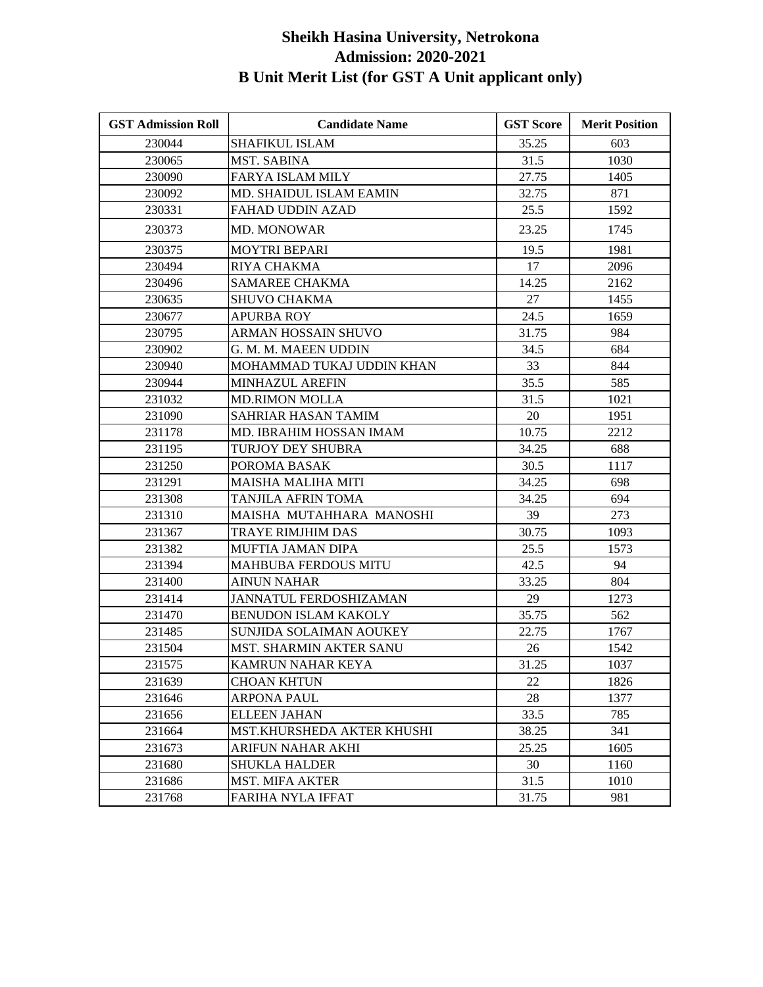| <b>GST Admission Roll</b> | <b>Candidate Name</b>          | <b>GST Score</b> | <b>Merit Position</b> |
|---------------------------|--------------------------------|------------------|-----------------------|
| 230044                    | <b>SHAFIKUL ISLAM</b>          | 35.25            | 603                   |
| 230065                    | <b>MST. SABINA</b>             | 31.5             | 1030                  |
| 230090                    | <b>FARYA ISLAM MILY</b>        | 27.75            | 1405                  |
| 230092                    | <b>MD. SHAIDUL ISLAM EAMIN</b> | 32.75            | 871                   |
| 230331                    | FAHAD UDDIN AZAD               | 25.5             | 1592                  |
| 230373                    | <b>MD. MONOWAR</b>             | 23.25            | 1745                  |
| 230375                    | <b>MOYTRI BEPARI</b>           | 19.5             | 1981                  |
| 230494                    | RIYA CHAKMA                    | 17               | 2096                  |
| 230496                    | <b>SAMAREE CHAKMA</b>          | 14.25            | 2162                  |
| 230635                    | SHUVO CHAKMA                   | 27               | 1455                  |
| 230677                    | <b>APURBA ROY</b>              | 24.5             | 1659                  |
| 230795                    | ARMAN HOSSAIN SHUVO            | 31.75            | 984                   |
| 230902                    | G. M. M. MAEEN UDDIN           | 34.5             | 684                   |
| 230940                    | MOHAMMAD TUKAJ UDDIN KHAN      | 33               | 844                   |
| 230944                    | MINHAZUL AREFIN                | 35.5             | 585                   |
| 231032                    | <b>MD.RIMON MOLLA</b>          | 31.5             | 1021                  |
| 231090                    | SAHRIAR HASAN TAMIM            | 20               | 1951                  |
| 231178                    | MD. IBRAHIM HOSSAN IMAM        | 10.75            | 2212                  |
| 231195                    | TURJOY DEY SHUBRA              | 34.25            | 688                   |
| 231250                    | POROMA BASAK                   | 30.5             | 1117                  |
| 231291                    | MAISHA MALIHA MITI             | 34.25            | 698                   |
| 231308                    | TANJILA AFRIN TOMA             | 34.25            | 694                   |
| 231310                    | MAISHA MUTAHHARA MANOSHI       | 39               | 273                   |
| 231367                    | <b>TRAYE RIMJHIM DAS</b>       | 30.75            | 1093                  |
| 231382                    | MUFTIA JAMAN DIPA              | 25.5             | 1573                  |
| 231394                    | <b>MAHBUBA FERDOUS MITU</b>    | 42.5             | 94                    |
| 231400                    | <b>AINUN NAHAR</b>             | 33.25            | 804                   |
| 231414                    | JANNATUL FERDOSHIZAMAN         | 29               | 1273                  |
| 231470                    | <b>BENUDON ISLAM KAKOLY</b>    | 35.75            | 562                   |
| 231485                    | SUNJIDA SOLAIMAN AOUKEY        | 22.75            | 1767                  |
| 231504                    | MST. SHARMIN AKTER SANU        | 26               | 1542                  |
| 231575                    | KAMRUN NAHAR KEYA              | 31.25            | 1037                  |
| 231639                    | <b>CHOAN KHTUN</b>             | 22               | 1826                  |
| 231646                    | <b>ARPONA PAUL</b>             | 28               | 1377                  |
| 231656                    | <b>ELLEEN JAHAN</b>            | 33.5             | 785                   |
| 231664                    | MST.KHURSHEDA AKTER KHUSHI     | 38.25            | 341                   |
| 231673                    | ARIFUN NAHAR AKHI              | 25.25            | 1605                  |
| 231680                    | <b>SHUKLA HALDER</b>           | 30               | 1160                  |
| 231686                    | <b>MST. MIFA AKTER</b>         | 31.5             | 1010                  |
| 231768                    | FARIHA NYLA IFFAT              | 31.75            | 981                   |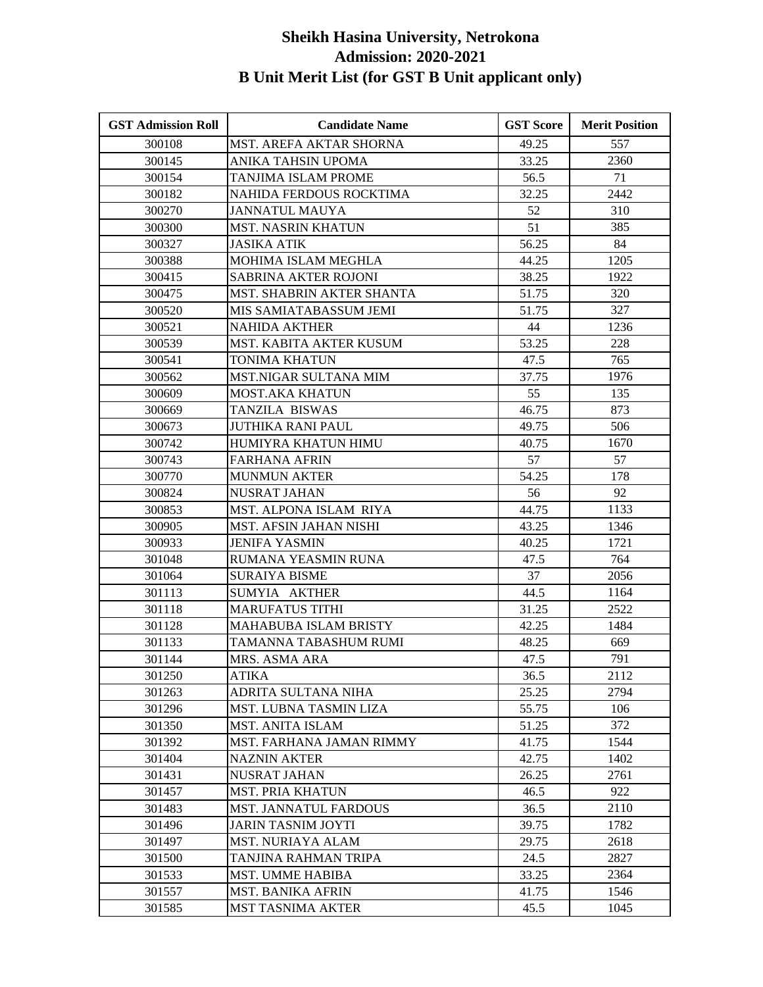| <b>GST Admission Roll</b> | <b>Candidate Name</b>          | <b>GST Score</b> | <b>Merit Position</b> |
|---------------------------|--------------------------------|------------------|-----------------------|
| 300108                    | <b>MST. AREFA AKTAR SHORNA</b> | 49.25            | 557                   |
| 300145                    | ANIKA TAHSIN UPOMA             | 33.25            | 2360                  |
| 300154                    | TANJIMA ISLAM PROME            | 56.5             | 71                    |
| 300182                    | NAHIDA FERDOUS ROCKTIMA        | 32.25            | 2442                  |
| 300270                    | JANNATUL MAUYA                 | 52               | 310                   |
| 300300                    | <b>MST. NASRIN KHATUN</b>      | 51               | 385                   |
| 300327                    | <b>JASIKA ATIK</b>             | 56.25            | 84                    |
| 300388                    | MOHIMA ISLAM MEGHLA            | 44.25            | 1205                  |
| 300415                    | <b>SABRINA AKTER ROJONI</b>    | 38.25            | 1922                  |
| 300475                    | MST. SHABRIN AKTER SHANTA      | 51.75            | 320                   |
| 300520                    | MIS SAMIATABASSUM JEMI         | 51.75            | 327                   |
| 300521                    | <b>NAHIDA AKTHER</b>           | 44               | 1236                  |
| 300539                    | MST. KABITA AKTER KUSUM        | 53.25            | 228                   |
| 300541                    | TONIMA KHATUN                  | 47.5             | 765                   |
| 300562                    | MST.NIGAR SULTANA MIM          | 37.75            | 1976                  |
| 300609                    | <b>MOST.AKA KHATUN</b>         | 55               | 135                   |
| 300669                    | TANZILA BISWAS                 | 46.75            | 873                   |
| 300673                    | <b>JUTHIKA RANI PAUL</b>       | 49.75            | 506                   |
| 300742                    | HUMIYRA KHATUN HIMU            | 40.75            | 1670                  |
| 300743                    | <b>FARHANA AFRIN</b>           | 57               | 57                    |
| 300770                    | <b>MUNMUN AKTER</b>            | 54.25            | 178                   |
| 300824                    | <b>NUSRAT JAHAN</b>            | 56               | 92                    |
| 300853                    | MST. ALPONA ISLAM RIYA         | 44.75            | 1133                  |
| 300905                    | MST. AFSIN JAHAN NISHI         | 43.25            | 1346                  |
| 300933                    | <b>JENIFA YASMIN</b>           | 40.25            | 1721                  |
| 301048                    | RUMANA YEASMIN RUNA            | 47.5             | 764                   |
| 301064                    | <b>SURAIYA BISME</b>           | 37               | 2056                  |
| 301113                    | SUMYIA AKTHER                  | 44.5             | 1164                  |
| 301118                    | <b>MARUFATUS TITHI</b>         | 31.25            | 2522                  |
| 301128                    | <b>MAHABUBA ISLAM BRISTY</b>   | 42.25            | 1484                  |
| 301133                    | TAMANNA TABASHUM RUMI          | 48.25            | 669                   |
| 301144                    | MRS. ASMA ARA                  | 47.5             | 791                   |
| 301250                    | <b>ATIKA</b>                   | 36.5             | 2112                  |
| 301263                    | ADRITA SULTANA NIHA            | 25.25            | 2794                  |
| 301296                    | MST. LUBNA TASMIN LIZA         | 55.75            | 106                   |
| 301350                    | <b>MST. ANITA ISLAM</b>        | 51.25            | 372                   |
| 301392                    | MST. FARHANA JAMAN RIMMY       | 41.75            | 1544                  |
| 301404                    | <b>NAZNIN AKTER</b>            | 42.75            | 1402                  |
| 301431                    | <b>NUSRAT JAHAN</b>            | 26.25            | 2761                  |
| 301457                    | <b>MST. PRIA KHATUN</b>        | 46.5             | 922                   |
| 301483                    | <b>MST. JANNATUL FARDOUS</b>   | 36.5             | 2110                  |
| 301496                    | <b>JARIN TASNIM JOYTI</b>      | 39.75            | 1782                  |
| 301497                    | <b>MST. NURIAYA ALAM</b>       | 29.75            | 2618                  |
| 301500                    | TANJINA RAHMAN TRIPA           | 24.5             | 2827                  |
| 301533                    | <b>MST. UMME HABIBA</b>        | 33.25            | 2364                  |
| 301557                    | <b>MST. BANIKA AFRIN</b>       | 41.75            | 1546                  |
| 301585                    | <b>MST TASNIMA AKTER</b>       | 45.5             | 1045                  |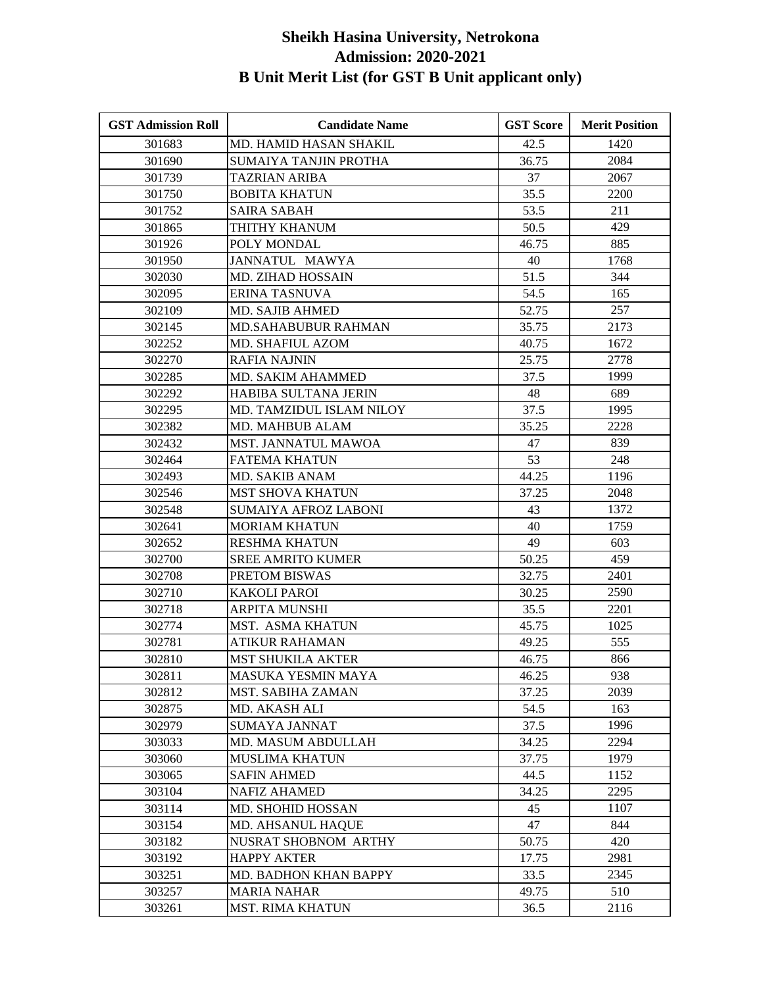| <b>GST Admission Roll</b> | <b>Candidate Name</b>       | <b>GST Score</b> | <b>Merit Position</b> |
|---------------------------|-----------------------------|------------------|-----------------------|
| 301683                    | MD. HAMID HASAN SHAKIL      | 42.5             | 1420                  |
| 301690                    | SUMAIYA TANJIN PROTHA       | 36.75            | 2084                  |
| 301739                    | <b>TAZRIAN ARIBA</b>        | 37               | 2067                  |
| 301750                    | <b>BOBITA KHATUN</b>        | 35.5             | 2200                  |
| 301752                    | <b>SAIRA SABAH</b>          | 53.5             | 211                   |
| 301865                    | THITHY KHANUM               | 50.5             | 429                   |
| 301926                    | POLY MONDAL                 | 46.75            | 885                   |
| 301950                    | <b>JANNATUL MAWYA</b>       | 40               | 1768                  |
| 302030                    | MD. ZIHAD HOSSAIN           | 51.5             | 344                   |
| 302095                    | <b>ERINA TASNUVA</b>        | 54.5             | 165                   |
| 302109                    | <b>MD. SAJIB AHMED</b>      | 52.75            | 257                   |
| 302145                    | <b>MD.SAHABUBUR RAHMAN</b>  | 35.75            | 2173                  |
| 302252                    | MD. SHAFIUL AZOM            | 40.75            | 1672                  |
| 302270                    | RAFIA NAJNIN                | 25.75            | 2778                  |
| 302285                    | MD. SAKIM AHAMMED           | 37.5             | 1999                  |
| 302292                    | HABIBA SULTANA JERIN        | 48               | 689                   |
| 302295                    | MD. TAMZIDUL ISLAM NILOY    | 37.5             | 1995                  |
| 302382                    | MD. MAHBUB ALAM             | 35.25            | 2228                  |
| 302432                    | <b>MST. JANNATUL MAWOA</b>  | 47               | 839                   |
| 302464                    | <b>FATEMA KHATUN</b>        | 53               | 248                   |
| 302493                    | MD. SAKIB ANAM              | 44.25            | 1196                  |
| 302546                    | <b>MST SHOVA KHATUN</b>     | 37.25            | 2048                  |
| 302548                    | <b>SUMAIYA AFROZ LABONI</b> | 43               | 1372                  |
| 302641                    | <b>MORIAM KHATUN</b>        | 40               | 1759                  |
| 302652                    | <b>RESHMA KHATUN</b>        | 49               | 603                   |
| 302700                    | <b>SREE AMRITO KUMER</b>    | 50.25            | 459                   |
| 302708                    | PRETOM BISWAS               | 32.75            | 2401                  |
| 302710                    | <b>KAKOLI PAROI</b>         | 30.25            | 2590                  |
| 302718                    | <b>ARPITA MUNSHI</b>        | 35.5             | 2201                  |
| 302774                    | MST. ASMA KHATUN            | 45.75            | 1025                  |
| 302781                    | ATIKUR RAHAMAN              | 49.25            | 555                   |
| 302810                    | <b>MST SHUKILA AKTER</b>    | 46.75            | 866                   |
| 302811                    | MASUKA YESMIN MAYA          | 46.25            | 938                   |
| 302812                    | MST. SABIHA ZAMAN           | 37.25            | 2039                  |
| 302875                    | MD. AKASH ALI               | 54.5             | 163                   |
| 302979                    | <b>SUMAYA JANNAT</b>        | 37.5             | 1996                  |
| 303033                    | MD. MASUM ABDULLAH          | 34.25            | 2294                  |
| 303060                    | <b>MUSLIMA KHATUN</b>       | 37.75            | 1979                  |
| 303065                    | <b>SAFIN AHMED</b>          | 44.5             | 1152                  |
| 303104                    | <b>NAFIZ AHAMED</b>         | 34.25            | 2295                  |
| 303114                    | <b>MD. SHOHID HOSSAN</b>    | 45               | 1107                  |
| 303154                    | MD. AHSANUL HAQUE           | 47               | 844                   |
| 303182                    | NUSRAT SHOBNOM ARTHY        | 50.75            | 420                   |
| 303192                    | <b>HAPPY AKTER</b>          | 17.75            | 2981                  |
| 303251                    | MD. BADHON KHAN BAPPY       | 33.5             | 2345                  |
| 303257                    | <b>MARIA NAHAR</b>          | 49.75            | 510                   |
| 303261                    | <b>MST. RIMA KHATUN</b>     | 36.5             | 2116                  |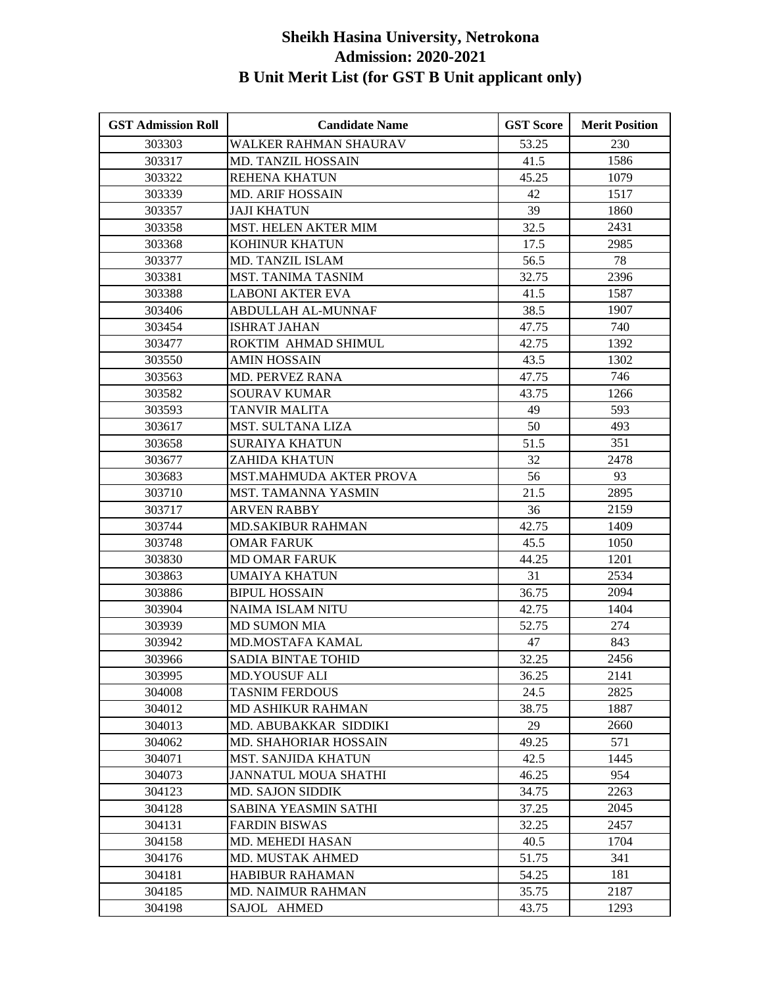| <b>GST Admission Roll</b> | <b>Candidate Name</b>        | <b>GST Score</b> | <b>Merit Position</b> |
|---------------------------|------------------------------|------------------|-----------------------|
| 303303                    | WALKER RAHMAN SHAURAV        | 53.25            | 230                   |
| 303317                    | <b>MD. TANZIL HOSSAIN</b>    | 41.5             | 1586                  |
| 303322                    | <b>REHENA KHATUN</b>         | 45.25            | 1079                  |
| 303339                    | <b>MD. ARIF HOSSAIN</b>      | 42               | 1517                  |
| 303357                    | JAJI KHATUN                  | 39               | 1860                  |
| 303358                    | MST. HELEN AKTER MIM         | 32.5             | 2431                  |
| 303368                    | KOHINUR KHATUN               | 17.5             | 2985                  |
| 303377                    | MD. TANZIL ISLAM             | 56.5             | 78                    |
| 303381                    | <b>MST. TANIMA TASNIM</b>    | 32.75            | 2396                  |
| 303388                    | <b>LABONI AKTER EVA</b>      | 41.5             | 1587                  |
| 303406                    | ABDULLAH AL-MUNNAF           | 38.5             | 1907                  |
| 303454                    | <b>ISHRAT JAHAN</b>          | 47.75            | 740                   |
| 303477                    | ROKTIM AHMAD SHIMUL          | 42.75            | 1392                  |
| 303550                    | AMIN HOSSAIN                 | 43.5             | 1302                  |
| 303563                    | <b>MD. PERVEZ RANA</b>       | 47.75            | 746                   |
| 303582                    | <b>SOURAV KUMAR</b>          | 43.75            | 1266                  |
| 303593                    | <b>TANVIR MALITA</b>         | 49               | 593                   |
| 303617                    | MST. SULTANA LIZA            | 50               | 493                   |
| 303658                    | <b>SURAIYA KHATUN</b>        | 51.5             | 351                   |
| 303677                    | <b>ZAHIDA KHATUN</b>         | 32               | 2478                  |
| 303683                    | MST.MAHMUDA AKTER PROVA      | 56               | 93                    |
| 303710                    | <b>MST. TAMANNA YASMIN</b>   | 21.5             | 2895                  |
| 303717                    | ARVEN RABBY                  | 36               | 2159                  |
| 303744                    | <b>MD.SAKIBUR RAHMAN</b>     | 42.75            | 1409                  |
| 303748                    | <b>OMAR FARUK</b>            | 45.5             | 1050                  |
| 303830                    | <b>MD OMAR FARUK</b>         | 44.25            | 1201                  |
| 303863                    | UMAIYA KHATUN                | 31               | 2534                  |
| 303886                    | <b>BIPUL HOSSAIN</b>         | 36.75            | 2094                  |
| 303904                    | NAIMA ISLAM NITU             | 42.75            | 1404                  |
| 303939                    | <b>MD SUMON MIA</b>          | 52.75            | 274                   |
| 303942                    | MD.MOSTAFA KAMAL             | 47               | 843                   |
| 303966                    | SADIA BINTAE TOHID           | 32.25            | 2456                  |
| 303995                    | <b>MD.YOUSUF ALI</b>         | 36.25            | 2141                  |
| 304008                    | <b>TASNIM FERDOUS</b>        | 24.5             | 2825                  |
| 304012                    | <b>MD ASHIKUR RAHMAN</b>     | 38.75            | 1887                  |
| 304013                    | MD. ABUBAKKAR SIDDIKI        | 29               | 2660                  |
| 304062                    | <b>MD. SHAHORIAR HOSSAIN</b> | 49.25            | 571                   |
| 304071                    | <b>MST. SANJIDA KHATUN</b>   | 42.5             | 1445                  |
| 304073                    | <b>JANNATUL MOUA SHATHI</b>  | 46.25            | 954                   |
| 304123                    | MD. SAJON SIDDIK             | 34.75            | 2263                  |
| 304128                    | SABINA YEASMIN SATHI         | 37.25            | 2045                  |
| 304131                    | <b>FARDIN BISWAS</b>         | 32.25            | 2457                  |
| 304158                    | MD. MEHEDI HASAN             | 40.5             | 1704                  |
| 304176                    | <b>MD. MUSTAK AHMED</b>      | 51.75            | 341                   |
| 304181                    | <b>HABIBUR RAHAMAN</b>       | 54.25            | 181                   |
| 304185                    | <b>MD. NAIMUR RAHMAN</b>     | 35.75            | 2187                  |
| 304198                    | SAJOL AHMED                  | 43.75            | 1293                  |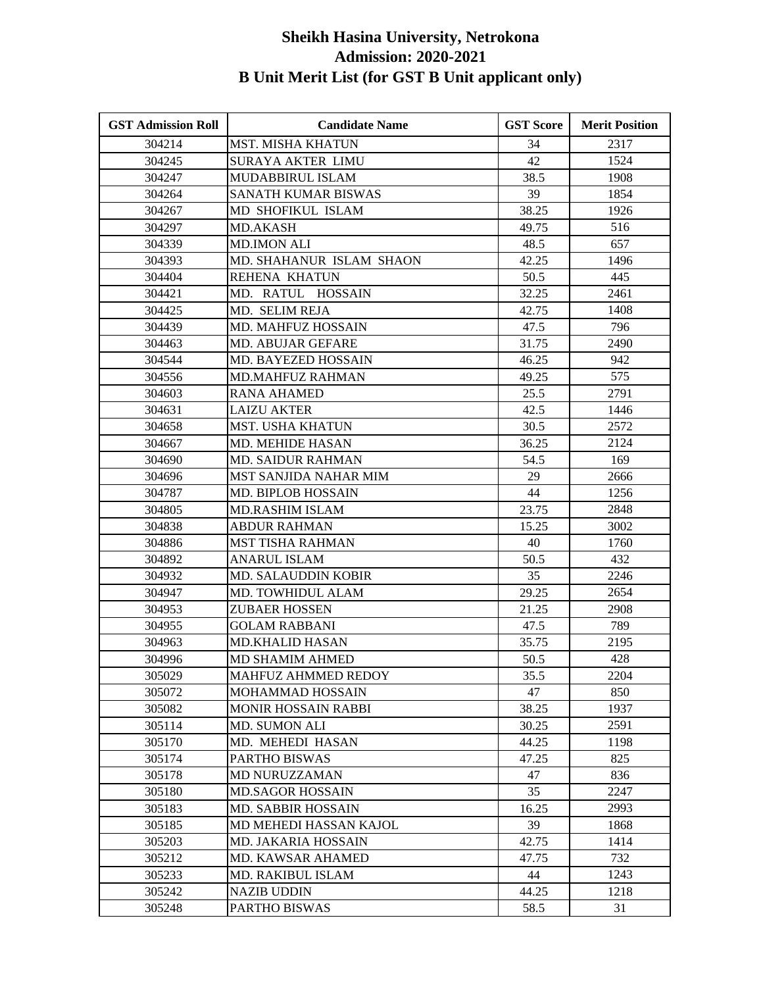| <b>GST Admission Roll</b> | <b>Candidate Name</b>      | <b>GST Score</b> | <b>Merit Position</b> |
|---------------------------|----------------------------|------------------|-----------------------|
| 304214                    | <b>MST. MISHA KHATUN</b>   | 34               | 2317                  |
| 304245                    | SURAYA AKTER LIMU          | 42               | 1524                  |
| 304247                    | MUDABBIRUL ISLAM           | 38.5             | 1908                  |
| 304264                    | SANATH KUMAR BISWAS        | 39               | 1854                  |
| 304267                    | MD SHOFIKUL ISLAM          | 38.25            | 1926                  |
| 304297                    | <b>MD.AKASH</b>            | 49.75            | 516                   |
| 304339                    | <b>MD.IMON ALI</b>         | 48.5             | 657                   |
| 304393                    | MD. SHAHANUR ISLAM SHAON   | 42.25            | 1496                  |
| 304404                    | REHENA KHATUN              | 50.5             | 445                   |
| 304421                    | MD. RATUL HOSSAIN          | 32.25            | 2461                  |
| 304425                    | MD. SELIM REJA             | 42.75            | 1408                  |
| 304439                    | MD. MAHFUZ HOSSAIN         | 47.5             | 796                   |
| 304463                    | <b>MD. ABUJAR GEFARE</b>   | 31.75            | 2490                  |
| 304544                    | <b>MD. BAYEZED HOSSAIN</b> | 46.25            | 942                   |
| 304556                    | <b>MD.MAHFUZ RAHMAN</b>    | 49.25            | 575                   |
| 304603                    | <b>RANA AHAMED</b>         | 25.5             | 2791                  |
| 304631                    | <b>LAIZU AKTER</b>         | 42.5             | 1446                  |
| 304658                    | <b>MST. USHA KHATUN</b>    | 30.5             | 2572                  |
| 304667                    | <b>MD. MEHIDE HASAN</b>    | 36.25            | 2124                  |
| 304690                    | <b>MD. SAIDUR RAHMAN</b>   | 54.5             | 169                   |
| 304696                    | MST SANJIDA NAHAR MIM      | 29               | 2666                  |
| 304787                    | <b>MD. BIPLOB HOSSAIN</b>  | 44               | 1256                  |
| 304805                    | <b>MD.RASHIM ISLAM</b>     | 23.75            | 2848                  |
| 304838                    | <b>ABDUR RAHMAN</b>        | 15.25            | 3002                  |
| 304886                    | <b>MST TISHA RAHMAN</b>    | 40               | 1760                  |
| 304892                    | <b>ANARUL ISLAM</b>        | 50.5             | 432                   |
| 304932                    | <b>MD. SALAUDDIN KOBIR</b> | 35               | 2246                  |
| 304947                    | MD. TOWHIDUL ALAM          | 29.25            | 2654                  |
| 304953                    | <b>ZUBAER HOSSEN</b>       | 21.25            | 2908                  |
| 304955                    | <b>GOLAM RABBANI</b>       | 47.5             | 789                   |
| 304963                    | <b>MD.KHALID HASAN</b>     | 35.75            | 2195                  |
| 304996                    | <b>MD SHAMIM AHMED</b>     | 50.5             | 428                   |
| 305029                    | MAHFUZ AHMMED REDOY        | 35.5             | 2204                  |
| 305072                    | <b>MOHAMMAD HOSSAIN</b>    | 47               | 850                   |
| 305082                    | MONIR HOSSAIN RABBI        | 38.25            | 1937                  |
| 305114                    | MD. SUMON ALI              | 30.25            | 2591                  |
| 305170                    | MD. MEHEDI HASAN           | 44.25            | 1198                  |
| 305174                    | PARTHO BISWAS              | 47.25            | 825                   |
| 305178                    | <b>MD NURUZZAMAN</b>       | 47               | 836                   |
| 305180                    | <b>MD.SAGOR HOSSAIN</b>    | 35               | 2247                  |
| 305183                    | <b>MD. SABBIR HOSSAIN</b>  | 16.25            | 2993                  |
| 305185                    | MD MEHEDI HASSAN KAJOL     | 39               | 1868                  |
| 305203                    | <b>MD. JAKARIA HOSSAIN</b> | 42.75            | 1414                  |
| 305212                    | MD. KAWSAR AHAMED          | 47.75            | 732                   |
| 305233                    | MD. RAKIBUL ISLAM          | 44               | 1243                  |
| 305242                    | <b>NAZIB UDDIN</b>         | 44.25            | 1218                  |
| 305248                    | PARTHO BISWAS              | 58.5             | 31                    |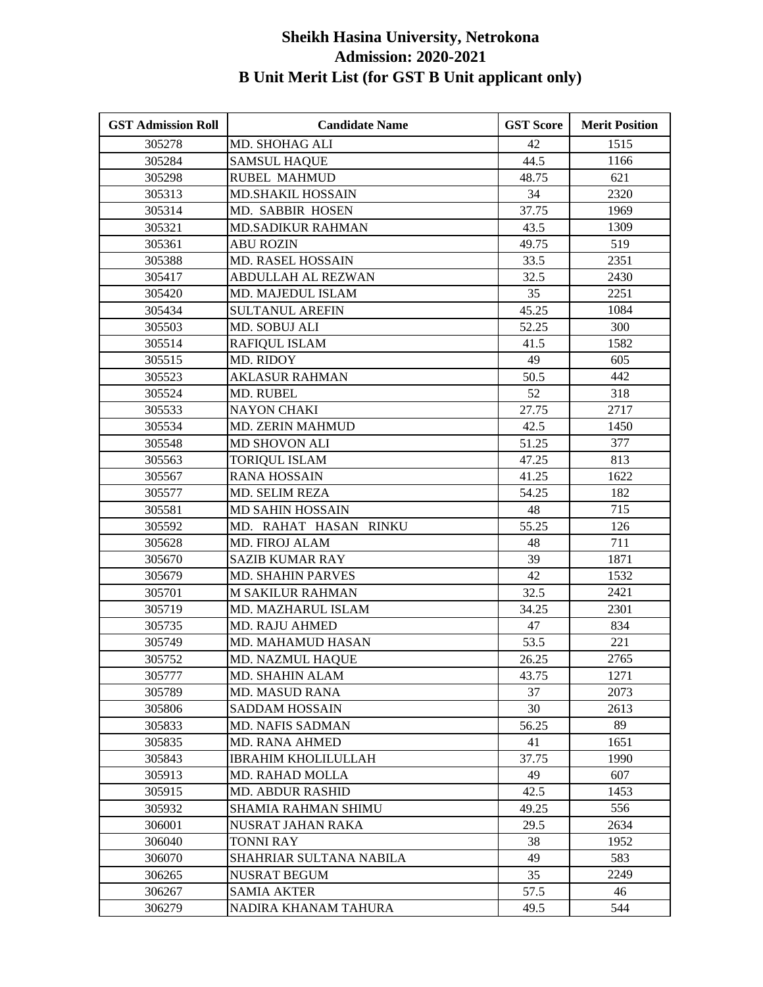| <b>GST Admission Roll</b> | <b>Candidate Name</b>      | <b>GST Score</b> | <b>Merit Position</b> |
|---------------------------|----------------------------|------------------|-----------------------|
| 305278                    | MD. SHOHAG ALI             | 42               | 1515                  |
| 305284                    | <b>SAMSUL HAQUE</b>        | 44.5             | 1166                  |
| 305298                    | <b>RUBEL MAHMUD</b>        | 48.75            | 621                   |
| 305313                    | <b>MD.SHAKIL HOSSAIN</b>   | 34               | 2320                  |
| 305314                    | MD. SABBIR HOSEN           | 37.75            | 1969                  |
| 305321                    | <b>MD.SADIKUR RAHMAN</b>   | 43.5             | 1309                  |
| 305361                    | <b>ABU ROZIN</b>           | 49.75            | 519                   |
| 305388                    | MD. RASEL HOSSAIN          | 33.5             | 2351                  |
| 305417                    | ABDULLAH AL REZWAN         | 32.5             | 2430                  |
| 305420                    | MD. MAJEDUL ISLAM          | 35               | 2251                  |
| 305434                    | <b>SULTANUL AREFIN</b>     | 45.25            | 1084                  |
| 305503                    | <b>MD. SOBUJ ALI</b>       | 52.25            | 300                   |
| 305514                    | <b>RAFIQUL ISLAM</b>       | 41.5             | 1582                  |
| 305515                    | MD. RIDOY                  | 49               | 605                   |
| 305523                    | <b>AKLASUR RAHMAN</b>      | 50.5             | 442                   |
| 305524                    | MD. RUBEL                  | 52               | 318                   |
| 305533                    | <b>NAYON CHAKI</b>         | 27.75            | 2717                  |
| 305534                    | <b>MD. ZERIN MAHMUD</b>    | 42.5             | 1450                  |
| 305548                    | <b>MD SHOVON ALI</b>       | 51.25            | 377                   |
| 305563                    | <b>TORIQUL ISLAM</b>       | 47.25            | 813                   |
| 305567                    | <b>RANA HOSSAIN</b>        | 41.25            | 1622                  |
| 305577                    | MD. SELIM REZA             | 54.25            | 182                   |
| 305581                    | <b>MD SAHIN HOSSAIN</b>    | 48               | 715                   |
| 305592                    | MD. RAHAT HASAN RINKU      | 55.25            | 126                   |
| 305628                    | MD. FIROJ ALAM             | 48               | 711                   |
| 305670                    | <b>SAZIB KUMAR RAY</b>     | 39               | 1871                  |
| 305679                    | <b>MD. SHAHIN PARVES</b>   | 42               | 1532                  |
| 305701                    | <b>M SAKILUR RAHMAN</b>    | 32.5             | 2421                  |
| 305719                    | MD. MAZHARUL ISLAM         | 34.25            | 2301                  |
| 305735                    | <b>MD. RAJU AHMED</b>      | 47               | 834                   |
| 305749                    | MD. MAHAMUD HASAN          | 53.5             | 221                   |
| 305752                    | <b>MD. NAZMUL HAQUE</b>    | 26.25            | 2765                  |
| 305777                    | MD. SHAHIN ALAM            | 43.75            | 1271                  |
| 305789                    | <b>MD. MASUD RANA</b>      | 37               | 2073                  |
| 305806                    | <b>SADDAM HOSSAIN</b>      | 30               | 2613                  |
| 305833                    | <b>MD. NAFIS SADMAN</b>    | 56.25            | 89                    |
| 305835                    | <b>MD. RANA AHMED</b>      | 41               | 1651                  |
| 305843                    | <b>IBRAHIM KHOLILULLAH</b> | 37.75            | 1990                  |
| 305913                    | MD. RAHAD MOLLA            | 49               | 607                   |
| 305915                    | <b>MD. ABDUR RASHID</b>    | 42.5             | 1453                  |
| 305932                    | SHAMIA RAHMAN SHIMU        | 49.25            | 556                   |
| 306001                    | NUSRAT JAHAN RAKA          | 29.5             | 2634                  |
| 306040                    | TONNI RAY                  | 38               | 1952                  |
| 306070                    | SHAHRIAR SULTANA NABILA    | 49               | 583                   |
| 306265                    | <b>NUSRAT BEGUM</b>        | 35               | 2249                  |
| 306267                    | <b>SAMIA AKTER</b>         | 57.5             | 46                    |
| 306279                    | NADIRA KHANAM TAHURA       | 49.5             | 544                   |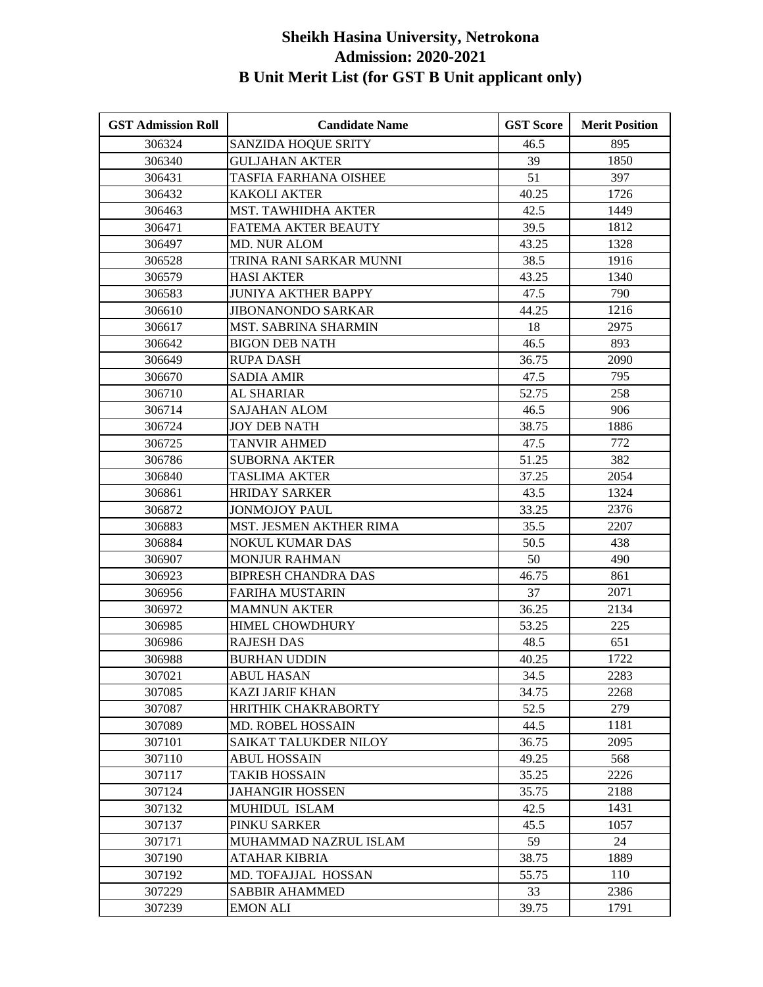| <b>GST Admission Roll</b> | <b>Candidate Name</b>       | <b>GST Score</b> | <b>Merit Position</b> |
|---------------------------|-----------------------------|------------------|-----------------------|
| 306324                    | <b>SANZIDA HOQUE SRITY</b>  | 46.5             | 895                   |
| 306340                    | <b>GULJAHAN AKTER</b>       | 39               | 1850                  |
| 306431                    | TASFIA FARHANA OISHEE       | 51               | 397                   |
| 306432                    | <b>KAKOLI AKTER</b>         | 40.25            | 1726                  |
| 306463                    | MST. TAWHIDHA AKTER         | 42.5             | 1449                  |
| 306471                    | FATEMA AKTER BEAUTY         | 39.5             | 1812                  |
| 306497                    | <b>MD. NUR ALOM</b>         | 43.25            | 1328                  |
| 306528                    | TRINA RANI SARKAR MUNNI     | 38.5             | 1916                  |
| 306579                    | <b>HASI AKTER</b>           | 43.25            | 1340                  |
| 306583                    | <b>JUNIYA AKTHER BAPPY</b>  | 47.5             | 790                   |
| 306610                    | <b>JIBONANONDO SARKAR</b>   | 44.25            | 1216                  |
| 306617                    | <b>MST. SABRINA SHARMIN</b> | 18               | 2975                  |
| 306642                    | <b>BIGON DEB NATH</b>       | 46.5             | 893                   |
| 306649                    | RUPA DASH                   | 36.75            | 2090                  |
| 306670                    | <b>SADIA AMIR</b>           | 47.5             | 795                   |
| 306710                    | AL SHARIAR                  | 52.75            | 258                   |
| 306714                    | <b>SAJAHAN ALOM</b>         | 46.5             | 906                   |
| 306724                    | <b>JOY DEB NATH</b>         | 38.75            | 1886                  |
| 306725                    | <b>TANVIR AHMED</b>         | 47.5             | 772                   |
| 306786                    | <b>SUBORNA AKTER</b>        | 51.25            | 382                   |
| 306840                    | <b>TASLIMA AKTER</b>        | 37.25            | 2054                  |
| 306861                    | <b>HRIDAY SARKER</b>        | 43.5             | 1324                  |
| 306872                    | JONMOJOY PAUL               | 33.25            | 2376                  |
| 306883                    | MST. JESMEN AKTHER RIMA     | 35.5             | 2207                  |
| 306884                    | <b>NOKUL KUMAR DAS</b>      | 50.5             | 438                   |
| 306907                    | <b>MONJUR RAHMAN</b>        | 50               | 490                   |
| 306923                    | <b>BIPRESH CHANDRA DAS</b>  | 46.75            | 861                   |
| 306956                    | <b>FARIHA MUSTARIN</b>      | 37               | 2071                  |
| 306972                    | <b>MAMNUN AKTER</b>         | 36.25            | 2134                  |
| 306985                    | HIMEL CHOWDHURY             | 53.25            | 225                   |
| 306986                    | <b>RAJESH DAS</b>           | 48.5             | 651                   |
| 306988                    | <b>BURHAN UDDIN</b>         | 40.25            | 1722                  |
| 307021                    | <b>ABUL HASAN</b>           | 34.5             | 2283                  |
| 307085                    | <b>KAZI JARIF KHAN</b>      | 34.75            | 2268                  |
| 307087                    | HRITHIK CHAKRABORTY         | 52.5             | 279                   |
| 307089                    | MD. ROBEL HOSSAIN           | 44.5             | 1181                  |
| 307101                    | SAIKAT TALUKDER NILOY       | 36.75            | 2095                  |
| 307110                    | <b>ABUL HOSSAIN</b>         | 49.25            | 568                   |
| 307117                    | <b>TAKIB HOSSAIN</b>        | 35.25            | 2226                  |
| 307124                    | <b>JAHANGIR HOSSEN</b>      | 35.75            | 2188                  |
| 307132                    | MUHIDUL ISLAM               | 42.5             | 1431                  |
| 307137                    | PINKU SARKER                | 45.5             | 1057                  |
| 307171                    | MUHAMMAD NAZRUL ISLAM       | 59               | 24                    |
| 307190                    | ATAHAR KIBRIA               | 38.75            | 1889                  |
| 307192                    | MD. TOFAJJAL HOSSAN         | 55.75            | 110                   |
| 307229                    | <b>SABBIR AHAMMED</b>       | 33               | 2386                  |
| 307239                    | <b>EMON ALI</b>             | 39.75            | 1791                  |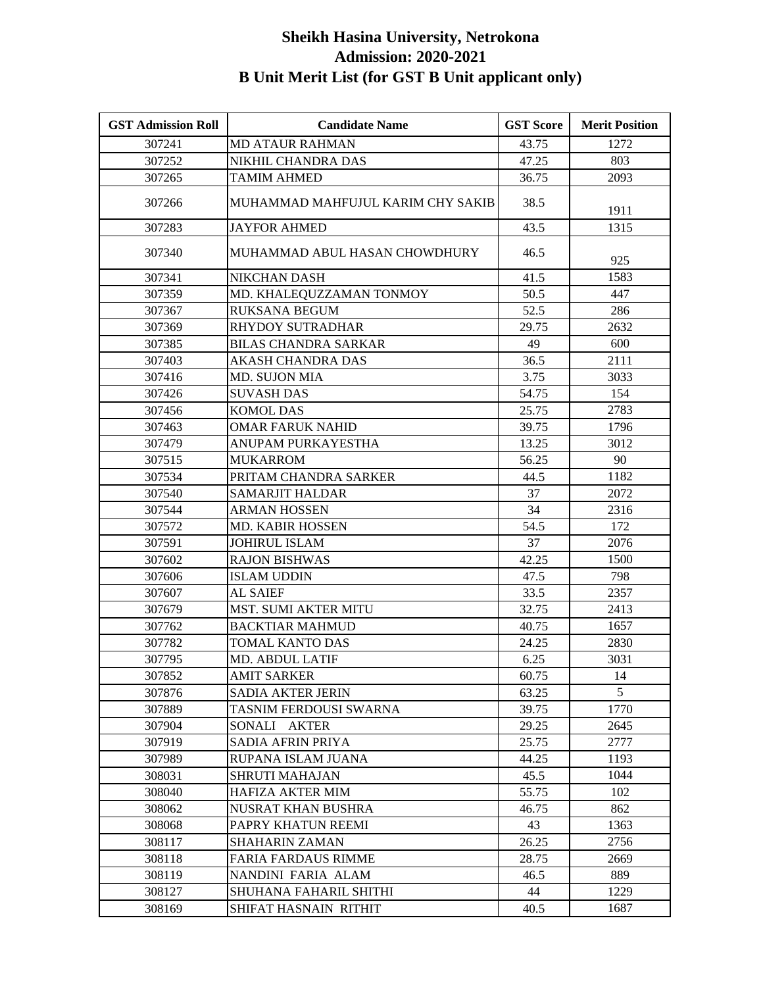| <b>GST Admission Roll</b> | <b>Candidate Name</b>             | <b>GST Score</b> | <b>Merit Position</b> |
|---------------------------|-----------------------------------|------------------|-----------------------|
| 307241                    | <b>MD ATAUR RAHMAN</b>            | 43.75            | 1272                  |
| 307252                    | NIKHIL CHANDRA DAS                | 47.25            | 803                   |
| 307265                    | <b>TAMIM AHMED</b>                | 36.75            | 2093                  |
| 307266                    | MUHAMMAD MAHFUJUL KARIM CHY SAKIB | 38.5             | 1911                  |
| 307283                    | <b>JAYFOR AHMED</b>               | 43.5             | 1315                  |
| 307340                    | MUHAMMAD ABUL HASAN CHOWDHURY     | 46.5             | 925                   |
| 307341                    | <b>NIKCHAN DASH</b>               | 41.5             | 1583                  |
| 307359                    | MD. KHALEQUZZAMAN TONMOY          | 50.5             | 447                   |
| 307367                    | <b>RUKSANA BEGUM</b>              | 52.5             | 286                   |
| 307369                    | <b>RHYDOY SUTRADHAR</b>           | 29.75            | 2632                  |
| 307385                    | <b>BILAS CHANDRA SARKAR</b>       | 49               | 600                   |
| 307403                    | AKASH CHANDRA DAS                 | 36.5             | 2111                  |
| 307416                    | MD. SUJON MIA                     | 3.75             | 3033                  |
| 307426                    | <b>SUVASH DAS</b>                 | 54.75            | 154                   |
| 307456                    | <b>KOMOL DAS</b>                  | 25.75            | 2783                  |
| 307463                    | <b>OMAR FARUK NAHID</b>           | 39.75            | 1796                  |
| 307479                    | ANUPAM PURKAYESTHA                | 13.25            | 3012                  |
| 307515                    | <b>MUKARROM</b>                   | 56.25            | 90                    |
| 307534                    | PRITAM CHANDRA SARKER             | 44.5             | 1182                  |
| 307540                    | <b>SAMARJIT HALDAR</b>            | 37               | 2072                  |
| 307544                    | ARMAN HOSSEN                      | 34               | 2316                  |
| 307572                    | MD. KABIR HOSSEN                  | 54.5             | 172                   |
| 307591                    | <b>JOHIRUL ISLAM</b>              | 37               | 2076                  |
| 307602                    | <b>RAJON BISHWAS</b>              | 42.25            | 1500                  |
| 307606                    | <b>ISLAM UDDIN</b>                | 47.5             | 798                   |
| 307607                    | <b>AL SAIEF</b>                   | 33.5             | 2357                  |
| 307679                    | <b>MST. SUMI AKTER MITU</b>       | 32.75            | 2413                  |
| 307762                    | <b>BACKTIAR MAHMUD</b>            | 40.75            | 1657                  |
| 307782                    | TOMAL KANTO DAS                   | 24.25            | 2830                  |
| 307795                    | <b>MD. ABDUL LATIF</b>            | 6.25             | 3031                  |
| 307852                    | <b>AMIT SARKER</b>                | 60.75            | 14                    |
| 307876                    | <b>SADIA AKTER JERIN</b>          | 63.25            | 5                     |
| 307889                    | TASNIM FERDOUSI SWARNA            | 39.75            | 1770                  |
| 307904                    | SONALI AKTER                      | 29.25            | 2645                  |
| 307919                    | SADIA AFRIN PRIYA                 | 25.75            | 2777                  |
| 307989                    | RUPANA ISLAM JUANA                | 44.25            | 1193                  |
| 308031                    | <b>SHRUTI MAHAJAN</b>             | 45.5             | 1044                  |
| 308040                    | <b>HAFIZA AKTER MIM</b>           | 55.75            | 102                   |
| 308062                    | <b>NUSRAT KHAN BUSHRA</b>         | 46.75            | 862                   |
| 308068                    | PAPRY KHATUN REEMI                | 43               | 1363                  |
| 308117                    | SHAHARIN ZAMAN                    | 26.25            | 2756                  |
| 308118                    | <b>FARIA FARDAUS RIMME</b>        | 28.75            | 2669                  |
| 308119                    | NANDINI FARIA ALAM                | 46.5             | 889                   |
| 308127                    | SHUHANA FAHARIL SHITHI            | 44               | 1229                  |
| 308169                    | SHIFAT HASNAIN RITHIT             | 40.5             | 1687                  |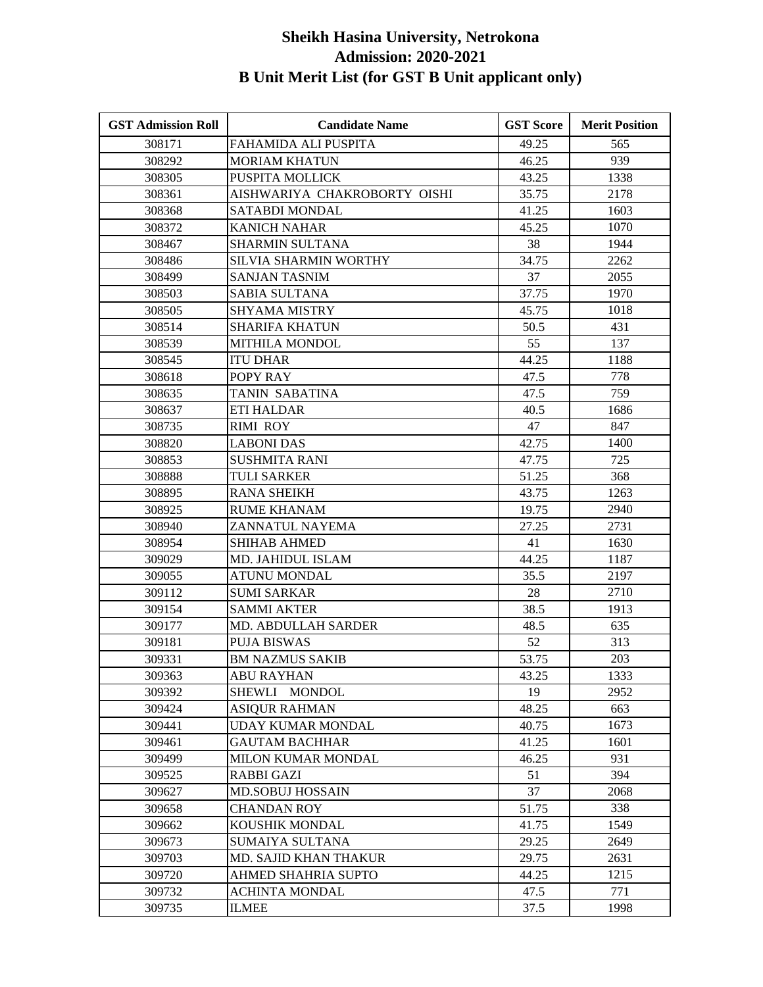| <b>GST Admission Roll</b> | <b>Candidate Name</b>          | <b>GST Score</b> | <b>Merit Position</b> |
|---------------------------|--------------------------------|------------------|-----------------------|
| 308171                    | FAHAMIDA ALI PUSPITA           | 49.25            | 565                   |
| 308292                    | <b>MORIAM KHATUN</b>           | 46.25            | 939                   |
| 308305                    | PUSPITA MOLLICK                | 43.25            | 1338                  |
| 308361                    | AISHWARIYA CHAKROBORTY OISHI   | 35.75            | 2178                  |
| 308368                    | <b>SATABDI MONDAL</b>          | 41.25            | 1603                  |
| 308372                    | <b>KANICH NAHAR</b>            | 45.25            | 1070                  |
| 308467                    | SHARMIN SULTANA                | 38               | 1944                  |
| 308486                    | <b>SILVIA SHARMIN WORTHY</b>   | 34.75            | 2262                  |
| 308499                    | <b>SANJAN TASNIM</b>           | 37               | 2055                  |
| 308503                    | <b>SABIA SULTANA</b>           | 37.75            | 1970                  |
| 308505                    | <b>SHYAMA MISTRY</b>           | 45.75            | 1018                  |
| 308514                    | <b>SHARIFA KHATUN</b>          | 50.5             | 431                   |
| 308539                    | <b>MITHILA MONDOL</b>          | 55               | 137                   |
| 308545                    | <b>ITU DHAR</b>                | 44.25            | 1188                  |
| 308618                    | POPY RAY                       | 47.5             | 778                   |
| 308635                    | TANIN SABATINA                 | 47.5             | 759                   |
| 308637                    | <b>ETI HALDAR</b>              | 40.5             | 1686                  |
| 308735                    | <b>RIMI ROY</b>                | 47               | 847                   |
| 308820                    | <b>LABONI DAS</b>              | 42.75            | 1400                  |
| 308853                    | <b>SUSHMITA RANI</b>           | 47.75            | 725                   |
| 308888                    | <b>TULI SARKER</b>             | 51.25            | 368                   |
| 308895                    | <b>RANA SHEIKH</b>             | 43.75            | 1263                  |
| 308925                    | <b>RUME KHANAM</b>             | 19.75            | 2940                  |
| 308940                    | ZANNATUL NAYEMA                | 27.25            | 2731                  |
| 308954                    | <b>SHIHAB AHMED</b>            | 41               | 1630                  |
| 309029                    | MD. JAHIDUL ISLAM              | 44.25            | 1187                  |
| 309055                    | <b>ATUNU MONDAL</b>            | 35.5             | 2197                  |
| 309112                    | <b>SUMI SARKAR</b>             | 28               | 2710                  |
| 309154                    | <b>SAMMI AKTER</b>             | 38.5             | 1913                  |
| 309177                    | MD. ABDULLAH SARDER            | 48.5             | 635                   |
| 309181                    | <b>PUJA BISWAS</b>             | 52               | 313                   |
| 309331                    | <b>BM NAZMUS SAKIB</b>         | 53.75            | 203                   |
| 309363                    | <b>ABU RAYHAN</b>              | 43.25            | 1333                  |
| 309392                    | <b>SHEWLI</b><br><b>MONDOL</b> | 19               | 2952                  |
| 309424                    | <b>ASIOUR RAHMAN</b>           | 48.25            | 663                   |
| 309441                    | <b>UDAY KUMAR MONDAL</b>       | 40.75            | 1673                  |
| 309461                    | GAUTAM BACHHAR                 | 41.25            | 1601                  |
| 309499                    | MILON KUMAR MONDAL             | 46.25            | 931                   |
| 309525                    | RABBI GAZI                     | 51               | 394                   |
| 309627                    | <b>MD.SOBUJ HOSSAIN</b>        | 37               | 2068                  |
| 309658                    | <b>CHANDAN ROY</b>             | 51.75            | 338                   |
| 309662                    | KOUSHIK MONDAL                 | 41.75            | 1549                  |
| 309673                    | SUMAIYA SULTANA                | 29.25            | 2649                  |
| 309703                    | MD. SAJID KHAN THAKUR          | 29.75            | 2631                  |
| 309720                    | AHMED SHAHRIA SUPTO            | 44.25            | 1215                  |
| 309732                    | ACHINTA MONDAL                 | 47.5             | 771                   |
| 309735                    | <b>ILMEE</b>                   | 37.5             | 1998                  |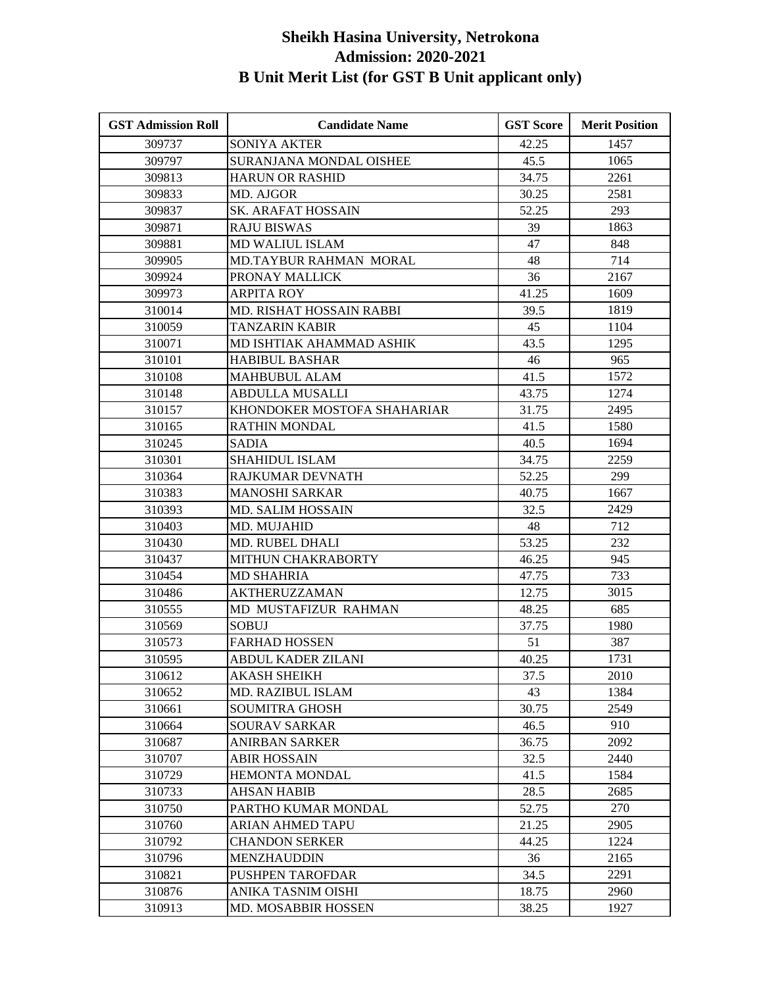| <b>GST Admission Roll</b> | <b>Candidate Name</b>         | <b>GST Score</b> | <b>Merit Position</b> |
|---------------------------|-------------------------------|------------------|-----------------------|
| 309737                    | <b>SONIYA AKTER</b>           | 42.25            | 1457                  |
| 309797                    | SURANJANA MONDAL OISHEE       | 45.5             | 1065                  |
| 309813                    | <b>HARUN OR RASHID</b>        | 34.75            | 2261                  |
| 309833                    | MD. AJGOR                     | 30.25            | 2581                  |
| 309837                    | SK. ARAFAT HOSSAIN            | 52.25            | 293                   |
| 309871                    | <b>RAJU BISWAS</b>            | 39               | 1863                  |
| 309881                    | MD WALIUL ISLAM               | 47               | 848                   |
| 309905                    | <b>MD.TAYBUR RAHMAN MORAL</b> | 48               | 714                   |
| 309924                    | PRONAY MALLICK                | 36               | 2167                  |
| 309973                    | <b>ARPITA ROY</b>             | 41.25            | 1609                  |
| 310014                    | MD. RISHAT HOSSAIN RABBI      | 39.5             | 1819                  |
| 310059                    | <b>TANZARIN KABIR</b>         | 45               | 1104                  |
| 310071                    | MD ISHTIAK AHAMMAD ASHIK      | 43.5             | 1295                  |
| 310101                    | <b>HABIBUL BASHAR</b>         | 46               | 965                   |
| 310108                    | <b>MAHBUBUL ALAM</b>          | 41.5             | 1572                  |
| 310148                    | <b>ABDULLA MUSALLI</b>        | 43.75            | 1274                  |
| 310157                    | KHONDOKER MOSTOFA SHAHARIAR   | 31.75            | 2495                  |
| 310165                    | RATHIN MONDAL                 | 41.5             | 1580                  |
| 310245                    | <b>SADIA</b>                  | 40.5             | 1694                  |
| 310301                    | <b>SHAHIDUL ISLAM</b>         | 34.75            | 2259                  |
| 310364                    | RAJKUMAR DEVNATH              | 52.25            | 299                   |
| 310383                    | <b>MANOSHI SARKAR</b>         | 40.75            | 1667                  |
| 310393                    | <b>MD. SALIM HOSSAIN</b>      | 32.5             | 2429                  |
| 310403                    | MD. MUJAHID                   | 48               | 712                   |
| 310430                    | MD. RUBEL DHALI               | 53.25            | 232                   |
| 310437                    | MITHUN CHAKRABORTY            | 46.25            | 945                   |
| 310454                    | <b>MD SHAHRIA</b>             | 47.75            | 733                   |
| 310486                    | <b>AKTHERUZZAMAN</b>          | 12.75            | 3015                  |
| 310555                    | MD MUSTAFIZUR RAHMAN          | 48.25            | 685                   |
| 310569                    | <b>SOBUJ</b>                  | 37.75            | 1980                  |
| 310573                    | <b>FARHAD HOSSEN</b>          | 51               | 387                   |
| 310595                    | ABDUL KADER ZILANI            | 40.25            | 1731                  |
| 310612                    | <b>AKASH SHEIKH</b>           | 37.5             | 2010                  |
| 310652                    | <b>MD. RAZIBUL ISLAM</b>      | 43               | 1384                  |
| 310661                    | <b>SOUMITRA GHOSH</b>         | 30.75            | 2549                  |
| 310664                    | <b>SOURAV SARKAR</b>          | 46.5             | 910                   |
| 310687                    | ANIRBAN SARKER                | 36.75            | 2092                  |
| 310707                    | <b>ABIR HOSSAIN</b>           | 32.5             | 2440                  |
| 310729                    | <b>HEMONTA MONDAL</b>         | 41.5             | 1584                  |
| 310733                    | AHSAN HABIB                   | 28.5             | 2685                  |
| 310750                    | PARTHO KUMAR MONDAL           | 52.75            | 270                   |
| 310760                    | ARIAN AHMED TAPU              | 21.25            | 2905                  |
| 310792                    | <b>CHANDON SERKER</b>         | 44.25            | 1224                  |
| 310796                    | MENZHAUDDIN                   | 36               | 2165                  |
| 310821                    | <b>PUSHPEN TAROFDAR</b>       | 34.5             | 2291                  |
| 310876                    | ANIKA TASNIM OISHI            | 18.75            | 2960                  |
| 310913                    | MD. MOSABBIR HOSSEN           | 38.25            | 1927                  |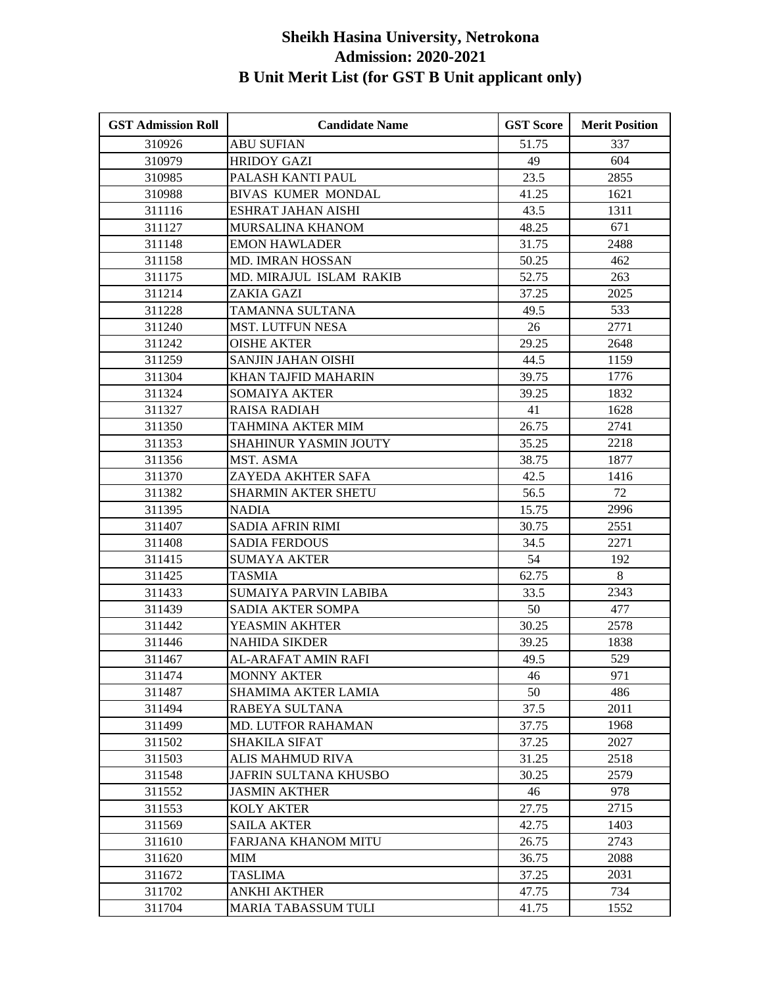| <b>GST Admission Roll</b> | <b>Candidate Name</b>        | <b>GST Score</b> | <b>Merit Position</b> |
|---------------------------|------------------------------|------------------|-----------------------|
| 310926                    | <b>ABU SUFIAN</b>            | 51.75            | 337                   |
| 310979                    | <b>HRIDOY GAZI</b>           | 49               | 604                   |
| 310985                    | PALASH KANTI PAUL            | 23.5             | 2855                  |
| 310988                    | <b>BIVAS KUMER MONDAL</b>    | 41.25            | 1621                  |
| 311116                    | <b>ESHRAT JAHAN AISHI</b>    | 43.5             | 1311                  |
| 311127                    | MURSALINA KHANOM             | 48.25            | 671                   |
| 311148                    | <b>EMON HAWLADER</b>         | 31.75            | 2488                  |
| 311158                    | MD. IMRAN HOSSAN             | 50.25            | 462                   |
| 311175                    | MD. MIRAJUL ISLAM RAKIB      | 52.75            | 263                   |
| 311214                    | ZAKIA GAZI                   | 37.25            | 2025                  |
| 311228                    | TAMANNA SULTANA              | 49.5             | 533                   |
| 311240                    | <b>MST. LUTFUN NESA</b>      | 26               | 2771                  |
| 311242                    | <b>OISHE AKTER</b>           | 29.25            | 2648                  |
| 311259                    | SANJIN JAHAN OISHI           | 44.5             | 1159                  |
| 311304                    | KHAN TAJFID MAHARIN          | 39.75            | 1776                  |
| 311324                    | <b>SOMAIYA AKTER</b>         | 39.25            | 1832                  |
| 311327                    | <b>RAISA RADIAH</b>          | 41               | 1628                  |
| 311350                    | TAHMINA AKTER MIM            | 26.75            | 2741                  |
| 311353                    | <b>SHAHINUR YASMIN JOUTY</b> | 35.25            | 2218                  |
| 311356                    | MST. ASMA                    | 38.75            | 1877                  |
| 311370                    | ZAYEDA AKHTER SAFA           | 42.5             | 1416                  |
| 311382                    | SHARMIN AKTER SHETU          | 56.5             | 72                    |
| 311395                    | <b>NADIA</b>                 | 15.75            | 2996                  |
| 311407                    | <b>SADIA AFRIN RIMI</b>      | 30.75            | 2551                  |
| 311408                    | <b>SADIA FERDOUS</b>         | 34.5             | 2271                  |
| 311415                    | <b>SUMAYA AKTER</b>          | 54               | 192                   |
| 311425                    | <b>TASMIA</b>                | 62.75            | 8                     |
| 311433                    | SUMAIYA PARVIN LABIBA        | 33.5             | 2343                  |
| 311439                    | SADIA AKTER SOMPA            | 50               | 477                   |
| 311442                    | YEASMIN AKHTER               | 30.25            | 2578                  |
| 311446                    | <b>NAHIDA SIKDER</b>         | 39.25            | 1838                  |
| 311467                    | AL-ARAFAT AMIN RAFI          | 49.5             | 529                   |
| 311474                    | <b>MONNY AKTER</b>           | 46               | 971                   |
| 311487                    | <b>SHAMIMA AKTER LAMIA</b>   | 50               | 486                   |
| 311494                    | RABEYA SULTANA               | 37.5             | 2011                  |
| 311499                    | <b>MD. LUTFOR RAHAMAN</b>    | 37.75            | 1968                  |
| 311502                    | <b>SHAKILA SIFAT</b>         | 37.25            | 2027                  |
| 311503                    | <b>ALIS MAHMUD RIVA</b>      | 31.25            | 2518                  |
| 311548                    | <b>JAFRIN SULTANA KHUSBO</b> | 30.25            | 2579                  |
| 311552                    | <b>JASMIN AKTHER</b>         | 46               | 978                   |
| 311553                    | <b>KOLY AKTER</b>            | 27.75            | 2715                  |
| 311569                    | <b>SAILA AKTER</b>           | 42.75            | 1403                  |
| 311610                    | FARJANA KHANOM MITU          | 26.75            | 2743                  |
| 311620                    | <b>MIM</b>                   | 36.75            | 2088                  |
| 311672                    | <b>TASLIMA</b>               | 37.25            | 2031                  |
| 311702                    | <b>ANKHI AKTHER</b>          | 47.75            | 734                   |
| 311704                    | MARIA TABASSUM TULI          | 41.75            | 1552                  |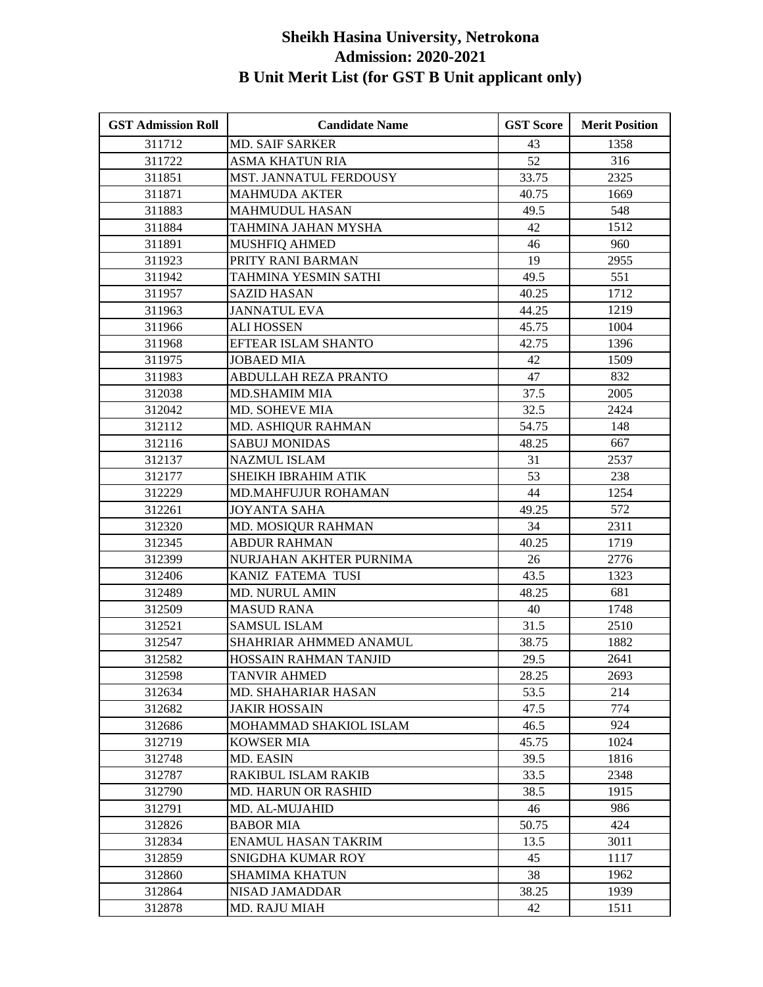| <b>GST Admission Roll</b> | <b>Candidate Name</b>       | <b>GST Score</b> | <b>Merit Position</b> |
|---------------------------|-----------------------------|------------------|-----------------------|
| 311712                    | <b>MD. SAIF SARKER</b>      | 43               | 1358                  |
| 311722                    | <b>ASMA KHATUN RIA</b>      | 52               | 316                   |
| 311851                    | MST. JANNATUL FERDOUSY      | 33.75            | 2325                  |
| 311871                    | <b>MAHMUDA AKTER</b>        | 40.75            | 1669                  |
| 311883                    | <b>MAHMUDUL HASAN</b>       | 49.5             | 548                   |
| 311884                    | TAHMINA JAHAN MYSHA         | 42               | 1512                  |
| 311891                    | <b>MUSHFIQ AHMED</b>        | 46               | 960                   |
| 311923                    | PRITY RANI BARMAN           | 19               | 2955                  |
| 311942                    | TAHMINA YESMIN SATHI        | 49.5             | 551                   |
| 311957                    | <b>SAZID HASAN</b>          | 40.25            | 1712                  |
| 311963                    | <b>JANNATUL EVA</b>         | 44.25            | 1219                  |
| 311966                    | <b>ALI HOSSEN</b>           | 45.75            | 1004                  |
| 311968                    | EFTEAR ISLAM SHANTO         | 42.75            | 1396                  |
| 311975                    | <b>JOBAED MIA</b>           | 42               | 1509                  |
| 311983                    | <b>ABDULLAH REZA PRANTO</b> | 47               | 832                   |
| 312038                    | <b>MD.SHAMIM MIA</b>        | 37.5             | 2005                  |
| 312042                    | MD. SOHEVE MIA              | 32.5             | 2424                  |
| 312112                    | MD. ASHIQUR RAHMAN          | 54.75            | 148                   |
| 312116                    | <b>SABUJ MONIDAS</b>        | 48.25            | 667                   |
| 312137                    | <b>NAZMUL ISLAM</b>         | 31               | 2537                  |
| 312177                    | <b>SHEIKH IBRAHIM ATIK</b>  | 53               | 238                   |
| 312229                    | <b>MD.MAHFUJUR ROHAMAN</b>  | 44               | 1254                  |
| 312261                    | <b>JOYANTA SAHA</b>         | 49.25            | 572                   |
| 312320                    | MD. MOSIQUR RAHMAN          | 34               | 2311                  |
| 312345                    | <b>ABDUR RAHMAN</b>         | 40.25            | 1719                  |
| 312399                    | NURJAHAN AKHTER PURNIMA     | 26               | 2776                  |
| 312406                    | KANIZ FATEMA TUSI           | 43.5             | 1323                  |
| 312489                    | <b>MD. NURUL AMIN</b>       | 48.25            | 681                   |
| 312509                    | <b>MASUD RANA</b>           | 40               | 1748                  |
| 312521                    | <b>SAMSUL ISLAM</b>         | 31.5             | 2510                  |
| 312547                    | SHAHRIAR AHMMED ANAMUL      | 38.75            | 1882                  |
| 312582                    | HOSSAIN RAHMAN TANJID       | 29.5             | 2641                  |
| 312598                    | TANVIR AHMED                | 28.25            | 2693                  |
| 312634                    | MD. SHAHARIAR HASAN         | 53.5             | 214                   |
| 312682                    | JAKIR HOSSAIN               | 47.5             | 774                   |
| 312686                    | MOHAMMAD SHAKIOL ISLAM      | 46.5             | 924                   |
| 312719                    | <b>KOWSER MIA</b>           | 45.75            | 1024                  |
| 312748                    | MD. EASIN                   | 39.5             | 1816                  |
| 312787                    | <b>RAKIBUL ISLAM RAKIB</b>  | 33.5             | 2348                  |
| 312790                    | <b>MD. HARUN OR RASHID</b>  | 38.5             | 1915                  |
| 312791                    | MD. AL-MUJAHID              | 46               | 986                   |
| 312826                    | <b>BABOR MIA</b>            | 50.75            | 424                   |
| 312834                    | <b>ENAMUL HASAN TAKRIM</b>  | 13.5             | 3011                  |
| 312859                    | SNIGDHA KUMAR ROY           | 45               | 1117                  |
| 312860                    | <b>SHAMIMA KHATUN</b>       | 38               | 1962                  |
| 312864                    | NISAD JAMADDAR              | 38.25            | 1939                  |
| 312878                    | MD. RAJU MIAH               | 42               | 1511                  |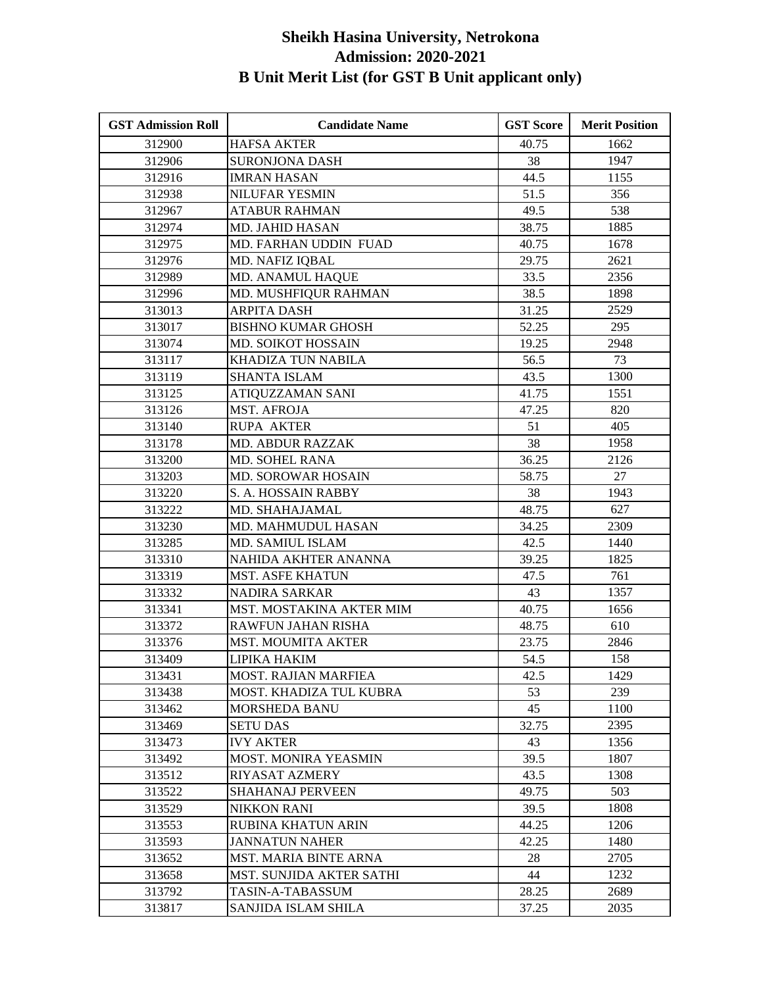| <b>GST Admission Roll</b> | <b>Candidate Name</b>           | <b>GST Score</b> | <b>Merit Position</b> |
|---------------------------|---------------------------------|------------------|-----------------------|
| 312900                    | <b>HAFSA AKTER</b>              | 40.75            | 1662                  |
| 312906                    | <b>SURONJONA DASH</b>           | 38               | 1947                  |
| 312916                    | <b>IMRAN HASAN</b>              | 44.5             | 1155                  |
| 312938                    | NILUFAR YESMIN                  | 51.5             | 356                   |
| 312967                    | <b>ATABUR RAHMAN</b>            | 49.5             | 538                   |
| 312974                    | MD. JAHID HASAN                 | 38.75            | 1885                  |
| 312975                    | MD. FARHAN UDDIN FUAD           | 40.75            | 1678                  |
| 312976                    | MD. NAFIZ IQBAL                 | 29.75            | 2621                  |
| 312989                    | MD. ANAMUL HAQUE                | 33.5             | 2356                  |
| 312996                    | MD. MUSHFIQUR RAHMAN            | 38.5             | 1898                  |
| 313013                    | <b>ARPITA DASH</b>              | 31.25            | 2529                  |
| 313017                    | <b>BISHNO KUMAR GHOSH</b>       | 52.25            | 295                   |
| 313074                    | MD. SOIKOT HOSSAIN              | 19.25            | 2948                  |
| 313117                    | <b>KHADIZA TUN NABILA</b>       | 56.5             | 73                    |
| 313119                    | <b>SHANTA ISLAM</b>             | 43.5             | 1300                  |
| 313125                    | ATIQUZZAMAN SANI                | 41.75            | 1551                  |
| 313126                    | <b>MST. AFROJA</b>              | 47.25            | 820                   |
| 313140                    | <b>RUPA AKTER</b>               | 51               | 405                   |
| 313178                    | <b>MD. ABDUR RAZZAK</b>         | 38               | 1958                  |
| 313200                    | MD. SOHEL RANA                  | 36.25            | 2126                  |
| 313203                    | MD. SOROWAR HOSAIN              | 58.75            | 27                    |
| 313220                    | S. A. HOSSAIN RABBY             | 38               | 1943                  |
| 313222                    | MD. SHAHAJAMAL                  | 48.75            | 627                   |
| 313230                    | MD. MAHMUDUL HASAN              | 34.25            | 2309                  |
| 313285                    | MD. SAMIUL ISLAM                | 42.5             | 1440                  |
| 313310                    | NAHIDA AKHTER ANANNA            | 39.25            | 1825                  |
| 313319                    | <b>MST. ASFE KHATUN</b>         | 47.5             | 761                   |
| 313332                    | <b>NADIRA SARKAR</b>            | 43               | 1357                  |
| 313341                    | MST. MOSTAKINA AKTER MIM        | 40.75            | 1656                  |
| 313372                    | RAWFUN JAHAN RISHA              | 48.75            | 610                   |
| 313376                    | <b>MST. MOUMITA AKTER</b>       | 23.75            | 2846                  |
| 313409                    | LIPIKA HAKIM                    | 54.5             | 158                   |
| 313431                    | <b>MOST. RAJIAN MARFIEA</b>     | 42.5             | 1429                  |
| 313438                    | MOST. KHADIZA TUL KUBRA         | 53               | 239                   |
| 313462                    | <b>MORSHEDA BANU</b>            | 45               | 1100                  |
| 313469                    | <b>SETU DAS</b>                 | 32.75            | 2395                  |
| 313473                    | <b>IVY AKTER</b>                | 43               | 1356                  |
| 313492                    | MOST. MONIRA YEASMIN            | 39.5             | 1807                  |
| 313512                    | <b>RIYASAT AZMERY</b>           | 43.5             | 1308                  |
| 313522                    | <b>SHAHANAJ PERVEEN</b>         | 49.75            | 503                   |
| 313529                    | <b>NIKKON RANI</b>              | 39.5             | 1808                  |
| 313553                    | <b>RUBINA KHATUN ARIN</b>       | 44.25            | 1206                  |
| 313593                    | <b>JANNATUN NAHER</b>           | 42.25            | 1480                  |
| 313652                    | MST. MARIA BINTE ARNA           | 28               | 2705                  |
| 313658                    | <b>MST. SUNJIDA AKTER SATHI</b> | 44               | 1232                  |
| 313792                    | TASIN-A-TABASSUM                | 28.25            | 2689                  |
| 313817                    | SANJIDA ISLAM SHILA             | 37.25            | 2035                  |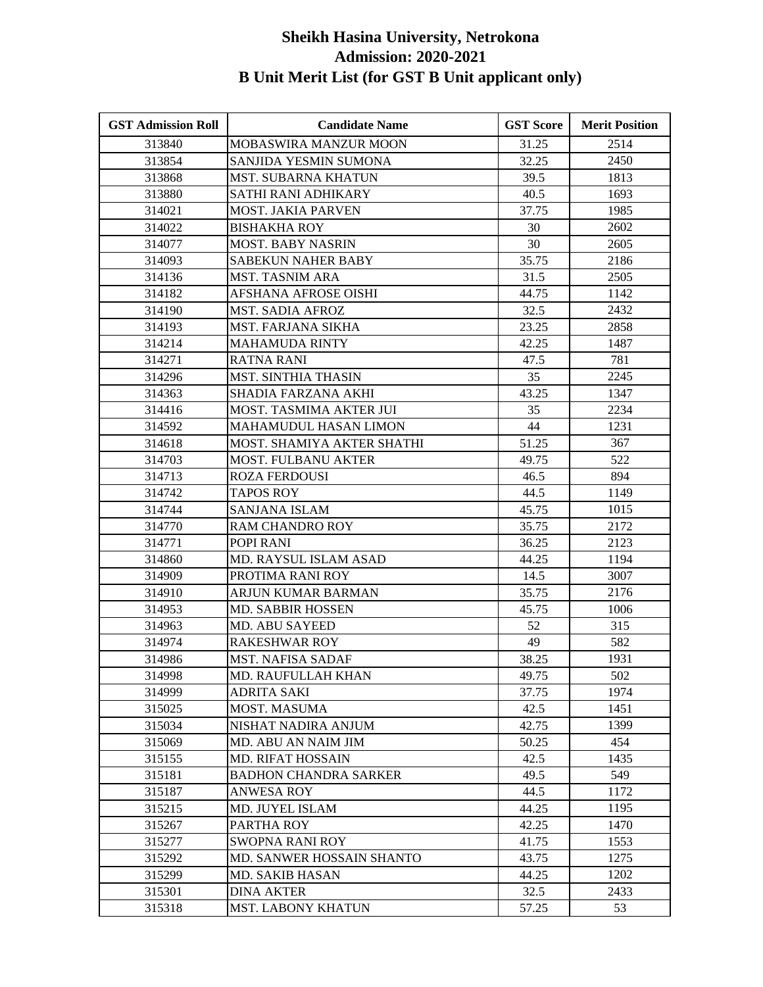| <b>GST Admission Roll</b> | <b>Candidate Name</b>        | <b>GST Score</b> | <b>Merit Position</b> |
|---------------------------|------------------------------|------------------|-----------------------|
| 313840                    | <b>MOBASWIRA MANZUR MOON</b> | 31.25            | 2514                  |
| 313854                    | SANJIDA YESMIN SUMONA        | 32.25            | 2450                  |
| 313868                    | <b>MST. SUBARNA KHATUN</b>   | 39.5             | 1813                  |
| 313880                    | SATHI RANI ADHIKARY          | 40.5             | 1693                  |
| 314021                    | <b>MOST. JAKIA PARVEN</b>    | 37.75            | 1985                  |
| 314022                    | <b>BISHAKHA ROY</b>          | 30               | 2602                  |
| 314077                    | <b>MOST. BABY NASRIN</b>     | 30               | 2605                  |
| 314093                    | <b>SABEKUN NAHER BABY</b>    | 35.75            | 2186                  |
| 314136                    | <b>MST. TASNIM ARA</b>       | 31.5             | 2505                  |
| 314182                    | AFSHANA AFROSE OISHI         | 44.75            | 1142                  |
| 314190                    | <b>MST. SADIA AFROZ</b>      | 32.5             | 2432                  |
| 314193                    | <b>MST. FARJANA SIKHA</b>    | 23.25            | 2858                  |
| 314214                    | <b>MAHAMUDA RINTY</b>        | 42.25            | 1487                  |
| 314271                    | <b>RATNA RANI</b>            | 47.5             | 781                   |
| 314296                    | <b>MST. SINTHIA THASIN</b>   | 35               | 2245                  |
| 314363                    | SHADIA FARZANA AKHI          | 43.25            | 1347                  |
| 314416                    | MOST. TASMIMA AKTER JUI      | 35               | 2234                  |
| 314592                    | <b>MAHAMUDUL HASAN LIMON</b> | 44               | 1231                  |
| 314618                    | MOST. SHAMIYA AKTER SHATHI   | 51.25            | 367                   |
| 314703                    | <b>MOST. FULBANU AKTER</b>   | 49.75            | 522                   |
| 314713                    | <b>ROZA FERDOUSI</b>         | 46.5             | 894                   |
| 314742                    | <b>TAPOS ROY</b>             | 44.5             | 1149                  |
| 314744                    | SANJANA ISLAM                | 45.75            | 1015                  |
| 314770                    | RAM CHANDRO ROY              | 35.75            | 2172                  |
| 314771                    | POPI RANI                    | 36.25            | 2123                  |
| 314860                    | MD. RAYSUL ISLAM ASAD        | 44.25            | 1194                  |
| 314909                    | PROTIMA RANI ROY             | 14.5             | 3007                  |
| 314910                    | ARJUN KUMAR BARMAN           | 35.75            | 2176                  |
| 314953                    | MD. SABBIR HOSSEN            | 45.75            | 1006                  |
| 314963                    | MD. ABU SAYEED               | 52               | 315                   |
| 314974                    | <b>RAKESHWAR ROY</b>         | 49               | 582                   |
| 314986                    | <b>MST. NAFISA SADAF</b>     | 38.25            | 1931                  |
| 314998                    | MD. RAUFULLAH KHAN           | 49.75            | 502                   |
| 314999                    | ADRITA SAKI                  | 37.75            | 1974                  |
| 315025                    | MOST. MASUMA                 | 42.5             | 1451                  |
| 315034                    | NISHAT NADIRA ANJUM          | 42.75            | 1399                  |
| 315069                    | MD. ABU AN NAIM JIM          | 50.25            | 454                   |
| 315155                    | <b>MD. RIFAT HOSSAIN</b>     | 42.5             | 1435                  |
| 315181                    | <b>BADHON CHANDRA SARKER</b> | 49.5             | 549                   |
| 315187                    | ANWESA ROY                   | 44.5             | 1172                  |
| 315215                    | MD. JUYEL ISLAM              | 44.25            | 1195                  |
| 315267                    | PARTHA ROY                   | 42.25            | 1470                  |
| 315277                    | SWOPNA RANI ROY              | 41.75            | 1553                  |
| 315292                    | MD. SANWER HOSSAIN SHANTO    | 43.75            | 1275                  |
| 315299                    | <b>MD. SAKIB HASAN</b>       | 44.25            | 1202                  |
| 315301                    | <b>DINA AKTER</b>            | 32.5             | 2433                  |
| 315318                    | <b>MST. LABONY KHATUN</b>    | 57.25            | 53                    |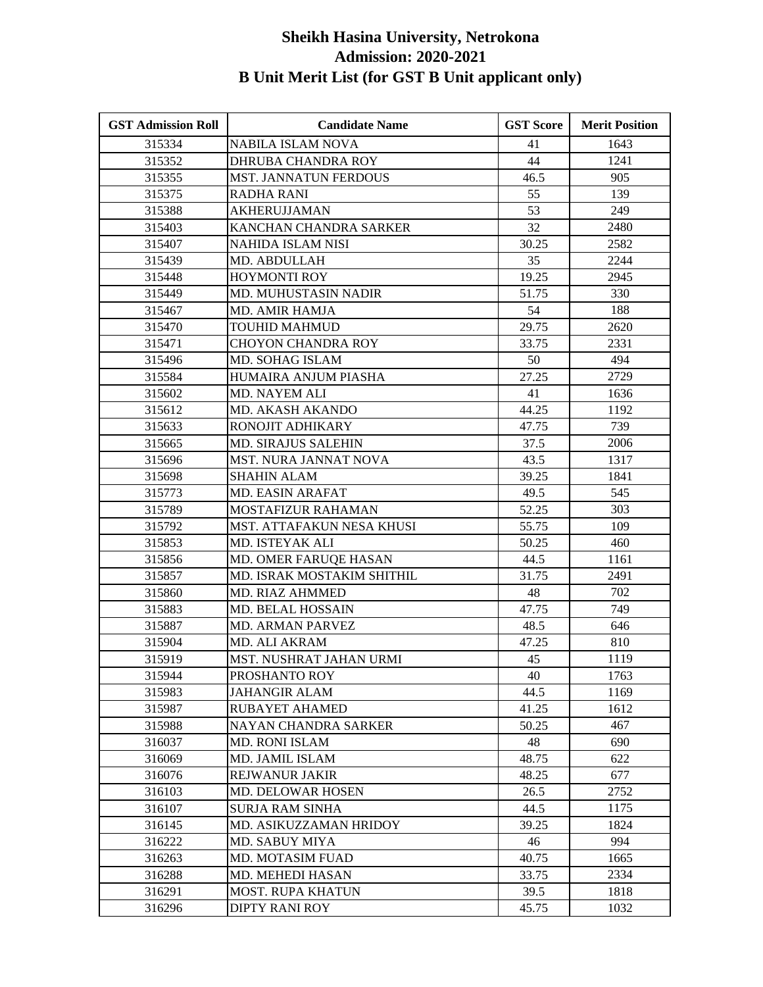| <b>GST Admission Roll</b> | <b>Candidate Name</b>        | <b>GST Score</b> | <b>Merit Position</b> |
|---------------------------|------------------------------|------------------|-----------------------|
| 315334                    | <b>NABILA ISLAM NOVA</b>     | 41               | 1643                  |
| 315352                    | DHRUBA CHANDRA ROY           | 44               | 1241                  |
| 315355                    | <b>MST. JANNATUN FERDOUS</b> | 46.5             | 905                   |
| 315375                    | <b>RADHA RANI</b>            | 55               | 139                   |
| 315388                    | <b>AKHERUJJAMAN</b>          | 53               | 249                   |
| 315403                    | KANCHAN CHANDRA SARKER       | 32               | 2480                  |
| 315407                    | NAHIDA ISLAM NISI            | 30.25            | 2582                  |
| 315439                    | MD. ABDULLAH                 | 35               | 2244                  |
| 315448                    | <b>HOYMONTI ROY</b>          | 19.25            | 2945                  |
| 315449                    | MD. MUHUSTASIN NADIR         | 51.75            | 330                   |
| 315467                    | MD. AMIR HAMJA               | 54               | 188                   |
| 315470                    | <b>TOUHID MAHMUD</b>         | 29.75            | 2620                  |
| 315471                    | <b>CHOYON CHANDRA ROY</b>    | 33.75            | 2331                  |
| 315496                    | MD. SOHAG ISLAM              | 50               | 494                   |
| 315584                    | HUMAIRA ANJUM PIASHA         | 27.25            | 2729                  |
| 315602                    | MD. NAYEM ALI                | 41               | 1636                  |
| 315612                    | MD. AKASH AKANDO             | 44.25            | 1192                  |
| 315633                    | RONOJIT ADHIKARY             | 47.75            | 739                   |
| 315665                    | <b>MD. SIRAJUS SALEHIN</b>   | 37.5             | 2006                  |
| 315696                    | MST. NURA JANNAT NOVA        | 43.5             | 1317                  |
| 315698                    | <b>SHAHIN ALAM</b>           | 39.25            | 1841                  |
| 315773                    | MD. EASIN ARAFAT             | 49.5             | 545                   |
| 315789                    | <b>MOSTAFIZUR RAHAMAN</b>    | 52.25            | 303                   |
| 315792                    | MST. ATTAFAKUN NESA KHUSI    | 55.75            | 109                   |
| 315853                    | MD. ISTEYAK ALI              | 50.25            | 460                   |
| 315856                    | MD. OMER FARUQE HASAN        | 44.5             | 1161                  |
| 315857                    | MD. ISRAK MOSTAKIM SHITHIL   | 31.75            | 2491                  |
| 315860                    | <b>MD. RIAZ AHMMED</b>       | 48               | 702                   |
| 315883                    | MD. BELAL HOSSAIN            | 47.75            | 749                   |
| 315887                    | <b>MD. ARMAN PARVEZ</b>      | 48.5             | 646                   |
| 315904                    | MD. ALI AKRAM                | 47.25            | 810                   |
| 315919                    | MST. NUSHRAT JAHAN URMI      | 45               | 1119                  |
| 315944                    | PROSHANTO ROY                | 40               | 1763                  |
| 315983                    | <b>JAHANGIR ALAM</b>         | 44.5             | 1169                  |
| 315987                    | <b>RUBAYET AHAMED</b>        | 41.25            | 1612                  |
| 315988                    | NAYAN CHANDRA SARKER         | 50.25            | 467                   |
| 316037                    | <b>MD. RONI ISLAM</b>        | 48               | 690                   |
| 316069                    | MD. JAMIL ISLAM              | 48.75            | 622                   |
| 316076                    | <b>REJWANUR JAKIR</b>        | 48.25            | 677                   |
| 316103                    | <b>MD. DELOWAR HOSEN</b>     | 26.5             | 2752                  |
| 316107                    | <b>SURJA RAM SINHA</b>       | 44.5             | 1175                  |
| 316145                    | MD. ASIKUZZAMAN HRIDOY       | 39.25            | 1824                  |
| 316222                    | MD. SABUY MIYA               | 46               | 994                   |
| 316263                    | <b>MD. MOTASIM FUAD</b>      | 40.75            | 1665                  |
| 316288                    | MD. MEHEDI HASAN             | 33.75            | 2334                  |
| 316291                    | <b>MOST. RUPA KHATUN</b>     | 39.5             | 1818                  |
| 316296                    | <b>DIPTY RANI ROY</b>        | 45.75            | 1032                  |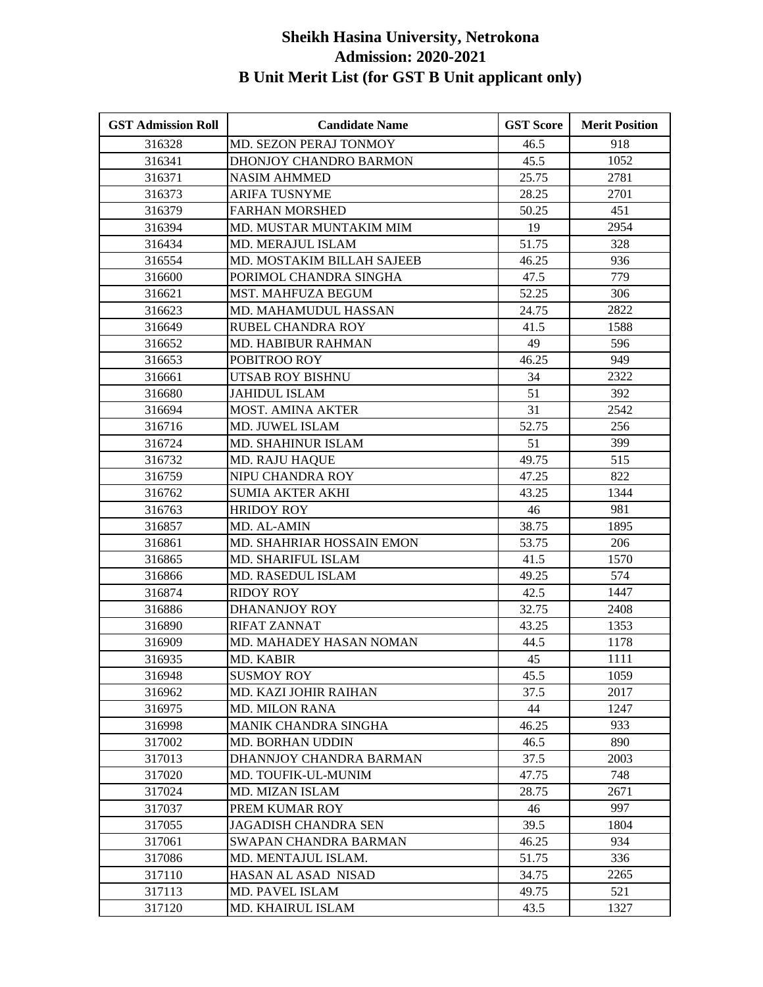| <b>GST Admission Roll</b> | <b>Candidate Name</b>       | <b>GST Score</b> | <b>Merit Position</b> |
|---------------------------|-----------------------------|------------------|-----------------------|
| 316328                    | MD. SEZON PERAJ TONMOY      | 46.5             | 918                   |
| 316341                    | DHONJOY CHANDRO BARMON      | 45.5             | 1052                  |
| 316371                    | <b>NASIM AHMMED</b>         | 25.75            | 2781                  |
| 316373                    | <b>ARIFA TUSNYME</b>        | 28.25            | 2701                  |
| 316379                    | <b>FARHAN MORSHED</b>       | 50.25            | 451                   |
| 316394                    | MD. MUSTAR MUNTAKIM MIM     | 19               | 2954                  |
| 316434                    | <b>MD. MERAJUL ISLAM</b>    | 51.75            | 328                   |
| 316554                    | MD. MOSTAKIM BILLAH SAJEEB  | 46.25            | 936                   |
| 316600                    | PORIMOL CHANDRA SINGHA      | 47.5             | 779                   |
| 316621                    | <b>MST. MAHFUZA BEGUM</b>   | 52.25            | 306                   |
| 316623                    | MD. MAHAMUDUL HASSAN        | 24.75            | 2822                  |
| 316649                    | RUBEL CHANDRA ROY           | 41.5             | 1588                  |
| 316652                    | MD. HABIBUR RAHMAN          | 49               | 596                   |
| 316653                    | POBITROO ROY                | 46.25            | 949                   |
| 316661                    | UTSAB ROY BISHNU            | 34               | 2322                  |
| 316680                    | <b>JAHIDUL ISLAM</b>        | 51               | 392                   |
| 316694                    | MOST. AMINA AKTER           | 31               | 2542                  |
| 316716                    | MD. JUWEL ISLAM             | 52.75            | 256                   |
| 316724                    | <b>MD. SHAHINUR ISLAM</b>   | 51               | 399                   |
| 316732                    | <b>MD. RAJU HAQUE</b>       | 49.75            | 515                   |
| 316759                    | NIPU CHANDRA ROY            | 47.25            | 822                   |
| 316762                    | <b>SUMIA AKTER AKHI</b>     | 43.25            | 1344                  |
| 316763                    | <b>HRIDOY ROY</b>           | 46               | 981                   |
| 316857                    | MD. AL-AMIN                 | 38.75            | 1895                  |
| 316861                    | MD. SHAHRIAR HOSSAIN EMON   | 53.75            | 206                   |
| 316865                    | <b>MD. SHARIFUL ISLAM</b>   | 41.5             | 1570                  |
| 316866                    | MD. RASEDUL ISLAM           | 49.25            | 574                   |
| 316874                    | <b>RIDOY ROY</b>            | 42.5             | 1447                  |
| 316886                    | <b>DHANANJOY ROY</b>        | 32.75            | 2408                  |
| 316890                    | <b>RIFAT ZANNAT</b>         | 43.25            | 1353                  |
| 316909                    | MD. MAHADEY HASAN NOMAN     | 44.5             | 1178                  |
| 316935                    | MD. KABIR                   | 45               | 1111                  |
| 316948                    | <b>SUSMOY ROY</b>           | 45.5             | 1059                  |
| 316962                    | MD. KAZI JOHIR RAIHAN       | 37.5             | 2017                  |
| 316975                    | <b>MD. MILON RANA</b>       | 44               | 1247                  |
| 316998                    | MANIK CHANDRA SINGHA        | 46.25            | 933                   |
| 317002                    | <b>MD. BORHAN UDDIN</b>     | 46.5             | 890                   |
| 317013                    | DHANNJOY CHANDRA BARMAN     | 37.5             | 2003                  |
| 317020                    | MD. TOUFIK-UL-MUNIM         | 47.75            | 748                   |
| 317024                    | MD. MIZAN ISLAM             | 28.75            | 2671                  |
| 317037                    | PREM KUMAR ROY              | 46               | 997                   |
| 317055                    | <b>JAGADISH CHANDRA SEN</b> | 39.5             | 1804                  |
| 317061                    | SWAPAN CHANDRA BARMAN       | 46.25            | 934                   |
| 317086                    | MD. MENTAJUL ISLAM.         | 51.75            | 336                   |
| 317110                    | HASAN AL ASAD NISAD         | 34.75            | 2265                  |
| 317113                    | MD. PAVEL ISLAM             | 49.75            | 521                   |
| 317120                    | <b>MD. KHAIRUL ISLAM</b>    | 43.5             | 1327                  |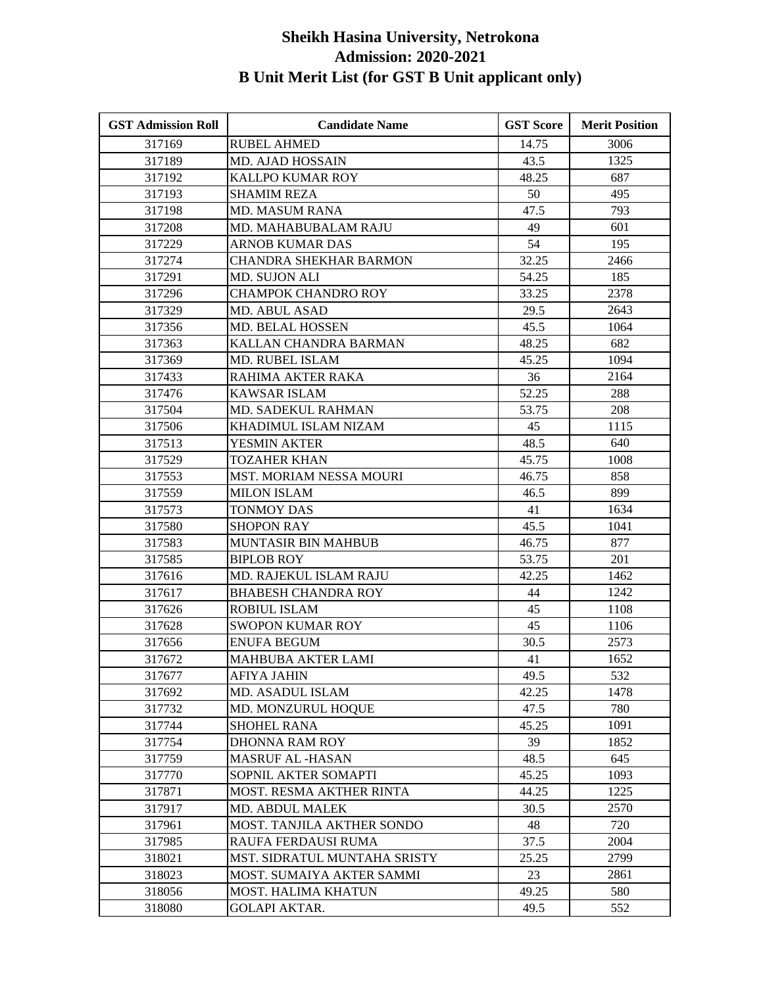| <b>GST Admission Roll</b> | <b>Candidate Name</b>        | <b>GST Score</b> | <b>Merit Position</b> |
|---------------------------|------------------------------|------------------|-----------------------|
| 317169                    | <b>RUBEL AHMED</b>           | 14.75            | 3006                  |
| 317189                    | <b>MD. AJAD HOSSAIN</b>      | 43.5             | 1325                  |
| 317192                    | <b>KALLPO KUMAR ROY</b>      | 48.25            | 687                   |
| 317193                    | <b>SHAMIM REZA</b>           | 50               | 495                   |
| 317198                    | <b>MD. MASUM RANA</b>        | 47.5             | 793                   |
| 317208                    | MD. MAHABUBALAM RAJU         | 49               | 601                   |
| 317229                    | <b>ARNOB KUMAR DAS</b>       | 54               | 195                   |
| 317274                    | CHANDRA SHEKHAR BARMON       | 32.25            | 2466                  |
| 317291                    | <b>MD. SUJON ALI</b>         | 54.25            | 185                   |
| 317296                    | <b>CHAMPOK CHANDRO ROY</b>   | 33.25            | 2378                  |
| 317329                    | <b>MD. ABUL ASAD</b>         | 29.5             | 2643                  |
| 317356                    | <b>MD. BELAL HOSSEN</b>      | 45.5             | 1064                  |
| 317363                    | KALLAN CHANDRA BARMAN        | 48.25            | 682                   |
| 317369                    | MD. RUBEL ISLAM              | 45.25            | 1094                  |
| 317433                    | RAHIMA AKTER RAKA            | 36               | 2164                  |
| 317476                    | <b>KAWSAR ISLAM</b>          | 52.25            | 288                   |
| 317504                    | MD. SADEKUL RAHMAN           | 53.75            | 208                   |
| 317506                    | KHADIMUL ISLAM NIZAM         | 45               | 1115                  |
| 317513                    | <b>YESMIN AKTER</b>          | 48.5             | 640                   |
| 317529                    | TOZAHER KHAN                 | 45.75            | 1008                  |
| 317553                    | MST. MORIAM NESSA MOURI      | 46.75            | 858                   |
| 317559                    | <b>MILON ISLAM</b>           | 46.5             | 899                   |
| 317573                    | <b>TONMOY DAS</b>            | 41               | 1634                  |
| 317580                    | <b>SHOPON RAY</b>            | 45.5             | 1041                  |
| 317583                    | MUNTASIR BIN MAHBUB          | 46.75            | 877                   |
| 317585                    | <b>BIPLOB ROY</b>            | 53.75            | 201                   |
| 317616                    | MD. RAJEKUL ISLAM RAJU       | 42.25            | 1462                  |
| 317617                    | <b>BHABESH CHANDRA ROY</b>   | 44               | 1242                  |
| 317626                    | <b>ROBIUL ISLAM</b>          | 45               | 1108                  |
| 317628                    | <b>SWOPON KUMAR ROY</b>      | 45               | 1106                  |
| 317656                    | <b>ENUFA BEGUM</b>           | 30.5             | 2573                  |
| 317672                    | <b>MAHBUBA AKTER LAMI</b>    | 41               | 1652                  |
| 317677                    | AFIYA JAHIN                  | 49.5             | 532                   |
| 317692                    | MD. ASADUL ISLAM             | 42.25            | 1478                  |
| 317732                    | MD. MONZURUL HOQUE           | 47.5             | 780                   |
| 317744                    | <b>SHOHEL RANA</b>           | 45.25            | 1091                  |
| 317754                    | <b>DHONNA RAM ROY</b>        | 39               | 1852                  |
| 317759                    | <b>MASRUF AL-HASAN</b>       | 48.5             | 645                   |
| 317770                    | SOPNIL AKTER SOMAPTI         | 45.25            | 1093                  |
| 317871                    | MOST. RESMA AKTHER RINTA     | 44.25            | 1225                  |
| 317917                    | <b>MD. ABDUL MALEK</b>       | 30.5             | 2570                  |
| 317961                    | MOST. TANJILA AKTHER SONDO   | 48               | 720                   |
| 317985                    | RAUFA FERDAUSI RUMA          | 37.5             | 2004                  |
| 318021                    | MST. SIDRATUL MUNTAHA SRISTY | 25.25            | 2799                  |
| 318023                    | MOST. SUMAIYA AKTER SAMMI    | 23               | 2861                  |
| 318056                    | MOST. HALIMA KHATUN          | 49.25            | 580                   |
| 318080                    | <b>GOLAPI AKTAR.</b>         | 49.5             | 552                   |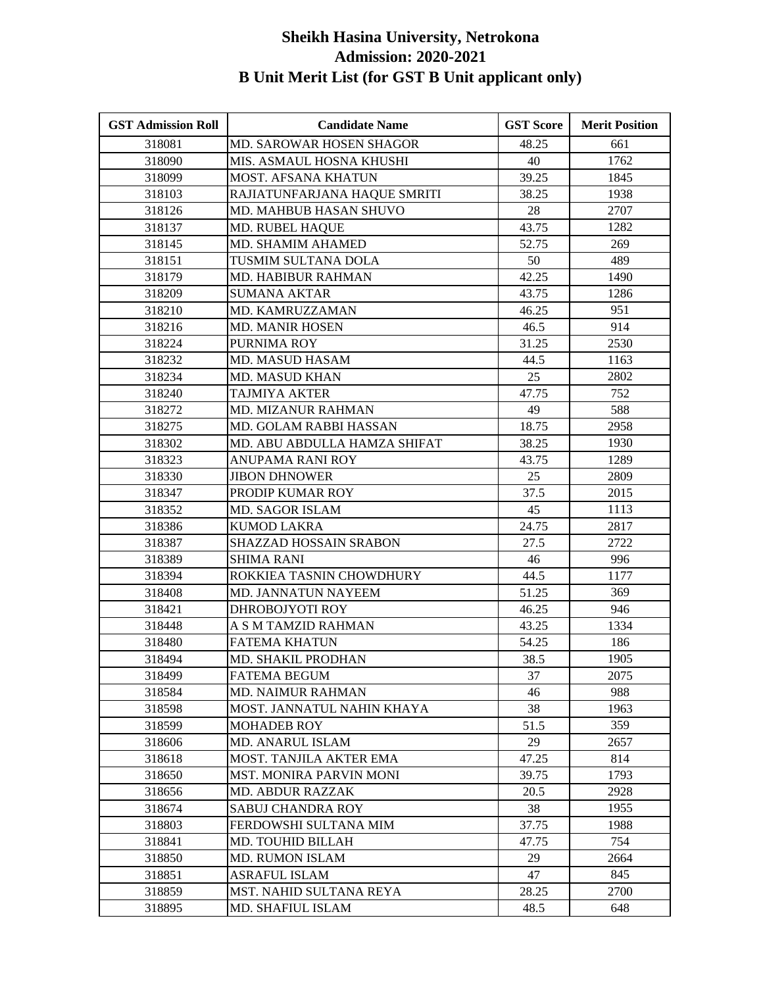| <b>GST Admission Roll</b> | <b>Candidate Name</b>        | <b>GST Score</b> | <b>Merit Position</b> |
|---------------------------|------------------------------|------------------|-----------------------|
| 318081                    | MD. SAROWAR HOSEN SHAGOR     | 48.25            | 661                   |
| 318090                    | MIS. ASMAUL HOSNA KHUSHI     | 40               | 1762                  |
| 318099                    | MOST. AFSANA KHATUN          | 39.25            | 1845                  |
| 318103                    | RAJIATUNFARJANA HAQUE SMRITI | 38.25            | 1938                  |
| 318126                    | MD. MAHBUB HASAN SHUVO       | 28               | 2707                  |
| 318137                    | <b>MD. RUBEL HAQUE</b>       | 43.75            | 1282                  |
| 318145                    | MD. SHAMIM AHAMED            | 52.75            | 269                   |
| 318151                    | TUSMIM SULTANA DOLA          | 50               | 489                   |
| 318179                    | MD. HABIBUR RAHMAN           | 42.25            | 1490                  |
| 318209                    | <b>SUMANA AKTAR</b>          | 43.75            | 1286                  |
| 318210                    | MD. KAMRUZZAMAN              | 46.25            | 951                   |
| 318216                    | <b>MD. MANIR HOSEN</b>       | 46.5             | 914                   |
| 318224                    | PURNIMA ROY                  | 31.25            | 2530                  |
| 318232                    | <b>MD. MASUD HASAM</b>       | 44.5             | 1163                  |
| 318234                    | <b>MD. MASUD KHAN</b>        | 25               | 2802                  |
| 318240                    | <b>TAJMIYA AKTER</b>         | 47.75            | 752                   |
| 318272                    | <b>MD. MIZANUR RAHMAN</b>    | 49               | 588                   |
| 318275                    | MD. GOLAM RABBI HASSAN       | 18.75            | 2958                  |
| 318302                    | MD. ABU ABDULLA HAMZA SHIFAT | 38.25            | 1930                  |
| 318323                    | <b>ANUPAMA RANI ROY</b>      | 43.75            | 1289                  |
| 318330                    | <b>JIBON DHNOWER</b>         | 25               | 2809                  |
| 318347                    | PRODIP KUMAR ROY             | 37.5             | 2015                  |
| 318352                    | <b>MD. SAGOR ISLAM</b>       | 45               | 1113                  |
| 318386                    | <b>KUMOD LAKRA</b>           | 24.75            | 2817                  |
| 318387                    | SHAZZAD HOSSAIN SRABON       | 27.5             | 2722                  |
| 318389                    | SHIMA RANI                   | 46               | 996                   |
| 318394                    | ROKKIEA TASNIN CHOWDHURY     | 44.5             | 1177                  |
| 318408                    | <b>MD. JANNATUN NAYEEM</b>   | 51.25            | 369                   |
| 318421                    | DHROBOJYOTI ROY              | 46.25            | 946                   |
| 318448                    | A S M TAMZID RAHMAN          | 43.25            | 1334                  |
| 318480                    | <b>FATEMA KHATUN</b>         | 54.25            | 186                   |
| 318494                    | MD. SHAKIL PRODHAN           | 38.5             | 1905                  |
| 318499                    | <b>FATEMA BEGUM</b>          | 37               | 2075                  |
| 318584                    | <b>MD. NAIMUR RAHMAN</b>     | 46               | 988                   |
| 318598                    | MOST. JANNATUL NAHIN KHAYA   | 38               | 1963                  |
| 318599                    | <b>MOHADEB ROY</b>           | 51.5             | 359                   |
| 318606                    | <b>MD. ANARUL ISLAM</b>      | 29               | 2657                  |
| 318618                    | MOST. TANJILA AKTER EMA      | 47.25            | 814                   |
| 318650                    | MST. MONIRA PARVIN MONI      | 39.75            | 1793                  |
| 318656                    | <b>MD. ABDUR RAZZAK</b>      | 20.5             | 2928                  |
| 318674                    | <b>SABUJ CHANDRA ROY</b>     | 38               | 1955                  |
| 318803                    | FERDOWSHI SULTANA MIM        | 37.75            | 1988                  |
| 318841                    | MD. TOUHID BILLAH            | 47.75            | 754                   |
| 318850                    | <b>MD. RUMON ISLAM</b>       | 29               | 2664                  |
| 318851                    | <b>ASRAFUL ISLAM</b>         | 47               | 845                   |
| 318859                    | MST. NAHID SULTANA REYA      | 28.25            | 2700                  |
| 318895                    | <b>MD. SHAFIUL ISLAM</b>     | 48.5             | 648                   |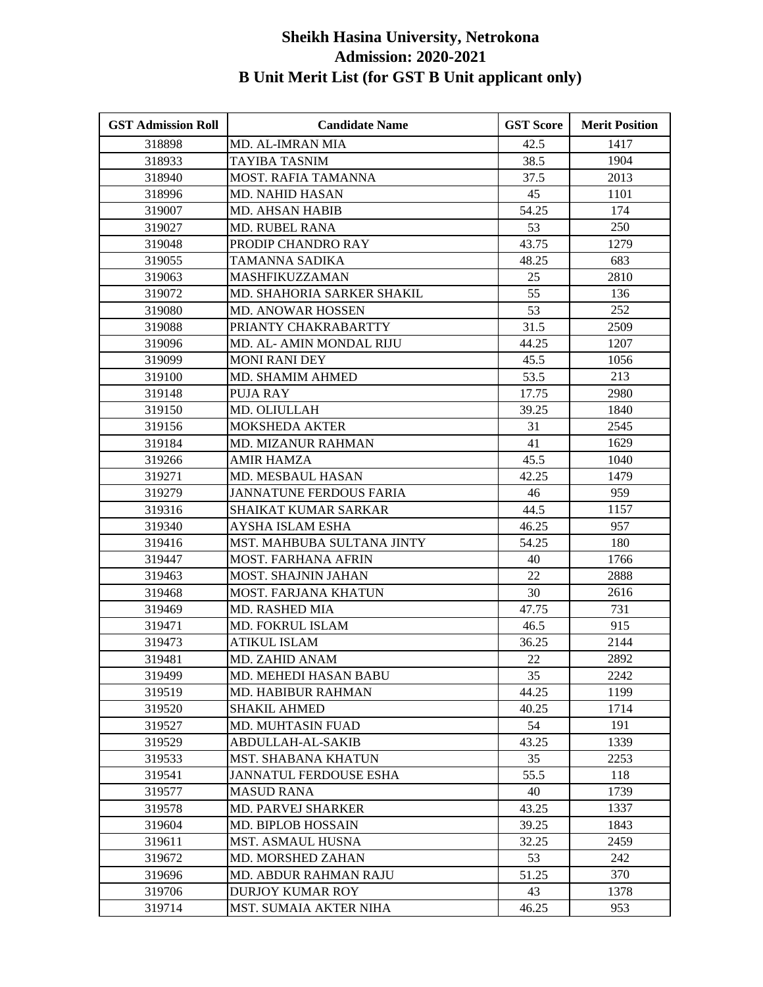| <b>GST Admission Roll</b> | <b>Candidate Name</b>          | <b>GST Score</b> | <b>Merit Position</b> |
|---------------------------|--------------------------------|------------------|-----------------------|
| 318898                    | <b>MD. AL-IMRAN MIA</b>        | 42.5             | 1417                  |
| 318933                    | <b>TAYIBA TASNIM</b>           | 38.5             | 1904                  |
| 318940                    | <b>MOST. RAFIA TAMANNA</b>     | 37.5             | 2013                  |
| 318996                    | <b>MD. NAHID HASAN</b>         | 45               | 1101                  |
| 319007                    | <b>MD. AHSAN HABIB</b>         | 54.25            | 174                   |
| 319027                    | MD. RUBEL RANA                 | 53               | 250                   |
| 319048                    | PRODIP CHANDRO RAY             | 43.75            | 1279                  |
| 319055                    | TAMANNA SADIKA                 | 48.25            | 683                   |
| 319063                    | MASHFIKUZZAMAN                 | 25               | 2810                  |
| 319072                    | MD. SHAHORIA SARKER SHAKIL     | 55               | 136                   |
| 319080                    | MD. ANOWAR HOSSEN              | 53               | 252                   |
| 319088                    | PRIANTY CHAKRABARTTY           | 31.5             | 2509                  |
| 319096                    | MD. AL- AMIN MONDAL RIJU       | 44.25            | 1207                  |
| 319099                    | <b>MONI RANI DEY</b>           | 45.5             | 1056                  |
| 319100                    | MD. SHAMIM AHMED               | 53.5             | 213                   |
| 319148                    | <b>PUJA RAY</b>                | 17.75            | 2980                  |
| 319150                    | MD. OLIULLAH                   | 39.25            | 1840                  |
| 319156                    | <b>MOKSHEDA AKTER</b>          | 31               | 2545                  |
| 319184                    | <b>MD. MIZANUR RAHMAN</b>      | 41               | 1629                  |
| 319266                    | <b>AMIR HAMZA</b>              | 45.5             | 1040                  |
| 319271                    | MD. MESBAUL HASAN              | 42.25            | 1479                  |
| 319279                    | <b>JANNATUNE FERDOUS FARIA</b> | 46               | 959                   |
| 319316                    | <b>SHAIKAT KUMAR SARKAR</b>    | 44.5             | 1157                  |
| 319340                    | AYSHA ISLAM ESHA               | 46.25            | 957                   |
| 319416                    | MST. MAHBUBA SULTANA JINTY     | 54.25            | 180                   |
| 319447                    | <b>MOST. FARHANA AFRIN</b>     | 40               | 1766                  |
| 319463                    | MOST. SHAJNIN JAHAN            | 22               | 2888                  |
| 319468                    | <b>MOST. FARJANA KHATUN</b>    | 30               | 2616                  |
| 319469                    | MD. RASHED MIA                 | 47.75            | 731                   |
| 319471                    | MD. FOKRUL ISLAM               | 46.5             | 915                   |
| 319473                    | <b>ATIKUL ISLAM</b>            | 36.25            | 2144                  |
| 319481                    | MD. ZAHID ANAM                 | 22               | 2892                  |
| 319499                    | MD. MEHEDI HASAN BABU          | 35               | 2242                  |
| 319519                    | <b>MD. HABIBUR RAHMAN</b>      | 44.25            | 1199                  |
| 319520                    | <b>SHAKIL AHMED</b>            | 40.25            | 1714                  |
| 319527                    | MD. MUHTASIN FUAD              | 54               | 191                   |
| 319529                    | <b>ABDULLAH-AL-SAKIB</b>       | 43.25            | 1339                  |
| 319533                    | <b>MST. SHABANA KHATUN</b>     | 35               | 2253                  |
| 319541                    | <b>JANNATUL FERDOUSE ESHA</b>  | 55.5             | 118                   |
| 319577                    | <b>MASUD RANA</b>              | 40               | 1739                  |
| 319578                    | <b>MD. PARVEJ SHARKER</b>      | 43.25            | 1337                  |
| 319604                    | MD. BIPLOB HOSSAIN             | 39.25            | 1843                  |
| 319611                    | <b>MST. ASMAUL HUSNA</b>       | 32.25            | 2459                  |
| 319672                    | MD. MORSHED ZAHAN              | 53               | 242                   |
| 319696                    | <b>MD. ABDUR RAHMAN RAJU</b>   | 51.25            | 370                   |
| 319706                    | <b>DURJOY KUMAR ROY</b>        | 43               | 1378                  |
| 319714                    | MST. SUMAIA AKTER NIHA         | 46.25            | 953                   |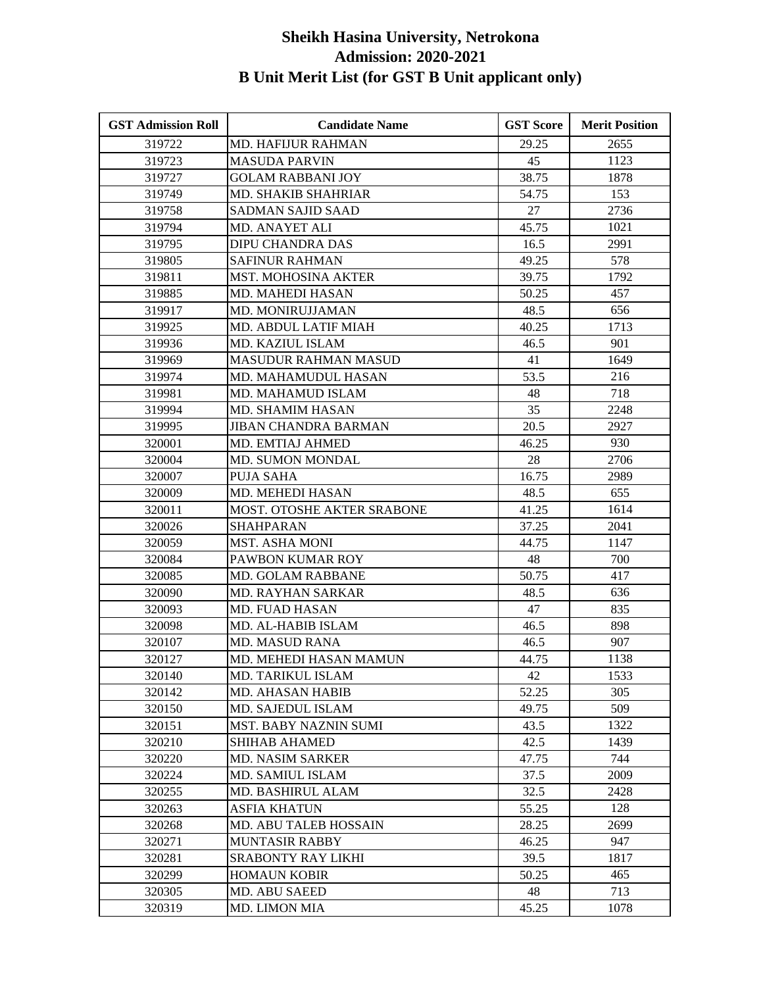| <b>GST Admission Roll</b> | <b>Candidate Name</b>             | <b>GST Score</b> | <b>Merit Position</b> |
|---------------------------|-----------------------------------|------------------|-----------------------|
| 319722                    | <b>MD. HAFIJUR RAHMAN</b>         | 29.25            | 2655                  |
| 319723                    | <b>MASUDA PARVIN</b>              | 45               | 1123                  |
| 319727                    | <b>GOLAM RABBANI JOY</b>          | 38.75            | 1878                  |
| 319749                    | <b>MD. SHAKIB SHAHRIAR</b>        | 54.75            | 153                   |
| 319758                    | <b>SADMAN SAJID SAAD</b>          | 27               | 2736                  |
| 319794                    | MD. ANAYET ALI                    | 45.75            | 1021                  |
| 319795                    | DIPU CHANDRA DAS                  | 16.5             | 2991                  |
| 319805                    | <b>SAFINUR RAHMAN</b>             | 49.25            | 578                   |
| 319811                    | <b>MST. MOHOSINA AKTER</b>        | 39.75            | 1792                  |
| 319885                    | MD. MAHEDI HASAN                  | 50.25            | 457                   |
| 319917                    | MD. MONIRUJJAMAN                  | 48.5             | 656                   |
| 319925                    | MD. ABDUL LATIF MIAH              | 40.25            | 1713                  |
| 319936                    | MD. KAZIUL ISLAM                  | 46.5             | 901                   |
| 319969                    | <b>MASUDUR RAHMAN MASUD</b>       | 41               | 1649                  |
| 319974                    | MD. MAHAMUDUL HASAN               | 53.5             | 216                   |
| 319981                    | MD. MAHAMUD ISLAM                 | 48               | 718                   |
| 319994                    | MD. SHAMIM HASAN                  | 35               | 2248                  |
| 319995                    | JIBAN CHANDRA BARMAN              | 20.5             | 2927                  |
| 320001                    | MD. EMTIAJ AHMED                  | 46.25            | 930                   |
| 320004                    | <b>MD. SUMON MONDAL</b>           | 28               | 2706                  |
| 320007                    | PUJA SAHA                         | 16.75            | 2989                  |
| 320009                    | MD. MEHEDI HASAN                  | 48.5             | 655                   |
| 320011                    | <b>MOST. OTOSHE AKTER SRABONE</b> | 41.25            | 1614                  |
| 320026                    | <b>SHAHPARAN</b>                  | 37.25            | 2041                  |
| 320059                    | MST. ASHA MONI                    | 44.75            | 1147                  |
| 320084                    | PAWBON KUMAR ROY                  | 48               | 700                   |
| 320085                    | <b>MD. GOLAM RABBANE</b>          | 50.75            | 417                   |
| 320090                    | MD. RAYHAN SARKAR                 | 48.5             | 636                   |
| 320093                    | <b>MD. FUAD HASAN</b>             | 47               | 835                   |
| 320098                    | MD. AL-HABIB ISLAM                | 46.5             | 898                   |
| 320107                    | <b>MD. MASUD RANA</b>             | 46.5             | 907                   |
| 320127                    | MD. MEHEDI HASAN MAMUN            | 44.75            | 1138                  |
| 320140                    | MD. TARIKUL ISLAM                 | 42               | 1533                  |
| 320142                    | <b>MD. AHASAN HABIB</b>           | 52.25            | 305                   |
| 320150                    | MD. SAJEDUL ISLAM                 | 49.75            | 509                   |
| 320151                    | <b>MST. BABY NAZNIN SUMI</b>      | 43.5             | 1322                  |
| 320210                    | <b>SHIHAB AHAMED</b>              | 42.5             | 1439                  |
| 320220                    | <b>MD. NASIM SARKER</b>           | 47.75            | 744                   |
| 320224                    | MD. SAMIUL ISLAM                  | 37.5             | 2009                  |
| 320255                    | MD. BASHIRUL ALAM                 | 32.5             | 2428                  |
| 320263                    | <b>ASFIA KHATUN</b>               | 55.25            | 128                   |
| 320268                    | MD. ABU TALEB HOSSAIN             | 28.25            | 2699                  |
| 320271                    | <b>MUNTASIR RABBY</b>             | 46.25            | 947                   |
| 320281                    | <b>SRABONTY RAY LIKHI</b>         | 39.5             | 1817                  |
| 320299                    | <b>HOMAUN KOBIR</b>               | 50.25            | 465                   |
| 320305                    | MD. ABU SAEED                     | 48               | 713                   |
| 320319                    | MD. LIMON MIA                     | 45.25            | 1078                  |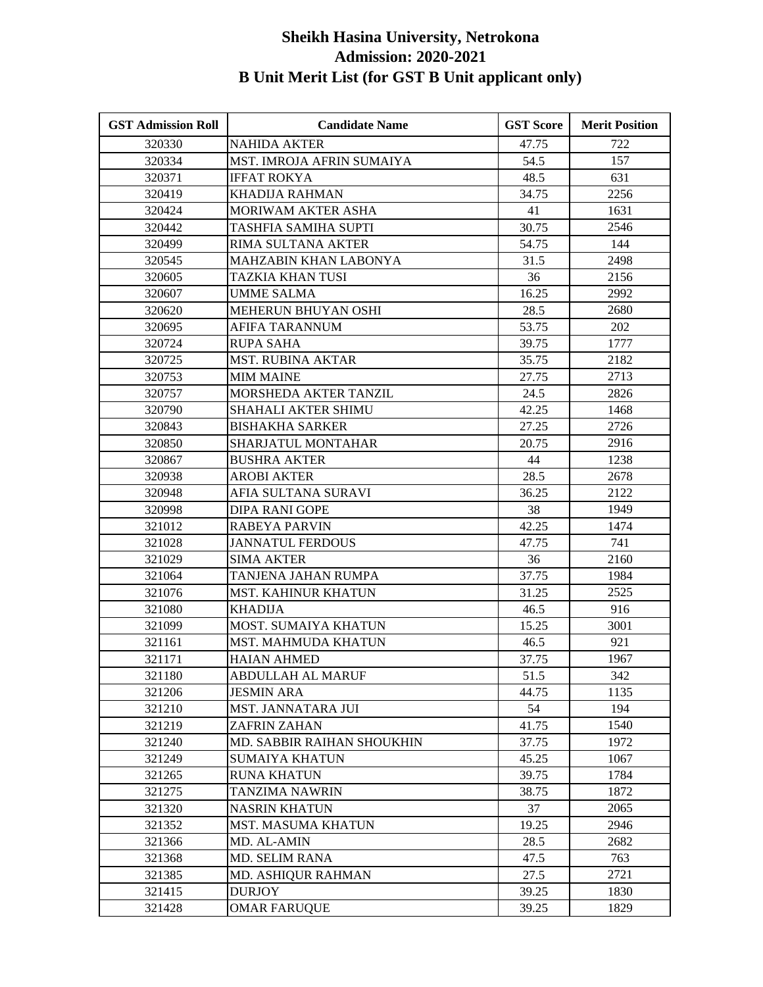| <b>GST Admission Roll</b> | <b>Candidate Name</b>        | <b>GST Score</b> | <b>Merit Position</b> |
|---------------------------|------------------------------|------------------|-----------------------|
| 320330                    | <b>NAHIDA AKTER</b>          | 47.75            | 722                   |
| 320334                    | MST. IMROJA AFRIN SUMAIYA    | 54.5             | 157                   |
| 320371                    | <b>IFFAT ROKYA</b>           | 48.5             | 631                   |
| 320419                    | <b>KHADIJA RAHMAN</b>        | 34.75            | 2256                  |
| 320424                    | <b>MORIWAM AKTER ASHA</b>    | 41               | 1631                  |
| 320442                    | TASHFIA SAMIHA SUPTI         | 30.75            | 2546                  |
| 320499                    | RIMA SULTANA AKTER           | 54.75            | 144                   |
| 320545                    | <b>MAHZABIN KHAN LABONYA</b> | 31.5             | 2498                  |
| 320605                    | TAZKIA KHAN TUSI             | 36               | 2156                  |
| 320607                    | <b>UMME SALMA</b>            | 16.25            | 2992                  |
| 320620                    | MEHERUN BHUYAN OSHI          | 28.5             | 2680                  |
| 320695                    | AFIFA TARANNUM               | 53.75            | 202                   |
| 320724                    | <b>RUPA SAHA</b>             | 39.75            | 1777                  |
| 320725                    | <b>MST. RUBINA AKTAR</b>     | 35.75            | 2182                  |
| 320753                    | <b>MIM MAINE</b>             | 27.75            | 2713                  |
| 320757                    | MORSHEDA AKTER TANZIL        | 24.5             | 2826                  |
| 320790                    | SHAHALI AKTER SHIMU          | 42.25            | 1468                  |
| 320843                    | <b>BISHAKHA SARKER</b>       | 27.25            | 2726                  |
| 320850                    | <b>SHARJATUL MONTAHAR</b>    | 20.75            | 2916                  |
| 320867                    | <b>BUSHRA AKTER</b>          | 44               | 1238                  |
| 320938                    | <b>AROBI AKTER</b>           | 28.5             | 2678                  |
| 320948                    | AFIA SULTANA SURAVI          | 36.25            | 2122                  |
| 320998                    | <b>DIPA RANI GOPE</b>        | 38               | 1949                  |
| 321012                    | <b>RABEYA PARVIN</b>         | 42.25            | 1474                  |
| 321028                    | <b>JANNATUL FERDOUS</b>      | 47.75            | 741                   |
| 321029                    | <b>SIMA AKTER</b>            | 36               | 2160                  |
| 321064                    | TANJENA JAHAN RUMPA          | 37.75            | 1984                  |
| 321076                    | MST. KAHINUR KHATUN          | 31.25            | 2525                  |
| 321080                    | <b>KHADIJA</b>               | 46.5             | 916                   |
| 321099                    | <b>MOST. SUMAIYA KHATUN</b>  | 15.25            | 3001                  |
| 321161                    | MST. MAHMUDA KHATUN          | 46.5             | 921                   |
| 321171                    | <b>HAIAN AHMED</b>           | 37.75            | 1967                  |
| 321180                    | <b>ABDULLAH AL MARUF</b>     | 51.5             | 342                   |
| 321206                    | <b>JESMIN ARA</b>            | 44.75            | 1135                  |
| 321210                    | <b>MST. JANNATARA JUI</b>    | 54               | 194                   |
| 321219                    | ZAFRIN ZAHAN                 | 41.75            | 1540                  |
| 321240                    | MD. SABBIR RAIHAN SHOUKHIN   | 37.75            | 1972                  |
| 321249                    | <b>SUMAIYA KHATUN</b>        | 45.25            | 1067                  |
| 321265                    | <b>RUNA KHATUN</b>           | 39.75            | 1784                  |
| 321275                    | TANZIMA NAWRIN               | 38.75            | 1872                  |
| 321320                    | <b>NASRIN KHATUN</b>         | 37               | 2065                  |
| 321352                    | <b>MST. MASUMA KHATUN</b>    | 19.25            | 2946                  |
| 321366                    | MD. AL-AMIN                  | 28.5             | 2682                  |
| 321368                    | MD. SELIM RANA               | 47.5             | 763                   |
| 321385                    | MD. ASHIQUR RAHMAN           | 27.5             | 2721                  |
| 321415                    | <b>DURJOY</b>                | 39.25            | 1830                  |
| 321428                    | <b>OMAR FARUQUE</b>          | 39.25            | 1829                  |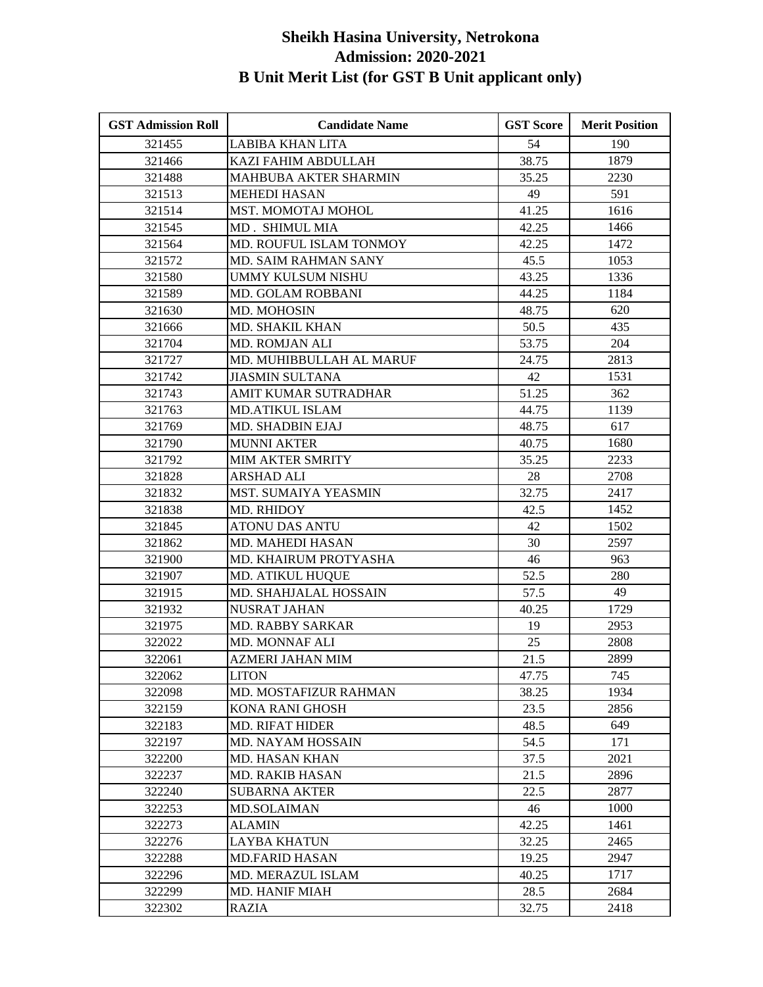| <b>GST Admission Roll</b> | <b>Candidate Name</b>        | <b>GST Score</b> | <b>Merit Position</b> |
|---------------------------|------------------------------|------------------|-----------------------|
| 321455                    | <b>LABIBA KHAN LITA</b>      | 54               | 190                   |
| 321466                    | <b>KAZI FAHIM ABDULLAH</b>   | 38.75            | 1879                  |
| 321488                    | MAHBUBA AKTER SHARMIN        | 35.25            | 2230                  |
| 321513                    | <b>MEHEDI HASAN</b>          | 49               | 591                   |
| 321514                    | <b>MST. MOMOTAJ MOHOL</b>    | 41.25            | 1616                  |
| 321545                    | MD. SHIMUL MIA               | 42.25            | 1466                  |
| 321564                    | MD. ROUFUL ISLAM TONMOY      | 42.25            | 1472                  |
| 321572                    | MD. SAIM RAHMAN SANY         | 45.5             | 1053                  |
| 321580                    | <b>UMMY KULSUM NISHU</b>     | 43.25            | 1336                  |
| 321589                    | MD. GOLAM ROBBANI            | 44.25            | 1184                  |
| 321630                    | MD. MOHOSIN                  | 48.75            | 620                   |
| 321666                    | <b>MD. SHAKIL KHAN</b>       | 50.5             | 435                   |
| 321704                    | MD. ROMJAN ALI               | 53.75            | 204                   |
| 321727                    | MD. MUHIBBULLAH AL MARUF     | 24.75            | 2813                  |
| 321742                    | <b>JIASMIN SULTANA</b>       | 42               | 1531                  |
| 321743                    | AMIT KUMAR SUTRADHAR         | 51.25            | 362                   |
| 321763                    | <b>MD.ATIKUL ISLAM</b>       | 44.75            | 1139                  |
| 321769                    | <b>MD. SHADBIN EJAJ</b>      | 48.75            | 617                   |
| 321790                    | <b>MUNNI AKTER</b>           | 40.75            | 1680                  |
| 321792                    | <b>MIM AKTER SMRITY</b>      | 35.25            | 2233                  |
| 321828                    | <b>ARSHAD ALI</b>            | 28               | 2708                  |
| 321832                    | MST. SUMAIYA YEASMIN         | 32.75            | 2417                  |
| 321838                    | MD. RHIDOY                   | 42.5             | 1452                  |
| 321845                    | <b>ATONU DAS ANTU</b>        | 42               | 1502                  |
| 321862                    | MD. MAHEDI HASAN             | 30               | 2597                  |
| 321900                    | MD. KHAIRUM PROTYASHA        | 46               | 963                   |
| 321907                    | <b>MD. ATIKUL HUQUE</b>      | 52.5             | 280                   |
| 321915                    | MD. SHAHJALAL HOSSAIN        | 57.5             | 49                    |
| 321932                    | <b>NUSRAT JAHAN</b>          | 40.25            | 1729                  |
| 321975                    | <b>MD. RABBY SARKAR</b>      | 19               | 2953                  |
| 322022                    | MD. MONNAF ALI               | 25               | 2808                  |
| 322061                    | <b>AZMERI JAHAN MIM</b>      | 21.5             | 2899                  |
| 322062                    | <b>LITON</b>                 | 47.75            | 745                   |
| 322098                    | <b>MD. MOSTAFIZUR RAHMAN</b> | 38.25            | 1934                  |
| 322159                    | <b>KONA RANI GHOSH</b>       | 23.5             | 2856                  |
| 322183                    | <b>MD. RIFAT HIDER</b>       | 48.5             | 649                   |
| 322197                    | MD. NAYAM HOSSAIN            | 54.5             | 171                   |
| 322200                    | <b>MD. HASAN KHAN</b>        | 37.5             | 2021                  |
| 322237                    | <b>MD. RAKIB HASAN</b>       | 21.5             | 2896                  |
| 322240                    | <b>SUBARNA AKTER</b>         | 22.5             | 2877                  |
| 322253                    | <b>MD.SOLAIMAN</b>           | 46               | 1000                  |
| 322273                    | <b>ALAMIN</b>                | 42.25            | 1461                  |
| 322276                    | <b>LAYBA KHATUN</b>          | 32.25            | 2465                  |
| 322288                    | <b>MD.FARID HASAN</b>        | 19.25            | 2947                  |
| 322296                    | <b>MD. MERAZUL ISLAM</b>     | 40.25            | 1717                  |
| 322299                    | <b>MD. HANIF MIAH</b>        | 28.5             | 2684                  |
| 322302                    | <b>RAZIA</b>                 | 32.75            | 2418                  |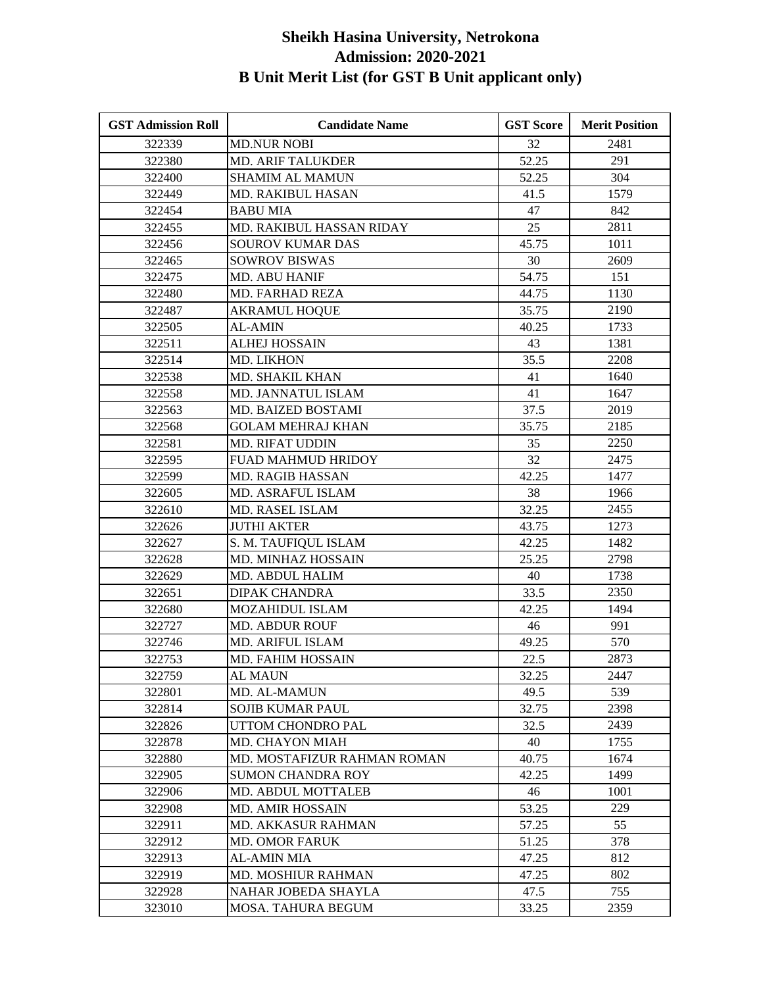| <b>GST Admission Roll</b> | <b>Candidate Name</b>       | <b>GST Score</b> | <b>Merit Position</b> |
|---------------------------|-----------------------------|------------------|-----------------------|
| 322339                    | <b>MD.NUR NOBI</b>          | 32               | 2481                  |
| 322380                    | <b>MD. ARIF TALUKDER</b>    | 52.25            | 291                   |
| 322400                    | <b>SHAMIM AL MAMUN</b>      | 52.25            | 304                   |
| 322449                    | <b>MD. RAKIBUL HASAN</b>    | 41.5             | 1579                  |
| 322454                    | <b>BABU MIA</b>             | 47               | 842                   |
| 322455                    | MD. RAKIBUL HASSAN RIDAY    | 25               | 2811                  |
| 322456                    | <b>SOUROV KUMAR DAS</b>     | 45.75            | 1011                  |
| 322465                    | <b>SOWROV BISWAS</b>        | 30               | 2609                  |
| 322475                    | MD. ABU HANIF               | 54.75            | 151                   |
| 322480                    | <b>MD. FARHAD REZA</b>      | 44.75            | 1130                  |
| 322487                    | <b>AKRAMUL HOQUE</b>        | 35.75            | 2190                  |
| 322505                    | <b>AL-AMIN</b>              | 40.25            | 1733                  |
| 322511                    | <b>ALHEJ HOSSAIN</b>        | 43               | 1381                  |
| 322514                    | <b>MD. LIKHON</b>           | 35.5             | 2208                  |
| 322538                    | MD. SHAKIL KHAN             | 41               | 1640                  |
| 322558                    | MD. JANNATUL ISLAM          | 41               | 1647                  |
| 322563                    | MD. BAIZED BOSTAMI          | 37.5             | 2019                  |
| 322568                    | <b>GOLAM MEHRAJ KHAN</b>    | 35.75            | 2185                  |
| 322581                    | <b>MD. RIFAT UDDIN</b>      | 35               | 2250                  |
| 322595                    | FUAD MAHMUD HRIDOY          | 32               | 2475                  |
| 322599                    | <b>MD. RAGIB HASSAN</b>     | 42.25            | 1477                  |
| 322605                    | MD. ASRAFUL ISLAM           | 38               | 1966                  |
| 322610                    | MD. RASEL ISLAM             | 32.25            | 2455                  |
| 322626                    | <b>JUTHI AKTER</b>          | 43.75            | 1273                  |
| 322627                    | S. M. TAUFIQUL ISLAM        | 42.25            | 1482                  |
| 322628                    | MD. MINHAZ HOSSAIN          | 25.25            | 2798                  |
| 322629                    | MD. ABDUL HALIM             | 40               | 1738                  |
| 322651                    | <b>DIPAK CHANDRA</b>        | 33.5             | 2350                  |
| 322680                    | <b>MOZAHIDUL ISLAM</b>      | 42.25            | 1494                  |
| 322727                    | <b>MD. ABDUR ROUF</b>       | 46               | 991                   |
| 322746                    | MD. ARIFUL ISLAM            | 49.25            | 570                   |
| 322753                    | <b>MD. FAHIM HOSSAIN</b>    | 22.5             | 2873                  |
| 322759                    | <b>AL MAUN</b>              | 32.25            | 2447                  |
| 322801                    | MD. AL-MAMUN                | 49.5             | 539                   |
| 322814                    | <b>SOJIB KUMAR PAUL</b>     | 32.75            | 2398                  |
| 322826                    | UTTOM CHONDRO PAL           | 32.5             | 2439                  |
| 322878                    | MD. CHAYON MIAH             | 40               | 1755                  |
| 322880                    | MD. MOSTAFIZUR RAHMAN ROMAN | 40.75            | 1674                  |
| 322905                    | <b>SUMON CHANDRA ROY</b>    | 42.25            | 1499                  |
| 322906                    | MD. ABDUL MOTTALEB          | 46               | 1001                  |
| 322908                    | <b>MD. AMIR HOSSAIN</b>     | 53.25            | 229                   |
| 322911                    | MD. AKKASUR RAHMAN          | 57.25            | 55                    |
| 322912                    | <b>MD. OMOR FARUK</b>       | 51.25            | 378                   |
| 322913                    | <b>AL-AMIN MIA</b>          | 47.25            | 812                   |
| 322919                    | MD. MOSHIUR RAHMAN          | 47.25            | 802                   |
| 322928                    | NAHAR JOBEDA SHAYLA         | 47.5             | 755                   |
| 323010                    | MOSA. TAHURA BEGUM          | 33.25            | 2359                  |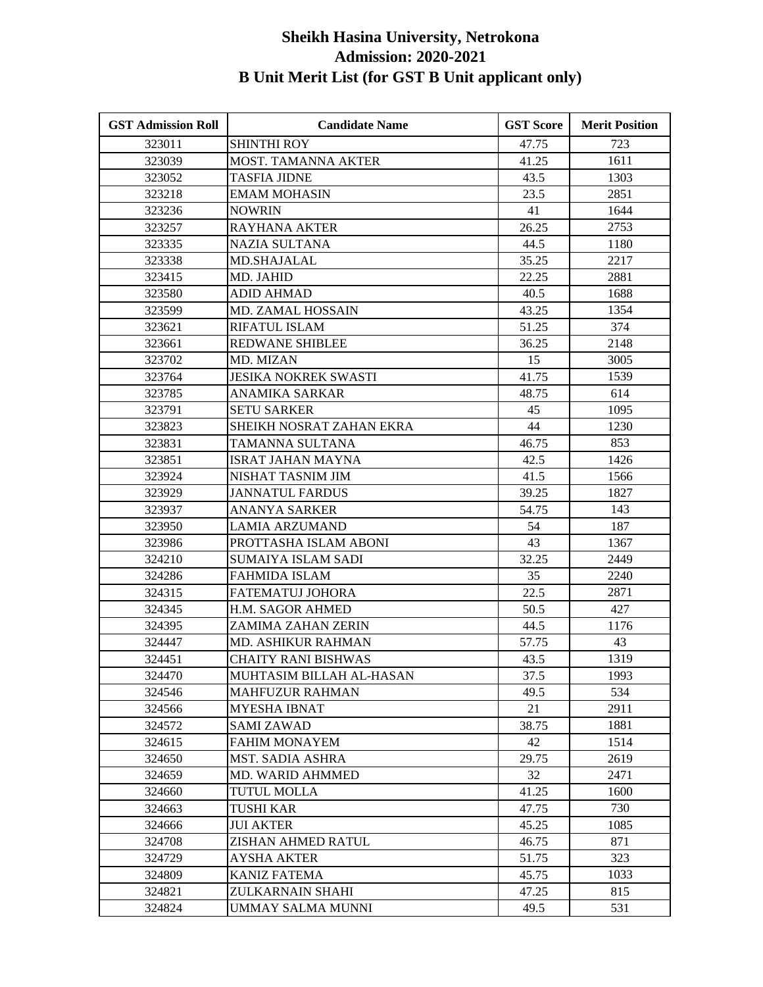| <b>GST Admission Roll</b> | <b>Candidate Name</b>       | <b>GST Score</b> | <b>Merit Position</b> |
|---------------------------|-----------------------------|------------------|-----------------------|
| 323011                    | <b>SHINTHI ROY</b>          | 47.75            | 723                   |
| 323039                    | MOST. TAMANNA AKTER         | 41.25            | 1611                  |
| 323052                    | <b>TASFIA JIDNE</b>         | 43.5             | 1303                  |
| 323218                    | <b>EMAM MOHASIN</b>         | 23.5             | 2851                  |
| 323236                    | <b>NOWRIN</b>               | 41               | 1644                  |
| 323257                    | <b>RAYHANA AKTER</b>        | 26.25            | 2753                  |
| 323335                    | <b>NAZIA SULTANA</b>        | 44.5             | 1180                  |
| 323338                    | <b>MD.SHAJALAL</b>          | 35.25            | 2217                  |
| 323415                    | MD. JAHID                   | 22.25            | 2881                  |
| 323580                    | <b>ADID AHMAD</b>           | 40.5             | 1688                  |
| 323599                    | MD. ZAMAL HOSSAIN           | 43.25            | 1354                  |
| 323621                    | <b>RIFATUL ISLAM</b>        | 51.25            | 374                   |
| 323661                    | <b>REDWANE SHIBLEE</b>      | 36.25            | 2148                  |
| 323702                    | MD. MIZAN                   | 15               | 3005                  |
| 323764                    | <b>JESIKA NOKREK SWASTI</b> | 41.75            | 1539                  |
| 323785                    | ANAMIKA SARKAR              | 48.75            | 614                   |
| 323791                    | <b>SETU SARKER</b>          | 45               | 1095                  |
| 323823                    | SHEIKH NOSRAT ZAHAN EKRA    | 44               | 1230                  |
| 323831                    | TAMANNA SULTANA             | 46.75            | 853                   |
| 323851                    | <b>ISRAT JAHAN MAYNA</b>    | 42.5             | 1426                  |
| 323924                    | NISHAT TASNIM JIM           | 41.5             | 1566                  |
| 323929                    | <b>JANNATUL FARDUS</b>      | 39.25            | 1827                  |
| 323937                    | ANANYA SARKER               | 54.75            | 143                   |
| 323950                    | <b>LAMIA ARZUMAND</b>       | 54               | 187                   |
| 323986                    | PROTTASHA ISLAM ABONI       | 43               | 1367                  |
| 324210                    | <b>SUMAIYA ISLAM SADI</b>   | 32.25            | 2449                  |
| 324286                    | <b>FAHMIDA ISLAM</b>        | 35               | 2240                  |
| 324315                    | FATEMATUJ JOHORA            | 22.5             | 2871                  |
| 324345                    | H.M. SAGOR AHMED            | 50.5             | 427                   |
| 324395                    | ZAMIMA ZAHAN ZERIN          | 44.5             | 1176                  |
| 324447                    | <b>MD. ASHIKUR RAHMAN</b>   | 57.75            | 43                    |
| 324451                    | CHAITY RANI BISHWAS         | 43.5             | 1319                  |
| 324470                    | MUHTASIM BILLAH AL-HASAN    | 37.5             | 1993                  |
| 324546                    | <b>MAHFUZUR RAHMAN</b>      | 49.5             | 534                   |
| 324566                    | <b>MYESHA IBNAT</b>         | 21               | 2911                  |
| 324572                    | <b>SAMI ZAWAD</b>           | 38.75            | 1881                  |
| 324615                    | <b>FAHIM MONAYEM</b>        | 42               | 1514                  |
| 324650                    | <b>MST. SADIA ASHRA</b>     | 29.75            | 2619                  |
| 324659                    | MD. WARID AHMMED            | 32               | 2471                  |
| 324660                    | <b>TUTUL MOLLA</b>          | 41.25            | 1600                  |
| 324663                    | TUSHI KAR                   | 47.75            | 730                   |
| 324666                    | <b>JUI AKTER</b>            | 45.25            | 1085                  |
| 324708                    | ZISHAN AHMED RATUL          | 46.75            | 871                   |
| 324729                    | <b>AYSHA AKTER</b>          | 51.75            | 323                   |
| 324809                    | <b>KANIZ FATEMA</b>         | 45.75            | 1033                  |
| 324821                    | ZULKARNAIN SHAHI            | 47.25            | 815                   |
| 324824                    | UMMAY SALMA MUNNI           | 49.5             | 531                   |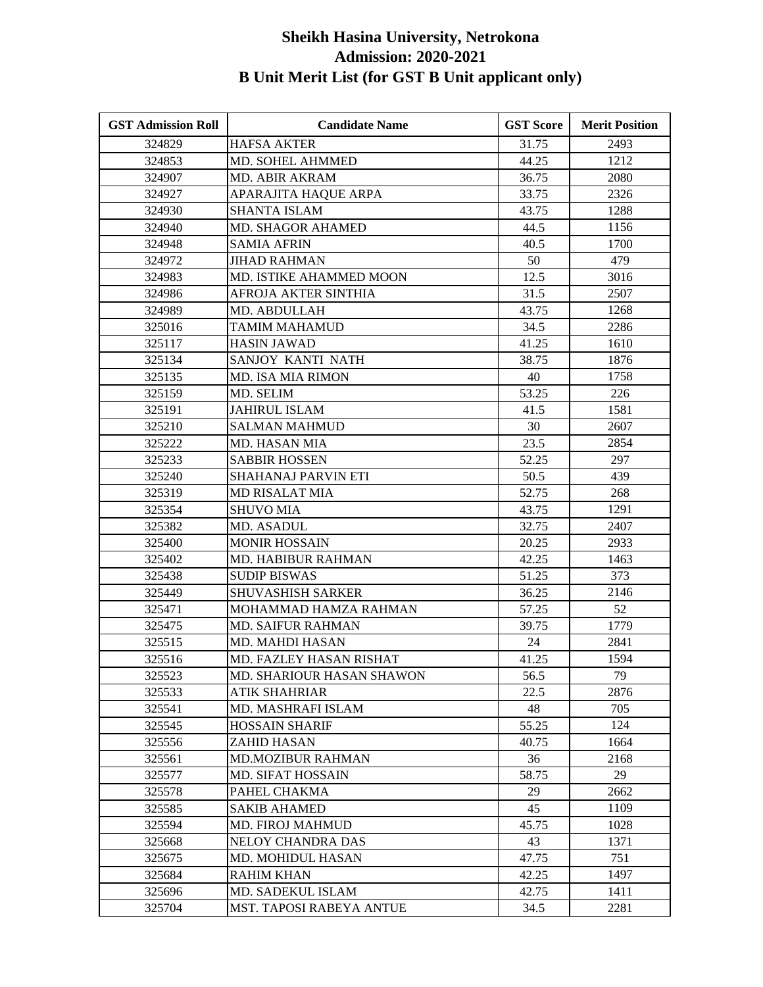| <b>GST Admission Roll</b> | <b>Candidate Name</b>      | <b>GST Score</b> | <b>Merit Position</b> |
|---------------------------|----------------------------|------------------|-----------------------|
| 324829                    | <b>HAFSA AKTER</b>         | 31.75            | 2493                  |
| 324853                    | MD. SOHEL AHMMED           | 44.25            | 1212                  |
| 324907                    | MD. ABIR AKRAM             | 36.75            | 2080                  |
| 324927                    | APARAJITA HAQUE ARPA       | 33.75            | 2326                  |
| 324930                    | <b>SHANTA ISLAM</b>        | 43.75            | 1288                  |
| 324940                    | MD. SHAGOR AHAMED          | 44.5             | 1156                  |
| 324948                    | <b>SAMIA AFRIN</b>         | 40.5             | 1700                  |
| 324972                    | JIHAD RAHMAN               | 50               | 479                   |
| 324983                    | MD. ISTIKE AHAMMED MOON    | 12.5             | 3016                  |
| 324986                    | AFROJA AKTER SINTHIA       | 31.5             | 2507                  |
| 324989                    | MD. ABDULLAH               | 43.75            | 1268                  |
| 325016                    | TAMIM MAHAMUD              | 34.5             | 2286                  |
| 325117                    | <b>HASIN JAWAD</b>         | 41.25            | 1610                  |
| 325134                    | SANJOY KANTI NATH          | 38.75            | 1876                  |
| 325135                    | <b>MD. ISA MIA RIMON</b>   | 40               | 1758                  |
| 325159                    | MD. SELIM                  | 53.25            | 226                   |
| 325191                    | <b>JAHIRUL ISLAM</b>       | 41.5             | 1581                  |
| 325210                    | <b>SALMAN MAHMUD</b>       | 30               | 2607                  |
| 325222                    | MD. HASAN MIA              | 23.5             | 2854                  |
| 325233                    | <b>SABBIR HOSSEN</b>       | 52.25            | 297                   |
| 325240                    | <b>SHAHANAJ PARVIN ETI</b> | 50.5             | 439                   |
| 325319                    | <b>MD RISALAT MIA</b>      | 52.75            | 268                   |
| 325354                    | <b>SHUVO MIA</b>           | 43.75            | 1291                  |
| 325382                    | MD. ASADUL                 | 32.75            | 2407                  |
| 325400                    | <b>MONIR HOSSAIN</b>       | 20.25            | 2933                  |
| 325402                    | <b>MD. HABIBUR RAHMAN</b>  | 42.25            | 1463                  |
| 325438                    | <b>SUDIP BISWAS</b>        | 51.25            | 373                   |
| 325449                    | <b>SHUVASHISH SARKER</b>   | 36.25            | 2146                  |
| 325471                    | MOHAMMAD HAMZA RAHMAN      | 57.25            | 52                    |
| 325475                    | <b>MD. SAIFUR RAHMAN</b>   | 39.75            | 1779                  |
| 325515                    | MD. MAHDI HASAN            | 24               | 2841                  |
| 325516                    | MD. FAZLEY HASAN RISHAT    | 41.25            | 1594                  |
| 325523                    | MD. SHARIOUR HASAN SHAWON  | 56.5             | 79                    |
| 325533                    | <b>ATIK SHAHRIAR</b>       | 22.5             | 2876                  |
| 325541                    | MD. MASHRAFI ISLAM         | 48               | 705                   |
| 325545                    | <b>HOSSAIN SHARIF</b>      | 55.25            | 124                   |
| 325556                    | ZAHID HASAN                | 40.75            | 1664                  |
| 325561                    | <b>MD.MOZIBUR RAHMAN</b>   | 36               | 2168                  |
| 325577                    | <b>MD. SIFAT HOSSAIN</b>   | 58.75            | 29                    |
| 325578                    | PAHEL CHAKMA               | 29               | 2662                  |
| 325585                    | <b>SAKIB AHAMED</b>        | 45               | 1109                  |
| 325594                    | <b>MD. FIROJ MAHMUD</b>    | 45.75            | 1028                  |
| 325668                    | NELOY CHANDRA DAS          | 43               | 1371                  |
| 325675                    | MD. MOHIDUL HASAN          | 47.75            | 751                   |
| 325684                    | <b>RAHIM KHAN</b>          | 42.25            | 1497                  |
| 325696                    | MD. SADEKUL ISLAM          | 42.75            | 1411                  |
| 325704                    | MST. TAPOSI RABEYA ANTUE   | 34.5             | 2281                  |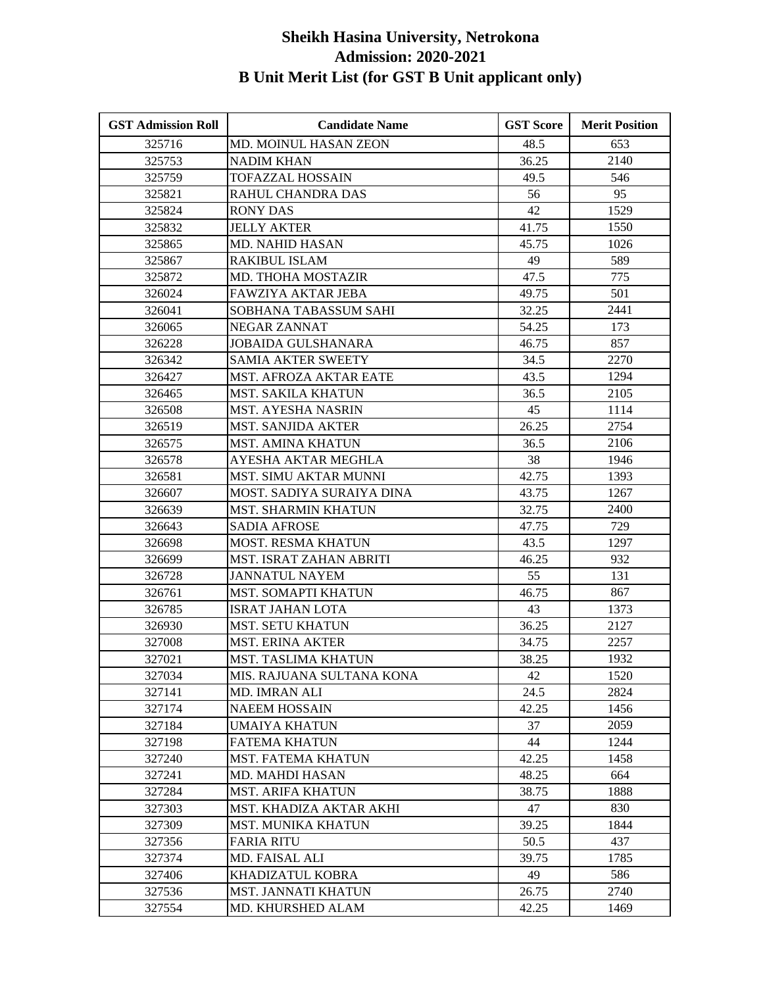| <b>GST Admission Roll</b> | <b>Candidate Name</b>        | <b>GST Score</b> | <b>Merit Position</b> |
|---------------------------|------------------------------|------------------|-----------------------|
| 325716                    | <b>MD. MOINUL HASAN ZEON</b> | 48.5             | 653                   |
| 325753                    | <b>NADIM KHAN</b>            | 36.25            | 2140                  |
| 325759                    | <b>TOFAZZAL HOSSAIN</b>      | 49.5             | 546                   |
| 325821                    | RAHUL CHANDRA DAS            | 56               | 95                    |
| 325824                    | <b>RONY DAS</b>              | 42               | 1529                  |
| 325832                    | <b>JELLY AKTER</b>           | 41.75            | 1550                  |
| 325865                    | <b>MD. NAHID HASAN</b>       | 45.75            | 1026                  |
| 325867                    | <b>RAKIBUL ISLAM</b>         | 49               | 589                   |
| 325872                    | <b>MD. THOHA MOSTAZIR</b>    | 47.5             | 775                   |
| 326024                    | <b>FAWZIYA AKTAR JEBA</b>    | 49.75            | 501                   |
| 326041                    | SOBHANA TABASSUM SAHI        | 32.25            | 2441                  |
| 326065                    | NEGAR ZANNAT                 | 54.25            | 173                   |
| 326228                    | <b>JOBAIDA GULSHANARA</b>    | 46.75            | 857                   |
| 326342                    | <b>SAMIA AKTER SWEETY</b>    | 34.5             | 2270                  |
| 326427                    | MST. AFROZA AKTAR EATE       | 43.5             | 1294                  |
| 326465                    | <b>MST. SAKILA KHATUN</b>    | 36.5             | 2105                  |
| 326508                    | <b>MST. AYESHA NASRIN</b>    | 45               | 1114                  |
| 326519                    | <b>MST. SANJIDA AKTER</b>    | 26.25            | 2754                  |
| 326575                    | <b>MST. AMINA KHATUN</b>     | 36.5             | 2106                  |
| 326578                    | AYESHA AKTAR MEGHLA          | 38               | 1946                  |
| 326581                    | <b>MST. SIMU AKTAR MUNNI</b> | 42.75            | 1393                  |
| 326607                    | MOST. SADIYA SURAIYA DINA    | 43.75            | 1267                  |
| 326639                    | <b>MST. SHARMIN KHATUN</b>   | 32.75            | 2400                  |
| 326643                    | <b>SADIA AFROSE</b>          | 47.75            | 729                   |
| 326698                    | MOST. RESMA KHATUN           | 43.5             | 1297                  |
| 326699                    | MST. ISRAT ZAHAN ABRITI      | 46.25            | 932                   |
| 326728                    | <b>JANNATUL NAYEM</b>        | 55               | 131                   |
| 326761                    | <b>MST. SOMAPTI KHATUN</b>   | 46.75            | 867                   |
| 326785                    | <b>ISRAT JAHAN LOTA</b>      | 43               | 1373                  |
| 326930                    | <b>MST. SETU KHATUN</b>      | 36.25            | 2127                  |
| 327008                    | <b>MST. ERINA AKTER</b>      | 34.75            | 2257                  |
| 327021                    | <b>MST. TASLIMA KHATUN</b>   | 38.25            | 1932                  |
| 327034                    | MIS. RAJUANA SULTANA KONA    | 42               | 1520                  |
| 327141                    | <b>MD. IMRAN ALI</b>         | 24.5             | 2824                  |
| 327174                    | <b>NAEEM HOSSAIN</b>         | 42.25            | 1456                  |
| 327184                    | UMAIYA KHATUN                | 37               | 2059                  |
| 327198                    | <b>FATEMA KHATUN</b>         | 44               | 1244                  |
| 327240                    | <b>MST. FATEMA KHATUN</b>    | 42.25            | 1458                  |
| 327241                    | MD. MAHDI HASAN              | 48.25            | 664                   |
| 327284                    | <b>MST. ARIFA KHATUN</b>     | 38.75            | 1888                  |
| 327303                    | MST. KHADIZA AKTAR AKHI      | 47               | 830                   |
| 327309                    | <b>MST. MUNIKA KHATUN</b>    | 39.25            | 1844                  |
| 327356                    | <b>FARIA RITU</b>            | 50.5             | 437                   |
| 327374                    | MD. FAISAL ALI               | 39.75            | 1785                  |
| 327406                    | KHADIZATUL KOBRA             | 49               | 586                   |
| 327536                    | <b>MST. JANNATI KHATUN</b>   | 26.75            | 2740                  |
| 327554                    | MD. KHURSHED ALAM            | 42.25            | 1469                  |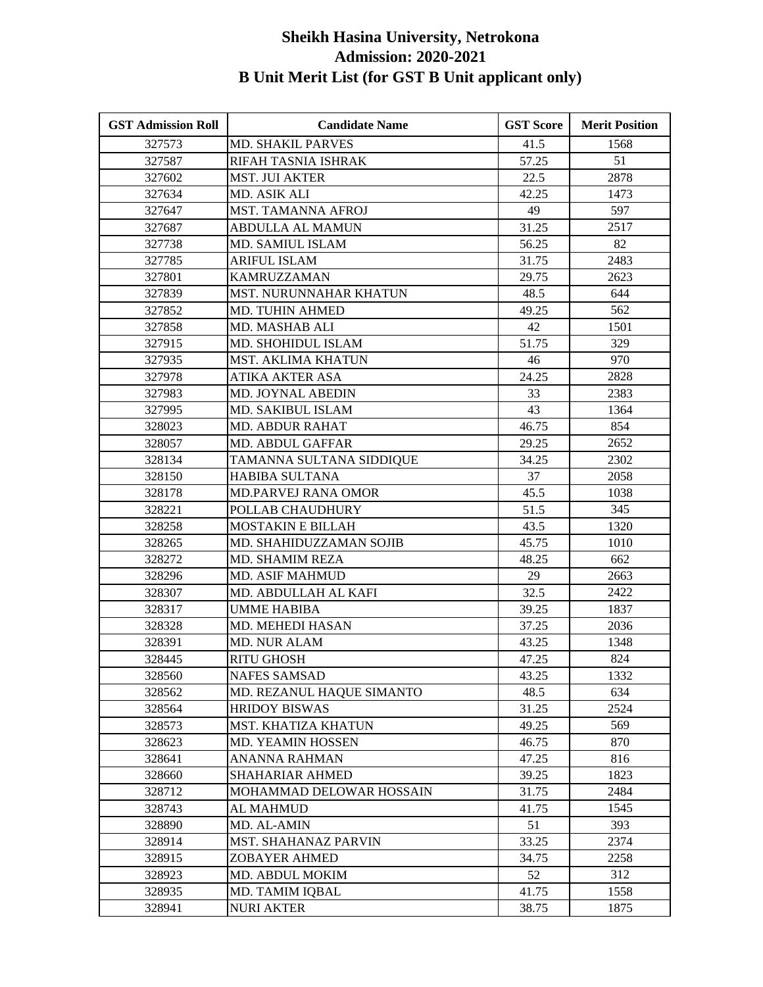| <b>GST Admission Roll</b> | <b>Candidate Name</b>         | <b>GST Score</b> | <b>Merit Position</b> |
|---------------------------|-------------------------------|------------------|-----------------------|
| 327573                    | <b>MD. SHAKIL PARVES</b>      | 41.5             | 1568                  |
| 327587                    | RIFAH TASNIA ISHRAK           | 57.25            | 51                    |
| 327602                    | <b>MST. JUI AKTER</b>         | 22.5             | 2878                  |
| 327634                    | MD. ASIK ALI                  | 42.25            | 1473                  |
| 327647                    | MST. TAMANNA AFROJ            | 49               | 597                   |
| 327687                    | <b>ABDULLA AL MAMUN</b>       | 31.25            | 2517                  |
| 327738                    | MD. SAMIUL ISLAM              | 56.25            | 82                    |
| 327785                    | <b>ARIFUL ISLAM</b>           | 31.75            | 2483                  |
| 327801                    | <b>KAMRUZZAMAN</b>            | 29.75            | 2623                  |
| 327839                    | <b>MST. NURUNNAHAR KHATUN</b> | 48.5             | 644                   |
| 327852                    | MD. TUHIN AHMED               | 49.25            | 562                   |
| 327858                    | MD. MASHAB ALI                | 42               | 1501                  |
| 327915                    | MD. SHOHIDUL ISLAM            | 51.75            | 329                   |
| 327935                    | MST. AKLIMA KHATUN            | 46               | 970                   |
| 327978                    | <b>ATIKA AKTER ASA</b>        | 24.25            | 2828                  |
| 327983                    | MD. JOYNAL ABEDIN             | 33               | 2383                  |
| 327995                    | MD. SAKIBUL ISLAM             | 43               | 1364                  |
| 328023                    | <b>MD. ABDUR RAHAT</b>        | 46.75            | 854                   |
| 328057                    | <b>MD. ABDUL GAFFAR</b>       | 29.25            | 2652                  |
| 328134                    | TAMANNA SULTANA SIDDIQUE      | 34.25            | 2302                  |
| 328150                    | <b>HABIBA SULTANA</b>         | 37               | 2058                  |
| 328178                    | <b>MD.PARVEJ RANA OMOR</b>    | 45.5             | 1038                  |
| 328221                    | POLLAB CHAUDHURY              | 51.5             | 345                   |
| 328258                    | <b>MOSTAKIN E BILLAH</b>      | 43.5             | 1320                  |
| 328265                    | MD. SHAHIDUZZAMAN SOJIB       | 45.75            | 1010                  |
| 328272                    | <b>MD. SHAMIM REZA</b>        | 48.25            | 662                   |
| 328296                    | <b>MD. ASIF MAHMUD</b>        | 29               | 2663                  |
| 328307                    | MD. ABDULLAH AL KAFI          | 32.5             | 2422                  |
| 328317                    | <b>UMME HABIBA</b>            | 39.25            | 1837                  |
| 328328                    | MD. MEHEDI HASAN              | 37.25            | 2036                  |
| 328391                    | <b>MD. NUR ALAM</b>           | 43.25            | 1348                  |
| 328445                    | <b>RITU GHOSH</b>             | 47.25            | 824                   |
| 328560                    | <b>NAFES SAMSAD</b>           | 43.25            | 1332                  |
| 328562                    | MD. REZANUL HAQUE SIMANTO     | 48.5             | 634                   |
| 328564                    | <b>HRIDOY BISWAS</b>          | 31.25            | 2524                  |
| 328573                    | MST. KHATIZA KHATUN           | 49.25            | 569                   |
| 328623                    | <b>MD. YEAMIN HOSSEN</b>      | 46.75            | 870                   |
| 328641                    | <b>ANANNA RAHMAN</b>          | 47.25            | 816                   |
| 328660                    | <b>SHAHARIAR AHMED</b>        | 39.25            | 1823                  |
| 328712                    | MOHAMMAD DELOWAR HOSSAIN      | 31.75            | 2484                  |
| 328743                    | <b>AL MAHMUD</b>              | 41.75            | 1545                  |
| 328890                    | MD. AL-AMIN                   | 51               | 393                   |
| 328914                    | MST. SHAHANAZ PARVIN          | 33.25            | 2374                  |
| 328915                    | <b>ZOBAYER AHMED</b>          | 34.75            | 2258                  |
| 328923                    | MD. ABDUL MOKIM               | 52               | 312                   |
| 328935                    | MD. TAMIM IQBAL               | 41.75            | 1558                  |
| 328941                    | <b>NURI AKTER</b>             | 38.75            | 1875                  |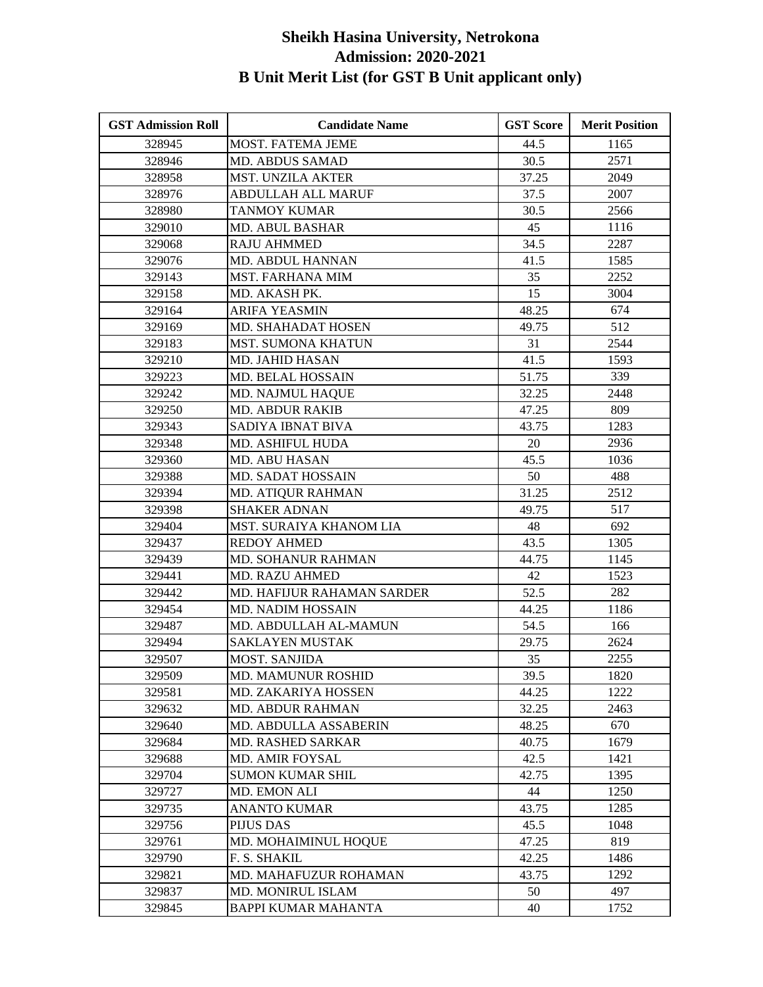| <b>GST Admission Roll</b> | <b>Candidate Name</b>      | <b>GST Score</b> | <b>Merit Position</b> |
|---------------------------|----------------------------|------------------|-----------------------|
| 328945                    | <b>MOST. FATEMA JEME</b>   | 44.5             | 1165                  |
| 328946                    | <b>MD. ABDUS SAMAD</b>     | 30.5             | 2571                  |
| 328958                    | MST. UNZILA AKTER          | 37.25            | 2049                  |
| 328976                    | <b>ABDULLAH ALL MARUF</b>  | 37.5             | 2007                  |
| 328980                    | <b>TANMOY KUMAR</b>        | 30.5             | 2566                  |
| 329010                    | <b>MD. ABUL BASHAR</b>     | 45               | 1116                  |
| 329068                    | <b>RAJU AHMMED</b>         | 34.5             | 2287                  |
| 329076                    | MD. ABDUL HANNAN           | 41.5             | 1585                  |
| 329143                    | <b>MST. FARHANA MIM</b>    | 35               | 2252                  |
| 329158                    | MD. AKASH PK.              | 15               | 3004                  |
| 329164                    | <b>ARIFA YEASMIN</b>       | 48.25            | 674                   |
| 329169                    | <b>MD. SHAHADAT HOSEN</b>  | 49.75            | 512                   |
| 329183                    | <b>MST. SUMONA KHATUN</b>  | 31               | 2544                  |
| 329210                    | MD. JAHID HASAN            | 41.5             | 1593                  |
| 329223                    | <b>MD. BELAL HOSSAIN</b>   | 51.75            | 339                   |
| 329242                    | MD. NAJMUL HAQUE           | 32.25            | 2448                  |
| 329250                    | <b>MD. ABDUR RAKIB</b>     | 47.25            | 809                   |
| 329343                    | SADIYA IBNAT BIVA          | 43.75            | 1283                  |
| 329348                    | MD. ASHIFUL HUDA           | 20               | 2936                  |
| 329360                    | MD. ABU HASAN              | 45.5             | 1036                  |
| 329388                    | MD. SADAT HOSSAIN          | 50               | 488                   |
| 329394                    | <b>MD. ATIQUR RAHMAN</b>   | 31.25            | 2512                  |
| 329398                    | <b>SHAKER ADNAN</b>        | 49.75            | 517                   |
| 329404                    | MST. SURAIYA KHANOM LIA    | 48               | 692                   |
| 329437                    | <b>REDOY AHMED</b>         | 43.5             | 1305                  |
| 329439                    | <b>MD. SOHANUR RAHMAN</b>  | 44.75            | 1145                  |
| 329441                    | <b>MD. RAZU AHMED</b>      | 42               | 1523                  |
| 329442                    | MD. HAFIJUR RAHAMAN SARDER | 52.5             | 282                   |
| 329454                    | MD. NADIM HOSSAIN          | 44.25            | 1186                  |
| 329487                    | MD. ABDULLAH AL-MAMUN      | 54.5             | 166                   |
| 329494                    | <b>SAKLAYEN MUSTAK</b>     | 29.75            | 2624                  |
| 329507                    | <b>MOST. SANJIDA</b>       | 35               | 2255                  |
| 329509                    | MD. MAMUNUR ROSHID         | 39.5             | 1820                  |
| 329581                    | <b>MD. ZAKARIYA HOSSEN</b> | 44.25            | 1222                  |
| 329632                    | <b>MD. ABDUR RAHMAN</b>    | 32.25            | 2463                  |
| 329640                    | MD. ABDULLA ASSABERIN      | 48.25            | 670                   |
| 329684                    | <b>MD. RASHED SARKAR</b>   | 40.75            | 1679                  |
| 329688                    | MD. AMIR FOYSAL            | 42.5             | 1421                  |
| 329704                    | <b>SUMON KUMAR SHIL</b>    | 42.75            | 1395                  |
| 329727                    | MD. EMON ALI               | 44               | 1250                  |
| 329735                    | <b>ANANTO KUMAR</b>        | 43.75            | 1285                  |
| 329756                    | <b>PIJUS DAS</b>           | 45.5             | 1048                  |
| 329761                    | MD. MOHAIMINUL HOQUE       | 47.25            | 819                   |
| 329790                    | F. S. SHAKIL               | 42.25            | 1486                  |
| 329821                    | MD. MAHAFUZUR ROHAMAN      | 43.75            | 1292                  |
| 329837                    | <b>MD. MONIRUL ISLAM</b>   | 50               | 497                   |
| 329845                    | <b>BAPPI KUMAR MAHANTA</b> | 40               | 1752                  |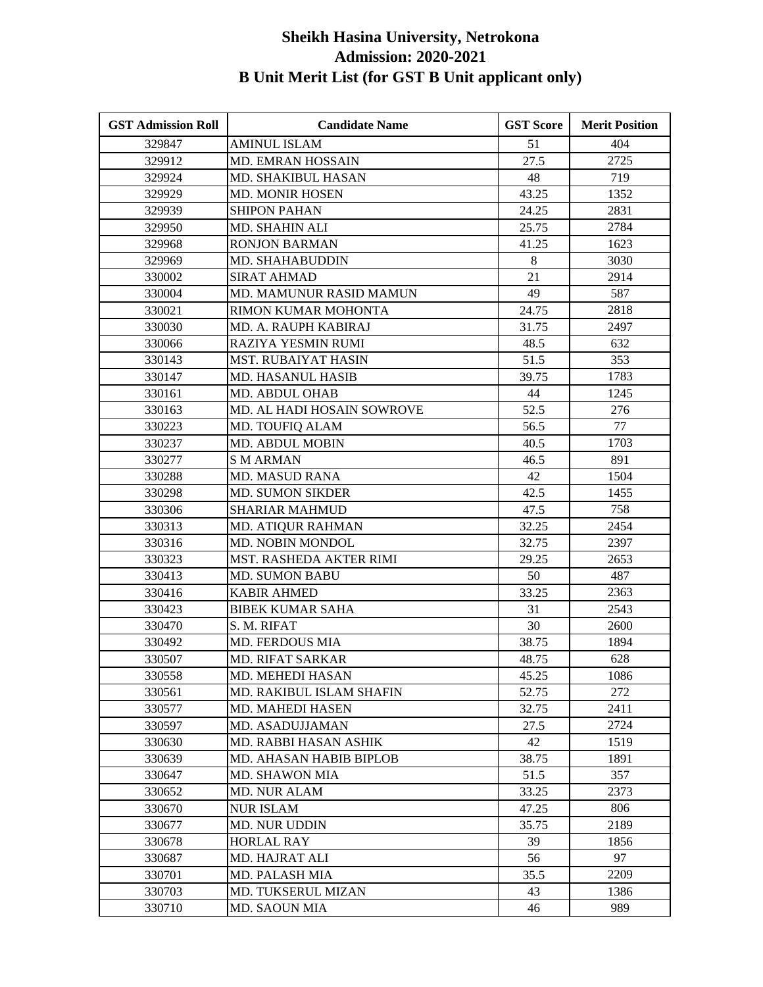| <b>GST Admission Roll</b> | <b>Candidate Name</b>          | <b>GST Score</b> | <b>Merit Position</b> |
|---------------------------|--------------------------------|------------------|-----------------------|
| 329847                    | <b>AMINUL ISLAM</b>            | 51               | 404                   |
| 329912                    | <b>MD. EMRAN HOSSAIN</b>       | 27.5             | 2725                  |
| 329924                    | MD. SHAKIBUL HASAN             | 48               | 719                   |
| 329929                    | <b>MD. MONIR HOSEN</b>         | 43.25            | 1352                  |
| 329939                    | <b>SHIPON PAHAN</b>            | 24.25            | 2831                  |
| 329950                    | MD. SHAHIN ALI                 | 25.75            | 2784                  |
| 329968                    | <b>RONJON BARMAN</b>           | 41.25            | 1623                  |
| 329969                    | MD. SHAHABUDDIN                | 8                | 3030                  |
| 330002                    | <b>SIRAT AHMAD</b>             | 21               | 2914                  |
| 330004                    | <b>MD. MAMUNUR RASID MAMUN</b> | 49               | 587                   |
| 330021                    | RIMON KUMAR MOHONTA            | 24.75            | 2818                  |
| 330030                    | MD. A. RAUPH KABIRAJ           | 31.75            | 2497                  |
| 330066                    | RAZIYA YESMIN RUMI             | 48.5             | 632                   |
| 330143                    | <b>MST. RUBAIYAT HASIN</b>     | 51.5             | 353                   |
| 330147                    | <b>MD. HASANUL HASIB</b>       | 39.75            | 1783                  |
| 330161                    | MD. ABDUL OHAB                 | 44               | 1245                  |
| 330163                    | MD. AL HADI HOSAIN SOWROVE     | 52.5             | 276                   |
| 330223                    | MD. TOUFIQ ALAM                | 56.5             | 77                    |
| 330237                    | MD. ABDUL MOBIN                | 40.5             | 1703                  |
| 330277                    | <b>SMARMAN</b>                 | 46.5             | 891                   |
| 330288                    | <b>MD. MASUD RANA</b>          | 42               | 1504                  |
| 330298                    | <b>MD. SUMON SIKDER</b>        | 42.5             | 1455                  |
| 330306                    | <b>SHARIAR MAHMUD</b>          | 47.5             | 758                   |
| 330313                    | MD. ATIQUR RAHMAN              | 32.25            | 2454                  |
| 330316                    | MD. NOBIN MONDOL               | 32.75            | 2397                  |
| 330323                    | MST. RASHEDA AKTER RIMI        | 29.25            | 2653                  |
| 330413                    | <b>MD. SUMON BABU</b>          | 50               | 487                   |
| 330416                    | <b>KABIR AHMED</b>             | 33.25            | 2363                  |
| 330423                    | <b>BIBEK KUMAR SAHA</b>        | 31               | 2543                  |
| 330470                    | S. M. RIFAT                    | 30               | 2600                  |
| 330492                    | MD. FERDOUS MIA                | 38.75            | 1894                  |
| 330507                    | <b>MD. RIFAT SARKAR</b>        | 48.75            | 628                   |
| 330558                    | MD. MEHEDI HASAN               | 45.25            | 1086                  |
| 330561                    | MD. RAKIBUL ISLAM SHAFIN       | 52.75            | 272                   |
| 330577                    | MD. MAHEDI HASEN               | 32.75            | 2411                  |
| 330597                    | MD. ASADUJJAMAN                | 27.5             | 2724                  |
| 330630                    | MD. RABBI HASAN ASHIK          | 42               | 1519                  |
| 330639                    | MD. AHASAN HABIB BIPLOB        | 38.75            | 1891                  |
| 330647                    | <b>MD. SHAWON MIA</b>          | 51.5             | 357                   |
| 330652                    | <b>MD. NUR ALAM</b>            | 33.25            | 2373                  |
| 330670                    | <b>NUR ISLAM</b>               | 47.25            | 806                   |
| 330677                    | MD. NUR UDDIN                  | 35.75            | 2189                  |
| 330678                    | <b>HORLAL RAY</b>              | 39               | 1856                  |
| 330687                    | MD. HAJRAT ALI                 | 56               | 97                    |
| 330701                    | <b>MD. PALASH MIA</b>          | 35.5             | 2209                  |
| 330703                    | MD. TUKSERUL MIZAN             | 43               | 1386                  |
| 330710                    | <b>MD. SAOUN MIA</b>           | 46               | 989                   |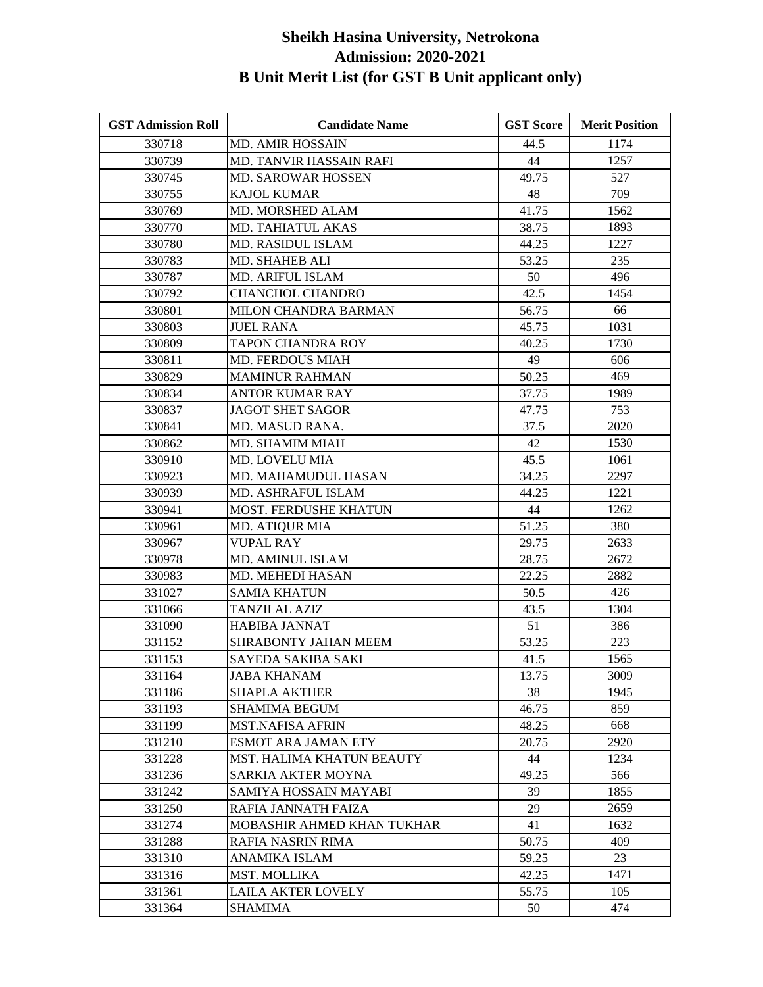| <b>GST Admission Roll</b> | <b>Candidate Name</b>       | <b>GST Score</b> | <b>Merit Position</b> |
|---------------------------|-----------------------------|------------------|-----------------------|
| 330718                    | <b>MD. AMIR HOSSAIN</b>     | 44.5             | 1174                  |
| 330739                    | MD. TANVIR HASSAIN RAFI     | 44               | 1257                  |
| 330745                    | MD. SAROWAR HOSSEN          | 49.75            | 527                   |
| 330755                    | <b>KAJOL KUMAR</b>          | 48               | 709                   |
| 330769                    | MD. MORSHED ALAM            | 41.75            | 1562                  |
| 330770                    | MD. TAHIATUL AKAS           | 38.75            | 1893                  |
| 330780                    | MD. RASIDUL ISLAM           | 44.25            | 1227                  |
| 330783                    | <b>MD. SHAHEB ALI</b>       | 53.25            | 235                   |
| 330787                    | MD. ARIFUL ISLAM            | 50               | 496                   |
| 330792                    | <b>CHANCHOL CHANDRO</b>     | 42.5             | 1454                  |
| 330801                    | MILON CHANDRA BARMAN        | 56.75            | 66                    |
| 330803                    | <b>JUEL RANA</b>            | 45.75            | 1031                  |
| 330809                    | TAPON CHANDRA ROY           | 40.25            | 1730                  |
| 330811                    | <b>MD. FERDOUS MIAH</b>     | 49               | 606                   |
| 330829                    | <b>MAMINUR RAHMAN</b>       | 50.25            | 469                   |
| 330834                    | <b>ANTOR KUMAR RAY</b>      | 37.75            | 1989                  |
| 330837                    | <b>JAGOT SHET SAGOR</b>     | 47.75            | 753                   |
| 330841                    | MD. MASUD RANA.             | 37.5             | 2020                  |
| 330862                    | MD. SHAMIM MIAH             | 42               | 1530                  |
| 330910                    | MD. LOVELU MIA              | 45.5             | 1061                  |
| 330923                    | MD. MAHAMUDUL HASAN         | 34.25            | 2297                  |
| 330939                    | MD. ASHRAFUL ISLAM          | 44.25            | 1221                  |
| 330941                    | MOST. FERDUSHE KHATUN       | 44               | 1262                  |
| 330961                    | <b>MD. ATIQUR MIA</b>       | 51.25            | 380                   |
| 330967                    | <b>VUPAL RAY</b>            | 29.75            | 2633                  |
| 330978                    | <b>MD. AMINUL ISLAM</b>     | 28.75            | 2672                  |
| 330983                    | MD. MEHEDI HASAN            | 22.25            | 2882                  |
| 331027                    | <b>SAMIA KHATUN</b>         | 50.5             | 426                   |
| 331066                    | <b>TANZILAL AZIZ</b>        | 43.5             | 1304                  |
| 331090                    | <b>HABIBA JANNAT</b>        | 51               | 386                   |
| 331152                    | <b>SHRABONTY JAHAN MEEM</b> | 53.25            | 223                   |
| 331153                    | SAYEDA SAKIBA SAKI          | 41.5             | 1565                  |
| 331164                    | <b>JABA KHANAM</b>          | 13.75            | 3009                  |
| 331186                    | <b>SHAPLA AKTHER</b>        | 38               | 1945                  |
| 331193                    | <b>SHAMIMA BEGUM</b>        | 46.75            | 859                   |
| 331199                    | <b>MST.NAFISA AFRIN</b>     | 48.25            | 668                   |
| 331210                    | <b>ESMOT ARA JAMAN ETY</b>  | 20.75            | 2920                  |
| 331228                    | MST. HALIMA KHATUN BEAUTY   | 44               | 1234                  |
| 331236                    | <b>SARKIA AKTER MOYNA</b>   | 49.25            | 566                   |
| 331242                    | SAMIYA HOSSAIN MAYABI       | 39               | 1855                  |
| 331250                    | RAFIA JANNATH FAIZA         | 29               | 2659                  |
| 331274                    | MOBASHIR AHMED KHAN TUKHAR  | 41               | 1632                  |
| 331288                    | RAFIA NASRIN RIMA           | 50.75            | 409                   |
| 331310                    | ANAMIKA ISLAM               | 59.25            | 23                    |
| 331316                    | MST. MOLLIKA                | 42.25            | 1471                  |
| 331361                    | <b>LAILA AKTER LOVELY</b>   | 55.75            | 105                   |
| 331364                    | <b>SHAMIMA</b>              | 50               | 474                   |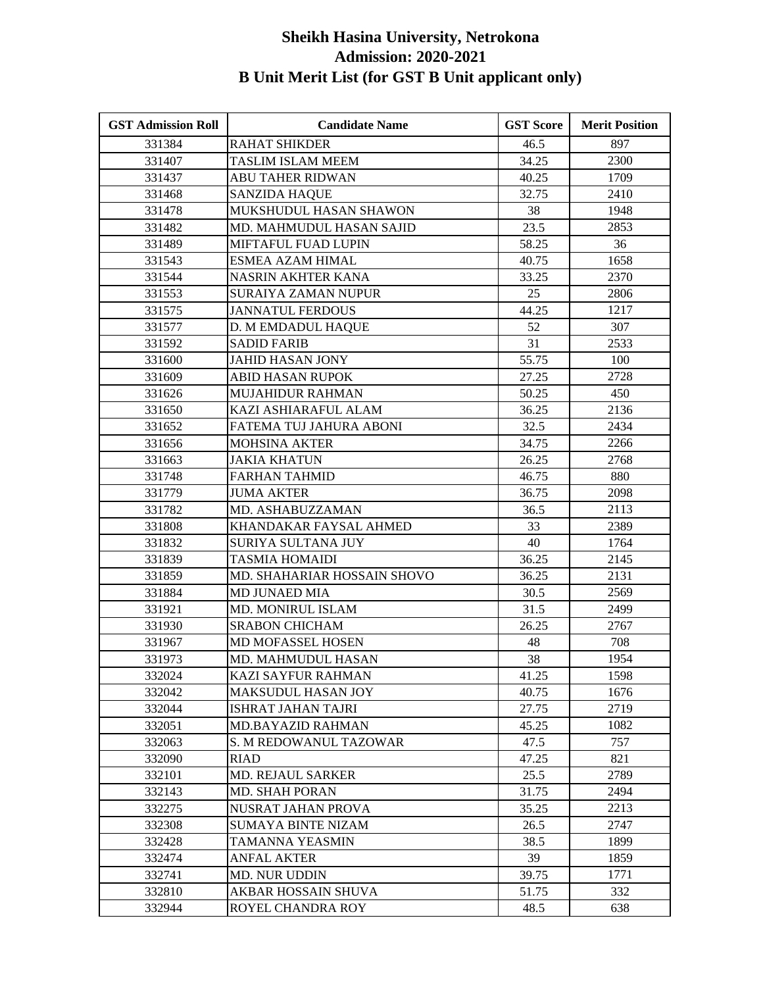| <b>GST Admission Roll</b> | <b>Candidate Name</b>       | <b>GST Score</b> | <b>Merit Position</b> |
|---------------------------|-----------------------------|------------------|-----------------------|
| 331384                    | <b>RAHAT SHIKDER</b>        | 46.5             | 897                   |
| 331407                    | <b>TASLIM ISLAM MEEM</b>    | 34.25            | 2300                  |
| 331437                    | <b>ABU TAHER RIDWAN</b>     | 40.25            | 1709                  |
| 331468                    | <b>SANZIDA HAQUE</b>        | 32.75            | 2410                  |
| 331478                    | MUKSHUDUL HASAN SHAWON      | 38               | 1948                  |
| 331482                    | MD. MAHMUDUL HASAN SAJID    | 23.5             | 2853                  |
| 331489                    | MIFTAFUL FUAD LUPIN         | 58.25            | 36                    |
| 331543                    | <b>ESMEA AZAM HIMAL</b>     | 40.75            | 1658                  |
| 331544                    | <b>NASRIN AKHTER KANA</b>   | 33.25            | 2370                  |
| 331553                    | <b>SURAIYA ZAMAN NUPUR</b>  | 25               | 2806                  |
| 331575                    | <b>JANNATUL FERDOUS</b>     | 44.25            | 1217                  |
| 331577                    | D. M EMDADUL HAQUE          | 52               | 307                   |
| 331592                    | <b>SADID FARIB</b>          | 31               | 2533                  |
| 331600                    | <b>JAHID HASAN JONY</b>     | 55.75            | 100                   |
| 331609                    | <b>ABID HASAN RUPOK</b>     | 27.25            | 2728                  |
| 331626                    | MUJAHIDUR RAHMAN            | 50.25            | 450                   |
| 331650                    | KAZI ASHIARAFUL ALAM        | 36.25            | 2136                  |
| 331652                    | FATEMA TUJ JAHURA ABONI     | 32.5             | 2434                  |
| 331656                    | <b>MOHSINA AKTER</b>        | 34.75            | 2266                  |
| 331663                    | <b>JAKIA KHATUN</b>         | 26.25            | 2768                  |
| 331748                    | <b>FARHAN TAHMID</b>        | 46.75            | 880                   |
| 331779                    | <b>JUMA AKTER</b>           | 36.75            | 2098                  |
| 331782                    | MD. ASHABUZZAMAN            | 36.5             | 2113                  |
| 331808                    | KHANDAKAR FAYSAL AHMED      | 33               | 2389                  |
| 331832                    | SURIYA SULTANA JUY          | 40               | 1764                  |
| 331839                    | <b>TASMIA HOMAIDI</b>       | 36.25            | 2145                  |
| 331859                    | MD. SHAHARIAR HOSSAIN SHOVO | 36.25            | 2131                  |
| 331884                    | <b>MD JUNAED MIA</b>        | 30.5             | 2569                  |
| 331921                    | MD. MONIRUL ISLAM           | 31.5             | 2499                  |
| 331930                    | <b>SRABON CHICHAM</b>       | 26.25            | 2767                  |
| 331967                    | MD MOFASSEL HOSEN           | 48               | 708                   |
| 331973                    | MD. MAHMUDUL HASAN          | 38               | 1954                  |
| 332024                    | KAZI SAYFUR RAHMAN          | 41.25            | 1598                  |
| 332042                    | MAKSUDUL HASAN JOY          | 40.75            | 1676                  |
| 332044                    | <b>ISHRAT JAHAN TAJRI</b>   | 27.75            | 2719                  |
| 332051                    | MD.BAYAZID RAHMAN           | 45.25            | 1082                  |
| 332063                    | S. M REDOWANUL TAZOWAR      | 47.5             | 757                   |
| 332090                    | <b>RIAD</b>                 | 47.25            | 821                   |
| 332101                    | <b>MD. REJAUL SARKER</b>    | 25.5             | 2789                  |
| 332143                    | <b>MD. SHAH PORAN</b>       | 31.75            | 2494                  |
| 332275                    | NUSRAT JAHAN PROVA          | 35.25            | 2213                  |
| 332308                    | <b>SUMAYA BINTE NIZAM</b>   | 26.5             | 2747                  |
| 332428                    | TAMANNA YEASMIN             | 38.5             | 1899                  |
| 332474                    | <b>ANFAL AKTER</b>          | 39               | 1859                  |
| 332741                    | MD. NUR UDDIN               | 39.75            | 1771                  |
| 332810                    | AKBAR HOSSAIN SHUVA         | 51.75            | 332                   |
| 332944                    | ROYEL CHANDRA ROY           | 48.5             | 638                   |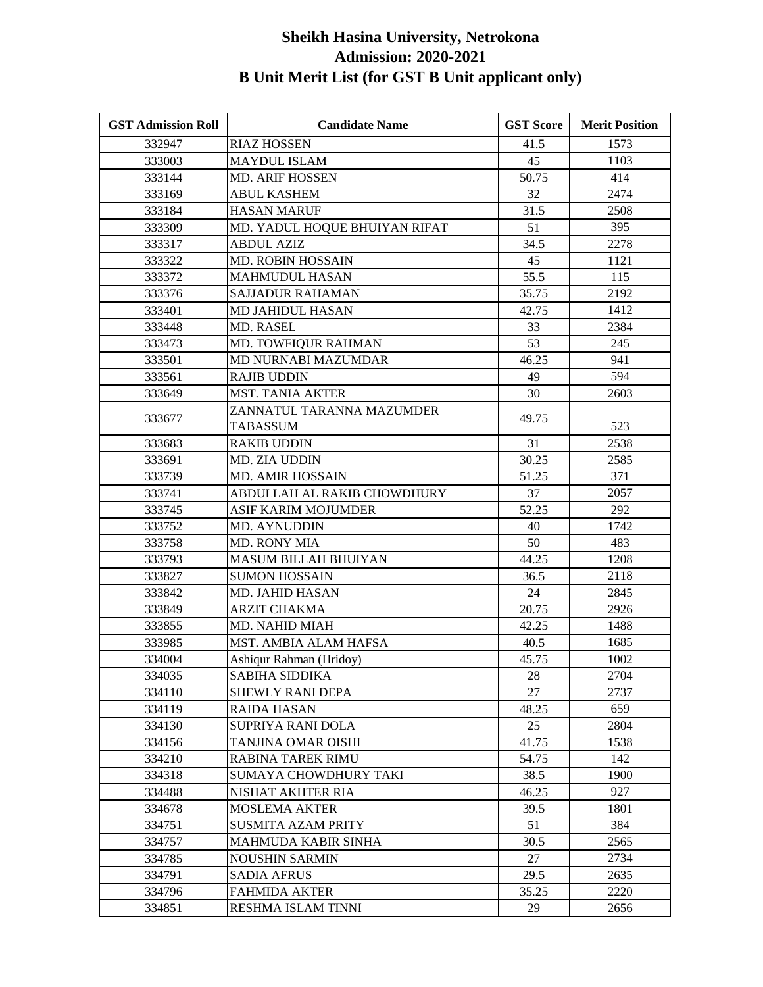| <b>GST Admission Roll</b> | <b>Candidate Name</b>         | <b>GST Score</b> | <b>Merit Position</b> |
|---------------------------|-------------------------------|------------------|-----------------------|
| 332947                    | <b>RIAZ HOSSEN</b>            | 41.5             | 1573                  |
| 333003                    | <b>MAYDUL ISLAM</b>           | 45               | 1103                  |
| 333144                    | <b>MD. ARIF HOSSEN</b>        | 50.75            | 414                   |
| 333169                    | <b>ABUL KASHEM</b>            | 32               | 2474                  |
| 333184                    | <b>HASAN MARUF</b>            | 31.5             | 2508                  |
| 333309                    | MD. YADUL HOQUE BHUIYAN RIFAT | 51               | 395                   |
| 333317                    | <b>ABDUL AZIZ</b>             | 34.5             | 2278                  |
| 333322                    | <b>MD. ROBIN HOSSAIN</b>      | 45               | 1121                  |
| 333372                    | <b>MAHMUDUL HASAN</b>         | 55.5             | 115                   |
| 333376                    | <b>SAJJADUR RAHAMAN</b>       | 35.75            | 2192                  |
| 333401                    | <b>MD JAHIDUL HASAN</b>       | 42.75            | 1412                  |
| 333448                    | <b>MD. RASEL</b>              | 33               | 2384                  |
| 333473                    | MD. TOWFIQUR RAHMAN           | 53               | 245                   |
| 333501                    | MD NURNABI MAZUMDAR           | 46.25            | 941                   |
| 333561                    | <b>RAJIB UDDIN</b>            | 49               | 594                   |
| 333649                    | <b>MST. TANIA AKTER</b>       | 30               | 2603                  |
|                           | ZANNATUL TARANNA MAZUMDER     | 49.75            |                       |
| 333677                    | <b>TABASSUM</b>               |                  | 523                   |
| 333683                    | <b>RAKIB UDDIN</b>            | 31               | 2538                  |
| 333691                    | MD. ZIA UDDIN                 | 30.25            | 2585                  |
| 333739                    | <b>MD. AMIR HOSSAIN</b>       | 51.25            | 371                   |
| 333741                    | ABDULLAH AL RAKIB CHOWDHURY   | 37               | 2057                  |
| 333745                    | ASIF KARIM MOJUMDER           | 52.25            | 292                   |
| 333752                    | MD. AYNUDDIN                  | 40               | 1742                  |
| 333758                    | <b>MD. RONY MIA</b>           | 50               | 483                   |
| 333793                    | <b>MASUM BILLAH BHUIYAN</b>   | 44.25            | 1208                  |
| 333827                    | <b>SUMON HOSSAIN</b>          | 36.5             | 2118                  |
| 333842                    | MD. JAHID HASAN               | 24               | 2845                  |
| 333849                    | <b>ARZIT CHAKMA</b>           | 20.75            | 2926                  |
| 333855                    | MD. NAHID MIAH                | 42.25            | 1488                  |
| 333985                    | MST. AMBIA ALAM HAFSA         | 40.5             | 1685                  |
| 334004                    | Ashiqur Rahman (Hridoy)       | 45.75            | 1002                  |
| 334035                    | SABIHA SIDDIKA                | 28               | 2704                  |
| 334110                    | <b>SHEWLY RANI DEPA</b>       | 27               | 2737                  |
| 334119                    | <b>RAIDA HASAN</b>            | 48.25            | 659                   |
| 334130                    | SUPRIYA RANI DOLA             | 25               | 2804                  |
| 334156                    | TANJINA OMAR OISHI            | 41.75            | 1538                  |
| 334210                    | <b>RABINA TAREK RIMU</b>      | 54.75            | 142                   |
| 334318                    | SUMAYA CHOWDHURY TAKI         | 38.5             | 1900                  |
| 334488                    | NISHAT AKHTER RIA             | 46.25            | 927                   |
| 334678                    | <b>MOSLEMA AKTER</b>          | 39.5             | 1801                  |
| 334751                    | <b>SUSMITA AZAM PRITY</b>     | 51               | 384                   |
| 334757                    | <b>MAHMUDA KABIR SINHA</b>    | 30.5             | 2565                  |
| 334785                    | <b>NOUSHIN SARMIN</b>         | 27               | 2734                  |
| 334791                    | <b>SADIA AFRUS</b>            | 29.5             | 2635                  |
| 334796                    | <b>FAHMIDA AKTER</b>          | 35.25            | 2220                  |
| 334851                    | RESHMA ISLAM TINNI            | 29               | 2656                  |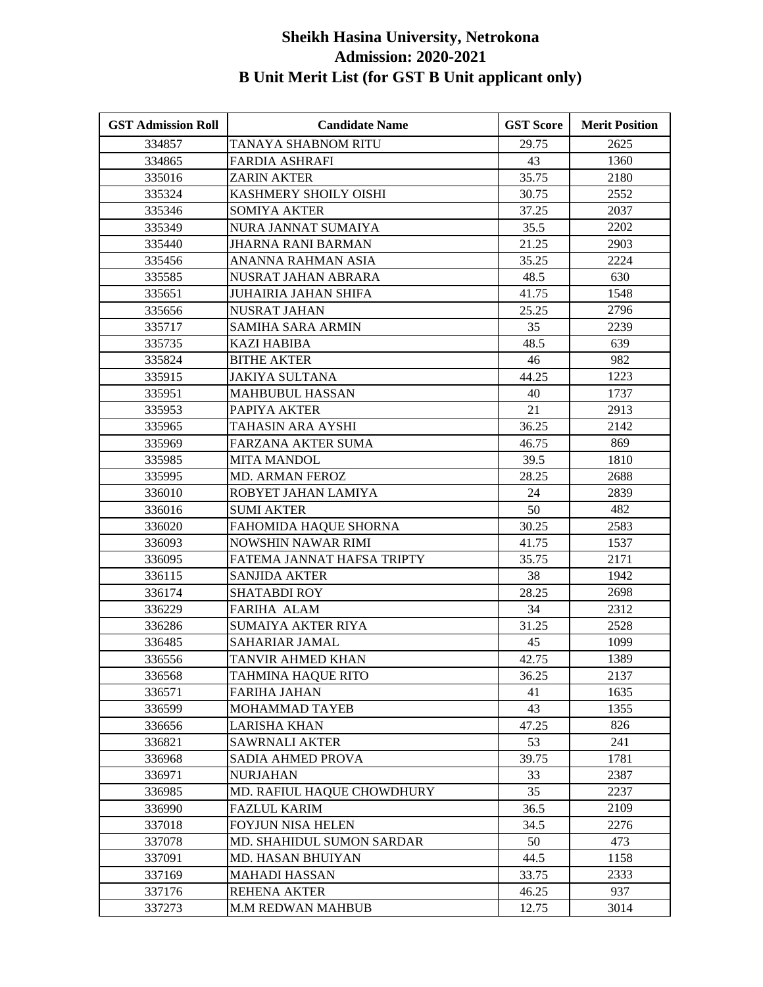| <b>GST Admission Roll</b> | <b>Candidate Name</b>       | <b>GST Score</b> | <b>Merit Position</b> |
|---------------------------|-----------------------------|------------------|-----------------------|
| 334857                    | TANAYA SHABNOM RITU         | 29.75            | 2625                  |
| 334865                    | <b>FARDIA ASHRAFI</b>       | 43               | 1360                  |
| 335016                    | <b>ZARIN AKTER</b>          | 35.75            | 2180                  |
| 335324                    | KASHMERY SHOILY OISHI       | 30.75            | 2552                  |
| 335346                    | <b>SOMIYA AKTER</b>         | 37.25            | 2037                  |
| 335349                    | NURA JANNAT SUMAIYA         | 35.5             | 2202                  |
| 335440                    | JHARNA RANI BARMAN          | 21.25            | 2903                  |
| 335456                    | ANANNA RAHMAN ASIA          | 35.25            | 2224                  |
| 335585                    | NUSRAT JAHAN ABRARA         | 48.5             | 630                   |
| 335651                    | <b>JUHAIRIA JAHAN SHIFA</b> | 41.75            | 1548                  |
| 335656                    | <b>NUSRAT JAHAN</b>         | 25.25            | 2796                  |
| 335717                    | <b>SAMIHA SARA ARMIN</b>    | 35               | 2239                  |
| 335735                    | <b>KAZI HABIBA</b>          | 48.5             | 639                   |
| 335824                    | <b>BITHE AKTER</b>          | 46               | 982                   |
| 335915                    | <b>JAKIYA SULTANA</b>       | 44.25            | 1223                  |
| 335951                    | <b>MAHBUBUL HASSAN</b>      | 40               | 1737                  |
| 335953                    | PAPIYA AKTER                | 21               | 2913                  |
| 335965                    | TAHASIN ARA AYSHI           | 36.25            | 2142                  |
| 335969                    | FARZANA AKTER SUMA          | 46.75            | 869                   |
| 335985                    | <b>MITA MANDOL</b>          | 39.5             | 1810                  |
| 335995                    | MD. ARMAN FEROZ             | 28.25            | 2688                  |
| 336010                    | ROBYET JAHAN LAMIYA         | 24               | 2839                  |
| 336016                    | <b>SUMI AKTER</b>           | 50               | 482                   |
| 336020                    | FAHOMIDA HAQUE SHORNA       | 30.25            | 2583                  |
| 336093                    | NOWSHIN NAWAR RIMI          | 41.75            | 1537                  |
| 336095                    | FATEMA JANNAT HAFSA TRIPTY  | 35.75            | 2171                  |
| 336115                    | <b>SANJIDA AKTER</b>        | 38               | 1942                  |
| 336174                    | <b>SHATABDI ROY</b>         | 28.25            | 2698                  |
| 336229                    | <b>FARIHA ALAM</b>          | 34               | 2312                  |
| 336286                    | <b>SUMAIYA AKTER RIYA</b>   | 31.25            | 2528                  |
| 336485                    | SAHARIAR JAMAL              | 45               | 1099                  |
| 336556                    | TANVIR AHMED KHAN           | 42.75            | 1389                  |
| 336568                    | TAHMINA HAQUE RITO          | 36.25            | 2137                  |
| 336571                    | <b>FARIHA JAHAN</b>         | 41               | 1635                  |
| 336599                    | MOHAMMAD TAYEB              | 43               | 1355                  |
| 336656                    | LARISHA KHAN                | 47.25            | 826                   |
| 336821                    | <b>SAWRNALI AKTER</b>       | 53               | 241                   |
| 336968                    | <b>SADIA AHMED PROVA</b>    | 39.75            | 1781                  |
| 336971                    | <b>NURJAHAN</b>             | 33               | 2387                  |
| 336985                    | MD. RAFIUL HAQUE CHOWDHURY  | 35               | 2237                  |
| 336990                    | <b>FAZLUL KARIM</b>         | 36.5             | 2109                  |
| 337018                    | FOYJUN NISA HELEN           | 34.5             | 2276                  |
| 337078                    | MD. SHAHIDUL SUMON SARDAR   | 50               | 473                   |
| 337091                    | MD. HASAN BHUIYAN           | 44.5             | 1158                  |
| 337169                    | <b>MAHADI HASSAN</b>        | 33.75            | 2333                  |
| 337176                    | <b>REHENA AKTER</b>         | 46.25            | 937                   |
| 337273                    | M.M REDWAN MAHBUB           | 12.75            | 3014                  |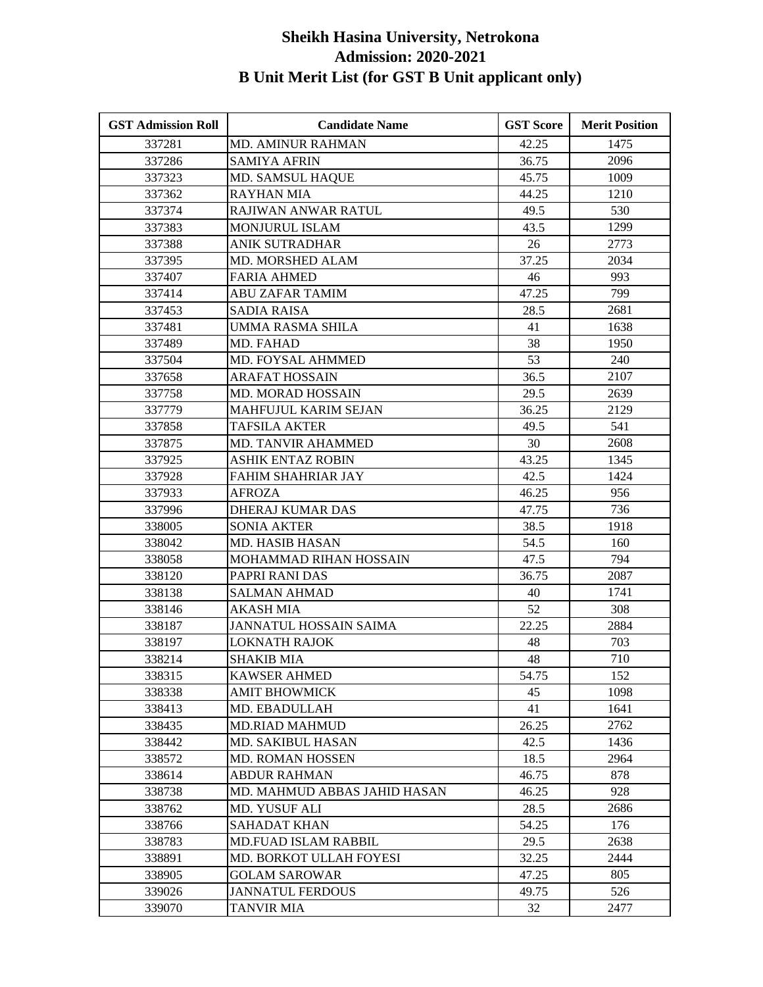| <b>GST Admission Roll</b> | <b>Candidate Name</b>         | <b>GST Score</b> | <b>Merit Position</b> |
|---------------------------|-------------------------------|------------------|-----------------------|
| 337281                    | <b>MD. AMINUR RAHMAN</b>      | 42.25            | 1475                  |
| 337286                    | <b>SAMIYA AFRIN</b>           | 36.75            | 2096                  |
| 337323                    | <b>MD. SAMSUL HAQUE</b>       | 45.75            | 1009                  |
| 337362                    | <b>RAYHAN MIA</b>             | 44.25            | 1210                  |
| 337374                    | RAJIWAN ANWAR RATUL           | 49.5             | 530                   |
| 337383                    | MONJURUL ISLAM                | 43.5             | 1299                  |
| 337388                    | <b>ANIK SUTRADHAR</b>         | 26               | 2773                  |
| 337395                    | MD. MORSHED ALAM              | 37.25            | 2034                  |
| 337407                    | <b>FARIA AHMED</b>            | 46               | 993                   |
| 337414                    | <b>ABU ZAFAR TAMIM</b>        | 47.25            | 799                   |
| 337453                    | <b>SADIA RAISA</b>            | 28.5             | 2681                  |
| 337481                    | <b>UMMA RASMA SHILA</b>       | 41               | 1638                  |
| 337489                    | MD. FAHAD                     | 38               | 1950                  |
| 337504                    | MD. FOYSAL AHMMED             | 53               | 240                   |
| 337658                    | <b>ARAFAT HOSSAIN</b>         | 36.5             | 2107                  |
| 337758                    | MD. MORAD HOSSAIN             | 29.5             | 2639                  |
| 337779                    | <b>MAHFUJUL KARIM SEJAN</b>   | 36.25            | 2129                  |
| 337858                    | <b>TAFSILA AKTER</b>          | 49.5             | 541                   |
| 337875                    | MD. TANVIR AHAMMED            | 30               | 2608                  |
| 337925                    | <b>ASHIK ENTAZ ROBIN</b>      | 43.25            | 1345                  |
| 337928                    | FAHIM SHAHRIAR JAY            | 42.5             | 1424                  |
| 337933                    | <b>AFROZA</b>                 | 46.25            | 956                   |
| 337996                    | <b>DHERAJ KUMAR DAS</b>       | 47.75            | 736                   |
| 338005                    | <b>SONIA AKTER</b>            | 38.5             | 1918                  |
| 338042                    | <b>MD. HASIB HASAN</b>        | 54.5             | 160                   |
| 338058                    | MOHAMMAD RIHAN HOSSAIN        | 47.5             | 794                   |
| 338120                    | PAPRI RANI DAS                | 36.75            | 2087                  |
| 338138                    | <b>SALMAN AHMAD</b>           | 40               | 1741                  |
| 338146                    | <b>AKASH MIA</b>              | 52               | 308                   |
| 338187                    | <b>JANNATUL HOSSAIN SAIMA</b> | 22.25            | 2884                  |
| 338197                    | <b>LOKNATH RAJOK</b>          | 48               | 703                   |
| 338214                    | <b>SHAKIB MIA</b>             | 48               | 710                   |
| 338315                    | <b>KAWSER AHMED</b>           | 54.75            | 152                   |
| 338338                    | <b>AMIT BHOWMICK</b>          | 45               | 1098                  |
| 338413                    | MD. EBADULLAH                 | 41               | 1641                  |
| 338435                    | <b>MD.RIAD MAHMUD</b>         | 26.25            | 2762                  |
| 338442                    | <b>MD. SAKIBUL HASAN</b>      | 42.5             | 1436                  |
| 338572                    | <b>MD. ROMAN HOSSEN</b>       | 18.5             | 2964                  |
| 338614                    | <b>ABDUR RAHMAN</b>           | 46.75            | 878                   |
| 338738                    | MD. MAHMUD ABBAS JAHID HASAN  | 46.25            | 928                   |
| 338762                    | <b>MD. YUSUF ALI</b>          | 28.5             | 2686                  |
| 338766                    | <b>SAHADAT KHAN</b>           | 54.25            | 176                   |
| 338783                    | MD.FUAD ISLAM RABBIL          | 29.5             | 2638                  |
| 338891                    | MD. BORKOT ULLAH FOYESI       | 32.25            | 2444                  |
| 338905                    | <b>GOLAM SAROWAR</b>          | 47.25            | 805                   |
| 339026                    | <b>JANNATUL FERDOUS</b>       | 49.75            | 526                   |
| 339070                    | <b>TANVIR MIA</b>             | 32               | 2477                  |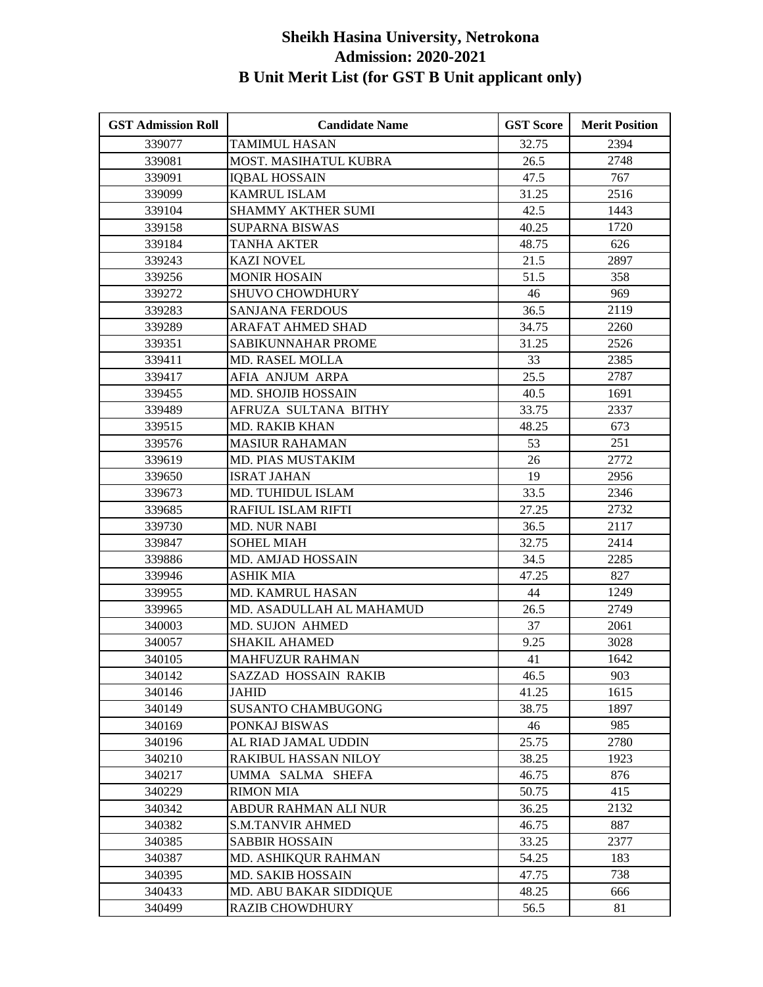| <b>GST Admission Roll</b> | <b>Candidate Name</b>       | <b>GST Score</b> | <b>Merit Position</b> |
|---------------------------|-----------------------------|------------------|-----------------------|
| 339077                    | TAMIMUL HASAN               | 32.75            | 2394                  |
| 339081                    | MOST. MASIHATUL KUBRA       | 26.5             | 2748                  |
| 339091                    | <b>IQBAL HOSSAIN</b>        | 47.5             | 767                   |
| 339099                    | <b>KAMRUL ISLAM</b>         | 31.25            | 2516                  |
| 339104                    | <b>SHAMMY AKTHER SUMI</b>   | 42.5             | 1443                  |
| 339158                    | <b>SUPARNA BISWAS</b>       | 40.25            | 1720                  |
| 339184                    | TANHA AKTER                 | 48.75            | 626                   |
| 339243                    | <b>KAZI NOVEL</b>           | 21.5             | 2897                  |
| 339256                    | <b>MONIR HOSAIN</b>         | 51.5             | 358                   |
| 339272                    | <b>SHUVO CHOWDHURY</b>      | 46               | 969                   |
| 339283                    | <b>SANJANA FERDOUS</b>      | 36.5             | 2119                  |
| 339289                    | ARAFAT AHMED SHAD           | 34.75            | 2260                  |
| 339351                    | SABIKUNNAHAR PROME          | 31.25            | 2526                  |
| 339411                    | MD. RASEL MOLLA             | 33               | 2385                  |
| 339417                    | AFIA ANJUM ARPA             | 25.5             | 2787                  |
| 339455                    | MD. SHOJIB HOSSAIN          | 40.5             | 1691                  |
| 339489                    | AFRUZA SULTANA BITHY        | 33.75            | 2337                  |
| 339515                    | <b>MD. RAKIB KHAN</b>       | 48.25            | 673                   |
| 339576                    | <b>MASIUR RAHAMAN</b>       | 53               | 251                   |
| 339619                    | MD. PIAS MUSTAKIM           | 26               | 2772                  |
| 339650                    | <b>ISRAT JAHAN</b>          | 19               | 2956                  |
| 339673                    | MD. TUHIDUL ISLAM           | 33.5             | 2346                  |
| 339685                    | <b>RAFIUL ISLAM RIFTI</b>   | 27.25            | 2732                  |
| 339730                    | <b>MD. NUR NABI</b>         | 36.5             | 2117                  |
| 339847                    | <b>SOHEL MIAH</b>           | 32.75            | 2414                  |
| 339886                    | MD. AMJAD HOSSAIN           | 34.5             | 2285                  |
| 339946                    | ASHIK MIA                   | 47.25            | 827                   |
| 339955                    | <b>MD. KAMRUL HASAN</b>     | 44               | 1249                  |
| 339965                    | MD. ASADULLAH AL MAHAMUD    | 26.5             | 2749                  |
| 340003                    | MD. SUJON AHMED             | 37               | 2061                  |
| 340057                    | <b>SHAKIL AHAMED</b>        | 9.25             | 3028                  |
| 340105                    | <b>MAHFUZUR RAHMAN</b>      | 41               | 1642                  |
| 340142                    | <b>SAZZAD HOSSAIN RAKIB</b> | 46.5             | 903                   |
| 340146                    | JAHID                       | 41.25            | 1615                  |
| 340149                    | <b>SUSANTO CHAMBUGONG</b>   | 38.75            | 1897                  |
| 340169                    | PONKAJ BISWAS               | 46               | 985                   |
| 340196                    | AL RIAD JAMAL UDDIN         | 25.75            | 2780                  |
| 340210                    | RAKIBUL HASSAN NILOY        | 38.25            | 1923                  |
| 340217                    | UMMA SALMA SHEFA            | 46.75            | 876                   |
| 340229                    | <b>RIMON MIA</b>            | 50.75            | 415                   |
| 340342                    | ABDUR RAHMAN ALI NUR        | 36.25            | 2132                  |
| 340382                    | <b>S.M.TANVIR AHMED</b>     | 46.75            | 887                   |
| 340385                    | <b>SABBIR HOSSAIN</b>       | 33.25            | 2377                  |
| 340387                    | MD. ASHIKQUR RAHMAN         | 54.25            | 183                   |
| 340395                    | MD. SAKIB HOSSAIN           | 47.75            | 738                   |
| 340433                    | MD. ABU BAKAR SIDDIQUE      | 48.25            | 666                   |
| 340499                    | <b>RAZIB CHOWDHURY</b>      | 56.5             | 81                    |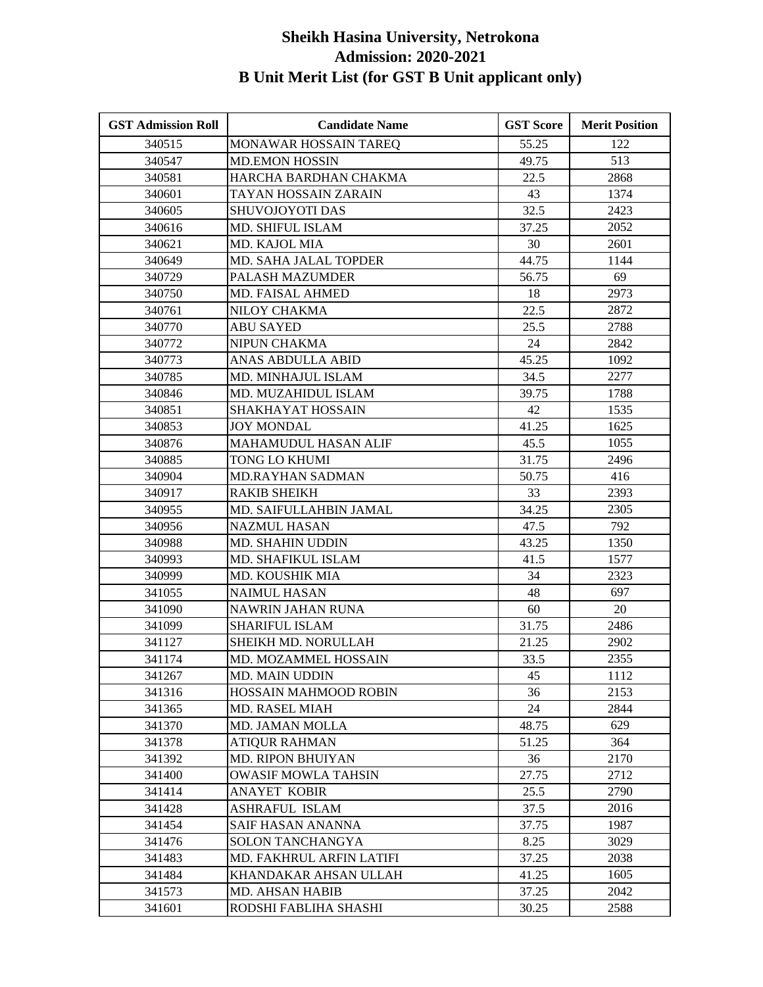| <b>GST Admission Roll</b> | <b>Candidate Name</b>      | <b>GST Score</b> | <b>Merit Position</b> |
|---------------------------|----------------------------|------------------|-----------------------|
| 340515                    | MONAWAR HOSSAIN TAREQ      | 55.25            | 122                   |
| 340547                    | <b>MD.EMON HOSSIN</b>      | 49.75            | 513                   |
| 340581                    | HARCHA BARDHAN CHAKMA      | 22.5             | 2868                  |
| 340601                    | TAYAN HOSSAIN ZARAIN       | 43               | 1374                  |
| 340605                    | <b>SHUVOJOYOTI DAS</b>     | 32.5             | 2423                  |
| 340616                    | MD. SHIFUL ISLAM           | 37.25            | 2052                  |
| 340621                    | MD. KAJOL MIA              | 30               | 2601                  |
| 340649                    | MD. SAHA JALAL TOPDER      | 44.75            | 1144                  |
| 340729                    | <b>PALASH MAZUMDER</b>     | 56.75            | 69                    |
| 340750                    | <b>MD. FAISAL AHMED</b>    | 18               | 2973                  |
| 340761                    | NILOY CHAKMA               | 22.5             | 2872                  |
| 340770                    | <b>ABU SAYED</b>           | 25.5             | 2788                  |
| 340772                    | NIPUN CHAKMA               | 24               | 2842                  |
| 340773                    | ANAS ABDULLA ABID          | 45.25            | 1092                  |
| 340785                    | MD. MINHAJUL ISLAM         | 34.5             | 2277                  |
| 340846                    | MD. MUZAHIDUL ISLAM        | 39.75            | 1788                  |
| 340851                    | SHAKHAYAT HOSSAIN          | 42               | 1535                  |
| 340853                    | JOY MONDAL                 | 41.25            | 1625                  |
| 340876                    | MAHAMUDUL HASAN ALIF       | 45.5             | 1055                  |
| 340885                    | TONG LO KHUMI              | 31.75            | 2496                  |
| 340904                    | <b>MD.RAYHAN SADMAN</b>    | 50.75            | 416                   |
| 340917                    | <b>RAKIB SHEIKH</b>        | 33               | 2393                  |
| 340955                    | MD. SAIFULLAHBIN JAMAL     | 34.25            | 2305                  |
| 340956                    | <b>NAZMUL HASAN</b>        | 47.5             | 792                   |
| 340988                    | <b>MD. SHAHIN UDDIN</b>    | 43.25            | 1350                  |
| 340993                    | MD. SHAFIKUL ISLAM         | 41.5             | 1577                  |
| 340999                    | MD. KOUSHIK MIA            | 34               | 2323                  |
| 341055                    | <b>NAIMUL HASAN</b>        | 48               | 697                   |
| 341090                    | <b>NAWRIN JAHAN RUNA</b>   | 60               | 20                    |
| 341099                    | <b>SHARIFUL ISLAM</b>      | 31.75            | 2486                  |
| 341127                    | SHEIKH MD. NORULLAH        | 21.25            | 2902                  |
| 341174                    | MD. MOZAMMEL HOSSAIN       | 33.5             | 2355                  |
| 341267                    | MD. MAIN UDDIN             | 45               | 1112                  |
| 341316                    | HOSSAIN MAHMOOD ROBIN      | 36               | 2153                  |
| 341365                    | MD. RASEL MIAH             | 24               | 2844                  |
| 341370                    | <b>MD. JAMAN MOLLA</b>     | 48.75            | 629                   |
| 341378                    | <b>ATIOUR RAHMAN</b>       | 51.25            | 364                   |
| 341392                    | MD. RIPON BHUIYAN          | 36               | 2170                  |
| 341400                    | <b>OWASIF MOWLA TAHSIN</b> | 27.75            | 2712                  |
| 341414                    | <b>ANAYET KOBIR</b>        | 25.5             | 2790                  |
| 341428                    | ASHRAFUL ISLAM             | 37.5             | 2016                  |
| 341454                    | SAIF HASAN ANANNA          | 37.75            | 1987                  |
| 341476                    | SOLON TANCHANGYA           | 8.25             | 3029                  |
| 341483                    | MD. FAKHRUL ARFIN LATIFI   | 37.25            | 2038                  |
| 341484                    | KHANDAKAR AHSAN ULLAH      | 41.25            | 1605                  |
| 341573                    | <b>MD. AHSAN HABIB</b>     | 37.25            | 2042                  |
| 341601                    | RODSHI FABLIHA SHASHI      | 30.25            | 2588                  |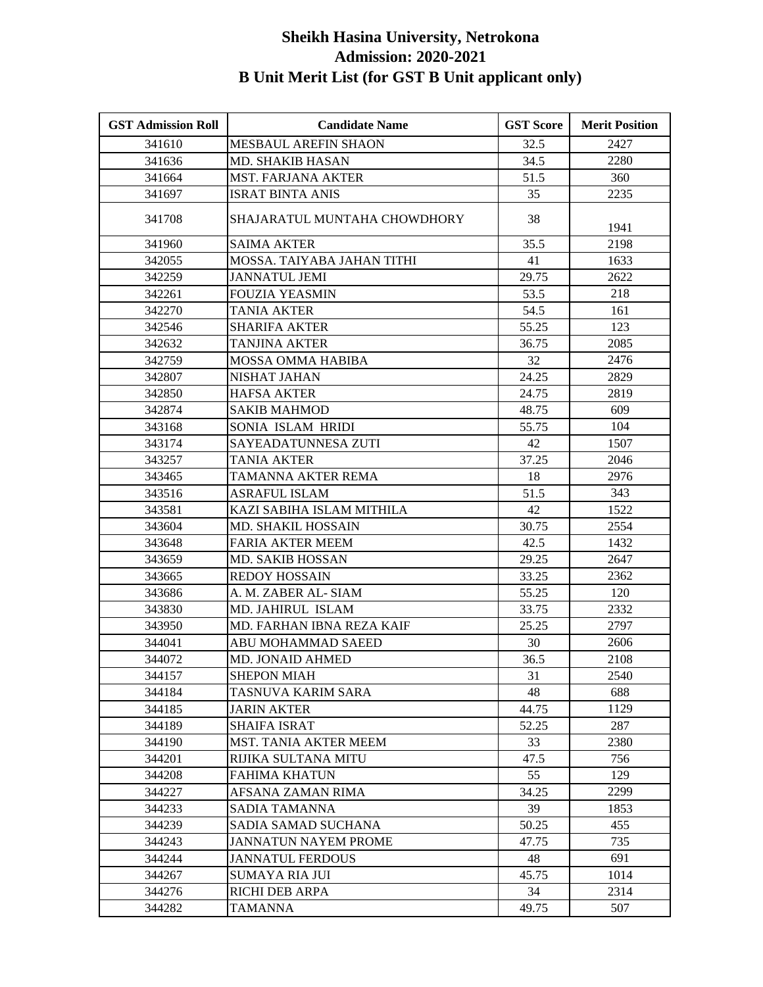| <b>GST Admission Roll</b> | <b>Candidate Name</b>        | <b>GST Score</b> | <b>Merit Position</b> |
|---------------------------|------------------------------|------------------|-----------------------|
| 341610                    | <b>MESBAUL AREFIN SHAON</b>  | 32.5             | 2427                  |
| 341636                    | <b>MD. SHAKIB HASAN</b>      | 34.5             | 2280                  |
| 341664                    | <b>MST. FARJANA AKTER</b>    | 51.5             | 360                   |
| 341697                    | <b>ISRAT BINTA ANIS</b>      | 35               | 2235                  |
| 341708                    | SHAJARATUL MUNTAHA CHOWDHORY | 38               | 1941                  |
| 341960                    | <b>SAIMA AKTER</b>           | 35.5             | 2198                  |
| 342055                    | MOSSA. TAIYABA JAHAN TITHI   | 41               | 1633                  |
| 342259                    | <b>JANNATUL JEMI</b>         | 29.75            | 2622                  |
| 342261                    | <b>FOUZIA YEASMIN</b>        | 53.5             | 218                   |
| 342270                    | <b>TANIA AKTER</b>           | 54.5             | 161                   |
| 342546                    | <b>SHARIFA AKTER</b>         | 55.25            | 123                   |
| 342632                    | <b>TANJINA AKTER</b>         | 36.75            | 2085                  |
| 342759                    | <b>MOSSA OMMA HABIBA</b>     | 32               | 2476                  |
| 342807                    | NISHAT JAHAN                 | 24.25            | 2829                  |
| 342850                    | <b>HAFSA AKTER</b>           | 24.75            | 2819                  |
| 342874                    | <b>SAKIB MAHMOD</b>          | 48.75            | 609                   |
| 343168                    | SONIA ISLAM HRIDI            | 55.75            | 104                   |
| 343174                    | SAYEADATUNNESA ZUTI          | 42               | 1507                  |
| 343257                    | <b>TANIA AKTER</b>           | 37.25            | 2046                  |
| 343465                    | TAMANNA AKTER REMA           | 18               | 2976                  |
| 343516                    | <b>ASRAFUL ISLAM</b>         | 51.5             | 343                   |
| 343581                    | KAZI SABIHA ISLAM MITHILA    | 42               | 1522                  |
| 343604                    | <b>MD. SHAKIL HOSSAIN</b>    | 30.75            | 2554                  |
| 343648                    | <b>FARIA AKTER MEEM</b>      | 42.5             | 1432                  |
| 343659                    | <b>MD. SAKIB HOSSAN</b>      | 29.25            | 2647                  |
| 343665                    | <b>REDOY HOSSAIN</b>         | 33.25            | 2362                  |
| 343686                    | A. M. ZABER AL-SIAM          | 55.25            | 120                   |
| 343830                    | MD. JAHIRUL ISLAM            | 33.75            | 2332                  |
| 343950                    | MD. FARHAN IBNA REZA KAIF    | 25.25            | 2797                  |
| 344041                    | ABU MOHAMMAD SAEED           | 30               | 2606                  |
| 344072                    | <b>MD. JONAID AHMED</b>      | 36.5             | 2108                  |
| 344157                    | <b>SHEPON MIAH</b>           | 31               | 2540                  |
| 344184                    | TASNUVA KARIM SARA           | 48               | 688                   |
| 344185                    | <b>JARIN AKTER</b>           | 44.75            | 1129                  |
| 344189                    | <b>SHAIFA ISRAT</b>          | 52.25            | 287                   |
| 344190                    | <b>MST. TANIA AKTER MEEM</b> | 33               | 2380                  |
| 344201                    | RIJIKA SULTANA MITU          | 47.5             | 756                   |
| 344208                    | FAHIMA KHATUN                | 55               | 129                   |
| 344227                    | AFSANA ZAMAN RIMA            | 34.25            | 2299                  |
| 344233                    | SADIA TAMANNA                | 39               | 1853                  |
| 344239                    | SADIA SAMAD SUCHANA          | 50.25            | 455                   |
| 344243                    | <b>JANNATUN NAYEM PROME</b>  | 47.75            | 735                   |
| 344244                    | <b>JANNATUL FERDOUS</b>      | 48               | 691                   |
| 344267                    | <b>SUMAYA RIA JUI</b>        | 45.75            | 1014                  |
| 344276                    | RICHI DEB ARPA               | 34               | 2314                  |
| 344282                    | <b>TAMANNA</b>               | 49.75            | 507                   |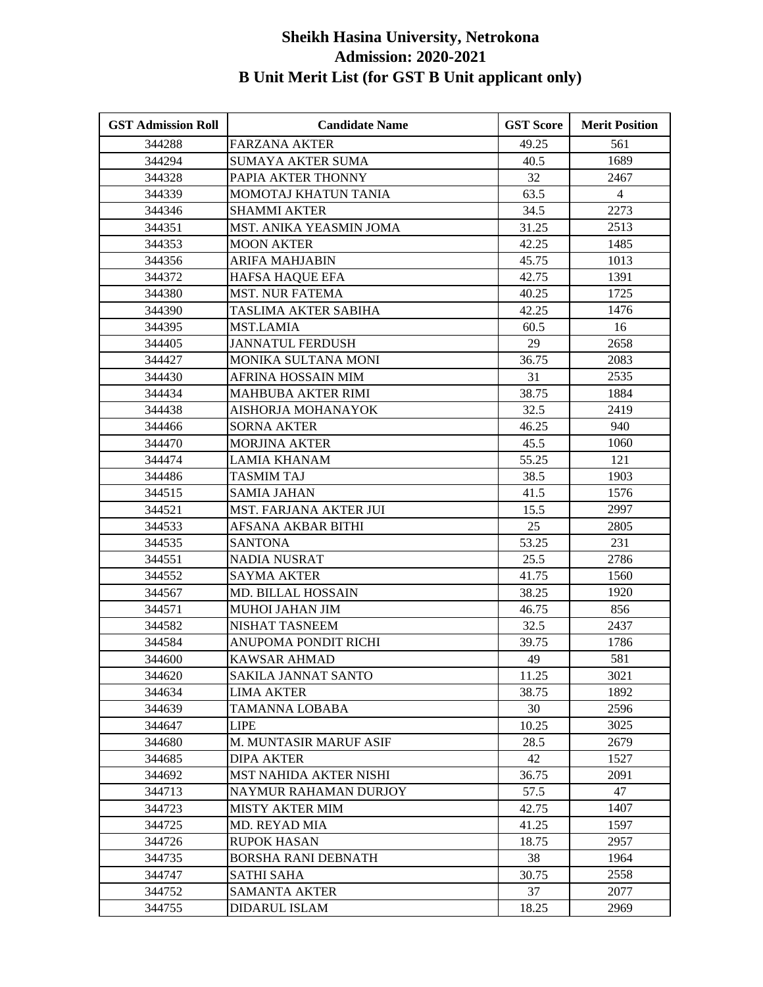| <b>GST Admission Roll</b> | <b>Candidate Name</b>         | <b>GST Score</b> | <b>Merit Position</b> |
|---------------------------|-------------------------------|------------------|-----------------------|
| 344288                    | <b>FARZANA AKTER</b>          | 49.25            | 561                   |
| 344294                    | <b>SUMAYA AKTER SUMA</b>      | 40.5             | 1689                  |
| 344328                    | PAPIA AKTER THONNY            | 32               | 2467                  |
| 344339                    | MOMOTAJ KHATUN TANIA          | 63.5             | $\overline{4}$        |
| 344346                    | <b>SHAMMI AKTER</b>           | 34.5             | 2273                  |
| 344351                    | MST. ANIKA YEASMIN JOMA       | 31.25            | 2513                  |
| 344353                    | <b>MOON AKTER</b>             | 42.25            | 1485                  |
| 344356                    | ARIFA MAHJABIN                | 45.75            | 1013                  |
| 344372                    | <b>HAFSA HAQUE EFA</b>        | 42.75            | 1391                  |
| 344380                    | <b>MST. NUR FATEMA</b>        | 40.25            | 1725                  |
| 344390                    | TASLIMA AKTER SABIHA          | 42.25            | 1476                  |
| 344395                    | <b>MST.LAMIA</b>              | 60.5             | 16                    |
| 344405                    | <b>JANNATUL FERDUSH</b>       | 29               | 2658                  |
| 344427                    | MONIKA SULTANA MONI           | 36.75            | 2083                  |
| 344430                    | AFRINA HOSSAIN MIM            | 31               | 2535                  |
| 344434                    | MAHBUBA AKTER RIMI            | 38.75            | 1884                  |
| 344438                    | AISHORJA MOHANAYOK            | 32.5             | 2419                  |
| 344466                    | <b>SORNA AKTER</b>            | 46.25            | 940                   |
| 344470                    | <b>MORJINA AKTER</b>          | 45.5             | 1060                  |
| 344474                    | <b>LAMIA KHANAM</b>           | 55.25            | 121                   |
| 344486                    | <b>TASMIM TAJ</b>             | 38.5             | 1903                  |
| 344515                    | <b>SAMIA JAHAN</b>            | 41.5             | 1576                  |
| 344521                    | <b>MST. FARJANA AKTER JUI</b> | 15.5             | 2997                  |
| 344533                    | AFSANA AKBAR BITHI            | 25               | 2805                  |
| 344535                    | <b>SANTONA</b>                | 53.25            | 231                   |
| 344551                    | <b>NADIA NUSRAT</b>           | 25.5             | 2786                  |
| 344552                    | <b>SAYMA AKTER</b>            | 41.75            | 1560                  |
| 344567                    | <b>MD. BILLAL HOSSAIN</b>     | 38.25            | 1920                  |
| 344571                    | <b>MUHOI JAHAN JIM</b>        | 46.75            | 856                   |
| 344582                    | NISHAT TASNEEM                | 32.5             | 2437                  |
| 344584                    | ANUPOMA PONDIT RICHI          | 39.75            | 1786                  |
| 344600                    | <b>KAWSAR AHMAD</b>           | 49               | 581                   |
| 344620                    | SAKILA JANNAT SANTO           | 11.25            | 3021                  |
| 344634                    | <b>LIMA AKTER</b>             | 38.75            | 1892                  |
| 344639                    | TAMANNA LOBABA                | 30               | 2596                  |
| 344647                    | <b>LIPE</b>                   | 10.25            | 3025                  |
| 344680                    | M. MUNTASIR MARUF ASIF        | 28.5             | 2679                  |
| 344685                    | <b>DIPA AKTER</b>             | 42               | 1527                  |
| 344692                    | <b>MST NAHIDA AKTER NISHI</b> | 36.75            | 2091                  |
| 344713                    | NAYMUR RAHAMAN DURJOY         | 57.5             | 47                    |
| 344723                    | <b>MISTY AKTER MIM</b>        | 42.75            | 1407                  |
| 344725                    | MD. REYAD MIA                 | 41.25            | 1597                  |
| 344726                    | <b>RUPOK HASAN</b>            | 18.75            | 2957                  |
| 344735                    | BORSHA RANI DEBNATH           | 38               | 1964                  |
| 344747                    | <b>SATHI SAHA</b>             | 30.75            | 2558                  |
| 344752                    | <b>SAMANTA AKTER</b>          | 37               | 2077                  |
| 344755                    | <b>DIDARUL ISLAM</b>          | 18.25            | 2969                  |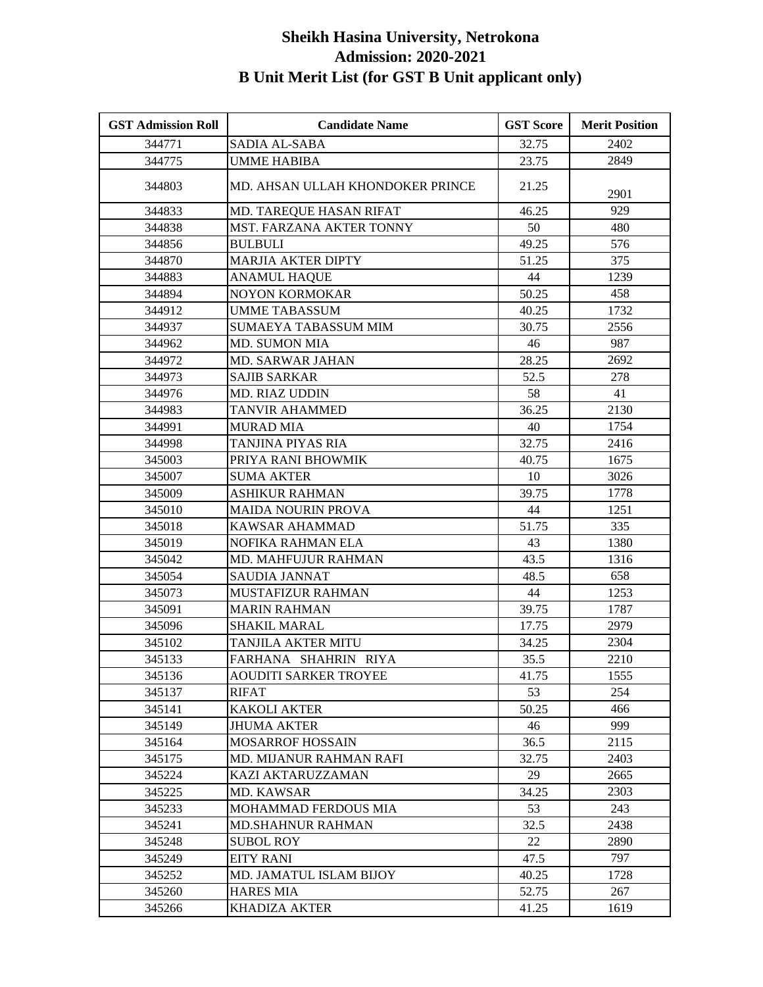| <b>GST Admission Roll</b> | <b>Candidate Name</b>            | <b>GST Score</b> | <b>Merit Position</b> |
|---------------------------|----------------------------------|------------------|-----------------------|
| 344771                    | <b>SADIA AL-SABA</b>             | 32.75            | 2402                  |
| 344775                    | <b>UMME HABIBA</b>               | 23.75            | 2849                  |
| 344803                    | MD. AHSAN ULLAH KHONDOKER PRINCE | 21.25            | 2901                  |
| 344833                    | MD. TAREQUE HASAN RIFAT          | 46.25            | 929                   |
| 344838                    | MST. FARZANA AKTER TONNY         | 50               | 480                   |
| 344856                    | <b>BULBULI</b>                   | 49.25            | 576                   |
| 344870                    | <b>MARJIA AKTER DIPTY</b>        | 51.25            | 375                   |
| 344883                    | <b>ANAMUL HAQUE</b>              | 44               | 1239                  |
| 344894                    | <b>NOYON KORMOKAR</b>            | 50.25            | 458                   |
| 344912                    | <b>UMME TABASSUM</b>             | 40.25            | 1732                  |
| 344937                    | <b>SUMAEYA TABASSUM MIM</b>      | 30.75            | 2556                  |
| 344962                    | <b>MD. SUMON MIA</b>             | 46               | 987                   |
| 344972                    | MD. SARWAR JAHAN                 | 28.25            | 2692                  |
| 344973                    | <b>SAJIB SARKAR</b>              | 52.5             | 278                   |
| 344976                    | MD. RIAZ UDDIN                   | 58               | 41                    |
| 344983                    | <b>TANVIR AHAMMED</b>            | 36.25            | 2130                  |
| 344991                    | <b>MURAD MIA</b>                 | 40               | 1754                  |
| 344998                    | TANJINA PIYAS RIA                | 32.75            | 2416                  |
| 345003                    | PRIYA RANI BHOWMIK               | 40.75            | 1675                  |
| 345007                    | <b>SUMA AKTER</b>                | 10               | 3026                  |
| 345009                    | ASHIKUR RAHMAN                   | 39.75            | 1778                  |
| 345010                    | <b>MAIDA NOURIN PROVA</b>        | 44               | 1251                  |
| 345018                    | <b>KAWSAR AHAMMAD</b>            | 51.75            | 335                   |
| 345019                    | NOFIKA RAHMAN ELA                | 43               | 1380                  |
| 345042                    | <b>MD. MAHFUJUR RAHMAN</b>       | 43.5             | 1316                  |
| 345054                    | <b>SAUDIA JANNAT</b>             | 48.5             | 658                   |
| 345073                    | MUSTAFIZUR RAHMAN                | 44               | 1253                  |
| 345091                    | <b>MARIN RAHMAN</b>              | 39.75            | 1787                  |
| 345096                    | SHAKIL MARAL                     | 17.75            | 2979                  |
| 345102                    | TANJILA AKTER MITU               | 34.25            | 2304                  |
| 345133                    | FARHANA SHAHRIN RIYA             | 35.5             | 2210                  |
| 345136                    | <b>AOUDITI SARKER TROYEE</b>     | 41.75            | 1555                  |
| 345137                    | <b>RIFAT</b>                     | 53               | 254                   |
| 345141                    | <b>KAKOLI AKTER</b>              | 50.25            | 466                   |
| 345149                    | <b>JHUMA AKTER</b>               | 46               | 999                   |
| 345164                    | <b>MOSARROF HOSSAIN</b>          | 36.5             | 2115                  |
| 345175                    | MD. MIJANUR RAHMAN RAFI          | 32.75            | 2403                  |
| 345224                    | KAZI AKTARUZZAMAN                | 29               | 2665                  |
| 345225                    | <b>MD. KAWSAR</b>                | 34.25            | 2303                  |
| 345233                    | MOHAMMAD FERDOUS MIA             | 53               | 243                   |
| 345241                    | <b>MD.SHAHNUR RAHMAN</b>         | 32.5             | 2438                  |
| 345248                    | SUBOL ROY                        | 22               | 2890                  |
| 345249                    | <b>EITY RANI</b>                 | 47.5             | 797                   |
| 345252                    | MD. JAMATUL ISLAM BIJOY          | 40.25            | 1728                  |
| 345260                    | <b>HARES MIA</b>                 | 52.75            | 267                   |
| 345266                    | <b>KHADIZA AKTER</b>             | 41.25            | 1619                  |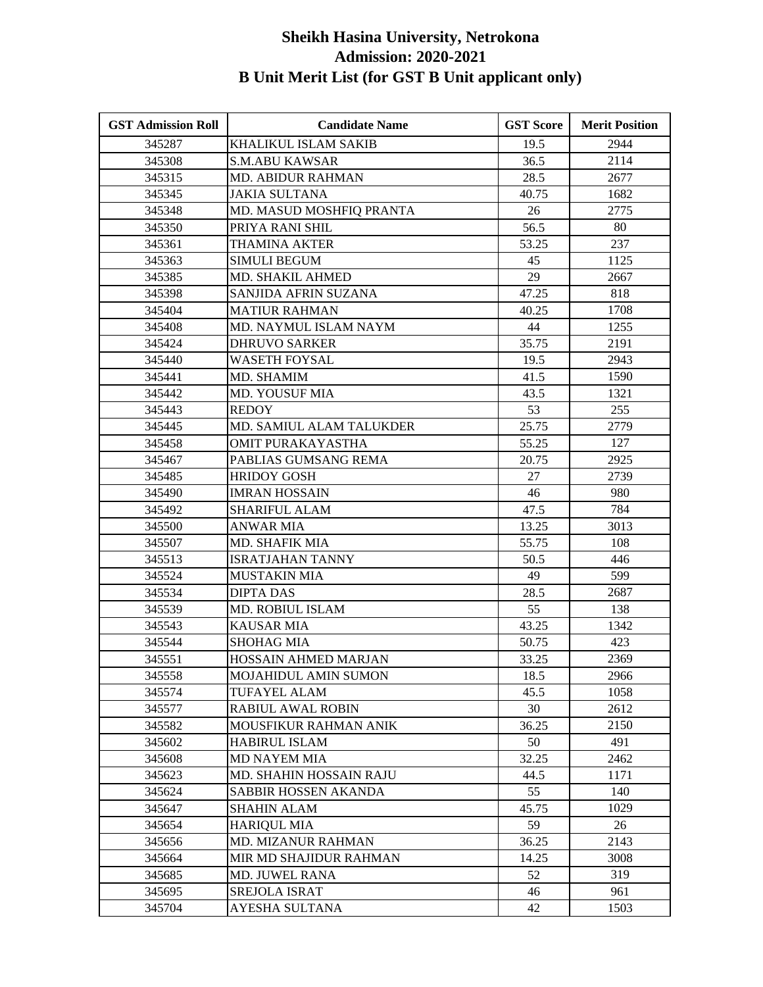| <b>GST Admission Roll</b> | <b>Candidate Name</b>       | <b>GST Score</b> | <b>Merit Position</b> |
|---------------------------|-----------------------------|------------------|-----------------------|
| 345287                    | <b>KHALIKUL ISLAM SAKIB</b> | 19.5             | 2944                  |
| 345308                    | <b>S.M.ABU KAWSAR</b>       | 36.5             | 2114                  |
| 345315                    | <b>MD. ABIDUR RAHMAN</b>    | 28.5             | 2677                  |
| 345345                    | <b>JAKIA SULTANA</b>        | 40.75            | 1682                  |
| 345348                    | MD. MASUD MOSHFIQ PRANTA    | 26               | 2775                  |
| 345350                    | PRIYA RANI SHIL             | 56.5             | 80                    |
| 345361                    | <b>THAMINA AKTER</b>        | 53.25            | 237                   |
| 345363                    | <b>SIMULI BEGUM</b>         | 45               | 1125                  |
| 345385                    | MD. SHAKIL AHMED            | 29               | 2667                  |
| 345398                    | SANJIDA AFRIN SUZANA        | 47.25            | 818                   |
| 345404                    | <b>MATIUR RAHMAN</b>        | 40.25            | 1708                  |
| 345408                    | MD. NAYMUL ISLAM NAYM       | 44               | 1255                  |
| 345424                    | <b>DHRUVO SARKER</b>        | 35.75            | 2191                  |
| 345440                    | <b>WASETH FOYSAL</b>        | 19.5             | 2943                  |
| 345441                    | MD. SHAMIM                  | 41.5             | 1590                  |
| 345442                    | MD. YOUSUF MIA              | 43.5             | 1321                  |
| 345443                    | <b>REDOY</b>                | 53               | 255                   |
| 345445                    | MD. SAMIUL ALAM TALUKDER    | 25.75            | 2779                  |
| 345458                    | OMIT PURAKAYASTHA           | 55.25            | 127                   |
| 345467                    | PABLIAS GUMSANG REMA        | 20.75            | 2925                  |
| 345485                    | <b>HRIDOY GOSH</b>          | 27               | 2739                  |
| 345490                    | <b>IMRAN HOSSAIN</b>        | 46               | 980                   |
| 345492                    | <b>SHARIFUL ALAM</b>        | 47.5             | 784                   |
| 345500                    | <b>ANWAR MIA</b>            | 13.25            | 3013                  |
| 345507                    | MD. SHAFIK MIA              | 55.75            | 108                   |
| 345513                    | <b>ISRATJAHAN TANNY</b>     | 50.5             | 446                   |
| 345524                    | <b>MUSTAKIN MIA</b>         | 49               | 599                   |
| 345534                    | <b>DIPTA DAS</b>            | 28.5             | 2687                  |
| 345539                    | MD. ROBIUL ISLAM            | 55               | 138                   |
| 345543                    | <b>KAUSAR MIA</b>           | 43.25            | 1342                  |
| 345544                    | <b>SHOHAG MIA</b>           | 50.75            | 423                   |
| 345551                    | HOSSAIN AHMED MARJAN        | 33.25            | 2369                  |
| 345558                    | MOJAHIDUL AMIN SUMON        | 18.5             | 2966                  |
| 345574                    | TUFAYEL ALAM                | 45.5             | 1058                  |
| 345577                    | <b>RABIUL AWAL ROBIN</b>    | 30               | 2612                  |
| 345582                    | MOUSFIKUR RAHMAN ANIK       | 36.25            | 2150                  |
| 345602                    | <b>HABIRUL ISLAM</b>        | 50               | 491                   |
| 345608                    | <b>MD NAYEM MIA</b>         | 32.25            | 2462                  |
| 345623                    | MD. SHAHIN HOSSAIN RAJU     | 44.5             | 1171                  |
| 345624                    | SABBIR HOSSEN AKANDA        | 55               | 140                   |
| 345647                    | <b>SHAHIN ALAM</b>          | 45.75            | 1029                  |
| 345654                    | <b>HARIQUL MIA</b>          | 59               | 26                    |
| 345656                    | <b>MD. MIZANUR RAHMAN</b>   | 36.25            | 2143                  |
| 345664                    | MIR MD SHAJIDUR RAHMAN      | 14.25            | 3008                  |
| 345685                    | <b>MD. JUWEL RANA</b>       | 52               | 319                   |
| 345695                    | SREJOLA ISRAT               | 46               | 961                   |
| 345704                    | AYESHA SULTANA              | 42               | 1503                  |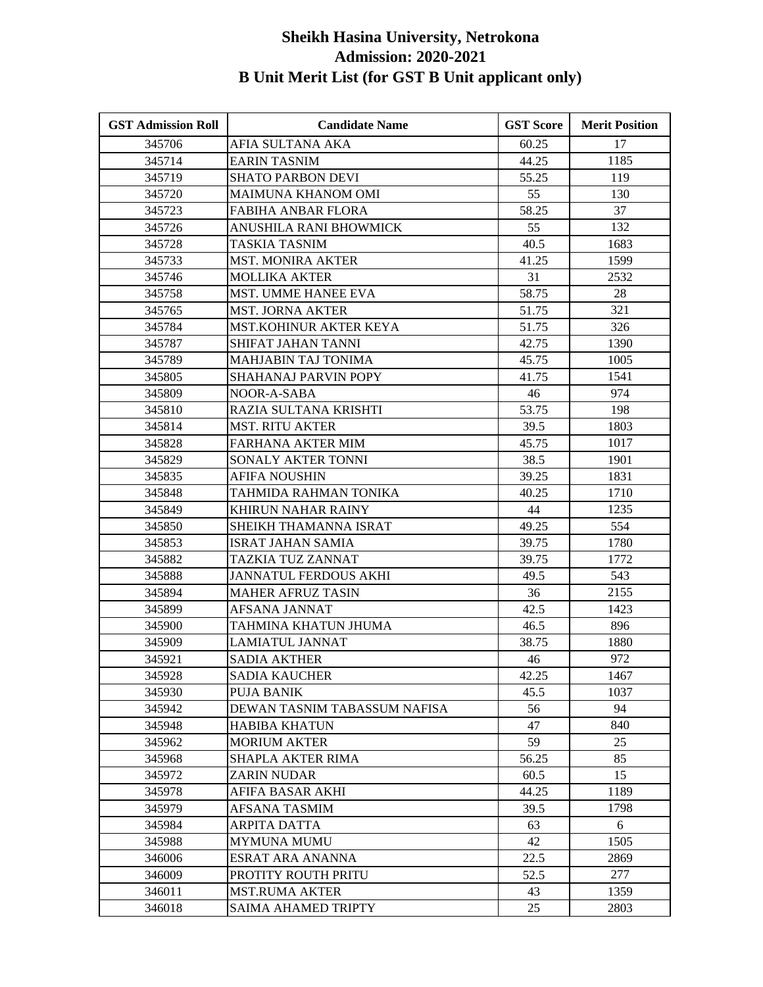| <b>GST Admission Roll</b> | <b>Candidate Name</b>         | <b>GST Score</b> | <b>Merit Position</b> |
|---------------------------|-------------------------------|------------------|-----------------------|
| 345706                    | AFIA SULTANA AKA              | 60.25            | 17                    |
| 345714                    | <b>EARIN TASNIM</b>           | 44.25            | 1185                  |
| 345719                    | <b>SHATO PARBON DEVI</b>      | 55.25            | 119                   |
| 345720                    | <b>MAIMUNA KHANOM OMI</b>     | 55               | 130                   |
| 345723                    | <b>FABIHA ANBAR FLORA</b>     | 58.25            | 37                    |
| 345726                    | ANUSHILA RANI BHOWMICK        | 55               | 132                   |
| 345728                    | TASKIA TASNIM                 | 40.5             | 1683                  |
| 345733                    | <b>MST. MONIRA AKTER</b>      | 41.25            | 1599                  |
| 345746                    | <b>MOLLIKA AKTER</b>          | 31               | 2532                  |
| 345758                    | <b>MST. UMME HANEE EVA</b>    | 58.75            | 28                    |
| 345765                    | <b>MST. JORNA AKTER</b>       | 51.75            | 321                   |
| 345784                    | <b>MST.KOHINUR AKTER KEYA</b> | 51.75            | 326                   |
| 345787                    | SHIFAT JAHAN TANNI            | 42.75            | 1390                  |
| 345789                    | MAHJABIN TAJ TONIMA           | 45.75            | 1005                  |
| 345805                    | <b>SHAHANAJ PARVIN POPY</b>   | 41.75            | 1541                  |
| 345809                    | NOOR-A-SABA                   | 46               | 974                   |
| 345810                    | RAZIA SULTANA KRISHTI         | 53.75            | 198                   |
| 345814                    | <b>MST. RITU AKTER</b>        | 39.5             | 1803                  |
| 345828                    | <b>FARHANA AKTER MIM</b>      | 45.75            | 1017                  |
| 345829                    | SONALY AKTER TONNI            | 38.5             | 1901                  |
| 345835                    | AFIFA NOUSHIN                 | 39.25            | 1831                  |
| 345848                    | TAHMIDA RAHMAN TONIKA         | 40.25            | 1710                  |
| 345849                    | <b>KHIRUN NAHAR RAINY</b>     | 44               | 1235                  |
| 345850                    | SHEIKH THAMANNA ISRAT         | 49.25            | 554                   |
| 345853                    | <b>ISRAT JAHAN SAMIA</b>      | 39.75            | 1780                  |
| 345882                    | TAZKIA TUZ ZANNAT             | 39.75            | 1772                  |
| 345888                    | JANNATUL FERDOUS AKHI         | 49.5             | 543                   |
| 345894                    | <b>MAHER AFRUZ TASIN</b>      | 36               | 2155                  |
| 345899                    | <b>AFSANA JANNAT</b>          | 42.5             | 1423                  |
| 345900                    | TAHMINA KHATUN JHUMA          | 46.5             | 896                   |
| 345909                    | <b>LAMIATUL JANNAT</b>        | 38.75            | 1880                  |
| 345921                    | <b>SADIA AKTHER</b>           | 46               | 972                   |
| 345928                    | <b>SADIA KAUCHER</b>          | 42.25            | 1467                  |
| 345930                    | <b>PUJA BANIK</b>             | 45.5             | 1037                  |
| 345942                    | DEWAN TASNIM TABASSUM NAFISA  | 56               | 94                    |
| 345948                    | <b>HABIBA KHATUN</b>          | 47               | 840                   |
| 345962                    | <b>MORIUM AKTER</b>           | 59               | 25                    |
| 345968                    | SHAPLA AKTER RIMA             | 56.25            | 85                    |
| 345972                    | ZARIN NUDAR                   | 60.5             | 15                    |
| 345978                    | AFIFA BASAR AKHI              | 44.25            | 1189                  |
| 345979                    | AFSANA TASMIM                 | 39.5             | 1798                  |
| 345984                    | ARPITA DATTA                  | 63               | 6                     |
| 345988                    | <b>MYMUNA MUMU</b>            | 42               | 1505                  |
| 346006                    | ESRAT ARA ANANNA              | 22.5             | 2869                  |
| 346009                    | PROTITY ROUTH PRITU           | 52.5             | 277                   |
| 346011                    | <b>MST.RUMA AKTER</b>         | 43               | 1359                  |
| 346018                    | SAIMA AHAMED TRIPTY           | 25               | 2803                  |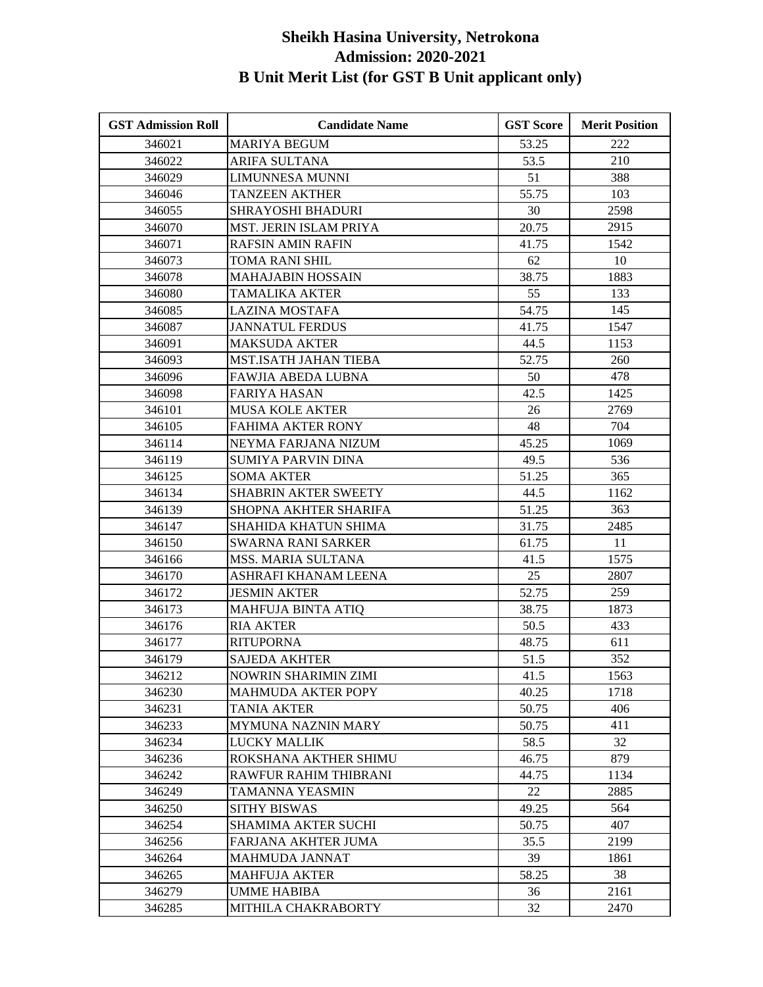| <b>GST Admission Roll</b> | <b>Candidate Name</b>        | <b>GST Score</b> | <b>Merit Position</b> |
|---------------------------|------------------------------|------------------|-----------------------|
| 346021                    | <b>MARIYA BEGUM</b>          | 53.25            | 222                   |
| 346022                    | <b>ARIFA SULTANA</b>         | 53.5             | 210                   |
| 346029                    | <b>LIMUNNESA MUNNI</b>       | 51               | 388                   |
| 346046                    | <b>TANZEEN AKTHER</b>        | 55.75            | 103                   |
| 346055                    | <b>SHRAYOSHI BHADURI</b>     | 30               | 2598                  |
| 346070                    | MST. JERIN ISLAM PRIYA       | 20.75            | 2915                  |
| 346071                    | <b>RAFSIN AMIN RAFIN</b>     | 41.75            | 1542                  |
| 346073                    | TOMA RANI SHIL               | 62               | 10                    |
| 346078                    | <b>MAHAJABIN HOSSAIN</b>     | 38.75            | 1883                  |
| 346080                    | TAMALIKA AKTER               | 55               | 133                   |
| 346085                    | <b>LAZINA MOSTAFA</b>        | 54.75            | 145                   |
| 346087                    | <b>JANNATUL FERDUS</b>       | 41.75            | 1547                  |
| 346091                    | <b>MAKSUDA AKTER</b>         | 44.5             | 1153                  |
| 346093                    | <b>MST.ISATH JAHAN TIEBA</b> | 52.75            | 260                   |
| 346096                    | FAWJIA ABEDA LUBNA           | 50               | 478                   |
| 346098                    | <b>FARIYA HASAN</b>          | 42.5             | 1425                  |
| 346101                    | <b>MUSA KOLE AKTER</b>       | 26               | 2769                  |
| 346105                    | <b>FAHIMA AKTER RONY</b>     | 48               | 704                   |
| 346114                    | NEYMA FARJANA NIZUM          | 45.25            | 1069                  |
| 346119                    | <b>SUMIYA PARVIN DINA</b>    | 49.5             | 536                   |
| 346125                    | <b>SOMA AKTER</b>            | 51.25            | 365                   |
| 346134                    | <b>SHABRIN AKTER SWEETY</b>  | 44.5             | 1162                  |
| 346139                    | SHOPNA AKHTER SHARIFA        | 51.25            | 363                   |
| 346147                    | SHAHIDA KHATUN SHIMA         | 31.75            | 2485                  |
| 346150                    | <b>SWARNA RANI SARKER</b>    | 61.75            | 11                    |
| 346166                    | MSS. MARIA SULTANA           | 41.5             | 1575                  |
| 346170                    | ASHRAFI KHANAM LEENA         | 25               | 2807                  |
| 346172                    | <b>JESMIN AKTER</b>          | 52.75            | 259                   |
| 346173                    | <b>MAHFUJA BINTA ATIQ</b>    | 38.75            | 1873                  |
| 346176                    | <b>RIA AKTER</b>             | 50.5             | 433                   |
| 346177                    | <b>RITUPORNA</b>             | 48.75            | 611                   |
| 346179                    | <b>SAJEDA AKHTER</b>         | 51.5             | 352                   |
| 346212                    | NOWRIN SHARIMIN ZIMI         | 41.5             | 1563                  |
| 346230                    | <b>MAHMUDA AKTER POPY</b>    | 40.25            | 1718                  |
| 346231                    | <b>TANIA AKTER</b>           | 50.75            | 406                   |
| 346233                    | <b>MYMUNA NAZNIN MARY</b>    | 50.75            | 411                   |
| 346234                    | <b>LUCKY MALLIK</b>          | 58.5             | 32                    |
| 346236                    | ROKSHANA AKTHER SHIMU        | 46.75            | 879                   |
| 346242                    | RAWFUR RAHIM THIBRANI        | 44.75            | 1134                  |
| 346249                    | TAMANNA YEASMIN              | 22               | 2885                  |
| 346250                    | <b>SITHY BISWAS</b>          | 49.25            | 564                   |
| 346254                    | <b>SHAMIMA AKTER SUCHI</b>   | 50.75            | 407                   |
| 346256                    | FARJANA AKHTER JUMA          | 35.5             | 2199                  |
| 346264                    | MAHMUDA JANNAT               | 39               | 1861                  |
| 346265                    | <b>MAHFUJA AKTER</b>         | 58.25            | 38                    |
| 346279                    | <b>UMME HABIBA</b>           | 36               | 2161                  |
| 346285                    | MITHILA CHAKRABORTY          | 32               | 2470                  |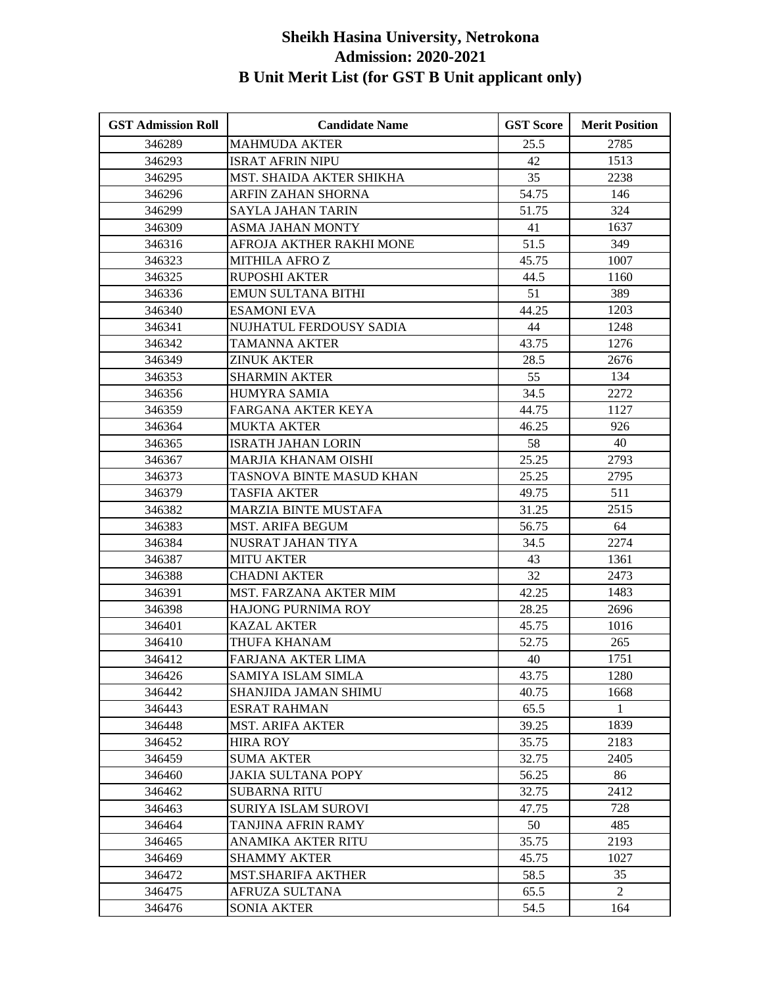| <b>GST Admission Roll</b> | <b>Candidate Name</b>         | <b>GST Score</b> | <b>Merit Position</b> |
|---------------------------|-------------------------------|------------------|-----------------------|
| 346289                    | <b>MAHMUDA AKTER</b>          | 25.5             | 2785                  |
| 346293                    | <b>ISRAT AFRIN NIPU</b>       | 42               | 1513                  |
| 346295                    | MST. SHAIDA AKTER SHIKHA      | 35               | 2238                  |
| 346296                    | ARFIN ZAHAN SHORNA            | 54.75            | 146                   |
| 346299                    | <b>SAYLA JAHAN TARIN</b>      | 51.75            | 324                   |
| 346309                    | <b>ASMA JAHAN MONTY</b>       | 41               | 1637                  |
| 346316                    | AFROJA AKTHER RAKHI MONE      | 51.5             | 349                   |
| 346323                    | <b>MITHILA AFROZ</b>          | 45.75            | 1007                  |
| 346325                    | <b>RUPOSHI AKTER</b>          | 44.5             | 1160                  |
| 346336                    | <b>EMUN SULTANA BITHI</b>     | 51               | 389                   |
| 346340                    | <b>ESAMONI EVA</b>            | 44.25            | 1203                  |
| 346341                    | NUJHATUL FERDOUSY SADIA       | 44               | 1248                  |
| 346342                    | TAMANNA AKTER                 | 43.75            | 1276                  |
| 346349                    | <b>ZINUK AKTER</b>            | 28.5             | 2676                  |
| 346353                    | <b>SHARMIN AKTER</b>          | 55               | 134                   |
| 346356                    | <b>HUMYRA SAMIA</b>           | 34.5             | 2272                  |
| 346359                    | FARGANA AKTER KEYA            | 44.75            | 1127                  |
| 346364                    | <b>MUKTA AKTER</b>            | 46.25            | 926                   |
| 346365                    | <b>ISRATH JAHAN LORIN</b>     | 58               | 40                    |
| 346367                    | <b>MARJIA KHANAM OISHI</b>    | 25.25            | 2793                  |
| 346373                    | TASNOVA BINTE MASUD KHAN      | 25.25            | 2795                  |
| 346379                    | TASFIA AKTER                  | 49.75            | 511                   |
| 346382                    | <b>MARZIA BINTE MUSTAFA</b>   | 31.25            | 2515                  |
| 346383                    | <b>MST. ARIFA BEGUM</b>       | 56.75            | 64                    |
| 346384                    | NUSRAT JAHAN TIYA             | 34.5             | 2274                  |
| 346387                    | <b>MITU AKTER</b>             | 43               | 1361                  |
| 346388                    | <b>CHADNI AKTER</b>           | 32               | 2473                  |
| 346391                    | <b>MST. FARZANA AKTER MIM</b> | 42.25            | 1483                  |
| 346398                    | HAJONG PURNIMA ROY            | 28.25            | 2696                  |
| 346401                    | <b>KAZAL AKTER</b>            | 45.75            | 1016                  |
| 346410                    | THUFA KHANAM                  | 52.75            | 265                   |
| 346412                    | <b>FARJANA AKTER LIMA</b>     | 40               | 1751                  |
| 346426                    | SAMIYA ISLAM SIMLA            | 43.75            | 1280                  |
| 346442                    | SHANJIDA JAMAN SHIMU          | 40.75            | 1668                  |
| 346443                    | <b>ESRAT RAHMAN</b>           | 65.5             | $\mathbf{1}$          |
| 346448                    | <b>MST. ARIFA AKTER</b>       | 39.25            | 1839                  |
| 346452                    | <b>HIRA ROY</b>               | 35.75            | 2183                  |
| 346459                    | <b>SUMA AKTER</b>             | 32.75            | 2405                  |
| 346460                    | <b>JAKIA SULTANA POPY</b>     | 56.25            | 86                    |
| 346462                    | <b>SUBARNA RITU</b>           | 32.75            | 2412                  |
| 346463                    | <b>SURIYA ISLAM SUROVI</b>    | 47.75            | 728                   |
| 346464                    | TANJINA AFRIN RAMY            | 50               | 485                   |
| 346465                    | ANAMIKA AKTER RITU            | 35.75            | 2193                  |
| 346469                    | <b>SHAMMY AKTER</b>           | 45.75            | 1027                  |
| 346472                    | <b>MST.SHARIFA AKTHER</b>     | 58.5             | 35                    |
| 346475                    | AFRUZA SULTANA                | 65.5             | $\mathfrak{D}$        |
| 346476                    | <b>SONIA AKTER</b>            | 54.5             | 164                   |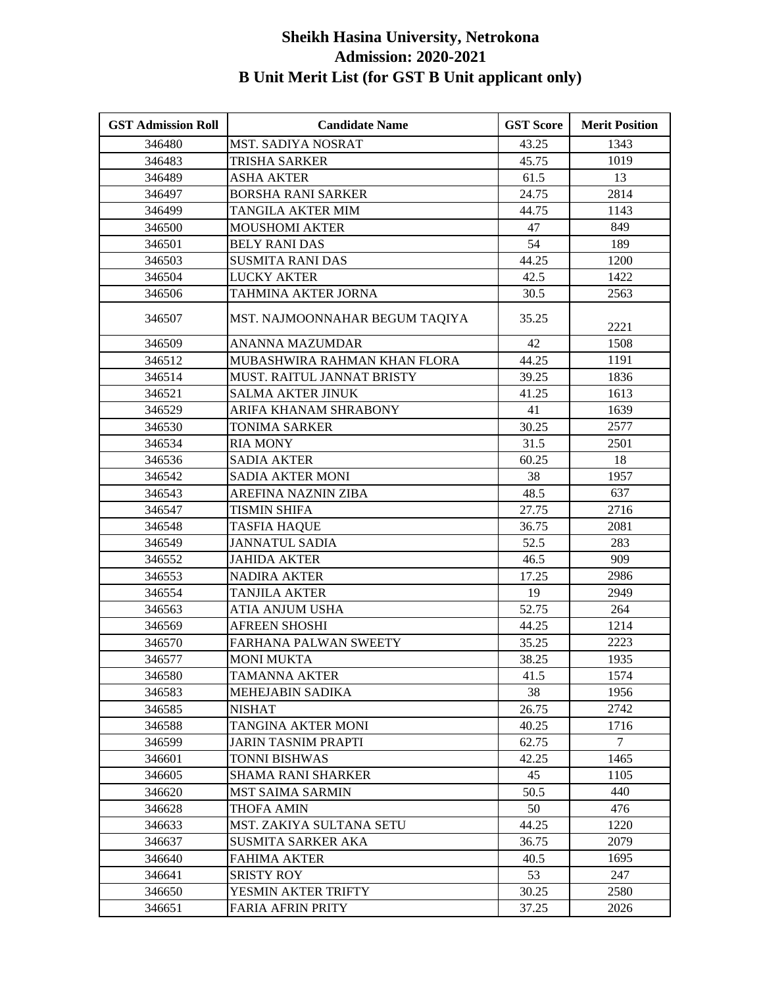| <b>GST Admission Roll</b> | <b>Candidate Name</b>          | <b>GST Score</b> | <b>Merit Position</b> |
|---------------------------|--------------------------------|------------------|-----------------------|
| 346480                    | MST. SADIYA NOSRAT             | 43.25            | 1343                  |
| 346483                    | TRISHA SARKER                  | 45.75            | 1019                  |
| 346489                    | <b>ASHA AKTER</b>              | 61.5             | 13                    |
| 346497                    | <b>BORSHA RANI SARKER</b>      | 24.75            | 2814                  |
| 346499                    | TANGILA AKTER MIM              | 44.75            | 1143                  |
| 346500                    | <b>MOUSHOMI AKTER</b>          | 47               | 849                   |
| 346501                    | <b>BELY RANI DAS</b>           | 54               | 189                   |
| 346503                    | <b>SUSMITA RANI DAS</b>        | 44.25            | 1200                  |
| 346504                    | <b>LUCKY AKTER</b>             | 42.5             | 1422                  |
| 346506                    | TAHMINA AKTER JORNA            | 30.5             | 2563                  |
| 346507                    | MST. NAJMOONNAHAR BEGUM TAQIYA | 35.25            | 2221                  |
| 346509                    | <b>ANANNA MAZUMDAR</b>         | 42               | 1508                  |
| 346512                    | MUBASHWIRA RAHMAN KHAN FLORA   | 44.25            | 1191                  |
| 346514                    | MUST. RAITUL JANNAT BRISTY     | 39.25            | 1836                  |
| 346521                    | <b>SALMA AKTER JINUK</b>       | 41.25            | 1613                  |
| 346529                    | ARIFA KHANAM SHRABONY          | 41               | 1639                  |
| 346530                    | <b>TONIMA SARKER</b>           | 30.25            | 2577                  |
| 346534                    | <b>RIA MONY</b>                | 31.5             | 2501                  |
| 346536                    | <b>SADIA AKTER</b>             | 60.25            | 18                    |
| 346542                    | <b>SADIA AKTER MONI</b>        | 38               | 1957                  |
| 346543                    | AREFINA NAZNIN ZIBA            | 48.5             | 637                   |
| 346547                    | TISMIN SHIFA                   | 27.75            | 2716                  |
| 346548                    | <b>TASFIA HAQUE</b>            | 36.75            | 2081                  |
| 346549                    | <b>JANNATUL SADIA</b>          | 52.5             | 283                   |
| 346552                    | <b>JAHIDA AKTER</b>            | 46.5             | 909                   |
| 346553                    | <b>NADIRA AKTER</b>            | 17.25            | 2986                  |
| 346554                    | <b>TANJILA AKTER</b>           | 19               | 2949                  |
| 346563                    | <b>ATIA ANJUM USHA</b>         | 52.75            | 264                   |
| 346569                    | <b>AFREEN SHOSHI</b>           | 44.25            | 1214                  |
| 346570                    | FARHANA PALWAN SWEETY          | 35.25            | 2223                  |
| 346577                    | <b>MONI MUKTA</b>              | 38.25            | 1935                  |
| 346580                    | <b>TAMANNA AKTER</b>           | 41.5             | 1574                  |
| 346583                    | MEHEJABIN SADIKA               | 38               | 1956                  |
| 346585                    | <b>NISHAT</b>                  | 26.75            | 2742                  |
| 346588                    | TANGINA AKTER MONI             | 40.25            | 1716                  |
| 346599                    | JARIN TASNIM PRAPTI            | 62.75            | $\tau$                |
| 346601                    | TONNI BISHWAS                  | 42.25            | 1465                  |
| 346605                    | <b>SHAMA RANI SHARKER</b>      | 45               | 1105                  |
| 346620                    | <b>MST SAIMA SARMIN</b>        | 50.5             | 440                   |
| 346628                    | THOFA AMIN                     | 50               | 476                   |
| 346633                    | MST. ZAKIYA SULTANA SETU       | 44.25            | 1220                  |
| 346637                    | <b>SUSMITA SARKER AKA</b>      | 36.75            | 2079                  |
| 346640                    | <b>FAHIMA AKTER</b>            | 40.5             | 1695                  |
| 346641                    | <b>SRISTY ROY</b>              | 53               | 247                   |
| 346650                    | YESMIN AKTER TRIFTY            | 30.25            | 2580                  |
| 346651                    | <b>FARIA AFRIN PRITY</b>       | 37.25            | 2026                  |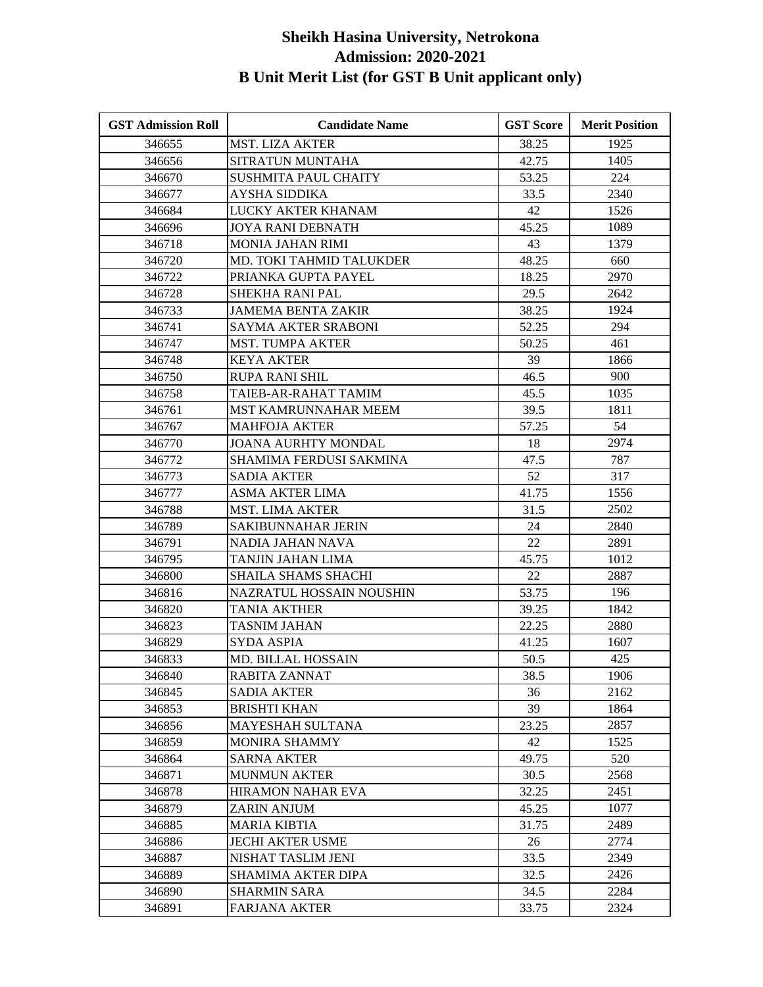| <b>GST Admission Roll</b> | <b>Candidate Name</b>           | <b>GST Score</b> | <b>Merit Position</b> |
|---------------------------|---------------------------------|------------------|-----------------------|
| 346655                    | <b>MST. LIZA AKTER</b>          | 38.25            | 1925                  |
| 346656                    | SITRATUN MUNTAHA                | 42.75            | 1405                  |
| 346670                    | <b>SUSHMITA PAUL CHAITY</b>     | 53.25            | 224                   |
| 346677                    | AYSHA SIDDIKA                   | 33.5             | 2340                  |
| 346684                    | LUCKY AKTER KHANAM              | 42               | 1526                  |
| 346696                    | <b>JOYA RANI DEBNATH</b>        | 45.25            | 1089                  |
| 346718                    | <b>MONIA JAHAN RIMI</b>         | 43               | 1379                  |
| 346720                    | MD. TOKI TAHMID TALUKDER        | 48.25            | 660                   |
| 346722                    | PRIANKA GUPTA PAYEL             | 18.25            | 2970                  |
| 346728                    | <b>SHEKHA RANI PAL</b>          | 29.5             | 2642                  |
| 346733                    | <b>JAMEMA BENTA ZAKIR</b>       | 38.25            | 1924                  |
| 346741                    | <b>SAYMA AKTER SRABONI</b>      | 52.25            | 294                   |
| 346747                    | <b>MST. TUMPA AKTER</b>         | 50.25            | 461                   |
| 346748                    | <b>KEYA AKTER</b>               | 39               | 1866                  |
| 346750                    | <b>RUPA RANI SHIL</b>           | 46.5             | 900                   |
| 346758                    | TAIEB-AR-RAHAT TAMIM            | 45.5             | 1035                  |
| 346761                    | MST KAMRUNNAHAR MEEM            | 39.5             | 1811                  |
| 346767                    | <b>MAHFOJA AKTER</b>            | 57.25            | 54                    |
| 346770                    | <b>JOANA AURHTY MONDAL</b>      | 18               | 2974                  |
| 346772                    | SHAMIMA FERDUSI SAKMINA         | 47.5             | 787                   |
| 346773                    | <b>SADIA AKTER</b>              | 52               | 317                   |
| 346777                    | ASMA AKTER LIMA                 | 41.75            | 1556                  |
| 346788                    | <b>MST. LIMA AKTER</b>          | 31.5             | 2502                  |
| 346789                    | SAKIBUNNAHAR JERIN              | 24               | 2840                  |
| 346791                    | NADIA JAHAN NAVA                | 22               | 2891                  |
| 346795                    | TANJIN JAHAN LIMA               | 45.75            | 1012                  |
| 346800                    | SHAILA SHAMS SHACHI             | 22               | 2887                  |
| 346816                    | <b>NAZRATUL HOSSAIN NOUSHIN</b> | 53.75            | 196                   |
| 346820                    | <b>TANIA AKTHER</b>             | 39.25            | 1842                  |
| 346823                    | TASNIM JAHAN                    | 22.25            | 2880                  |
| 346829                    | <b>SYDA ASPIA</b>               | 41.25            | 1607                  |
| 346833                    | <b>MD. BILLAL HOSSAIN</b>       | 50.5             | 425                   |
| 346840                    | RABITA ZANNAT                   | 38.5             | 1906                  |
| 346845                    | <b>SADIA AKTER</b>              | 36               | 2162                  |
| 346853                    | <b>BRISHTI KHAN</b>             | 39               | 1864                  |
| 346856                    | <b>MAYESHAH SULTANA</b>         | 23.25            | 2857                  |
| 346859                    | <b>MONIRA SHAMMY</b>            | 42               | 1525                  |
| 346864                    | <b>SARNA AKTER</b>              | 49.75            | 520                   |
| 346871                    | <b>MUNMUN AKTER</b>             | 30.5             | 2568                  |
| 346878                    | <b>HIRAMON NAHAR EVA</b>        | 32.25            | 2451                  |
| 346879                    | ZARIN ANJUM                     | 45.25            | 1077                  |
| 346885                    | <b>MARIA KIBTIA</b>             | 31.75            | 2489                  |
| 346886                    | <b>JECHI AKTER USME</b>         | 26               | 2774                  |
| 346887                    | NISHAT TASLIM JENI              | 33.5             | 2349                  |
| 346889                    | SHAMIMA AKTER DIPA              | 32.5             | 2426                  |
| 346890                    | <b>SHARMIN SARA</b>             | 34.5             | 2284                  |
| 346891                    | <b>FARJANA AKTER</b>            | 33.75            | 2324                  |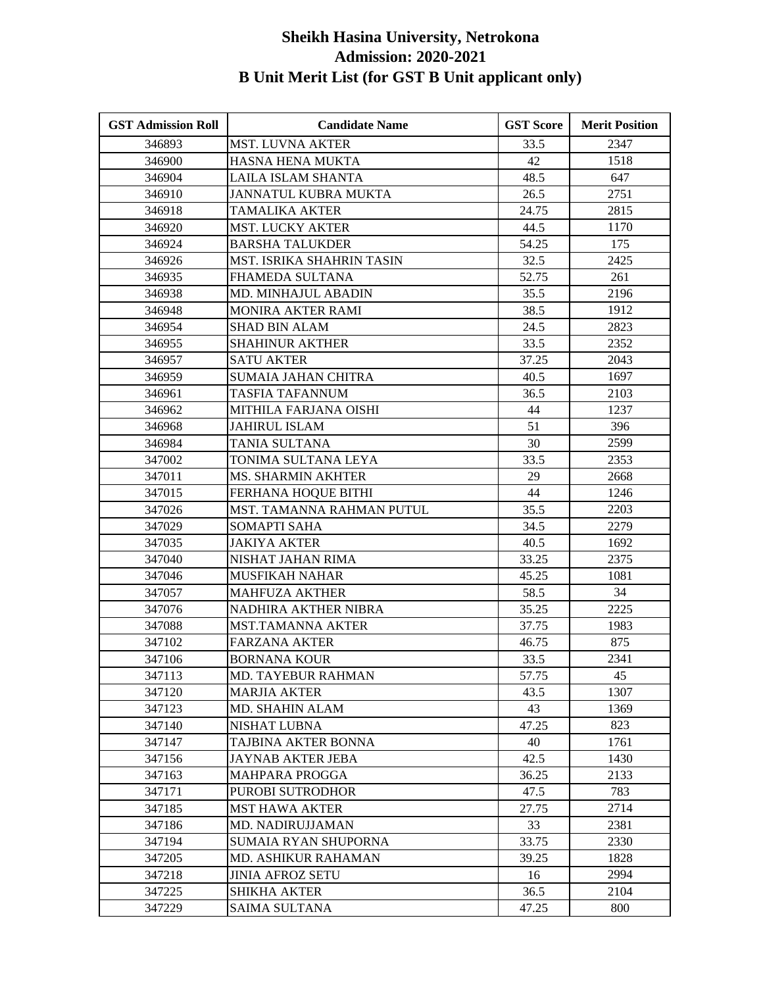| <b>GST Admission Roll</b> | <b>Candidate Name</b>       | <b>GST Score</b> | <b>Merit Position</b> |
|---------------------------|-----------------------------|------------------|-----------------------|
| 346893                    | <b>MST. LUVNA AKTER</b>     | 33.5             | 2347                  |
| 346900                    | HASNA HENA MUKTA            | 42               | 1518                  |
| 346904                    | LAILA ISLAM SHANTA          | 48.5             | 647                   |
| 346910                    | JANNATUL KUBRA MUKTA        | 26.5             | 2751                  |
| 346918                    | TAMALIKA AKTER              | 24.75            | 2815                  |
| 346920                    | <b>MST. LUCKY AKTER</b>     | 44.5             | 1170                  |
| 346924                    | <b>BARSHA TALUKDER</b>      | 54.25            | 175                   |
| 346926                    | MST. ISRIKA SHAHRIN TASIN   | 32.5             | 2425                  |
| 346935                    | FHAMEDA SULTANA             | 52.75            | 261                   |
| 346938                    | <b>MD. MINHAJUL ABADIN</b>  | 35.5             | 2196                  |
| 346948                    | MONIRA AKTER RAMI           | 38.5             | 1912                  |
| 346954                    | <b>SHAD BIN ALAM</b>        | 24.5             | 2823                  |
| 346955                    | <b>SHAHINUR AKTHER</b>      | 33.5             | 2352                  |
| 346957                    | <b>SATU AKTER</b>           | 37.25            | 2043                  |
| 346959                    | <b>SUMAIA JAHAN CHITRA</b>  | 40.5             | 1697                  |
| 346961                    | TASFIA TAFANNUM             | 36.5             | 2103                  |
| 346962                    | MITHILA FARJANA OISHI       | 44               | 1237                  |
| 346968                    | <b>JAHIRUL ISLAM</b>        | 51               | 396                   |
| 346984                    | TANIA SULTANA               | 30               | 2599                  |
| 347002                    | TONIMA SULTANA LEYA         | 33.5             | 2353                  |
| 347011                    | MS. SHARMIN AKHTER          | 29               | 2668                  |
| 347015                    | FERHANA HOQUE BITHI         | 44               | 1246                  |
| 347026                    | MST. TAMANNA RAHMAN PUTUL   | 35.5             | 2203                  |
| 347029                    | <b>SOMAPTI SAHA</b>         | 34.5             | 2279                  |
| 347035                    | <b>JAKIYA AKTER</b>         | 40.5             | 1692                  |
| 347040                    | NISHAT JAHAN RIMA           | 33.25            | 2375                  |
| 347046                    | <b>MUSFIKAH NAHAR</b>       | 45.25            | 1081                  |
| 347057                    | <b>MAHFUZA AKTHER</b>       | 58.5             | 34                    |
| 347076                    | NADHIRA AKTHER NIBRA        | 35.25            | 2225                  |
| 347088                    | <b>MST.TAMANNA AKTER</b>    | 37.75            | 1983                  |
| 347102                    | <b>FARZANA AKTER</b>        | 46.75            | 875                   |
| 347106                    | <b>BORNANA KOUR</b>         | 33.5             | 2341                  |
| 347113                    | MD. TAYEBUR RAHMAN          | 57.75            | 45                    |
| 347120                    | <b>MARJIA AKTER</b>         | 43.5             | 1307                  |
| 347123                    | <b>MD. SHAHIN ALAM</b>      | 43               | 1369                  |
| 347140                    | <b>NISHAT LUBNA</b>         | 47.25            | 823                   |
| 347147                    | TAJBINA AKTER BONNA         | 40               | 1761                  |
| 347156                    | <b>JAYNAB AKTER JEBA</b>    | 42.5             | 1430                  |
| 347163                    | <b>MAHPARA PROGGA</b>       | 36.25            | 2133                  |
| 347171                    | PUROBI SUTRODHOR            | 47.5             | 783                   |
| 347185                    | <b>MST HAWA AKTER</b>       | 27.75            | 2714                  |
| 347186                    | MD. NADIRUJJAMAN            | 33               | 2381                  |
| 347194                    | <b>SUMAIA RYAN SHUPORNA</b> | 33.75            | 2330                  |
| 347205                    | <b>MD. ASHIKUR RAHAMAN</b>  | 39.25            | 1828                  |
| 347218                    | <b>JINIA AFROZ SETU</b>     | 16               | 2994                  |
| 347225                    | <b>SHIKHA AKTER</b>         | 36.5             | 2104                  |
| 347229                    | <b>SAIMA SULTANA</b>        | 47.25            | 800                   |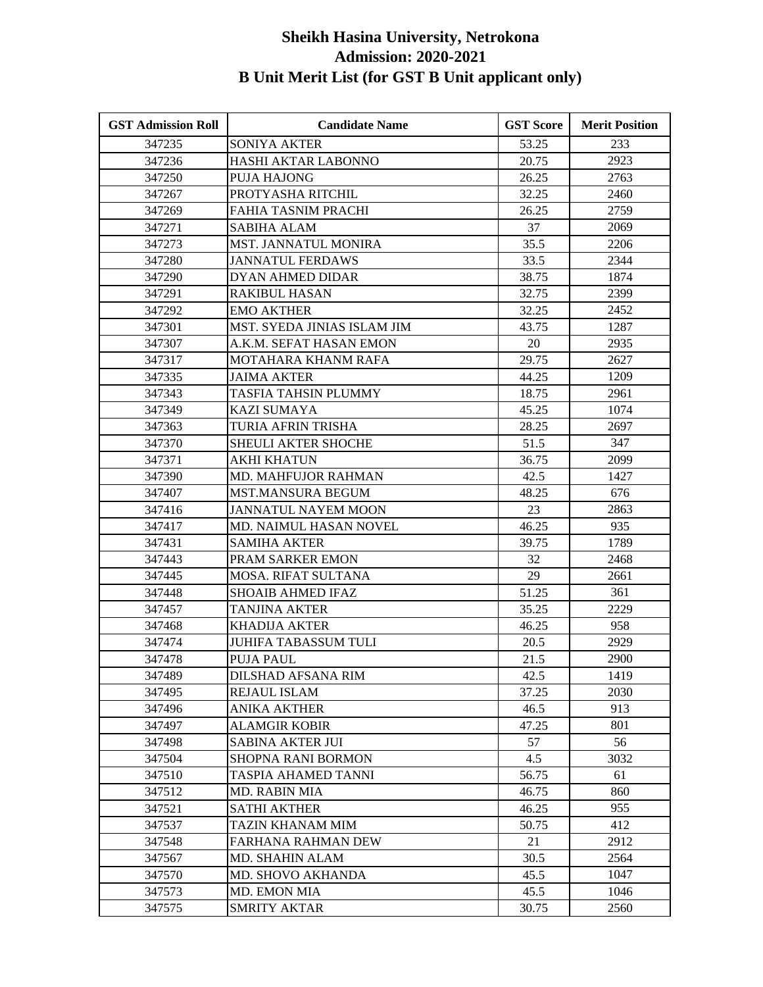| <b>GST Admission Roll</b> | <b>Candidate Name</b>       | <b>GST Score</b> | <b>Merit Position</b> |
|---------------------------|-----------------------------|------------------|-----------------------|
| 347235                    | <b>SONIYA AKTER</b>         | 53.25            | 233                   |
| 347236                    | HASHI AKTAR LABONNO         | 20.75            | 2923                  |
| 347250                    | <b>PUJA HAJONG</b>          | 26.25            | 2763                  |
| 347267                    | PROTYASHA RITCHIL           | 32.25            | 2460                  |
| 347269                    | FAHIA TASNIM PRACHI         | 26.25            | 2759                  |
| 347271                    | <b>SABIHA ALAM</b>          | 37               | 2069                  |
| 347273                    | MST. JANNATUL MONIRA        | 35.5             | 2206                  |
| 347280                    | <b>JANNATUL FERDAWS</b>     | 33.5             | 2344                  |
| 347290                    | DYAN AHMED DIDAR            | 38.75            | 1874                  |
| 347291                    | <b>RAKIBUL HASAN</b>        | 32.75            | 2399                  |
| 347292                    | <b>EMO AKTHER</b>           | 32.25            | 2452                  |
| 347301                    | MST. SYEDA JINIAS ISLAM JIM | 43.75            | 1287                  |
| 347307                    | A.K.M. SEFAT HASAN EMON     | 20               | 2935                  |
| 347317                    | MOTAHARA KHANM RAFA         | 29.75            | 2627                  |
| 347335                    | <b>JAIMA AKTER</b>          | 44.25            | 1209                  |
| 347343                    | TASFIA TAHSIN PLUMMY        | 18.75            | 2961                  |
| 347349                    | <b>KAZI SUMAYA</b>          | 45.25            | 1074                  |
| 347363                    | TURIA AFRIN TRISHA          | 28.25            | 2697                  |
| 347370                    | SHEULI AKTER SHOCHE         | 51.5             | 347                   |
| 347371                    | <b>AKHI KHATUN</b>          | 36.75            | 2099                  |
| 347390                    | MD. MAHFUJOR RAHMAN         | 42.5             | 1427                  |
| 347407                    | MST.MANSURA BEGUM           | 48.25            | 676                   |
| 347416                    | <b>JANNATUL NAYEM MOON</b>  | 23               | 2863                  |
| 347417                    | MD. NAIMUL HASAN NOVEL      | 46.25            | 935                   |
| 347431                    | <b>SAMIHA AKTER</b>         | 39.75            | 1789                  |
| 347443                    | PRAM SARKER EMON            | 32               | 2468                  |
| 347445                    | MOSA. RIFAT SULTANA         | 29               | 2661                  |
| 347448                    | <b>SHOAIB AHMED IFAZ</b>    | 51.25            | 361                   |
| 347457                    | <b>TANJINA AKTER</b>        | 35.25            | 2229                  |
| 347468                    | <b>KHADIJA AKTER</b>        | 46.25            | 958                   |
| 347474                    | JUHIFA TABASSUM TULI        | 20.5             | 2929                  |
| 347478                    | <b>PUJA PAUL</b>            | 21.5             | 2900                  |
| 347489                    | <b>DILSHAD AFSANA RIM</b>   | 42.5             | 1419                  |
| 347495                    | REJAUL ISLAM                | 37.25            | 2030                  |
| 347496                    | <b>ANIKA AKTHER</b>         | 46.5             | 913                   |
| 347497                    | <b>ALAMGIR KOBIR</b>        | 47.25            | 801                   |
| 347498                    | <b>SABINA AKTER JUI</b>     | 57               | 56                    |
| 347504                    | SHOPNA RANI BORMON          | 4.5              | 3032                  |
| 347510                    | TASPIA AHAMED TANNI         | 56.75            | 61                    |
| 347512                    | MD. RABIN MIA               | 46.75            | 860                   |
| 347521                    | <b>SATHI AKTHER</b>         | 46.25            | 955                   |
| 347537                    | TAZIN KHANAM MIM            | 50.75            | 412                   |
| 347548                    | FARHANA RAHMAN DEW          | 21               | 2912                  |
| 347567                    | MD. SHAHIN ALAM             | 30.5             | 2564                  |
| 347570                    | MD. SHOVO AKHANDA           | 45.5             | 1047                  |
| 347573                    | MD. EMON MIA                | 45.5             | 1046                  |
| 347575                    | <b>SMRITY AKTAR</b>         | 30.75            | 2560                  |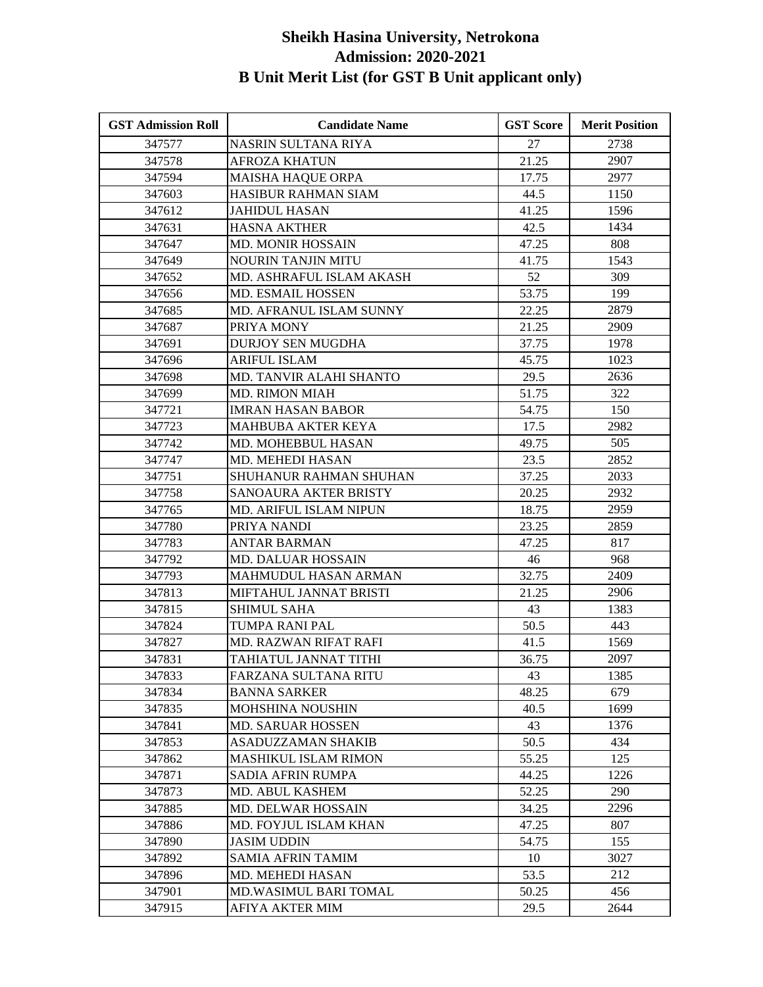| <b>GST Admission Roll</b> | <b>Candidate Name</b>         | <b>GST Score</b> | <b>Merit Position</b> |
|---------------------------|-------------------------------|------------------|-----------------------|
| 347577                    | NASRIN SULTANA RIYA           | 27               | 2738                  |
| 347578                    | <b>AFROZA KHATUN</b>          | 21.25            | 2907                  |
| 347594                    | <b>MAISHA HAQUE ORPA</b>      | 17.75            | 2977                  |
| 347603                    | HASIBUR RAHMAN SIAM           | 44.5             | 1150                  |
| 347612                    | JAHIDUL HASAN                 | 41.25            | 1596                  |
| 347631                    | <b>HASNA AKTHER</b>           | 42.5             | 1434                  |
| 347647                    | <b>MD. MONIR HOSSAIN</b>      | 47.25            | 808                   |
| 347649                    | <b>NOURIN TANJIN MITU</b>     | 41.75            | 1543                  |
| 347652                    | MD. ASHRAFUL ISLAM AKASH      | 52               | 309                   |
| 347656                    | <b>MD. ESMAIL HOSSEN</b>      | 53.75            | 199                   |
| 347685                    | MD. AFRANUL ISLAM SUNNY       | 22.25            | 2879                  |
| 347687                    | PRIYA MONY                    | 21.25            | 2909                  |
| 347691                    | <b>DURJOY SEN MUGDHA</b>      | 37.75            | 1978                  |
| 347696                    | <b>ARIFUL ISLAM</b>           | 45.75            | 1023                  |
| 347698                    | MD. TANVIR ALAHI SHANTO       | 29.5             | 2636                  |
| 347699                    | <b>MD. RIMON MIAH</b>         | 51.75            | 322                   |
| 347721                    | <b>IMRAN HASAN BABOR</b>      | 54.75            | 150                   |
| 347723                    | MAHBUBA AKTER KEYA            | 17.5             | 2982                  |
| 347742                    | MD. MOHEBBUL HASAN            | 49.75            | 505                   |
| 347747                    | MD. MEHEDI HASAN              | 23.5             | 2852                  |
| 347751                    | SHUHANUR RAHMAN SHUHAN        | 37.25            | 2033                  |
| 347758                    | SANOAURA AKTER BRISTY         | 20.25            | 2932                  |
| 347765                    | <b>MD. ARIFUL ISLAM NIPUN</b> | 18.75            | 2959                  |
| 347780                    | PRIYA NANDI                   | 23.25            | 2859                  |
| 347783                    | <b>ANTAR BARMAN</b>           | 47.25            | 817                   |
| 347792                    | MD. DALUAR HOSSAIN            | 46               | 968                   |
| 347793                    | MAHMUDUL HASAN ARMAN          | 32.75            | 2409                  |
| 347813                    | MIFTAHUL JANNAT BRISTI        | 21.25            | 2906                  |
| 347815                    | SHIMUL SAHA                   | 43               | 1383                  |
| 347824                    | TUMPA RANI PAL                | 50.5             | 443                   |
| 347827                    | MD. RAZWAN RIFAT RAFI         | 41.5             | 1569                  |
| 347831                    | TAHIATUL JANNAT TITHI         | 36.75            | 2097                  |
| 347833                    | FARZANA SULTANA RITU          | 43               | 1385                  |
| 347834                    | <b>BANNA SARKER</b>           | 48.25            | 679                   |
| 347835                    | MOHSHINA NOUSHIN              | 40.5             | 1699                  |
| 347841                    | MD. SARUAR HOSSEN             | 43               | 1376                  |
| 347853                    | ASADUZZAMAN SHAKIB            | 50.5             | 434                   |
| 347862                    | <b>MASHIKUL ISLAM RIMON</b>   | 55.25            | 125                   |
| 347871                    | SADIA AFRIN RUMPA             | 44.25            | 1226                  |
| 347873                    | MD. ABUL KASHEM               | 52.25            | 290                   |
| 347885                    | <b>MD. DELWAR HOSSAIN</b>     | 34.25            | 2296                  |
| 347886                    | MD. FOYJUL ISLAM KHAN         | 47.25            | 807                   |
| 347890                    | <b>JASIM UDDIN</b>            | 54.75            | 155                   |
| 347892                    | <b>SAMIA AFRIN TAMIM</b>      | 10               | 3027                  |
| 347896                    | MD. MEHEDI HASAN              | 53.5             | 212                   |
| 347901                    | MD.WASIMUL BARI TOMAL         | 50.25            | 456                   |
| 347915                    | <b>AFIYA AKTER MIM</b>        | 29.5             | 2644                  |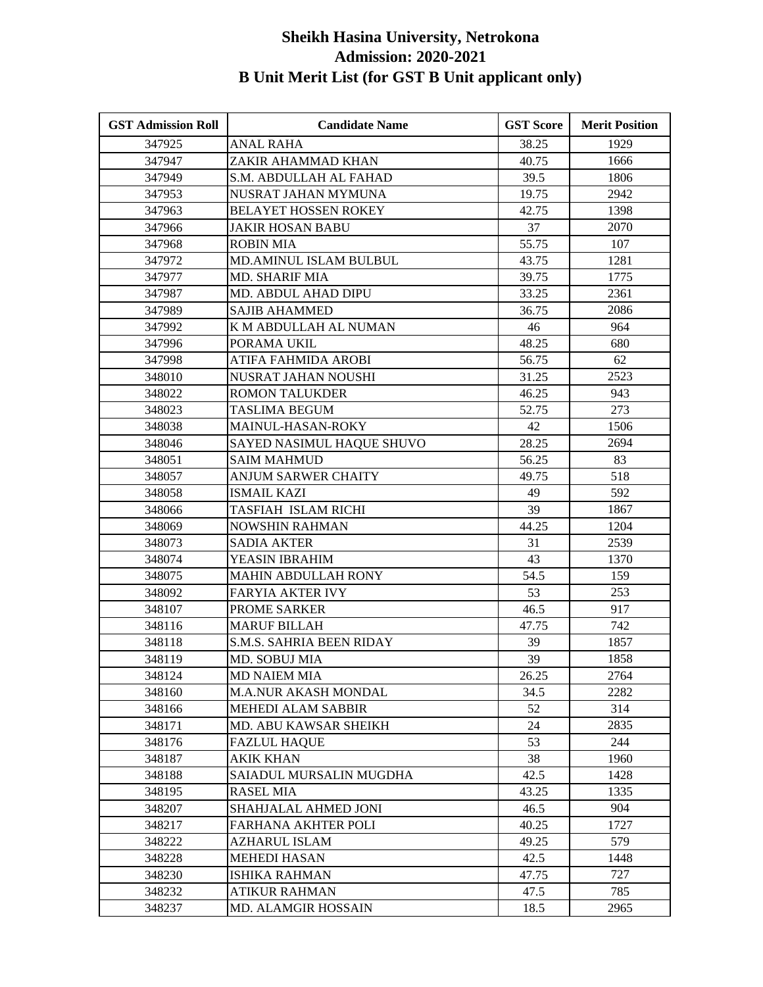| <b>GST Admission Roll</b> | <b>Candidate Name</b>           | <b>GST Score</b> | <b>Merit Position</b> |
|---------------------------|---------------------------------|------------------|-----------------------|
| 347925                    | <b>ANAL RAHA</b>                | 38.25            | 1929                  |
| 347947                    | ZAKIR AHAMMAD KHAN              | 40.75            | 1666                  |
| 347949                    | <b>S.M. ABDULLAH AL FAHAD</b>   | 39.5             | 1806                  |
| 347953                    | NUSRAT JAHAN MYMUNA             | 19.75            | 2942                  |
| 347963                    | <b>BELAYET HOSSEN ROKEY</b>     | 42.75            | 1398                  |
| 347966                    | <b>JAKIR HOSAN BABU</b>         | 37               | 2070                  |
| 347968                    | <b>ROBIN MIA</b>                | 55.75            | 107                   |
| 347972                    | <b>MD.AMINUL ISLAM BULBUL</b>   | 43.75            | 1281                  |
| 347977                    | <b>MD. SHARIF MIA</b>           | 39.75            | 1775                  |
| 347987                    | MD. ABDUL AHAD DIPU             | 33.25            | 2361                  |
| 347989                    | <b>SAJIB AHAMMED</b>            | 36.75            | 2086                  |
| 347992                    | K M ABDULLAH AL NUMAN           | 46               | 964                   |
| 347996                    | PORAMA UKIL                     | 48.25            | 680                   |
| 347998                    | ATIFA FAHMIDA AROBI             | 56.75            | 62                    |
| 348010                    | NUSRAT JAHAN NOUSHI             | 31.25            | 2523                  |
| 348022                    | <b>ROMON TALUKDER</b>           | 46.25            | 943                   |
| 348023                    | <b>TASLIMA BEGUM</b>            | 52.75            | 273                   |
| 348038                    | MAINUL-HASAN-ROKY               | 42               | 1506                  |
| 348046                    | SAYED NASIMUL HAQUE SHUVO       | 28.25            | 2694                  |
| 348051                    | <b>SAIM MAHMUD</b>              | 56.25            | 83                    |
| 348057                    | ANJUM SARWER CHAITY             | 49.75            | 518                   |
| 348058                    | <b>ISMAIL KAZI</b>              | 49               | 592                   |
| 348066                    | TASFIAH ISLAM RICHI             | 39               | 1867                  |
| 348069                    | NOWSHIN RAHMAN                  | 44.25            | 1204                  |
| 348073                    | <b>SADIA AKTER</b>              | 31               | 2539                  |
| 348074                    | YEASIN IBRAHIM                  | 43               | 1370                  |
| 348075                    | <b>MAHIN ABDULLAH RONY</b>      | 54.5             | 159                   |
| 348092                    | <b>FARYIA AKTER IVY</b>         | 53               | 253                   |
| 348107                    | PROME SARKER                    | 46.5             | 917                   |
| 348116                    | <b>MARUF BILLAH</b>             | 47.75            | 742                   |
| 348118                    | <b>S.M.S. SAHRIA BEEN RIDAY</b> | 39               | 1857                  |
| 348119                    | MD. SOBUJ MIA                   | 39               | 1858                  |
| 348124                    | <b>MD NAIEM MIA</b>             | 26.25            | 2764                  |
| 348160                    | <b>M.A.NUR AKASH MONDAL</b>     | 34.5             | 2282                  |
| 348166                    | MEHEDI ALAM SABBIR              | 52               | 314                   |
| 348171                    | MD. ABU KAWSAR SHEIKH           | 24               | 2835                  |
| 348176                    | <b>FAZLUL HAQUE</b>             | 53               | 244                   |
| 348187                    | <b>AKIK KHAN</b>                | 38               | 1960                  |
| 348188                    | SAIADUL MURSALIN MUGDHA         | 42.5             | 1428                  |
| 348195                    | <b>RASEL MIA</b>                | 43.25            | 1335                  |
| 348207                    | SHAHJALAL AHMED JONI            | 46.5             | 904                   |
| 348217                    | FARHANA AKHTER POLI             | 40.25            | 1727                  |
| 348222                    | AZHARUL ISLAM                   | 49.25            | 579                   |
| 348228                    | <b>MEHEDI HASAN</b>             | 42.5             | 1448                  |
| 348230                    | <b>ISHIKA RAHMAN</b>            | 47.75            | 727                   |
| 348232                    | <b>ATIKUR RAHMAN</b>            | 47.5             | 785                   |
| 348237                    | MD. ALAMGIR HOSSAIN             | 18.5             | 2965                  |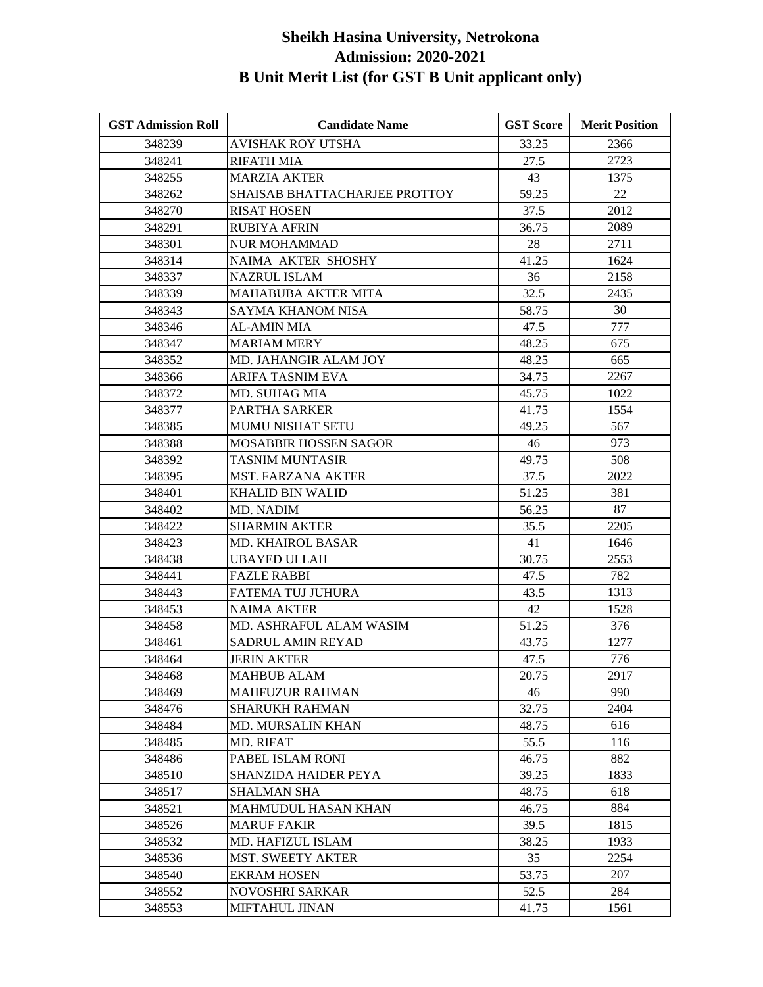| <b>GST Admission Roll</b> | <b>Candidate Name</b>         | <b>GST Score</b> | <b>Merit Position</b> |
|---------------------------|-------------------------------|------------------|-----------------------|
| 348239                    | <b>AVISHAK ROY UTSHA</b>      | 33.25            | 2366                  |
| 348241                    | <b>RIFATH MIA</b>             | 27.5             | 2723                  |
| 348255                    | <b>MARZIA AKTER</b>           | 43               | 1375                  |
| 348262                    | SHAISAB BHATTACHARJEE PROTTOY | 59.25            | 22                    |
| 348270                    | <b>RISAT HOSEN</b>            | 37.5             | 2012                  |
| 348291                    | <b>RUBIYA AFRIN</b>           | 36.75            | 2089                  |
| 348301                    | <b>NUR MOHAMMAD</b>           | 28               | 2711                  |
| 348314                    | <b>NAIMA AKTER SHOSHY</b>     | 41.25            | 1624                  |
| 348337                    | NAZRUL ISLAM                  | 36               | 2158                  |
| 348339                    | <b>MAHABUBA AKTER MITA</b>    | 32.5             | 2435                  |
| 348343                    | SAYMA KHANOM NISA             | 58.75            | 30                    |
| 348346                    | <b>AL-AMIN MIA</b>            | 47.5             | 777                   |
| 348347                    | <b>MARIAM MERY</b>            | 48.25            | 675                   |
| 348352                    | MD. JAHANGIR ALAM JOY         | 48.25            | 665                   |
| 348366                    | <b>ARIFA TASNIM EVA</b>       | 34.75            | 2267                  |
| 348372                    | MD. SUHAG MIA                 | 45.75            | 1022                  |
| 348377                    | <b>PARTHA SARKER</b>          | 41.75            | 1554                  |
| 348385                    | <b>MUMU NISHAT SETU</b>       | 49.25            | 567                   |
| 348388                    | MOSABBIR HOSSEN SAGOR         | 46               | 973                   |
| 348392                    | <b>TASNIM MUNTASIR</b>        | 49.75            | 508                   |
| 348395                    | <b>MST. FARZANA AKTER</b>     | 37.5             | 2022                  |
| 348401                    | <b>KHALID BIN WALID</b>       | 51.25            | 381                   |
| 348402                    | <b>MD. NADIM</b>              | 56.25            | 87                    |
| 348422                    | <b>SHARMIN AKTER</b>          | 35.5             | 2205                  |
| 348423                    | <b>MD. KHAIROL BASAR</b>      | 41               | 1646                  |
| 348438                    | <b>UBAYED ULLAH</b>           | 30.75            | 2553                  |
| 348441                    | <b>FAZLE RABBI</b>            | 47.5             | 782                   |
| 348443                    | FATEMA TUJ JUHURA             | 43.5             | 1313                  |
| 348453                    | <b>NAIMA AKTER</b>            | 42               | 1528                  |
| 348458                    | MD. ASHRAFUL ALAM WASIM       | 51.25            | 376                   |
| 348461                    | SADRUL AMIN REYAD             | 43.75            | 1277                  |
| 348464                    | <b>JERIN AKTER</b>            | 47.5             | 776                   |
| 348468                    | <b>MAHBUB ALAM</b>            | 20.75            | 2917                  |
| 348469                    | <b>MAHFUZUR RAHMAN</b>        | 46               | 990                   |
| 348476                    | <b>SHARUKH RAHMAN</b>         | 32.75            | 2404                  |
| 348484                    | MD. MURSALIN KHAN             | 48.75            | 616                   |
| 348485                    | MD. RIFAT                     | 55.5             | 116                   |
| 348486                    | PABEL ISLAM RONI              | 46.75            | 882                   |
| 348510                    | <b>SHANZIDA HAIDER PEYA</b>   | 39.25            | 1833                  |
| 348517                    | <b>SHALMAN SHA</b>            | 48.75            | 618                   |
| 348521                    | <b>MAHMUDUL HASAN KHAN</b>    | 46.75            | 884                   |
| 348526                    | <b>MARUF FAKIR</b>            | 39.5             | 1815                  |
| 348532                    | MD. HAFIZUL ISLAM             | 38.25            | 1933                  |
| 348536                    | <b>MST. SWEETY AKTER</b>      | 35               | 2254                  |
| 348540                    | <b>EKRAM HOSEN</b>            | 53.75            | 207                   |
| 348552                    | <b>NOVOSHRI SARKAR</b>        | 52.5             | 284                   |
| 348553                    | MIFTAHUL JINAN                | 41.75            | 1561                  |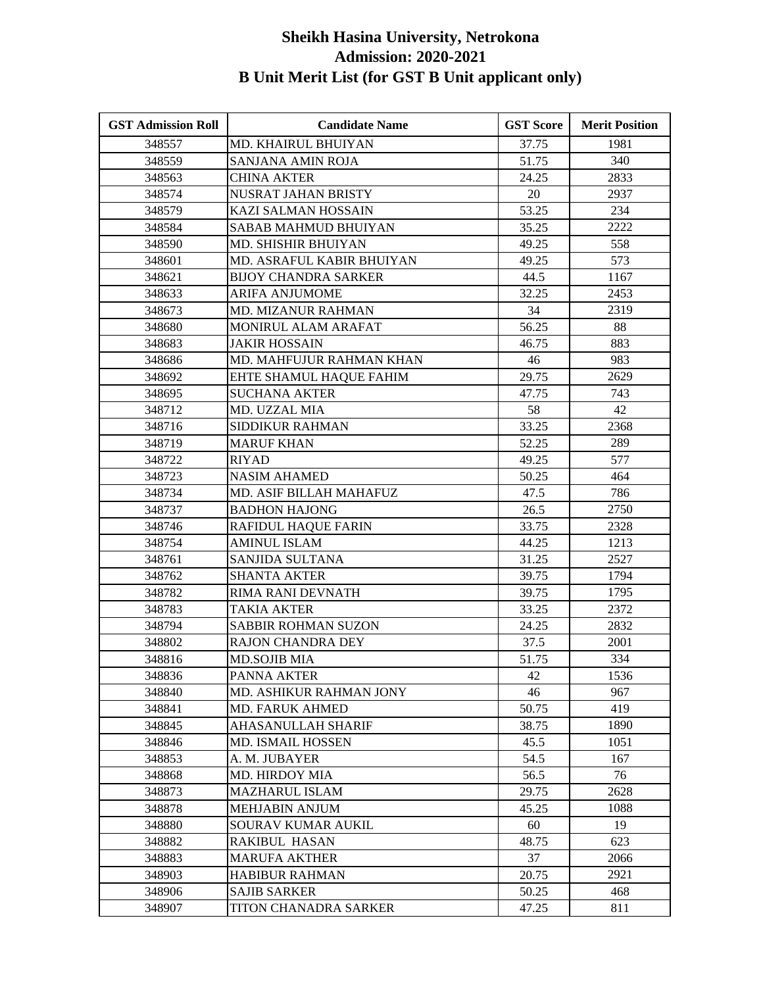| 1981<br>348557<br>MD. KHAIRUL BHUIYAN<br>37.75<br>340<br>348559<br>SANJANA AMIN ROJA<br>51.75<br>348563<br><b>CHINA AKTER</b><br>24.25<br>2833<br>2937<br>348574<br>NUSRAT JAHAN BRISTY<br>20<br>53.25<br>234<br>348579<br>KAZI SALMAN HOSSAIN<br>2222<br>348584<br>SABAB MAHMUD BHUIYAN<br>35.25<br>558<br>348590<br>49.25<br><b>MD. SHISHIR BHUIYAN</b><br>573<br>MD. ASRAFUL KABIR BHUIYAN<br>49.25<br>348601<br>1167<br>348621<br><b>BIJOY CHANDRA SARKER</b><br>44.5<br>32.25<br>2453<br>348633<br><b>ARIFA ANJUMOME</b><br>34<br>2319<br>348673<br>MD. MIZANUR RAHMAN<br>88<br>348680<br>MONIRUL ALAM ARAFAT<br>56.25<br>348683<br><b>JAKIR HOSSAIN</b><br>883<br>46.75<br>MD. MAHFUJUR RAHMAN KHAN<br>983<br>348686<br>46<br>29.75<br>2629<br>348692<br>EHTE SHAMUL HAQUE FAHIM<br><b>SUCHANA AKTER</b><br>47.75<br>743<br>348695<br>42<br>348712<br>MD. UZZAL MIA<br>58<br>2368<br>348716<br>SIDDIKUR RAHMAN<br>33.25<br>289<br>348719<br><b>MARUF KHAN</b><br>52.25<br>577<br>348722<br><b>RIYAD</b><br>49.25<br>464<br>348723<br><b>NASIM AHAMED</b><br>50.25<br>786<br>348734<br>MD. ASIF BILLAH MAHAFUZ<br>47.5<br>2750<br>348737<br><b>BADHON HAJONG</b><br>26.5<br>33.75<br>2328<br>348746<br>RAFIDUL HAQUE FARIN<br>1213<br>348754<br><b>AMINUL ISLAM</b><br>44.25<br>2527<br>348761<br>SANJIDA SULTANA<br>31.25<br>1794<br>348762<br><b>SHANTA AKTER</b><br>39.75<br>348782<br>RIMA RANI DEVNATH<br>39.75<br>1795<br>2372<br>348783<br><b>TAKIA AKTER</b><br>33.25<br>2832<br>348794<br><b>SABBIR ROHMAN SUZON</b><br>24.25<br>348802<br>RAJON CHANDRA DEY<br>37.5<br>2001<br>334<br>348816<br><b>MD.SOJIB MIA</b><br>51.75<br>348836<br>PANNA AKTER<br>42<br>1536<br>967<br>46<br>348840<br>MD. ASHIKUR RAHMAN JONY<br><b>MD. FARUK AHMED</b><br>50.75<br>419<br>348841<br>1890<br>AHASANULLAH SHARIF<br>38.75<br>348845<br>1051<br>348846<br><b>MD. ISMAIL HOSSEN</b><br>45.5<br>167<br>348853<br>A. M. JUBAYER<br>54.5<br>56.5<br>76<br>348868<br><b>MD. HIRDOY MIA</b><br>2628<br>29.75<br>348873<br><b>MAZHARUL ISLAM</b><br>348878<br><b>MEHJABIN ANJUM</b><br>45.25<br>1088<br>19<br>60<br>348880<br>SOURAV KUMAR AUKIL<br>348882<br><b>RAKIBUL HASAN</b><br>48.75<br>623<br>2066<br>348883<br><b>MARUFA AKTHER</b><br>37<br>348903<br>20.75<br>2921<br><b>HABIBUR RAHMAN</b><br><b>SAJIB SARKER</b><br>50.25<br>468<br>348906<br>47.25<br>348907<br>TITON CHANADRA SARKER<br>811 | <b>GST Admission Roll</b> | <b>Candidate Name</b> | <b>GST Score</b> | <b>Merit Position</b> |
|----------------------------------------------------------------------------------------------------------------------------------------------------------------------------------------------------------------------------------------------------------------------------------------------------------------------------------------------------------------------------------------------------------------------------------------------------------------------------------------------------------------------------------------------------------------------------------------------------------------------------------------------------------------------------------------------------------------------------------------------------------------------------------------------------------------------------------------------------------------------------------------------------------------------------------------------------------------------------------------------------------------------------------------------------------------------------------------------------------------------------------------------------------------------------------------------------------------------------------------------------------------------------------------------------------------------------------------------------------------------------------------------------------------------------------------------------------------------------------------------------------------------------------------------------------------------------------------------------------------------------------------------------------------------------------------------------------------------------------------------------------------------------------------------------------------------------------------------------------------------------------------------------------------------------------------------------------------------------------------------------------------------------------------------------------------------------------------------------------------------------------------------------------------------------------------------------------------------------------------------------------------------------------------------------------------------------------------------------------------------------------------------------------|---------------------------|-----------------------|------------------|-----------------------|
|                                                                                                                                                                                                                                                                                                                                                                                                                                                                                                                                                                                                                                                                                                                                                                                                                                                                                                                                                                                                                                                                                                                                                                                                                                                                                                                                                                                                                                                                                                                                                                                                                                                                                                                                                                                                                                                                                                                                                                                                                                                                                                                                                                                                                                                                                                                                                                                                          |                           |                       |                  |                       |
|                                                                                                                                                                                                                                                                                                                                                                                                                                                                                                                                                                                                                                                                                                                                                                                                                                                                                                                                                                                                                                                                                                                                                                                                                                                                                                                                                                                                                                                                                                                                                                                                                                                                                                                                                                                                                                                                                                                                                                                                                                                                                                                                                                                                                                                                                                                                                                                                          |                           |                       |                  |                       |
|                                                                                                                                                                                                                                                                                                                                                                                                                                                                                                                                                                                                                                                                                                                                                                                                                                                                                                                                                                                                                                                                                                                                                                                                                                                                                                                                                                                                                                                                                                                                                                                                                                                                                                                                                                                                                                                                                                                                                                                                                                                                                                                                                                                                                                                                                                                                                                                                          |                           |                       |                  |                       |
|                                                                                                                                                                                                                                                                                                                                                                                                                                                                                                                                                                                                                                                                                                                                                                                                                                                                                                                                                                                                                                                                                                                                                                                                                                                                                                                                                                                                                                                                                                                                                                                                                                                                                                                                                                                                                                                                                                                                                                                                                                                                                                                                                                                                                                                                                                                                                                                                          |                           |                       |                  |                       |
|                                                                                                                                                                                                                                                                                                                                                                                                                                                                                                                                                                                                                                                                                                                                                                                                                                                                                                                                                                                                                                                                                                                                                                                                                                                                                                                                                                                                                                                                                                                                                                                                                                                                                                                                                                                                                                                                                                                                                                                                                                                                                                                                                                                                                                                                                                                                                                                                          |                           |                       |                  |                       |
|                                                                                                                                                                                                                                                                                                                                                                                                                                                                                                                                                                                                                                                                                                                                                                                                                                                                                                                                                                                                                                                                                                                                                                                                                                                                                                                                                                                                                                                                                                                                                                                                                                                                                                                                                                                                                                                                                                                                                                                                                                                                                                                                                                                                                                                                                                                                                                                                          |                           |                       |                  |                       |
|                                                                                                                                                                                                                                                                                                                                                                                                                                                                                                                                                                                                                                                                                                                                                                                                                                                                                                                                                                                                                                                                                                                                                                                                                                                                                                                                                                                                                                                                                                                                                                                                                                                                                                                                                                                                                                                                                                                                                                                                                                                                                                                                                                                                                                                                                                                                                                                                          |                           |                       |                  |                       |
|                                                                                                                                                                                                                                                                                                                                                                                                                                                                                                                                                                                                                                                                                                                                                                                                                                                                                                                                                                                                                                                                                                                                                                                                                                                                                                                                                                                                                                                                                                                                                                                                                                                                                                                                                                                                                                                                                                                                                                                                                                                                                                                                                                                                                                                                                                                                                                                                          |                           |                       |                  |                       |
|                                                                                                                                                                                                                                                                                                                                                                                                                                                                                                                                                                                                                                                                                                                                                                                                                                                                                                                                                                                                                                                                                                                                                                                                                                                                                                                                                                                                                                                                                                                                                                                                                                                                                                                                                                                                                                                                                                                                                                                                                                                                                                                                                                                                                                                                                                                                                                                                          |                           |                       |                  |                       |
|                                                                                                                                                                                                                                                                                                                                                                                                                                                                                                                                                                                                                                                                                                                                                                                                                                                                                                                                                                                                                                                                                                                                                                                                                                                                                                                                                                                                                                                                                                                                                                                                                                                                                                                                                                                                                                                                                                                                                                                                                                                                                                                                                                                                                                                                                                                                                                                                          |                           |                       |                  |                       |
|                                                                                                                                                                                                                                                                                                                                                                                                                                                                                                                                                                                                                                                                                                                                                                                                                                                                                                                                                                                                                                                                                                                                                                                                                                                                                                                                                                                                                                                                                                                                                                                                                                                                                                                                                                                                                                                                                                                                                                                                                                                                                                                                                                                                                                                                                                                                                                                                          |                           |                       |                  |                       |
|                                                                                                                                                                                                                                                                                                                                                                                                                                                                                                                                                                                                                                                                                                                                                                                                                                                                                                                                                                                                                                                                                                                                                                                                                                                                                                                                                                                                                                                                                                                                                                                                                                                                                                                                                                                                                                                                                                                                                                                                                                                                                                                                                                                                                                                                                                                                                                                                          |                           |                       |                  |                       |
|                                                                                                                                                                                                                                                                                                                                                                                                                                                                                                                                                                                                                                                                                                                                                                                                                                                                                                                                                                                                                                                                                                                                                                                                                                                                                                                                                                                                                                                                                                                                                                                                                                                                                                                                                                                                                                                                                                                                                                                                                                                                                                                                                                                                                                                                                                                                                                                                          |                           |                       |                  |                       |
|                                                                                                                                                                                                                                                                                                                                                                                                                                                                                                                                                                                                                                                                                                                                                                                                                                                                                                                                                                                                                                                                                                                                                                                                                                                                                                                                                                                                                                                                                                                                                                                                                                                                                                                                                                                                                                                                                                                                                                                                                                                                                                                                                                                                                                                                                                                                                                                                          |                           |                       |                  |                       |
|                                                                                                                                                                                                                                                                                                                                                                                                                                                                                                                                                                                                                                                                                                                                                                                                                                                                                                                                                                                                                                                                                                                                                                                                                                                                                                                                                                                                                                                                                                                                                                                                                                                                                                                                                                                                                                                                                                                                                                                                                                                                                                                                                                                                                                                                                                                                                                                                          |                           |                       |                  |                       |
|                                                                                                                                                                                                                                                                                                                                                                                                                                                                                                                                                                                                                                                                                                                                                                                                                                                                                                                                                                                                                                                                                                                                                                                                                                                                                                                                                                                                                                                                                                                                                                                                                                                                                                                                                                                                                                                                                                                                                                                                                                                                                                                                                                                                                                                                                                                                                                                                          |                           |                       |                  |                       |
|                                                                                                                                                                                                                                                                                                                                                                                                                                                                                                                                                                                                                                                                                                                                                                                                                                                                                                                                                                                                                                                                                                                                                                                                                                                                                                                                                                                                                                                                                                                                                                                                                                                                                                                                                                                                                                                                                                                                                                                                                                                                                                                                                                                                                                                                                                                                                                                                          |                           |                       |                  |                       |
|                                                                                                                                                                                                                                                                                                                                                                                                                                                                                                                                                                                                                                                                                                                                                                                                                                                                                                                                                                                                                                                                                                                                                                                                                                                                                                                                                                                                                                                                                                                                                                                                                                                                                                                                                                                                                                                                                                                                                                                                                                                                                                                                                                                                                                                                                                                                                                                                          |                           |                       |                  |                       |
|                                                                                                                                                                                                                                                                                                                                                                                                                                                                                                                                                                                                                                                                                                                                                                                                                                                                                                                                                                                                                                                                                                                                                                                                                                                                                                                                                                                                                                                                                                                                                                                                                                                                                                                                                                                                                                                                                                                                                                                                                                                                                                                                                                                                                                                                                                                                                                                                          |                           |                       |                  |                       |
|                                                                                                                                                                                                                                                                                                                                                                                                                                                                                                                                                                                                                                                                                                                                                                                                                                                                                                                                                                                                                                                                                                                                                                                                                                                                                                                                                                                                                                                                                                                                                                                                                                                                                                                                                                                                                                                                                                                                                                                                                                                                                                                                                                                                                                                                                                                                                                                                          |                           |                       |                  |                       |
|                                                                                                                                                                                                                                                                                                                                                                                                                                                                                                                                                                                                                                                                                                                                                                                                                                                                                                                                                                                                                                                                                                                                                                                                                                                                                                                                                                                                                                                                                                                                                                                                                                                                                                                                                                                                                                                                                                                                                                                                                                                                                                                                                                                                                                                                                                                                                                                                          |                           |                       |                  |                       |
|                                                                                                                                                                                                                                                                                                                                                                                                                                                                                                                                                                                                                                                                                                                                                                                                                                                                                                                                                                                                                                                                                                                                                                                                                                                                                                                                                                                                                                                                                                                                                                                                                                                                                                                                                                                                                                                                                                                                                                                                                                                                                                                                                                                                                                                                                                                                                                                                          |                           |                       |                  |                       |
|                                                                                                                                                                                                                                                                                                                                                                                                                                                                                                                                                                                                                                                                                                                                                                                                                                                                                                                                                                                                                                                                                                                                                                                                                                                                                                                                                                                                                                                                                                                                                                                                                                                                                                                                                                                                                                                                                                                                                                                                                                                                                                                                                                                                                                                                                                                                                                                                          |                           |                       |                  |                       |
|                                                                                                                                                                                                                                                                                                                                                                                                                                                                                                                                                                                                                                                                                                                                                                                                                                                                                                                                                                                                                                                                                                                                                                                                                                                                                                                                                                                                                                                                                                                                                                                                                                                                                                                                                                                                                                                                                                                                                                                                                                                                                                                                                                                                                                                                                                                                                                                                          |                           |                       |                  |                       |
|                                                                                                                                                                                                                                                                                                                                                                                                                                                                                                                                                                                                                                                                                                                                                                                                                                                                                                                                                                                                                                                                                                                                                                                                                                                                                                                                                                                                                                                                                                                                                                                                                                                                                                                                                                                                                                                                                                                                                                                                                                                                                                                                                                                                                                                                                                                                                                                                          |                           |                       |                  |                       |
|                                                                                                                                                                                                                                                                                                                                                                                                                                                                                                                                                                                                                                                                                                                                                                                                                                                                                                                                                                                                                                                                                                                                                                                                                                                                                                                                                                                                                                                                                                                                                                                                                                                                                                                                                                                                                                                                                                                                                                                                                                                                                                                                                                                                                                                                                                                                                                                                          |                           |                       |                  |                       |
|                                                                                                                                                                                                                                                                                                                                                                                                                                                                                                                                                                                                                                                                                                                                                                                                                                                                                                                                                                                                                                                                                                                                                                                                                                                                                                                                                                                                                                                                                                                                                                                                                                                                                                                                                                                                                                                                                                                                                                                                                                                                                                                                                                                                                                                                                                                                                                                                          |                           |                       |                  |                       |
|                                                                                                                                                                                                                                                                                                                                                                                                                                                                                                                                                                                                                                                                                                                                                                                                                                                                                                                                                                                                                                                                                                                                                                                                                                                                                                                                                                                                                                                                                                                                                                                                                                                                                                                                                                                                                                                                                                                                                                                                                                                                                                                                                                                                                                                                                                                                                                                                          |                           |                       |                  |                       |
|                                                                                                                                                                                                                                                                                                                                                                                                                                                                                                                                                                                                                                                                                                                                                                                                                                                                                                                                                                                                                                                                                                                                                                                                                                                                                                                                                                                                                                                                                                                                                                                                                                                                                                                                                                                                                                                                                                                                                                                                                                                                                                                                                                                                                                                                                                                                                                                                          |                           |                       |                  |                       |
|                                                                                                                                                                                                                                                                                                                                                                                                                                                                                                                                                                                                                                                                                                                                                                                                                                                                                                                                                                                                                                                                                                                                                                                                                                                                                                                                                                                                                                                                                                                                                                                                                                                                                                                                                                                                                                                                                                                                                                                                                                                                                                                                                                                                                                                                                                                                                                                                          |                           |                       |                  |                       |
|                                                                                                                                                                                                                                                                                                                                                                                                                                                                                                                                                                                                                                                                                                                                                                                                                                                                                                                                                                                                                                                                                                                                                                                                                                                                                                                                                                                                                                                                                                                                                                                                                                                                                                                                                                                                                                                                                                                                                                                                                                                                                                                                                                                                                                                                                                                                                                                                          |                           |                       |                  |                       |
|                                                                                                                                                                                                                                                                                                                                                                                                                                                                                                                                                                                                                                                                                                                                                                                                                                                                                                                                                                                                                                                                                                                                                                                                                                                                                                                                                                                                                                                                                                                                                                                                                                                                                                                                                                                                                                                                                                                                                                                                                                                                                                                                                                                                                                                                                                                                                                                                          |                           |                       |                  |                       |
|                                                                                                                                                                                                                                                                                                                                                                                                                                                                                                                                                                                                                                                                                                                                                                                                                                                                                                                                                                                                                                                                                                                                                                                                                                                                                                                                                                                                                                                                                                                                                                                                                                                                                                                                                                                                                                                                                                                                                                                                                                                                                                                                                                                                                                                                                                                                                                                                          |                           |                       |                  |                       |
|                                                                                                                                                                                                                                                                                                                                                                                                                                                                                                                                                                                                                                                                                                                                                                                                                                                                                                                                                                                                                                                                                                                                                                                                                                                                                                                                                                                                                                                                                                                                                                                                                                                                                                                                                                                                                                                                                                                                                                                                                                                                                                                                                                                                                                                                                                                                                                                                          |                           |                       |                  |                       |
|                                                                                                                                                                                                                                                                                                                                                                                                                                                                                                                                                                                                                                                                                                                                                                                                                                                                                                                                                                                                                                                                                                                                                                                                                                                                                                                                                                                                                                                                                                                                                                                                                                                                                                                                                                                                                                                                                                                                                                                                                                                                                                                                                                                                                                                                                                                                                                                                          |                           |                       |                  |                       |
|                                                                                                                                                                                                                                                                                                                                                                                                                                                                                                                                                                                                                                                                                                                                                                                                                                                                                                                                                                                                                                                                                                                                                                                                                                                                                                                                                                                                                                                                                                                                                                                                                                                                                                                                                                                                                                                                                                                                                                                                                                                                                                                                                                                                                                                                                                                                                                                                          |                           |                       |                  |                       |
|                                                                                                                                                                                                                                                                                                                                                                                                                                                                                                                                                                                                                                                                                                                                                                                                                                                                                                                                                                                                                                                                                                                                                                                                                                                                                                                                                                                                                                                                                                                                                                                                                                                                                                                                                                                                                                                                                                                                                                                                                                                                                                                                                                                                                                                                                                                                                                                                          |                           |                       |                  |                       |
|                                                                                                                                                                                                                                                                                                                                                                                                                                                                                                                                                                                                                                                                                                                                                                                                                                                                                                                                                                                                                                                                                                                                                                                                                                                                                                                                                                                                                                                                                                                                                                                                                                                                                                                                                                                                                                                                                                                                                                                                                                                                                                                                                                                                                                                                                                                                                                                                          |                           |                       |                  |                       |
|                                                                                                                                                                                                                                                                                                                                                                                                                                                                                                                                                                                                                                                                                                                                                                                                                                                                                                                                                                                                                                                                                                                                                                                                                                                                                                                                                                                                                                                                                                                                                                                                                                                                                                                                                                                                                                                                                                                                                                                                                                                                                                                                                                                                                                                                                                                                                                                                          |                           |                       |                  |                       |
|                                                                                                                                                                                                                                                                                                                                                                                                                                                                                                                                                                                                                                                                                                                                                                                                                                                                                                                                                                                                                                                                                                                                                                                                                                                                                                                                                                                                                                                                                                                                                                                                                                                                                                                                                                                                                                                                                                                                                                                                                                                                                                                                                                                                                                                                                                                                                                                                          |                           |                       |                  |                       |
|                                                                                                                                                                                                                                                                                                                                                                                                                                                                                                                                                                                                                                                                                                                                                                                                                                                                                                                                                                                                                                                                                                                                                                                                                                                                                                                                                                                                                                                                                                                                                                                                                                                                                                                                                                                                                                                                                                                                                                                                                                                                                                                                                                                                                                                                                                                                                                                                          |                           |                       |                  |                       |
|                                                                                                                                                                                                                                                                                                                                                                                                                                                                                                                                                                                                                                                                                                                                                                                                                                                                                                                                                                                                                                                                                                                                                                                                                                                                                                                                                                                                                                                                                                                                                                                                                                                                                                                                                                                                                                                                                                                                                                                                                                                                                                                                                                                                                                                                                                                                                                                                          |                           |                       |                  |                       |
|                                                                                                                                                                                                                                                                                                                                                                                                                                                                                                                                                                                                                                                                                                                                                                                                                                                                                                                                                                                                                                                                                                                                                                                                                                                                                                                                                                                                                                                                                                                                                                                                                                                                                                                                                                                                                                                                                                                                                                                                                                                                                                                                                                                                                                                                                                                                                                                                          |                           |                       |                  |                       |
|                                                                                                                                                                                                                                                                                                                                                                                                                                                                                                                                                                                                                                                                                                                                                                                                                                                                                                                                                                                                                                                                                                                                                                                                                                                                                                                                                                                                                                                                                                                                                                                                                                                                                                                                                                                                                                                                                                                                                                                                                                                                                                                                                                                                                                                                                                                                                                                                          |                           |                       |                  |                       |
|                                                                                                                                                                                                                                                                                                                                                                                                                                                                                                                                                                                                                                                                                                                                                                                                                                                                                                                                                                                                                                                                                                                                                                                                                                                                                                                                                                                                                                                                                                                                                                                                                                                                                                                                                                                                                                                                                                                                                                                                                                                                                                                                                                                                                                                                                                                                                                                                          |                           |                       |                  |                       |
|                                                                                                                                                                                                                                                                                                                                                                                                                                                                                                                                                                                                                                                                                                                                                                                                                                                                                                                                                                                                                                                                                                                                                                                                                                                                                                                                                                                                                                                                                                                                                                                                                                                                                                                                                                                                                                                                                                                                                                                                                                                                                                                                                                                                                                                                                                                                                                                                          |                           |                       |                  |                       |
|                                                                                                                                                                                                                                                                                                                                                                                                                                                                                                                                                                                                                                                                                                                                                                                                                                                                                                                                                                                                                                                                                                                                                                                                                                                                                                                                                                                                                                                                                                                                                                                                                                                                                                                                                                                                                                                                                                                                                                                                                                                                                                                                                                                                                                                                                                                                                                                                          |                           |                       |                  |                       |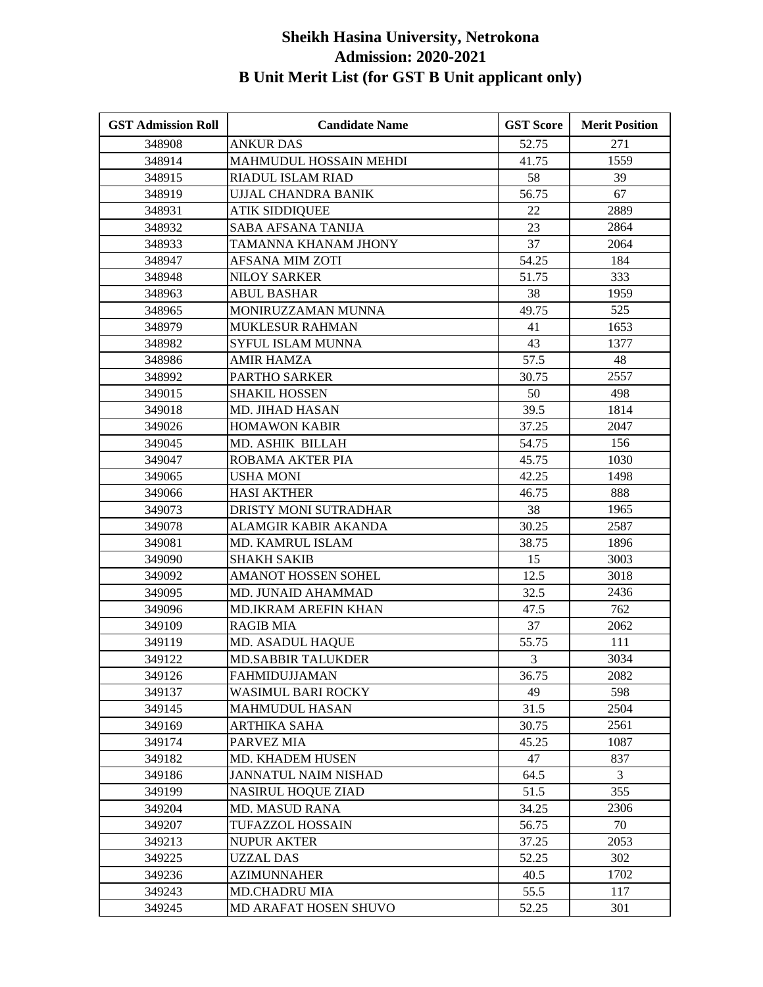| <b>GST Admission Roll</b> | <b>Candidate Name</b>       | <b>GST Score</b> | <b>Merit Position</b> |
|---------------------------|-----------------------------|------------------|-----------------------|
| 348908                    | <b>ANKUR DAS</b>            | 52.75            | 271                   |
| 348914                    | MAHMUDUL HOSSAIN MEHDI      | 41.75            | 1559                  |
| 348915                    | RIADUL ISLAM RIAD           | 58               | 39                    |
| 348919                    | UJJAL CHANDRA BANIK         | 56.75            | 67                    |
| 348931                    | <b>ATIK SIDDIQUEE</b>       | 22               | 2889                  |
| 348932                    | SABA AFSANA TANIJA          | 23               | 2864                  |
| 348933                    | TAMANNA KHANAM JHONY        | 37               | 2064                  |
| 348947                    | AFSANA MIM ZOTI             | 54.25            | 184                   |
| 348948                    | <b>NILOY SARKER</b>         | 51.75            | 333                   |
| 348963                    | <b>ABUL BASHAR</b>          | 38               | 1959                  |
| 348965                    | MONIRUZZAMAN MUNNA          | 49.75            | 525                   |
| 348979                    | <b>MUKLESUR RAHMAN</b>      | 41               | 1653                  |
| 348982                    | SYFUL ISLAM MUNNA           | 43               | 1377                  |
| 348986                    | AMIR HAMZA                  | 57.5             | 48                    |
| 348992                    | <b>PARTHO SARKER</b>        | 30.75            | 2557                  |
| 349015                    | <b>SHAKIL HOSSEN</b>        | 50               | 498                   |
| 349018                    | MD. JIHAD HASAN             | 39.5             | 1814                  |
| 349026                    | <b>HOMAWON KABIR</b>        | 37.25            | 2047                  |
| 349045                    | MD. ASHIK BILLAH            | 54.75            | 156                   |
| 349047                    | ROBAMA AKTER PIA            | 45.75            | 1030                  |
| 349065                    | <b>USHA MONI</b>            | 42.25            | 1498                  |
| 349066                    | <b>HASI AKTHER</b>          | 46.75            | 888                   |
| 349073                    | DRISTY MONI SUTRADHAR       | 38               | 1965                  |
| 349078                    | ALAMGIR KABIR AKANDA        | 30.25            | 2587                  |
| 349081                    | MD. KAMRUL ISLAM            | 38.75            | 1896                  |
| 349090                    | <b>SHAKH SAKIB</b>          | 15               | 3003                  |
| 349092                    | <b>AMANOT HOSSEN SOHEL</b>  | 12.5             | 3018                  |
| 349095                    | MD. JUNAID AHAMMAD          | 32.5             | 2436                  |
| 349096                    | MD.IKRAM AREFIN KHAN        | 47.5             | 762                   |
| 349109                    | <b>RAGIB MIA</b>            | 37               | 2062                  |
| 349119                    | MD. ASADUL HAQUE            | 55.75            | 111                   |
| 349122                    | <b>MD.SABBIR TALUKDER</b>   | 3                | 3034                  |
| 349126                    | <b>FAHMIDUJJAMAN</b>        | 36.75            | 2082                  |
| 349137                    | WASIMUL BARI ROCKY          | 49               | 598                   |
| 349145                    | <b>MAHMUDUL HASAN</b>       | 31.5             | 2504                  |
| 349169                    | ARTHIKA SAHA                | 30.75            | 2561                  |
| 349174                    | PARVEZ MIA                  | 45.25            | 1087                  |
| 349182                    | MD. KHADEM HUSEN            | 47               | 837                   |
| 349186                    | <b>JANNATUL NAIM NISHAD</b> | 64.5             | 3                     |
| 349199                    | <b>NASIRUL HOQUE ZIAD</b>   | 51.5             | 355                   |
| 349204                    | <b>MD. MASUD RANA</b>       | 34.25            | 2306                  |
| 349207                    | TUFAZZOL HOSSAIN            | 56.75            | 70                    |
| 349213                    | <b>NUPUR AKTER</b>          | 37.25            | 2053                  |
| 349225                    | <b>UZZAL DAS</b>            | 52.25            | 302                   |
| 349236                    | <b>AZIMUNNAHER</b>          | 40.5             | 1702                  |
| 349243                    | <b>MD.CHADRU MIA</b>        | 55.5             | 117                   |
| 349245                    | MD ARAFAT HOSEN SHUVO       | 52.25            | 301                   |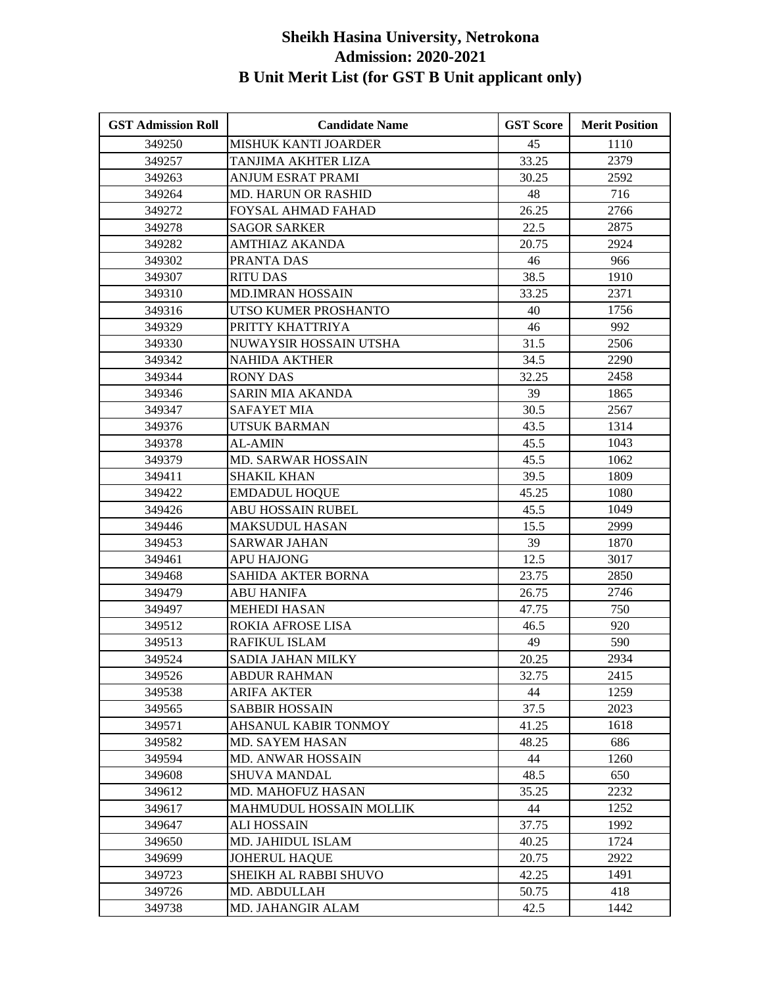| <b>GST Admission Roll</b> | <b>Candidate Name</b>          | <b>GST Score</b> | <b>Merit Position</b> |
|---------------------------|--------------------------------|------------------|-----------------------|
| 349250                    | MISHUK KANTI JOARDER           | 45               | 1110                  |
| 349257                    | TANJIMA AKHTER LIZA            | 33.25            | 2379                  |
| 349263                    | ANJUM ESRAT PRAMI              | 30.25            | 2592                  |
| 349264                    | <b>MD. HARUN OR RASHID</b>     | 48               | 716                   |
| 349272                    | FOYSAL AHMAD FAHAD             | 26.25            | 2766                  |
| 349278                    | <b>SAGOR SARKER</b>            | 22.5             | 2875                  |
| 349282                    | <b>AMTHIAZ AKANDA</b>          | 20.75            | 2924                  |
| 349302                    | PRANTA DAS                     | 46               | 966                   |
| 349307                    | <b>RITU DAS</b>                | 38.5             | 1910                  |
| 349310                    | <b>MD.IMRAN HOSSAIN</b>        | 33.25            | 2371                  |
| 349316                    | UTSO KUMER PROSHANTO           | 40               | 1756                  |
| 349329                    | PRITTY KHATTRIYA               | 46               | 992                   |
| 349330                    | NUWAYSIR HOSSAIN UTSHA         | 31.5             | 2506                  |
| 349342                    | <b>NAHIDA AKTHER</b>           | 34.5             | 2290                  |
| 349344                    | <b>RONY DAS</b>                | 32.25            | 2458                  |
| 349346                    | <b>SARIN MIA AKANDA</b>        | 39               | 1865                  |
| 349347                    | <b>SAFAYET MIA</b>             | 30.5             | 2567                  |
| 349376                    | UTSUK BARMAN                   | 43.5             | 1314                  |
| 349378                    | <b>AL-AMIN</b>                 | 45.5             | 1043                  |
| 349379                    | <b>MD. SARWAR HOSSAIN</b>      | 45.5             | 1062                  |
| 349411                    | <b>SHAKIL KHAN</b>             | 39.5             | 1809                  |
| 349422                    | <b>EMDADUL HOQUE</b>           | 45.25            | 1080                  |
| 349426                    | <b>ABU HOSSAIN RUBEL</b>       | 45.5             | 1049                  |
| 349446                    | <b>MAKSUDUL HASAN</b>          | 15.5             | 2999                  |
| 349453                    | <b>SARWAR JAHAN</b>            | 39               | 1870                  |
| 349461                    | <b>APU HAJONG</b>              | 12.5             | 3017                  |
| 349468                    | SAHIDA AKTER BORNA             | 23.75            | 2850                  |
| 349479                    | <b>ABU HANIFA</b>              | 26.75            | 2746                  |
| 349497                    | <b>MEHEDI HASAN</b>            | 47.75            | 750                   |
| 349512                    | ROKIA AFROSE LISA              | 46.5             | 920                   |
| 349513                    | RAFIKUL ISLAM                  | 49               | 590                   |
| 349524                    | <b>SADIA JAHAN MILKY</b>       | 20.25            | 2934                  |
| 349526                    | <b>ABDUR RAHMAN</b>            | 32.75            | 2415                  |
| 349538                    | ARIFA AKTER                    | 44               | 1259                  |
| 349565                    | <b>SABBIR HOSSAIN</b>          | 37.5             | 2023                  |
| 349571                    | <b>AHSANUL KABIR TONMOY</b>    | 41.25            | 1618                  |
| 349582                    | MD. SAYEM HASAN                | 48.25            | 686                   |
| 349594                    | MD. ANWAR HOSSAIN              | 44               | 1260                  |
| 349608                    | <b>SHUVA MANDAL</b>            | 48.5             | 650                   |
| 349612                    | MD. MAHOFUZ HASAN              | 35.25            | 2232                  |
| 349617                    | <b>MAHMUDUL HOSSAIN MOLLIK</b> | 44               | 1252                  |
| 349647                    | <b>ALI HOSSAIN</b>             | 37.75            | 1992                  |
| 349650                    | MD. JAHIDUL ISLAM              | 40.25            | 1724                  |
| 349699                    | <b>JOHERUL HAQUE</b>           | 20.75            | 2922                  |
| 349723                    | SHEIKH AL RABBI SHUVO          | 42.25            | 1491                  |
| 349726                    | MD. ABDULLAH                   | 50.75            | 418                   |
| 349738                    | MD. JAHANGIR ALAM              | 42.5             | 1442                  |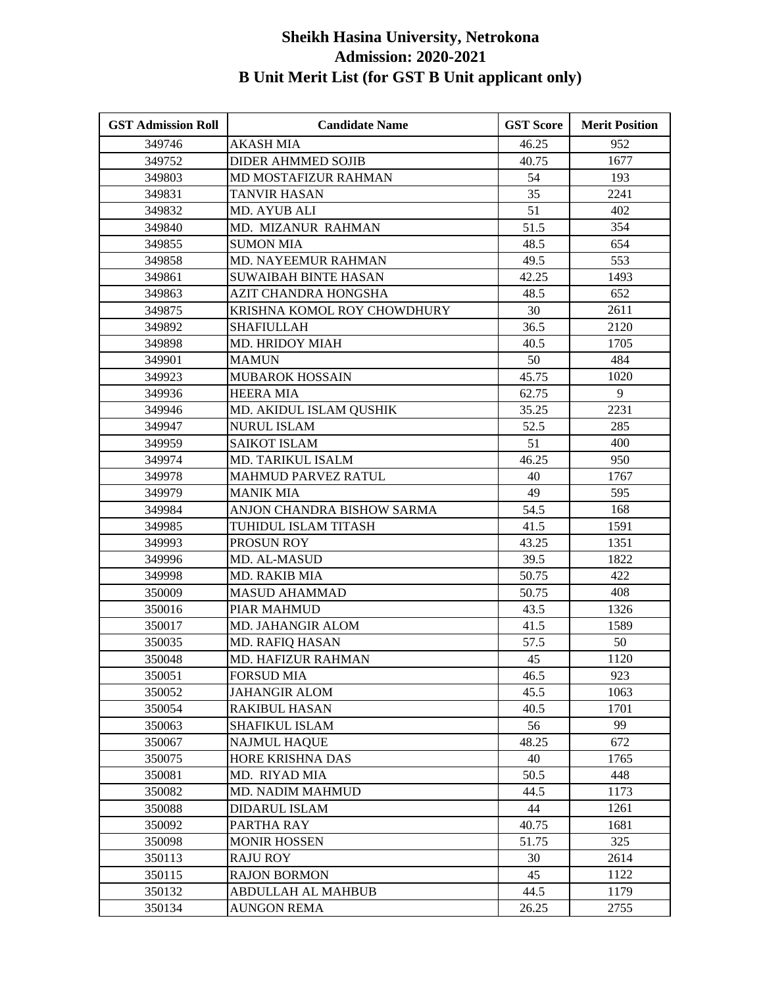| <b>GST Admission Roll</b> | <b>Candidate Name</b>       | <b>GST Score</b> | <b>Merit Position</b> |
|---------------------------|-----------------------------|------------------|-----------------------|
| 349746                    | <b>AKASH MIA</b>            | 46.25            | 952                   |
| 349752                    | <b>DIDER AHMMED SOJIB</b>   | 40.75            | 1677                  |
| 349803                    | <b>MD MOSTAFIZUR RAHMAN</b> | 54               | 193                   |
| 349831                    | TANVIR HASAN                | 35               | 2241                  |
| 349832                    | MD. AYUB ALI                | 51               | 402                   |
| 349840                    | MD. MIZANUR RAHMAN          | 51.5             | 354                   |
| 349855                    | <b>SUMON MIA</b>            | 48.5             | 654                   |
| 349858                    | MD. NAYEEMUR RAHMAN         | 49.5             | 553                   |
| 349861                    | <b>SUWAIBAH BINTE HASAN</b> | 42.25            | 1493                  |
| 349863                    | <b>AZIT CHANDRA HONGSHA</b> | 48.5             | 652                   |
| 349875                    | KRISHNA KOMOL ROY CHOWDHURY | 30               | 2611                  |
| 349892                    | <b>SHAFIULLAH</b>           | 36.5             | 2120                  |
| 349898                    | MD. HRIDOY MIAH             | 40.5             | 1705                  |
| 349901                    | <b>MAMUN</b>                | 50               | 484                   |
| 349923                    | <b>MUBAROK HOSSAIN</b>      | 45.75            | 1020                  |
| 349936                    | <b>HEERA MIA</b>            | 62.75            | 9                     |
| 349946                    | MD. AKIDUL ISLAM QUSHIK     | 35.25            | 2231                  |
| 349947                    | <b>NURUL ISLAM</b>          | 52.5             | 285                   |
| 349959                    | <b>SAIKOT ISLAM</b>         | 51               | 400                   |
| 349974                    | MD. TARIKUL ISALM           | 46.25            | 950                   |
| 349978                    | <b>MAHMUD PARVEZ RATUL</b>  | 40               | 1767                  |
| 349979                    | <b>MANIK MIA</b>            | 49               | 595                   |
| 349984                    | ANJON CHANDRA BISHOW SARMA  | 54.5             | 168                   |
| 349985                    | TUHIDUL ISLAM TITASH        | 41.5             | 1591                  |
| 349993                    | PROSUN ROY                  | 43.25            | 1351                  |
| 349996                    | MD. AL-MASUD                | 39.5             | 1822                  |
| 349998                    | <b>MD. RAKIB MIA</b>        | 50.75            | 422                   |
| 350009                    | <b>MASUD AHAMMAD</b>        | 50.75            | 408                   |
| 350016                    | PIAR MAHMUD                 | 43.5             | 1326                  |
| 350017                    | MD. JAHANGIR ALOM           | 41.5             | 1589                  |
| 350035                    | MD. RAFIQ HASAN             | 57.5             | 50                    |
| 350048                    | <b>MD. HAFIZUR RAHMAN</b>   | 45               | 1120                  |
| 350051                    | <b>FORSUD MIA</b>           | 46.5             | 923                   |
| 350052                    | <b>JAHANGIR ALOM</b>        | 45.5             | 1063                  |
| 350054                    | <b>RAKIBUL HASAN</b>        | 40.5             | 1701                  |
| 350063                    | <b>SHAFIKUL ISLAM</b>       | 56               | 99                    |
| 350067                    | <b>NAJMUL HAQUE</b>         | 48.25            | 672                   |
| 350075                    | HORE KRISHNA DAS            | 40               | 1765                  |
| 350081                    | MD. RIYAD MIA               | 50.5             | 448                   |
| 350082                    | MD. NADIM MAHMUD            | 44.5             | 1173                  |
| 350088                    | <b>DIDARUL ISLAM</b>        | 44               | 1261                  |
| 350092                    | PARTHA RAY                  | 40.75            | 1681                  |
| 350098                    | <b>MONIR HOSSEN</b>         | 51.75            | 325                   |
| 350113                    | <b>RAJU ROY</b>             | 30               | 2614                  |
| 350115                    | <b>RAJON BORMON</b>         | 45               | 1122                  |
| 350132                    | ABDULLAH AL MAHBUB          | 44.5             | 1179                  |
| 350134                    | <b>AUNGON REMA</b>          | 26.25            | 2755                  |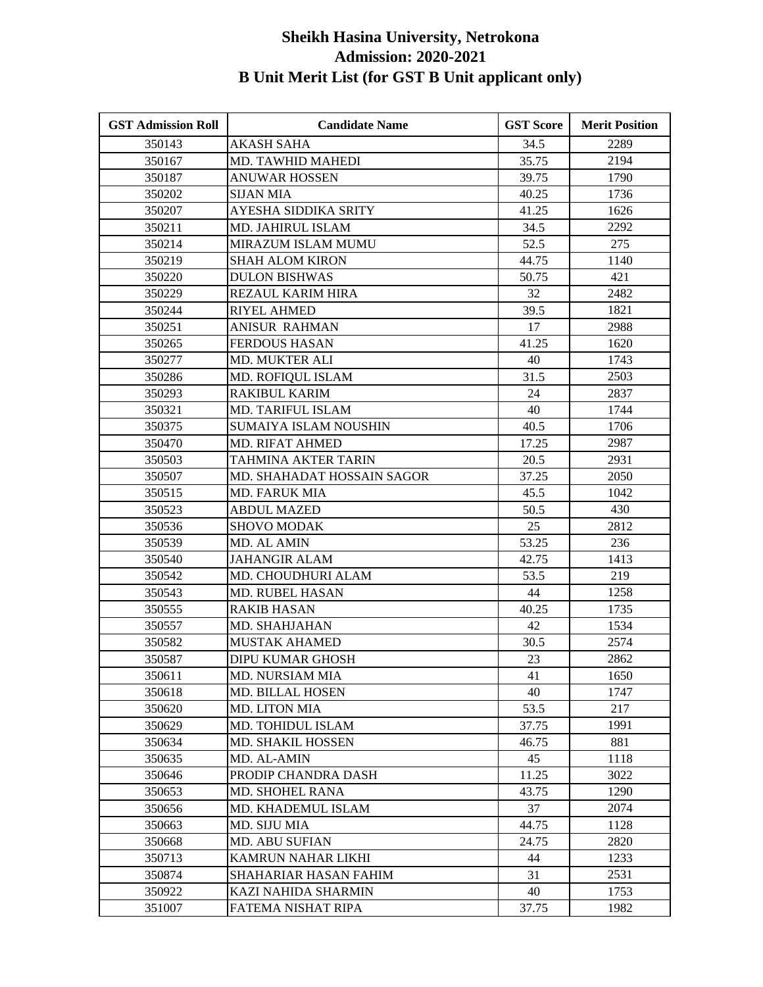| <b>GST Admission Roll</b> | <b>Candidate Name</b>      | <b>GST Score</b> | <b>Merit Position</b> |
|---------------------------|----------------------------|------------------|-----------------------|
| 350143                    | <b>AKASH SAHA</b>          | 34.5             | 2289                  |
| 350167                    | MD. TAWHID MAHEDI          | 35.75            | 2194                  |
| 350187                    | ANUWAR HOSSEN              | 39.75            | 1790                  |
| 350202                    | <b>SIJAN MIA</b>           | 40.25            | 1736                  |
| 350207                    | AYESHA SIDDIKA SRITY       | 41.25            | 1626                  |
| 350211                    | MD. JAHIRUL ISLAM          | 34.5             | 2292                  |
| 350214                    | MIRAZUM ISLAM MUMU         | 52.5             | 275                   |
| 350219                    | <b>SHAH ALOM KIRON</b>     | 44.75            | 1140                  |
| 350220                    | <b>DULON BISHWAS</b>       | 50.75            | 421                   |
| 350229                    | REZAUL KARIM HIRA          | 32               | 2482                  |
| 350244                    | <b>RIYEL AHMED</b>         | 39.5             | 1821                  |
| 350251                    | ANISUR RAHMAN              | 17               | 2988                  |
| 350265                    | <b>FERDOUS HASAN</b>       | 41.25            | 1620                  |
| 350277                    | MD. MUKTER ALI             | 40               | 1743                  |
| 350286                    | MD. ROFIQUL ISLAM          | 31.5             | 2503                  |
| 350293                    | <b>RAKIBUL KARIM</b>       | 24               | 2837                  |
| 350321                    | MD. TARIFUL ISLAM          | 40               | 1744                  |
| 350375                    | SUMAIYA ISLAM NOUSHIN      | 40.5             | 1706                  |
| 350470                    | <b>MD. RIFAT AHMED</b>     | 17.25            | 2987                  |
| 350503                    | TAHMINA AKTER TARIN        | 20.5             | 2931                  |
| 350507                    | MD. SHAHADAT HOSSAIN SAGOR | 37.25            | 2050                  |
| 350515                    | MD. FARUK MIA              | 45.5             | 1042                  |
| 350523                    | <b>ABDUL MAZED</b>         | 50.5             | 430                   |
| 350536                    | <b>SHOVO MODAK</b>         | 25               | 2812                  |
| 350539                    | MD. AL AMIN                | 53.25            | 236                   |
| 350540                    | <b>JAHANGIR ALAM</b>       | 42.75            | 1413                  |
| 350542                    | MD. CHOUDHURI ALAM         | 53.5             | 219                   |
| 350543                    | <b>MD. RUBEL HASAN</b>     | 44               | 1258                  |
| 350555                    | <b>RAKIB HASAN</b>         | 40.25            | 1735                  |
| 350557                    | MD. SHAHJAHAN              | 42               | 1534                  |
| 350582                    | <b>MUSTAK AHAMED</b>       | 30.5             | 2574                  |
| 350587                    | DIPU KUMAR GHOSH           | 23               | 2862                  |
| 350611                    | MD. NURSIAM MIA            | 41               | 1650                  |
| 350618                    | <b>MD. BILLAL HOSEN</b>    | 40               | 1747                  |
| 350620                    | <b>MD. LITON MIA</b>       | 53.5             | 217                   |
| 350629                    | MD. TOHIDUL ISLAM          | 37.75            | 1991                  |
| 350634                    | MD. SHAKIL HOSSEN          | 46.75            | 881                   |
| 350635                    | MD. AL-AMIN                | 45               | 1118                  |
| 350646                    | PRODIP CHANDRA DASH        | 11.25            | 3022                  |
| 350653                    | <b>MD. SHOHEL RANA</b>     | 43.75            | 1290                  |
| 350656                    | MD. KHADEMUL ISLAM         | 37               | 2074                  |
| 350663                    | MD. SIJU MIA               | 44.75            | 1128                  |
| 350668                    | <b>MD. ABU SUFIAN</b>      | 24.75            | 2820                  |
| 350713                    | <b>KAMRUN NAHAR LIKHI</b>  | 44               | 1233                  |
| 350874                    | SHAHARIAR HASAN FAHIM      | 31               | 2531                  |
| 350922                    | KAZI NAHIDA SHARMIN        | 40               | 1753                  |
| 351007                    | FATEMA NISHAT RIPA         | 37.75            | 1982                  |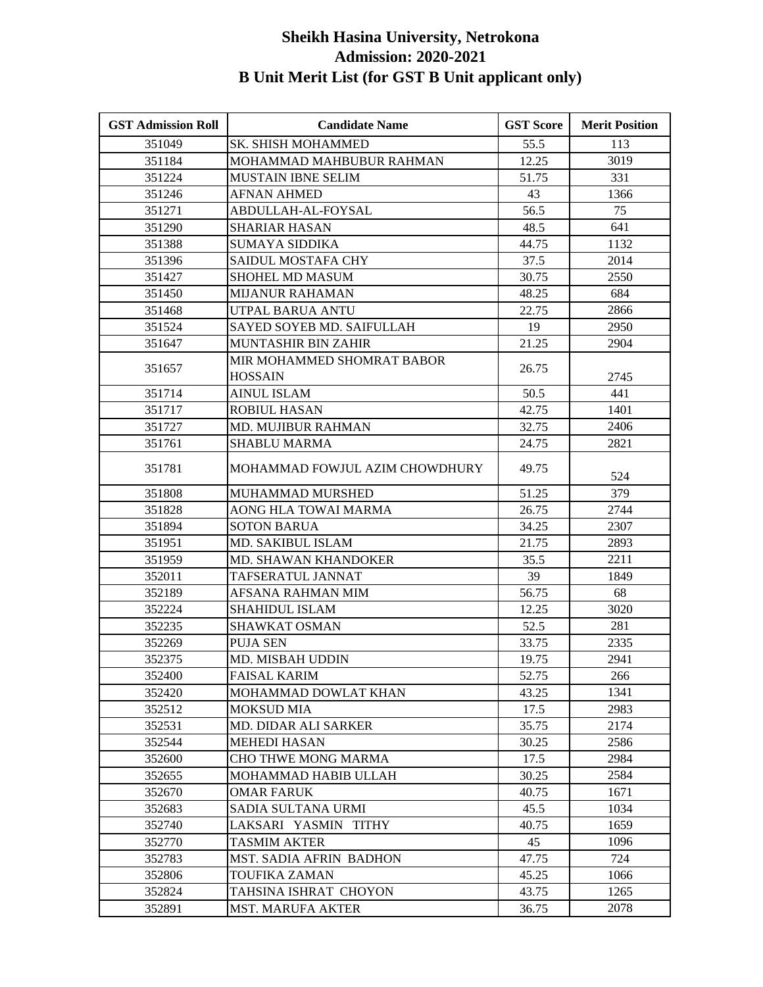| <b>GST Admission Roll</b> | <b>Candidate Name</b>          | <b>GST Score</b> | <b>Merit Position</b> |
|---------------------------|--------------------------------|------------------|-----------------------|
| 351049                    | <b>SK. SHISH MOHAMMED</b>      | 55.5             | 113                   |
| 351184                    | MOHAMMAD MAHBUBUR RAHMAN       | 12.25            | 3019                  |
| 351224                    | <b>MUSTAIN IBNE SELIM</b>      | 51.75            | 331                   |
| 351246                    | <b>AFNAN AHMED</b>             | 43               | 1366                  |
| 351271                    | ABDULLAH-AL-FOYSAL             | 56.5             | 75                    |
| 351290                    | <b>SHARIAR HASAN</b>           | 48.5             | 641                   |
| 351388                    | <b>SUMAYA SIDDIKA</b>          | 44.75            | 1132                  |
| 351396                    | SAIDUL MOSTAFA CHY             | 37.5             | 2014                  |
| 351427                    | SHOHEL MD MASUM                | 30.75            | 2550                  |
| 351450                    | <b>MIJANUR RAHAMAN</b>         | 48.25            | 684                   |
| 351468                    | UTPAL BARUA ANTU               | 22.75            | 2866                  |
| 351524                    | SAYED SOYEB MD. SAIFULLAH      | 19               | 2950                  |
| 351647                    | MUNTASHIR BIN ZAHIR            | 21.25            | 2904                  |
|                           | MIR MOHAMMED SHOMRAT BABOR     |                  |                       |
| 351657                    | <b>HOSSAIN</b>                 | 26.75            | 2745                  |
| 351714                    | <b>AINUL ISLAM</b>             | 50.5             | 441                   |
| 351717                    | <b>ROBIUL HASAN</b>            | 42.75            | 1401                  |
| 351727                    | <b>MD. MUJIBUR RAHMAN</b>      | 32.75            | 2406                  |
| 351761                    | <b>SHABLU MARMA</b>            | 24.75            | 2821                  |
| 351781                    | MOHAMMAD FOWJUL AZIM CHOWDHURY | 49.75            | 524                   |
| 351808                    | MUHAMMAD MURSHED               | 51.25            | 379                   |
| 351828                    | AONG HLA TOWAI MARMA           | 26.75            | 2744                  |
| 351894                    | <b>SOTON BARUA</b>             | 34.25            | 2307                  |
| 351951                    | MD. SAKIBUL ISLAM              | 21.75            | 2893                  |
| 351959                    | <b>MD. SHAWAN KHANDOKER</b>    | 35.5             | 2211                  |
| 352011                    | TAFSERATUL JANNAT              | 39               | 1849                  |
| 352189                    | AFSANA RAHMAN MIM              | 56.75            | 68                    |
| 352224                    | <b>SHAHIDUL ISLAM</b>          | 12.25            | 3020                  |
| 352235                    | SHAWKAT OSMAN                  | 52.5             | 281                   |
| 352269                    | <b>PUJA SEN</b>                | 33.75            | 2335                  |
| 352375                    | MD. MISBAH UDDIN               | 19.75            | 2941                  |
| 352400                    | <b>FAISAL KARIM</b>            | 52.75            | 266                   |
| 352420                    | MOHAMMAD DOWLAT KHAN           | 43.25            | 1341                  |
| 352512                    | <b>MOKSUD MIA</b>              | 17.5             | 2983                  |
| 352531                    | MD. DIDAR ALI SARKER           | 35.75            | 2174                  |
| 352544                    | <b>MEHEDI HASAN</b>            | 30.25            | 2586                  |
| 352600                    | CHO THWE MONG MARMA            | 17.5             | 2984                  |
| 352655                    | MOHAMMAD HABIB ULLAH           | 30.25            | 2584                  |
| 352670                    | <b>OMAR FARUK</b>              | 40.75            | 1671                  |
| 352683                    | SADIA SULTANA URMI             | 45.5             | 1034                  |
| 352740                    | LAKSARI YASMIN TITHY           | 40.75            | 1659                  |
| 352770                    | <b>TASMIM AKTER</b>            | 45               | 1096                  |
| 352783                    | MST. SADIA AFRIN BADHON        | 47.75            | 724                   |
| 352806                    | TOUFIKA ZAMAN                  | 45.25            | 1066                  |
| 352824                    | TAHSINA ISHRAT CHOYON          | 43.75            | 1265                  |
| 352891                    | <b>MST. MARUFA AKTER</b>       | 36.75            | 2078                  |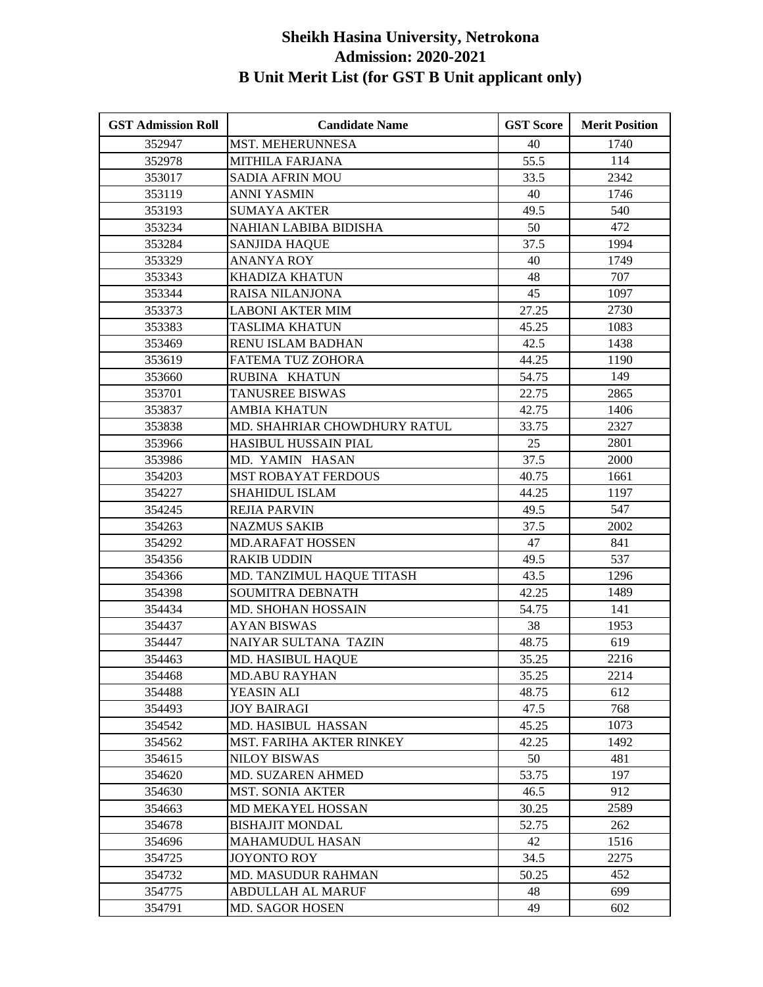| <b>GST Admission Roll</b> | <b>Candidate Name</b>           | <b>GST Score</b> | <b>Merit Position</b> |
|---------------------------|---------------------------------|------------------|-----------------------|
| 352947                    | <b>MST. MEHERUNNESA</b>         | 40               | 1740                  |
| 352978                    | <b>MITHILA FARJANA</b>          | 55.5             | 114                   |
| 353017                    | SADIA AFRIN MOU                 | 33.5             | 2342                  |
| 353119                    | <b>ANNI YASMIN</b>              | 40               | 1746                  |
| 353193                    | <b>SUMAYA AKTER</b>             | 49.5             | 540                   |
| 353234                    | NAHIAN LABIBA BIDISHA           | 50               | 472                   |
| 353284                    | <b>SANJIDA HAQUE</b>            | 37.5             | 1994                  |
| 353329                    | <b>ANANYA ROY</b>               | 40               | 1749                  |
| 353343                    | KHADIZA KHATUN                  | 48               | 707                   |
| 353344                    | <b>RAISA NILANJONA</b>          | 45               | 1097                  |
| 353373                    | <b>LABONI AKTER MIM</b>         | 27.25            | 2730                  |
| 353383                    | <b>TASLIMA KHATUN</b>           | 45.25            | 1083                  |
| 353469                    | RENU ISLAM BADHAN               | 42.5             | 1438                  |
| 353619                    | FATEMA TUZ ZOHORA               | 44.25            | 1190                  |
| 353660                    | RUBINA KHATUN                   | 54.75            | 149                   |
| 353701                    | <b>TANUSREE BISWAS</b>          | 22.75            | 2865                  |
| 353837                    | <b>AMBIA KHATUN</b>             | 42.75            | 1406                  |
| 353838                    | MD. SHAHRIAR CHOWDHURY RATUL    | 33.75            | 2327                  |
| 353966                    | HASIBUL HUSSAIN PIAL            | 25               | 2801                  |
| 353986                    | MD. YAMIN HASAN                 | 37.5             | 2000                  |
| 354203                    | <b>MST ROBAYAT FERDOUS</b>      | 40.75            | 1661                  |
| 354227                    | SHAHIDUL ISLAM                  | 44.25            | 1197                  |
| 354245                    | <b>REJIA PARVIN</b>             | 49.5             | 547                   |
| 354263                    | <b>NAZMUS SAKIB</b>             | 37.5             | 2002                  |
| 354292                    | <b>MD.ARAFAT HOSSEN</b>         | 47               | 841                   |
| 354356                    | <b>RAKIB UDDIN</b>              | 49.5             | 537                   |
| 354366                    | MD. TANZIMUL HAQUE TITASH       | 43.5             | 1296                  |
| 354398                    | SOUMITRA DEBNATH                | 42.25            | 1489                  |
| 354434                    | MD. SHOHAN HOSSAIN              | 54.75            | 141                   |
| 354437                    | <b>AYAN BISWAS</b>              | 38               | 1953                  |
| 354447                    | NAIYAR SULTANA TAZIN            | 48.75            | 619                   |
| 354463                    | <b>MD. HASIBUL HAQUE</b>        | 35.25            | 2216                  |
| 354468                    | <b>MD.ABU RAYHAN</b>            | 35.25            | 2214                  |
| 354488                    | YEASIN ALI                      | 48.75            | 612                   |
| 354493                    | <b>JOY BAIRAGI</b>              | 47.5             | 768                   |
| 354542                    | MD. HASIBUL HASSAN              | 45.25            | 1073                  |
| 354562                    | <b>MST. FARIHA AKTER RINKEY</b> | 42.25            | 1492                  |
| 354615                    | <b>NILOY BISWAS</b>             | 50               | 481                   |
| 354620                    | <b>MD. SUZAREN AHMED</b>        | 53.75            | 197                   |
| 354630                    | <b>MST. SONIA AKTER</b>         | 46.5             | 912                   |
| 354663                    | MD MEKAYEL HOSSAN               | 30.25            | 2589                  |
| 354678                    | <b>BISHAJIT MONDAL</b>          | 52.75            | 262                   |
| 354696                    | <b>MAHAMUDUL HASAN</b>          | 42               | 1516                  |
| 354725                    | <b>JOYONTO ROY</b>              | 34.5             | 2275                  |
| 354732                    | MD. MASUDUR RAHMAN              | 50.25            | 452                   |
| 354775                    | <b>ABDULLAH AL MARUF</b>        | 48               | 699                   |
| 354791                    | <b>MD. SAGOR HOSEN</b>          | 49               | 602                   |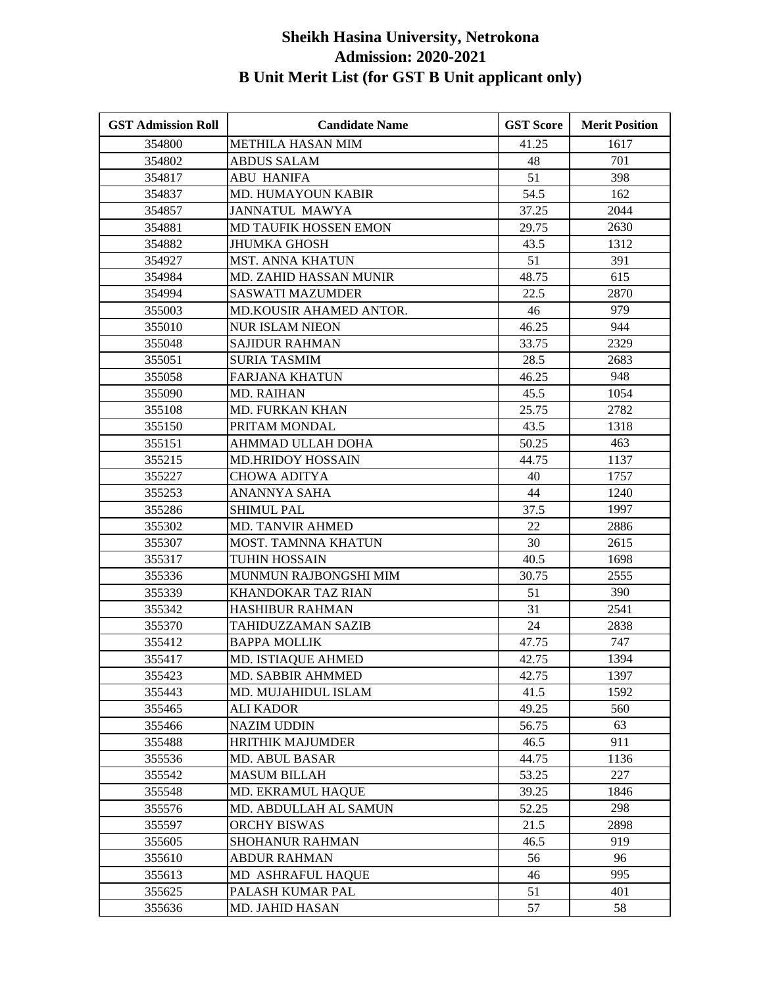| <b>GST Admission Roll</b> | <b>Candidate Name</b>     | <b>GST Score</b> | <b>Merit Position</b> |
|---------------------------|---------------------------|------------------|-----------------------|
| 354800                    | <b>METHILA HASAN MIM</b>  | 41.25            | 1617                  |
| 354802                    | <b>ABDUS SALAM</b>        | 48               | 701                   |
| 354817                    | <b>ABU HANIFA</b>         | 51               | 398                   |
| 354837                    | MD. HUMAYOUN KABIR        | 54.5             | 162                   |
| 354857                    | <b>JANNATUL MAWYA</b>     | 37.25            | 2044                  |
| 354881                    | MD TAUFIK HOSSEN EMON     | 29.75            | 2630                  |
| 354882                    | <b>JHUMKA GHOSH</b>       | 43.5             | 1312                  |
| 354927                    | <b>MST. ANNA KHATUN</b>   | 51               | 391                   |
| 354984                    | MD. ZAHID HASSAN MUNIR    | 48.75            | 615                   |
| 354994                    | <b>SASWATI MAZUMDER</b>   | 22.5             | 2870                  |
| 355003                    | MD.KOUSIR AHAMED ANTOR.   | 46               | 979                   |
| 355010                    | <b>NUR ISLAM NIEON</b>    | 46.25            | 944                   |
| 355048                    | <b>SAJIDUR RAHMAN</b>     | 33.75            | 2329                  |
| 355051                    | <b>SURIA TASMIM</b>       | 28.5             | 2683                  |
| 355058                    | <b>FARJANA KHATUN</b>     | 46.25            | 948                   |
| 355090                    | <b>MD. RAIHAN</b>         | 45.5             | 1054                  |
| 355108                    | <b>MD. FURKAN KHAN</b>    | 25.75            | 2782                  |
| 355150                    | PRITAM MONDAL             | 43.5             | 1318                  |
| 355151                    | AHMMAD ULLAH DOHA         | 50.25            | 463                   |
| 355215                    | <b>MD.HRIDOY HOSSAIN</b>  | 44.75            | 1137                  |
| 355227                    | <b>CHOWA ADITYA</b>       | 40               | 1757                  |
| 355253                    | ANANNYA SAHA              | 44               | 1240                  |
| 355286                    | <b>SHIMUL PAL</b>         | 37.5             | 1997                  |
| 355302                    | <b>MD. TANVIR AHMED</b>   | 22               | 2886                  |
| 355307                    | MOST. TAMNNA KHATUN       | 30               | 2615                  |
| 355317                    | TUHIN HOSSAIN             | 40.5             | 1698                  |
| 355336                    | MUNMUN RAJBONGSHI MIM     | 30.75            | 2555                  |
| 355339                    | <b>KHANDOKAR TAZ RIAN</b> | 51               | 390                   |
| 355342                    | HASHIBUR RAHMAN           | 31               | 2541                  |
| 355370                    | <b>TAHIDUZZAMAN SAZIB</b> | 24               | 2838                  |
| 355412                    | <b>BAPPA MOLLIK</b>       | 47.75            | 747                   |
| 355417                    | MD. ISTIAQUE AHMED        | 42.75            | 1394                  |
| 355423                    | MD. SABBIR AHMMED         | 42.75            | 1397                  |
| 355443                    | MD. MUJAHIDUL ISLAM       | 41.5             | 1592                  |
| 355465                    | <b>ALI KADOR</b>          | 49.25            | 560                   |
| 355466                    | <b>NAZIM UDDIN</b>        | 56.75            | 63                    |
| 355488                    | <b>HRITHIK MAJUMDER</b>   | 46.5             | 911                   |
| 355536                    | <b>MD. ABUL BASAR</b>     | 44.75            | 1136                  |
| 355542                    | <b>MASUM BILLAH</b>       | 53.25            | 227                   |
| 355548                    | MD. EKRAMUL HAQUE         | 39.25            | 1846                  |
| 355576                    | MD. ABDULLAH AL SAMUN     | 52.25            | 298                   |
| 355597                    | <b>ORCHY BISWAS</b>       | 21.5             | 2898                  |
| 355605                    | <b>SHOHANUR RAHMAN</b>    | 46.5             | 919                   |
| 355610                    | <b>ABDUR RAHMAN</b>       | 56               | 96                    |
| 355613                    | MD ASHRAFUL HAQUE         | 46               | 995                   |
| 355625                    | PALASH KUMAR PAL          | 51               | 401                   |
| 355636                    | MD. JAHID HASAN           | 57               | 58                    |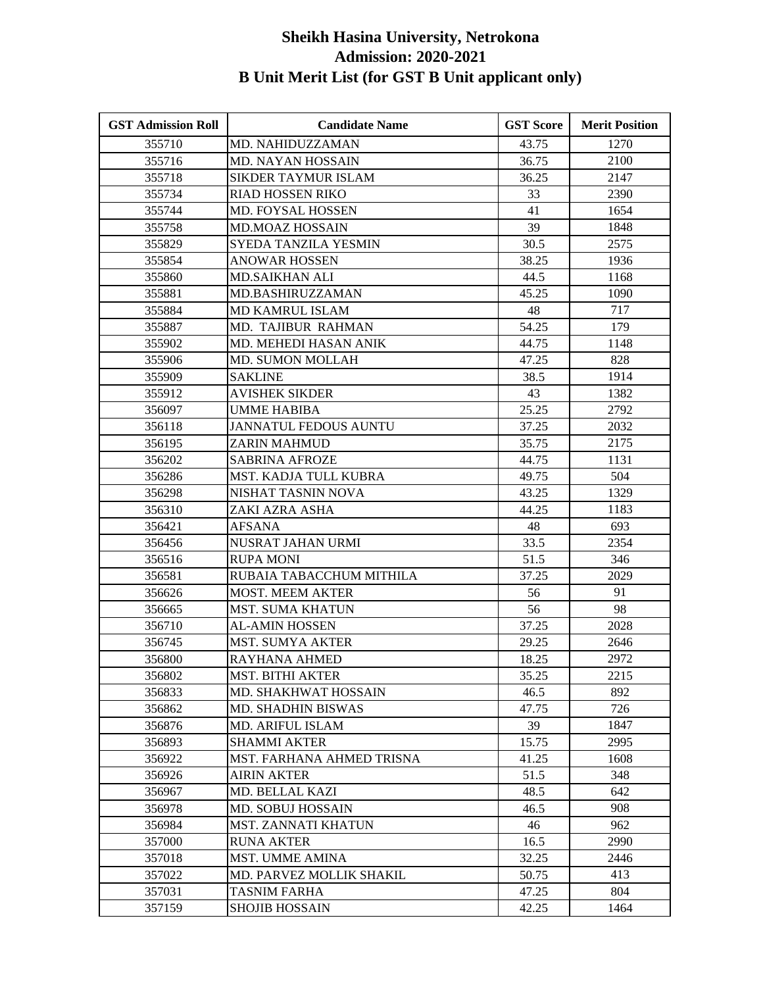| <b>GST Admission Roll</b> | <b>Candidate Name</b>           | <b>GST Score</b> | <b>Merit Position</b> |
|---------------------------|---------------------------------|------------------|-----------------------|
| 355710                    | MD. NAHIDUZZAMAN                | 43.75            | 1270                  |
| 355716                    | MD. NAYAN HOSSAIN               | 36.75            | 2100                  |
| 355718                    | SIKDER TAYMUR ISLAM             | 36.25            | 2147                  |
| 355734                    | RIAD HOSSEN RIKO                | 33               | 2390                  |
| 355744                    | <b>MD. FOYSAL HOSSEN</b>        | 41               | 1654                  |
| 355758                    | <b>MD.MOAZ HOSSAIN</b>          | 39               | 1848                  |
| 355829                    | SYEDA TANZILA YESMIN            | 30.5             | 2575                  |
| 355854                    | ANOWAR HOSSEN                   | 38.25            | 1936                  |
| 355860                    | <b>MD.SAIKHAN ALI</b>           | 44.5             | 1168                  |
| 355881                    | MD.BASHIRUZZAMAN                | 45.25            | 1090                  |
| 355884                    | MD KAMRUL ISLAM                 | 48               | 717                   |
| 355887                    | MD. TAJIBUR RAHMAN              | 54.25            | 179                   |
| 355902                    | MD. MEHEDI HASAN ANIK           | 44.75            | 1148                  |
| 355906                    | MD. SUMON MOLLAH                | 47.25            | 828                   |
| 355909                    | <b>SAKLINE</b>                  | 38.5             | 1914                  |
| 355912                    | <b>AVISHEK SIKDER</b>           | 43               | 1382                  |
| 356097                    | <b>UMME HABIBA</b>              | 25.25            | 2792                  |
| 356118                    | <b>JANNATUL FEDOUS AUNTU</b>    | 37.25            | 2032                  |
| 356195                    | <b>ZARIN MAHMUD</b>             | 35.75            | 2175                  |
| 356202                    | <b>SABRINA AFROZE</b>           | 44.75            | 1131                  |
| 356286                    | MST. KADJA TULL KUBRA           | 49.75            | 504                   |
| 356298                    | NISHAT TASNIN NOVA              | 43.25            | 1329                  |
| 356310                    | ZAKI AZRA ASHA                  | 44.25            | 1183                  |
| 356421                    | <b>AFSANA</b>                   | 48               | 693                   |
| 356456                    | NUSRAT JAHAN URMI               | 33.5             | 2354                  |
| 356516                    | <b>RUPA MONI</b>                | 51.5             | 346                   |
| 356581                    | RUBAIA TABACCHUM MITHILA        | 37.25            | 2029                  |
| 356626                    | <b>MOST. MEEM AKTER</b>         | 56               | 91                    |
| 356665                    | <b>MST. SUMA KHATUN</b>         | 56               | 98                    |
| 356710                    | <b>AL-AMIN HOSSEN</b>           | 37.25            | 2028                  |
| 356745                    | MST. SUMYA AKTER                | 29.25            | 2646                  |
| 356800                    | RAYHANA AHMED                   | 18.25            | 2972                  |
| 356802                    | <b>MST. BITHI AKTER</b>         | 35.25            | 2215                  |
| 356833                    | MD. SHAKHWAT HOSSAIN            | 46.5             | 892                   |
| 356862                    | <b>MD. SHADHIN BISWAS</b>       | 47.75            | 726                   |
| 356876                    | <b>MD. ARIFUL ISLAM</b>         | 39               | 1847                  |
| 356893                    | <b>SHAMMI AKTER</b>             | 15.75            | 2995                  |
| 356922                    | MST. FARHANA AHMED TRISNA       | 41.25            | 1608                  |
| 356926                    | <b>AIRIN AKTER</b>              | 51.5             | 348                   |
| 356967                    | MD. BELLAL KAZI                 | 48.5             | 642                   |
| 356978                    | <b>MD. SOBUJ HOSSAIN</b>        | 46.5             | 908                   |
| 356984                    | <b>MST. ZANNATI KHATUN</b>      | 46               | 962                   |
| 357000                    | <b>RUNA AKTER</b>               | 16.5             | 2990                  |
| 357018                    | <b>MST. UMME AMINA</b>          | 32.25            | 2446                  |
| 357022                    | <b>MD. PARVEZ MOLLIK SHAKIL</b> | 50.75            | 413                   |
| 357031                    | <b>TASNIM FARHA</b>             | 47.25            | 804                   |
| 357159                    | <b>SHOJIB HOSSAIN</b>           | 42.25            | 1464                  |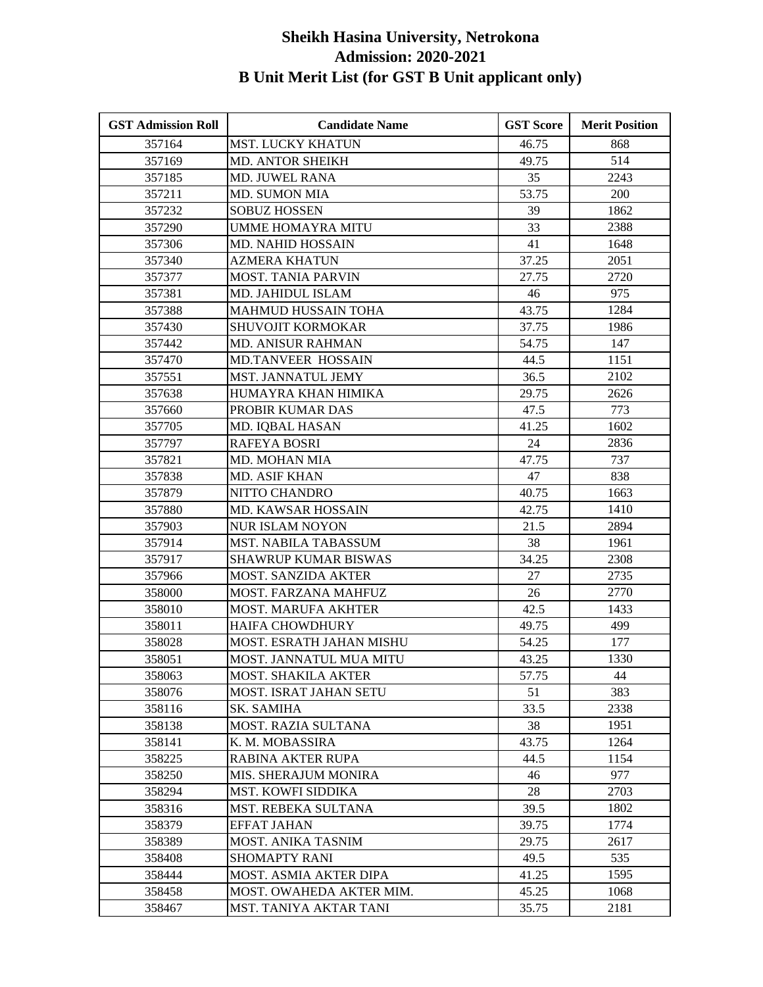| <b>GST Admission Roll</b> | <b>Candidate Name</b>          | <b>GST Score</b> | <b>Merit Position</b> |
|---------------------------|--------------------------------|------------------|-----------------------|
| 357164                    | <b>MST. LUCKY KHATUN</b>       | 46.75            | 868                   |
| 357169                    | <b>MD. ANTOR SHEIKH</b>        | 49.75            | 514                   |
| 357185                    | <b>MD. JUWEL RANA</b>          | 35               | 2243                  |
| 357211                    | <b>MD. SUMON MIA</b>           | 53.75            | 200                   |
| 357232                    | <b>SOBUZ HOSSEN</b>            | 39               | 1862                  |
| 357290                    | <b>UMME HOMAYRA MITU</b>       | 33               | 2388                  |
| 357306                    | MD. NAHID HOSSAIN              | 41               | 1648                  |
| 357340                    | <b>AZMERA KHATUN</b>           | 37.25            | 2051                  |
| 357377                    | <b>MOST. TANIA PARVIN</b>      | 27.75            | 2720                  |
| 357381                    | MD. JAHIDUL ISLAM              | 46               | 975                   |
| 357388                    | <b>MAHMUD HUSSAIN TOHA</b>     | 43.75            | 1284                  |
| 357430                    | <b>SHUVOJIT KORMOKAR</b>       | 37.75            | 1986                  |
| 357442                    | <b>MD. ANISUR RAHMAN</b>       | 54.75            | 147                   |
| 357470                    | MD.TANVEER HOSSAIN             | 44.5             | 1151                  |
| 357551                    | MST. JANNATUL JEMY             | 36.5             | 2102                  |
| 357638                    | HUMAYRA KHAN HIMIKA            | 29.75            | 2626                  |
| 357660                    | PROBIR KUMAR DAS               | 47.5             | 773                   |
| 357705                    | MD. IQBAL HASAN                | 41.25            | 1602                  |
| 357797                    | <b>RAFEYA BOSRI</b>            | 24               | 2836                  |
| 357821                    | MD. MOHAN MIA                  | 47.75            | 737                   |
| 357838                    | MD. ASIF KHAN                  | 47               | 838                   |
| 357879                    | NITTO CHANDRO                  | 40.75            | 1663                  |
| 357880                    | MD. KAWSAR HOSSAIN             | 42.75            | 1410                  |
| 357903                    | <b>NUR ISLAM NOYON</b>         | 21.5             | 2894                  |
| 357914                    | MST. NABILA TABASSUM           | 38               | 1961                  |
| 357917                    | <b>SHAWRUP KUMAR BISWAS</b>    | 34.25            | 2308                  |
| 357966                    | MOST. SANZIDA AKTER            | 27               | 2735                  |
| 358000                    | MOST. FARZANA MAHFUZ           | 26               | 2770                  |
| 358010                    | <b>MOST. MARUFA AKHTER</b>     | 42.5             | 1433                  |
| 358011                    | <b>HAIFA CHOWDHURY</b>         | 49.75            | 499                   |
| 358028                    | MOST. ESRATH JAHAN MISHU       | 54.25            | 177                   |
| 358051                    | <b>MOST. JANNATUL MUA MITU</b> | 43.25            | 1330                  |
| 358063                    | MOST. SHAKILA AKTER            | 57.75            | 44                    |
| 358076                    | MOST. ISRAT JAHAN SETU         | 51               | 383                   |
| 358116                    | SK. SAMIHA                     | 33.5             | 2338                  |
| 358138                    | MOST. RAZIA SULTANA            | 38               | 1951                  |
| 358141                    | K. M. MOBASSIRA                | 43.75            | 1264                  |
| 358225                    | RABINA AKTER RUPA              | 44.5             | 1154                  |
| 358250                    | MIS. SHERAJUM MONIRA           | 46               | 977                   |
| 358294                    | <b>MST. KOWFI SIDDIKA</b>      | 28               | 2703                  |
| 358316                    | MST. REBEKA SULTANA            | 39.5             | 1802                  |
| 358379                    | <b>EFFAT JAHAN</b>             | 39.75            | 1774                  |
| 358389                    | MOST. ANIKA TASNIM             | 29.75            | 2617                  |
| 358408                    | <b>SHOMAPTY RANI</b>           | 49.5             | 535                   |
| 358444                    | MOST. ASMIA AKTER DIPA         | 41.25            | 1595                  |
| 358458                    | MOST. OWAHEDA AKTER MIM.       | 45.25            | 1068                  |
| 358467                    | <b>MST. TANIYA AKTAR TANI</b>  | 35.75            | 2181                  |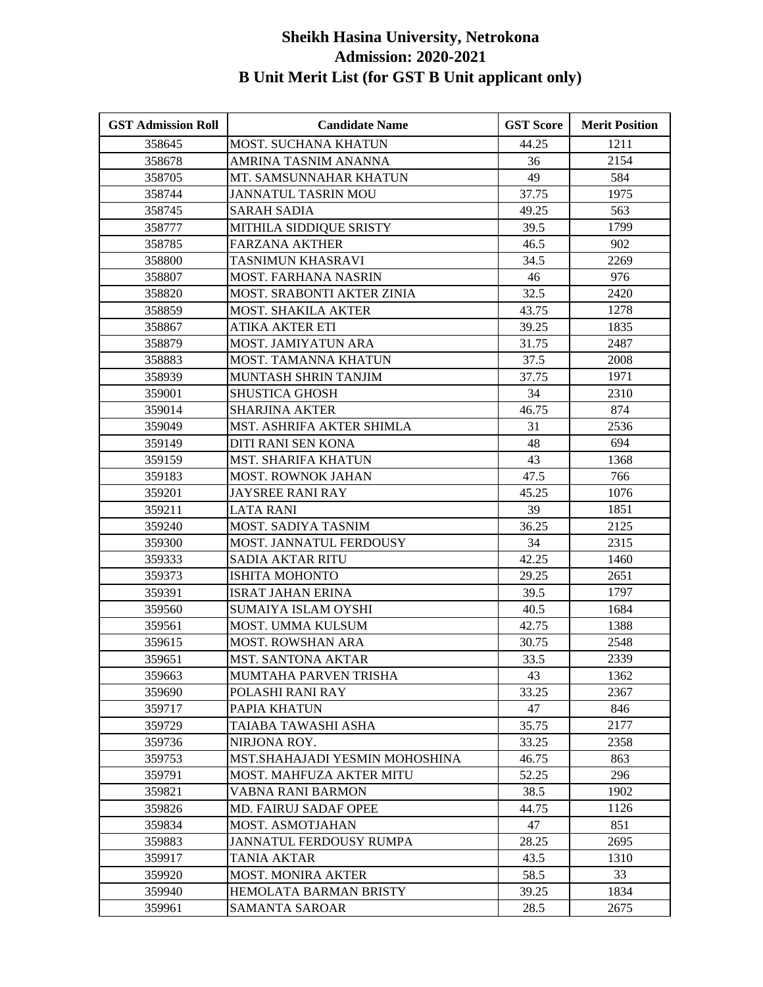| <b>GST Admission Roll</b> | <b>Candidate Name</b>          | <b>GST Score</b> | <b>Merit Position</b> |
|---------------------------|--------------------------------|------------------|-----------------------|
| 358645                    | MOST. SUCHANA KHATUN           | 44.25            | 1211                  |
| 358678                    | AMRINA TASNIM ANANNA           | 36               | 2154                  |
| 358705                    | MT. SAMSUNNAHAR KHATUN         | 49               | 584                   |
| 358744                    | <b>JANNATUL TASRIN MOU</b>     | 37.75            | 1975                  |
| 358745                    | <b>SARAH SADIA</b>             | 49.25            | 563                   |
| 358777                    | MITHILA SIDDIQUE SRISTY        | 39.5             | 1799                  |
| 358785                    | <b>FARZANA AKTHER</b>          | 46.5             | 902                   |
| 358800                    | TASNIMUN KHASRAVI              | 34.5             | 2269                  |
| 358807                    | MOST. FARHANA NASRIN           | 46               | 976                   |
| 358820                    | MOST. SRABONTI AKTER ZINIA     | 32.5             | 2420                  |
| 358859                    | <b>MOST. SHAKILA AKTER</b>     | 43.75            | 1278                  |
| 358867                    | ATIKA AKTER ETI                | 39.25            | 1835                  |
| 358879                    | MOST. JAMIYATUN ARA            | 31.75            | 2487                  |
| 358883                    | <b>MOST. TAMANNA KHATUN</b>    | 37.5             | 2008                  |
| 358939                    | MUNTASH SHRIN TANJIM           | 37.75            | 1971                  |
| 359001                    | <b>SHUSTICA GHOSH</b>          | 34               | 2310                  |
| 359014                    | <b>SHARJINA AKTER</b>          | 46.75            | 874                   |
| 359049                    | MST. ASHRIFA AKTER SHIMLA      | 31               | 2536                  |
| 359149                    | <b>DITI RANI SEN KONA</b>      | 48               | 694                   |
| 359159                    | <b>MST. SHARIFA KHATUN</b>     | 43               | 1368                  |
| 359183                    | <b>MOST. ROWNOK JAHAN</b>      | 47.5             | 766                   |
| 359201                    | <b>JAYSREE RANI RAY</b>        | 45.25            | 1076                  |
| 359211                    | <b>LATA RANI</b>               | 39               | 1851                  |
| 359240                    | MOST. SADIYA TASNIM            | 36.25            | 2125                  |
| 359300                    | MOST. JANNATUL FERDOUSY        | 34               | 2315                  |
| 359333                    | <b>SADIA AKTAR RITU</b>        | 42.25            | 1460                  |
| 359373                    | ISHITA MOHONTO                 | 29.25            | 2651                  |
| 359391                    | <b>ISRAT JAHAN ERINA</b>       | 39.5             | 1797                  |
| 359560                    | <b>SUMAIYA ISLAM OYSHI</b>     | 40.5             | 1684                  |
| 359561                    | MOST. UMMA KULSUM              | 42.75            | 1388                  |
| 359615                    | <b>MOST. ROWSHAN ARA</b>       | 30.75            | 2548                  |
| 359651                    | <b>MST. SANTONA AKTAR</b>      | 33.5             | 2339                  |
| 359663                    | MUMTAHA PARVEN TRISHA          | 43               | 1362                  |
| 359690                    | POLASHI RANI RAY               | 33.25            | 2367                  |
| 359717                    | PAPIA KHATUN                   | 47               | 846                   |
| 359729                    | TAIABA TAWASHI ASHA            | 35.75            | 2177                  |
| 359736                    | NIRJONA ROY.                   | 33.25            | 2358                  |
| 359753                    | MST.SHAHAJADI YESMIN MOHOSHINA | 46.75            | 863                   |
| 359791                    | MOST. MAHFUZA AKTER MITU       | 52.25            | 296                   |
| 359821                    | VABNA RANI BARMON              | 38.5             | 1902                  |
| 359826                    | <b>MD. FAIRUJ SADAF OPEE</b>   | 44.75            | 1126                  |
| 359834                    | <b>MOST. ASMOTJAHAN</b>        | 47               | 851                   |
| 359883                    | JANNATUL FERDOUSY RUMPA        | 28.25            | 2695                  |
| 359917                    | TANIA AKTAR                    | 43.5             | 1310                  |
| 359920                    | <b>MOST. MONIRA AKTER</b>      | 58.5             | 33                    |
| 359940                    | <b>HEMOLATA BARMAN BRISTY</b>  | 39.25            | 1834                  |
| 359961                    | SAMANTA SAROAR                 | 28.5             | 2675                  |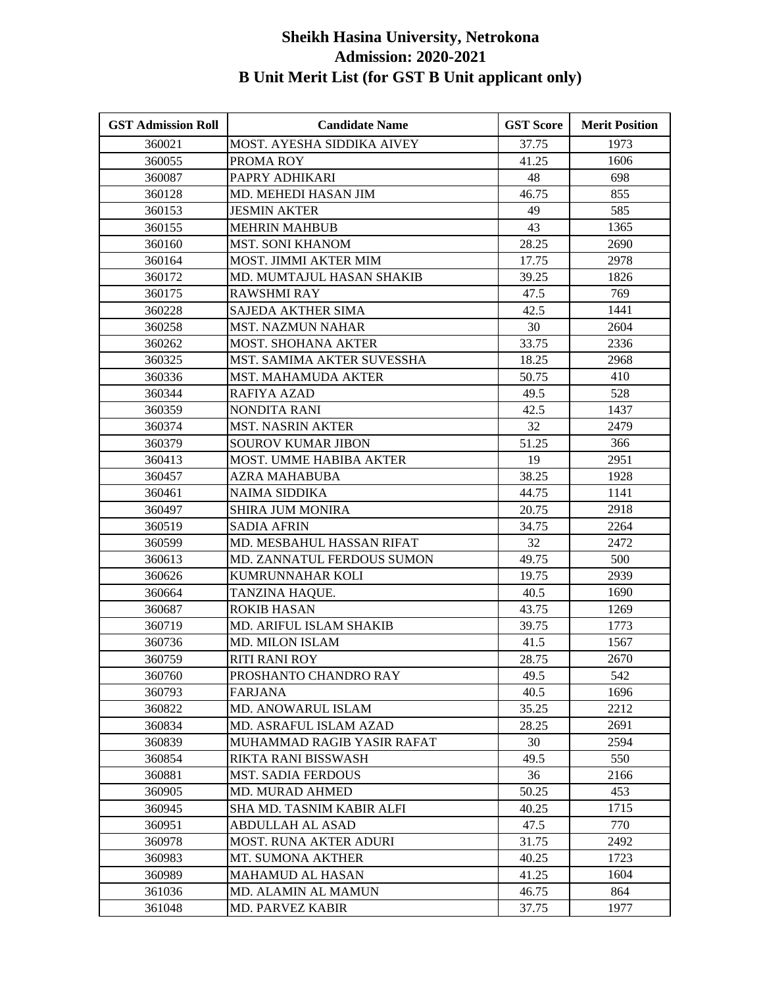| <b>GST Admission Roll</b> | <b>Candidate Name</b>         | <b>GST Score</b> | <b>Merit Position</b> |
|---------------------------|-------------------------------|------------------|-----------------------|
| 360021                    | MOST. AYESHA SIDDIKA AIVEY    | 37.75            | 1973                  |
| 360055                    | PROMA ROY                     | 41.25            | 1606                  |
| 360087                    | PAPRY ADHIKARI                | 48               | 698                   |
| 360128                    | MD. MEHEDI HASAN JIM          | 46.75            | 855                   |
| 360153                    | JESMIN AKTER                  | 49               | 585                   |
| 360155                    | <b>MEHRIN MAHBUB</b>          | 43               | 1365                  |
| 360160                    | <b>MST. SONI KHANOM</b>       | 28.25            | 2690                  |
| 360164                    | MOST. JIMMI AKTER MIM         | 17.75            | 2978                  |
| 360172                    | MD. MUMTAJUL HASAN SHAKIB     | 39.25            | 1826                  |
| 360175                    | <b>RAWSHMI RAY</b>            | 47.5             | 769                   |
| 360228                    | <b>SAJEDA AKTHER SIMA</b>     | 42.5             | 1441                  |
| 360258                    | <b>MST. NAZMUN NAHAR</b>      | 30               | 2604                  |
| 360262                    | <b>MOST. SHOHANA AKTER</b>    | 33.75            | 2336                  |
| 360325                    | MST. SAMIMA AKTER SUVESSHA    | 18.25            | 2968                  |
| 360336                    | <b>MST. MAHAMUDA AKTER</b>    | 50.75            | 410                   |
| 360344                    | <b>RAFIYA AZAD</b>            | 49.5             | 528                   |
| 360359                    | <b>NONDITA RANI</b>           | 42.5             | 1437                  |
| 360374                    | <b>MST. NASRIN AKTER</b>      | 32               | 2479                  |
| 360379                    | SOUROV KUMAR JIBON            | 51.25            | 366                   |
| 360413                    | MOST. UMME HABIBA AKTER       | 19               | 2951                  |
| 360457                    | AZRA MAHABUBA                 | 38.25            | 1928                  |
| 360461                    | <b>NAIMA SIDDIKA</b>          | 44.75            | 1141                  |
| 360497                    | <b>SHIRA JUM MONIRA</b>       | 20.75            | 2918                  |
| 360519                    | <b>SADIA AFRIN</b>            | 34.75            | 2264                  |
| 360599                    | MD. MESBAHUL HASSAN RIFAT     | 32               | 2472                  |
| 360613                    | MD. ZANNATUL FERDOUS SUMON    | 49.75            | 500                   |
| 360626                    | KUMRUNNAHAR KOLI              | 19.75            | 2939                  |
| 360664                    | TANZINA HAQUE.                | 40.5             | 1690                  |
| 360687                    | <b>ROKIB HASAN</b>            | 43.75            | 1269                  |
| 360719                    | MD. ARIFUL ISLAM SHAKIB       | 39.75            | 1773                  |
| 360736                    | <b>MD. MILON ISLAM</b>        | 41.5             | 1567                  |
| 360759                    | <b>RITI RANI ROY</b>          | 28.75            | 2670                  |
| 360760                    | PROSHANTO CHANDRO RAY         | 49.5             | 542                   |
| 360793                    | <b>FARJANA</b>                | 40.5             | 1696                  |
| 360822                    | MD. ANOWARUL ISLAM            | 35.25            | 2212                  |
| 360834                    | MD. ASRAFUL ISLAM AZAD        | 28.25            | 2691                  |
| 360839                    | MUHAMMAD RAGIB YASIR RAFAT    | 30               | 2594                  |
| 360854                    | RIKTA RANI BISSWASH           | 49.5             | 550                   |
| 360881                    | <b>MST. SADIA FERDOUS</b>     | 36               | 2166                  |
| 360905                    | MD. MURAD AHMED               | 50.25            | 453                   |
| 360945                    | SHA MD. TASNIM KABIR ALFI     | 40.25            | 1715                  |
| 360951                    | <b>ABDULLAH AL ASAD</b>       | 47.5             | 770                   |
| 360978                    | <b>MOST. RUNA AKTER ADURI</b> | 31.75            | 2492                  |
| 360983                    | MT. SUMONA AKTHER             | 40.25            | 1723                  |
| 360989                    | <b>MAHAMUD AL HASAN</b>       | 41.25            | 1604                  |
| 361036                    | MD. ALAMIN AL MAMUN           | 46.75            | 864                   |
| 361048                    | <b>MD. PARVEZ KABIR</b>       | 37.75            | 1977                  |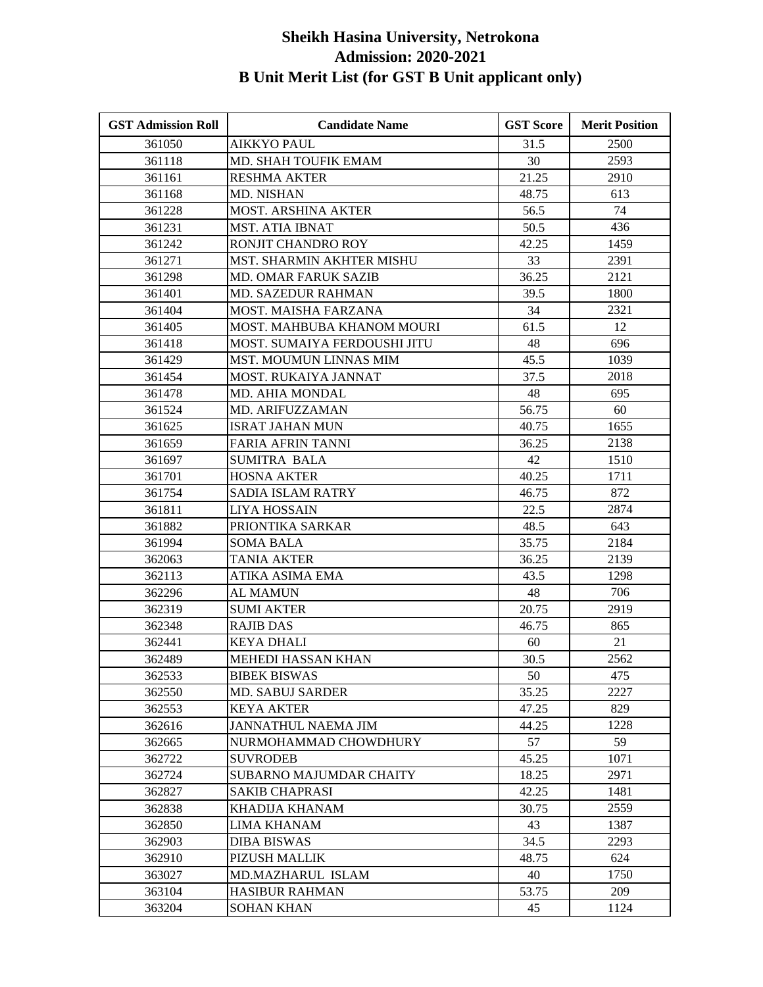| <b>GST Admission Roll</b> | <b>Candidate Name</b>         | <b>GST Score</b> | <b>Merit Position</b> |
|---------------------------|-------------------------------|------------------|-----------------------|
| 361050                    | <b>AIKKYO PAUL</b>            | 31.5             | 2500                  |
| 361118                    | MD. SHAH TOUFIK EMAM          | 30               | 2593                  |
| 361161                    | <b>RESHMA AKTER</b>           | 21.25            | 2910                  |
| 361168                    | <b>MD. NISHAN</b>             | 48.75            | 613                   |
| 361228                    | <b>MOST. ARSHINA AKTER</b>    | 56.5             | 74                    |
| 361231                    | <b>MST. ATIA IBNAT</b>        | 50.5             | 436                   |
| 361242                    | RONJIT CHANDRO ROY            | 42.25            | 1459                  |
| 361271                    | MST. SHARMIN AKHTER MISHU     | 33               | 2391                  |
| 361298                    | <b>MD. OMAR FARUK SAZIB</b>   | 36.25            | 2121                  |
| 361401                    | <b>MD. SAZEDUR RAHMAN</b>     | 39.5             | 1800                  |
| 361404                    | MOST. MAISHA FARZANA          | 34               | 2321                  |
| 361405                    | MOST. MAHBUBA KHANOM MOURI    | 61.5             | 12                    |
| 361418                    | MOST. SUMAIYA FERDOUSHI JITU  | 48               | 696                   |
| 361429                    | <b>MST. MOUMUN LINNAS MIM</b> | 45.5             | 1039                  |
| 361454                    | MOST. RUKAIYA JANNAT          | 37.5             | 2018                  |
| 361478                    | MD. AHIA MONDAL               | 48               | 695                   |
| 361524                    | MD. ARIFUZZAMAN               | 56.75            | 60                    |
| 361625                    | <b>ISRAT JAHAN MUN</b>        | 40.75            | 1655                  |
| 361659                    | <b>FARIA AFRIN TANNI</b>      | 36.25            | 2138                  |
| 361697                    | <b>SUMITRA BALA</b>           | 42               | 1510                  |
| 361701                    | <b>HOSNA AKTER</b>            | 40.25            | 1711                  |
| 361754                    | <b>SADIA ISLAM RATRY</b>      | 46.75            | 872                   |
| 361811                    | LIYA HOSSAIN                  | 22.5             | 2874                  |
| 361882                    | PRIONTIKA SARKAR              | 48.5             | 643                   |
| 361994                    | <b>SOMA BALA</b>              | 35.75            | 2184                  |
| 362063                    | <b>TANIA AKTER</b>            | 36.25            | 2139                  |
| 362113                    | ATIKA ASIMA EMA               | 43.5             | 1298                  |
| 362296                    | <b>AL MAMUN</b>               | 48               | 706                   |
| 362319                    | <b>SUMI AKTER</b>             | 20.75            | 2919                  |
| 362348                    | <b>RAJIB DAS</b>              | 46.75            | 865                   |
| 362441                    | <b>KEYA DHALI</b>             | 60               | 21                    |
| 362489                    | MEHEDI HASSAN KHAN            | 30.5             | 2562                  |
| 362533                    | <b>BIBEK BISWAS</b>           | 50               | 475                   |
| 362550                    | <b>MD. SABUJ SARDER</b>       | 35.25            | 2227                  |
| 362553                    | <b>KEYA AKTER</b>             | 47.25            | 829                   |
| 362616                    | <b>JANNATHUL NAEMA JIM</b>    | 44.25            | 1228                  |
| 362665                    | NURMOHAMMAD CHOWDHURY         | 57               | 59                    |
| 362722                    | <b>SUVRODEB</b>               | 45.25            | 1071                  |
| 362724                    | SUBARNO MAJUMDAR CHAITY       | 18.25            | 2971                  |
| 362827                    | <b>SAKIB CHAPRASI</b>         | 42.25            | 1481                  |
| 362838                    | KHADIJA KHANAM                | 30.75            | 2559                  |
| 362850                    | LIMA KHANAM                   | 43               | 1387                  |
| 362903                    | <b>DIBA BISWAS</b>            | 34.5             | 2293                  |
| 362910                    | PIZUSH MALLIK                 | 48.75            | 624                   |
| 363027                    | MD.MAZHARUL ISLAM             | 40               | 1750                  |
| 363104                    | <b>HASIBUR RAHMAN</b>         | 53.75            | 209                   |
| 363204                    | <b>SOHAN KHAN</b>             | 45               | 1124                  |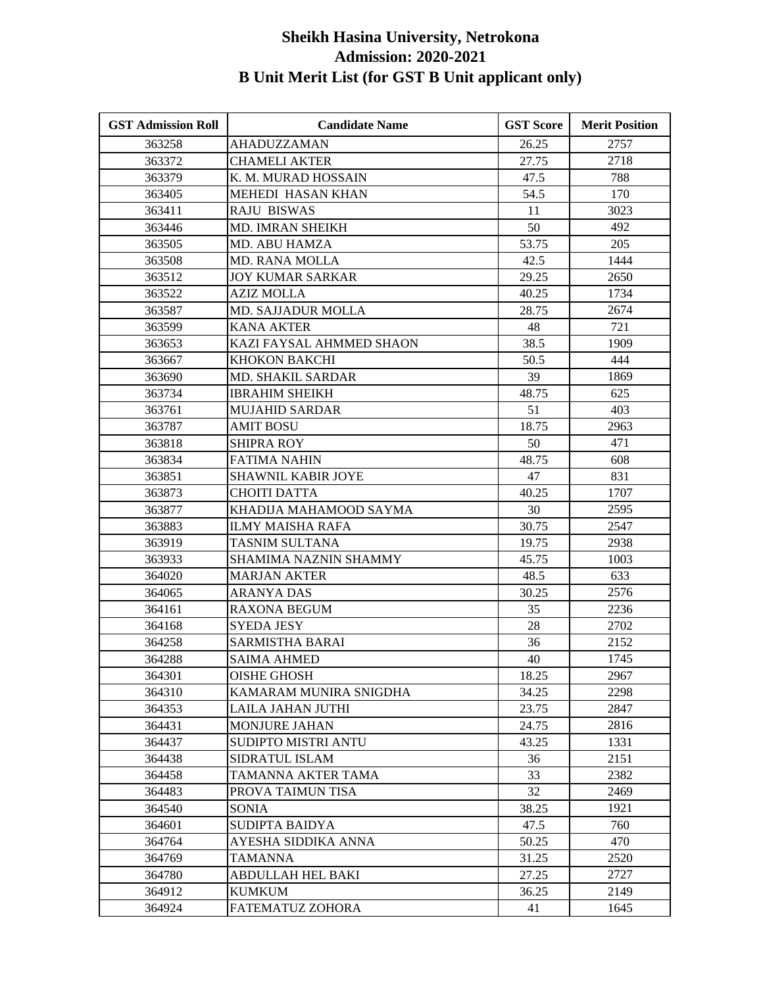| <b>GST Admission Roll</b> | <b>Candidate Name</b>     | <b>GST Score</b> | <b>Merit Position</b> |
|---------------------------|---------------------------|------------------|-----------------------|
| 363258                    | AHADUZZAMAN               | 26.25            | 2757                  |
| 363372                    | <b>CHAMELI AKTER</b>      | 27.75            | 2718                  |
| 363379                    | K. M. MURAD HOSSAIN       | 47.5             | 788                   |
| 363405                    | MEHEDI HASAN KHAN         | 54.5             | 170                   |
| 363411                    | <b>RAJU BISWAS</b>        | 11               | 3023                  |
| 363446                    | MD. IMRAN SHEIKH          | 50               | 492                   |
| 363505                    | MD. ABU HAMZA             | 53.75            | 205                   |
| 363508                    | <b>MD. RANA MOLLA</b>     | 42.5             | 1444                  |
| 363512                    | JOY KUMAR SARKAR          | 29.25            | 2650                  |
| 363522                    | <b>AZIZ MOLLA</b>         | 40.25            | 1734                  |
| 363587                    | <b>MD. SAJJADUR MOLLA</b> | 28.75            | 2674                  |
| 363599                    | <b>KANA AKTER</b>         | 48               | 721                   |
| 363653                    | KAZI FAYSAL AHMMED SHAON  | 38.5             | 1909                  |
| 363667                    | KHOKON BAKCHI             | 50.5             | 444                   |
| 363690                    | MD. SHAKIL SARDAR         | 39               | 1869                  |
| 363734                    | <b>IBRAHIM SHEIKH</b>     | 48.75            | 625                   |
| 363761                    | <b>MUJAHID SARDAR</b>     | 51               | 403                   |
| 363787                    | AMIT BOSU                 | 18.75            | 2963                  |
| 363818                    | <b>SHIPRA ROY</b>         | 50               | 471                   |
| 363834                    | <b>FATIMA NAHIN</b>       | 48.75            | 608                   |
| 363851                    | <b>SHAWNIL KABIR JOYE</b> | 47               | 831                   |
| 363873                    | <b>CHOITI DATTA</b>       | 40.25            | 1707                  |
| 363877                    | KHADIJA MAHAMOOD SAYMA    | 30               | 2595                  |
| 363883                    | <b>ILMY MAISHA RAFA</b>   | 30.75            | 2547                  |
| 363919                    | TASNIM SULTANA            | 19.75            | 2938                  |
| 363933                    | SHAMIMA NAZNIN SHAMMY     | 45.75            | 1003                  |
| 364020                    | <b>MARJAN AKTER</b>       | 48.5             | 633                   |
| 364065                    | <b>ARANYA DAS</b>         | 30.25            | 2576                  |
| 364161                    | <b>RAXONA BEGUM</b>       | 35               | 2236                  |
| 364168                    | <b>SYEDA JESY</b>         | 28               | 2702                  |
| 364258                    | SARMISTHA BARAI           | 36               | 2152                  |
| 364288                    | <b>SAIMA AHMED</b>        | 40               | 1745                  |
| 364301                    | <b>OISHE GHOSH</b>        | 18.25            | 2967                  |
| 364310                    | KAMARAM MUNIRA SNIGDHA    | 34.25            | 2298                  |
| 364353                    | LAILA JAHAN JUTHI         | 23.75            | 2847                  |
| 364431                    | MONJURE JAHAN             | 24.75            | 2816                  |
| 364437                    | SUDIPTO MISTRI ANTU       | 43.25            | 1331                  |
| 364438                    | SIDRATUL ISLAM            | 36               | 2151                  |
| 364458                    | TAMANNA AKTER TAMA        | 33               | 2382                  |
| 364483                    | PROVA TAIMUN TISA         | 32               | 2469                  |
| 364540                    | <b>SONIA</b>              | 38.25            | 1921                  |
| 364601                    | <b>SUDIPTA BAIDYA</b>     | 47.5             | 760                   |
| 364764                    | AYESHA SIDDIKA ANNA       | 50.25            | 470                   |
| 364769                    | TAMANNA                   | 31.25            | 2520                  |
| 364780                    | ABDULLAH HEL BAKI         | 27.25            | 2727                  |
| 364912                    | <b>KUMKUM</b>             | 36.25            | 2149                  |
| 364924                    | FATEMATUZ ZOHORA          | 41               | 1645                  |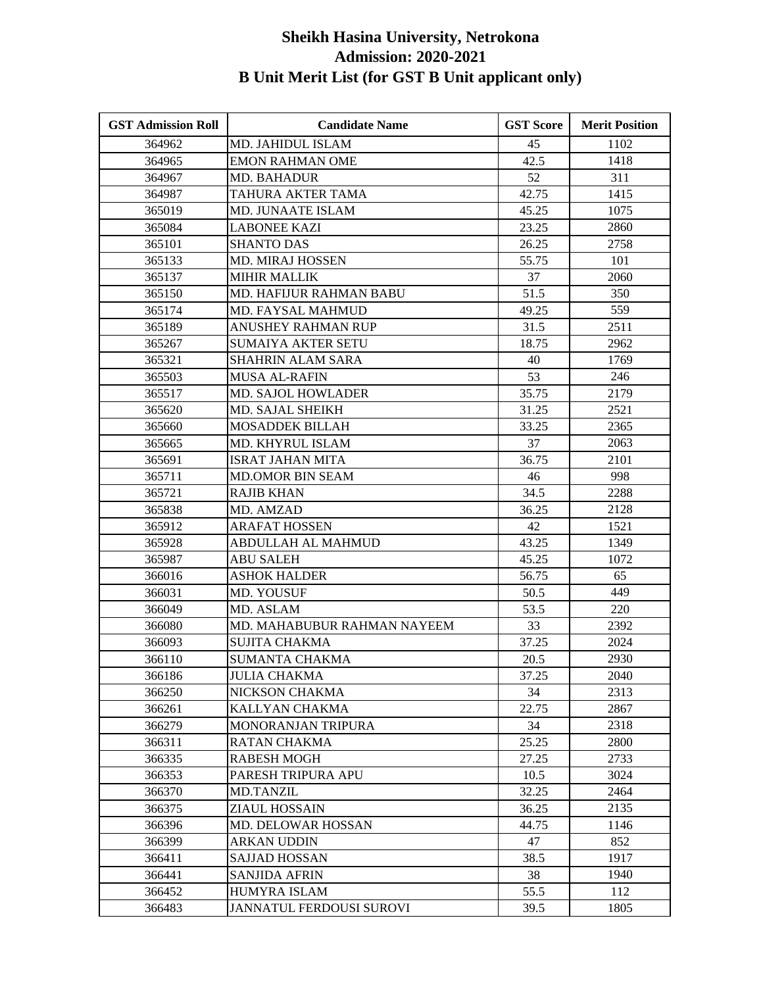| <b>GST Admission Roll</b> | <b>Candidate Name</b>          | <b>GST Score</b> | <b>Merit Position</b> |
|---------------------------|--------------------------------|------------------|-----------------------|
| 364962                    | <b>MD. JAHIDUL ISLAM</b>       | 45               | 1102                  |
| 364965                    | <b>EMON RAHMAN OME</b>         | 42.5             | 1418                  |
| 364967                    | <b>MD. BAHADUR</b>             | 52               | 311                   |
| 364987                    | TAHURA AKTER TAMA              | 42.75            | 1415                  |
| 365019                    | <b>MD. JUNAATE ISLAM</b>       | 45.25            | 1075                  |
| 365084                    | <b>LABONEE KAZI</b>            | 23.25            | 2860                  |
| 365101                    | <b>SHANTO DAS</b>              | 26.25            | 2758                  |
| 365133                    | <b>MD. MIRAJ HOSSEN</b>        | 55.75            | 101                   |
| 365137                    | <b>MIHIR MALLIK</b>            | 37               | 2060                  |
| 365150                    | <b>MD. HAFIJUR RAHMAN BABU</b> | 51.5             | 350                   |
| 365174                    | MD. FAYSAL MAHMUD              | 49.25            | 559                   |
| 365189                    | ANUSHEY RAHMAN RUP             | 31.5             | 2511                  |
| 365267                    | <b>SUMAIYA AKTER SETU</b>      | 18.75            | 2962                  |
| 365321                    | <b>SHAHRIN ALAM SARA</b>       | 40               | 1769                  |
| 365503                    | <b>MUSA AL-RAFIN</b>           | 53               | 246                   |
| 365517                    | MD. SAJOL HOWLADER             | 35.75            | 2179                  |
| 365620                    | MD. SAJAL SHEIKH               | 31.25            | 2521                  |
| 365660                    | <b>MOSADDEK BILLAH</b>         | 33.25            | 2365                  |
| 365665                    | MD. KHYRUL ISLAM               | 37               | 2063                  |
| 365691                    | <b>ISRAT JAHAN MITA</b>        | 36.75            | 2101                  |
| 365711                    | <b>MD.OMOR BIN SEAM</b>        | 46               | 998                   |
| 365721                    | <b>RAJIB KHAN</b>              | 34.5             | 2288                  |
| 365838                    | MD. AMZAD                      | 36.25            | 2128                  |
| 365912                    | <b>ARAFAT HOSSEN</b>           | 42               | 1521                  |
| 365928                    | ABDULLAH AL MAHMUD             | 43.25            | 1349                  |
| 365987                    | <b>ABU SALEH</b>               | 45.25            | 1072                  |
| 366016                    | <b>ASHOK HALDER</b>            | 56.75            | 65                    |
| 366031                    | MD. YOUSUF                     | 50.5             | 449                   |
| 366049                    | MD. ASLAM                      | 53.5             | 220                   |
| 366080                    | MD. MAHABUBUR RAHMAN NAYEEM    | 33               | 2392                  |
| 366093                    | <b>SUJITA CHAKMA</b>           | 37.25            | 2024                  |
| 366110                    | <b>SUMANTA CHAKMA</b>          | 20.5             | 2930                  |
| 366186                    | <b>JULIA CHAKMA</b>            | 37.25            | 2040                  |
| 366250                    | NICKSON CHAKMA                 | 34               | 2313                  |
| 366261                    | KALLYAN CHAKMA                 | 22.75            | 2867                  |
| 366279                    | MONORANJAN TRIPURA             | 34               | 2318                  |
| 366311                    | <b>RATAN CHAKMA</b>            | 25.25            | 2800                  |
| 366335                    | <b>RABESH MOGH</b>             | 27.25            | 2733                  |
| 366353                    | PARESH TRIPURA APU             | 10.5             | 3024                  |
| 366370                    | <b>MD.TANZIL</b>               | 32.25            | 2464                  |
| 366375                    | <b>ZIAUL HOSSAIN</b>           | 36.25            | 2135                  |
| 366396                    | MD. DELOWAR HOSSAN             | 44.75            | 1146                  |
| 366399                    | <b>ARKAN UDDIN</b>             | 47               | 852                   |
| 366411                    | <b>SAJJAD HOSSAN</b>           | 38.5             | 1917                  |
| 366441                    | <b>SANJIDA AFRIN</b>           | 38               | 1940                  |
| 366452                    | HUMYRA ISLAM                   | 55.5             | 112                   |
| 366483                    | JANNATUL FERDOUSI SUROVI       | 39.5             | 1805                  |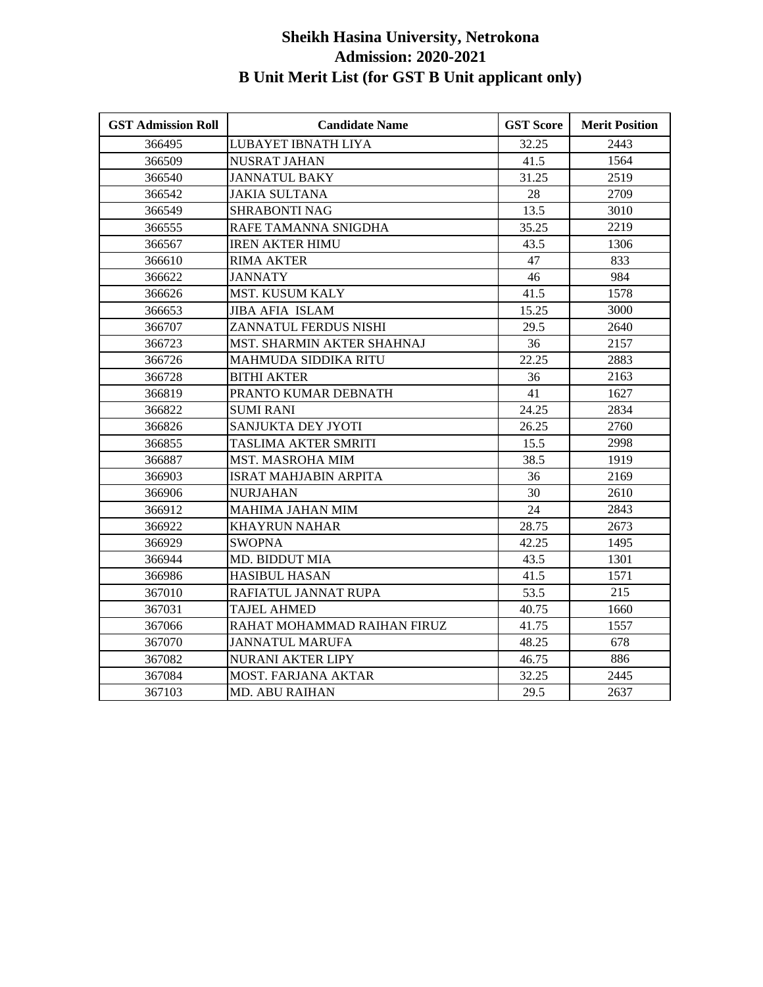| <b>GST Admission Roll</b> | <b>Candidate Name</b>             | <b>GST Score</b> | <b>Merit Position</b> |
|---------------------------|-----------------------------------|------------------|-----------------------|
| 366495                    | LUBAYET IBNATH LIYA               | 32.25            | 2443                  |
| 366509                    | <b>NUSRAT JAHAN</b>               | 41.5             | 1564                  |
| 366540                    | <b>JANNATUL BAKY</b>              | 31.25            | 2519                  |
| 366542                    | <b>JAKIA SULTANA</b>              | 28               | 2709                  |
| 366549                    | <b>SHRABONTI NAG</b>              | 13.5             | 3010                  |
| 366555                    | RAFE TAMANNA SNIGDHA              | 35.25            | 2219                  |
| 366567                    | <b>IREN AKTER HIMU</b>            | 43.5             | 1306                  |
| 366610                    | <b>RIMA AKTER</b>                 | 47               | 833                   |
| 366622                    | <b>JANNATY</b>                    | 46               | 984                   |
| 366626                    | MST. KUSUM KALY                   | 41.5             | 1578                  |
| 366653                    | JIBA AFIA ISLAM                   | 15.25            | 3000                  |
| 366707                    | ZANNATUL FERDUS NISHI             | 29.5             | 2640                  |
| 366723                    | <b>MST. SHARMIN AKTER SHAHNAJ</b> | 36               | 2157                  |
| 366726                    | MAHMUDA SIDDIKA RITU              | 22.25            | 2883                  |
| 366728                    | <b>BITHI AKTER</b>                | 36               | 2163                  |
| 366819                    | PRANTO KUMAR DEBNATH              | 41               | 1627                  |
| 366822                    | <b>SUMI RANI</b>                  | 24.25            | 2834                  |
| 366826                    | SANJUKTA DEY JYOTI                | 26.25            | 2760                  |
| 366855                    | TASLIMA AKTER SMRITI              | 15.5             | 2998                  |
| 366887                    | <b>MST. MASROHA MIM</b>           | 38.5             | 1919                  |
| 366903                    | <b>ISRAT MAHJABIN ARPITA</b>      | 36               | 2169                  |
| 366906                    | <b>NURJAHAN</b>                   | 30               | 2610                  |
| 366912                    | <b>MAHIMA JAHAN MIM</b>           | 24               | 2843                  |
| 366922                    | <b>KHAYRUN NAHAR</b>              | 28.75            | 2673                  |
| 366929                    | <b>SWOPNA</b>                     | 42.25            | 1495                  |
| 366944                    | <b>MD. BIDDUT MIA</b>             | 43.5             | 1301                  |
| 366986                    | <b>HASIBUL HASAN</b>              | 41.5             | 1571                  |
| 367010                    | RAFIATUL JANNAT RUPA              | 53.5             | 215                   |
| 367031                    | <b>TAJEL AHMED</b>                | 40.75            | 1660                  |
| 367066                    | RAHAT MOHAMMAD RAIHAN FIRUZ       | 41.75            | 1557                  |
| 367070                    | <b>JANNATUL MARUFA</b>            | 48.25            | 678                   |
| 367082                    | <b>NURANI AKTER LIPY</b>          | 46.75            | 886                   |
| 367084                    | <b>MOST. FARJANA AKTAR</b>        | 32.25            | 2445                  |
| 367103                    | <b>MD. ABU RAIHAN</b>             | 29.5             | 2637                  |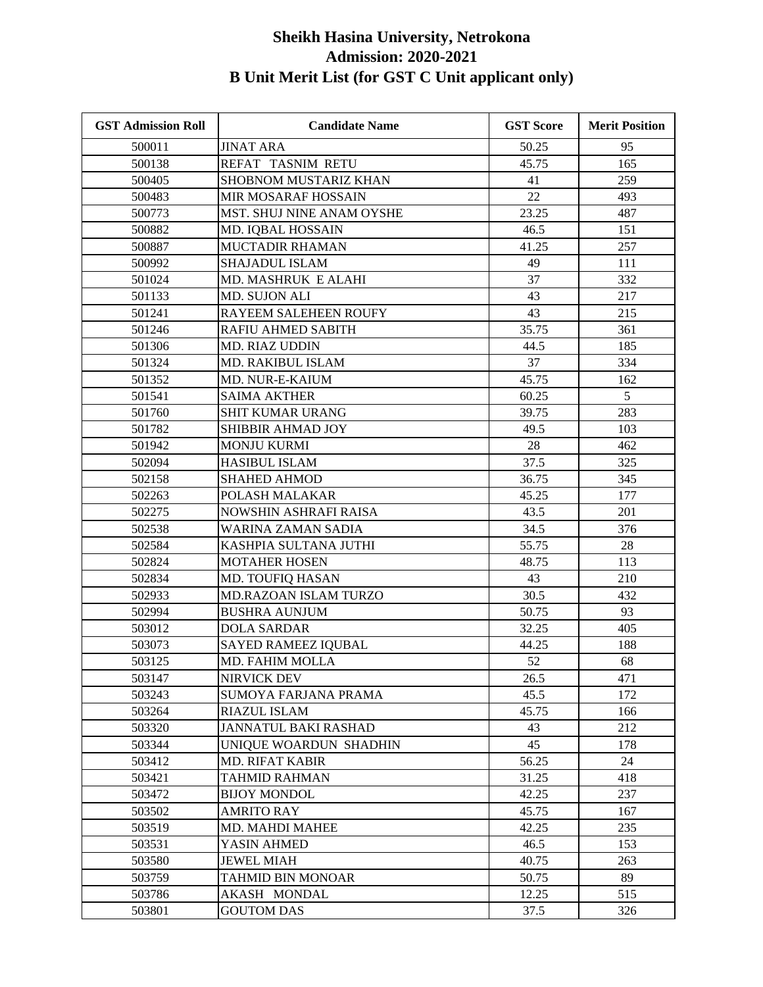| <b>GST Admission Roll</b> | <b>Candidate Name</b>        | <b>GST Score</b> | <b>Merit Position</b> |
|---------------------------|------------------------------|------------------|-----------------------|
| 500011                    | <b>JINAT ARA</b>             | 50.25            | 95                    |
| 500138                    | REFAT TASNIM RETU            | 45.75            | 165                   |
| 500405                    | SHOBNOM MUSTARIZ KHAN        | 41               | 259                   |
| 500483                    | MIR MOSARAF HOSSAIN          | 22               | 493                   |
| 500773                    | MST. SHUJ NINE ANAM OYSHE    | 23.25            | 487                   |
| 500882                    | MD. IQBAL HOSSAIN            | 46.5             | 151                   |
| 500887                    | MUCTADIR RHAMAN              | 41.25            | 257                   |
| 500992                    | <b>SHAJADUL ISLAM</b>        | 49               | 111                   |
| 501024                    | MD. MASHRUK E ALAHI          | 37               | 332                   |
| 501133                    | MD. SUJON ALI                | 43               | 217                   |
| 501241                    | RAYEEM SALEHEEN ROUFY        | 43               | 215                   |
| 501246                    | RAFIU AHMED SABITH           | 35.75            | 361                   |
| 501306                    | MD. RIAZ UDDIN               | 44.5             | 185                   |
| 501324                    | MD. RAKIBUL ISLAM            | 37               | 334                   |
| 501352                    | MD. NUR-E-KAIUM              | 45.75            | 162                   |
| 501541                    | <b>SAIMA AKTHER</b>          | 60.25            | 5                     |
| 501760                    | SHIT KUMAR URANG             | 39.75            | 283                   |
| 501782                    | SHIBBIR AHMAD JOY            | 49.5             | 103                   |
| 501942                    | <b>MONJU KURMI</b>           | 28               | 462                   |
| 502094                    | <b>HASIBUL ISLAM</b>         | 37.5             | 325                   |
| 502158                    | <b>SHAHED AHMOD</b>          | 36.75            | 345                   |
| 502263                    | POLASH MALAKAR               | 45.25            | 177                   |
| 502275                    | NOWSHIN ASHRAFI RAISA        | 43.5             | 201                   |
| 502538                    | WARINA ZAMAN SADIA           | 34.5             | 376                   |
| 502584                    | KASHPIA SULTANA JUTHI        | 55.75            | 28                    |
| 502824                    | <b>MOTAHER HOSEN</b>         | 48.75            | 113                   |
| 502834                    | MD. TOUFIQ HASAN             | 43               | 210                   |
| 502933                    | <b>MD.RAZOAN ISLAM TURZO</b> | 30.5             | 432                   |
| 502994                    | <b>BUSHRA AUNJUM</b>         | 50.75            | 93                    |
| 503012                    | <b>DOLA SARDAR</b>           | 32.25            | 405                   |
| 503073                    | SAYED RAMEEZ IQUBAL          | 44.25            | 188                   |
| 503125                    | MD. FAHIM MOLLA              | 52               | 68                    |
| 503147                    | NIRVICK DEV                  | 26.5             | 471                   |
| 503243                    | SUMOYA FARJANA PRAMA         | 45.5             | 172                   |
| 503264                    | <b>RIAZUL ISLAM</b>          | 45.75            | 166                   |
| 503320                    | <b>JANNATUL BAKI RASHAD</b>  | 43               | 212                   |
| 503344                    | UNIQUE WOARDUN SHADHIN       | 45               | 178                   |
| 503412                    | <b>MD. RIFAT KABIR</b>       | 56.25            | 24                    |
| 503421                    | <b>TAHMID RAHMAN</b>         | 31.25            | 418                   |
| 503472                    | <b>BIJOY MONDOL</b>          | 42.25            | 237                   |
| 503502                    | <b>AMRITO RAY</b>            | 45.75            | 167                   |
| 503519                    | <b>MD. MAHDI MAHEE</b>       | 42.25            | 235                   |
| 503531                    | YASIN AHMED                  | 46.5             | 153                   |
| 503580                    | <b>JEWEL MIAH</b>            | 40.75            | 263                   |
| 503759                    | <b>TAHMID BIN MONOAR</b>     | 50.75            | 89                    |
| 503786                    | AKASH MONDAL                 | 12.25            | 515                   |
| 503801                    | <b>GOUTOM DAS</b>            | 37.5             | 326                   |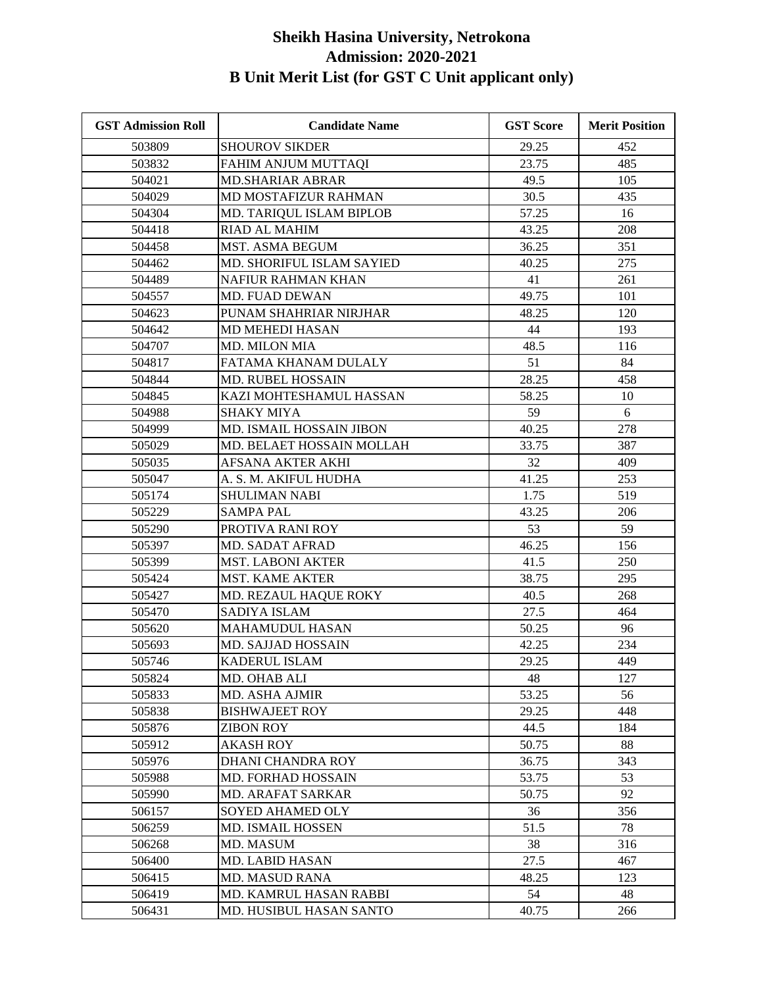| <b>GST Admission Roll</b> | <b>Candidate Name</b>          | <b>GST Score</b> | <b>Merit Position</b> |
|---------------------------|--------------------------------|------------------|-----------------------|
| 503809                    | <b>SHOUROV SIKDER</b>          | 29.25            | 452                   |
| 503832                    | FAHIM ANJUM MUTTAQI            | 23.75            | 485                   |
| 504021                    | <b>MD.SHARIAR ABRAR</b>        | 49.5             | 105                   |
| 504029                    | MD MOSTAFIZUR RAHMAN           | 30.5             | 435                   |
| 504304                    | MD. TARIQUL ISLAM BIPLOB       | 57.25            | 16                    |
| 504418                    | RIAD AL MAHIM                  | 43.25            | 208                   |
| 504458                    | MST. ASMA BEGUM                | 36.25            | 351                   |
| 504462                    | MD. SHORIFUL ISLAM SAYIED      | 40.25            | 275                   |
| 504489                    | NAFIUR RAHMAN KHAN             | 41               | 261                   |
| 504557                    | <b>MD. FUAD DEWAN</b>          | 49.75            | 101                   |
| 504623                    | PUNAM SHAHRIAR NIRJHAR         | 48.25            | 120                   |
| 504642                    | MD MEHEDI HASAN                | 44               | 193                   |
| 504707                    | MD. MILON MIA                  | 48.5             | 116                   |
| 504817                    | FATAMA KHANAM DULALY           | 51               | 84                    |
| 504844                    | <b>MD. RUBEL HOSSAIN</b>       | 28.25            | 458                   |
| 504845                    | KAZI MOHTESHAMUL HASSAN        | 58.25            | 10                    |
| 504988                    | <b>SHAKY MIYA</b>              | 59               | 6                     |
| 504999                    | MD. ISMAIL HOSSAIN JIBON       | 40.25            | 278                   |
| 505029                    | MD. BELAET HOSSAIN MOLLAH      | 33.75            | 387                   |
| 505035                    | AFSANA AKTER AKHI              | 32               | 409                   |
| 505047                    | A. S. M. AKIFUL HUDHA          | 41.25            | 253                   |
| 505174                    | <b>SHULIMAN NABI</b>           | 1.75             | 519                   |
| 505229                    | <b>SAMPA PAL</b>               | 43.25            | 206                   |
| 505290                    | PROTIVA RANI ROY               | 53               | 59                    |
| 505397                    | <b>MD. SADAT AFRAD</b>         | 46.25            | 156                   |
| 505399                    | <b>MST. LABONI AKTER</b>       | 41.5             | 250                   |
| 505424                    | <b>MST. KAME AKTER</b>         | 38.75            | 295                   |
| 505427                    | MD. REZAUL HAQUE ROKY          | 40.5             | 268                   |
| 505470                    | <b>SADIYA ISLAM</b>            | 27.5             | 464                   |
| 505620                    | <b>MAHAMUDUL HASAN</b>         | 50.25            | 96                    |
| 505693                    | <b>MD. SAJJAD HOSSAIN</b>      | 42.25            | 234                   |
| 505746                    | KADERUL ISLAM                  | 29.25            | 449                   |
| 505824                    | MD. OHAB ALI                   | 48               | 127                   |
| 505833                    | <b>MD. ASHA AJMIR</b>          | 53.25            | 56                    |
| 505838                    | <b>BISHWAJEET ROY</b>          | 29.25            | 448                   |
| 505876                    | <b>ZIBON ROY</b>               | 44.5             | 184                   |
| 505912                    | AKASH ROY                      | 50.75            | 88                    |
| 505976                    | DHANI CHANDRA ROY              | 36.75            | 343                   |
| 505988                    | <b>MD. FORHAD HOSSAIN</b>      | 53.75            | 53                    |
| 505990                    | <b>MD. ARAFAT SARKAR</b>       | 50.75            | 92                    |
| 506157                    | <b>SOYED AHAMED OLY</b>        | 36               | 356                   |
| 506259                    | MD. ISMAIL HOSSEN              | 51.5             | 78                    |
| 506268                    | MD. MASUM                      | 38               | 316                   |
| 506400                    | MD. LABID HASAN                | 27.5             | 467                   |
| 506415                    | <b>MD. MASUD RANA</b>          | 48.25            | 123                   |
| 506419                    | MD. KAMRUL HASAN RABBI         | 54               | 48                    |
| 506431                    | <b>MD. HUSIBUL HASAN SANTO</b> | 40.75            | 266                   |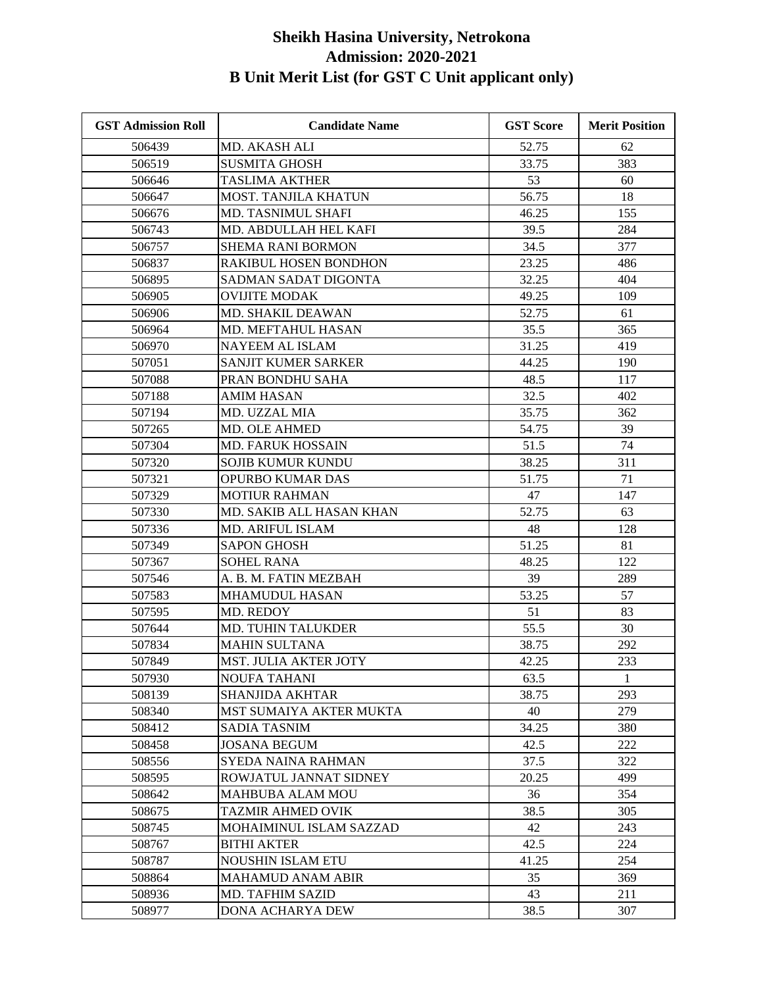| <b>GST Admission Roll</b> | <b>Candidate Name</b>        | <b>GST Score</b> | <b>Merit Position</b> |
|---------------------------|------------------------------|------------------|-----------------------|
| 506439                    | MD. AKASH ALI                | 52.75            | 62                    |
| 506519                    | <b>SUSMITA GHOSH</b>         | 33.75            | 383                   |
| 506646                    | <b>TASLIMA AKTHER</b>        | 53               | 60                    |
| 506647                    | MOST. TANJILA KHATUN         | 56.75            | 18                    |
| 506676                    | MD. TASNIMUL SHAFI           | 46.25            | 155                   |
| 506743                    | MD. ABDULLAH HEL KAFI        | 39.5             | 284                   |
| 506757                    | <b>SHEMA RANI BORMON</b>     | 34.5             | 377                   |
| 506837                    | RAKIBUL HOSEN BONDHON        | 23.25            | 486                   |
| 506895                    | SADMAN SADAT DIGONTA         | 32.25            | 404                   |
| 506905                    | <b>OVIJITE MODAK</b>         | 49.25            | 109                   |
| 506906                    | MD. SHAKIL DEAWAN            | 52.75            | 61                    |
| 506964                    | MD. MEFTAHUL HASAN           | 35.5             | 365                   |
| 506970                    | <b>NAYEEM AL ISLAM</b>       | 31.25            | 419                   |
| 507051                    | SANJIT KUMER SARKER          | 44.25            | 190                   |
| 507088                    | PRAN BONDHU SAHA             | 48.5             | 117                   |
| 507188                    | <b>AMIM HASAN</b>            | 32.5             | 402                   |
| 507194                    | MD. UZZAL MIA                | 35.75            | 362                   |
| 507265                    | MD. OLE AHMED                | 54.75            | 39                    |
| 507304                    | <b>MD. FARUK HOSSAIN</b>     | 51.5             | 74                    |
| 507320                    | <b>SOJIB KUMUR KUNDU</b>     | 38.25            | 311                   |
| 507321                    | OPURBO KUMAR DAS             | 51.75            | 71                    |
| 507329                    | <b>MOTIUR RAHMAN</b>         | 47               | 147                   |
| 507330                    | MD. SAKIB ALL HASAN KHAN     | 52.75            | 63                    |
| 507336                    | MD. ARIFUL ISLAM             | 48               | 128                   |
| 507349                    | <b>SAPON GHOSH</b>           | 51.25            | 81                    |
| 507367                    | <b>SOHEL RANA</b>            | 48.25            | 122                   |
| 507546                    | A. B. M. FATIN MEZBAH        | 39               | 289                   |
| 507583                    | MHAMUDUL HASAN               | 53.25            | 57                    |
| 507595                    | <b>MD. REDOY</b>             | 51               | 83                    |
| 507644                    | <b>MD. TUHIN TALUKDER</b>    | 55.5             | 30                    |
| 507834                    | <b>MAHIN SULTANA</b>         | 38.75            | 292                   |
| 507849                    | <b>MST. JULIA AKTER JOTY</b> | 42.25            | 233                   |
| 507930                    | NOUFA TAHANI                 | 63.5             | -1                    |
| 508139                    | <b>SHANJIDA AKHTAR</b>       | 38.75            | 293                   |
| 508340                    | MST SUMAIYA AKTER MUKTA      | 40               | 279                   |
| 508412                    | SADIA TASNIM                 | 34.25            | 380                   |
| 508458                    | <b>JOSANA BEGUM</b>          | 42.5             | 222                   |
| 508556                    | SYEDA NAINA RAHMAN           | 37.5             | 322                   |
| 508595                    | ROWJATUL JANNAT SIDNEY       | 20.25            | 499                   |
| 508642                    | MAHBUBA ALAM MOU             | 36               | 354                   |
| 508675                    | <b>TAZMIR AHMED OVIK</b>     | 38.5             | 305                   |
| 508745                    | MOHAIMINUL ISLAM SAZZAD      | 42               | 243                   |
| 508767                    | <b>BITHI AKTER</b>           | 42.5             | 224                   |
| 508787                    | <b>NOUSHIN ISLAM ETU</b>     | 41.25            | 254                   |
| 508864                    | MAHAMUD ANAM ABIR            | 35               | 369                   |
| 508936                    | <b>MD. TAFHIM SAZID</b>      | 43               | 211                   |
| 508977                    | DONA ACHARYA DEW             | 38.5             | 307                   |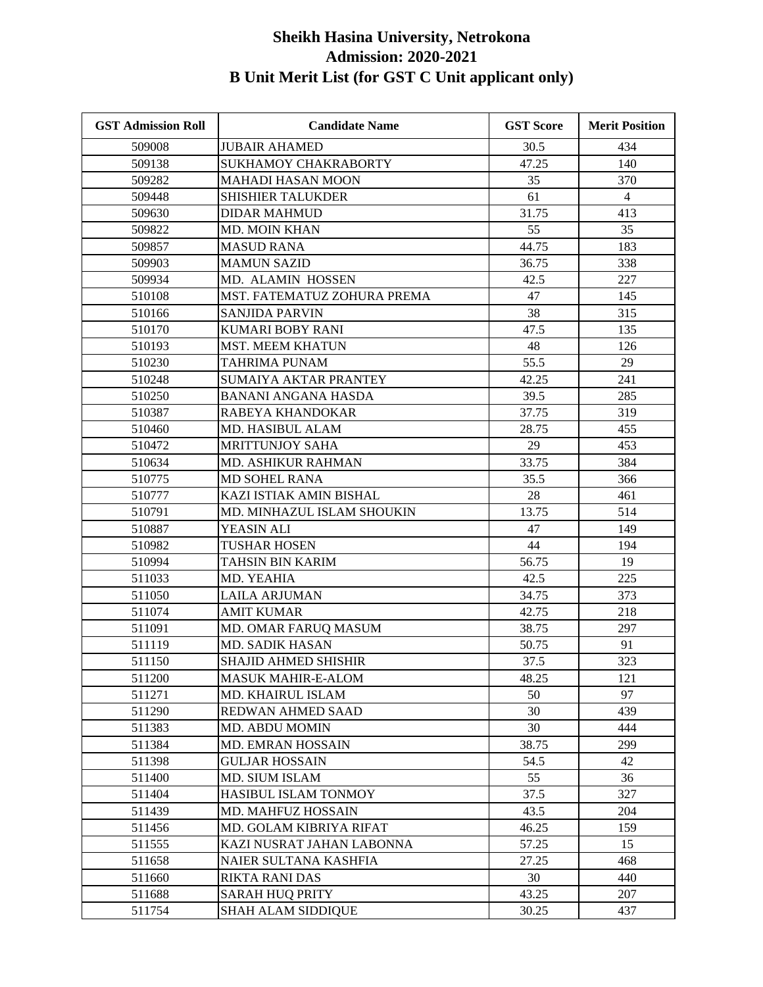| <b>GST Admission Roll</b> | <b>Candidate Name</b>       | <b>GST Score</b> | <b>Merit Position</b> |
|---------------------------|-----------------------------|------------------|-----------------------|
| 509008                    | <b>JUBAIR AHAMED</b>        | 30.5             | 434                   |
| 509138                    | <b>SUKHAMOY CHAKRABORTY</b> | 47.25            | 140                   |
| 509282                    | <b>MAHADI HASAN MOON</b>    | 35               | 370                   |
| 509448                    | <b>SHISHIER TALUKDER</b>    | 61               | $\overline{4}$        |
| 509630                    | <b>DIDAR MAHMUD</b>         | 31.75            | 413                   |
| 509822                    | <b>MD. MOIN KHAN</b>        | 55               | 35                    |
| 509857                    | <b>MASUD RANA</b>           | 44.75            | 183                   |
| 509903                    | <b>MAMUN SAZID</b>          | 36.75            | 338                   |
| 509934                    | MD. ALAMIN HOSSEN           | 42.5             | 227                   |
| 510108                    | MST. FATEMATUZ ZOHURA PREMA | 47               | 145                   |
| 510166                    | <b>SANJIDA PARVIN</b>       | 38               | 315                   |
| 510170                    | KUMARI BOBY RANI            | 47.5             | 135                   |
| 510193                    | <b>MST. MEEM KHATUN</b>     | 48               | 126                   |
| 510230                    | <b>TAHRIMA PUNAM</b>        | 55.5             | 29                    |
| 510248                    | SUMAIYA AKTAR PRANTEY       | 42.25            | 241                   |
| 510250                    | <b>BANANI ANGANA HASDA</b>  | 39.5             | 285                   |
| 510387                    | RABEYA KHANDOKAR            | 37.75            | 319                   |
| 510460                    | MD. HASIBUL ALAM            | 28.75            | 455                   |
| 510472                    | <b>MRITTUNJOY SAHA</b>      | 29               | 453                   |
| 510634                    | <b>MD. ASHIKUR RAHMAN</b>   | 33.75            | 384                   |
| 510775                    | <b>MD SOHEL RANA</b>        | 35.5             | 366                   |
| 510777                    | KAZI ISTIAK AMIN BISHAL     | 28               | 461                   |
| 510791                    | MD. MINHAZUL ISLAM SHOUKIN  | 13.75            | 514                   |
| 510887                    | YEASIN ALI                  | 47               | 149                   |
| 510982                    | <b>TUSHAR HOSEN</b>         | 44               | 194                   |
| 510994                    | TAHSIN BIN KARIM            | 56.75            | 19                    |
| 511033                    | MD. YEAHIA                  | 42.5             | 225                   |
| 511050                    | <b>LAILA ARJUMAN</b>        | 34.75            | 373                   |
| 511074                    | <b>AMIT KUMAR</b>           | 42.75            | 218                   |
| 511091                    | MD. OMAR FARUQ MASUM        | 38.75            | 297                   |
| 511119                    | <b>MD. SADIK HASAN</b>      | 50.75            | 91                    |
| 511150                    | <b>SHAJID AHMED SHISHIR</b> | 37.5             | 323                   |
| 511200                    | <b>MASUK MAHIR-E-ALOM</b>   | 48.25            | 121                   |
| 511271                    | MD. KHAIRUL ISLAM           | 50               | 97                    |
| 511290                    | REDWAN AHMED SAAD           | 30               | 439                   |
| 511383                    | MD. ABDU MOMIN              | 30               | 444                   |
| 511384                    | MD. EMRAN HOSSAIN           | 38.75            | 299                   |
| 511398                    | <b>GULJAR HOSSAIN</b>       | 54.5             | 42                    |
| 511400                    | MD. SIUM ISLAM              | 55               | 36                    |
| 511404                    | HASIBUL ISLAM TONMOY        | 37.5             | 327                   |
| 511439                    | MD. MAHFUZ HOSSAIN          | 43.5             | 204                   |
| 511456                    | MD. GOLAM KIBRIYA RIFAT     | 46.25            | 159                   |
| 511555                    | KAZI NUSRAT JAHAN LABONNA   | 57.25            | 15                    |
| 511658                    | NAIER SULTANA KASHFIA       | 27.25            | 468                   |
| 511660                    | <b>RIKTA RANI DAS</b>       | 30               | 440                   |
| 511688                    | <b>SARAH HUQ PRITY</b>      | 43.25            | 207                   |
| 511754                    | <b>SHAH ALAM SIDDIQUE</b>   | 30.25            | 437                   |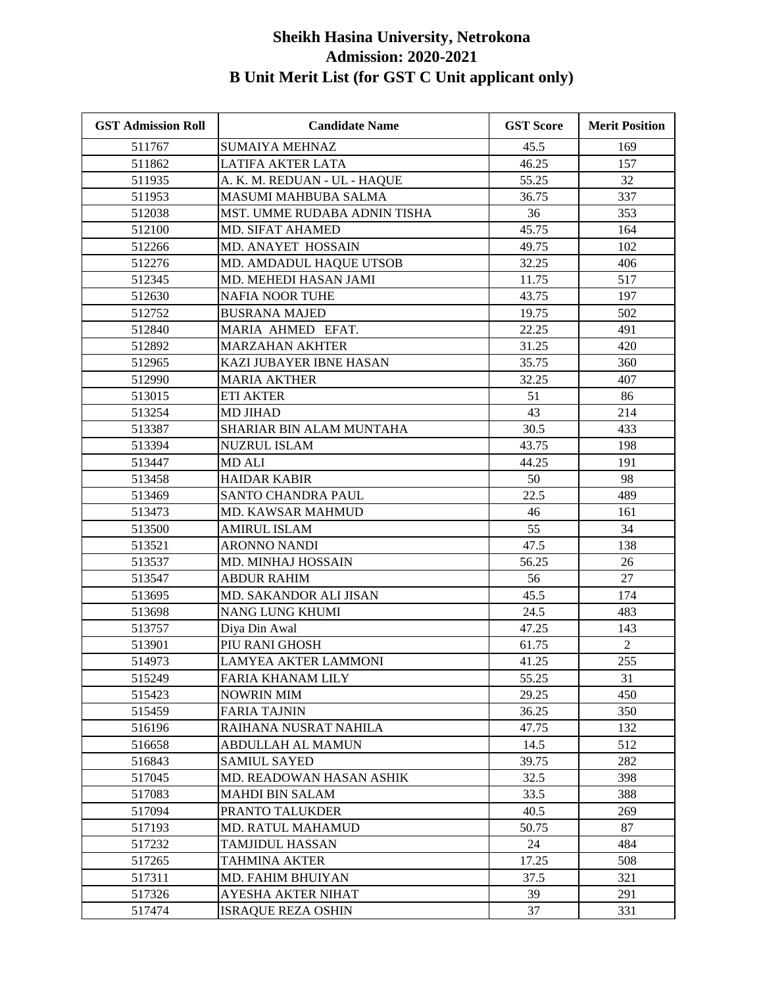| <b>GST Admission Roll</b> | <b>Candidate Name</b>        | <b>GST Score</b> | <b>Merit Position</b> |
|---------------------------|------------------------------|------------------|-----------------------|
| 511767                    | <b>SUMAIYA MEHNAZ</b>        | 45.5             | 169                   |
| 511862                    | LATIFA AKTER LATA            | 46.25            | 157                   |
| 511935                    | A. K. M. REDUAN - UL - HAQUE | 55.25            | 32                    |
| 511953                    | MASUMI MAHBUBA SALMA         | 36.75            | 337                   |
| 512038                    | MST. UMME RUDABA ADNIN TISHA | 36               | 353                   |
| 512100                    | <b>MD. SIFAT AHAMED</b>      | 45.75            | 164                   |
| 512266                    | MD. ANAYET HOSSAIN           | 49.75            | 102                   |
| 512276                    | MD. AMDADUL HAQUE UTSOB      | 32.25            | 406                   |
| 512345                    | MD. MEHEDI HASAN JAMI        | 11.75            | 517                   |
| 512630                    | <b>NAFIA NOOR TUHE</b>       | 43.75            | 197                   |
| 512752                    | <b>BUSRANA MAJED</b>         | 19.75            | 502                   |
| 512840                    | MARIA AHMED EFAT.            | 22.25            | 491                   |
| 512892                    | <b>MARZAHAN AKHTER</b>       | 31.25            | 420                   |
| 512965                    | KAZI JUBAYER IBNE HASAN      | 35.75            | 360                   |
| 512990                    | <b>MARIA AKTHER</b>          | 32.25            | 407                   |
| 513015                    | <b>ETI AKTER</b>             | 51               | 86                    |
| 513254                    | <b>MD JIHAD</b>              | 43               | 214                   |
| 513387                    | SHARIAR BIN ALAM MUNTAHA     | 30.5             | 433                   |
| 513394                    | <b>NUZRUL ISLAM</b>          | 43.75            | 198                   |
| 513447                    | <b>MD ALI</b>                | 44.25            | 191                   |
| 513458                    | <b>HAIDAR KABIR</b>          | 50               | 98                    |
| 513469                    | SANTO CHANDRA PAUL           | 22.5             | 489                   |
| 513473                    | MD. KAWSAR MAHMUD            | 46               | 161                   |
| 513500                    | <b>AMIRUL ISLAM</b>          | 55               | 34                    |
| 513521                    | <b>ARONNO NANDI</b>          | 47.5             | 138                   |
| 513537                    | MD. MINHAJ HOSSAIN           | 56.25            | 26                    |
| 513547                    | <b>ABDUR RAHIM</b>           | 56               | 27                    |
| 513695                    | MD. SAKANDOR ALI JISAN       | 45.5             | 174                   |
| 513698                    | <b>NANG LUNG KHUMI</b>       | 24.5             | 483                   |
| 513757                    | Diya Din Awal                | 47.25            | 143                   |
| 513901                    | PIU RANI GHOSH               | 61.75            | 2                     |
| 514973                    | LAMYEA AKTER LAMMONI         | 41.25            | 255                   |
| 515249                    | FARIA KHANAM LILY            | 55.25            | 31                    |
| 515423                    | NOWRIN MIM                   | 29.25            | 450                   |
| 515459                    | FARIA TAJNIN                 | 36.25            | 350                   |
| 516196                    | RAIHANA NUSRAT NAHILA        | 47.75            | 132                   |
| 516658                    | <b>ABDULLAH AL MAMUN</b>     | 14.5             | 512                   |
| 516843                    | <b>SAMIUL SAYED</b>          | 39.75            | 282                   |
| 517045                    | MD. READOWAN HASAN ASHIK     | 32.5             | 398                   |
| 517083                    | <b>MAHDI BIN SALAM</b>       | 33.5             | 388                   |
| 517094                    | PRANTO TALUKDER              | 40.5             | 269                   |
| 517193                    | MD. RATUL MAHAMUD            | 50.75            | 87                    |
| 517232                    | <b>TAMJIDUL HASSAN</b>       | 24               | 484                   |
| 517265                    | TAHMINA AKTER                | 17.25            | 508                   |
| 517311                    | MD. FAHIM BHUIYAN            | 37.5             | 321                   |
| 517326                    | AYESHA AKTER NIHAT           | 39               | 291                   |
| 517474                    | <b>ISRAQUE REZA OSHIN</b>    | 37               | 331                   |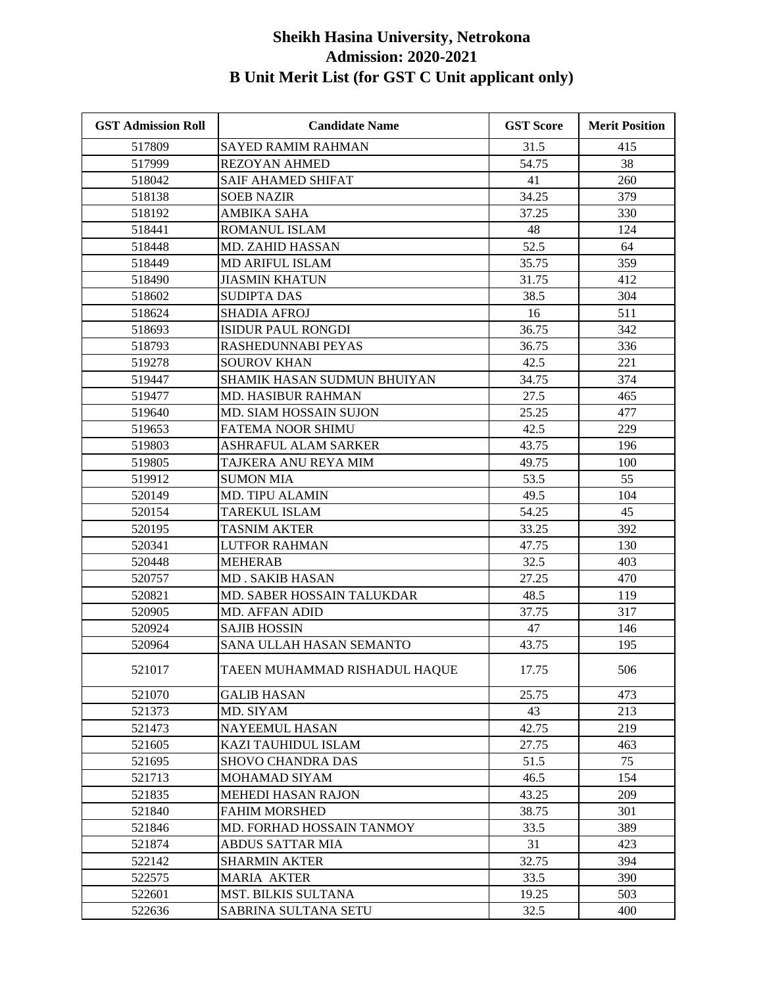| <b>GST Admission Roll</b> | <b>Candidate Name</b>         | <b>GST Score</b> | <b>Merit Position</b> |
|---------------------------|-------------------------------|------------------|-----------------------|
| 517809                    | <b>SAYED RAMIM RAHMAN</b>     | 31.5             | 415                   |
| 517999                    | <b>REZOYAN AHMED</b>          | 54.75            | 38                    |
| 518042                    | <b>SAIF AHAMED SHIFAT</b>     | 41               | 260                   |
| 518138                    | <b>SOEB NAZIR</b>             | 34.25            | 379                   |
| 518192                    | <b>AMBIKA SAHA</b>            | 37.25            | 330                   |
| 518441                    | ROMANUL ISLAM                 | 48               | 124                   |
| 518448                    | MD. ZAHID HASSAN              | 52.5             | 64                    |
| 518449                    | <b>MD ARIFUL ISLAM</b>        | 35.75            | 359                   |
| 518490                    | <b>JIASMIN KHATUN</b>         | 31.75            | 412                   |
| 518602                    | <b>SUDIPTA DAS</b>            | 38.5             | 304                   |
| 518624                    | <b>SHADIA AFROJ</b>           | 16               | 511                   |
| 518693                    | <b>ISIDUR PAUL RONGDI</b>     | 36.75            | 342                   |
| 518793                    | RASHEDUNNABI PEYAS            | 36.75            | 336                   |
| 519278                    | <b>SOUROV KHAN</b>            | 42.5             | 221                   |
| 519447                    | SHAMIK HASAN SUDMUN BHUIYAN   | 34.75            | 374                   |
| 519477                    | MD. HASIBUR RAHMAN            | 27.5             | 465                   |
| 519640                    | <b>MD. SIAM HOSSAIN SUJON</b> | 25.25            | 477                   |
| 519653                    | <b>FATEMA NOOR SHIMU</b>      | 42.5             | 229                   |
| 519803                    | ASHRAFUL ALAM SARKER          | 43.75            | 196                   |
| 519805                    | TAJKERA ANU REYA MIM          | 49.75            | 100                   |
| 519912                    | <b>SUMON MIA</b>              | 53.5             | 55                    |
| 520149                    | <b>MD. TIPU ALAMIN</b>        | 49.5             | 104                   |
| 520154                    | <b>TAREKUL ISLAM</b>          | 54.25            | 45                    |
| 520195                    | <b>TASNIM AKTER</b>           | 33.25            | 392                   |
| 520341                    | LUTFOR RAHMAN                 | 47.75            | 130                   |
| 520448                    | <b>MEHERAB</b>                | 32.5             | 403                   |
| 520757                    | <b>MD. SAKIB HASAN</b>        | 27.25            | 470                   |
| 520821                    | MD. SABER HOSSAIN TALUKDAR    | 48.5             | 119                   |
| 520905                    | <b>MD. AFFAN ADID</b>         | 37.75            | 317                   |
| 520924                    | <b>SAJIB HOSSIN</b>           | 47               | 146                   |
| 520964                    | SANA ULLAH HASAN SEMANTO      | 43.75            | 195                   |
| 521017                    | TAEEN MUHAMMAD RISHADUL HAQUE | 17.75            | 506                   |
| 521070                    | <b>GALIB HASAN</b>            | 25.75            | 473                   |
| 521373                    | MD. SIYAM                     | 43               | 213                   |
| 521473                    | <b>NAYEEMUL HASAN</b>         | 42.75            | 219                   |
| 521605                    | KAZI TAUHIDUL ISLAM           | 27.75            | 463                   |
| 521695                    | <b>SHOVO CHANDRA DAS</b>      | 51.5             | 75                    |
| 521713                    | MOHAMAD SIYAM                 | 46.5             | 154                   |
| 521835                    | <b>MEHEDI HASAN RAJON</b>     | 43.25            | 209                   |
| 521840                    | <b>FAHIM MORSHED</b>          | 38.75            | 301                   |
| 521846                    | MD. FORHAD HOSSAIN TANMOY     | 33.5             | 389                   |
| 521874                    | <b>ABDUS SATTAR MIA</b>       | 31               | 423                   |
| 522142                    | <b>SHARMIN AKTER</b>          | 32.75            | 394                   |
| 522575                    | <b>MARIA AKTER</b>            | 33.5             | 390                   |
| 522601                    | MST. BILKIS SULTANA           | 19.25            | 503                   |
| 522636                    | SABRINA SULTANA SETU          | 32.5             | 400                   |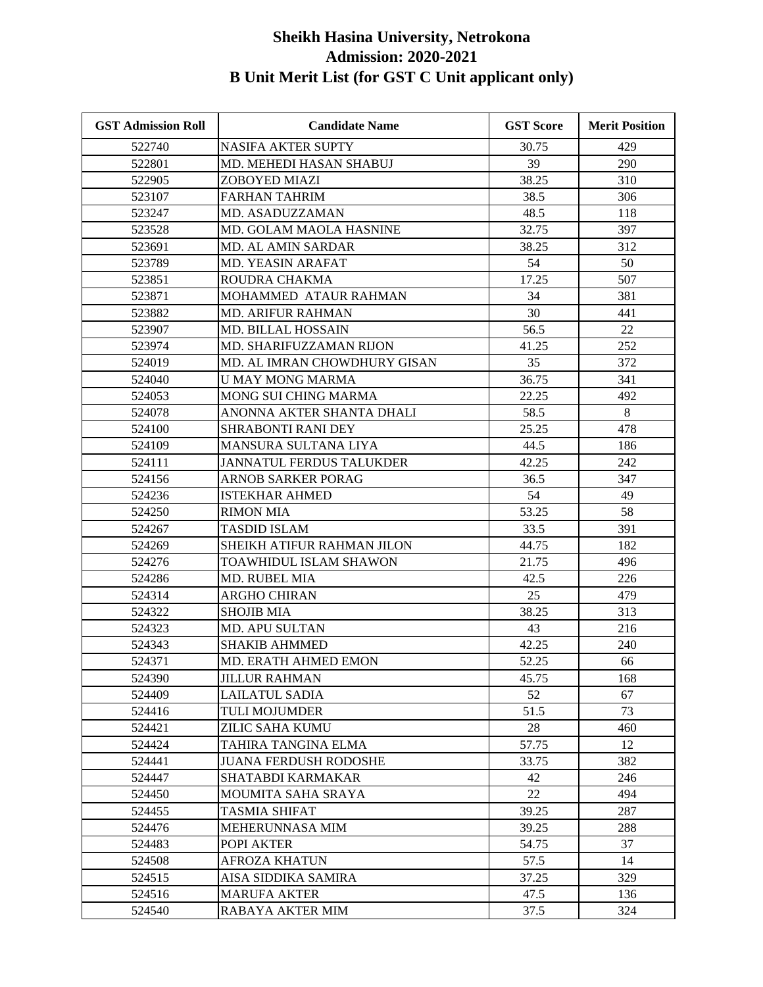| <b>GST Admission Roll</b> | <b>Candidate Name</b>           | <b>GST Score</b> | <b>Merit Position</b> |
|---------------------------|---------------------------------|------------------|-----------------------|
| 522740                    | <b>NASIFA AKTER SUPTY</b>       | 30.75            | 429                   |
| 522801                    | MD. MEHEDI HASAN SHABUJ         | 39               | 290                   |
| 522905                    | ZOBOYED MIAZI                   | 38.25            | 310                   |
| 523107                    | <b>FARHAN TAHRIM</b>            | 38.5             | 306                   |
| 523247                    | MD. ASADUZZAMAN                 | 48.5             | 118                   |
| 523528                    | MD. GOLAM MAOLA HASNINE         | 32.75            | 397                   |
| 523691                    | <b>MD. AL AMIN SARDAR</b>       | 38.25            | 312                   |
| 523789                    | MD. YEASIN ARAFAT               | 54               | 50                    |
| 523851                    | ROUDRA CHAKMA                   | 17.25            | 507                   |
| 523871                    | MOHAMMED ATAUR RAHMAN           | 34               | 381                   |
| 523882                    | <b>MD. ARIFUR RAHMAN</b>        | 30               | 441                   |
| 523907                    | MD. BILLAL HOSSAIN              | 56.5             | 22                    |
| 523974                    | MD. SHARIFUZZAMAN RIJON         | 41.25            | 252                   |
| 524019                    | MD. AL IMRAN CHOWDHURY GISAN    | 35               | 372                   |
| 524040                    | <b>U MAY MONG MARMA</b>         | 36.75            | 341                   |
| 524053                    | <b>MONG SUI CHING MARMA</b>     | 22.25            | 492                   |
| 524078                    | ANONNA AKTER SHANTA DHALI       | 58.5             | 8                     |
| 524100                    | <b>SHRABONTI RANI DEY</b>       | 25.25            | 478                   |
| 524109                    | MANSURA SULTANA LIYA            | 44.5             | 186                   |
| 524111                    | <b>JANNATUL FERDUS TALUKDER</b> | 42.25            | 242                   |
| 524156                    | ARNOB SARKER PORAG              | 36.5             | 347                   |
| 524236                    | <b>ISTEKHAR AHMED</b>           | 54               | 49                    |
| 524250                    | <b>RIMON MIA</b>                | 53.25            | 58                    |
| 524267                    | <b>TASDID ISLAM</b>             | 33.5             | 391                   |
| 524269                    | SHEIKH ATIFUR RAHMAN JILON      | 44.75            | 182                   |
| 524276                    | TOAWHIDUL ISLAM SHAWON          | 21.75            | 496                   |
| 524286                    | <b>MD. RUBEL MIA</b>            | 42.5             | 226                   |
| 524314                    | <b>ARGHO CHIRAN</b>             | 25               | 479                   |
| 524322                    | <b>SHOJIB MIA</b>               | 38.25            | 313                   |
| 524323                    | MD. APU SULTAN                  | 43               | 216                   |
| 524343                    | <b>SHAKIB AHMMED</b>            | 42.25            | 240                   |
| 524371                    | <b>MD. ERATH AHMED EMON</b>     | 52.25            | 66                    |
| 524390                    | <b>JILLUR RAHMAN</b>            | 45.75            | 168                   |
| 524409                    | LAILATUL SADIA                  | 52               | 67                    |
| 524416                    | TULI MOJUMDER                   | 51.5             | 73                    |
| 524421                    | ZILIC SAHA KUMU                 | 28               | 460                   |
| 524424                    | TAHIRA TANGINA ELMA             | 57.75            | 12                    |
| 524441                    | <b>JUANA FERDUSH RODOSHE</b>    | 33.75            | 382                   |
| 524447                    | SHATABDI KARMAKAR               | 42               | 246                   |
| 524450                    | MOUMITA SAHA SRAYA              | 22               | 494                   |
| 524455                    | <b>TASMIA SHIFAT</b>            | 39.25            | 287                   |
| 524476                    | MEHERUNNASA MIM                 | 39.25            | 288                   |
| 524483                    | POPI AKTER                      | 54.75            | 37                    |
| 524508                    | AFROZA KHATUN                   | 57.5             | 14                    |
| 524515                    | AISA SIDDIKA SAMIRA             | 37.25            | 329                   |
| 524516                    | <b>MARUFA AKTER</b>             | 47.5             | 136                   |
| 524540                    | RABAYA AKTER MIM                | 37.5             | 324                   |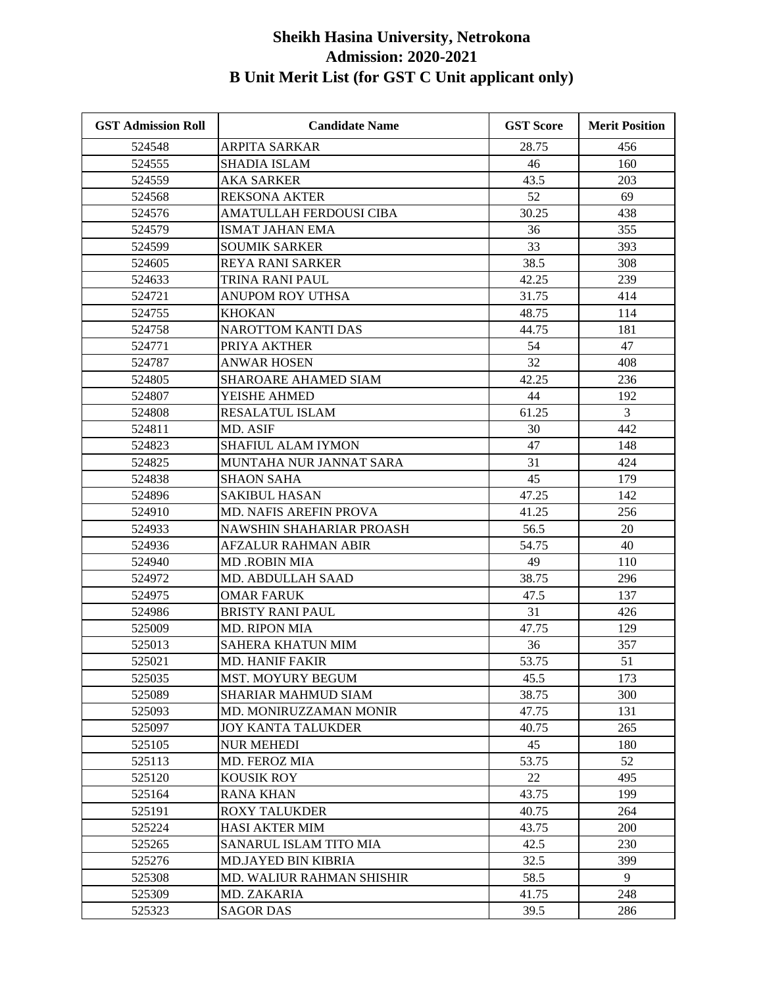| <b>GST Admission Roll</b> | <b>Candidate Name</b>            | <b>GST Score</b> | <b>Merit Position</b> |
|---------------------------|----------------------------------|------------------|-----------------------|
| 524548                    | <b>ARPITA SARKAR</b>             | 28.75            | 456                   |
| 524555                    | <b>SHADIA ISLAM</b>              | 46               | 160                   |
| 524559                    | <b>AKA SARKER</b>                | 43.5             | 203                   |
| 524568                    | <b>REKSONA AKTER</b>             | 52               | 69                    |
| 524576                    | AMATULLAH FERDOUSI CIBA          | 30.25            | 438                   |
| 524579                    | <b>ISMAT JAHAN EMA</b>           | 36               | 355                   |
| 524599                    | <b>SOUMIK SARKER</b>             | 33               | 393                   |
| 524605                    | <b>REYA RANI SARKER</b>          | 38.5             | 308                   |
| 524633                    | TRINA RANI PAUL                  | 42.25            | 239                   |
| 524721                    | ANUPOM ROY UTHSA                 | 31.75            | 414                   |
| 524755                    | <b>KHOKAN</b>                    | 48.75            | 114                   |
| 524758                    | <b>NAROTTOM KANTI DAS</b>        | 44.75            | 181                   |
| 524771                    | PRIYA AKTHER                     | 54               | 47                    |
| 524787                    | <b>ANWAR HOSEN</b>               | 32               | 408                   |
| 524805                    | <b>SHAROARE AHAMED SIAM</b>      | 42.25            | 236                   |
| 524807                    | YEISHE AHMED                     | 44               | 192                   |
| 524808                    | <b>RESALATUL ISLAM</b>           | 61.25            | 3                     |
| 524811                    | MD. ASIF                         | 30               | 442                   |
| 524823                    | <b>SHAFIUL ALAM IYMON</b>        | 47               | 148                   |
| 524825                    | MUNTAHA NUR JANNAT SARA          | 31               | 424                   |
| 524838                    | <b>SHAON SAHA</b>                | 45               | 179                   |
| 524896                    | <b>SAKIBUL HASAN</b>             | 47.25            | 142                   |
| 524910                    | MD. NAFIS AREFIN PROVA           | 41.25            | 256                   |
| 524933                    | NAWSHIN SHAHARIAR PROASH         | 56.5             | 20                    |
| 524936                    | <b>AFZALUR RAHMAN ABIR</b>       | 54.75            | 40                    |
| 524940                    | <b>MD.ROBIN MIA</b>              | 49               | 110                   |
| 524972                    | <b>MD. ABDULLAH SAAD</b>         | 38.75            | 296                   |
| 524975                    | <b>OMAR FARUK</b>                | 47.5             | 137                   |
| 524986                    | <b>BRISTY RANI PAUL</b>          | 31               | 426                   |
| 525009                    | <b>MD. RIPON MIA</b>             | 47.75            | 129                   |
| 525013                    | <b>SAHERA KHATUN MIM</b>         | 36               | 357                   |
| 525021                    | <b>MD. HANIF FAKIR</b>           | 53.75            | 51                    |
| 525035                    | <b>MST. MOYURY BEGUM</b>         | 45.5             | 173                   |
| 525089                    | <b>SHARIAR MAHMUD SIAM</b>       | 38.75            | 300                   |
| 525093                    | MD. MONIRUZZAMAN MONIR           | 47.75            | 131                   |
| 525097                    | <b>JOY KANTA TALUKDER</b>        | 40.75            | 265                   |
| 525105                    | <b>NUR MEHEDI</b>                | 45               | 180                   |
| 525113                    | MD. FEROZ MIA                    | 53.75            | 52                    |
| 525120                    | KOUSIK ROY                       | 22               | 495                   |
| 525164                    | <b>RANA KHAN</b>                 | 43.75            | 199                   |
| 525191                    | <b>ROXY TALUKDER</b>             | 40.75            | 264                   |
| 525224                    | <b>HASI AKTER MIM</b>            | 43.75            | 200                   |
| 525265                    | SANARUL ISLAM TITO MIA           | 42.5             | 230                   |
| 525276                    | <b>MD.JAYED BIN KIBRIA</b>       | 32.5             | 399                   |
| 525308                    | <b>MD. WALIUR RAHMAN SHISHIR</b> | 58.5             | 9                     |
| 525309                    | MD. ZAKARIA                      | 41.75            | 248                   |
| 525323                    | <b>SAGOR DAS</b>                 | 39.5             | 286                   |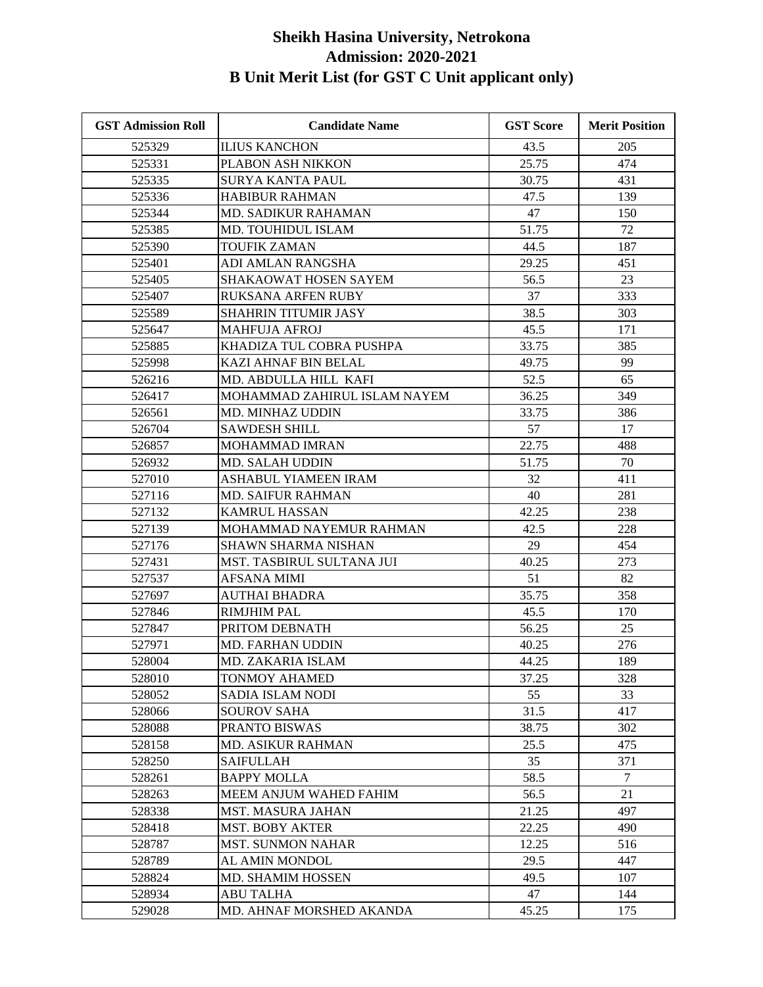| <b>GST Admission Roll</b> | <b>Candidate Name</b>            | <b>GST Score</b> | <b>Merit Position</b> |
|---------------------------|----------------------------------|------------------|-----------------------|
| 525329                    | <b>ILIUS KANCHON</b>             | 43.5             | 205                   |
| 525331                    | PLABON ASH NIKKON                | 25.75            | 474                   |
| 525335                    | <b>SURYA KANTA PAUL</b>          | 30.75            | 431                   |
| 525336                    | <b>HABIBUR RAHMAN</b>            | 47.5             | 139                   |
| 525344                    | MD. SADIKUR RAHAMAN              | 47               | 150                   |
| 525385                    | MD. TOUHIDUL ISLAM               | 51.75            | 72                    |
| 525390                    | <b>TOUFIK ZAMAN</b>              | 44.5             | 187                   |
| 525401                    | ADI AMLAN RANGSHA                | 29.25            | 451                   |
| 525405                    | <b>SHAKAOWAT HOSEN SAYEM</b>     | 56.5             | 23                    |
| 525407                    | <b>RUKSANA ARFEN RUBY</b>        | 37               | 333                   |
| 525589                    | <b>SHAHRIN TITUMIR JASY</b>      | 38.5             | 303                   |
| 525647                    | <b>MAHFUJA AFROJ</b>             | 45.5             | 171                   |
| 525885                    | KHADIZA TUL COBRA PUSHPA         | 33.75            | 385                   |
| 525998                    | KAZI AHNAF BIN BELAL             | 49.75            | 99                    |
| 526216                    | MD. ABDULLA HILL KAFI            | 52.5             | 65                    |
| 526417                    | MOHAMMAD ZAHIRUL ISLAM NAYEM     | 36.25            | 349                   |
| 526561                    | MD. MINHAZ UDDIN                 | 33.75            | 386                   |
| 526704                    | <b>SAWDESH SHILL</b>             | 57               | 17                    |
| 526857                    | <b>MOHAMMAD IMRAN</b>            | 22.75            | 488                   |
| 526932                    | <b>MD. SALAH UDDIN</b>           | 51.75            | 70                    |
| 527010                    | ASHABUL YIAMEEN IRAM             | 32               | 411                   |
| 527116                    | <b>MD. SAIFUR RAHMAN</b>         | 40               | 281                   |
| 527132                    | <b>KAMRUL HASSAN</b>             | 42.25            | 238                   |
| 527139                    | MOHAMMAD NAYEMUR RAHMAN          | 42.5             | 228                   |
| 527176                    | SHAWN SHARMA NISHAN              | 29               | 454                   |
| 527431                    | <b>MST. TASBIRUL SULTANA JUI</b> | 40.25            | 273                   |
| 527537                    | <b>AFSANA MIMI</b>               | 51               | 82                    |
| 527697                    | <b>AUTHAI BHADRA</b>             | 35.75            | 358                   |
| 527846                    | <b>RIMJHIM PAL</b>               | 45.5             | 170                   |
| 527847                    | PRITOM DEBNATH                   | 56.25            | 25                    |
| 527971                    | <b>MD. FARHAN UDDIN</b>          | 40.25            | 276                   |
| 528004                    | MD. ZAKARIA ISLAM                | 44.25            | 189                   |
| 528010                    | <b>TONMOY AHAMED</b>             | 37.25            | 328                   |
| 528052                    | SADIA ISLAM NODI                 | 55               | 33                    |
| 528066                    | <b>SOUROV SAHA</b>               | 31.5             | 417                   |
| 528088                    | PRANTO BISWAS                    | 38.75            | 302                   |
| 528158                    | <b>MD. ASIKUR RAHMAN</b>         | 25.5             | 475                   |
| 528250                    | <b>SAIFULLAH</b>                 | 35               | 371                   |
| 528261                    | <b>BAPPY MOLLA</b>               | 58.5             | 7                     |
| 528263                    | MEEM ANJUM WAHED FAHIM           | 56.5             | 21                    |
| 528338                    | <b>MST. MASURA JAHAN</b>         | 21.25            | 497                   |
| 528418                    | <b>MST. BOBY AKTER</b>           | 22.25            | 490                   |
| 528787                    | <b>MST. SUNMON NAHAR</b>         | 12.25            | 516                   |
| 528789                    | AL AMIN MONDOL                   | 29.5             | 447                   |
| 528824                    | <b>MD. SHAMIM HOSSEN</b>         | 49.5             | 107                   |
| 528934                    | <b>ABU TALHA</b>                 | 47               | 144                   |
| 529028                    | MD. AHNAF MORSHED AKANDA         | 45.25            | 175                   |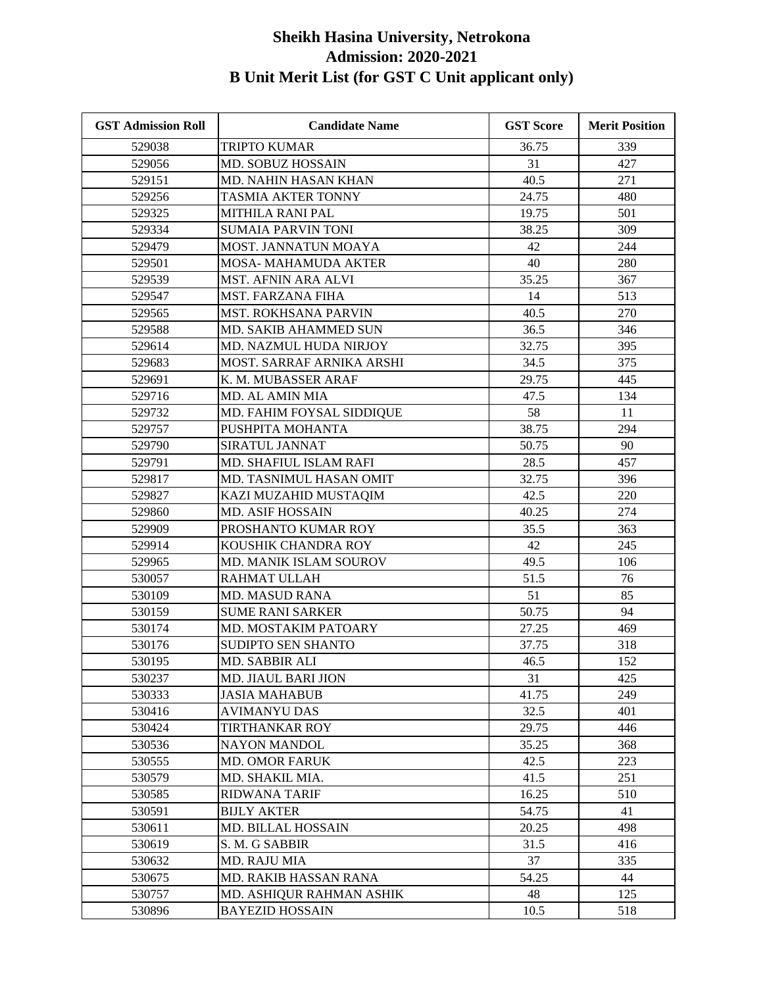| <b>GST Admission Roll</b> | <b>Candidate Name</b>         | <b>GST Score</b> | <b>Merit Position</b> |
|---------------------------|-------------------------------|------------------|-----------------------|
| 529038                    | <b>TRIPTO KUMAR</b>           | 36.75            | 339                   |
| 529056                    | MD. SOBUZ HOSSAIN             | 31               | 427                   |
| 529151                    | MD. NAHIN HASAN KHAN          | 40.5             | 271                   |
| 529256                    | TASMIA AKTER TONNY            | 24.75            | 480                   |
| 529325                    | MITHILA RANI PAL              | 19.75            | 501                   |
| 529334                    | <b>SUMAIA PARVIN TONI</b>     | 38.25            | 309                   |
| 529479                    | MOST. JANNATUN MOAYA          | 42               | 244                   |
| 529501                    | MOSA- MAHAMUDA AKTER          | 40               | 280                   |
| 529539                    | MST. AFNIN ARA ALVI           | 35.25            | 367                   |
| 529547                    | <b>MST. FARZANA FIHA</b>      | 14               | 513                   |
| 529565                    | <b>MST. ROKHSANA PARVIN</b>   | 40.5             | 270                   |
| 529588                    | MD. SAKIB AHAMMED SUN         | 36.5             | 346                   |
| 529614                    | MD. NAZMUL HUDA NIRJOY        | 32.75            | 395                   |
| 529683                    | MOST. SARRAF ARNIKA ARSHI     | 34.5             | 375                   |
| 529691                    | K. M. MUBASSER ARAF           | 29.75            | 445                   |
| 529716                    | MD. AL AMIN MIA               | 47.5             | 134                   |
| 529732                    | MD. FAHIM FOYSAL SIDDIQUE     | 58               | 11                    |
| 529757                    | PUSHPITA MOHANTA              | 38.75            | 294                   |
| 529790                    | SIRATUL JANNAT                | 50.75            | 90                    |
| 529791                    | <b>MD. SHAFIUL ISLAM RAFI</b> | 28.5             | 457                   |
| 529817                    | MD. TASNIMUL HASAN OMIT       | 32.75            | 396                   |
| 529827                    | KAZI MUZAHID MUSTAQIM         | 42.5             | 220                   |
| 529860                    | <b>MD. ASIF HOSSAIN</b>       | 40.25            | 274                   |
| 529909                    | PROSHANTO KUMAR ROY           | 35.5             | 363                   |
| 529914                    | KOUSHIK CHANDRA ROY           | 42               | 245                   |
| 529965                    | MD. MANIK ISLAM SOUROV        | 49.5             | 106                   |
| 530057                    | RAHMAT ULLAH                  | 51.5             | 76                    |
| 530109                    | <b>MD. MASUD RANA</b>         | 51               | 85                    |
| 530159                    | <b>SUME RANI SARKER</b>       | 50.75            | 94                    |
| 530174                    | MD. MOSTAKIM PATOARY          | 27.25            | 469                   |
| 530176                    | SUDIPTO SEN SHANTO            | 37.75            | 318                   |
| 530195                    | MD. SABBIR ALI                | 46.5             | 152                   |
| 530237                    | MD. JIAUL BARI JION           | 31               | 425                   |
| 530333                    | JASIA MAHABUB                 | 41.75            | 249                   |
| 530416                    | <b>AVIMANYU DAS</b>           | 32.5             | 401                   |
| 530424                    | <b>TIRTHANKAR ROY</b>         | 29.75            | 446                   |
| 530536                    | <b>NAYON MANDOL</b>           | 35.25            | 368                   |
| 530555                    | <b>MD. OMOR FARUK</b>         | 42.5             | 223                   |
| 530579                    | MD. SHAKIL MIA.               | 41.5             | 251                   |
| 530585                    | RIDWANA TARIF                 | 16.25            | 510                   |
| 530591                    | <b>BIJLY AKTER</b>            | 54.75            | 41                    |
| 530611                    | <b>MD. BILLAL HOSSAIN</b>     | 20.25            | 498                   |
| 530619                    | S. M. G SABBIR                | 31.5             | 416                   |
| 530632                    | MD. RAJU MIA                  | 37               | 335                   |
| 530675                    | MD. RAKIB HASSAN RANA         | 54.25            | 44                    |
| 530757                    | MD. ASHIQUR RAHMAN ASHIK      | 48               | 125                   |
| 530896                    | <b>BAYEZID HOSSAIN</b>        | 10.5             | 518                   |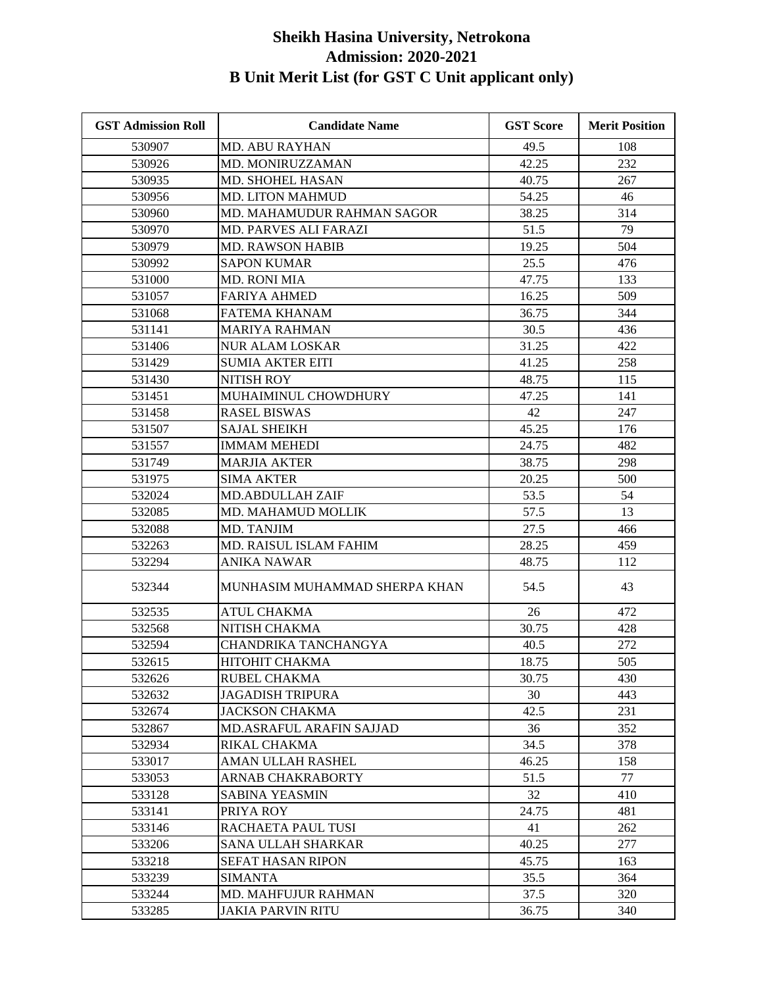| <b>GST Admission Roll</b> | <b>Candidate Name</b>         | <b>GST Score</b> | <b>Merit Position</b> |
|---------------------------|-------------------------------|------------------|-----------------------|
| 530907                    | <b>MD. ABU RAYHAN</b>         | 49.5             | 108                   |
| 530926                    | <b>MD. MONIRUZZAMAN</b>       | 42.25            | 232                   |
| 530935                    | <b>MD. SHOHEL HASAN</b>       | 40.75            | 267                   |
| 530956                    | <b>MD. LITON MAHMUD</b>       | 54.25            | 46                    |
| 530960                    | MD. MAHAMUDUR RAHMAN SAGOR    | 38.25            | 314                   |
| 530970                    | MD. PARVES ALI FARAZI         | 51.5             | 79                    |
| 530979                    | <b>MD. RAWSON HABIB</b>       | 19.25            | 504                   |
| 530992                    | <b>SAPON KUMAR</b>            | 25.5             | 476                   |
| 531000                    | <b>MD. RONI MIA</b>           | 47.75            | 133                   |
| 531057                    | <b>FARIYA AHMED</b>           | 16.25            | 509                   |
| 531068                    | FATEMA KHANAM                 | 36.75            | 344                   |
| 531141                    | <b>MARIYA RAHMAN</b>          | 30.5             | 436                   |
| 531406                    | <b>NUR ALAM LOSKAR</b>        | 31.25            | 422                   |
| 531429                    | <b>SUMIA AKTER EITI</b>       | 41.25            | 258                   |
| 531430                    | NITISH ROY                    | 48.75            | 115                   |
| 531451                    | MUHAIMINUL CHOWDHURY          | 47.25            | 141                   |
| 531458                    | <b>RASEL BISWAS</b>           | 42               | 247                   |
| 531507                    | <b>SAJAL SHEIKH</b>           | 45.25            | 176                   |
| 531557                    | <b>IMMAM MEHEDI</b>           | 24.75            | 482                   |
| 531749                    | <b>MARJIA AKTER</b>           | 38.75            | 298                   |
| 531975                    | <b>SIMA AKTER</b>             | 20.25            | 500                   |
| 532024                    | <b>MD.ABDULLAH ZAIF</b>       | 53.5             | 54                    |
| 532085                    | MD. MAHAMUD MOLLIK            | 57.5             | 13                    |
| 532088                    | MD. TANJIM                    | 27.5             | 466                   |
| 532263                    | MD. RAISUL ISLAM FAHIM        | 28.25            | 459                   |
| 532294                    | ANIKA NAWAR                   | 48.75            | 112                   |
| 532344                    | MUNHASIM MUHAMMAD SHERPA KHAN | 54.5             | 43                    |
| 532535                    | <b>ATUL CHAKMA</b>            | 26               | 472                   |
| 532568                    | NITISH CHAKMA                 | 30.75            | 428                   |
| 532594                    | CHANDRIKA TANCHANGYA          | 40.5             | 272                   |
| 532615                    | НІТОНІТ СНАКМА                | 18.75            | 505                   |
| 532626                    | RUBEL CHAKMA                  | 30.75            | 430                   |
| 532632                    | <b>JAGADISH TRIPURA</b>       | 30               | 443                   |
| 532674                    | JACKSON CHAKMA                | 42.5             | 231                   |
| 532867                    | MD.ASRAFUL ARAFIN SAJJAD      | 36               | 352                   |
| 532934                    | RIKAL CHAKMA                  | 34.5             | 378                   |
| 533017                    | AMAN ULLAH RASHEL             | 46.25            | 158                   |
| 533053                    | ARNAB CHAKRABORTY             | 51.5             | 77                    |
| 533128                    | SABINA YEASMIN                | 32               | 410                   |
| 533141                    | PRIYA ROY                     | 24.75            | 481                   |
| 533146                    | RACHAETA PAUL TUSI            | 41               | 262                   |
| 533206                    | SANA ULLAH SHARKAR            | 40.25            | 277                   |
| 533218                    | SEFAT HASAN RIPON             | 45.75            | 163                   |
| 533239                    | <b>SIMANTA</b>                | 35.5             | 364                   |
| 533244                    | MD. MAHFUJUR RAHMAN           | 37.5             | 320                   |
| 533285                    | JAKIA PARVIN RITU             | 36.75            | 340                   |